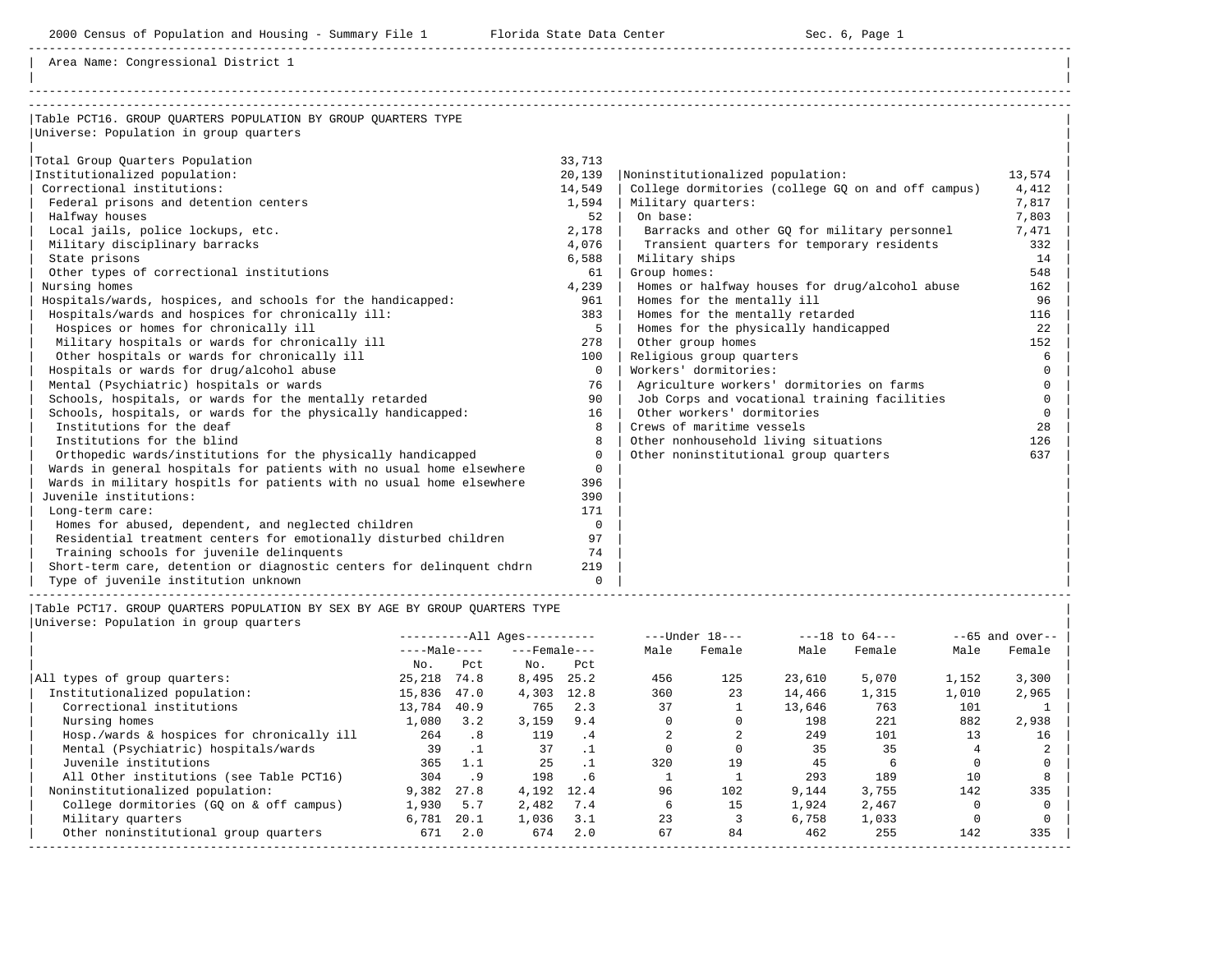| 2000 Census of Population and Housing - Summary File 1 Florida State Data Center                                                                                                                                               |              | Sec. 6, Page 1                                     |          |
|--------------------------------------------------------------------------------------------------------------------------------------------------------------------------------------------------------------------------------|--------------|----------------------------------------------------|----------|
| Area Name: Congressional District 1                                                                                                                                                                                            |              |                                                    |          |
| Table PCT16. GROUP QUARTERS POPULATION BY GROUP QUARTERS TYPE<br>Universe: Population in group quarters                                                                                                                        |              |                                                    |          |
|                                                                                                                                                                                                                                |              |                                                    |          |
| Total Group Quarters Population                                                                                                                                                                                                | 33,713       |                                                    |          |
| Institutionalized population:                                                                                                                                                                                                  | 20,139       | Noninstitutionalized population:                   | 13,574   |
| Correctional institutions:                                                                                                                                                                                                     | 14,549       | College dormitories (college GQ on and off campus) | 4,412    |
| Federal prisons and detention centers                                                                                                                                                                                          | 1,594        | Military quarters:                                 | 7,817    |
| Halfway houses                                                                                                                                                                                                                 | 52           | On base:                                           | 7,803    |
| Local jails, police lockups, etc.                                                                                                                                                                                              | 2,178        | Barracks and other GO for military personnel       | 7,471    |
| Military disciplinary barracks                                                                                                                                                                                                 | 4,076        | Transient quarters for temporary residents         | 332      |
| State prisons                                                                                                                                                                                                                  | 6,588        | Military ships                                     | 14       |
| Other types of correctional institutions                                                                                                                                                                                       | 61           | Group homes:                                       | 548      |
| Nursing homes                                                                                                                                                                                                                  | 4,239        | Homes or halfway houses for drug/alcohol abuse     | 162      |
| Hospitals/wards, hospices, and schools for the handicapped:                                                                                                                                                                    | 961          | Homes for the mentally ill                         | 96       |
| Hospitals/wards and hospices for chronically ill:                                                                                                                                                                              | 383          | Homes for the mentally retarded                    | 116      |
| Hospices or homes for chronically ill                                                                                                                                                                                          | -5           | Homes for the physically handicapped               | 22       |
| Military hospitals or wards for chronically ill                                                                                                                                                                                | 278          | Other group homes                                  | 152      |
| Other hospitals or wards for chronically ill                                                                                                                                                                                   | 100          | Religious group quarters                           | 6        |
| Hospitals or wards for drug/alcohol abuse                                                                                                                                                                                      | $\Omega$     | Workers' dormitories:                              |          |
| Mental (Psychiatric) hospitals or wards                                                                                                                                                                                        | 76           | Agriculture workers' dormitories on farms          | $\Omega$ |
| Schools, hospitals, or wards for the mentally retarded                                                                                                                                                                         | 90           | Job Corps and vocational training facilities       | $\cap$   |
| Schools, hospitals, or wards for the physically handicapped:                                                                                                                                                                   | 16           | Other workers' dormitories                         | $\Omega$ |
| Institutions for the deaf                                                                                                                                                                                                      | $\mathsf{R}$ | Crews of maritime vessels                          | 28       |
| Institutions for the blind                                                                                                                                                                                                     | 8            | Other nonhousehold living situations               | 126      |
| Orthopedic wards/institutions for the physically handicapped                                                                                                                                                                   | $\Omega$     | Other noninstitutional group quarters              | 637      |
| Wards in general hospitals for patients with no usual home elsewhere                                                                                                                                                           | $\Omega$     |                                                    |          |
| Wards in military hospitls for patients with no usual home elsewhere                                                                                                                                                           | 396          |                                                    |          |
| Juvenile institutions:                                                                                                                                                                                                         | 390          |                                                    |          |
| Long-term care:                                                                                                                                                                                                                | 171          |                                                    |          |
| in the contract of the contract of the contract of the contract of the contract of the contract of the contract of the contract of the contract of the contract of the contract of the contract of the contract of the contrac |              |                                                    |          |

Homes for abused, dependent, and neglected children 0 0<br>Residential treatment centers for emotionally disturbed children 97 Residential treatment centers for emotionally disturbed children Training schools for juvenile delinquents<br>Short-term care, detention or diagnostic centers for delinquent chdrn 219 Short-term care, detention or diagnostic centers for delinquent chdrn | Type of juvenile institution unknown 0 | |

|Table PCT17. GROUP QUARTERS POPULATION BY SEX BY AGE BY GROUP QUARTERS TYPE |

|Universe: Population in group quarters |

|                                            | $------All Aqes------$ |           |                    |           |      | $---Under 18---$ |        | $---18$ to $64---$ | $--65$ and over-- |        |
|--------------------------------------------|------------------------|-----------|--------------------|-----------|------|------------------|--------|--------------------|-------------------|--------|
|                                            | $---Male---$           |           | $---$ Female $---$ |           | Male | Female           | Male   | Female             | Male              | Female |
|                                            | No.                    | Pct.      | No.                | Pct       |      |                  |        |                    |                   |        |
| All types of group quarters:               | 25,218                 | 74.8      | 8,495              | 25.2      | 456  | 125              | 23,610 | 5,070              | 1,152             | 3,300  |
| Institutionalized population:              | 15,836                 | 47.0      | 4,303              | 12.8      | 360  | 23               | 14,466 | 1,315              | 1,010             | 2,965  |
| Correctional institutions                  | 13,784                 | 40.9      | 765                | 2.3       | 37   |                  | 13,646 | 763                | 101               |        |
| Nursing homes                              | 1,080                  | 3.2       | 3,159              | 9.4       |      |                  | 198    | 221                | 882               | 2,938  |
| Hosp./wards & hospices for chronically ill | 264                    | .8        | 119                | .4        |      |                  | 249    | 101                | 13                | 16     |
| Mental (Psychiatric) hospitals/wards       | 39                     | $\cdot$ 1 | 37                 | $\cdot$ 1 |      |                  | 35     | 35                 |                   |        |
| Juvenile institutions                      | 365                    |           | 25                 |           | 320  | 19               | 45     |                    |                   |        |
| All Other institutions (see Table PCT16)   | 304                    | .9        | 198                | . 6       |      |                  | 293    | 189                | 10                |        |
| Noninstitutionalized population:           | 9,382                  | 27.8      | 4,192              | 12.4      | 96   | 102              | 9,144  | 3,755              | 142               | 335    |
| College dormitories (GO on & off campus)   | 1,930                  | 5.7       | 2,482              | 7.4       |      | 15               | 1,924  | 2,467              |                   |        |
| Military quarters                          | 6,781                  | 20.1      | 1,036              | 3.1       | 23   |                  | 6,758  | 1,033              |                   |        |
| Other noninstitutional group quarters      | 671                    | 2.0       | 674                | 2.0       | 67   | 84               | 462    | 255                | 142               | 335    |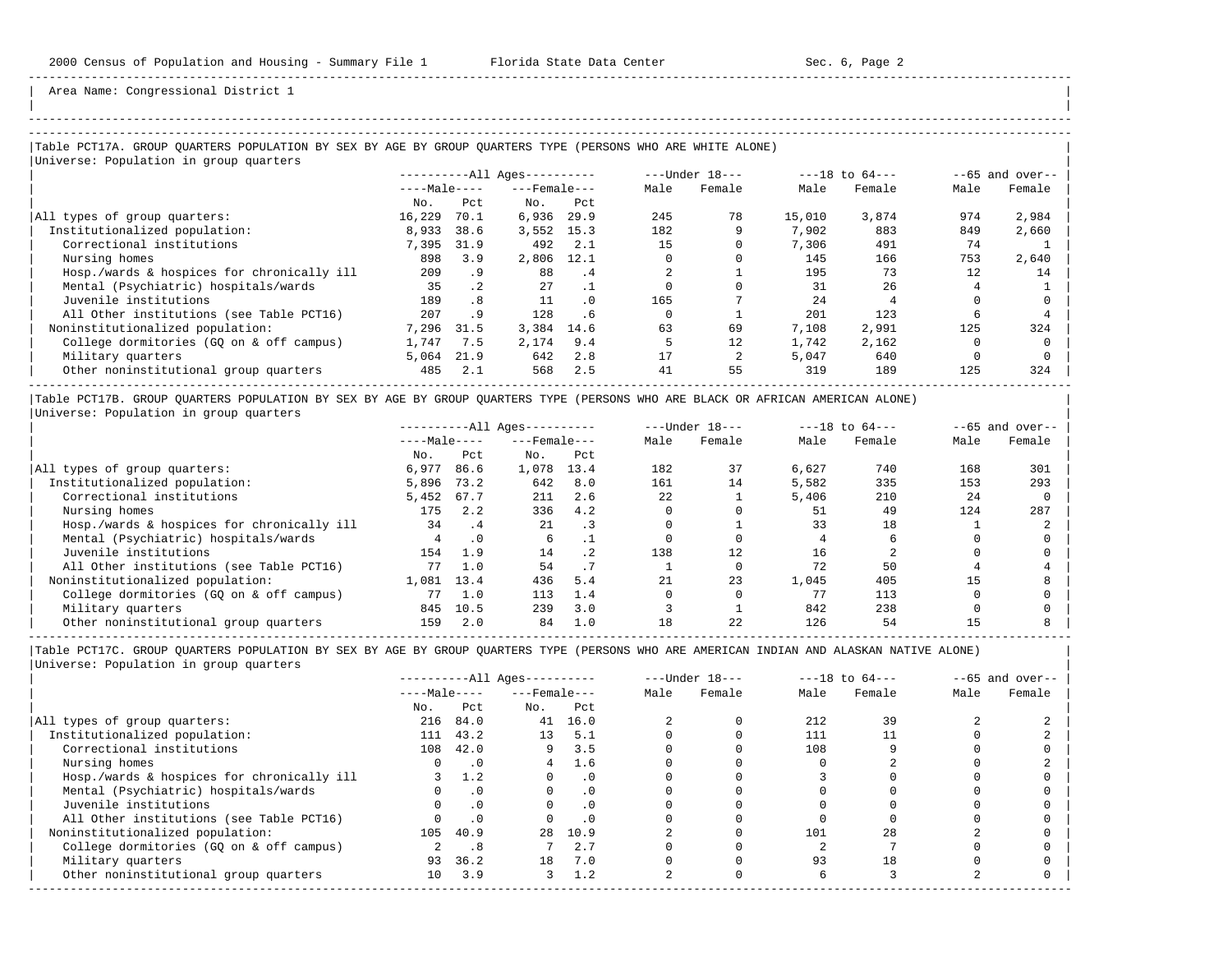| |

Area Name: Congressional District 1

# -----------------------------------------------------------------------------------------------------------------------------------------------------

### |Table PCT17A. GROUP QUARTERS POPULATION BY SEX BY AGE BY GROUP QUARTERS TYPE (PERSONS WHO ARE WHITE ALONE) | |<br>|Universe: Population in group quarters

|                                            |              |                 | $------All Ages------$ |           |      | $---Under 18---$ |        | $---18$ to $64---$ | $--65$ and over-- |        |
|--------------------------------------------|--------------|-----------------|------------------------|-----------|------|------------------|--------|--------------------|-------------------|--------|
|                                            | $---Male---$ |                 | $---$ Female $---$     |           | Male | Female           | Male   | Female             | Male              | Female |
|                                            | No.          | Pct             | No.                    | Pct       |      |                  |        |                    |                   |        |
| All types of group quarters:               | 16,229       | 70.1            | 6,936                  | 29.9      | 245  | 78               | 15,010 | 3,874              | 974               | 2,984  |
| Institutionalized population:              | 8,933        | 38.6            | 3,552                  | 15.3      | 182  |                  | 7,902  | 883                | 849               | 2,660  |
| Correctional institutions                  | 7,395        | 31.9            | 492                    | 2.1       | 15   |                  | 7,306  | 491                | 74                |        |
| Nursing homes                              | 898          | 3.9             | 2,806                  | 12.1      |      |                  | 145    | 166                | 753               | 2,640  |
| Hosp./wards & hospices for chronically ill | 209          | . 9             | 88                     | .4        |      |                  | 195    | 73                 | 12                | 14     |
| Mental (Psychiatric) hospitals/wards       | 35           | .2 <sub>2</sub> | 27                     |           |      |                  | 31     | 26                 |                   |        |
| Juvenile institutions                      | 189          | .8              | 11                     | $\cdot$ 0 | 165  |                  | 24     |                    |                   |        |
| All Other institutions (see Table PCT16)   | 207          | . 9             | 128                    | .6        |      |                  | 201    | 123                | h                 |        |
| Noninstitutionalized population:           | 7,296        | 31.5            | 3,384                  | 14.6      | 63   | 69               | 7,108  | 2,991              | 125               | 324    |
| College dormitories (GO on & off campus)   | 1,747        | 7.5             | 2,174                  | 9.4       |      | 12               | 1,742  | 2,162              |                   |        |
| Military quarters                          | 5,064        | 21.9            | 642                    | 2.8       | 17   |                  | 5,047  | 640                |                   |        |
| Other noninstitutional group quarters      | 485          | 2.1             | 568                    | 2.5       | 41   | 55               | 319    | 189                | 125               | 324    |
|                                            |              |                 |                        |           |      |                  |        |                    |                   |        |

|Table PCT17B. GROUP QUARTERS POPULATION BY SEX BY AGE BY GROUP QUARTERS TYPE (PERSONS WHO ARE BLACK OR AFRICAN AMERICAN ALONE) | |Universe: Population in group quarters |

|                                            | $------All Aqes------$ |           |                    |      |      | $---Under 18---$ |       | $---18$ to $64---$ | $--65$ and over-- |        |
|--------------------------------------------|------------------------|-----------|--------------------|------|------|------------------|-------|--------------------|-------------------|--------|
|                                            | $---Male---$           |           | $---$ Female $---$ |      | Male | Female           | Male  | Female             | Male              | Female |
|                                            | No.                    | Pct       | No.                | Pct  |      |                  |       |                    |                   |        |
| All types of group quarters:               | 6,977                  | 86.6      | 1,078              | 13.4 | 182  | 37               | 6,627 | 740                | 168               | 301    |
| Institutionalized population:              | 5,896                  | 73.2      | 642                | 8.0  | 161  | 14               | 5,582 | 335                | 153               | 293    |
| Correctional institutions                  | 5,452                  | 67.7      | 211                | 2.6  | 22   |                  | 5,406 | 210                | 24                |        |
| Nursing homes                              | 175                    | 2.2       | 336                | 4.2  |      |                  | 51    | 49                 | 124               | 287    |
| Hosp./wards & hospices for chronically ill | 34                     | . 4       | 21                 |      |      |                  | 33    | 18                 |                   |        |
| Mental (Psychiatric) hospitals/wards       |                        | $\cdot$ 0 | 6                  |      |      |                  |       |                    |                   |        |
| Juvenile institutions                      | 154                    | 1.9       | 14                 | . 2  | 138  | 12               | 16    |                    |                   |        |
| All Other institutions (see Table PCT16)   | 77                     | 1.0       | 54                 |      |      |                  | 72    | 50                 |                   |        |
| Noninstitutionalized population:           | 1,081                  | 13.4      | 436                | 5.4  | 21   | 23               | 1,045 | 405                | 15                |        |
| College dormitories (GO on & off campus)   | 77                     | 1.0       | 113                | 1.4  |      |                  | 77    | 113                |                   |        |
| Military quarters                          | 845                    | 10.5      | 239                | 3.0  |      |                  | 842   | 238                |                   |        |
| Other noninstitutional group quarters      | 159                    | 2.0       | 84                 | 1.0  | 18   | 22               | 126   | 54                 |                   |        |

-----------------------------------------------------------------------------------------------------------------------------------------------------

|                                            | $------All Ages------$ |           |                    |           |      | $---Under 18---$ |      | $---18$ to $64---$ | $--65$ and over-- |        |
|--------------------------------------------|------------------------|-----------|--------------------|-----------|------|------------------|------|--------------------|-------------------|--------|
|                                            | $---Male---$           |           | $---$ Female $---$ |           | Male | Female           | Male | Female             | Male              | Female |
|                                            | No.                    | Pct       | No.                | Pct       |      |                  |      |                    |                   |        |
| All types of group quarters:               | 216                    | 84.0      | 41                 | 16.0      |      |                  | 212  | 39                 |                   |        |
| Institutionalized population:              | 111                    | 43.2      | 13                 | 5.1       |      |                  | 111  |                    |                   |        |
| Correctional institutions                  | 108                    | 42.0      | 9                  | 3.5       |      |                  | 108  |                    |                   |        |
| Nursing homes                              |                        | .0        |                    | 1.6       |      |                  |      |                    |                   |        |
| Hosp./wards & hospices for chronically ill |                        | 1.2       |                    | . 0       |      |                  |      |                    |                   |        |
| Mental (Psychiatric) hospitals/wards       |                        | $\cdot$ 0 |                    | $\cdot$ 0 |      |                  |      |                    |                   |        |
| Juvenile institutions                      |                        |           |                    | . 0       |      |                  |      |                    |                   |        |
| All Other institutions (see Table PCT16)   |                        | $\cdot$ 0 |                    |           |      |                  |      |                    |                   |        |
| Noninstitutionalized population:           | 105                    | 40.9      | 28                 | 10.9      |      |                  | 101  | 28                 |                   |        |
| College dormitories (GO on & off campus)   |                        | . 8       |                    | 2.7       |      |                  |      |                    |                   |        |
| Military quarters                          | 93                     | 36.2      | 18                 | 7.0       |      |                  | 93   | 18                 |                   |        |
| Other noninstitutional group quarters      | 10                     | 3.9       | 3                  | 1.2       |      |                  |      |                    |                   |        |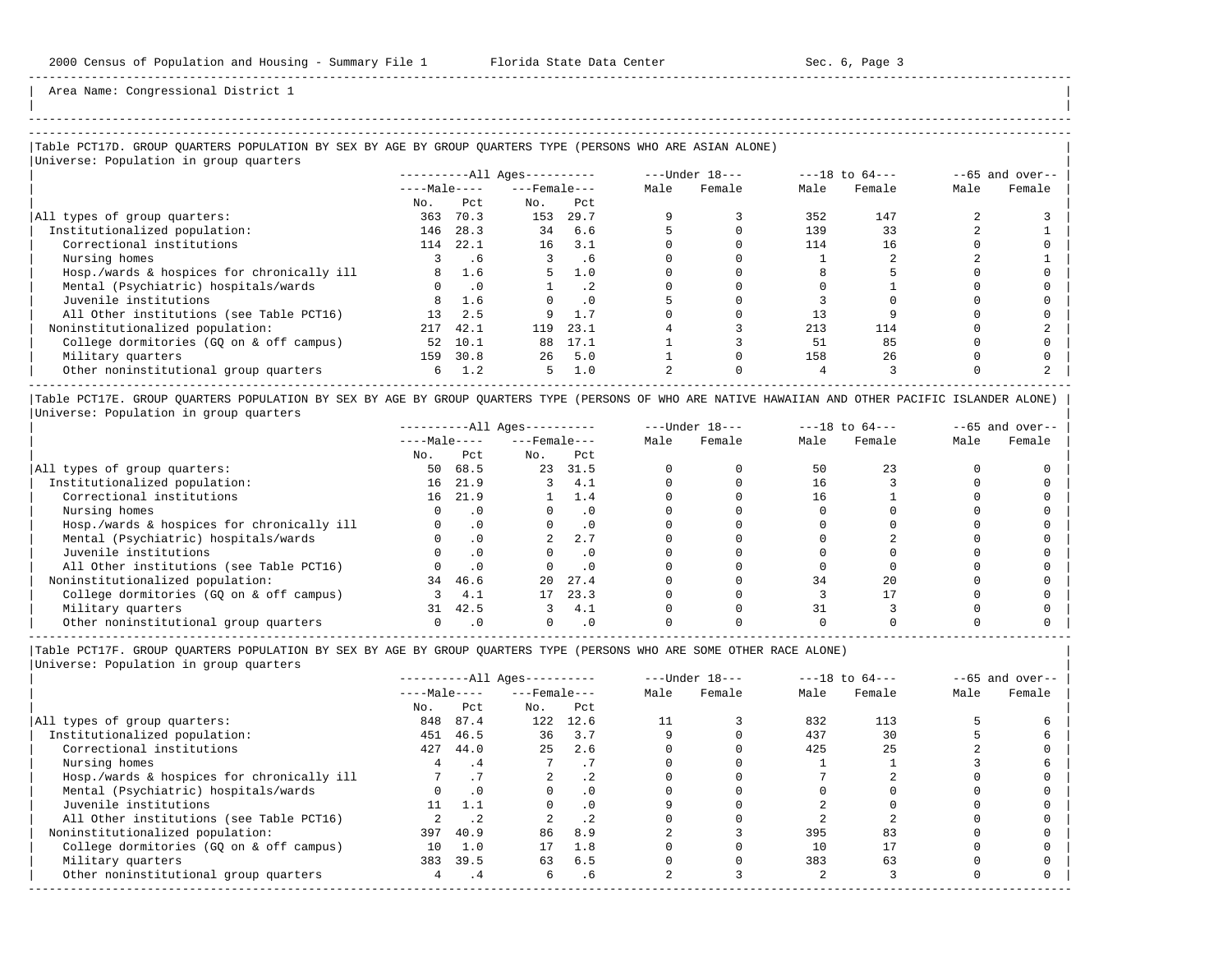| | -----------------------------------------------------------------------------------------------------------------------------------------------------

Area Name: Congressional District 1

## |Table PCT17D. GROUP QUARTERS POPULATION BY SEX BY AGE BY GROUP QUARTERS TYPE (PERSONS WHO ARE ASIAN ALONE) |

| Universe: Population in group quarters     |              |           |                            |           |      |                |      |                    |      |                   |
|--------------------------------------------|--------------|-----------|----------------------------|-----------|------|----------------|------|--------------------|------|-------------------|
|                                            |              |           | $------All \text{Aqes}---$ |           |      | ---Under 18--- |      | $---18$ to $64---$ |      | $--65$ and over-- |
|                                            | $---Male---$ |           | $---$ Female $---$         |           | Male | Female         | Male | Female             | Male | Female            |
|                                            | No.          | Pct       | No.                        | Pct       |      |                |      |                    |      |                   |
| All types of group quarters:               | 363          | 70.3      | 153                        | 29.7      |      |                | 352  | 147                |      |                   |
| Institutionalized population:              | 146          | 28.3      | 34                         | 6.6       |      |                | 139  | 33                 |      |                   |
| Correctional institutions                  | 114          | 22.1      | 16                         | 3.1       |      |                | 114  | 16                 |      |                   |
| Nursing homes                              |              | . 6       |                            | . 6       |      |                |      |                    |      |                   |
| Hosp./wards & hospices for chronically ill |              | 1.6       | 5.                         | 1.0       |      |                |      |                    |      |                   |
| Mental (Psychiatric) hospitals/wards       |              | $\cdot$ 0 |                            | $\cdot$ 2 |      |                |      |                    |      |                   |
| Juvenile institutions                      | 8            | 1.6       |                            | $\cdot$ 0 |      |                |      |                    |      |                   |
| All Other institutions (see Table PCT16)   | 13           | 2.5       | 9                          |           |      |                |      |                    |      |                   |
| Noninstitutionalized population:           | 217          | 42.1      | 119                        | 23.1      |      |                | 213  | 114                |      |                   |
| College dormitories (GQ on & off campus)   | 52           | 10.1      | 88                         | 17.1      |      |                | 51   | 85                 |      |                   |
| Military quarters                          | 159          | 30.8      | 26                         | 5.0       |      |                | 158  | 26                 |      |                   |
| Other noninstitutional group quarters      | 6            | 1.2       | 5                          | 1.0       |      |                |      |                    |      |                   |

|Table PCT17E. GROUP QUARTERS POPULATION BY SEX BY AGE BY GROUP QUARTERS TYPE (PERSONS OF WHO ARE NATIVE HAWAIIAN AND OTHER PACIFIC ISLANDER ALONE) | |Universe: Population in group quarters |

|                                            | $------All Ages------$ |           |                    |           | $---Under 18---$ | $---18$ to $64---$ |      | $--65$ and over-- |      |        |
|--------------------------------------------|------------------------|-----------|--------------------|-----------|------------------|--------------------|------|-------------------|------|--------|
|                                            | $---Male---$           |           | $---$ Female $---$ |           | Male             | Female             | Male | Female            | Male | Female |
|                                            | No.                    | Pct       | No.                | Pct       |                  |                    |      |                   |      |        |
| All types of group quarters:               | 50                     | 68.5      | 23                 | 31.5      |                  |                    | 50   |                   |      |        |
| Institutionalized population:              | 16                     | 21.9      |                    | 4.1       |                  |                    | 16   |                   |      |        |
| Correctional institutions                  | 16                     | 21.9      |                    | 1.4       |                  |                    | 16   |                   |      |        |
| Nursing homes                              |                        | $\cdot$ 0 |                    | . 0       |                  |                    |      |                   |      |        |
| Hosp./wards & hospices for chronically ill |                        |           |                    |           |                  |                    |      |                   |      |        |
| Mental (Psychiatric) hospitals/wards       |                        |           |                    | 2.7       |                  |                    |      |                   |      |        |
| Juvenile institutions                      |                        |           |                    | . 0       |                  |                    |      |                   |      |        |
| All Other institutions (see Table PCT16)   |                        |           |                    | $\cdot$ 0 |                  |                    |      |                   |      |        |
| Noninstitutionalized population:           | 34                     | 46.6      | 20                 | 27.4      |                  |                    | 34   | 2.0               |      |        |
| College dormitories (GO on & off campus)   |                        | 4.1       | 17                 | 23.3      |                  |                    |      |                   |      |        |
| Military quarters                          | 31                     | 42.5      | 3                  | 4.1       |                  |                    | 31   |                   |      |        |
| Other noninstitutional group quarters      |                        |           |                    | $\cdot$ 0 |                  |                    |      |                   |      |        |

----------------------------------------------------------------------------------------------------------------------------------------------------- |Table PCT17F. GROUP QUARTERS POPULATION BY SEX BY AGE BY GROUP QUARTERS TYPE (PERSONS WHO ARE SOME OTHER RACE ALONE) |

|                                            | $------All Aqes------$ |           |                    |           |      | $---Under 18---$ |      | $---18$ to $64---$ | $--65$ and over-- |        |
|--------------------------------------------|------------------------|-----------|--------------------|-----------|------|------------------|------|--------------------|-------------------|--------|
|                                            | $---Male---$           |           | $---$ Female $---$ |           | Male | Female           | Male | Female             | Male              | Female |
|                                            | No.                    | Pct       | No.                | Pct       |      |                  |      |                    |                   |        |
| All types of group quarters:               | 848                    | 87.4      | 122                | 12.6      |      |                  | 832  | 113                |                   |        |
| Institutionalized population:              | 451                    | 46.5      | 36                 | 3.7       |      |                  | 437  | 30                 |                   |        |
| Correctional institutions                  | 427                    | 44.0      | 25                 | 2.6       |      |                  | 425  | 25                 |                   |        |
| Nursing homes                              |                        | .4        |                    |           |      |                  |      |                    |                   |        |
| Hosp./wards & hospices for chronically ill |                        |           |                    |           |      |                  |      |                    |                   |        |
| Mental (Psychiatric) hospitals/wards       |                        | $\cdot$ 0 |                    | $\cdot$ 0 |      |                  |      |                    |                   |        |
| Juvenile institutions                      | 11                     |           |                    | $\cdot$ 0 |      |                  |      |                    |                   |        |
| All Other institutions (see Table PCT16)   |                        |           |                    |           |      |                  |      |                    |                   |        |
| Noninstitutionalized population:           | 397                    | 40.9      | 86                 | 8.9       |      |                  | 395  | 83                 |                   |        |
| College dormitories (GQ on & off campus)   | 10                     | 1.0       | 17                 | 1.8       |      |                  | 10   |                    |                   |        |
| Military quarters                          | 383                    | 39.5      | 63                 | 6.5       |      |                  | 383  | 63                 |                   |        |
| Other noninstitutional group quarters      | 4                      | . 4       | 6                  | . 6       |      |                  |      |                    |                   |        |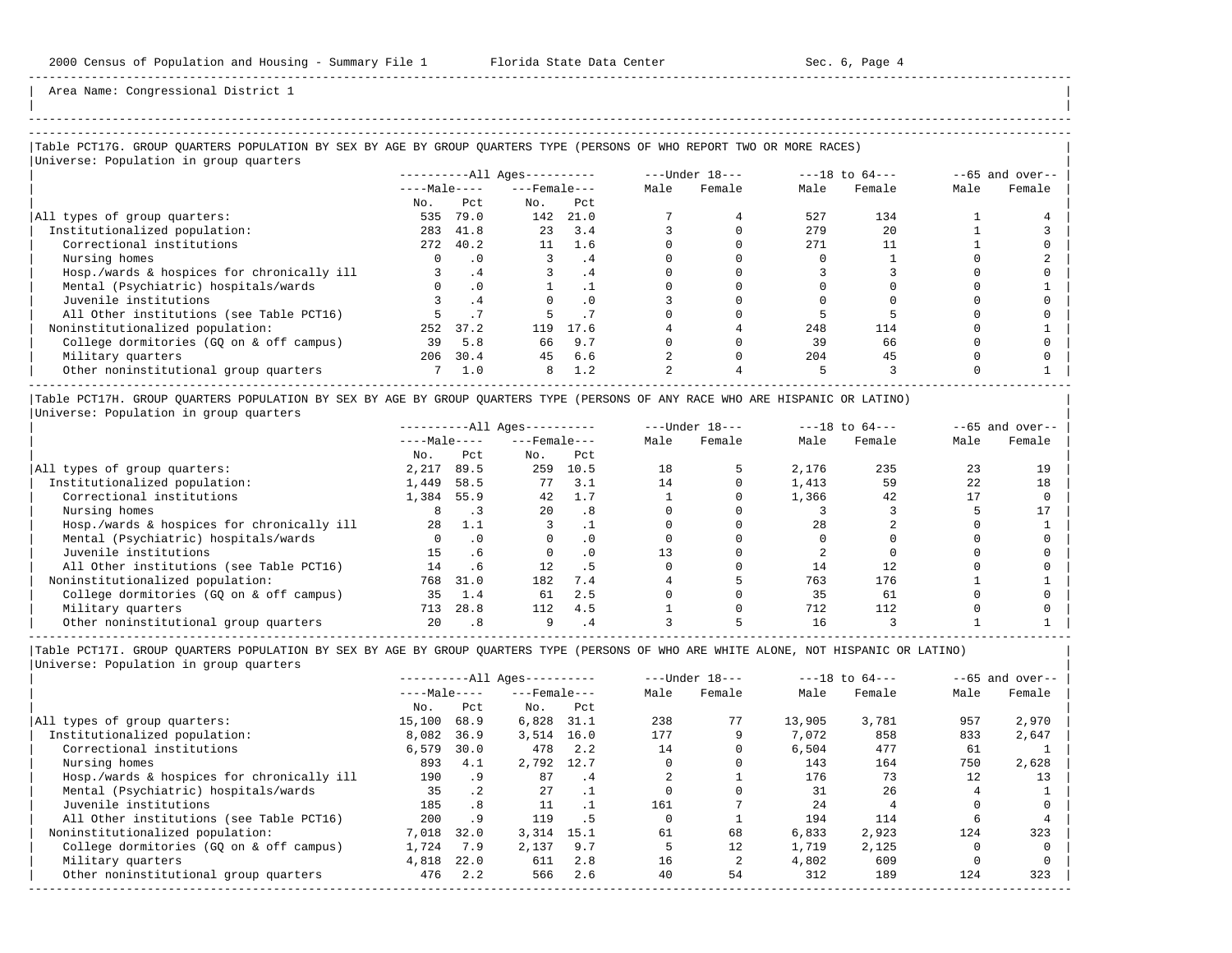| |

Area Name: Congressional District 1

# -----------------------------------------------------------------------------------------------------------------------------------------------------

### |Table PCT17G. GROUP QUARTERS POPULATION BY SEX BY AGE BY GROUP QUARTERS TYPE (PERSONS OF WHO REPORT TWO OR MORE RACES) | |<br>|Universe: Population in group quarters

|              |           | $------All \text{Aqes}---$ |      | ---Under 18---            |        | $---18$ to $64---$ |        | $--65$ and over-- |        |
|--------------|-----------|----------------------------|------|---------------------------|--------|--------------------|--------|-------------------|--------|
| $---Male---$ |           |                            |      | Male                      | Female | Male               | Female | Male              | Female |
| No.          | Pct.      | No.                        | Pct  |                           |        |                    |        |                   |        |
| 535          | 79.0      |                            | 21.0 |                           |        | 527                | 134    |                   |        |
| 283          | 41.8      | 23                         | 3.4  |                           |        | 279                | 20     |                   |        |
|              | 40.2      | 11                         | 1.6  |                           |        | 271                |        |                   |        |
|              | $\cdot$ 0 |                            | . 4  |                           |        |                    |        |                   |        |
|              | .4        |                            | . 4  |                           |        |                    |        |                   |        |
|              | .0        |                            |      |                           |        |                    |        |                   |        |
|              | .4        |                            | .0   |                           |        |                    |        |                   |        |
|              |           |                            |      |                           |        |                    |        |                   |        |
| 252          | 37.2      | 119                        | 17.6 |                           |        | 248                | 114    |                   |        |
| 39           | 5.8       | 66                         | 9.7  |                           |        | 39                 | 66     |                   |        |
| 206          |           | 45                         | 6.6  |                           |        | 204                | 45     |                   |        |
|              | 1.0       | 8                          | 1.2  |                           |        |                    |        |                   |        |
|              |           | 2.72<br>30.4               |      | $---$ Female $---$<br>142 |        |                    |        |                   |        |

|Table PCT17H. GROUP QUARTERS POPULATION BY SEX BY AGE BY GROUP QUARTERS TYPE (PERSONS OF ANY RACE WHO ARE HISPANIC OR LATINO) | |Universe: Population in group quarters |

|                                            |              |           | $------All Aqes------$ |      |      | $---Under 18---$ | $---18$ to $64---$ |        | $--65$ and over-- |        |
|--------------------------------------------|--------------|-----------|------------------------|------|------|------------------|--------------------|--------|-------------------|--------|
|                                            | $---Male---$ |           | $---$ Female $---$     |      | Male | Female           | Male               | Female | Male              | Female |
|                                            | No.          | Pct       | No.                    | Pct  |      |                  |                    |        |                   |        |
| All types of group quarters:               | 2,217        | 89.5      | 259                    | 10.5 | 18   |                  | 2,176              | 235    |                   | 19     |
| Institutionalized population:              | 1,449        | 58.5      | 77                     | 3.1  | 14   |                  | 1,413              | 59     | 22                | 18     |
| Correctional institutions                  | 1,384        | 55.9      | 42                     | 1.7  |      |                  | 1,366              | 42     |                   |        |
| Nursing homes                              |              |           | 20                     | . 8  |      |                  |                    |        |                   |        |
| Hosp./wards & hospices for chronically ill | 28           | 1.1       |                        |      |      |                  | 28                 |        |                   |        |
| Mental (Psychiatric) hospitals/wards       |              | $\cdot$ 0 |                        |      |      |                  |                    |        |                   |        |
| Juvenile institutions                      | 15           | . 6       |                        | . 0  |      |                  |                    |        |                   |        |
| All Other institutions (see Table PCT16)   | 14           | . 6       | 12 <sub>1</sub>        | . 5  |      |                  | 14                 |        |                   |        |
| Noninstitutionalized population:           | 768          | 31.0      | 182                    | 7.4  |      |                  | 763                | 176    |                   |        |
| College dormitories (GO on & off campus)   | 35           | 1.4       | 61                     | 2.5  |      |                  | 35                 | 61     |                   |        |
| Military quarters                          | 713          | 28.8      | 112                    | 4.5  |      |                  | 712                | 112    |                   |        |
| Other noninstitutional group quarters      | 20           | .8        |                        |      |      |                  | 16                 |        |                   |        |

|Table PCT17I. GROUP QUARTERS POPULATION BY SEX BY AGE BY GROUP QUARTERS TYPE (PERSONS OF WHO ARE WHITE ALONE, NOT HISPANIC OR LATINO) |

| Universe: Population in group quarters |  |
|----------------------------------------|--|
|                                        |  |
|                                        |  |

|                                            | $------All Aqes------$ |           |                    |      | $---Under 18---$ |        | $---18$ to $64---$ | $--65$ and over-- |      |        |
|--------------------------------------------|------------------------|-----------|--------------------|------|------------------|--------|--------------------|-------------------|------|--------|
|                                            | $---Male---$           |           | $---$ Female $---$ |      | Male             | Female | Male               | Female            | Male | Female |
|                                            | No.                    | Pct       | No.                | Pct  |                  |        |                    |                   |      |        |
| All types of group quarters:               | 15,100                 | 68.9      | 6,828              | 31.1 | 238              | 77     | 13,905             | 3,781             | 957  | 2,970  |
| Institutionalized population:              | 8,082                  | 36.9      | 3,514              | 16.0 | 177              | 9      | 7,072              | 858               | 833  | 2,647  |
| Correctional institutions                  | 6,579                  | 30.0      | 478                | 2.2  | 14               |        | 6,504              | 477               | 61   |        |
| Nursing homes                              | 893                    | 4.1       | 2,792 12.7         |      |                  |        | 143                | 164               | 750  | 2,628  |
| Hosp./wards & hospices for chronically ill | 190                    | . 9       | 87                 | . 4  |                  |        | 176                | 73                | 12   | 13     |
| Mental (Psychiatric) hospitals/wards       | 35                     | $\cdot$ 2 | 27                 |      |                  |        | 31                 | 26                |      |        |
| Juvenile institutions                      | 185                    | .8        | 11                 |      | 161              |        | 2.4                |                   |      |        |
| All Other institutions (see Table PCT16)   | 200                    | .9        | 119                | . 5  |                  |        | 194                | 114               |      |        |
| Noninstitutionalized population:           | 7,018                  | 32.0      | 3,314              | 15.1 | 61               | 68     | 6,833              | 2,923             | 124  | 323    |
| College dormitories (GO on & off campus)   | 1,724                  | 7.9       | 2,137              | 9.7  |                  | 12     | 1,719              | 2,125             |      |        |
| Military quarters                          | 4,818                  | 22.0      | 611                | 2.8  | 16               |        | 4,802              | 609               |      |        |
| Other noninstitutional group quarters      | 476                    | 2.2       | 566                | 2.6  | 40               | 54     | 312                | 189               | 124  | 323    |
|                                            |                        |           |                    |      |                  |        |                    |                   |      |        |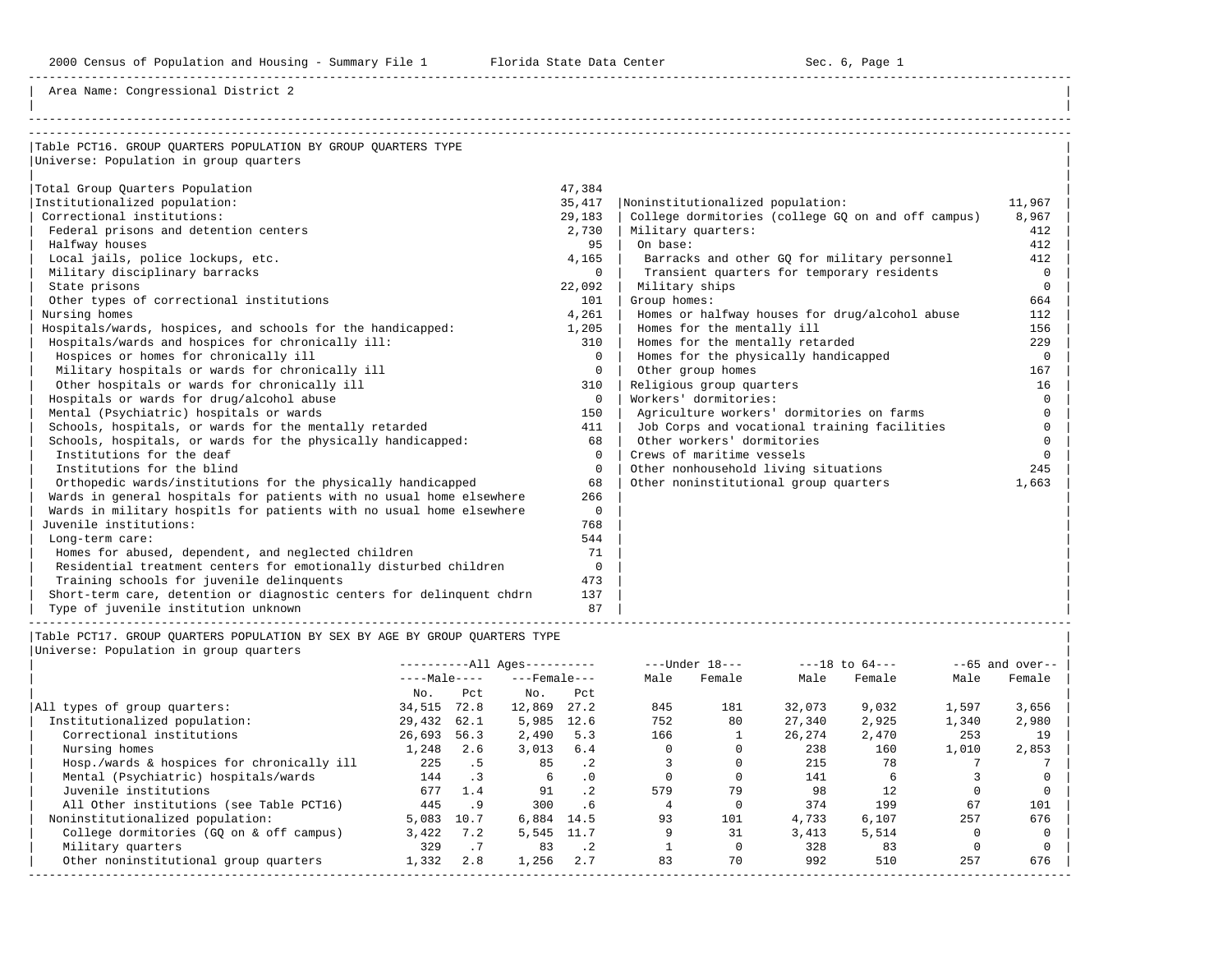Area Name: Congressional District 2

| Table PCT16. GROUP QUARTERS POPULATION BY GROUP QUARTERS TYPE         |             |                                                    |              |
|-----------------------------------------------------------------------|-------------|----------------------------------------------------|--------------|
| Universe: Population in group quarters                                |             |                                                    |              |
|                                                                       |             |                                                    |              |
| Total Group Quarters Population                                       | 47,384      |                                                    |              |
| Institutionalized population:                                         | 35,417      | Noninstitutionalized population:                   | 11,967       |
| Correctional institutions:                                            | 29,183      | College dormitories (college GQ on and off campus) | 8,967        |
| Federal prisons and detention centers                                 | 2,730       | Military quarters:                                 | 412          |
| Halfway houses                                                        | 95          | On base:                                           | 412          |
| Local jails, police lockups, etc.                                     | 4,165       | Barracks and other GO for military personnel       | 412          |
| Military disciplinary barracks                                        | $\Omega$    | Transient quarters for temporary residents         | $\Omega$     |
| State prisons                                                         | 22,092      | Military ships                                     | $\Omega$     |
| Other types of correctional institutions                              | 101         | Group homes:                                       | 664          |
| Nursing homes                                                         | 4,261       | Homes or halfway houses for drug/alcohol abuse     | 112          |
| Hospitals/wards, hospices, and schools for the handicapped:           | 1,205       | Homes for the mentally ill                         | 156          |
| Hospitals/wards and hospices for chronically ill:                     | 310         | Homes for the mentally retarded                    | 229          |
| Hospices or homes for chronically ill                                 | $\Omega$    | Homes for the physically handicapped               | $\Omega$     |
| Military hospitals or wards for chronically ill                       | $\Omega$    | Other group homes                                  | 167          |
| Other hospitals or wards for chronically ill                          | 310         | Religious group quarters                           | 16           |
| Hospitals or wards for drug/alcohol abuse                             | $\Omega$    | Workers' dormitories:                              | <sup>n</sup> |
| Mental (Psychiatric) hospitals or wards                               | 150         | Agriculture workers' dormitories on farms          | <sup>n</sup> |
| Schools, hospitals, or wards for the mentally retarded                | 411         | Job Corps and vocational training facilities       | <sup>n</sup> |
| Schools, hospitals, or wards for the physically handicapped:          | 68          | Other workers' dormitories                         | <sup>n</sup> |
| Institutions for the deaf                                             | $\Omega$    | Crews of maritime vessels                          | $\cap$       |
| Institutions for the blind                                            | $\Omega$    | Other nonhousehold living situations               | 245          |
| Orthopedic wards/institutions for the physically handicapped          | 68          | Other noninstitutional group quarters              | 1,663        |
| Wards in general hospitals for patients with no usual home elsewhere  | 266         |                                                    |              |
| Wards in military hospitls for patients with no usual home elsewhere  | $\Omega$    |                                                    |              |
| Juvenile institutions:                                                | 768         |                                                    |              |
| Long-term care:                                                       | 544         |                                                    |              |
| Homes for abused, dependent, and neglected children                   | 71          |                                                    |              |
| Residential treatment centers for emotionally disturbed children      | $\mathbf 0$ |                                                    |              |
| Training schools for juvenile delinquents                             | 473         |                                                    |              |
| Short-term care, detention or diagnostic centers for delinguent chdrn | 137         |                                                    |              |
| Type of juvenile institution unknown                                  | 87          |                                                    |              |

|Table PCT17. GROUP QUARTERS POPULATION BY SEX BY AGE BY GROUP QUARTERS TYPE |

|Universe: Population in group quarters |

|                                            |              |           | $------All Ages------$ |             |      | $---Under 18---$ |        | $---18$ to $64---$ |       | $--65$ and over-- |
|--------------------------------------------|--------------|-----------|------------------------|-------------|------|------------------|--------|--------------------|-------|-------------------|
|                                            | $---Male---$ |           | $---$ Female $---$     |             | Male | Female           | Male   | Female             | Male  | Female            |
|                                            | No.          | Pct       | No.                    | Pct         |      |                  |        |                    |       |                   |
| All types of group quarters:               | 34,515       | 72.8      | 12,869                 | 27.2        | 845  | 181              | 32,073 | 9,032              | 1,597 | 3,656             |
| Institutionalized population:              | 29,432       | 62.1      | 5,985                  | 12.6        | 752  | 80               | 27,340 | 2,925              | 1,340 | 2,980             |
| Correctional institutions                  | 26,693       | 56.3      | 2,490                  | 5.3         | 166  |                  | 26,274 | 2,470              | 253   | 19                |
| Nursing homes                              | 1,248        | 2.6       | 3.013                  | 6.4         |      |                  | 238    | 160                | 1,010 | 2,853             |
| Hosp./wards & hospices for chronically ill | 225          | . 5       | 85                     | $\cdot$ 2   |      |                  | 215    | 78                 |       |                   |
| Mental (Psychiatric) hospitals/wards       | 144          | $\cdot$ 3 | 6                      | $\cdot$ 0   |      |                  | 141    |                    |       |                   |
| Juvenile institutions                      | 677          | 1.4       | 91                     | 2.2         | 579  | 79               | 98     |                    |       |                   |
| All Other institutions (see Table PCT16)   | 445          | . 9       | 300                    | .6          |      |                  | 374    | 199                | 67    | 101               |
| Noninstitutionalized population:           | 5,083        | 10.7      | 6,884                  | 14.5        | 93   | 101              | 4,733  | 6,107              | 257   | 676               |
| College dormitories (GO on & off campus)   | 3,422        | 7.2       | 5,545 11.7             |             |      | 31               | 3,413  | 5,514              |       |                   |
| Military quarters                          | 329          | .7        | 83                     | $\cdot$ . 2 |      |                  | 328    | 83                 |       |                   |
| Other noninstitutional group quarters      | 1,332        | 2.8       | 1,256                  | 2.7         | 83   | 70               | 992    | 510                | 257   | 676               |
|                                            |              |           |                        |             |      |                  |        |                    |       |                   |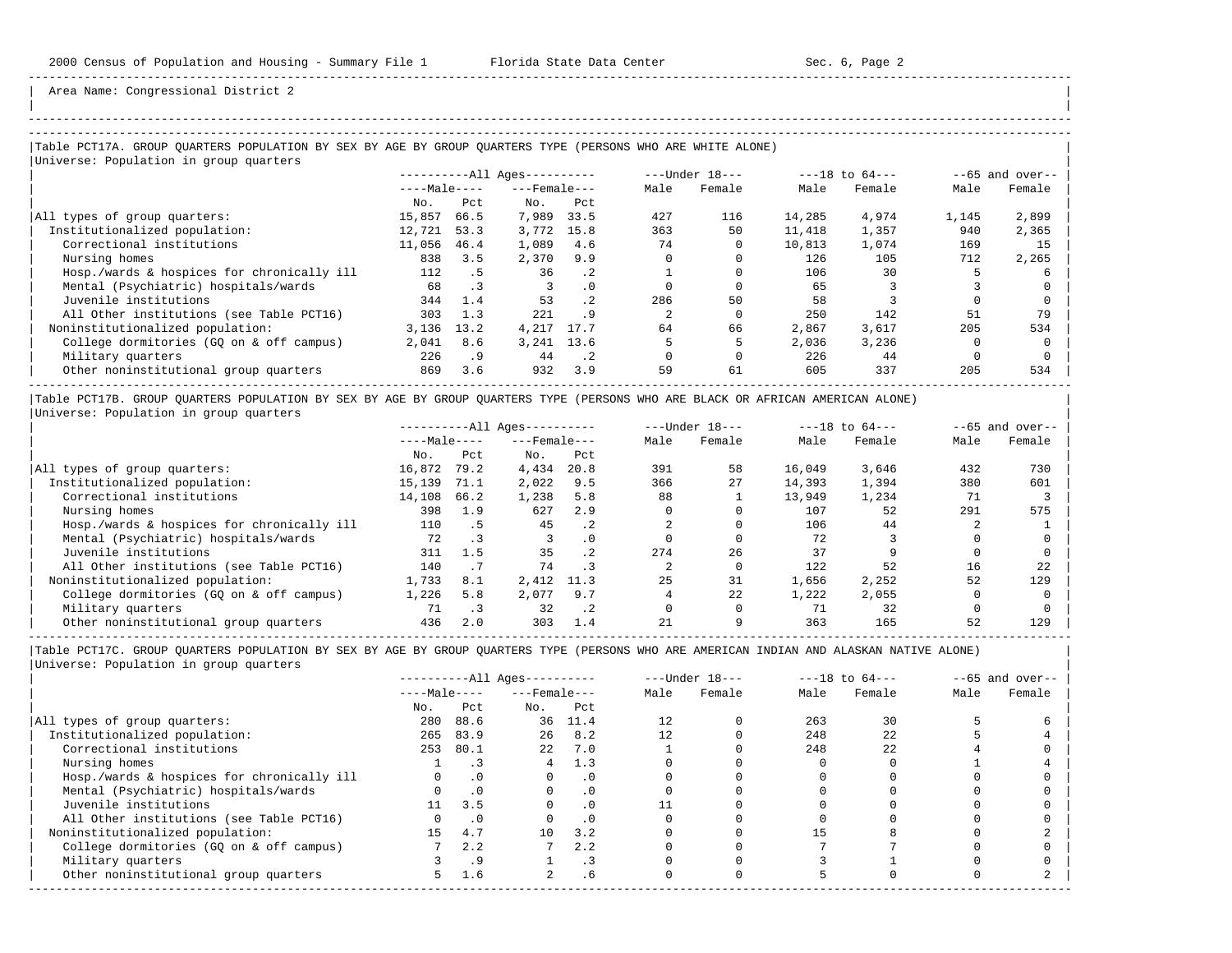| |

Area Name: Congressional District 2

# -----------------------------------------------------------------------------------------------------------------------------------------------------

### |Table PCT17A. GROUP QUARTERS POPULATION BY SEX BY AGE BY GROUP QUARTERS TYPE (PERSONS WHO ARE WHITE ALONE) | |<br>|Universe: Population in group quarters

|        |           | $------All Ages------$ |           |                                   | $---Under 18---$ |        | $---18$ to $64---$ |       | $--65$ and over-- |
|--------|-----------|------------------------|-----------|-----------------------------------|------------------|--------|--------------------|-------|-------------------|
|        |           |                        |           | Male                              | Female           | Male   | Female             | Male  | Female            |
| No.    | Pct       | No.                    | Pct       |                                   |                  |        |                    |       |                   |
| 15,857 | 66.5      | 7,989                  | 33.5      | 427                               | 116              | 14,285 | 4,974              | 1,145 | 2,899             |
| 12,721 | 53.3      | 3,772                  | 15.8      | 363                               | 50               | 11,418 | 1,357              | 940   | 2,365             |
| 11,056 | 46.4      | 1,089                  | 4.6       | 74                                |                  | 10,813 | 1,074              | 169   | 15                |
| 838    | 3.5       | 2,370                  | 9.9       |                                   |                  | 126    | 105                | 712   | 2,265             |
| 112    | . 5       | 36                     | $\cdot$ 2 |                                   |                  | 106    | 30                 |       |                   |
| 68     | $\cdot$ 3 |                        | $\cdot$ 0 |                                   |                  | 65     |                    |       |                   |
| 344    | 1.4       | 53                     | $\cdot$ 2 | 286                               | 50               | 58     |                    |       |                   |
| 303    | 1.3       | 221                    | . 9       |                                   |                  | 250    | 142                | 51    | 79                |
| 3,136  | 13.2      | 4,217                  | 17.7      | 64                                | 66               | 2,867  | 3,617              | 205   | 534               |
| 2,041  | 8.6       |                        |           |                                   |                  | 2,036  | 3,236              |       |                   |
| 226    | . 9       | 44                     | $\cdot$ 2 |                                   |                  | 226    | 44                 |       |                   |
| 869    | 3.6       | 932                    | 3.9       | 59                                | 61               | 605    | 337                | 205   | 534               |
|        |           | $---Male---$           |           | $---$ Female $---$<br>3, 241 13.6 |                  |        |                    |       |                   |

|Table PCT17B. GROUP QUARTERS POPULATION BY SEX BY AGE BY GROUP QUARTERS TYPE (PERSONS WHO ARE BLACK OR AFRICAN AMERICAN ALONE) | |Universe: Population in group quarters |

|                                            |              |      | $------All Ages------$ |           |      | $---Under 18---$ |        | $---18$ to $64---$ |      | $--65$ and over-- |
|--------------------------------------------|--------------|------|------------------------|-----------|------|------------------|--------|--------------------|------|-------------------|
|                                            | $---Male---$ |      | $---$ Female $---$     |           | Male | Female           | Male   | Female             | Male | Female            |
|                                            | No.          | Pct  | No.                    | Pct       |      |                  |        |                    |      |                   |
| All types of group quarters:               | 16,872       | 79.2 | 4,434                  | 20.8      | 391  | 58               | 16,049 | 3,646              | 432  | 730               |
| Institutionalized population:              | 15,139       | 71.1 | 2,022                  | 9.5       | 366  | 27               | 14,393 | 1,394              | 380  | 601               |
| Correctional institutions                  | 14,108       | 66.2 | 1,238                  | 5.8       | 88   |                  | 13,949 | 1,234              | 71   |                   |
| Nursing homes                              | 398          | 1.9  | 627                    | 2.9       |      |                  | 107    | 52                 | 291  | 575               |
| Hosp./wards & hospices for chronically ill | 110          | . 5  | 45                     | $\cdot$ 2 |      |                  | 106    | 44                 |      |                   |
| Mental (Psychiatric) hospitals/wards       | 72           |      |                        | $\cdot$ 0 |      |                  | 72     |                    |      |                   |
| Juvenile institutions                      | 311          | 1.5  | 35                     | . 2       | 274  | 26               | 37     |                    |      |                   |
| All Other institutions (see Table PCT16)   | 140          |      | 74                     |           |      |                  | 122    | 52                 | 16   | 22                |
| Noninstitutionalized population:           | 1,733        | 8.1  | 2,412                  | 11.3      | 25   | 31               | 1,656  | 2,252              | 52   | 129               |
| College dormitories (GO on & off campus)   | 1,226        | 5.8  | 2,077                  | 9.7       |      | 22               | 1,222  | 2,055              |      |                   |
| Military quarters                          | 71           |      | 32                     | $\cdot$ 2 |      |                  |        | 32                 |      |                   |
| Other noninstitutional group quarters      | 436          | 2.0  | 303                    | 1.4       | 21   |                  | 363    | 165                | 52   | 129               |

|                                            |              |           | $------All Aqes------$ |                 |      | $---Under 18---$ |      | $---18$ to $64---$ |      | $--65$ and over-- |
|--------------------------------------------|--------------|-----------|------------------------|-----------------|------|------------------|------|--------------------|------|-------------------|
|                                            | $---Male---$ |           | $---$ Female $---$     |                 | Male | Female           | Male | Female             | Male | Female            |
|                                            | No.          | Pct       | No.                    | Pct             |      |                  |      |                    |      |                   |
| All types of group quarters:               | 280          | 88.6      | 36                     | 11.4            |      |                  | 263  | 30                 |      |                   |
| Institutionalized population:              | 265          | 83.9      | 26                     | 8.2             |      |                  | 248  | 22                 |      |                   |
| Correctional institutions                  | 253          | 80.1      | 2.2 <sub>1</sub>       | 7.0             |      |                  | 248  | 22                 |      |                   |
| Nursing homes                              |              |           |                        | 1.3             |      |                  |      |                    |      |                   |
| Hosp./wards & hospices for chronically ill |              | $\cdot$ 0 |                        | . 0             |      |                  |      |                    |      |                   |
| Mental (Psychiatric) hospitals/wards       |              | $\cdot$ 0 |                        | $\cdot$ 0       |      |                  |      |                    |      |                   |
| Juvenile institutions                      | 11           | 3.5       |                        |                 |      |                  |      |                    |      |                   |
| All Other institutions (see Table PCT16)   |              | $\cdot$ 0 |                        | . 0             |      |                  |      |                    |      |                   |
| Noninstitutionalized population:           | 15           | 4.7       | 10                     | 3.2             |      |                  | 15   |                    |      |                   |
| College dormitories (GQ on & off campus)   |              | 2.2       |                        | 2.2             |      |                  |      |                    |      |                   |
| Military quarters                          |              | . 9       |                        |                 |      |                  |      |                    |      |                   |
| Other noninstitutional group quarters      | 5.           | 1.6       |                        | .6 <sub>5</sub> |      |                  |      |                    |      |                   |
|                                            |              |           |                        |                 |      |                  |      |                    |      |                   |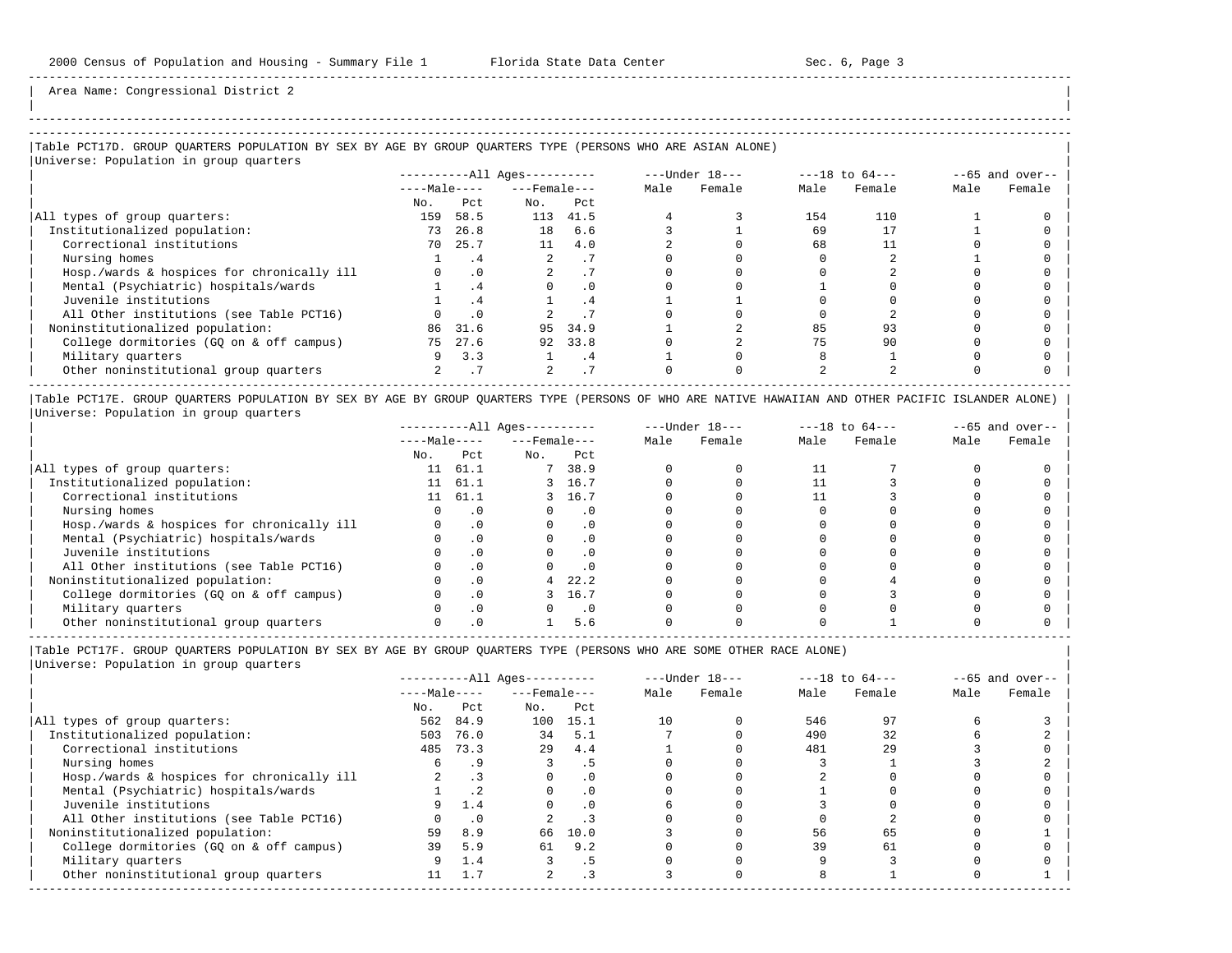-----------------------------------------------------------------------------------------------------------------------------------------------------

Area Name: Congressional District 2

## |Table PCT17D. GROUP QUARTERS POPULATION BY SEX BY AGE BY GROUP QUARTERS TYPE (PERSONS WHO ARE ASIAN ALONE) |

| Universe: Population in group quarters     |              |           |                        |           |      |                  |      |                    |      |                   |
|--------------------------------------------|--------------|-----------|------------------------|-----------|------|------------------|------|--------------------|------|-------------------|
|                                            |              |           | $------All Ages------$ |           |      | $---Under 18---$ |      | $---18$ to $64---$ |      | $--65$ and over-- |
|                                            | $---Male---$ |           | $---$ Female $---$     |           | Male | Female           | Male | Female             | Male | Female            |
|                                            | No.          | Pct       | No.                    | Pct       |      |                  |      |                    |      |                   |
| All types of group quarters:               | 159          | 58.5      | 113                    | 41.5      |      |                  | 154  | 110                |      |                   |
| Institutionalized population:              | 73           | 26.8      | 18                     | 6.6       |      |                  | 69   |                    |      |                   |
| Correctional institutions                  | 70           | 25.7      | 11                     | 4.0       |      |                  | 68   |                    |      |                   |
| Nursing homes                              |              | . 4       |                        | $\cdot$ / |      |                  |      |                    |      |                   |
| Hosp./wards & hospices for chronically ill |              | $\cdot$ 0 |                        | . 1       |      |                  |      |                    |      |                   |
| Mental (Psychiatric) hospitals/wards       |              | .4        |                        | $\cdot$ 0 |      |                  |      |                    |      |                   |
| Juvenile institutions                      |              | .4        |                        | . 4       |      |                  |      |                    |      |                   |
| All Other institutions (see Table PCT16)   |              | $\cdot$ 0 |                        |           |      |                  |      |                    |      |                   |
| Noninstitutionalized population:           | 86           | 31.6      | 95                     | 34.9      |      |                  | 85   | 93                 |      |                   |
| College dormitories (GQ on & off campus)   | 75           | 27.6      | 92                     | 33.8      |      |                  | 75   | 90                 |      |                   |
| Military quarters                          |              | 3.3       |                        | . 4       |      |                  |      |                    |      |                   |
| Other noninstitutional group quarters      |              |           |                        | .7        |      |                  |      |                    |      |                   |

|Table PCT17E. GROUP QUARTERS POPULATION BY SEX BY AGE BY GROUP QUARTERS TYPE (PERSONS OF WHO ARE NATIVE HAWAIIAN AND OTHER PACIFIC ISLANDER ALONE) | |Universe: Population in group quarters |

|                                            | $------All Aqes------$ |           |                    | $---Under 18---$ | $---18$ to $64---$ |        | $- -65$ and over-- |        |      |        |
|--------------------------------------------|------------------------|-----------|--------------------|------------------|--------------------|--------|--------------------|--------|------|--------|
|                                            | $---Male---$           |           | $---$ Female $---$ |                  | Male               | Female | Male               | Female | Male | Female |
|                                            | No.                    | Pct       | No.                | Pct              |                    |        |                    |        |      |        |
| All types of group quarters:               | 11                     | 61.1      |                    | 38.9             |                    |        |                    |        |      |        |
| Institutionalized population:              | 11                     | 61.1      |                    | 3 16.7           |                    |        |                    |        |      |        |
| Correctional institutions                  | 11                     | 61.1      |                    | 3 16.7           |                    |        |                    |        |      |        |
| Nursing homes                              |                        |           |                    | . 0              |                    |        |                    |        |      |        |
| Hosp./wards & hospices for chronically ill |                        | $\cdot$ 0 |                    | . 0              |                    |        |                    |        |      |        |
| Mental (Psychiatric) hospitals/wards       |                        |           |                    | $\cdot$ 0        |                    |        |                    |        |      |        |
| Juvenile institutions                      |                        |           |                    | . 0              |                    |        |                    |        |      |        |
| All Other institutions (see Table PCT16)   |                        |           |                    | $\cdot$ 0        |                    |        |                    |        |      |        |
| Noninstitutionalized population:           |                        | . 0       | 4                  | 22.2             |                    |        |                    |        |      |        |
| College dormitories (GO on & off campus)   |                        | $\cdot$ 0 |                    | 16.7             |                    |        |                    |        |      |        |
| Military quarters                          |                        | $\cdot$ 0 |                    | $\cdot$ 0        |                    |        |                    |        |      |        |
| Other noninstitutional group quarters      |                        |           |                    | 5.6              |                    |        |                    |        |      |        |

|Table PCT17F. GROUP QUARTERS POPULATION BY SEX BY AGE BY GROUP QUARTERS TYPE (PERSONS WHO ARE SOME OTHER RACE ALONE) |

|                                            |              |           | $------All Aqes------$ |           |      | $---Under 18---$ |      | $---18$ to $64---$ |      | $--65$ and over-- |
|--------------------------------------------|--------------|-----------|------------------------|-----------|------|------------------|------|--------------------|------|-------------------|
|                                            | $---Male---$ |           | $---$ Female $---$     |           | Male | Female           | Male | Female             | Male | Female            |
|                                            | No.          | Pct       | No.                    | Pct       |      |                  |      |                    |      |                   |
| All types of group quarters:               | 562          | 84.9      | 100                    | 15.1      | 10   |                  | 546  | 97                 |      |                   |
| Institutionalized population:              | 503          | 76.0      | 34                     | 5.1       |      |                  | 490  | 32                 |      |                   |
| Correctional institutions                  | 485          | 73.3      | 29                     | 4.4       |      |                  | 481  | 29                 |      |                   |
| Nursing homes                              |              | .9        |                        | .5        |      |                  |      |                    |      |                   |
| Hosp./wards & hospices for chronically ill |              |           |                        | $\cdot$ 0 |      |                  |      |                    |      |                   |
| Mental (Psychiatric) hospitals/wards       |              |           |                        | $\cdot$ 0 |      |                  |      |                    |      |                   |
| Juvenile institutions                      |              | 1.4       | O                      | $\cdot$ 0 |      |                  |      |                    |      |                   |
| All Other institutions (see Table PCT16)   |              | $\cdot$ 0 |                        |           |      |                  |      |                    |      |                   |
| Noninstitutionalized population:           | 59           | 8.9       | 66                     | 10.0      |      |                  | 56   | 65                 |      |                   |
| College dormitories (GQ on & off campus)   | 39           | 5.9       | 61                     | 9.2       |      |                  | 39   | 61                 |      |                   |
| Military quarters                          |              | 1.4       |                        |           |      |                  |      |                    |      |                   |
| Other noninstitutional group quarters      | 11           | 1.7       |                        |           |      |                  |      |                    |      |                   |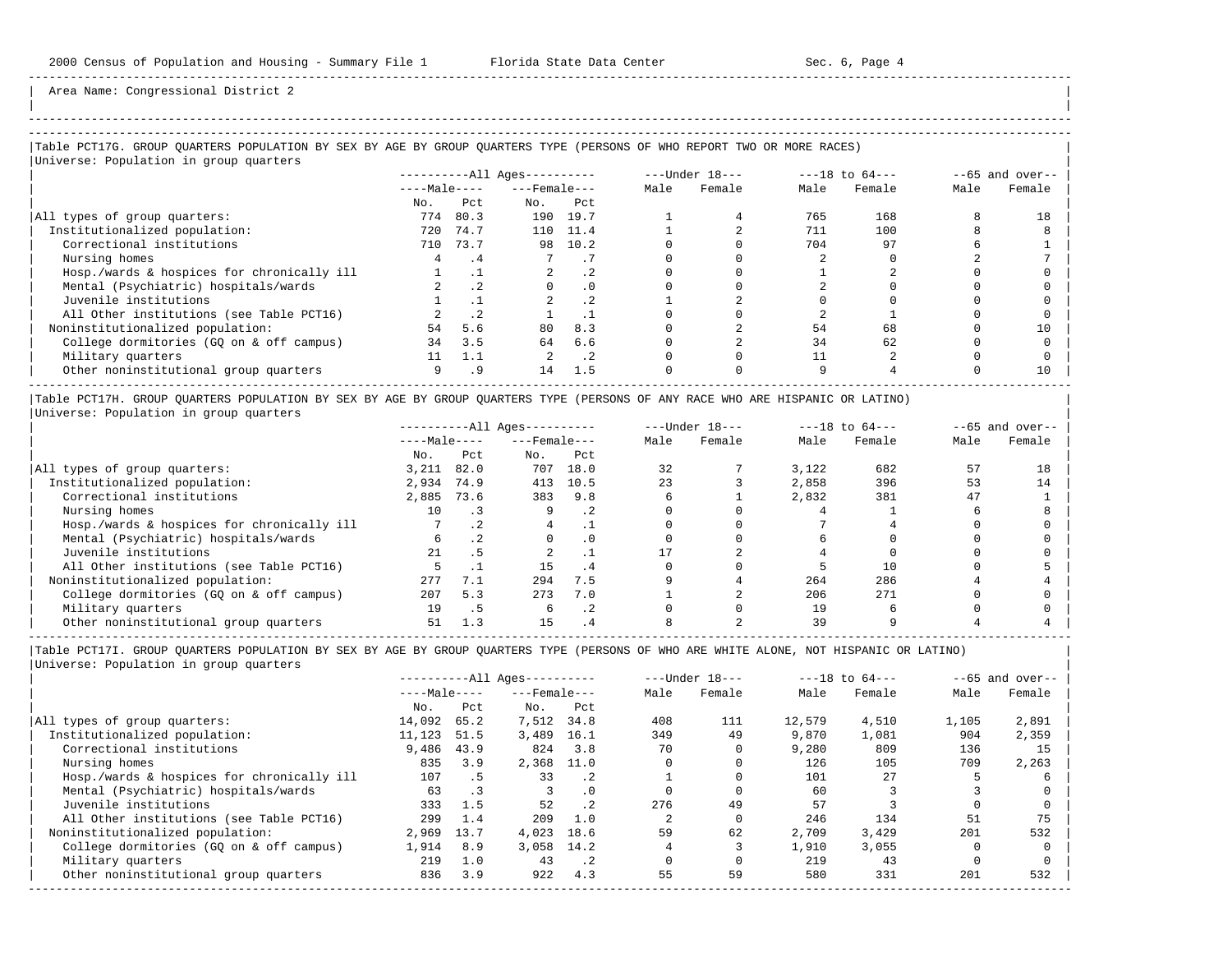| |

Area Name: Congressional District 2

## -----------------------------------------------------------------------------------------------------------------------------------------------------

## |Table PCT17G. GROUP QUARTERS POPULATION BY SEX BY AGE BY GROUP QUARTERS TYPE (PERSONS OF WHO REPORT TWO OR MORE RACES) |

| Universe: Population in group quarters     |              |      |                        |           |      |                  |      |                    |      |                   |
|--------------------------------------------|--------------|------|------------------------|-----------|------|------------------|------|--------------------|------|-------------------|
|                                            |              |      | $------All Ages------$ |           |      | $---Under 18---$ |      | $---18$ to $64---$ |      | $--65$ and over-- |
|                                            | $---Male---$ |      | $---$ Female $---$     |           | Male | Female           | Male | Female             | Male | Female            |
|                                            | No.          | Pct  | No.                    | Pct       |      |                  |      |                    |      |                   |
| All types of group quarters:               | 774          | 80.3 | 190                    | 19.7      |      |                  | 765  | 168                |      | 18                |
| Institutionalized population:              | 720          | 74.7 | 110                    | 11.4      |      |                  | 711  | 100                |      |                   |
| Correctional institutions                  | 710          | 73.7 | 98                     | 10.2      |      |                  | 704  | 97                 |      |                   |
| Nursing homes                              | 4            | . 4  |                        | . 1       |      |                  |      |                    |      |                   |
| Hosp./wards & hospices for chronically ill |              |      |                        | $\cdot$ 2 |      |                  |      |                    |      |                   |
| Mental (Psychiatric) hospitals/wards       |              | .2   |                        | $\cdot$ 0 |      |                  |      |                    |      |                   |
| Juvenile institutions                      |              |      |                        | $\cdot$ 2 |      |                  |      |                    |      |                   |
| All Other institutions (see Table PCT16)   |              | .2   |                        |           |      |                  |      |                    |      |                   |
| Noninstitutionalized population:           | 54           | 5.6  | 80                     | 8.3       |      |                  | 54   | 68                 |      | 10                |
| College dormitories (GQ on & off campus)   | 34           | 3.5  | 64                     | 6.6       |      |                  | 34   | 62                 |      |                   |
| Military quarters                          |              | 1.1  |                        | $\cdot$ 2 |      |                  |      |                    |      |                   |
| Other noninstitutional group quarters      | 9            | .9   | 14                     | 1.5       |      |                  |      |                    |      | 10                |

|Table PCT17H. GROUP QUARTERS POPULATION BY SEX BY AGE BY GROUP QUARTERS TYPE (PERSONS OF ANY RACE WHO ARE HISPANIC OR LATINO) | |Universe: Population in group quarters |

|                                            | $------All Aqes------$ |           |                    | $---Under 18---$ | $---18$ to $64---$ |        | $- -65$ and over-- |        |      |        |
|--------------------------------------------|------------------------|-----------|--------------------|------------------|--------------------|--------|--------------------|--------|------|--------|
|                                            | $---Male---$           |           | $---$ Female $---$ |                  | Male               | Female | Male               | Female | Male | Female |
|                                            | No.                    | Pct       | No.                | Pct              |                    |        |                    |        |      |        |
| All types of group quarters:               | 3.211                  | 82.0      | 707                | 18.0             | 32                 |        | 3.122              | 682    | 57   | 18     |
| Institutionalized population:              | 2,934                  | 74.9      | 413                | 10.5             | 23                 |        | 2,858              | 396    | 53   | 14     |
| Correctional institutions                  | 2,885                  | 73.6      | 383                | 9.8              |                    |        | 2,832              | 381    | 47   |        |
| Nursing homes                              | 10                     |           |                    | .2               |                    |        |                    |        |      |        |
| Hosp./wards & hospices for chronically ill |                        | $\cdot$ 2 |                    |                  |                    |        |                    |        |      |        |
| Mental (Psychiatric) hospitals/wards       | 6                      |           |                    | $\cdot$ 0        |                    |        |                    |        |      |        |
| Juvenile institutions                      | 21                     | . 5       |                    |                  |                    |        |                    |        |      |        |
| All Other institutions (see Table PCT16)   |                        |           | 15                 | . 4              |                    |        |                    | 10     |      |        |
| Noninstitutionalized population:           | 277                    | 7.1       | 294                | 7.5              |                    |        | 264                | 286    |      |        |
| College dormitories (GO on & off campus)   | 207                    | 5.3       | 273                | 7.0              |                    |        | 206                | 271    |      |        |
| Military quarters                          | 19                     | د .       |                    | .2               |                    |        | 19                 |        |      |        |
| Other noninstitutional group quarters      | 51                     | 1.3       |                    |                  |                    |        | 39                 |        |      |        |

-----------------------------------------------------------------------------------------------------------------------------------------------------

|                                            |              |           | $------All Aqes------$ |                 |      | $---Under 18---$ |        | $---18$ to $64---$ |       | $--65$ and over-- |
|--------------------------------------------|--------------|-----------|------------------------|-----------------|------|------------------|--------|--------------------|-------|-------------------|
|                                            | $---Male---$ |           | $---$ Female $---$     |                 | Male | Female           | Male   | Female             | Male  | Female            |
|                                            | No.          | Pct       | No.                    | Pct             |      |                  |        |                    |       |                   |
| All types of group quarters:               | 14,092       | 65.2      | 7,512                  | 34.8            | 408  | 111              | 12,579 | 4,510              | 1,105 | 2,891             |
| Institutionalized population:              | 11,123       | 51.5      | 3,489                  | 16.1            | 349  | 49               | 9,870  | 1,081              | 904   | 2,359             |
| Correctional institutions                  | 9,486        | 43.9      | 824                    | 3.8             | 70   |                  | 9,280  | 809                | 136   | 15                |
| Nursing homes                              | 835          | 3.9       | 2,368                  | 11.0            |      |                  | 126    | 105                | 709   | 2,263             |
| Hosp./wards & hospices for chronically ill | 107          | . 5       | 33                     | $\cdot$ 2       |      |                  | 101    | 27                 |       |                   |
| Mental (Psychiatric) hospitals/wards       | 63           | $\cdot$ 3 |                        | $\cdot$ 0       |      |                  | 60     |                    |       |                   |
| Juvenile institutions                      | 333          | 1.5       | 52                     | .2 <sub>2</sub> | 276  | 49               | 57     |                    |       |                   |
| All Other institutions (see Table PCT16)   | 299          | 1.4       | 209                    | 1.0             |      |                  | 246    | 134                | 51    | 75                |
| Noninstitutionalized population:           | 2,969        | 13.7      | 4,023                  | 18.6            | 59   | 62               | 2,709  | 3,429              | 201   | 532               |
| College dormitories (GO on & off campus)   | 1,914        | 8.9       | 3,058 14.2             |                 |      |                  | 1,910  | 3,055              |       |                   |
| Military quarters                          | 219          | 1.0       | 43                     | $\cdot$ . 2     |      |                  | 219    | 43                 |       |                   |
| Other noninstitutional group quarters      | 836          | 3.9       | 922                    | 4.3             | 55   | 59               | 580    | 331                | 201   | 532               |
|                                            |              |           |                        |                 |      |                  |        |                    |       |                   |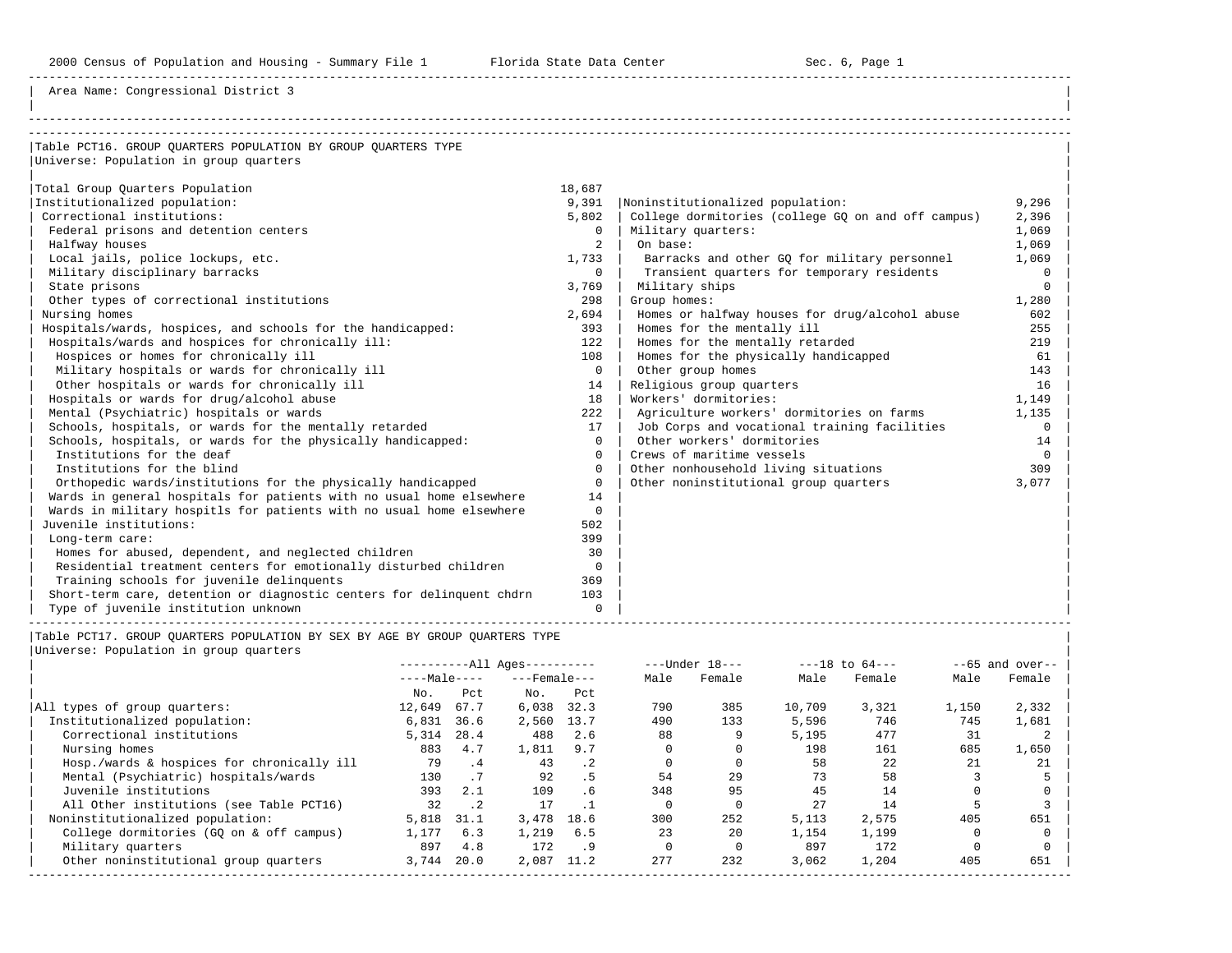2000 Census of Population and Housing - Summary File 1 Florida State Data Center 6 1 Sec. 6, Page 1

-----------------------------------------------------------------------------------------------------------------------------------------------------

Area Name: Congressional District 3

| Table PCT16. GROUP OUARTERS POPULATION BY GROUP OUARTERS TYPE         |                |                                                    |          |
|-----------------------------------------------------------------------|----------------|----------------------------------------------------|----------|
| Universe: Population in group quarters                                |                |                                                    |          |
|                                                                       |                |                                                    |          |
| Total Group Quarters Population                                       | 18,687         |                                                    |          |
| Institutionalized population:                                         | 9,391          | Noninstitutionalized population:                   | 9,296    |
| Correctional institutions:                                            | 5,802          | College dormitories (college GQ on and off campus) | 2,396    |
| Federal prisons and detention centers                                 | $\Omega$       | Military quarters:                                 | 1,069    |
| Halfway houses                                                        | $\overline{2}$ | On base:                                           | 1,069    |
| Local jails, police lockups, etc.                                     | 1,733          | Barracks and other GO for military personnel       | 1,069    |
| Military disciplinary barracks                                        | $\Omega$       | Transient quarters for temporary residents         | $\Omega$ |
| State prisons                                                         | 3,769          | Military ships                                     | $\Omega$ |
| Other types of correctional institutions                              | 298            | Group homes:                                       | 1,280    |
| Nursing homes                                                         | 2,694          | Homes or halfway houses for drug/alcohol abuse     | 602      |
| Hospitals/wards, hospices, and schools for the handicapped:           | 393            | Homes for the mentally ill                         | 255      |
| Hospitals/wards and hospices for chronically ill:                     | 122            | Homes for the mentally retarded                    | 219      |
| Hospices or homes for chronically ill                                 | 108            | Homes for the physically handicapped               | 61       |
| Military hospitals or wards for chronically ill                       | $\Omega$       | Other group homes                                  | 143      |
| Other hospitals or wards for chronically ill                          | 14             | Religious group quarters                           | 16       |
| Hospitals or wards for drug/alcohol abuse                             | 18             | Workers' dormitories:                              | 1,149    |
| Mental (Psychiatric) hospitals or wards                               | 222            | Agriculture workers' dormitories on farms          | 1,135    |
| Schools, hospitals, or wards for the mentally retarded                | 17             | Job Corps and vocational training facilities       | $\Omega$ |
| Schools, hospitals, or wards for the physically handicapped:          | $\Omega$       | Other workers' dormitories                         | 14       |
| Institutions for the deaf                                             | $\Omega$       | Crews of maritime vessels                          | $\Omega$ |
| Institutions for the blind                                            | $\Omega$       | Other nonhousehold living situations               | 309      |
| Orthopedic wards/institutions for the physically handicapped          | $\Omega$       | Other noninstitutional group quarters              | 3,077    |
| Wards in general hospitals for patients with no usual home elsewhere  | 14             |                                                    |          |
| Wards in military hospitls for patients with no usual home elsewhere  | $\Omega$       |                                                    |          |
| Juvenile institutions:                                                | 502            |                                                    |          |
| Long-term care:                                                       | 399            |                                                    |          |
| Homes for abused, dependent, and neglected children                   | 30             |                                                    |          |
| Residential treatment centers for emotionally disturbed children      | $\mathbf{0}$   |                                                    |          |
| Training schools for juvenile delinquents                             | 369            |                                                    |          |
| Short-term care, detention or diagnostic centers for delinguent chdrn | 103            |                                                    |          |
| Type of juvenile institution unknown                                  | $\Omega$       |                                                    |          |

----------------------------------------------------------------------------------------------------------------------------------------------------- |Table PCT17. GROUP QUARTERS POPULATION BY SEX BY AGE BY GROUP QUARTERS TYPE |

|                                            |              | $------All Aqes------$ |                    |           | $---Under 18---$ |        | $---18$ to $64---$ |        | $--65$ and over-- |        |
|--------------------------------------------|--------------|------------------------|--------------------|-----------|------------------|--------|--------------------|--------|-------------------|--------|
|                                            | $---Male---$ |                        | $---$ Female $---$ |           | Male             | Female | Male               | Female | Male              | Female |
|                                            | No.          | Pct                    | No.                | Pct       |                  |        |                    |        |                   |        |
| All types of group quarters:               | 12,649       | 67.7                   | 6,038              | 32.3      | 790              | 385    | 10,709             | 3,321  | 1,150             | 2,332  |
| Institutionalized population:              | 6,831        | 36.6                   | 2,560              | 13.7      | 490              | 133    | 5,596              | 746    | 745               | 1,681  |
| Correctional institutions                  | 5,314        | 28.4                   | 488                | 2.6       | 88               |        | 5,195              | 477    | 31                |        |
| Nursing homes                              | 883          | 4.7                    | 1,811              | 9.7       |                  |        | 198                | 161    | 685               | 1,650  |
| Hosp./wards & hospices for chronically ill | 79           | .4                     | 43                 | $\cdot$ 2 |                  |        | 58                 | 22     | 21                | 21     |
| Mental (Psychiatric) hospitals/wards       | 130          | .7                     | 92                 | . 5       | 54               | 29     | 73                 | 58     |                   |        |
| Juvenile institutions                      | 393          | 2.1                    | 109                | .6        | 348              | 95     | 45                 | 14     |                   |        |
| All Other institutions (see Table PCT16)   | 32           | $\cdot$ . 2            | 17                 |           |                  |        | 27                 | 14     |                   |        |
| Noninstitutionalized population:           | 5,818        | 31.1                   | 3,478              | 18.6      | 300              | 252    | 5,113              | 2,575  | 405               | 651    |
| College dormitories (GO on & off campus)   | 1,177        | 6.3                    | 1,219              | 6.5       | 23               | 20     | 1,154              | 1,199  |                   |        |
| Military quarters                          | 897          | 4.8                    | 172                | .9        |                  |        | 897                | 172    |                   |        |
| Other noninstitutional group quarters      | 3,744        | 20.0                   | 2,087              | 11.2      | 277              | 232    | 3,062              | 1,204  | 405               | 651    |
|                                            |              |                        |                    |           |                  |        |                    |        |                   |        |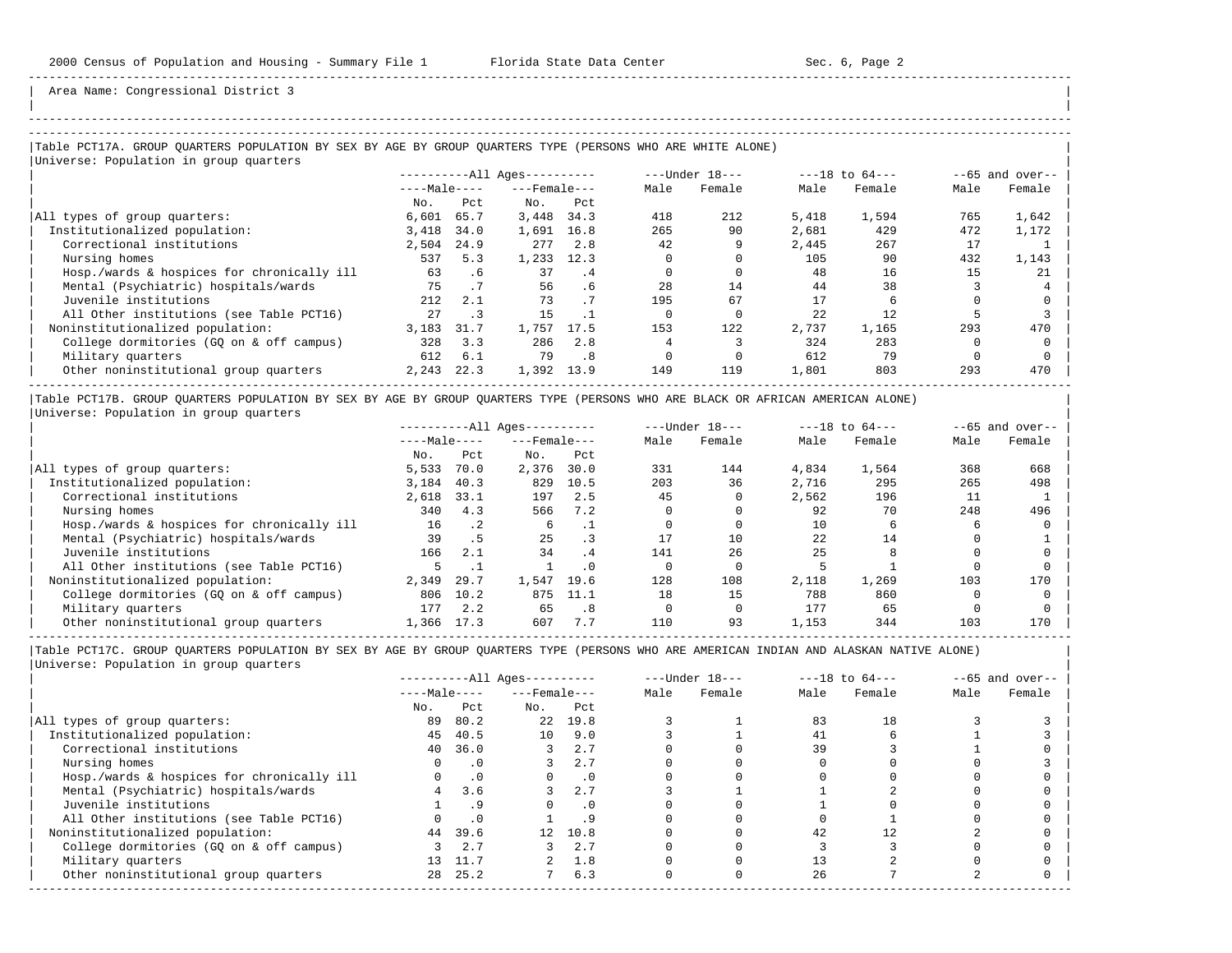| | -----------------------------------------------------------------------------------------------------------------------------------------------------

Area Name: Congressional District 3

## |Table PCT17A. GROUP QUARTERS POPULATION BY SEX BY AGE BY GROUP QUARTERS TYPE (PERSONS WHO ARE WHITE ALONE) |

|                                            |              |      | $------All Aqes------$ |      |      | ---Under 18--- |       | $---18$ to $64---$ |      | $--65$ and over-- |
|--------------------------------------------|--------------|------|------------------------|------|------|----------------|-------|--------------------|------|-------------------|
|                                            | $---Male---$ |      | $---$ Female $---$     |      | Male | Female         | Male  | Female             | Male | Female            |
|                                            | No.          | Pct  | No.                    | Pct  |      |                |       |                    |      |                   |
| All types of group quarters:               | 6,601        | 65.7 | 3,448                  | 34.3 | 418  | 212            | 5,418 | 1,594              | 765  | 1,642             |
| Institutionalized population:              | 3,418        | 34.0 | 1,691                  | 16.8 | 265  | 90             | 2,681 | 429                | 472  | 1,172             |
| Correctional institutions                  | 2,504        | 24.9 | 277                    | 2.8  | 42   | 9              | 2,445 | 267                | 17   |                   |
| Nursing homes                              | 537          | 5.3  | 1,233                  | 12.3 |      |                | 105   | 90                 | 432  | 1,143             |
| Hosp./wards & hospices for chronically ill | 63           | . 6  | 37                     | . 4  |      |                | 48    | 16                 | 15   | 21                |
| Mental (Psychiatric) hospitals/wards       | 75           |      | 56                     | .6   | 2.8  | 14             | 44    | 38                 |      |                   |
| Juvenile institutions                      | 212          | 2.1  | 73                     | .7   | 195  | 67             |       |                    |      |                   |
| All Other institutions (see Table PCT16)   | 27           |      | 15                     |      |      |                | 22    | 12                 |      |                   |
| Noninstitutionalized population:           | 3,183        | 31.7 | 1,757                  | 17.5 | 153  | 122            | 2,737 | 1,165              | 293  | 470               |
| College dormitories (GO on & off campus)   | 328          | 3.3  | 286                    | 2.8  |      |                | 324   | 283                |      |                   |
| Military quarters                          | 612          | 6.1  | 79                     | .8   |      |                | 612   | 79                 |      |                   |
| Other noninstitutional group quarters      | 2,243        | 22.3 | 1,392                  | 13.9 | 149  | 119            | 1,801 | 803                | 293  | 470               |

|Table PCT17B. GROUP QUARTERS POPULATION BY SEX BY AGE BY GROUP QUARTERS TYPE (PERSONS WHO ARE BLACK OR AFRICAN AMERICAN ALONE) | |Universe: Population in group quarters |

|                                            |              | $------All Aqes------$ |                    |           |      | $---Under 18---$ |       | $---18$ to $64---$ |      | $- -65$ and over-- |
|--------------------------------------------|--------------|------------------------|--------------------|-----------|------|------------------|-------|--------------------|------|--------------------|
|                                            | $---Male---$ |                        | $---$ Female $---$ |           | Male | Female           | Male  | Female             | Male | Female             |
|                                            | No.          | Pct                    | No.                | Pct       |      |                  |       |                    |      |                    |
| All types of group quarters:               | 5,533        | 70.0                   | 2,376              | 30.0      | 331  | 144              | 4,834 | 1,564              | 368  | 668                |
| Institutionalized population:              | 3,184        | 40.3                   | 829                | 10.5      | 203  | 36               | 2,716 | 295                | 265  | 498                |
| Correctional institutions                  | 2,618        | 33.1                   | 197                | 2.5       | 45   |                  | 2,562 | 196                |      |                    |
| Nursing homes                              | 340          | 4.3                    | 566                | 7.2       |      |                  | 92    | 70                 | 248  | 496                |
| Hosp./wards & hospices for chronically ill | 16           | $\cdot$ 2              | 6                  |           |      |                  | 10    |                    |      |                    |
| Mental (Psychiatric) hospitals/wards       | 39           | . 5                    | 25                 |           |      | 10               | 22    | 14                 |      |                    |
| Juvenile institutions                      | 166          | 2.1                    | 34                 | $\cdot$ 4 | 141  | 26               | 25    |                    |      |                    |
| All Other institutions (see Table PCT16)   |              |                        |                    | $\cdot$ 0 |      |                  |       |                    |      |                    |
| Noninstitutionalized population:           | 2,349        | 29.7                   | 1,547              | 19.6      | 128  | 108              | 2,118 | 1,269              | 103  | 170                |
| College dormitories (GQ on & off campus)   | 806          | 10.2                   | 875                | 11.1      | 18   | 15               | 788   | 860                |      |                    |
| Military quarters                          | 177          | 2.2                    | 65                 | .8        |      |                  | 177   | 65                 |      |                    |
| Other noninstitutional group quarters      | 1,366        | 17.3                   | 607                | 7.7       | 110  | 93               | 1,153 | 344                | 103  | 170                |

-----------------------------------------------------------------------------------------------------------------------------------------------------

|                                            | $------All Aqes------$ |           |                    | $---Under 18---$ |      | $---18$ to $64---$ |      | $--65$ and over-- |      |        |
|--------------------------------------------|------------------------|-----------|--------------------|------------------|------|--------------------|------|-------------------|------|--------|
|                                            | $---Male---$           |           | $---$ Female $---$ |                  | Male | Female             | Male | Female            | Male | Female |
|                                            | No.                    | Pct       | No.                | Pct              |      |                    |      |                   |      |        |
| All types of group quarters:               | 89                     | 80.2      | 2.2                | 19.8             |      |                    | 83   | 18                |      |        |
| Institutionalized population:              | 45                     | 40.5      | 10 <sup>1</sup>    | 9.0              |      |                    | 41   |                   |      |        |
| Correctional institutions                  | 40                     | 36.0      |                    | 2.7              |      |                    | 39   |                   |      |        |
| Nursing homes                              |                        | . 0       |                    | 2.7              |      |                    |      |                   |      |        |
| Hosp./wards & hospices for chronically ill |                        | $\cdot$ 0 |                    | $\cdot$ 0        |      |                    |      |                   |      |        |
| Mental (Psychiatric) hospitals/wards       |                        | 3.6       |                    | 2.7              |      |                    |      |                   |      |        |
| Juvenile institutions                      |                        |           |                    | . 0              |      |                    |      |                   |      |        |
| All Other institutions (see Table PCT16)   |                        | $\cdot$ 0 |                    |                  |      |                    |      |                   |      |        |
| Noninstitutionalized population:           | 44                     | 39.6      | 12 <sup>1</sup>    | 10.8             |      |                    | 42   |                   |      |        |
| College dormitories (GQ on & off campus)   |                        | 2.7       |                    | 2.7              |      |                    |      |                   |      |        |
| Military quarters                          | 13                     | 11.7      |                    | 1.8              |      |                    |      |                   |      |        |
| Other noninstitutional group quarters      | 28                     | 25.2      |                    | 6.3              |      |                    | 26   |                   |      |        |
|                                            |                        |           |                    |                  |      |                    |      |                   |      |        |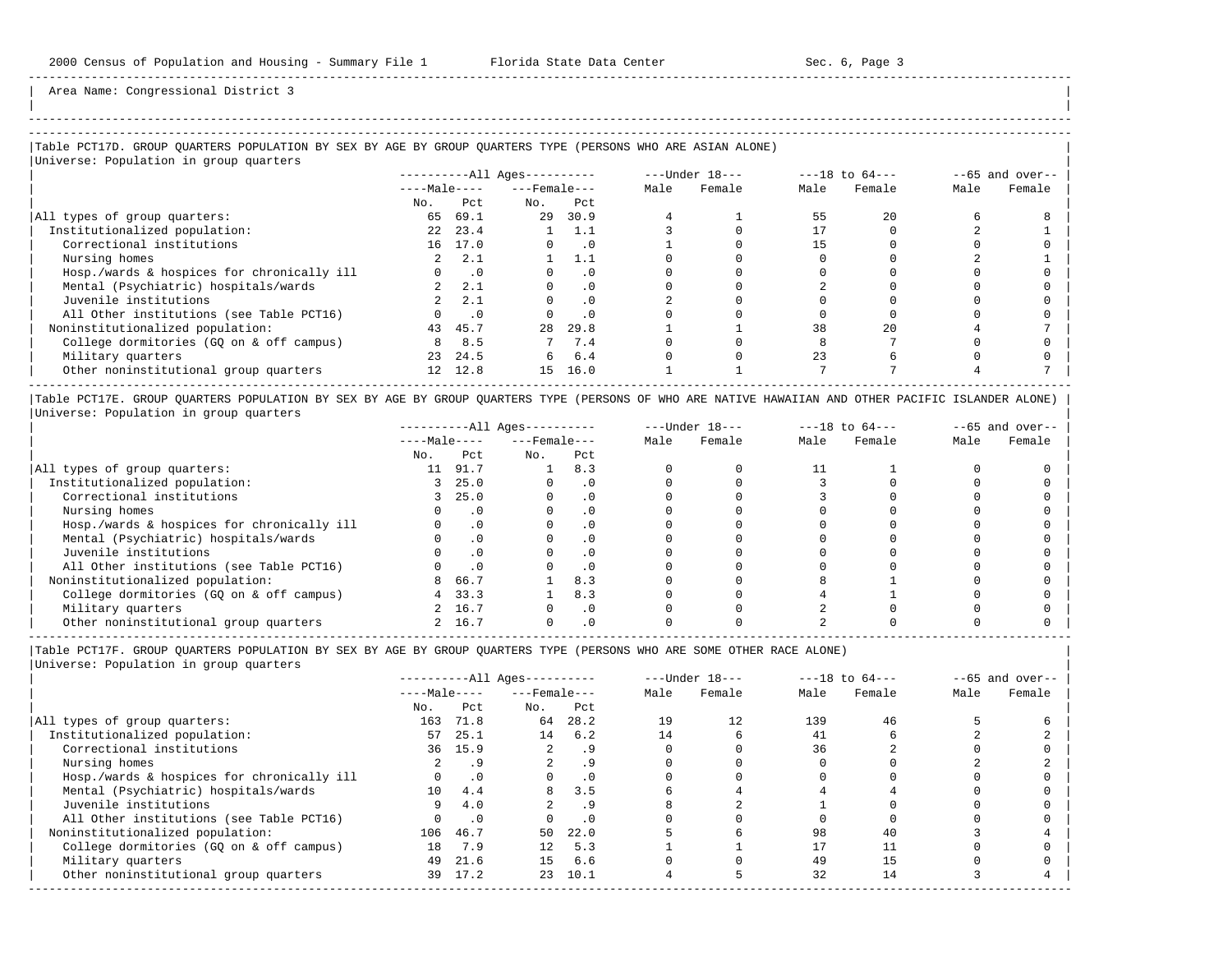| |

-----------------------------------------------------------------------------------------------------------------------------------------------------

Area Name: Congressional District 3

## |Table PCT17D. GROUP QUARTERS POPULATION BY SEX BY AGE BY GROUP QUARTERS TYPE (PERSONS WHO ARE ASIAN ALONE) |

| Universe: Population in group quarters     |                 |           |                            |           |      |                |      |                    |      |                   |
|--------------------------------------------|-----------------|-----------|----------------------------|-----------|------|----------------|------|--------------------|------|-------------------|
|                                            |                 |           | $------All \text{Aqes}---$ |           |      | ---Under 18--- |      | $---18$ to $64---$ |      | $--65$ and over-- |
|                                            | $---Male---$    |           | $---$ Female $---$         |           | Male | Female         | Male | Female             | Male | Female            |
|                                            | No.             | Pct       | No.                        | Pct       |      |                |      |                    |      |                   |
| All types of group quarters:               | 65              | 69.1      | 29                         | 30.9      |      |                | 55   | 2.0                |      |                   |
| Institutionalized population:              | 2.2             | 23.4      |                            | 1.1       |      |                |      |                    |      |                   |
| Correctional institutions                  |                 | 16 17.0   |                            | $\cdot$ 0 |      |                |      |                    |      |                   |
| Nursing homes                              | $2^{\circ}$     | 2.1       |                            | 1.1       |      |                |      |                    |      |                   |
| Hosp./wards & hospices for chronically ill |                 | $\cdot$ 0 |                            | . 0       |      |                |      |                    |      |                   |
| Mental (Psychiatric) hospitals/wards       |                 | 2, 2, 1   |                            | $\cdot$ 0 |      |                |      |                    |      |                   |
| Juvenile institutions                      | $2^{\circ}$     | 2.1       |                            | $\cdot$ 0 |      |                |      |                    |      |                   |
| All Other institutions (see Table PCT16)   |                 | $\cdot$ 0 |                            | $\cdot$ 0 |      |                |      |                    |      |                   |
| Noninstitutionalized population:           | 43              | 45.7      | 28                         | 29.8      |      |                | 38   | 2.0                |      |                   |
| College dormitories (GQ on & off campus)   | 8               | 8.5       |                            | 7.4       |      |                |      |                    |      |                   |
| Military quarters                          | 23              | 24.5      | б.                         | 6.4       |      |                | 23   |                    |      |                   |
| Other noninstitutional group quarters      | 12 <sup>7</sup> | 12.8      | 15                         | 16.0      |      |                |      |                    |      |                   |

|Table PCT17E. GROUP QUARTERS POPULATION BY SEX BY AGE BY GROUP QUARTERS TYPE (PERSONS OF WHO ARE NATIVE HAWAIIAN AND OTHER PACIFIC ISLANDER ALONE) | |Universe: Population in group quarters |

|                                            | $------All Aqes------$ |           |                    |           | $---Under 18---$ |        | $---18$ to $64---$ |        | $--65$ and over-- |        |
|--------------------------------------------|------------------------|-----------|--------------------|-----------|------------------|--------|--------------------|--------|-------------------|--------|
|                                            | $---Male---$           |           | $---$ Female $---$ |           | Male             | Female | Male               | Female | Male              | Female |
|                                            | No.                    | Pct       | No.                | Pct       |                  |        |                    |        |                   |        |
| All types of group quarters:               | 11                     | 91.7      |                    | 8.3       |                  |        |                    |        |                   |        |
| Institutionalized population:              |                        | 25.0      |                    |           |                  |        |                    |        |                   |        |
| Correctional institutions                  |                        | 25.0      |                    | . 0       |                  |        |                    |        |                   |        |
| Nursing homes                              |                        |           |                    | $\cdot$ 0 |                  |        |                    |        |                   |        |
| Hosp./wards & hospices for chronically ill |                        | $\cdot$ 0 |                    | . 0       |                  |        |                    |        |                   |        |
| Mental (Psychiatric) hospitals/wards       |                        |           |                    | . 0       |                  |        |                    |        |                   |        |
| Juvenile institutions                      |                        |           |                    | . 0       |                  |        |                    |        |                   |        |
| All Other institutions (see Table PCT16)   |                        |           |                    | $\cdot$ 0 |                  |        |                    |        |                   |        |
| Noninstitutionalized population:           | 8                      | 66.7      |                    | 8.3       |                  |        |                    |        |                   |        |
| College dormitories (GO on & off campus)   |                        | 33.3      |                    | 8.3       |                  |        |                    |        |                   |        |
| Military quarters                          |                        | 2 16.7    |                    | $\cdot$ 0 |                  |        |                    |        |                   |        |
| Other noninstitutional group quarters      |                        | 2 16.7    |                    |           |                  |        |                    |        |                   |        |

----------------------------------------------------------------------------------------------------------------------------------------------------- |Table PCT17F. GROUP QUARTERS POPULATION BY SEX BY AGE BY GROUP QUARTERS TYPE (PERSONS WHO ARE SOME OTHER RACE ALONE) |

|                                            |              | ----------All Ages---------- |                    |           |      | $---Under 18---$ |      | $---18$ to $64---$ |      | $--65$ and over-- |
|--------------------------------------------|--------------|------------------------------|--------------------|-----------|------|------------------|------|--------------------|------|-------------------|
|                                            | $---Male---$ |                              | $---$ Female $---$ |           | Male | Female           | Male | Female             | Male | Female            |
|                                            | No.          | Pct                          | No.                | Pct       |      |                  |      |                    |      |                   |
| All types of group quarters:               | 163          | 71.8                         | 64                 | 28.2      | 19   | 12               | 139  | 46                 |      |                   |
| Institutionalized population:              | 57           | 25.1                         | 14                 | 6.2       | 14   |                  | 41   |                    |      |                   |
| Correctional institutions                  |              | 36 15.9                      |                    |           |      |                  | 36   |                    |      |                   |
| Nursing homes                              |              | .9                           |                    | . 9       |      |                  |      |                    |      |                   |
| Hosp./wards & hospices for chronically ill |              | $\cdot$ 0                    |                    | $\cdot$ 0 |      |                  |      |                    |      |                   |
| Mental (Psychiatric) hospitals/wards       | 10           | 4.4                          |                    | 3.5       |      |                  |      |                    |      |                   |
| Juvenile institutions                      | 9.           | 4.0                          |                    | . 9       |      |                  |      |                    |      |                   |
| All Other institutions (see Table PCT16)   |              | $\cdot$ 0                    |                    | $\cdot$ 0 |      |                  |      |                    |      |                   |
| Noninstitutionalized population:           | 106          | 46.7                         | 50                 | 22.0      |      |                  | 98   | 40                 |      |                   |
| College dormitories (GQ on & off campus)   | 18           | 7.9                          | 12.                | 5.3       |      |                  |      |                    |      |                   |
| Military quarters                          | 49           | 21.6                         | 15                 | 6.6       |      |                  | 49   | 15                 |      |                   |
| Other noninstitutional group quarters      | 39           | 17.2                         | 23                 | 10.1      |      |                  | 32   | 14                 |      |                   |
|                                            |              |                              |                    |           |      |                  |      |                    |      |                   |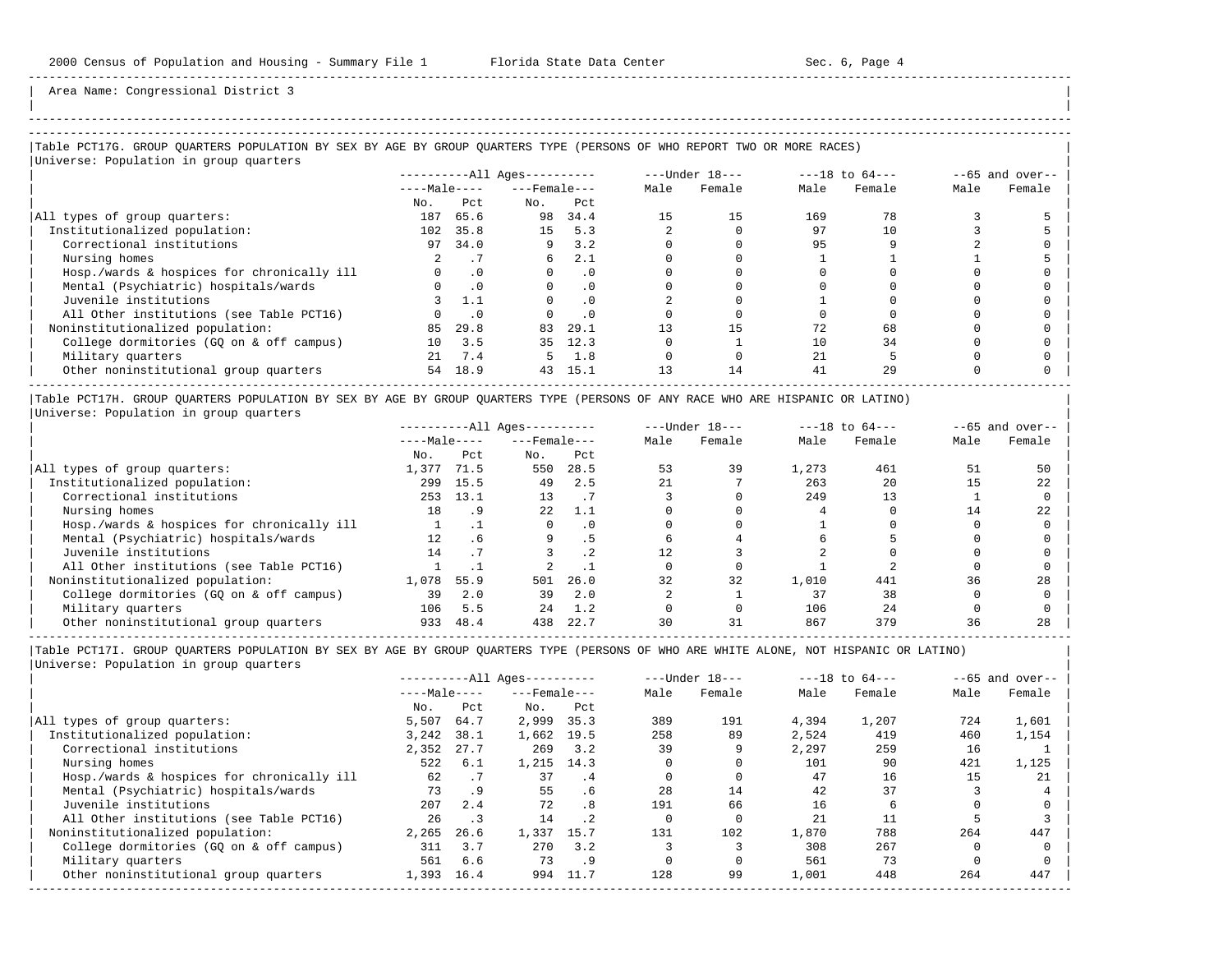| |

-----------------------------------------------------------------------------------------------------------------------------------------------------

Area Name: Congressional District 3

## -----------------------------------------------------------------------------------------------------------------------------------------------------

### |Table PCT17G. GROUP QUARTERS POPULATION BY SEX BY AGE BY GROUP QUARTERS TYPE (PERSONS OF WHO REPORT TWO OR MORE RACES) |

|                                            |              |           | $------All Aqes------$ |           |      | $---Under 18---$ |      | $---18$ to $64---$ |      | $--65$ and over-- |
|--------------------------------------------|--------------|-----------|------------------------|-----------|------|------------------|------|--------------------|------|-------------------|
|                                            | $---Male---$ |           | $---$ Female $---$     |           | Male | Female           | Male | Female             | Male | Female            |
|                                            | No.          | Pct.      | No.                    | Pct       |      |                  |      |                    |      |                   |
| All types of group quarters:               | 187          | 65.6      | 98                     | 34.4      | 15   | 15               | 169  | 78                 |      |                   |
| Institutionalized population:              | 102          | 35.8      | 15                     | 5.3       |      |                  | 97   | 10                 |      |                   |
| Correctional institutions                  | 97           | 34.0      | 9                      | 3.2       |      |                  | 95   |                    |      |                   |
| Nursing homes                              |              |           | 6                      | 2.1       |      |                  |      |                    |      |                   |
| Hosp./wards & hospices for chronically ill |              | $\cdot$ 0 |                        | $\cdot$ 0 |      |                  |      |                    |      |                   |
| Mental (Psychiatric) hospitals/wards       |              | $\cdot$ 0 |                        | . 0       |      |                  |      |                    |      |                   |
| Juvenile institutions                      |              | 1.1       |                        | $\cdot$ 0 |      |                  |      |                    |      |                   |
| All Other institutions (see Table PCT16)   |              | . 0       |                        | $\cdot$ 0 |      |                  |      |                    |      |                   |
| Noninstitutionalized population:           | 85           | 29.8      | 83                     | 29.1      | 13   | 15               | 72   | 68                 |      |                   |
| College dormitories (GO on & off campus)   | 10           | 3.5       | 35                     | 12.3      |      |                  | 10   | 34                 |      |                   |
| Military quarters                          | 21           | 7.4       | 5.                     | 1.8       |      |                  | 21   |                    |      |                   |
| Other noninstitutional group quarters      | 54           | 18.9      | 43                     | 15.1      | 13   | 14               | 41   | 29                 |      |                   |

|Table PCT17H. GROUP QUARTERS POPULATION BY SEX BY AGE BY GROUP QUARTERS TYPE (PERSONS OF ANY RACE WHO ARE HISPANIC OR LATINO) | |Universe: Population in group quarters |

|                                            |              | $------All Aqes------$ |                    |           | $---Under 18---$<br>$---18$ to $64---$ |        |       | $--65$ and over-- |      |        |
|--------------------------------------------|--------------|------------------------|--------------------|-----------|----------------------------------------|--------|-------|-------------------|------|--------|
|                                            | $---Male---$ |                        | $---$ Female $---$ |           | Male                                   | Female | Male  | Female            | Male | Female |
|                                            | No.          | Pct                    | No.                | Pct       |                                        |        |       |                   |      |        |
| All types of group quarters:               | 1,377        | 71.5                   | 550                | 28.5      | 53                                     | 39     | 1,273 | 461               | 51   | 50     |
| Institutionalized population:              | 299          | 15.5                   | 49                 | 2.5       |                                        |        | 263   | 20                |      | 22     |
| Correctional institutions                  | 253          | 13.1                   | 13                 |           |                                        |        | 249   | 13                |      |        |
| Nursing homes                              | 18           | .9                     | 22.                | 1.1       |                                        |        |       |                   | 14   | 22     |
| Hosp./wards & hospices for chronically ill |              |                        |                    | $\cdot$ 0 |                                        |        |       |                   |      |        |
| Mental (Psychiatric) hospitals/wards       | 12           | $.6\,$                 | 9                  | . 5       |                                        |        |       |                   |      |        |
| Juvenile institutions                      | 14           |                        |                    | $\cdot$ 2 |                                        |        |       |                   |      |        |
| All Other institutions (see Table PCT16)   |              |                        |                    |           |                                        |        |       |                   |      |        |
| Noninstitutionalized population:           | 1,078        | 55.9                   | 501                | 26.0      | 32                                     | 32     | 1,010 | 441               | 36   | 28     |
| College dormitories (GO on & off campus)   | 39           | 2.0                    | 39                 | 2.0       |                                        |        | 37    | 38                |      |        |
| Military quarters                          | 106          | 5.5                    | 24                 | 1.2       |                                        |        | 106   | 24                |      |        |
| Other noninstitutional group quarters      | 933          | 48.4                   | 438                | 22.7      |                                        | 31     | 867   | 379               | 36   | 28     |

-----------------------------------------------------------------------------------------------------------------------------------------------------

|                                            |              | $------All Aqes------$ |                    | $---Under 18---$ |      | $---18$ to $64---$ |       |        | $--65$ and over-- |        |
|--------------------------------------------|--------------|------------------------|--------------------|------------------|------|--------------------|-------|--------|-------------------|--------|
|                                            | $---Male---$ |                        | $---$ Female $---$ |                  | Male | Female             | Male  | Female | Male              | Female |
|                                            | No.          | Pct                    | No.                | Pct              |      |                    |       |        |                   |        |
| All types of group quarters:               | 5,507        | 64.7                   | 2,999              | 35.3             | 389  | 191                | 4,394 | 1,207  | 724               | 1,601  |
| Institutionalized population:              | 3,242        | 38.1                   | 1,662              | 19.5             | 258  | 89                 | 2,524 | 419    | 460               | 1,154  |
| Correctional institutions                  | 2,352        | 27.7                   | 269                | 3.2              | 39   |                    | 2,297 | 259    | 16                |        |
| Nursing homes                              | 522          | 6.1                    | 1,215 14.3         |                  |      |                    | 101   | 90     | 421               | 1,125  |
| Hosp./wards & hospices for chronically ill | 62           | .7                     | 37                 | . 4              |      |                    | 47    | 16     | 15                | 21     |
| Mental (Psychiatric) hospitals/wards       | 73           | .9                     | 55                 | . 6              | 28   | 14                 | 42    | 37     |                   |        |
| Juvenile institutions                      | 207          | 2.4                    | 72                 | . 8              | 191  | 66                 | 16    |        |                   |        |
| All Other institutions (see Table PCT16)   | 26           | $\cdot$ 3              | 14                 | $\cdot$ 2        |      |                    | 21    |        |                   |        |
| Noninstitutionalized population:           | 2,265        | 26.6                   | 1,337              | 15.7             | 131  | 102                | 1,870 | 788    | 264               | 447    |
| College dormitories (GO on & off campus)   | 311          | 3.7                    | 270                | 3.2              |      |                    | 308   | 267    |                   |        |
| Military quarters                          | 561          | 6.6                    | 73                 | .9               |      |                    | 561   | 73     |                   |        |
| Other noninstitutional group quarters      | 1,393        | 16.4                   | 994                | 11.7             | 128  | 99                 | 1,001 | 448    | 264               | 447    |
|                                            |              |                        |                    |                  |      |                    |       |        |                   |        |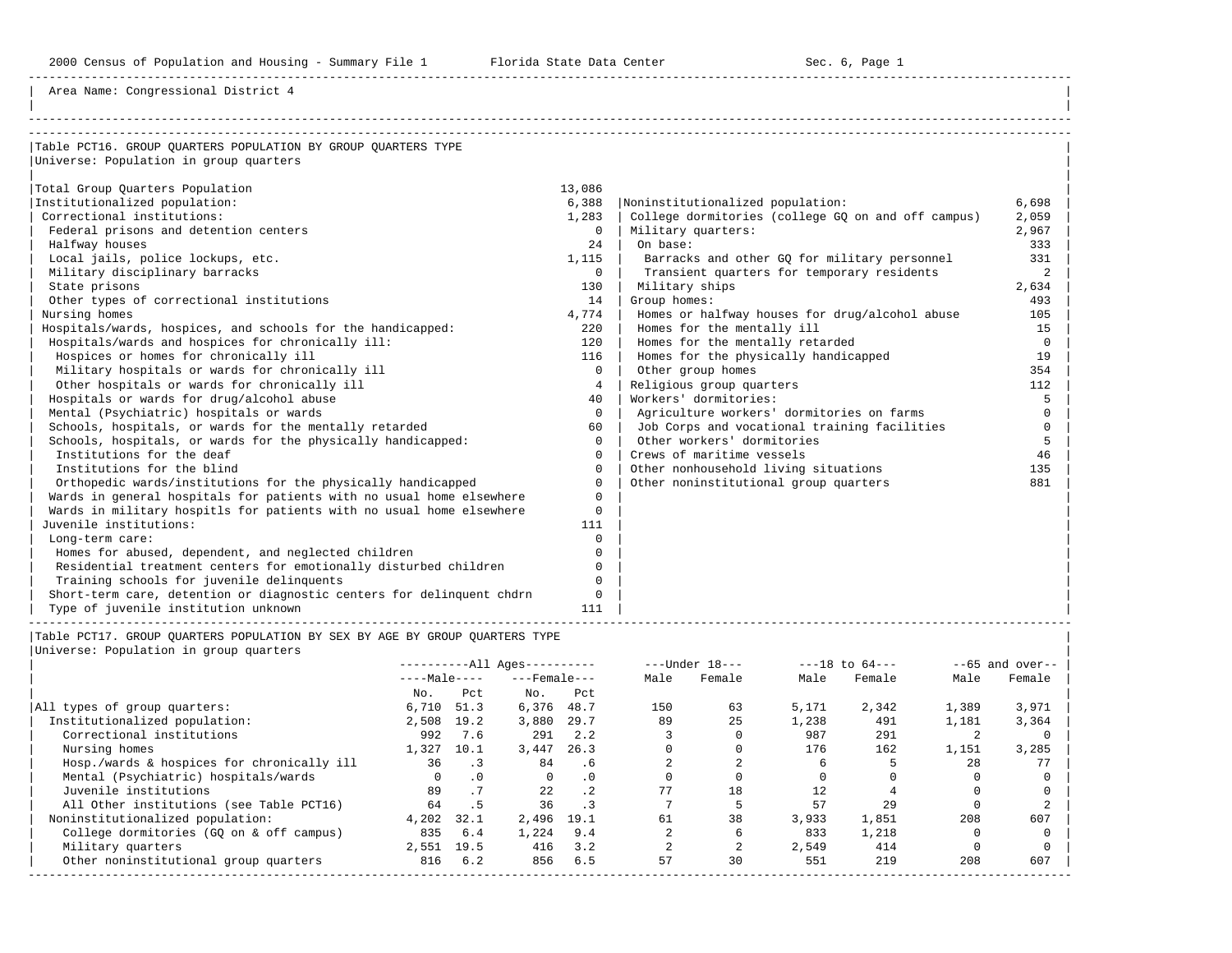Area Name: Congressional District 4

| Table PCT16. GROUP OUARTERS POPULATION BY GROUP OUARTERS TYPE         |                |                                                    |                |
|-----------------------------------------------------------------------|----------------|----------------------------------------------------|----------------|
| Universe: Population in group quarters                                |                |                                                    |                |
|                                                                       |                |                                                    |                |
| Total Group Quarters Population                                       | 13,086         |                                                    |                |
| Institutionalized population:                                         | 6,388          | Noninstitutionalized population:                   | 6,698          |
| Correctional institutions:                                            | 1,283          | College dormitories (college GQ on and off campus) | 2,059          |
| Federal prisons and detention centers                                 | $\mathbf{0}$   | Military quarters:                                 | 2,967          |
| Halfway houses                                                        | 24             | On base:                                           | 333            |
| Local jails, police lockups, etc.                                     | 1,115          | Barracks and other GQ for military personnel       | 331            |
| Military disciplinary barracks                                        | $\mathbf{0}$   | Transient quarters for temporary residents         | $\overline{2}$ |
| State prisons                                                         | 130            | Military ships                                     | 2,634          |
| Other types of correctional institutions                              | 14             | Group homes:                                       | 493            |
| Nursing homes                                                         | 4,774          | Homes or halfway houses for drug/alcohol abuse     | 105            |
| Hospitals/wards, hospices, and schools for the handicapped:           | 220            | Homes for the mentally ill                         | 15             |
| Hospitals/wards and hospices for chronically ill:                     | 120            | Homes for the mentally retarded                    | $\Omega$       |
| Hospices or homes for chronically ill                                 | 116            | Homes for the physically handicapped               | 19             |
| Military hospitals or wards for chronically ill                       | $\Omega$       | Other group homes                                  | 354            |
| Other hospitals or wards for chronically ill                          | $\overline{4}$ | Religious group quarters                           | 112            |
| Hospitals or wards for drug/alcohol abuse                             | 40             | Workers' dormitories:                              | 5              |
| Mental (Psychiatric) hospitals or wards                               | $\Omega$       | Agriculture workers' dormitories on farms          | $\Omega$       |
| Schools, hospitals, or wards for the mentally retarded                | 60             | Job Corps and vocational training facilities       | $\Omega$       |
| Schools, hospitals, or wards for the physically handicapped:          | $\Omega$       | Other workers' dormitories                         | 5              |
| Institutions for the deaf                                             | $\Omega$       | Crews of maritime vessels                          | 46             |
| Institutions for the blind                                            | $\Omega$       | Other nonhousehold living situations               | 135            |
| Orthopedic wards/institutions for the physically handicapped          | $\Omega$       | Other noninstitutional group quarters              | 881            |
| Wards in general hospitals for patients with no usual home elsewhere  | $\Omega$       |                                                    |                |
| Wards in military hospitls for patients with no usual home elsewhere  | $\Omega$       |                                                    |                |
| Juvenile institutions:                                                | 111            |                                                    |                |
| Long-term care:                                                       | $\Omega$       |                                                    |                |
| Homes for abused, dependent, and neglected children                   | $\Omega$       |                                                    |                |
| Residential treatment centers for emotionally disturbed children      | $\Omega$       |                                                    |                |
| Training schools for juvenile delinquents                             | $\Omega$       |                                                    |                |
| Short-term care, detention or diagnostic centers for delinguent chdrn | $\Omega$       |                                                    |                |
| Type of juvenile institution unknown                                  | 111            |                                                    |                |

----------------------------------------------------------------------------------------------------------------------------------------------------- |Table PCT17. GROUP QUARTERS POPULATION BY SEX BY AGE BY GROUP QUARTERS TYPE | |<br>|Universe: Population

| Jniverse: Population in group quarters |  |
|----------------------------------------|--|
|----------------------------------------|--|

|                                            |            |              | $---Under 18---$<br>$------All Aqes------$ |                    |      |        | $---18$ to $64---$ | $--65$ and over-- |       |        |
|--------------------------------------------|------------|--------------|--------------------------------------------|--------------------|------|--------|--------------------|-------------------|-------|--------|
|                                            |            | $---Male---$ |                                            | $---$ Female $---$ | Male | Female | Male               | Female            | Male  | Female |
|                                            | No.        | Pct          | No.                                        | Pct                |      |        |                    |                   |       |        |
| All types of group quarters:               | 6,710      | 51.3         | 6,376                                      | 48.7               | 150  | 63     | 5,171              | 2,342             | 1,389 | 3,971  |
| Institutionalized population:              | 2,508      | 19.2         | 3,880                                      | 29.7               | 89   | 25     | 1,238              | 491               | 1,181 | 3,364  |
| Correctional institutions                  | 992        | 7.6          | 291                                        | 2.2                |      |        | 987                | 291               |       |        |
| Nursing homes                              | 1,327      | 10.1         | 3,447                                      | 26.3               |      |        | 176                | 162               | 1,151 | 3,285  |
| Hosp./wards & hospices for chronically ill | 36         | . 3          | 84                                         | .6                 |      |        |                    |                   | 28    | 77     |
| Mental (Psychiatric) hospitals/wards       |            | $\cdot$ 0    | 0                                          | $\cdot$ 0          |      |        |                    |                   |       |        |
| Juvenile institutions                      | 89         | .7           | 22                                         | .2 <sub>2</sub>    | 77   | 18     | 12                 |                   |       |        |
| All Other institutions (see Table PCT16)   | 64         | . 5          | 36                                         |                    |      |        | 57                 | 29                |       |        |
| Noninstitutionalized population:           | 4,202      | 32.1         | 2,496                                      | 19.1               | 61   | 38     | 3,933              | 1,851             | 208   | 607    |
| College dormitories (GO on & off campus)   | 835        | 6.4          | 1,224                                      | 9.4                |      |        | 833                | 1,218             |       |        |
| Military quarters                          | 2,551 19.5 |              | 416                                        | 3.2                |      |        | 2,549              | 414               |       |        |
| Other noninstitutional group quarters      | 816        | 6.2          | 856                                        | 6.5                | 57   | 30     | 551                | 219               | 208   | 607    |
|                                            |            |              |                                            |                    |      |        |                    |                   |       |        |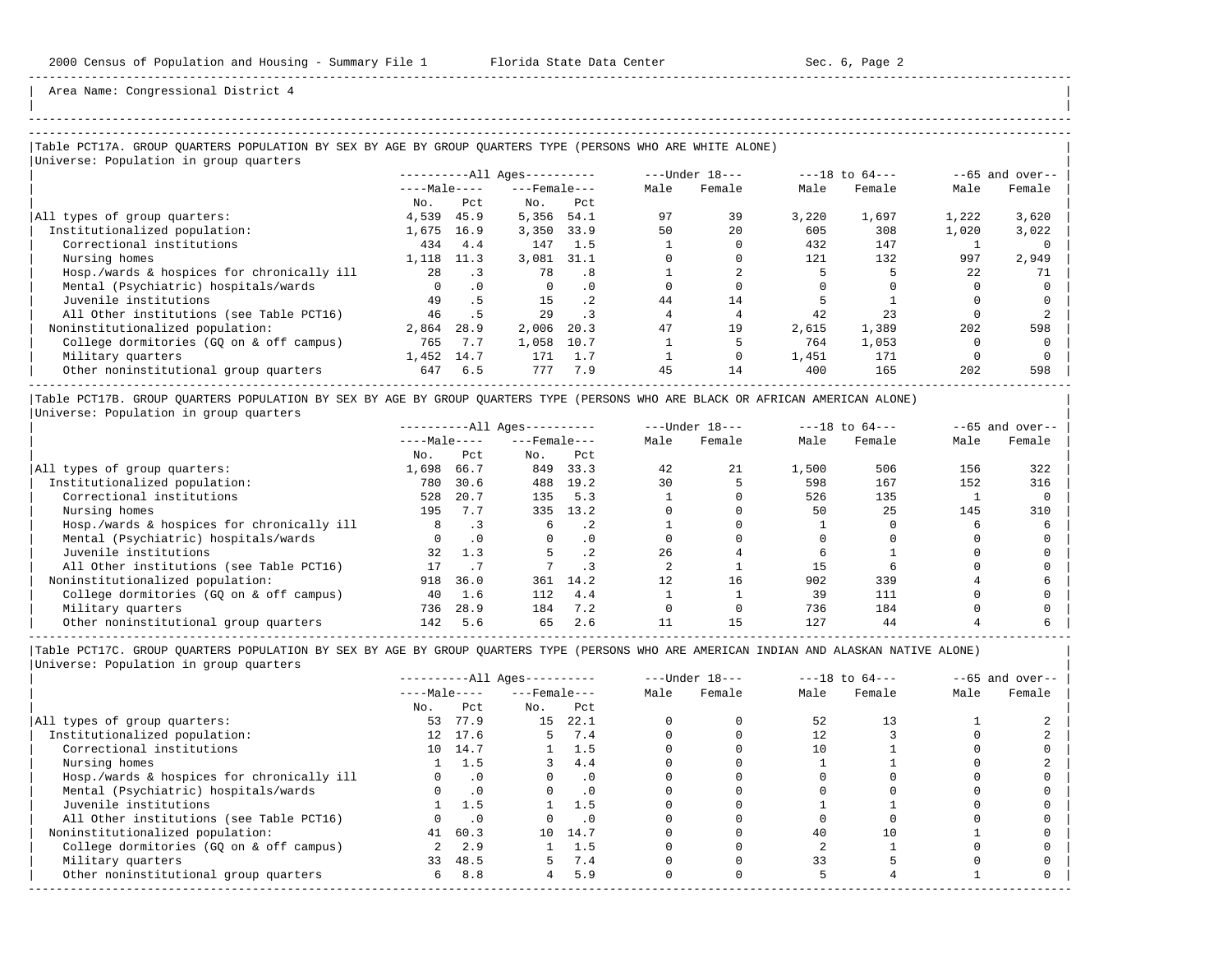| | -----------------------------------------------------------------------------------------------------------------------------------------------------

Area Name: Congressional District 4

## -----------------------------------------------------------------------------------------------------------------------------------------------------

## |Table PCT17A. GROUP QUARTERS POPULATION BY SEX BY AGE BY GROUP QUARTERS TYPE (PERSONS WHO ARE WHITE ALONE) | |Universe: Population in group quarters |

|                                            | $------All Aqes------$ |           |                  |           |      | ---Under 18--- |       | $---18$ to $64---$ | $--65$ and over-- |        |  |
|--------------------------------------------|------------------------|-----------|------------------|-----------|------|----------------|-------|--------------------|-------------------|--------|--|
|                                            | $---Male---$           |           | $---$ Female --- |           | Male | Female         | Male  | Female             | Male              | Female |  |
|                                            | No.                    | Pct.      | No.              | Pct       |      |                |       |                    |                   |        |  |
| All types of group quarters:               | 4,539                  | 45.9      | 5,356            | 54.1      | 97   | 39             | 3,220 | 1,697              | 1,222             | 3,620  |  |
| Institutionalized population:              | 1,675                  | 16.9      | 3,350            | 33.9      | 50   | 20             | 605   | 308                | 1,020             | 3,022  |  |
| Correctional institutions                  | 434                    | 4.4       | 147              | 1.5       |      |                | 432   | 147                |                   |        |  |
| Nursing homes                              | 1,118                  | 11.3      | 3,081            | 31.1      |      |                | 121   | 132                | 997               | 2,949  |  |
| Hosp./wards & hospices for chronically ill | 28                     |           | 78               | . 8       |      |                |       |                    | 22                | 71     |  |
| Mental (Psychiatric) hospitals/wards       |                        | $\cdot$ 0 | $\Omega$         | .0        |      |                |       |                    |                   |        |  |
| Juvenile institutions                      | 49                     | . 5       | 15               | $\cdot$ 2 | 44   | 14             |       |                    |                   |        |  |
| All Other institutions (see Table PCT16)   | 46                     | . 5       | 29               |           |      |                | 42    | 23                 |                   |        |  |
| Noninstitutionalized population:           | 2,864                  | 28.9      | 2,006            | 20.3      | 47   | 19             | 2,615 | 1,389              | 202               | 598    |  |
| College dormitories (GQ on & off campus)   | 765                    | 7.7       | 1,058            | 10.7      |      |                | 764   | 1,053              |                   |        |  |
| Military quarters                          | 1,452                  | 14.7      | 171              | 1.7       |      |                | 1,451 | 171                |                   |        |  |
| Other noninstitutional group quarters      | 647                    | 6.5       | 777              | 7.9       | 45   | 14             | 400   | 165                | 202               | 598    |  |
|                                            |                        |           |                  |           |      |                |       |                    |                   |        |  |

|Table PCT17B. GROUP QUARTERS POPULATION BY SEX BY AGE BY GROUP QUARTERS TYPE (PERSONS WHO ARE BLACK OR AFRICAN AMERICAN ALONE) | |Universe: Population in group quarters |

|                                            |              | $------All Aqes------$ |                    |           | $---Under 18---$ | $---18$ to $64---$ |       | $--65$ and over-- |      |        |
|--------------------------------------------|--------------|------------------------|--------------------|-----------|------------------|--------------------|-------|-------------------|------|--------|
|                                            | $---Male---$ |                        | $---$ Female $---$ |           | Male             | Female             | Male  | Female            | Male | Female |
|                                            | No.          | Pct                    | No.                | Pct       |                  |                    |       |                   |      |        |
| All types of group quarters:               | 1,698        | 66.7                   | 849                | 33.3      | 42               | 21                 | 1,500 | 506               | 156  | 322    |
| Institutionalized population:              | 780          | 30.6                   | 488                | 19.2      | 30               |                    | 598   | 167               | 152  | 316    |
| Correctional institutions                  | 528          | 20.7                   | 135                | 5.3       |                  |                    | 526   | 135               |      |        |
| Nursing homes                              | 195          | 7.7                    | 335                | 13.2      |                  |                    | 50    | 25                | 145  | 310    |
| Hosp./wards & hospices for chronically ill | 8            |                        | 6                  | . 2       |                  |                    |       |                   |      |        |
| Mental (Psychiatric) hospitals/wards       |              | $\cdot$ 0              |                    | $\cdot$ 0 |                  |                    |       |                   |      |        |
| Juvenile institutions                      | 32           | 1.3                    |                    | $\cdot$ 2 | 26               |                    |       |                   |      |        |
| All Other institutions (see Table PCT16)   |              |                        |                    |           |                  |                    | 15    |                   |      |        |
| Noninstitutionalized population:           | 918          | 36.0                   | 361                | 14.2      |                  | 16                 | 902   | 339               |      |        |
| College dormitories (GQ on & off campus)   | 40           | 1.6                    | 112                | 4.4       |                  |                    | 39    | 111               |      |        |
| Military quarters                          | 736          | 28.9                   | 184                | 7.2       |                  |                    | 736   | 184               |      |        |
| Other noninstitutional group quarters      | 142          | 5.6                    | 65                 | 2.6       |                  |                    | 127   | 44                |      |        |

|                                            |     | $------All Aqes------$ |     |                    |      | $---Under 18---$ | $---18$ to $64---$ |        | $--65$ and over-- |        |
|--------------------------------------------|-----|------------------------|-----|--------------------|------|------------------|--------------------|--------|-------------------|--------|
|                                            |     | $---Male---$           |     | $---$ Female $---$ | Male | Female           | Male               | Female | Male              | Female |
|                                            | No. | Pct                    | No. | Pct                |      |                  |                    |        |                   |        |
| All types of group quarters:               | 53  | 77.9                   | 15  | 22.1               |      |                  | 52                 | 13     |                   |        |
| Institutionalized population:              |     | 12 17.6                | 5.  | 7.4                |      |                  |                    |        |                   |        |
| Correctional institutions                  |     | 10 14.7                |     | $1 \quad 1.5$      |      |                  | 10                 |        |                   |        |
| Nursing homes                              |     | 1.5                    |     | 4.4                |      |                  |                    |        |                   |        |
| Hosp./wards & hospices for chronically ill |     | $\cdot$ 0              |     | $\cdot$ 0          |      |                  |                    |        |                   |        |
| Mental (Psychiatric) hospitals/wards       |     | $\cdot$ 0              |     | $\cdot$ 0          |      |                  |                    |        |                   |        |
| Juvenile institutions                      |     | 1.5                    |     | 1.5                |      |                  |                    |        |                   |        |
| All Other institutions (see Table PCT16)   |     | $\cdot$ 0              |     | $\cdot$ 0          |      |                  |                    |        |                   |        |
| Noninstitutionalized population:           | 41  | 60.3                   |     | 10 14.7            |      |                  | 40                 | 10     |                   |        |
| College dormitories (GQ on & off campus)   |     | 2.9                    |     | 1.5                |      |                  |                    |        |                   |        |
| Military quarters                          | 33  | 48.5                   |     | 7.4                |      |                  | 33                 |        |                   |        |
| Other noninstitutional group quarters      | 6   | 8.8                    | 4   | 5.9                |      |                  |                    |        |                   |        |
|                                            |     |                        |     |                    |      |                  |                    |        |                   |        |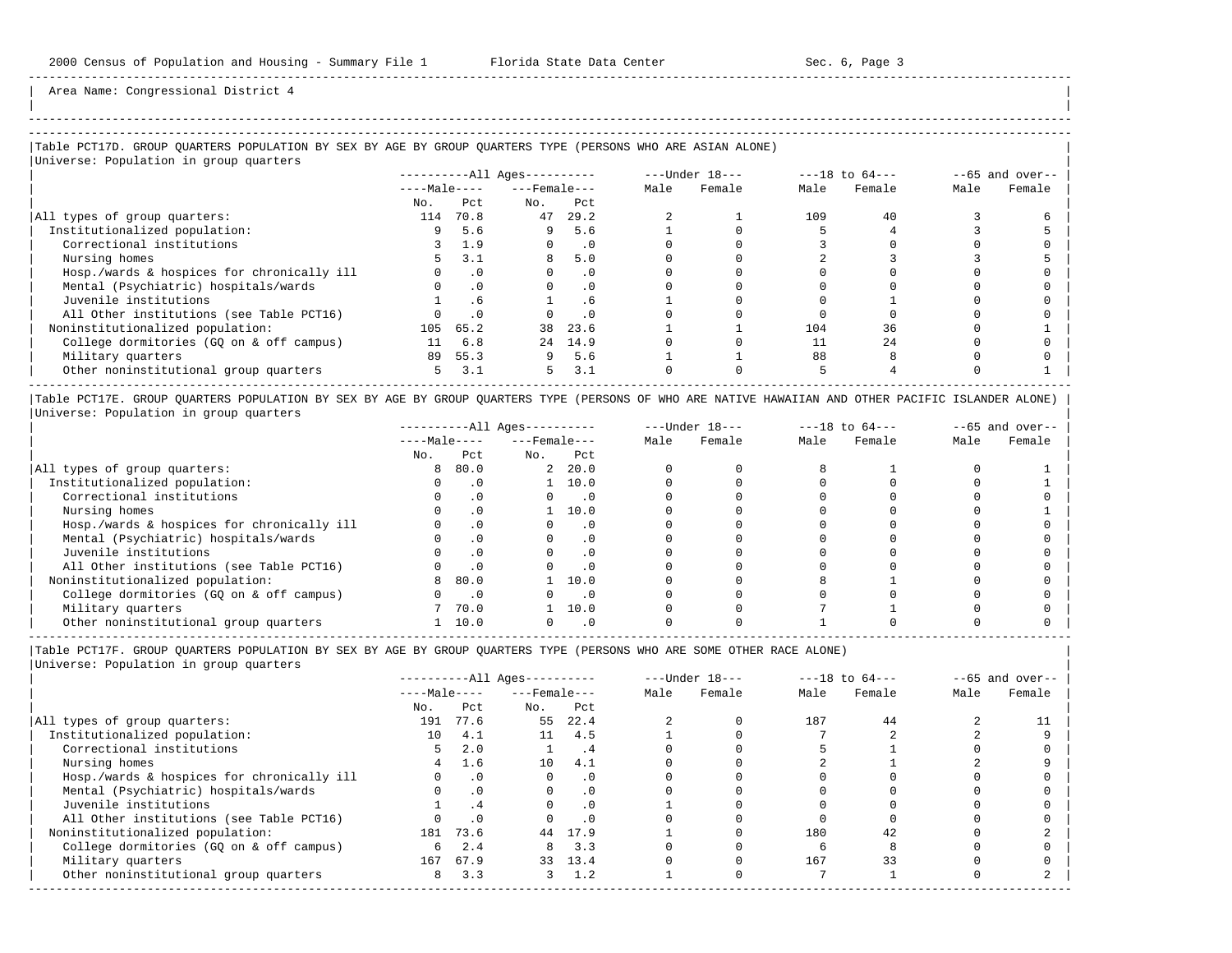Area Name: Congressional District 4

## ----------------------------------------------------------------------------------------------------------------------------------------------------- |Table PCT17D. GROUP QUARTERS POPULATION BY SEX BY AGE BY GROUP QUARTERS TYPE (PERSONS WHO ARE ASIAN ALONE) |

|Universe: Population in group quarters |

|                                            | ----------All Ages---------- |              |     | $---Under 18---$   |      | $---18$ to $64---$ |      | $--65$ and over-- |      |        |
|--------------------------------------------|------------------------------|--------------|-----|--------------------|------|--------------------|------|-------------------|------|--------|
|                                            |                              | $---Male---$ |     | $---$ Female $---$ | Male | Female             | Male | Female            | Male | Female |
|                                            | No.                          | Pct.         | No. | Pct.               |      |                    |      |                   |      |        |
| All types of group quarters:               | 114                          | 70.8         | 47  | 29.2               |      |                    | 109  | 40                |      |        |
| Institutionalized population:              |                              | 5.6          | 9   | 5.6                |      |                    |      |                   |      |        |
| Correctional institutions                  |                              | 1.9          |     | $\cdot$ 0          |      |                    |      |                   |      |        |
| Nursing homes                              |                              | 3.1          |     | 5.0                |      |                    |      |                   |      |        |
| Hosp./wards & hospices for chronically ill |                              | $\cdot$ 0    |     | $\cdot$ 0          |      |                    |      |                   |      |        |
| Mental (Psychiatric) hospitals/wards       |                              | $\Omega$ .   |     | $\cdot$ 0          |      |                    |      |                   |      |        |
| Juvenile institutions                      |                              |              |     | . 6                |      |                    |      |                   |      |        |
| All Other institutions (see Table PCT16)   |                              | $\cdot$ 0    |     | . 0                |      |                    |      |                   |      |        |
| Noninstitutionalized population:           | 105                          | 65.2         | 38  | 23.6               |      |                    | 104  | 36                |      |        |
| College dormitories (GQ on & off campus)   |                              | 6.8          |     | 24 14.9            |      |                    |      | 24                |      |        |
| Military quarters                          | 89                           | 55.3         | 9   | 5.6                |      |                    | 88   |                   |      |        |
| Other noninstitutional group quarters      | .5                           | 3.1          | 5.  | 3.1                |      |                    |      |                   |      |        |

|Table PCT17E. GROUP QUARTERS POPULATION BY SEX BY AGE BY GROUP QUARTERS TYPE (PERSONS OF WHO ARE NATIVE HAWAIIAN AND OTHER PACIFIC ISLANDER ALONE) | |Universe: Population in group quarters |

|                                            |              |           | $------All Aqes------$ |      |      | $---Under 18---$ | $---18$ to $64---$ |        | $--65$ and over-- |        |
|--------------------------------------------|--------------|-----------|------------------------|------|------|------------------|--------------------|--------|-------------------|--------|
|                                            | $---Male---$ |           | $---$ Female $---$     |      | Male | Female           | Male               | Female | Male              | Female |
|                                            | No.          | Pct       | No.                    | Pct  |      |                  |                    |        |                   |        |
| All types of group quarters:               | 8            | 80.0      | $\overline{a}$         | 20.0 |      |                  |                    |        |                   |        |
| Institutionalized population:              |              | $\cdot$ 0 |                        | 10.0 |      |                  |                    |        |                   |        |
| Correctional institutions                  |              | $\cdot$ 0 |                        |      |      |                  |                    |        |                   |        |
| Nursing homes                              |              | $\cdot$ 0 |                        | 10.0 |      |                  |                    |        |                   |        |
| Hosp./wards & hospices for chronically ill |              | $\cdot$ 0 |                        |      |      |                  |                    |        |                   |        |
| Mental (Psychiatric) hospitals/wards       |              | . 0       |                        |      |      |                  |                    |        |                   |        |
| Juvenile institutions                      |              | . 0       |                        |      |      |                  |                    |        |                   |        |
| All Other institutions (see Table PCT16)   |              | $\cdot$ 0 |                        |      |      |                  |                    |        |                   |        |
| Noninstitutionalized population:           | 8            | 80.0      |                        | 10.0 |      |                  |                    |        |                   |        |
| College dormitories (GQ on & off campus)   |              | $\cdot$ 0 |                        |      |      |                  |                    |        |                   |        |
| Military quarters                          |              | 70.0      |                        | 10.0 |      |                  |                    |        |                   |        |
| Other noninstitutional group quarters      |              | 10.0      |                        |      |      |                  |                    |        |                   |        |

----------------------------------------------------------------------------------------------------------------------------------------------------- |Table PCT17F. GROUP QUARTERS POPULATION BY SEX BY AGE BY GROUP QUARTERS TYPE (PERSONS WHO ARE SOME OTHER RACE ALONE) |

|                                            |              |           | $------All Aqes------$ |           |      | $---Under 18---$ | $---18$ to $64---$ |        | $--65$ and over-- |        |
|--------------------------------------------|--------------|-----------|------------------------|-----------|------|------------------|--------------------|--------|-------------------|--------|
|                                            | $---Male---$ |           | $---$ Female $---$     |           | Male | Female           | Male               | Female | Male              | Female |
|                                            | No.          | Pct       | No.                    | Pct       |      |                  |                    |        |                   |        |
| All types of group quarters:               | 191          | 77.6      | 55                     | 22.4      |      |                  | 187                | 44     |                   |        |
| Institutionalized population:              | 10           | 4.1       | 11                     | 4.5       |      |                  |                    |        |                   |        |
| Correctional institutions                  | 5.           | 2.0       |                        | . 4       |      |                  |                    |        |                   |        |
| Nursing homes                              |              | 1.6       | 10                     | 4.1       |      |                  |                    |        |                   |        |
| Hosp./wards & hospices for chronically ill |              | $\cdot$ 0 | $\Omega$               | $\cdot$ 0 |      |                  |                    |        |                   |        |
| Mental (Psychiatric) hospitals/wards       |              | $\cdot$ 0 | $\Omega$               | $\cdot$ 0 |      |                  |                    |        |                   |        |
| Juvenile institutions                      |              | .4        | O                      | .0        |      |                  |                    |        |                   |        |
| All Other institutions (see Table PCT16)   |              | $\cdot$ 0 |                        | $\cdot$ 0 |      |                  |                    |        |                   |        |
| Noninstitutionalized population:           |              | 181 73.6  |                        | 44 17.9   |      |                  | 180                | 42     |                   |        |
| College dormitories (GO on & off campus)   | б.           | 2.4       | 8                      | 3.3       |      |                  |                    |        |                   |        |
| Military quarters                          | 167          | 67.9      |                        | 33 13.4   |      |                  | 167                | 33     |                   |        |
| Other noninstitutional group quarters      | 8            | 3.3       | 3                      | 1.2       |      |                  |                    |        |                   |        |
|                                            |              |           |                        |           |      |                  |                    |        |                   |        |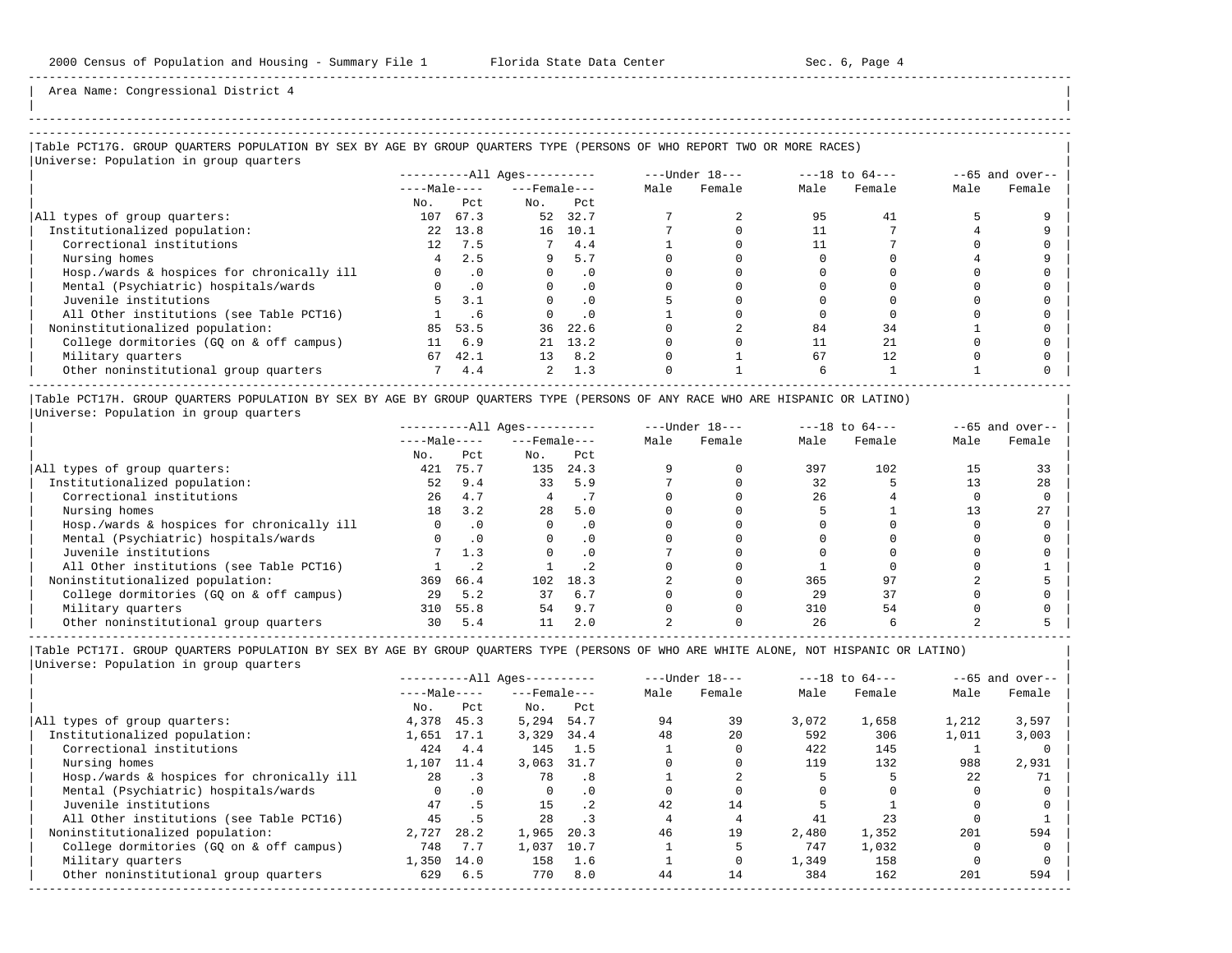| |

-----------------------------------------------------------------------------------------------------------------------------------------------------

Area Name: Congressional District 4

# -----------------------------------------------------------------------------------------------------------------------------------------------------

### |Table PCT17G. GROUP QUARTERS POPULATION BY SEX BY AGE BY GROUP QUARTERS TYPE (PERSONS OF WHO REPORT TWO OR MORE RACES) |

|                                            |                 |           | $------All Ages------$ |           |      | $---Under 18---$ |      | $---18$ to $64---$ |      | $--65$ and over-- |
|--------------------------------------------|-----------------|-----------|------------------------|-----------|------|------------------|------|--------------------|------|-------------------|
|                                            | $---Male---$    |           | $---$ Female $---$     |           | Male | Female           | Male | Female             | Male | Female            |
|                                            | No.             | Pct.      | No.                    | Pct       |      |                  |      |                    |      |                   |
| All types of group quarters:               | 107             | 67.3      | 52                     | 32.7      |      |                  | 95   | 41                 |      |                   |
| Institutionalized population:              | 22              | 13.8      | 16                     | 10.1      |      |                  |      |                    |      |                   |
| Correctional institutions                  | 12 <sup>°</sup> | 7.5       |                        | 4.4       |      |                  |      |                    |      |                   |
| Nursing homes                              |                 | 2.5       | 9                      | 5.7       |      |                  |      |                    |      |                   |
| Hosp./wards & hospices for chronically ill |                 | $\cdot$ 0 |                        | $\cdot$ 0 |      |                  |      |                    |      |                   |
| Mental (Psychiatric) hospitals/wards       |                 | $\cdot$ 0 |                        | $\cdot$ 0 |      |                  |      |                    |      |                   |
| Juvenile institutions                      |                 | 3.1       |                        | $\cdot$ 0 |      |                  |      |                    |      |                   |
| All Other institutions (see Table PCT16)   |                 | . 6       |                        | $\cdot$ 0 |      |                  |      |                    |      |                   |
| Noninstitutionalized population:           | 85              | 53.5      | 36                     | 22.6      |      |                  | 84   | 34                 |      |                   |
| College dormitories (GQ on & off campus)   | 11              | 6.9       |                        | 21 13.2   |      |                  |      | 21                 |      |                   |
| Military quarters                          | 67              | 42.1      | 13 <sup>°</sup>        | 8.2       |      |                  | 67   | 12.                |      |                   |
| Other noninstitutional group quarters      |                 | 4.4       | $\overline{2}$         | 1.3       |      |                  |      |                    |      |                   |

|Table PCT17H. GROUP QUARTERS POPULATION BY SEX BY AGE BY GROUP QUARTERS TYPE (PERSONS OF ANY RACE WHO ARE HISPANIC OR LATINO) | |Universe: Population in group quarters |

|                                            | $------All Ages------$ |              |     |                    |      | $---Under 18---$ | $---18$ to $64---$ |        | $--65$ and over-- |        |
|--------------------------------------------|------------------------|--------------|-----|--------------------|------|------------------|--------------------|--------|-------------------|--------|
|                                            |                        | $---Male---$ |     | $---$ Female $---$ | Male | Female           | Male               | Female | Male              | Female |
|                                            | No.                    | Pct          | No. | Pct                |      |                  |                    |        |                   |        |
| All types of group quarters:               | 421                    | 75.7         | 135 | 24.3               |      |                  | 397                | 102    |                   | 33     |
| Institutionalized population:              | 52                     | 9.4          | 33  | 5.9                |      |                  | 32                 |        |                   | 28     |
| Correctional institutions                  | 2.6                    | 4.7          |     |                    |      |                  | 26                 |        |                   |        |
| Nursing homes                              | 18                     | 3.2          | 28  | 5.0                |      |                  |                    |        |                   | 27     |
| Hosp./wards & hospices for chronically ill |                        | $\cdot$ 0    |     |                    |      |                  |                    |        |                   |        |
| Mental (Psychiatric) hospitals/wards       |                        | $\cdot$ 0    |     |                    |      |                  |                    |        |                   |        |
| Juvenile institutions                      |                        | 1.3          |     |                    |      |                  |                    |        |                   |        |
| All Other institutions (see Table PCT16)   |                        |              |     |                    |      |                  |                    |        |                   |        |
| Noninstitutionalized population:           | 369                    | 66.4         | 102 | 18.3               |      |                  | 365                |        |                   |        |
| College dormitories (GQ on & off campus)   | 29                     | 5.2          | 37  | 6.7                |      |                  | 29                 | 37     |                   |        |
| Military quarters                          | 310                    | 55.8         | 54  | 9.7                |      |                  | 310                | 54     |                   |        |
| Other noninstitutional group quarters      | 30                     | 5.4          |     | 2.0                |      |                  | 26                 |        |                   |        |

-----------------------------------------------------------------------------------------------------------------------------------------------------

|                                            |              |           | $------All Aqes------$ |      |      | $---Under 18---$ |       | $---18$ to $64---$ |       | $--65$ and over-- |
|--------------------------------------------|--------------|-----------|------------------------|------|------|------------------|-------|--------------------|-------|-------------------|
|                                            | $---Male---$ |           | $---$ Female $---$     |      | Male | Female           | Male  | Female             | Male  | Female            |
|                                            | No.          | Pct       | No.                    | Pct  |      |                  |       |                    |       |                   |
| All types of group quarters:               | 4,378        | 45.3      | 5,294                  | 54.7 | 94   | 39               | 3,072 | 1,658              | 1,212 | 3,597             |
| Institutionalized population:              | 1,651        | 17.1      | 3,329                  | 34.4 | 48   | 20               | 592   | 306                | 1,011 | 3,003             |
| Correctional institutions                  | 424          | 4.4       | 145                    | 1.5  |      |                  | 422   | 145                |       |                   |
| Nursing homes                              | 1,107        | 11.4      | 3,063                  | 31.7 |      |                  | 119   | 132                | 988   | 2,931             |
| Hosp./wards & hospices for chronically ill | 2.8          |           | 78                     | . 8  |      |                  |       |                    | 22    | 71                |
| Mental (Psychiatric) hospitals/wards       |              | $\cdot$ 0 | $\Omega$               | . 0  |      |                  |       |                    |       |                   |
| Juvenile institutions                      | 47           | .5        | 15                     | .2   | 42   | 14               |       |                    |       |                   |
| All Other institutions (see Table PCT16)   | 45           | . 5       | 28                     | . 3  |      |                  | 41    | 23                 |       |                   |
| Noninstitutionalized population:           | 2,727        | 28.2      | 1,965                  | 20.3 | 46   | 19               | 2,480 | 1,352              | 201   | 594               |
| College dormitories (GO on & off campus)   | 748          | 7.7       | 1,037                  | 10.7 |      |                  | 747   | 1,032              |       |                   |
| Military quarters                          | 1,350        | 14.0      | 158                    | 1.6  |      |                  | 1,349 | 158                |       |                   |
| Other noninstitutional group quarters      | 629          | 6.5       | 770                    | 8.0  | 44   | 14               | 384   | 162                | 201   | 594               |
|                                            |              |           |                        |      |      |                  |       |                    |       |                   |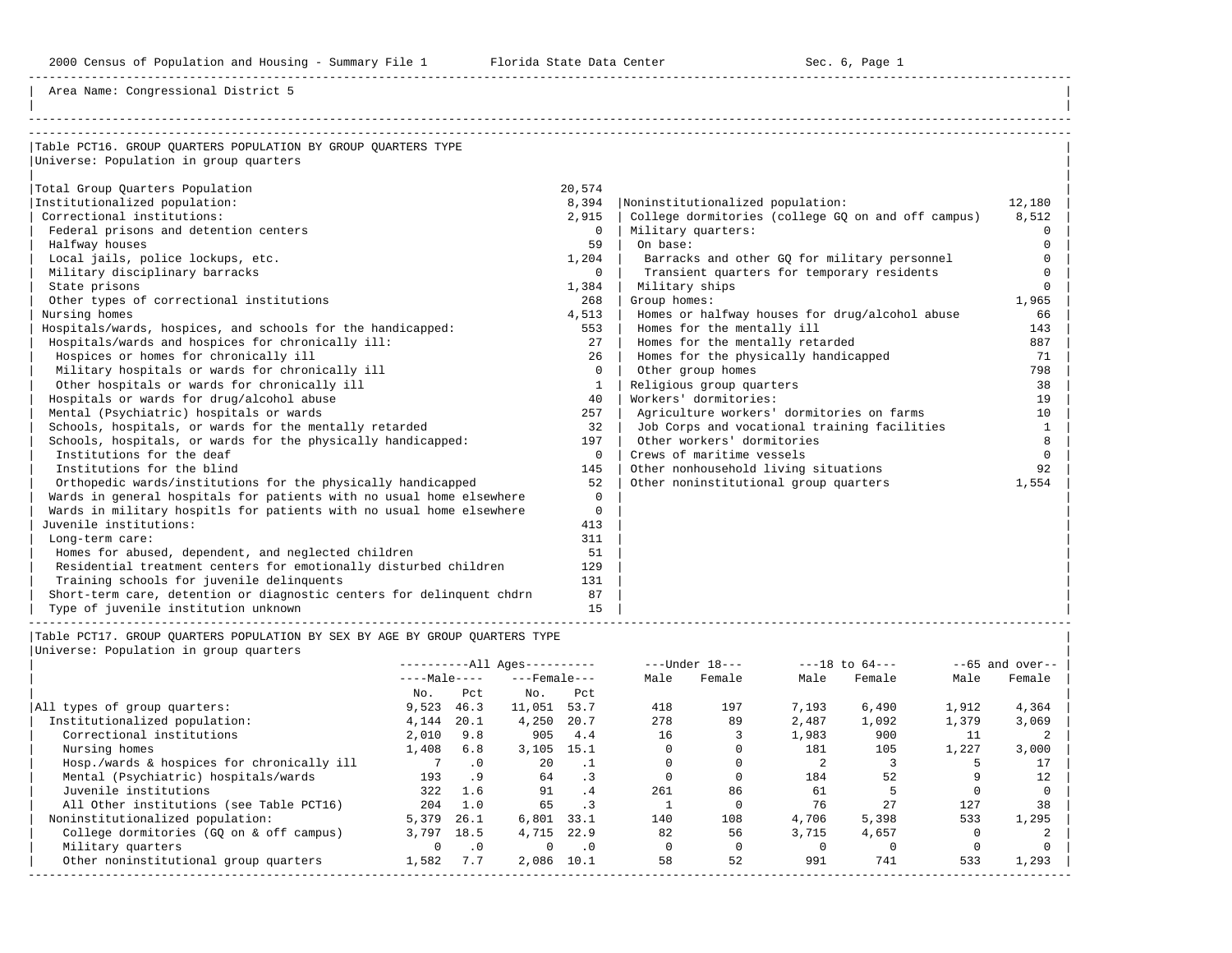2000 Census of Population and Housing - Summary File 1 Florida State Data Center Sec. 6, Page 1

-----------------------------------------------------------------------------------------------------------------------------------------------------

| |

Area Name: Congressional District 5

| Table PCT16. GROUP OUARTERS POPULATION BY GROUP OUARTERS TYPE         |          |                                                    |          |
|-----------------------------------------------------------------------|----------|----------------------------------------------------|----------|
| Universe: Population in group quarters                                |          |                                                    |          |
|                                                                       |          |                                                    |          |
| Total Group Quarters Population                                       | 20,574   |                                                    |          |
| Institutionalized population:                                         | 8,394    | Noninstitutionalized population:                   | 12,180   |
| Correctional institutions:                                            | 2,915    | College dormitories (college GO on and off campus) | 8,512    |
| Federal prisons and detention centers                                 | $\Omega$ | Military quarters:                                 | $\Omega$ |
| Halfway houses                                                        | 59       | On base:                                           | $\Omega$ |
| Local jails, police lockups, etc.                                     | 1,204    | Barracks and other GQ for military personnel       | $\Omega$ |
| Military disciplinary barracks                                        | $\Omega$ | Transient quarters for temporary residents         | $\Omega$ |
| State prisons                                                         | 1,384    | Military ships                                     | $\Omega$ |
| Other types of correctional institutions                              | 268      | Group homes:                                       | 1,965    |
| Nursing homes                                                         | 4,513    | Homes or halfway houses for drug/alcohol abuse     | 66       |
| Hospitals/wards, hospices, and schools for the handicapped:           | 553      | Homes for the mentally ill                         | 143      |
| Hospitals/wards and hospices for chronically ill:                     | 27       | Homes for the mentally retarded                    | 887      |
| Hospices or homes for chronically ill                                 | 26       | Homes for the physically handicapped               | 71       |
| Military hospitals or wards for chronically ill                       | $\Omega$ | Other group homes                                  | 798      |
| Other hospitals or wards for chronically ill                          | 1        | Religious group quarters                           | 38       |
| Hospitals or wards for drug/alcohol abuse                             | 40       | Workers' dormitories:                              | 19       |
| Mental (Psychiatric) hospitals or wards                               | 257      | Agriculture workers' dormitories on farms          | 10       |
| Schools, hospitals, or wards for the mentally retarded                | 32       | Job Corps and vocational training facilities       | 1        |
| Schools, hospitals, or wards for the physically handicapped:          | 197      | Other workers' dormitories                         | 8        |
| Institutions for the deaf                                             | $\Omega$ | Crews of maritime vessels                          | $\Omega$ |
| Institutions for the blind                                            | 145      | Other nonhousehold living situations               | 92       |
| Orthopedic wards/institutions for the physically handicapped          | 52       | Other noninstitutional group quarters              | 1,554    |
| Wards in general hospitals for patients with no usual home elsewhere  | $\Omega$ |                                                    |          |
| Wards in military hospitls for patients with no usual home elsewhere  | $\Omega$ |                                                    |          |
| Juvenile institutions:                                                | 413      |                                                    |          |
| Long-term care:                                                       | 311      |                                                    |          |
| Homes for abused, dependent, and neglected children                   | 51       |                                                    |          |
| Residential treatment centers for emotionally disturbed children      | 129      |                                                    |          |
| Training schools for juvenile delinquents                             | 131      |                                                    |          |
| Short-term care, detention or diagnostic centers for delinquent chdrn | 87       |                                                    |          |
| Type of juvenile institution unknown                                  | 15       |                                                    |          |

|Table PCT17. GROUP QUARTERS POPULATION BY SEX BY AGE BY GROUP QUARTERS TYPE |

| Universe: Population in group quarters |  |
|----------------------------------------|--|
|                                        |  |

|                                            | $------All Aqes------$ |           |                    |                              | $---Under 18---$ | $---18$ to $64---$ |       | $--65$ and over-- |       |        |
|--------------------------------------------|------------------------|-----------|--------------------|------------------------------|------------------|--------------------|-------|-------------------|-------|--------|
|                                            | $---Male---$           |           | $---$ Female $---$ |                              | Male             | Female             | Male  | Female            | Male  | Female |
|                                            | No.                    | Pct       | No.                | Pct                          |                  |                    |       |                   |       |        |
| All types of group quarters:               | 9,523                  | 46.3      | 11,051             | 53.7                         | 418              | 197                | 7,193 | 6,490             | 1,912 | 4,364  |
| Institutionalized population:              | 4,144                  | 20.1      | 4,250              | 20.7                         | 278              | 89                 | 2,487 | 1,092             | 1,379 | 3,069  |
| Correctional institutions                  | 2,010                  | 9.8       | 905                | 4.4                          | 16               |                    | 1,983 | 900               | 11    |        |
| Nursing homes                              | 1,408                  | 6.8       | 3.105              | 15.1                         |                  |                    | 181   | 105               | 1,227 | 3,000  |
| Hosp./wards & hospices for chronically ill |                        | $\cdot$ 0 | 20                 |                              |                  |                    |       |                   |       | 17     |
| Mental (Psychiatric) hospitals/wards       | 193                    | . 9       | 64                 | $\cdot$ 3                    |                  |                    | 184   | 52                |       | 12     |
| Juvenile institutions                      | 322                    | 1.6       | 91                 | . 4                          | 261              | 86                 | 61    |                   |       |        |
| All Other institutions (see Table PCT16)   | 204                    | 1.0       | 65                 | $\overline{\phantom{a}}$ . 3 |                  |                    | 76    | 27                | 127   | 38     |
| Noninstitutionalized population:           | 5,379                  | 26.1      | 6,801              | 33.1                         | 140              | 108                | 4,706 | 5,398             | 533   | 1,295  |
| College dormitories (GO on & off campus)   | 3,797                  | 18.5      | 4,715              | 22.9                         | 82               | 56                 | 3,715 | 4,657             |       |        |
| Military quarters                          | 0                      | $\cdot$ 0 | $\Omega$           | $\cdot$ 0                    |                  |                    |       |                   |       |        |
| Other noninstitutional group quarters      | 1,582                  | 7.7       | 2,086              | 10.1                         | 58               | 52                 | 991   | 741               | 533   | 1,293  |
|                                            |                        |           |                    |                              |                  |                    |       |                   |       |        |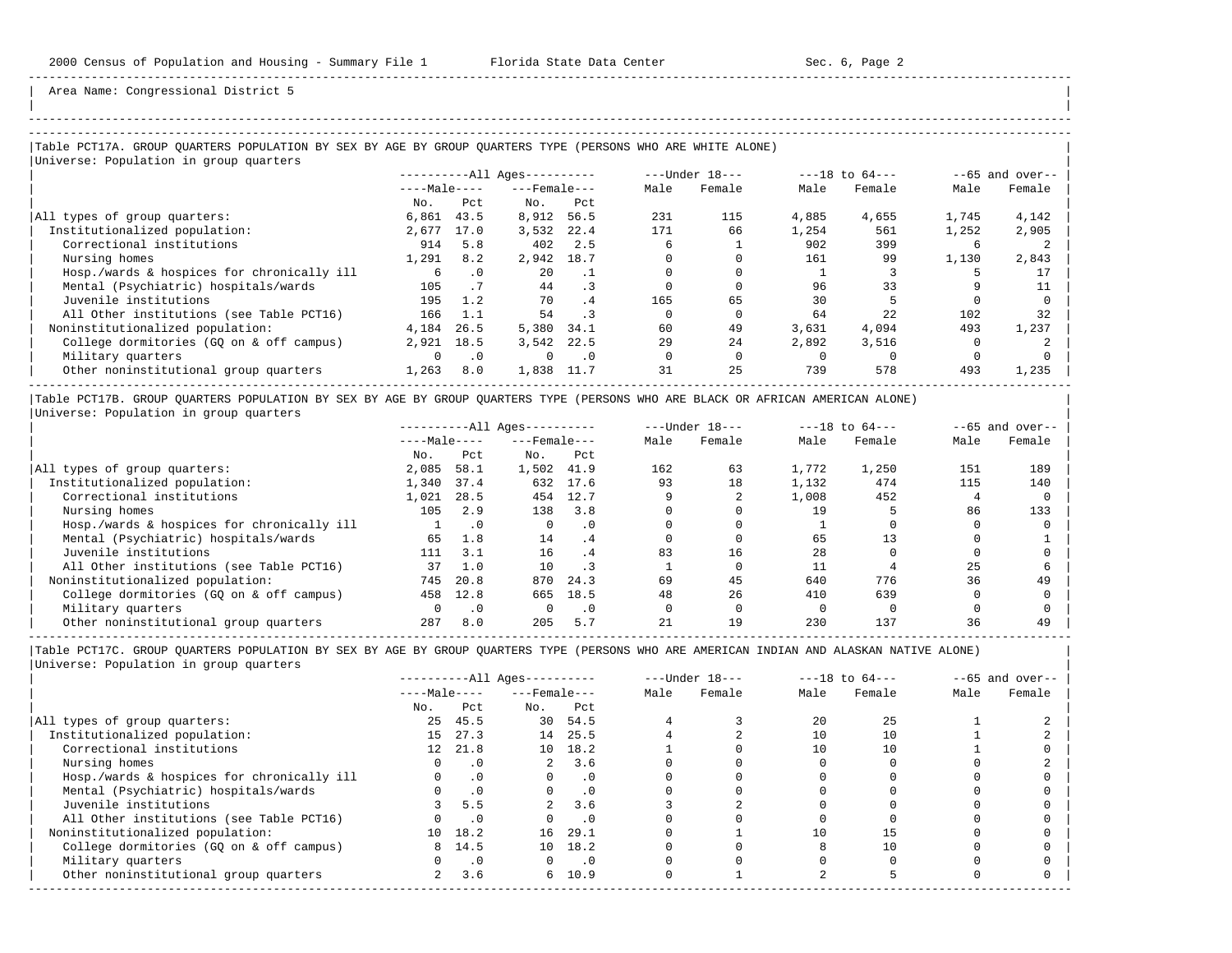| | -----------------------------------------------------------------------------------------------------------------------------------------------------

Area Name: Congressional District 5

## |Table PCT17A. GROUP QUARTERS POPULATION BY SEX BY AGE BY GROUP QUARTERS TYPE (PERSONS WHO ARE WHITE ALONE) |

| Universe: Population in group quarters     |              |           |                        |           |              |                  |       |                    |       |                   |
|--------------------------------------------|--------------|-----------|------------------------|-----------|--------------|------------------|-------|--------------------|-------|-------------------|
|                                            |              |           | $------All Ages------$ |           |              | $---Under 18---$ |       | $---18$ to $64---$ |       | $--65$ and over-- |
|                                            | $---Male---$ |           | $---$ Female $---$     |           | Male         | Female           | Male  | Female             | Male  | Female            |
|                                            | No.          | Pct       | No.                    | Pct       |              |                  |       |                    |       |                   |
| All types of group quarters:               | 6,861        | 43.5      | 8,912                  | 56.5      | 231          | 115              | 4,885 | 4,655              | 1,745 | 4,142             |
| Institutionalized population:              | 2,677        | 17.0      | 3,532                  | 22.4      | 171          | 66               | 1,254 | 561                | 1,252 | 2,905             |
| Correctional institutions                  | 914          | 5.8       | 402                    | 2.5       | б.           |                  | 902   | 399                | b     |                   |
| Nursing homes                              | 1,291        | 8.2       | 2,942                  | 18.7      |              |                  | 161   | 99                 | 1,130 | 2,843             |
| Hosp./wards & hospices for chronically ill |              | . 0       | $20^{\circ}$           | $\cdot$ 1 |              |                  |       |                    |       | 17                |
| Mental (Psychiatric) hospitals/wards       | 105          | . 7       | 44                     |           |              |                  | 96    | 33                 |       | 11                |
| Juvenile institutions                      | 195          | 1.2       | 70                     | .4        | 165          | 65               | 30    |                    |       |                   |
| All Other institutions (see Table PCT16)   | 166          | 1.1       | 54                     |           |              |                  | 64    | 2.2.               | 102   | 32                |
| Noninstitutionalized population:           | 4,184        | 26.5      | 5,380                  | 34.1      | 60           | 49               | 3,631 | 4,094              | 493   | 1,237             |
| College dormitories (GO on & off campus)   | 2,921        | 18.5      | 3.542                  | 22.5      | 29           | 24               | 2,892 | 3,516              |       |                   |
| Military quarters                          | $\Omega$     | $\cdot$ 0 | $\Omega$               | $\cdot$ 0 | <sup>n</sup> |                  |       |                    |       |                   |
| Other noninstitutional group quarters      | 1,263        | 8.0       | 1,838                  | 11.7      | 31           | 25               | 739   | 578                | 493   | 1,235             |

|Table PCT17B. GROUP QUARTERS POPULATION BY SEX BY AGE BY GROUP QUARTERS TYPE (PERSONS WHO ARE BLACK OR AFRICAN AMERICAN ALONE) | |Universe: Population in group quarters |

|                                            | $------All Aqes------$ |           |                    | $---Under 18---$ |      | $---18$ to $64---$ |       | $--65$ and over-- |      |        |
|--------------------------------------------|------------------------|-----------|--------------------|------------------|------|--------------------|-------|-------------------|------|--------|
|                                            | $---Male---$           |           | $---$ Female $---$ |                  | Male | Female             | Male  | Female            | Male | Female |
|                                            | No.                    | Pct       | No.                | Pct              |      |                    |       |                   |      |        |
| All types of group quarters:               | 2,085                  | 58.1      | 1,502              | 41.9             | 162  | 63                 | 1,772 | 1,250             | 151  | 189    |
| Institutionalized population:              | 1,340                  | 37.4      | 632                | 17.6             | 93   | 18                 | 1,132 | 474               | 115  | 140    |
| Correctional institutions                  | 1,021                  | 28.5      | 454                | 12.7             |      |                    | 1,008 | 452               |      |        |
| Nursing homes                              | 105                    | 2.9       | 138                | 3.8              |      |                    | 19    |                   | 86   | 133    |
| Hosp./wards & hospices for chronically ill |                        | . 0       | 0                  | $\cdot$ 0        |      |                    |       |                   |      |        |
| Mental (Psychiatric) hospitals/wards       | 65                     | 1.8       | 14                 | .4               |      |                    | 65    |                   |      |        |
| Juvenile institutions                      | 111                    | 3.1       | 16                 | . 4              | 83   | 16                 | 28    |                   |      |        |
| All Other institutions (see Table PCT16)   | 37                     | 1.0       | 10                 |                  |      |                    |       |                   | 25   |        |
| Noninstitutionalized population:           | 745                    | 20.8      | 870                | 24.3             | 69   | 45                 | 640   | 776               | 36   | 49     |
| College dormitories (GO on & off campus)   | 458                    | 12.8      | 665                | 18.5             | 48   | 26                 | 410   | 639               |      |        |
| Military quarters                          |                        | $\cdot$ 0 |                    | $\cdot$ 0        |      |                    |       |                   |      |        |
| Other noninstitutional group quarters      | 287                    | 8.0       | 205                | 5.7              | 21   | 19                 | 230   | 137               | 36   | 49     |

-----------------------------------------------------------------------------------------------------------------------------------------------------

|                                            | $------All Aqes------$ |           |                    | $---Under 18---$ |      | $---18$ to $64---$ |      | $--65$ and over-- |      |        |
|--------------------------------------------|------------------------|-----------|--------------------|------------------|------|--------------------|------|-------------------|------|--------|
|                                            | $---Male---$           |           | $---$ Female $---$ |                  | Male | Female             | Male | Female            | Male | Female |
|                                            | No.                    | Pct       | No.                | Pct              |      |                    |      |                   |      |        |
| All types of group quarters:               | 25                     | 45.5      |                    | 30 54.5          |      |                    | 2.0  | 25                |      |        |
| Institutionalized population:              | 15                     | 27.3      | 14                 | 25.5             |      |                    |      | 10                |      |        |
| Correctional institutions                  | 12                     | 21.8      |                    | 10 18.2          |      |                    | 10   | 10                |      |        |
| Nursing homes                              |                        | . 0       | $\overline{a}$     | 3.6              |      |                    |      |                   |      |        |
| Hosp./wards & hospices for chronically ill |                        | $\cdot$ 0 |                    | $\cdot$ 0        |      |                    |      |                   |      |        |
| Mental (Psychiatric) hospitals/wards       |                        | $\cdot$ 0 |                    | $\cdot$ 0        |      |                    |      |                   |      |        |
| Juvenile institutions                      |                        | 5.5       |                    | 3.6              |      |                    |      |                   |      |        |
| All Other institutions (see Table PCT16)   |                        | $\cdot$ 0 |                    | $\cdot$ 0        |      |                    |      |                   |      |        |
| Noninstitutionalized population:           | 10                     | 18.2      | 16                 | 29.1             |      |                    | 10   | 15                |      |        |
| College dormitories (GQ on & off campus)   | 8                      | 14.5      |                    | 10 18.2          |      |                    |      | 10                |      |        |
| Military quarters                          |                        | $\cdot$ 0 |                    | $\cdot$ 0        |      |                    |      |                   |      |        |
| Other noninstitutional group quarters      | 2                      | 3.6       |                    | 6, 10.9          |      |                    |      |                   |      |        |
|                                            |                        |           |                    |                  |      |                    |      |                   |      |        |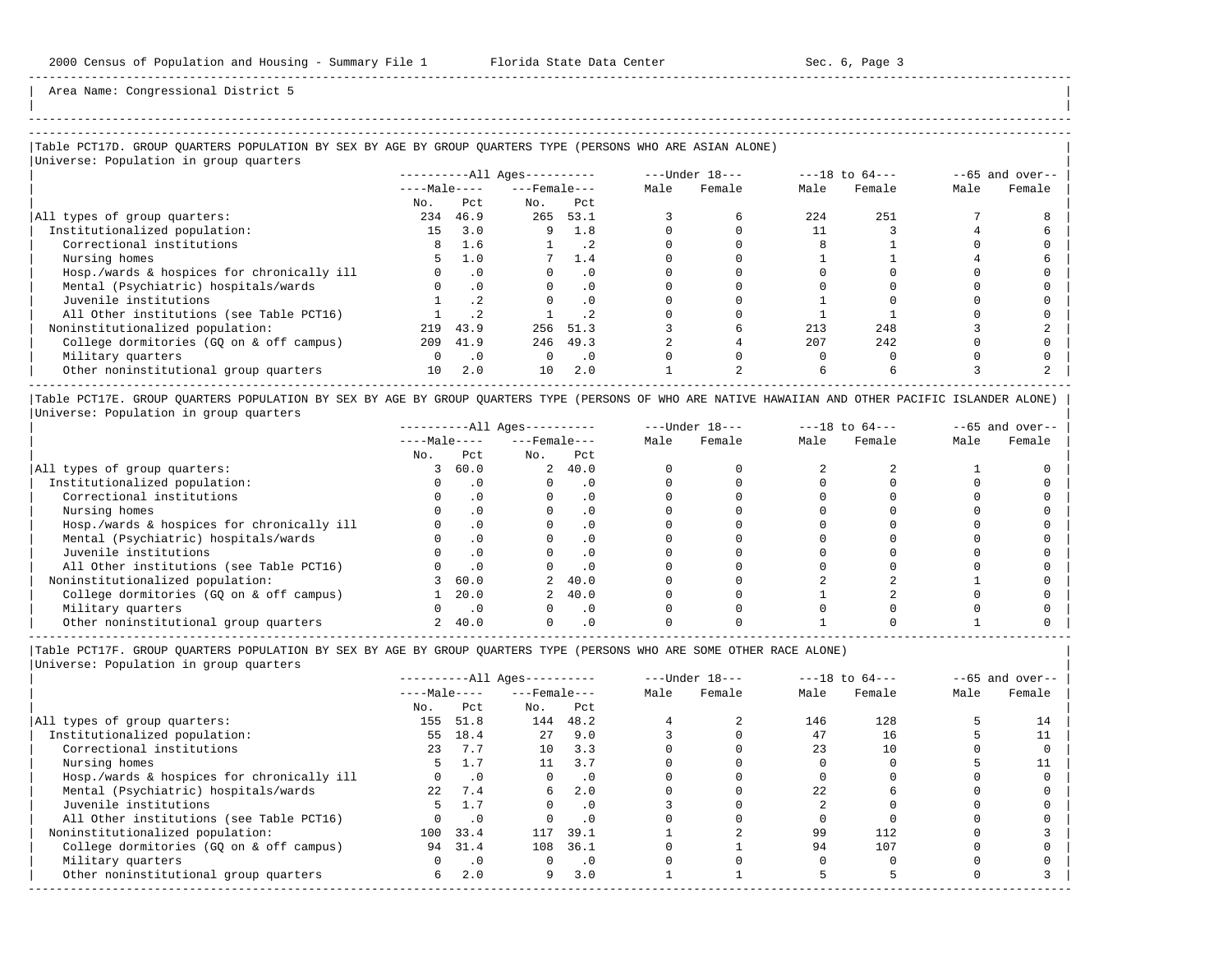| | -----------------------------------------------------------------------------------------------------------------------------------------------------

Area Name: Congressional District 5

## ----------------------------------------------------------------------------------------------------------------------------------------------------- |Table PCT17D. GROUP QUARTERS POPULATION BY SEX BY AGE BY GROUP QUARTERS TYPE (PERSONS WHO ARE ASIAN ALONE) |

# |Universe: Population in group quarters |

|                                            | $------All \text{Aqes}---$ |           |                    |           | ---Under 18--- |        | $---18$ to $64---$ | $--65$ and over-- |      |        |
|--------------------------------------------|----------------------------|-----------|--------------------|-----------|----------------|--------|--------------------|-------------------|------|--------|
|                                            | $---Male---$               |           | $---$ Female $---$ |           | Male           | Female | Male               | Female            | Male | Female |
|                                            | No.                        | Pct.      | No.                | Pct       |                |        |                    |                   |      |        |
| All types of group quarters:               | 234                        | 46.9      | 265                | 53.1      |                |        | 224                | 251               |      |        |
| Institutionalized population:              | 15                         | 3.0       | 9                  | 1.8       |                |        |                    |                   |      |        |
| Correctional institutions                  | 8                          | 1.6       |                    |           |                |        |                    |                   |      |        |
| Nursing homes                              | 5.                         | 1.0       |                    | 1.4       |                |        |                    |                   |      |        |
| Hosp./wards & hospices for chronically ill |                            | $\cdot$ 0 |                    | . 0       |                |        |                    |                   |      |        |
| Mental (Psychiatric) hospitals/wards       |                            | $\cdot$ 0 |                    |           |                |        |                    |                   |      |        |
| Juvenile institutions                      |                            |           |                    | .0        |                |        |                    |                   |      |        |
| All Other institutions (see Table PCT16)   |                            |           |                    |           |                |        |                    |                   |      |        |
| Noninstitutionalized population:           | 219                        | 43.9      | 256                | 51.3      |                |        | 213                | 248               |      |        |
| College dormitories (GQ on & off campus)   | 209                        | 41.9      | 246                | 49.3      |                |        | 207                | 242               |      |        |
| Military quarters                          |                            | $\cdot$ 0 |                    | $\cdot$ 0 |                |        |                    |                   |      |        |
| Other noninstitutional group quarters      | 10                         | 2.0       | 10                 | 2.0       |                |        |                    |                   |      |        |
|                                            |                            |           |                    |           |                |        |                    |                   |      |        |

|Table PCT17E. GROUP QUARTERS POPULATION BY SEX BY AGE BY GROUP QUARTERS TYPE (PERSONS OF WHO ARE NATIVE HAWAIIAN AND OTHER PACIFIC ISLANDER ALONE) | |Universe: Population in group quarters |

|                                            | $------All Aqes------$ |           |                    |           | $---Under 18---$ |        | $---18$ to $64---$ |        | $--65$ and over-- |        |
|--------------------------------------------|------------------------|-----------|--------------------|-----------|------------------|--------|--------------------|--------|-------------------|--------|
|                                            | $---Male---$           |           | $---$ Female $---$ |           | Male             | Female | Male               | Female | Male              | Female |
|                                            | No.                    | Pct       | No.                | Pct       |                  |        |                    |        |                   |        |
| All types of group quarters:               |                        | 60.0      |                    | 2, 40.0   |                  |        |                    |        |                   |        |
| Institutionalized population:              |                        |           |                    | . 0       |                  |        |                    |        |                   |        |
| Correctional institutions                  |                        |           |                    | $\cdot$ 0 |                  |        |                    |        |                   |        |
| Nursing homes                              |                        |           |                    | $\cdot$ 0 |                  |        |                    |        |                   |        |
| Hosp./wards & hospices for chronically ill |                        |           |                    | . 0       |                  |        |                    |        |                   |        |
| Mental (Psychiatric) hospitals/wards       |                        |           |                    | $\cdot$ 0 |                  |        |                    |        |                   |        |
| Juvenile institutions                      |                        |           |                    | . 0       |                  |        |                    |        |                   |        |
| All Other institutions (see Table PCT16)   |                        |           |                    | $\cdot$ 0 |                  |        |                    |        |                   |        |
| Noninstitutionalized population:           |                        | 60.0      |                    | 2, 40.0   |                  |        |                    |        |                   |        |
| College dormitories (GO on & off campus)   |                        | 20.0      |                    | 40.0      |                  |        |                    |        |                   |        |
| Military quarters                          |                        | $\cdot$ 0 |                    | $\cdot$ 0 |                  |        |                    |        |                   |        |
| Other noninstitutional group quarters      |                        | 40.0      |                    | $\cdot$ 0 |                  |        |                    |        |                   |        |

-----------------------------------------------------------------------------------------------------------------------------------------------------

|Table PCT17F. GROUP QUARTERS POPULATION BY SEX BY AGE BY GROUP QUARTERS TYPE (PERSONS WHO ARE SOME OTHER RACE ALONE) |

|                                            | $------All Aqes------$ |           |                  | $---Under 18---$ |      | $---18$ to $64---$ |      | $--65$ and over-- |      |        |
|--------------------------------------------|------------------------|-----------|------------------|------------------|------|--------------------|------|-------------------|------|--------|
|                                            | $---Male---$           |           | $---$ Female --- |                  | Male | Female             | Male | Female            | Male | Female |
|                                            | No.                    | Pct       | No.              | Pct              |      |                    |      |                   |      |        |
| All types of group quarters:               | 155                    | 51.8      | 144              | 48.2             |      |                    | 146  | 128               |      | 14     |
| Institutionalized population:              | 55                     | 18.4      | 27               | 9.0              |      |                    | 47   | 16                |      |        |
| Correctional institutions                  | 23                     | 7.7       | 10               | 3.3              |      |                    | 23   | 10                |      |        |
| Nursing homes                              |                        |           | 11               | 3.7              |      |                    |      |                   |      |        |
| Hosp./wards & hospices for chronically ill |                        | $\cdot$ 0 | $\Omega$         | $\cdot$ 0        |      |                    |      |                   |      |        |
| Mental (Psychiatric) hospitals/wards       | 2.2 <sub>1</sub>       | 7.4       | 6                | 2.0              |      |                    | 22   |                   |      |        |
| Juvenile institutions                      |                        |           | $\Omega$         | $\cdot$ 0        |      |                    |      |                   |      |        |
| All Other institutions (see Table PCT16)   |                        | $\cdot$ 0 |                  | .0               |      |                    |      |                   |      |        |
| Noninstitutionalized population:           | 100                    | 33.4      | 117              | 39.1             |      |                    | 99   | 112               |      |        |
| College dormitories (GO on & off campus)   |                        | 94 31.4   | 108              | 36.1             |      |                    | 94   | 107               |      |        |
| Military quarters                          |                        | $\cdot$ 0 | 0                | $\cdot$ 0        |      |                    |      |                   |      |        |
| Other noninstitutional group quarters      | б.                     | 2.0       | 9                | 3.0              |      |                    |      |                   |      |        |
|                                            |                        |           |                  |                  |      |                    |      |                   |      |        |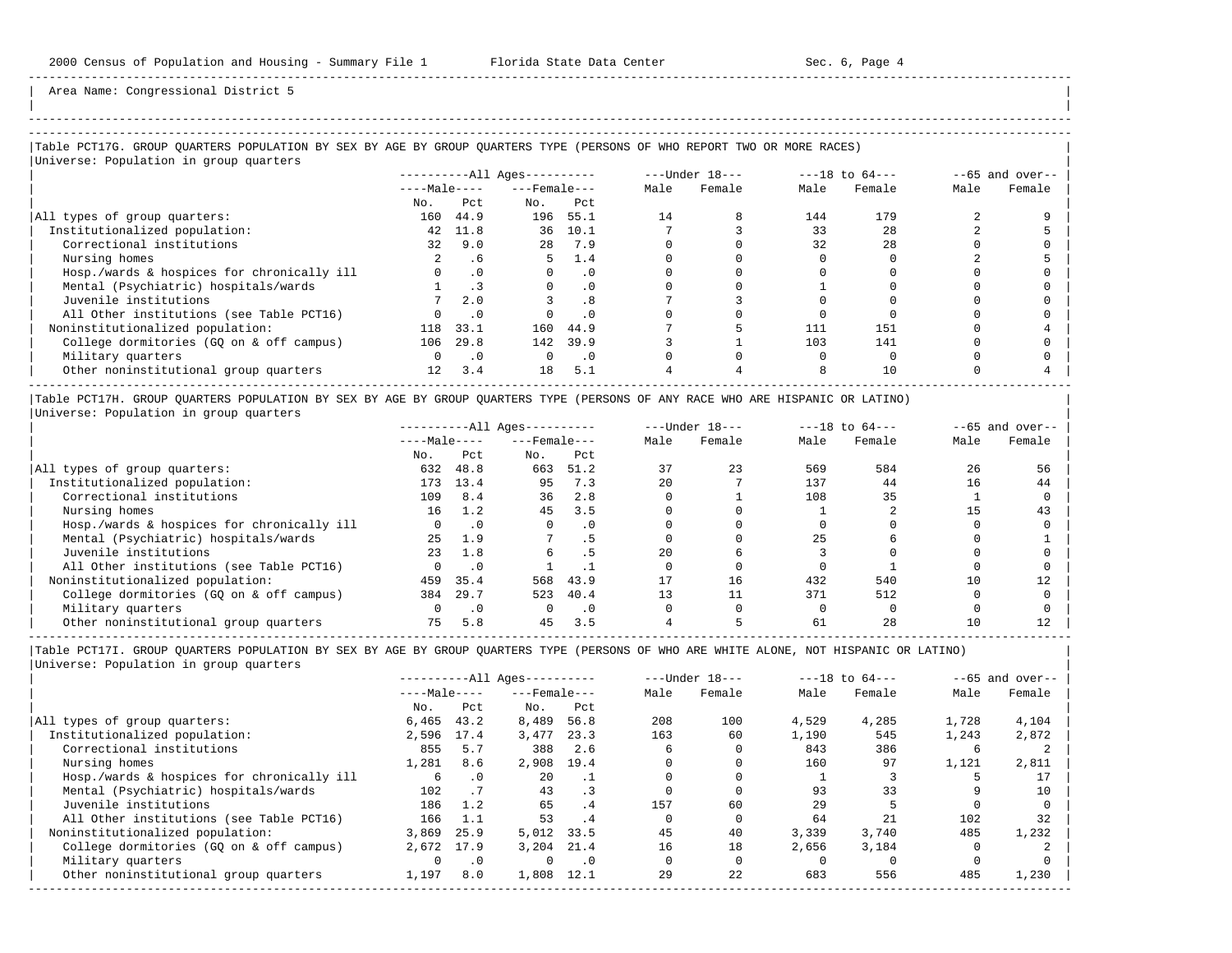| |

-----------------------------------------------------------------------------------------------------------------------------------------------------

Area Name: Congressional District 5

# -----------------------------------------------------------------------------------------------------------------------------------------------------

## |Table PCT17G. GROUP QUARTERS POPULATION BY SEX BY AGE BY GROUP QUARTERS TYPE (PERSONS OF WHO REPORT TWO OR MORE RACES) |

|                                            |              |                             | $------All Ages------$ |           |      | $---Under 18---$ |      | $---18$ to $64---$ |      | $--65$ and over-- |
|--------------------------------------------|--------------|-----------------------------|------------------------|-----------|------|------------------|------|--------------------|------|-------------------|
|                                            | $---Male---$ |                             | $---$ Female $---$     |           | Male | Female           | Male | Female             | Male | Female            |
|                                            | No.          | Pct                         | No.                    | Pct       |      |                  |      |                    |      |                   |
| All types of group quarters:               | 160          | 44.9                        | 196                    | 55.1      | 14   |                  | 144  | 179                |      |                   |
| Institutionalized population:              | 42           | 11.8                        | 36                     | 10.1      |      |                  | 33   | 28                 |      |                   |
| Correctional institutions                  | 32           | 9.0                         | 28                     | 7.9       |      |                  | 32   | 28                 |      |                   |
| Nursing homes                              |              | . 6                         | 5                      | 1.4       |      |                  |      |                    |      |                   |
| Hosp./wards & hospices for chronically ill | $\Omega$     | $\cdot$ 0                   | $\Omega$               | $\cdot$ 0 |      |                  |      |                    |      |                   |
| Mental (Psychiatric) hospitals/wards       |              | $\overline{\phantom{a}}$ .3 | $\Omega$               | $\cdot$ 0 |      |                  |      |                    |      |                   |
| Juvenile institutions                      |              | 2.0                         |                        | .8        |      |                  |      |                    |      |                   |
| All Other institutions (see Table PCT16)   |              | $\cdot$ 0                   |                        | $\cdot$ 0 |      |                  |      |                    |      |                   |
| Noninstitutionalized population:           | 118          | 33.1                        | 160                    | 44.9      |      |                  | 111  | 151                |      |                   |
| College dormitories (GQ on & off campus)   | 106          | 29.8                        | 142                    | 39.9      |      |                  | 103  | 141                |      |                   |
| Military quarters                          | 0            | $\cdot$ 0                   | $\Omega$               | $\cdot$ 0 |      |                  |      |                    |      |                   |
| Other noninstitutional group quarters      | 12           | 3.4                         | 18                     | 5.1       |      |                  |      | 10                 |      |                   |

|Table PCT17H. GROUP QUARTERS POPULATION BY SEX BY AGE BY GROUP QUARTERS TYPE (PERSONS OF ANY RACE WHO ARE HISPANIC OR LATINO) | |Universe: Population in group quarters |

|                                            | $------All Aqes------$ |           |                    | $---Under 18---$ |      | $---18$ to $64---$ |      | $- -65$ and over-- |      |        |
|--------------------------------------------|------------------------|-----------|--------------------|------------------|------|--------------------|------|--------------------|------|--------|
|                                            | $---Male---$           |           | $---$ Female $---$ |                  | Male | Female             | Male | Female             | Male | Female |
|                                            | No.                    | Pct       | No.                | Pct              |      |                    |      |                    |      |        |
| All types of group quarters:               | 632                    | 48.8      | 663                | 51.2             |      | 23                 | 569  | 584                | 26   | 56     |
| Institutionalized population:              | 173                    | 13.4      | 95                 | 7.3              | 2.0  |                    | 137  | 44                 | 16   | 44     |
| Correctional institutions                  | 109                    | 8.4       | 36                 | 2.8              |      |                    | 108  | 35                 |      |        |
| Nursing homes                              | 16                     | 1.2       | 45                 | 3.5              |      |                    |      |                    |      | 43     |
| Hosp./wards & hospices for chronically ill |                        | $\cdot$ 0 |                    | . 0              |      |                    |      |                    |      |        |
| Mental (Psychiatric) hospitals/wards       | 25                     | 1.9       |                    |                  |      |                    | 25   |                    |      |        |
| Juvenile institutions                      | 23                     | 1.8       |                    | د .              | 2.0  |                    |      |                    |      |        |
| All Other institutions (see Table PCT16)   |                        |           |                    |                  |      |                    |      |                    |      |        |
| Noninstitutionalized population:           | 459                    | 35.4      | 568                | 43.9             |      | 16                 | 432  | 540                | 10   |        |
| College dormitories (GO on & off campus)   | 384                    | 29.7      | 523                | 40.4             |      | 11                 | 371  | 512                |      |        |
| Military quarters                          |                        | $\cdot$ 0 |                    | $\cdot$ 0        |      |                    |      |                    |      |        |
| Other noninstitutional group quarters      |                        | 5.8       | 45                 | 3.5              |      |                    | 61   | 28                 | 10   |        |

-----------------------------------------------------------------------------------------------------------------------------------------------------

|                                            | $------All Aqes------$ |           |                    | $---Under 18---$ |      | $---18$ to $64---$ |       | $--65$ and over-- |       |        |
|--------------------------------------------|------------------------|-----------|--------------------|------------------|------|--------------------|-------|-------------------|-------|--------|
|                                            | $---Male---$           |           | $---$ Female $---$ |                  | Male | Female             | Male  | Female            | Male  | Female |
|                                            | No.                    | Pct       | No.                | Pct              |      |                    |       |                   |       |        |
| All types of group quarters:               | 6,465                  | 43.2      | 8,489              | 56.8             | 208  | 100                | 4,529 | 4,285             | 1,728 | 4,104  |
| Institutionalized population:              | 2,596                  | 17.4      | 3,477              | 23.3             | 163  | 60                 | 1,190 | 545               | 1,243 | 2,872  |
| Correctional institutions                  | 855                    | 5.7       | 388                | 2.6              |      |                    | 843   | 386               | h     |        |
| Nursing homes                              | 1,281                  | 8.6       | 2,908              | 19.4             |      |                    | 160   | 97                | 1,121 | 2,811  |
| Hosp./wards & hospices for chronically ill | 6                      | $\cdot$ 0 | 20                 |                  |      |                    |       |                   |       |        |
| Mental (Psychiatric) hospitals/wards       | 102                    |           | 43                 | $\cdot$ 3        |      |                    | 93    | 33                |       | 10     |
| Juvenile institutions                      | 186                    | 1.2       | 65                 | . 4              | 157  | 60                 | 29    |                   |       |        |
| All Other institutions (see Table PCT16)   | 166                    | 1.1       | 53                 | .4               |      |                    | 64    | 21                | 102   | 32     |
| Noninstitutionalized population:           | 3,869                  | 25.9      | 5,012              | 33.5             | 45   | 40                 | 3,339 | 3,740             | 485   | 1,232  |
| College dormitories (GO on & off campus)   | 2,672                  | 17.9      | 3.204              | 21.4             | 16   | 18                 | 2,656 | 3,184             |       |        |
| Military quarters                          |                        | $\cdot$ 0 | $\Omega$           | $\cdot$ 0        |      |                    |       |                   |       |        |
| Other noninstitutional group quarters      | 1,197                  | 8.0       | 1,808              | 12.1             | 29   | 22                 | 683   | 556               | 485   | 1,230  |
|                                            |                        |           |                    |                  |      |                    |       |                   |       |        |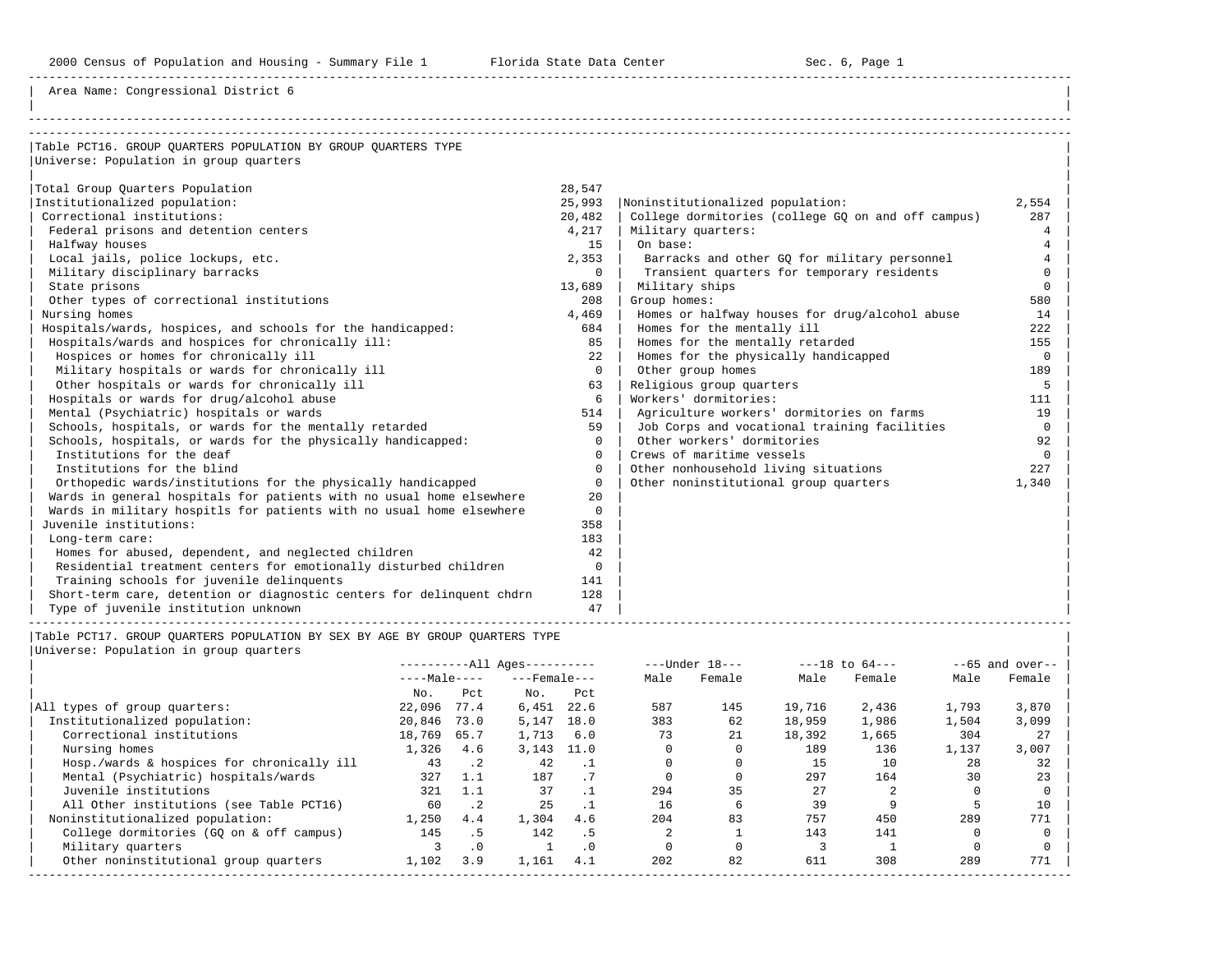Area Name: Congressional District 6

| Table PCT16. GROUP OUARTERS POPULATION BY GROUP OUARTERS TYPE         |             |                                                    |          |
|-----------------------------------------------------------------------|-------------|----------------------------------------------------|----------|
| Universe: Population in group quarters                                |             |                                                    |          |
|                                                                       |             |                                                    |          |
| Total Group Quarters Population                                       | 28,547      |                                                    |          |
| Institutionalized population:                                         | 25,993      | Noninstitutionalized population:                   | 2,554    |
| Correctional institutions:                                            | 20,482      | College dormitories (college GQ on and off campus) | 287      |
| Federal prisons and detention centers                                 | 4,217       | Military quarters:                                 | 4        |
| Halfway houses                                                        | 15          | On base:                                           | 4        |
| Local jails, police lockups, etc.                                     | 2,353       | Barracks and other GQ for military personnel       |          |
| Military disciplinary barracks                                        | $\Omega$    | Transient quarters for temporary residents         | $\Omega$ |
| State prisons                                                         | 13,689      | Military ships                                     | $\Omega$ |
| Other types of correctional institutions                              | 208         | Group homes:                                       | 580      |
| Nursing homes                                                         | 4,469       | Homes or halfway houses for drug/alcohol abuse     | 14       |
| Hospitals/wards, hospices, and schools for the handicapped:           | 684         | Homes for the mentally ill                         | 222      |
| Hospitals/wards and hospices for chronically ill:                     | 85          | Homes for the mentally retarded                    | 155      |
| Hospices or homes for chronically ill                                 | 22          | Homes for the physically handicapped               | $\Omega$ |
| Military hospitals or wards for chronically ill                       | $\Omega$    | Other group homes                                  | 189      |
| Other hospitals or wards for chronically ill                          | 63          | Religious group quarters                           | 5        |
| Hospitals or wards for drug/alcohol abuse                             | 6           | Workers' dormitories:                              | 111      |
| Mental (Psychiatric) hospitals or wards                               | 514         | Agriculture workers' dormitories on farms          | 19       |
| Schools, hospitals, or wards for the mentally retarded                | 59          | Job Corps and vocational training facilities       | $\Omega$ |
| Schools, hospitals, or wards for the physically handicapped:          | $\Omega$    | Other workers' dormitories                         | 92       |
| Institutions for the deaf                                             | $\Omega$    | Crews of maritime vessels                          | $\Omega$ |
| Institutions for the blind                                            | $\Omega$    | Other nonhousehold living situations               | 227      |
| Orthopedic wards/institutions for the physically handicapped          | $\Omega$    | Other noninstitutional group quarters              | 1,340    |
| Wards in general hospitals for patients with no usual home elsewhere  | 20          |                                                    |          |
| Wards in military hospitls for patients with no usual home elsewhere  | $\mathbf 0$ |                                                    |          |
| Juvenile institutions:                                                | 358         |                                                    |          |
| Long-term care:                                                       | 183         |                                                    |          |
| Homes for abused, dependent, and neglected children                   | 42          |                                                    |          |
| Residential treatment centers for emotionally disturbed children      | $\mathbf 0$ |                                                    |          |
| Training schools for juvenile delinquents                             | 141         |                                                    |          |
| Short-term care, detention or diagnostic centers for delinguent chdrn | 128         |                                                    |          |
| Type of juvenile institution unknown                                  | 47          |                                                    |          |

|Table PCT17. GROUP QUARTERS POPULATION BY SEX BY AGE BY GROUP QUARTERS TYPE | |<br>|Universe: Population

| Universe: Population in group quarters |  |  |
|----------------------------------------|--|--|
|----------------------------------------|--|--|

|                                            |              |             | $------All Aqes------$ |           |      | $---Under 18---$ |        | $---18$ to $64---$ |       | $--65$ and over-- |
|--------------------------------------------|--------------|-------------|------------------------|-----------|------|------------------|--------|--------------------|-------|-------------------|
|                                            | $---Male---$ |             | $---$ Female $---$     |           | Male | Female           | Male   | Female             | Male  | Female            |
|                                            | No.          | Pct         | No.                    | Pct       |      |                  |        |                    |       |                   |
| All types of group quarters:               | 22,096       | 77.4        | 6,451                  | 22.6      | 587  | 145              | 19,716 | 2,436              | 1,793 | 3,870             |
| Institutionalized population:              | 20,846       | 73.0        | 5,147                  | 18.0      | 383  | 62               | 18,959 | 1,986              | 1,504 | 3,099             |
| Correctional institutions                  | 18,769       | 65.7        | 1,713                  | 6.0       | 73   | 21               | 18,392 | 1,665              | 304   | 27                |
| Nursing homes                              | 1,326        | 4.6         | 3,143                  | 11.0      |      |                  | 189    | 136                | 1,137 | 3,007             |
| Hosp./wards & hospices for chronically ill | 43           | $\cdot$ 2   | 42                     |           |      |                  | 15     | 10                 | 28    | 32                |
| Mental (Psychiatric) hospitals/wards       | 327          | 1.1         | 187                    |           |      |                  | 297    | 164                | 30    | 23                |
| Juvenile institutions                      | 321          |             | 37                     |           | 294  | 35               | 27     |                    |       |                   |
| All Other institutions (see Table PCT16)   | 60           | $\cdot$ . 2 | 25                     | $\cdot$ 1 | 16   | b                | 39     |                    |       | 10                |
| Noninstitutionalized population:           | 1,250        | 4.4         | 1,304                  | 4.6       | 204  | 83               | 757    | 450                | 289   | 771               |
| College dormitories (GO on & off campus)   | 145          | . 5         | 142                    | . 5       |      |                  | 143    | 141                |       |                   |
| Military quarters                          |              | $\cdot$ 0   |                        | $\cdot$ 0 |      |                  |        |                    |       |                   |
| Other noninstitutional group quarters      | 1,102        | 3.9         | 1,161                  | 4.1       | 202  | 82               | 611    | 308                | 289   | 771               |
|                                            |              |             |                        |           |      |                  |        |                    |       |                   |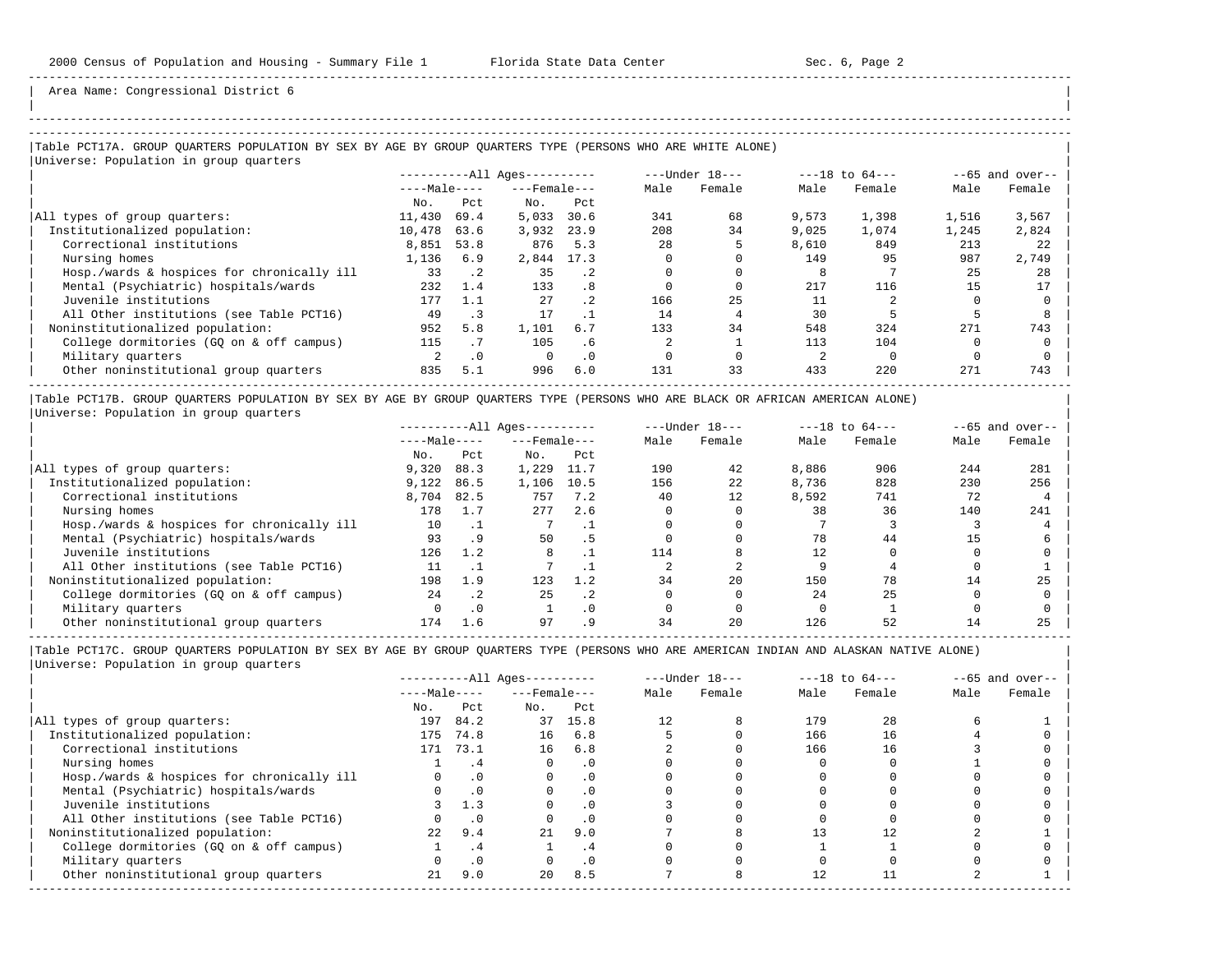| | -----------------------------------------------------------------------------------------------------------------------------------------------------

Area Name: Congressional District 6

### |Table PCT17A. GROUP QUARTERS POPULATION BY SEX BY AGE BY GROUP QUARTERS TYPE (PERSONS WHO ARE WHITE ALONE) | |<br>|Universe: Population in group quarters

|                                            |              |           | $------All Aqes------$ |                 | $---Under 18---$ |        | $---18$ to $64---$ |        | $--65$ and over-- |        |
|--------------------------------------------|--------------|-----------|------------------------|-----------------|------------------|--------|--------------------|--------|-------------------|--------|
|                                            | $---Male---$ |           | $---$ Female $---$     |                 | Male             | Female | Male               | Female | Male              | Female |
|                                            | No.          | Pct.      | No.                    | Pct             |                  |        |                    |        |                   |        |
| All types of group quarters:               | 11,430       | 69.4      | 5,033                  | 30.6            | 341              | 68     | 9,573              | 1,398  | 1,516             | 3,567  |
| Institutionalized population:              | 10,478       | 63.6      | 3,932                  | 23.9            | 208              | 34     | 9.025              | 1,074  | 1,245             | 2,824  |
| Correctional institutions                  | 8,851        | 53.8      | 876                    | 5.3             | 28               |        | 8,610              | 849    | 213               | 22     |
| Nursing homes                              | 1,136        | 6.9       | 2,844 17.3             |                 |                  |        | 149                | 95     | 987               | 2,749  |
| Hosp./wards & hospices for chronically ill | 33           | $\cdot$ 2 | 35                     | .2 <sub>2</sub> |                  |        |                    |        | 25                | 28     |
| Mental (Psychiatric) hospitals/wards       | 232          | 1.4       | 133                    | . 8             |                  |        | 217                | 116    | 15                | 17     |
| Juvenile institutions                      | 177          | 1.1       | 27                     | .2 <sub>2</sub> | 166              | 25     | 11                 |        |                   |        |
| All Other institutions (see Table PCT16)   | 49           | . 3       | 17                     |                 | 14               |        | 30                 |        |                   |        |
| Noninstitutionalized population:           | 952          | 5.8       | 1,101                  | 6.7             | 133              | 34     | 548                | 324    | 271               | 743    |
| College dormitories (GO on & off campus)   | 115          | . 7       | 105                    | . 6             |                  |        | 113                | 104    |                   |        |
| Military quarters                          |              | $\cdot$ 0 | $\Omega$               | $\cdot$ 0       |                  |        |                    |        |                   |        |
| Other noninstitutional group quarters      | 835          | 5.1       | 996                    | 6.0             | 131              | 33     | 433                | 220    | 271               | 743    |

|Table PCT17B. GROUP QUARTERS POPULATION BY SEX BY AGE BY GROUP QUARTERS TYPE (PERSONS WHO ARE BLACK OR AFRICAN AMERICAN ALONE) | |Universe: Population in group quarters |

|                                            |              |           | $------All Ages------$ |           |      | $---Under 18---$ |       | $---18$ to $64---$ |      | $--65$ and over-- |
|--------------------------------------------|--------------|-----------|------------------------|-----------|------|------------------|-------|--------------------|------|-------------------|
|                                            | $---Male---$ |           | $---$ Female $---$     |           | Male | Female           | Male  | Female             | Male | Female            |
|                                            | No.          | Pct       | No.                    | Pct       |      |                  |       |                    |      |                   |
| All types of group quarters:               | 9,320        | 88.3      | 1,229                  | 11.7      | 190  | 42               | 8,886 | 906                | 244  | 281               |
| Institutionalized population:              | 9,122        | 86.5      | 1,106                  | 10.5      | 156  | 22               | 8,736 | 828                | 230  | 256               |
| Correctional institutions                  | 8,704        | 82.5      | 757                    | 7.2       | 40   | 12               | 8,592 | 741                | 72   |                   |
| Nursing homes                              | 178          | 1.7       | 277                    | 2.6       |      |                  | 38    | 36                 | 140  | 241               |
| Hosp./wards & hospices for chronically ill | 10           |           |                        |           |      |                  |       |                    |      |                   |
| Mental (Psychiatric) hospitals/wards       | 93           | . 9       | 50                     | . 5       |      |                  | 78    | 44                 | 1.5  |                   |
| Juvenile institutions                      | 126          | 1.2       | 8                      |           | 114  |                  | 12    |                    |      |                   |
| All Other institutions (see Table PCT16)   |              |           |                        |           |      |                  |       |                    |      |                   |
| Noninstitutionalized population:           | 198          | 1.9       | 123                    | 1.2       | 34   | 20               | 150   | 78                 | 14   | 25                |
| College dormitories (GO on & off campus)   | 2.4          | .2        | 25                     | .2        |      |                  | 2.4   | 25                 |      |                   |
| Military quarters                          |              | $\cdot$ 0 |                        | $\cdot$ 0 |      |                  |       |                    |      |                   |
| Other noninstitutional group quarters      | 174          | 1.6       | 97                     |           | 34   | 20               | 126   | 52                 |      | 25                |

-----------------------------------------------------------------------------------------------------------------------------------------------------

| Male<br>Female |
|----------------|
|                |
|                |
|                |
|                |
|                |
|                |
|                |
|                |
|                |
|                |
|                |
|                |
|                |
|                |
|                |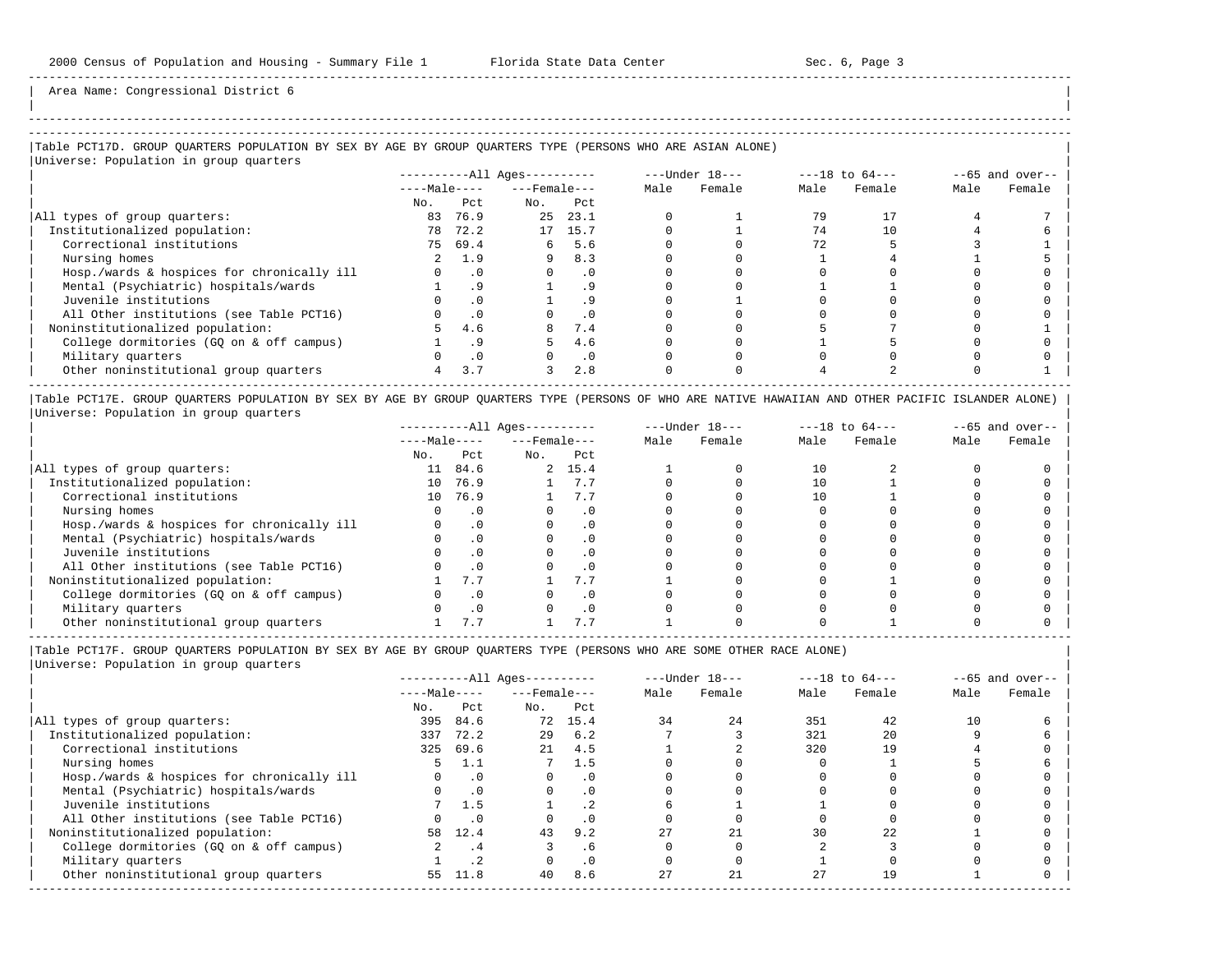-----------------------------------------------------------------------------------------------------------------------------------------------------

Area Name: Congressional District 6

## ----------------------------------------------------------------------------------------------------------------------------------------------------- |Table PCT17D. GROUP QUARTERS POPULATION BY SEX BY AGE BY GROUP QUARTERS TYPE (PERSONS WHO ARE ASIAN ALONE) |

|Universe: Population in group quarters |

|                                            | ----------All Ages---------- |           |                    |           |      | $---Under 18---$ | $---18$ to $64---$ |        | $--65$ and over-- |        |
|--------------------------------------------|------------------------------|-----------|--------------------|-----------|------|------------------|--------------------|--------|-------------------|--------|
|                                            | $---Male---$                 |           | $---$ Female $---$ |           | Male | Female           | Male               | Female | Male              | Female |
|                                            | No.                          | Pct       | No.                | Pct       |      |                  |                    |        |                   |        |
| All types of group quarters:               | 83                           | 76.9      | 25                 | 23.1      |      |                  | 79                 |        |                   |        |
| Institutionalized population:              | 78                           | 72.2      |                    | 17 15.7   |      |                  | 74                 | 10     |                   |        |
| Correctional institutions                  | 75                           | 69.4      | б.                 | 5.6       |      |                  | 72                 |        |                   |        |
| Nursing homes                              |                              | 1.9       |                    | 8.3       |      |                  |                    |        |                   |        |
| Hosp./wards & hospices for chronically ill |                              | $\cdot$ 0 |                    | $\cdot$ 0 |      |                  |                    |        |                   |        |
| Mental (Psychiatric) hospitals/wards       |                              | .9        |                    | . 9       |      |                  |                    |        |                   |        |
| Juvenile institutions                      |                              |           |                    |           |      |                  |                    |        |                   |        |
| All Other institutions (see Table PCT16)   |                              |           |                    | . 0       |      |                  |                    |        |                   |        |
| Noninstitutionalized population:           |                              | 4.6       |                    | 7.4       |      |                  |                    |        |                   |        |
| College dormitories (GO on & off campus)   |                              |           |                    | 4.6       |      |                  |                    |        |                   |        |
| Military quarters                          |                              |           |                    | $\cdot$ 0 |      |                  |                    |        |                   |        |
| Other noninstitutional group quarters      | 4                            | 3.7       | 3                  | 2.8       |      |                  |                    |        |                   |        |
|                                            |                              |           |                    |           |      |                  |                    |        |                   |        |

|Table PCT17E. GROUP QUARTERS POPULATION BY SEX BY AGE BY GROUP QUARTERS TYPE (PERSONS OF WHO ARE NATIVE HAWAIIAN AND OTHER PACIFIC ISLANDER ALONE) | |Universe: Population in group quarters |

|                                            | ----------All Ages--------- |           |                    | $---Under 18---$ |      | $---18$ to $64---$ |      | $--65$ and over-- |      |        |
|--------------------------------------------|-----------------------------|-----------|--------------------|------------------|------|--------------------|------|-------------------|------|--------|
|                                            | $---Male---$                |           | $---$ Female $---$ |                  | Male | Female             | Male | Female            | Male | Female |
|                                            | No.                         | Pct       | No.                | Pct              |      |                    |      |                   |      |        |
| All types of group quarters:               | 11                          | 84.6      |                    | 2, 15.4          |      |                    | 10   |                   |      |        |
| Institutionalized population:              | 10                          | 76.9      |                    | 7.7              |      |                    | 10   |                   |      |        |
| Correctional institutions                  | 10                          | 76.9      |                    | 7.7              |      |                    |      |                   |      |        |
| Nursing homes                              |                             | $\cdot$ 0 |                    |                  |      |                    |      |                   |      |        |
| Hosp./wards & hospices for chronically ill |                             |           |                    |                  |      |                    |      |                   |      |        |
| Mental (Psychiatric) hospitals/wards       |                             |           |                    |                  |      |                    |      |                   |      |        |
| Juvenile institutions                      |                             |           |                    | . 0              |      |                    |      |                   |      |        |
| All Other institutions (see Table PCT16)   |                             |           |                    |                  |      |                    |      |                   |      |        |
| Noninstitutionalized population:           |                             | 7.7       |                    | $\sqrt{1}$       |      |                    |      |                   |      |        |
| College dormitories (GO on & off campus)   |                             |           |                    | $\cdot$ 0        |      |                    |      |                   |      |        |
| Military quarters                          |                             |           |                    | . 0              |      |                    |      |                   |      |        |
| Other noninstitutional group quarters      |                             |           |                    |                  |      |                    |      |                   |      |        |

|Table PCT17F. GROUP QUARTERS POPULATION BY SEX BY AGE BY GROUP QUARTERS TYPE (PERSONS WHO ARE SOME OTHER RACE ALONE) |

|                                            |              |           | $------All Aqes------$ |           |      | $---Under 18---$ |      | $---18$ to $64---$ |      | $--65$ and over-- |
|--------------------------------------------|--------------|-----------|------------------------|-----------|------|------------------|------|--------------------|------|-------------------|
|                                            | $---Male---$ |           | $---$ Female $---$     |           | Male | Female           | Male | Female             | Male | Female            |
|                                            | No.          | Pct       | No.                    | Pct       |      |                  |      |                    |      |                   |
| All types of group quarters:               | 395          | 84.6      |                        | 72 15.4   | 34   | 24               | 351  | 42                 | 10   |                   |
| Institutionalized population:              | 337          | 72.2      | 29                     | 6.2       |      |                  | 321  | 20                 |      |                   |
| Correctional institutions                  | 325          | 69.6      | 21                     | 4.5       |      |                  | 320  | 19                 |      |                   |
| Nursing homes                              | ь.           | 1.1       |                        | 1.5       |      |                  |      |                    |      |                   |
| Hosp./wards & hospices for chronically ill |              | $\cdot$ 0 |                        | $\cdot$ 0 |      |                  |      |                    |      |                   |
| Mental (Psychiatric) hospitals/wards       |              | $\cdot$ 0 | $\Omega$               | $\cdot$ 0 |      |                  |      |                    |      |                   |
| Juvenile institutions                      |              | 1.5       |                        |           |      |                  |      |                    |      |                   |
| All Other institutions (see Table PCT16)   |              | $\cdot$ 0 |                        | .0        |      |                  |      |                    |      |                   |
| Noninstitutionalized population:           | 58           | 12.4      | 43                     | 9.2       | 2.7  | 21               | 30   | 22                 |      |                   |
| College dormitories (GQ on & off campus)   |              | .4        |                        | .6        |      |                  |      |                    |      |                   |
| Military quarters                          |              | $\cdot$ 2 |                        | $\cdot$ 0 |      |                  |      |                    |      |                   |
| Other noninstitutional group quarters      |              | 55 11.8   | 40                     | 8.6       | 27   | 21               | 27   | 19                 |      |                   |
|                                            |              |           |                        |           |      |                  |      |                    |      |                   |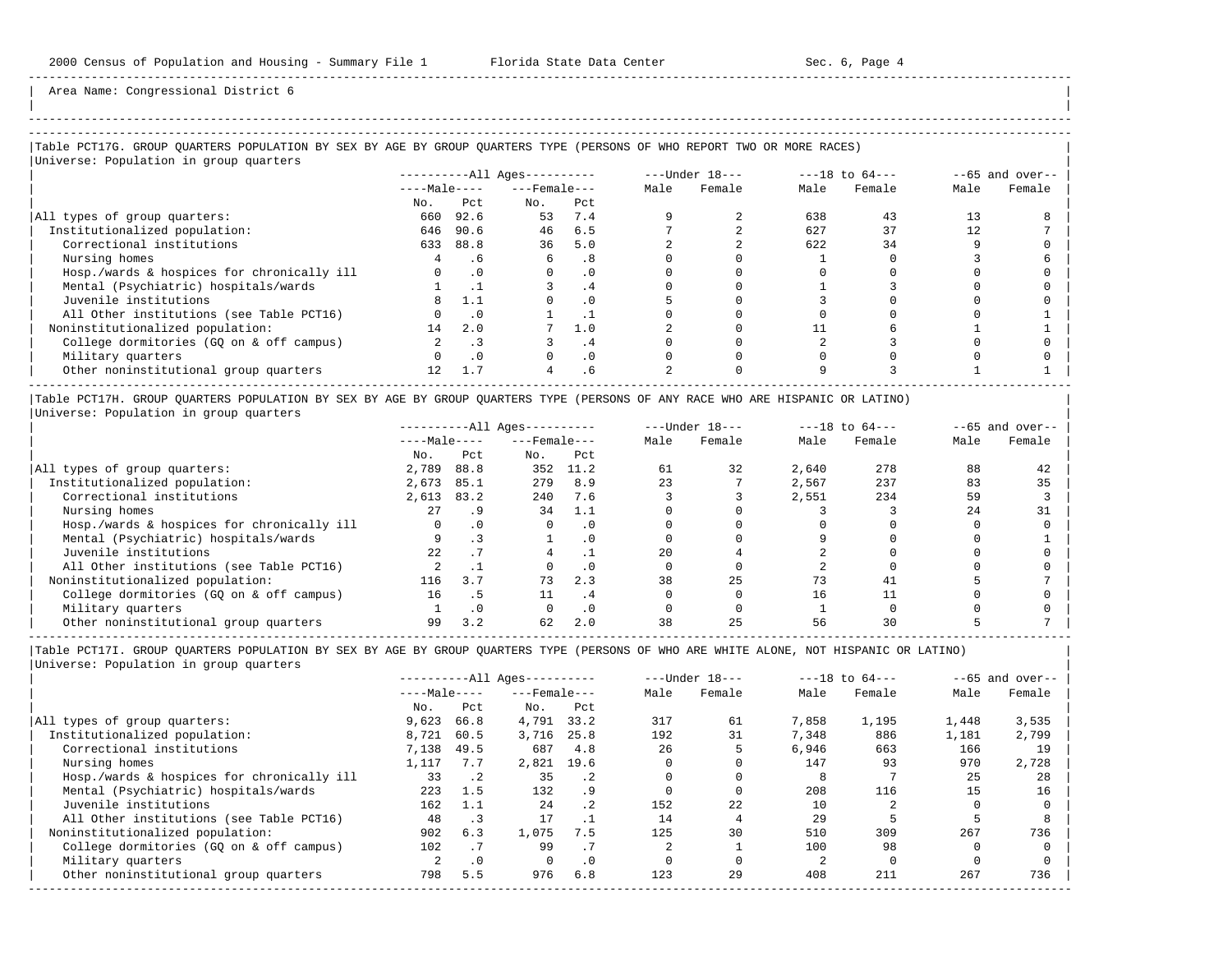| |

-----------------------------------------------------------------------------------------------------------------------------------------------------

Area Name: Congressional District 6

## -----------------------------------------------------------------------------------------------------------------------------------------------------

### |Table PCT17G. GROUP QUARTERS POPULATION BY SEX BY AGE BY GROUP QUARTERS TYPE (PERSONS OF WHO REPORT TWO OR MORE RACES) |

|                                            |              |           | $------All Ages------$ |           |      | $---Under 18---$ |      | $---18$ to $64---$ |      | $--65$ and over-- |
|--------------------------------------------|--------------|-----------|------------------------|-----------|------|------------------|------|--------------------|------|-------------------|
|                                            | $---Male---$ |           | $---$ Female $---$     |           | Male | Female           | Male | Female             | Male | Female            |
|                                            | No.          | Pct.      | No.                    | Pct       |      |                  |      |                    |      |                   |
| All types of group quarters:               | 660          | 92.6      | 53                     | 7.4       |      |                  | 638  | 43                 | 13   |                   |
| Institutionalized population:              | 646          | 90.6      | 46                     | 6.5       |      |                  | 627  | 37                 | 12   |                   |
| Correctional institutions                  | 633          | 88.8      | 36                     | 5.0       |      |                  | 622  | 34                 |      |                   |
| Nursing homes                              |              | . 6       | 6                      | . 8       |      |                  |      |                    |      |                   |
| Hosp./wards & hospices for chronically ill |              | $\cdot$ 0 |                        | $\cdot$ 0 |      |                  |      |                    |      |                   |
| Mental (Psychiatric) hospitals/wards       |              |           |                        | .4        |      |                  |      |                    |      |                   |
| Juvenile institutions                      |              | 1.1       |                        | $\cdot$ 0 |      |                  |      |                    |      |                   |
| All Other institutions (see Table PCT16)   |              | $\cdot$ 0 |                        |           |      |                  |      |                    |      |                   |
| Noninstitutionalized population:           | 14           | 2.0       |                        | 1.0       |      |                  |      |                    |      |                   |
| College dormitories (GQ on & off campus)   |              | . 3       |                        | . 4       |      |                  |      |                    |      |                   |
| Military quarters                          |              | .0        |                        | $\cdot$ 0 |      |                  |      |                    |      |                   |
| Other noninstitutional group quarters      | 12.          | 1.7       |                        | . 6       |      |                  |      |                    |      |                   |

|Table PCT17H. GROUP QUARTERS POPULATION BY SEX BY AGE BY GROUP QUARTERS TYPE (PERSONS OF ANY RACE WHO ARE HISPANIC OR LATINO) | |Universe: Population in group quarters |

|                                            |              |           | $------All Aqes------$ |           |      | $---Under 18---$ |       | $---18$ to $64---$ |      | $--65$ and over-- |
|--------------------------------------------|--------------|-----------|------------------------|-----------|------|------------------|-------|--------------------|------|-------------------|
|                                            | $---Male---$ |           | $---$ Female $---$     |           | Male | Female           | Male  | Female             | Male | Female            |
|                                            | No.          | Pct       | No.                    | Pct       |      |                  |       |                    |      |                   |
| All types of group quarters:               | 2,789        | 88.8      | 352                    | 11.2      | 61   | 32               | 2,640 | 278                | 88   | 42                |
| Institutionalized population:              | 2,673        | 85.1      | 279                    | 8.9       | 23   |                  | 2,567 | 237                | 83   | 35                |
| Correctional institutions                  | 2,613        | 83.2      | 240                    | 7.6       |      |                  | 2,551 | 234                | 59   |                   |
| Nursing homes                              | 27           | . 9       | 34                     | 1.1       |      |                  |       |                    | 24   | 31                |
| Hosp./wards & hospices for chronically ill |              |           |                        |           |      |                  |       |                    |      |                   |
| Mental (Psychiatric) hospitals/wards       |              |           |                        | . 0       |      |                  |       |                    |      |                   |
| Juvenile institutions                      | 2.2          |           |                        |           | 20   |                  |       |                    |      |                   |
| All Other institutions (see Table PCT16)   |              |           |                        | $\cdot$ 0 |      |                  |       |                    |      |                   |
| Noninstitutionalized population:           | 116          | 3.7       | 73                     | 2.3       | 38   | 25               | 73    | 41                 |      |                   |
| College dormitories (GO on & off campus)   | 16           | . 5       |                        | . 4       |      |                  | 16    |                    |      |                   |
| Military quarters                          |              | $\cdot$ 0 |                        | $\cdot$ 0 |      |                  |       |                    |      |                   |
| Other noninstitutional group quarters      | 99           | 3.2       | 62                     | 2.0       | 38   | 25               |       |                    |      |                   |

-----------------------------------------------------------------------------------------------------------------------------------------------------

|                                            |              |           | $------All Aqes------$ |           |      | $---Under 18---$ |       | $---18$ to $64---$ |       | $--65$ and over-- |
|--------------------------------------------|--------------|-----------|------------------------|-----------|------|------------------|-------|--------------------|-------|-------------------|
|                                            | $---Male---$ |           | $---$ Female $---$     |           | Male | Female           | Male  | Female             | Male  | Female            |
|                                            | No.          | Pct       | No.                    | Pct       |      |                  |       |                    |       |                   |
| All types of group quarters:               | 9,623        | 66.8      | 4,791                  | 33.2      | 317  | 61               | 7,858 | 1,195              | 1,448 | 3,535             |
| Institutionalized population:              | 8,721        | 60.5      | 3,716                  | 25.8      | 192  | 31               | 7,348 | 886                | 1,181 | 2,799             |
| Correctional institutions                  | 7,138        | 49.5      | 687                    | 4.8       | 26   |                  | 6,946 | 663                | 166   | 19                |
| Nursing homes                              | 1,117        | 7.7       | 2,821                  | 19.6      |      |                  | 147   | 93                 | 970   | 2,728             |
| Hosp./wards & hospices for chronically ill | 33           | $\cdot$ 2 | 35                     | .2        |      |                  |       |                    | 25    | 28                |
| Mental (Psychiatric) hospitals/wards       | 223          | 1.5       | 132                    | . 9       |      |                  | 208   | 116                | 15    | 16                |
| Juvenile institutions                      | 162          | 1.1       | 24                     | . 2       | 152  | 22               | 10    |                    |       |                   |
| All Other institutions (see Table PCT16)   | 48           | $\cdot$ 3 |                        |           | 14   |                  | 29    |                    |       |                   |
| Noninstitutionalized population:           | 902          | 6.3       | 1,075                  | 7.5       | 125  | 30               | 510   | 309                | 267   | 736               |
| College dormitories (GO on & off campus)   | 102          | .7        | 99                     |           |      |                  | 100   | 98                 |       |                   |
| Military quarters                          |              | $\cdot$ 0 |                        | $\cdot$ 0 |      |                  |       |                    |       |                   |
| Other noninstitutional group quarters      | 798          | 5.5       | 976                    | 6.8       | 123  | 29               | 408   | 211                | 267   | 736               |
|                                            |              |           |                        |           |      |                  |       |                    |       |                   |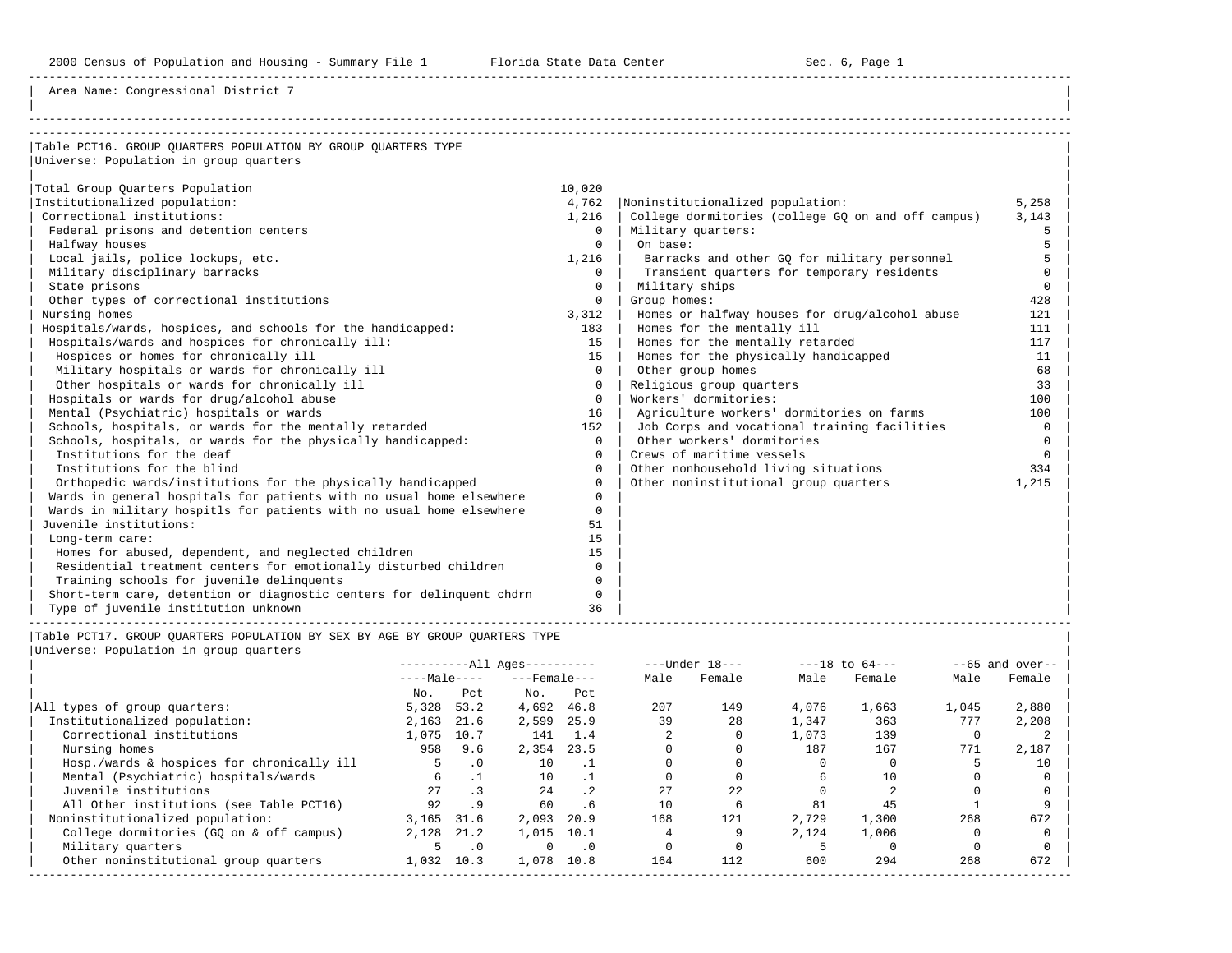2000 Census of Population and Housing - Summary File 1 Florida State Data Center Sec. 6, Page 1

-----------------------------------------------------------------------------------------------------------------------------------------------------

| |

Area Name: Congressional District 7

| Table PCT16. GROUP OUARTERS POPULATION BY GROUP OUARTERS TYPE         |              |                                                    |          |
|-----------------------------------------------------------------------|--------------|----------------------------------------------------|----------|
| Universe: Population in group quarters                                |              |                                                    |          |
|                                                                       |              |                                                    |          |
| Total Group Quarters Population                                       | 10,020       |                                                    |          |
| Institutionalized population:                                         | 4,762        | Noninstitutionalized population:                   | 5,258    |
| Correctional institutions:                                            | 1,216        | College dormitories (college GO on and off campus) | 3,143    |
| Federal prisons and detention centers                                 | $\Omega$     | Military quarters:                                 | 5        |
| Halfway houses                                                        | $\Omega$     | On base:                                           |          |
| Local jails, police lockups, etc.                                     | 1,216        | Barracks and other GQ for military personnel       | 5        |
| Military disciplinary barracks                                        | $\Omega$     | Transient quarters for temporary residents         | $\Omega$ |
| State prisons                                                         | $\Omega$     | Military ships                                     | $\Omega$ |
| Other types of correctional institutions                              | $\mathbf{0}$ | Group homes:                                       | 428      |
| Nursing homes                                                         | 3,312        | Homes or halfway houses for drug/alcohol abuse     | 121      |
| Hospitals/wards, hospices, and schools for the handicapped:           | 183          | Homes for the mentally ill                         | 111      |
| Hospitals/wards and hospices for chronically ill:                     | 15           | Homes for the mentally retarded                    | 117      |
| Hospices or homes for chronically ill                                 | 15           | Homes for the physically handicapped               | 11       |
| Military hospitals or wards for chronically ill                       | $\Omega$     | Other group homes                                  | 68       |
| Other hospitals or wards for chronically ill                          | $\Omega$     | Religious group quarters                           | 33       |
| Hospitals or wards for drug/alcohol abuse                             | $\Omega$     | Workers' dormitories:                              | 100      |
| Mental (Psychiatric) hospitals or wards                               | 16           | Agriculture workers' dormitories on farms          | 100      |
| Schools, hospitals, or wards for the mentally retarded                | 152          | Job Corps and vocational training facilities       | $\Omega$ |
| Schools, hospitals, or wards for the physically handicapped:          | $\Omega$     | Other workers' dormitories                         | $\Omega$ |
| Institutions for the deaf                                             | $\Omega$     | Crews of maritime vessels                          | $\Omega$ |
| Institutions for the blind                                            | $\Omega$     | Other nonhousehold living situations               | 334      |
| Orthopedic wards/institutions for the physically handicapped          | $\Omega$     | Other noninstitutional group quarters              | 1,215    |
| Wards in general hospitals for patients with no usual home elsewhere  | $\Omega$     |                                                    |          |
| Wards in military hospitls for patients with no usual home elsewhere  | $\Omega$     |                                                    |          |
| Juvenile institutions:                                                | 51           |                                                    |          |
| Long-term care:                                                       | 15           |                                                    |          |
| Homes for abused, dependent, and neglected children                   | 15           |                                                    |          |
| Residential treatment centers for emotionally disturbed children      | $\Omega$     |                                                    |          |
| Training schools for juvenile delinquents                             | $\Omega$     |                                                    |          |
| Short-term care, detention or diagnostic centers for delinquent chdrn | $\Omega$     |                                                    |          |
| Type of juvenile institution unknown                                  | 36           |                                                    |          |

|Table PCT17. GROUP QUARTERS POPULATION BY SEX BY AGE BY GROUP QUARTERS TYPE | |Universe: Population in group quarters |

|                                            |              |           | $------All Aqes------$ |           |      | $---Under 18---$ |       | $---18$ to $64---$ |       | $--65$ and over-- |
|--------------------------------------------|--------------|-----------|------------------------|-----------|------|------------------|-------|--------------------|-------|-------------------|
|                                            | $---Male---$ |           | $---$ Female $---$     |           | Male | Female           | Male  | Female             | Male  | Female            |
|                                            | No.          | Pct       | No.                    | Pct       |      |                  |       |                    |       |                   |
| All types of group quarters:               | 5,328        | 53.2      | 4,692                  | 46.8      | 207  | 149              | 4,076 | 1,663              | 1,045 | 2,880             |
| Institutionalized population:              | 2,163        | 21.6      | 2,599                  | 25.9      | 39   | 28               | 1,347 | 363                | 777   | 2,208             |
| Correctional institutions                  | 1,075        | 10.7      | 141                    | 1.4       |      |                  | 1,073 | 139                |       |                   |
| Nursing homes                              | 958          | 9.6       | 2,354                  | 23.5      |      |                  | 187   | 167                | 771   | 2,187             |
| Hosp./wards & hospices for chronically ill | 5.           | $\cdot$ 0 | 10                     | . 1       |      |                  |       |                    |       | 10                |
| Mental (Psychiatric) hospitals/wards       | 6            |           | 10                     |           |      |                  |       | 10                 |       |                   |
| Juvenile institutions                      | 27           |           | 2.4                    | .2        | 2.7  | 2.2.             |       |                    |       |                   |
| All Other institutions (see Table PCT16)   | 92           | . 9       | 60                     | . 6       | 10   | 6                | 81    | 45                 |       |                   |
| Noninstitutionalized population:           | 3,165        | 31.6      | 2,093                  | 20.9      | 168  | 121              | 2,729 | 1,300              | 268   | 672               |
| College dormitories (GO on & off campus)   | 2,128        | 21.2      | 1,015                  | 10.1      |      |                  | 2,124 | 1,006              |       |                   |
| Military quarters                          |              | .0        | $\Omega$               | $\cdot$ 0 |      |                  |       |                    |       |                   |
| Other noninstitutional group quarters      | 1,032        | 10.3      | 1,078                  | 10.8      | 164  | 112              | 600   | 294                | 268   | 672               |
|                                            |              |           |                        |           |      |                  |       |                    |       |                   |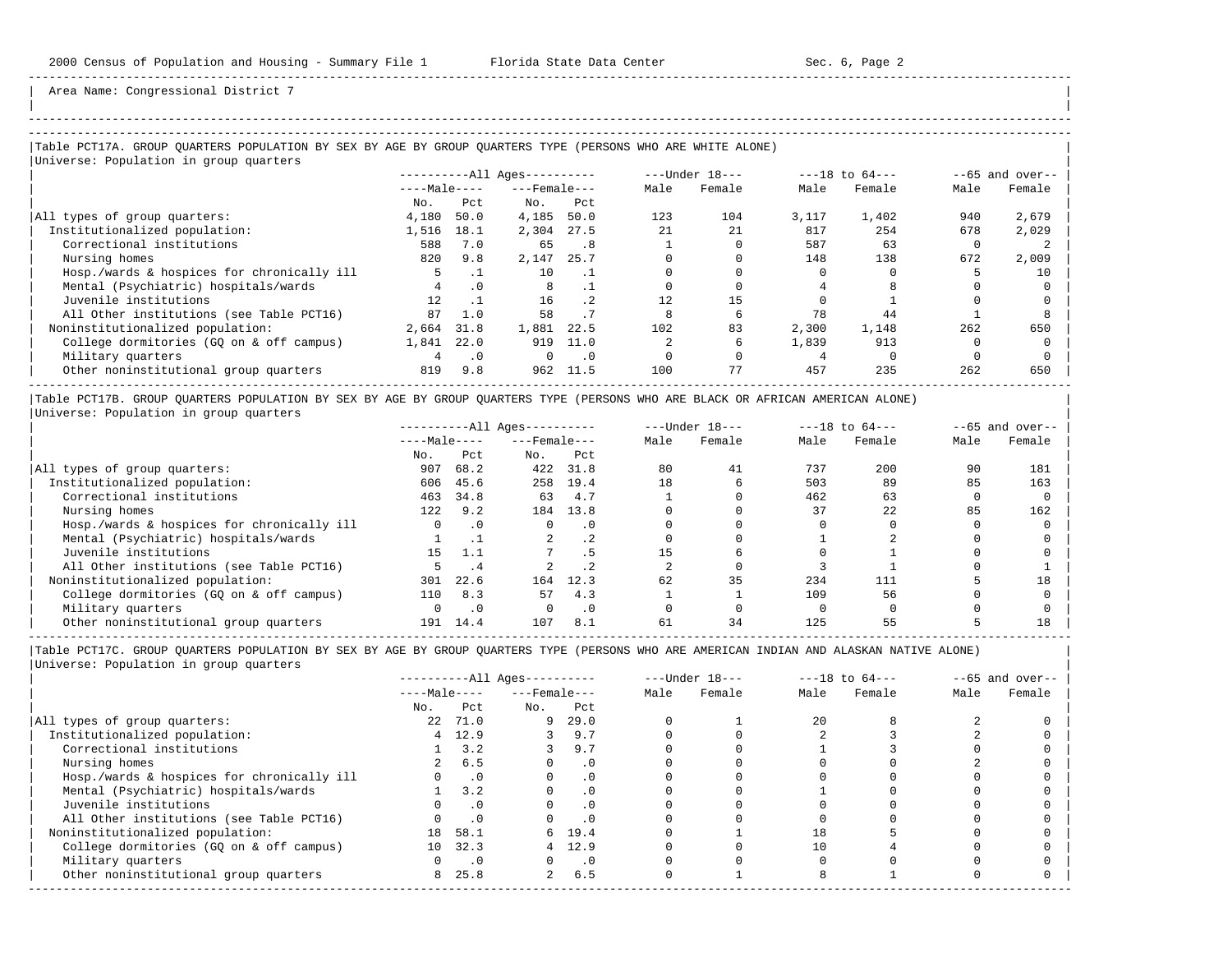| | -----------------------------------------------------------------------------------------------------------------------------------------------------

Area Name: Congressional District 7

## |Table PCT17A. GROUP QUARTERS POPULATION BY SEX BY AGE BY GROUP QUARTERS TYPE (PERSONS WHO ARE WHITE ALONE) |

| Universe: Population in group quarters     |                            |           |                    |           |      |                  |       |                    |      |                   |
|--------------------------------------------|----------------------------|-----------|--------------------|-----------|------|------------------|-------|--------------------|------|-------------------|
|                                            | $------All \text{Aqes}---$ |           |                    |           |      | $---Under 18---$ |       | $---18$ to $64---$ |      | $--65$ and over-- |
|                                            | $---Male---$               |           | $---$ Female $---$ |           | Male | Female           | Male  | Female             | Male | Female            |
|                                            | No.                        | Pct       | No.                | Pct       |      |                  |       |                    |      |                   |
| All types of group quarters:               | 4,180                      | 50.0      | 4,185              | 50.0      | 123  | 104              | 3,117 | 1,402              | 940  | 2,679             |
| Institutionalized population:              | 1,516                      | 18.1      | 2,304              | 27.5      | 2.1  | 21               | 817   | 254                | 678  | 2,029             |
| Correctional institutions                  | 588                        | 7.0       | 65                 | .8        |      |                  | 587   | 63                 |      |                   |
| Nursing homes                              | 820                        | 9.8       | 2,147              | 25.7      |      |                  | 148   | 138                | 672  | 2,009             |
| Hosp./wards & hospices for chronically ill |                            |           | 10                 |           |      |                  |       |                    |      | 10                |
| Mental (Psychiatric) hospitals/wards       |                            | $\cdot$ 0 | 8                  |           |      |                  |       |                    |      |                   |
| Juvenile institutions                      | 12.                        |           | 16                 | $\cdot$ 2 | 12.  | 15               |       |                    |      |                   |
| All Other institutions (see Table PCT16)   | 87                         | 1.0       | 58                 |           |      | б.               | 78    | 44                 |      |                   |
| Noninstitutionalized population:           | 2,664                      | 31.8      | 1,881              | 22.5      | 102  | 83               | 2,300 | 1,148              | 262  | 650               |
| College dormitories (GO on & off campus)   | 1,841                      | 22.0      | 919                | 11.0      |      |                  | 1,839 | 913                |      |                   |
| Military quarters                          | 4                          | $\cdot$ 0 | $\Omega$           | $\cdot$ 0 |      |                  |       |                    |      |                   |
| Other noninstitutional group quarters      | 819                        | 9.8       | 962                | 11.5      | 100  | 77               | 457   | 235                | 262  | 650               |
|                                            |                            |           |                    |           |      |                  |       |                    |      |                   |

|Table PCT17B. GROUP QUARTERS POPULATION BY SEX BY AGE BY GROUP QUARTERS TYPE (PERSONS WHO ARE BLACK OR AFRICAN AMERICAN ALONE) | |Universe: Population in group quarters |

|                                            |              |           | $------All Aqes------$ |                 |      | $---Under 18---$ |      | $---18$ to $64---$ |      | $--65$ and over-- |
|--------------------------------------------|--------------|-----------|------------------------|-----------------|------|------------------|------|--------------------|------|-------------------|
|                                            | $---Male---$ |           | $---$ Female $---$     |                 | Male | Female           | Male | Female             | Male | Female            |
|                                            | No.          | Pct       | No.                    | Pct             |      |                  |      |                    |      |                   |
| All types of group quarters:               | 907          | 68.2      | 422                    | 31.8            | 80   | 41               | 737  | 200                | 90   | 181               |
| Institutionalized population:              | 606          | 45.6      | 258                    | 19.4            | 18   | b                | 503  | 89                 | 85   | 163               |
| Correctional institutions                  | 463          | 34.8      | 63                     | 4.7             |      |                  | 462  | 63                 |      |                   |
| Nursing homes                              | 122          | 9.2       | 184                    | 13.8            |      |                  | 37   | 22                 | 85   | 162               |
| Hosp./wards & hospices for chronically ill | 0            | $\cdot$ 0 |                        | . 0             |      |                  |      |                    |      |                   |
| Mental (Psychiatric) hospitals/wards       |              |           |                        | .2 <sub>2</sub> |      |                  |      |                    |      |                   |
| Juvenile institutions                      | 15           | 1.1       |                        |                 |      |                  |      |                    |      |                   |
| All Other institutions (see Table PCT16)   |              | . 4       |                        | .2              |      |                  |      |                    |      |                   |
| Noninstitutionalized population:           | 301          | 22.6      | 164                    | 12.3            | 62   | 35               | 234  | 111                |      | 18                |
| College dormitories (GO on & off campus)   | 110          | 8.3       | 57                     | 4.3             |      |                  | 109  | 56                 |      |                   |
| Military quarters                          |              | $\cdot$ 0 |                        | $\cdot$ 0       |      |                  |      |                    |      |                   |
| Other noninstitutional group quarters      | 191          | 14.4      | 107                    | 8.1             | 61   | 34               | 125  |                    |      | 18                |

-----------------------------------------------------------------------------------------------------------------------------------------------------

|                                            |              |            | $------All Aqes------$ |           |      | $---Under 18---$ |      | $---18$ to $64---$ |      | $--65$ and over-- |
|--------------------------------------------|--------------|------------|------------------------|-----------|------|------------------|------|--------------------|------|-------------------|
|                                            | $---Male---$ |            | $---$ Female $---$     |           | Male | Female           | Male | Female             | Male | Female            |
|                                            | No.          | Pct        | No.                    | Pct       |      |                  |      |                    |      |                   |
| All types of group quarters:               | 22           | 71.0       | 9                      | 29.0      |      |                  | 20   |                    |      |                   |
| Institutionalized population:              | 4            | 12.9       |                        | 9.7       |      |                  |      |                    |      |                   |
| Correctional institutions                  |              | 3.2        |                        | 9.7       |      |                  |      |                    |      |                   |
| Nursing homes                              |              | 6.5        |                        | $\cdot$ 0 |      |                  |      |                    |      |                   |
| Hosp./wards & hospices for chronically ill |              | $\cdot$ 0  |                        | $\cdot$ 0 |      |                  |      |                    |      |                   |
| Mental (Psychiatric) hospitals/wards       |              | 3.2        |                        | $\cdot$ 0 |      |                  |      |                    |      |                   |
| Juvenile institutions                      |              | $\cdot$ 0  |                        | $\cdot$ 0 |      |                  |      |                    |      |                   |
| All Other institutions (see Table PCT16)   |              | $\cdot$ 0  |                        |           |      |                  |      |                    |      |                   |
| Noninstitutionalized population:           | 18           | 58.1       |                        | 6 19.4    |      |                  | 18   |                    |      |                   |
| College dormitories (GO on & off campus)   | 10           | 32.3       |                        | 12.9      |      |                  |      |                    |      |                   |
| Military quarters                          |              | $\cdot$ .0 |                        | $\cdot$ 0 |      |                  |      |                    |      |                   |
| Other noninstitutional group quarters      | 8            | 25.8       | $\overline{a}$         | 6.5       |      |                  |      |                    |      |                   |
|                                            |              |            |                        |           |      |                  |      |                    |      |                   |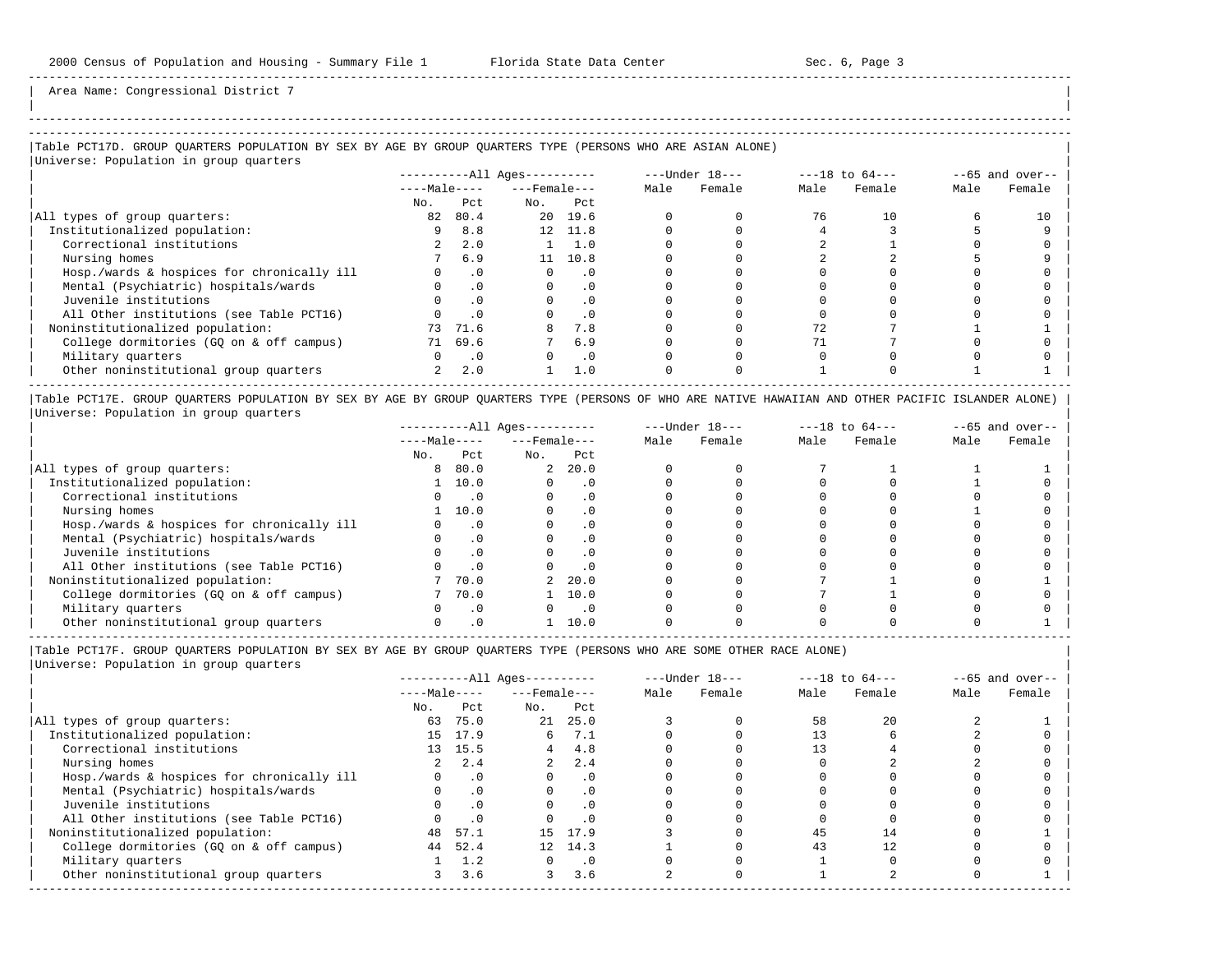Area Name: Congressional District 7

## ----------------------------------------------------------------------------------------------------------------------------------------------------- |Table PCT17D. GROUP QUARTERS POPULATION BY SEX BY AGE BY GROUP QUARTERS TYPE (PERSONS WHO ARE ASIAN ALONE) |

|Universe: Population in group quarters |

|                                            |              |           | $------All Aqes------$ |           |      | $---Under 18---$ | $---18$ to $64---$ |        | $--65$ and over-- |        |
|--------------------------------------------|--------------|-----------|------------------------|-----------|------|------------------|--------------------|--------|-------------------|--------|
|                                            | $---Male---$ |           | $---$ Female $---$     |           | Male | Female           | Male               | Female | Male              | Female |
|                                            | No.          | Pct       | No.                    | Pct       |      |                  |                    |        |                   |        |
| All types of group quarters:               | 82           | 80.4      |                        | 20 19.6   |      |                  | 76                 | 10     |                   |        |
| Institutionalized population:              |              | 8.8       |                        | 12 11.8   |      |                  |                    |        |                   |        |
| Correctional institutions                  |              | 2.0       |                        | 1.0       |      |                  |                    |        |                   |        |
| Nursing homes                              |              | 6.9       | 11                     | 10.8      |      |                  |                    |        |                   |        |
| Hosp./wards & hospices for chronically ill |              | $\cdot$ 0 |                        | . 0       |      |                  |                    |        |                   |        |
| Mental (Psychiatric) hospitals/wards       |              | .0        |                        | $\cdot$ 0 |      |                  |                    |        |                   |        |
| Juvenile institutions                      |              |           |                        | . 0       |      |                  |                    |        |                   |        |
| All Other institutions (see Table PCT16)   |              |           |                        | . 0       |      |                  |                    |        |                   |        |
| Noninstitutionalized population:           | 73           | 71.6      |                        | 7.8       |      |                  | 72                 |        |                   |        |
| College dormitories (GO on & off campus)   | 71           | 69.6      |                        | 6.9       |      |                  |                    |        |                   |        |
| Military quarters                          |              | $\cdot$ 0 |                        | . 0       |      |                  |                    |        |                   |        |
| Other noninstitutional group quarters      |              | 2.0       |                        | 1.0       |      |                  |                    |        |                   |        |
|                                            |              |           |                        |           |      |                  |                    |        |                   |        |

|Table PCT17E. GROUP QUARTERS POPULATION BY SEX BY AGE BY GROUP QUARTERS TYPE (PERSONS OF WHO ARE NATIVE HAWAIIAN AND OTHER PACIFIC ISLANDER ALONE) | |Universe: Population in group quarters |

|                                            |              |           | $------All Aqes------$ |           |      | $---Under 18---$ | $---18$ to $64---$ |        | $- -65$ and over-- |        |
|--------------------------------------------|--------------|-----------|------------------------|-----------|------|------------------|--------------------|--------|--------------------|--------|
|                                            | $---Male---$ |           | $---$ Female $---$     |           | Male | Female           | Male               | Female | Male               | Female |
|                                            | No.          | Pct       | No.                    | Pct       |      |                  |                    |        |                    |        |
| All types of group quarters:               | 8            | 80.0      | $\overline{2}$         | 20.0      |      |                  |                    |        |                    |        |
| Institutionalized population:              |              | 10.0      |                        | . 0       |      |                  |                    |        |                    |        |
| Correctional institutions                  |              |           |                        | $\cdot$ 0 |      |                  |                    |        |                    |        |
| Nursing homes                              |              | 10.0      |                        | $\cdot$ 0 |      |                  |                    |        |                    |        |
| Hosp./wards & hospices for chronically ill |              | $\cdot$ 0 |                        | . 0       |      |                  |                    |        |                    |        |
| Mental (Psychiatric) hospitals/wards       |              |           |                        | $\cdot$ 0 |      |                  |                    |        |                    |        |
| Juvenile institutions                      |              |           |                        | . 0       |      |                  |                    |        |                    |        |
| All Other institutions (see Table PCT16)   |              |           |                        | $\cdot$ 0 |      |                  |                    |        |                    |        |
| Noninstitutionalized population:           |              | 70.0      | 2                      | 20.0      |      |                  |                    |        |                    |        |
| College dormitories (GO on & off campus)   |              | 70.0      |                        | 10.0      |      |                  |                    |        |                    |        |
| Military quarters                          |              | $\cdot$ 0 |                        | $\cdot$ 0 |      |                  |                    |        |                    |        |
| Other noninstitutional group quarters      |              |           |                        | 10.0      |      |                  |                    |        |                    |        |

-----------------------------------------------------------------------------------------------------------------------------------------------------

|Table PCT17F. GROUP QUARTERS POPULATION BY SEX BY AGE BY GROUP QUARTERS TYPE (PERSONS WHO ARE SOME OTHER RACE ALONE) |

|                                            |              |                | $------All Ages------$ |           |      | $---Under 18---$ |      | $---18$ to $64---$ |      | $--65$ and over-- |
|--------------------------------------------|--------------|----------------|------------------------|-----------|------|------------------|------|--------------------|------|-------------------|
|                                            | $---Male---$ |                | $---$ Female $---$     |           | Male | Female           | Male | Female             | Male | Female            |
|                                            | No.          | Pct            | No.                    | Pct       |      |                  |      |                    |      |                   |
| All types of group quarters:               | 63           | 75.0           | 21                     | 25.0      |      |                  | 58   | 20                 |      |                   |
| Institutionalized population:              | 15           | 17.9           | 6                      | 7.1       |      |                  |      |                    |      |                   |
| Correctional institutions                  |              | 13 15.5        | 4                      | 4.8       |      |                  | 13   |                    |      |                   |
| Nursing homes                              | 2            | 2.4            |                        | 2.4       |      |                  |      |                    |      |                   |
| Hosp./wards & hospices for chronically ill |              | $\cdot$ 0      |                        | $\cdot$ 0 |      |                  |      |                    |      |                   |
| Mental (Psychiatric) hospitals/wards       |              | .0             |                        | $\cdot$ 0 |      |                  |      |                    |      |                   |
| Juvenile institutions                      |              | $\cdot$ 0      |                        |           |      |                  |      |                    |      |                   |
| All Other institutions (see Table PCT16)   |              | $\overline{0}$ |                        | $\cdot$ 0 |      |                  |      |                    |      |                   |
| Noninstitutionalized population:           | 48           | 57.1           |                        | 15 17.9   |      |                  | 45   | 14                 |      |                   |
| College dormitories (GQ on & off campus)   | 44           | 52.4           |                        | 12 14.3   |      |                  | 43   |                    |      |                   |
| Military quarters                          |              | 1.2            |                        | $\cdot$ 0 |      |                  |      |                    |      |                   |
| Other noninstitutional group quarters      | 3            | 3.6            | 3                      | 3.6       |      |                  |      |                    |      |                   |
|                                            |              |                |                        |           |      |                  |      |                    |      |                   |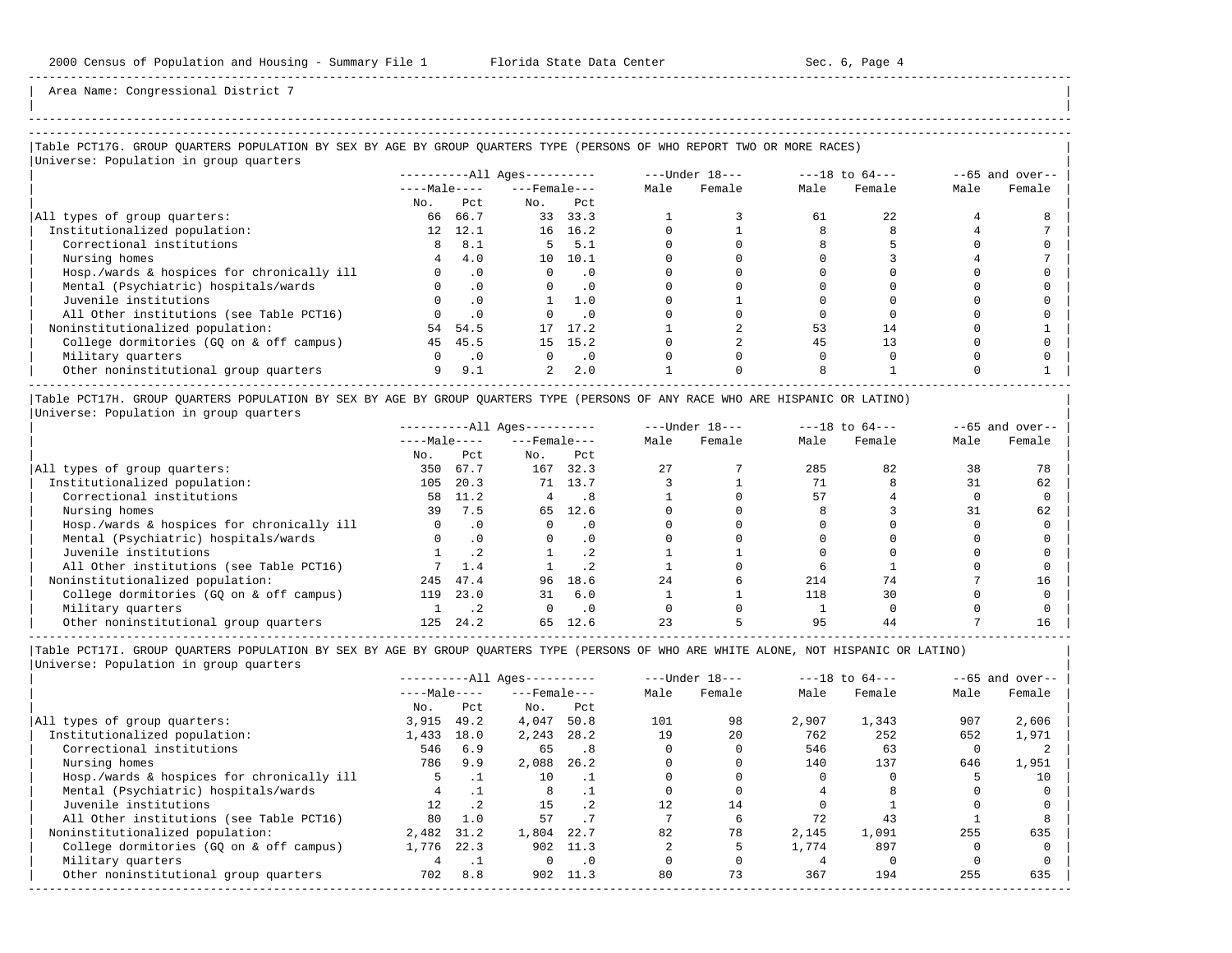| |

-----------------------------------------------------------------------------------------------------------------------------------------------------

Area Name: Congressional District 7

# -----------------------------------------------------------------------------------------------------------------------------------------------------

### |Table PCT17G. GROUP QUARTERS POPULATION BY SEX BY AGE BY GROUP QUARTERS TYPE (PERSONS OF WHO REPORT TWO OR MORE RACES) |

|                                            |              |            | $------All Aqes------$ |                             |      | $---Under 18---$ |      | $---18$ to $64---$ |      | $--65$ and over-- |
|--------------------------------------------|--------------|------------|------------------------|-----------------------------|------|------------------|------|--------------------|------|-------------------|
|                                            | $---Male---$ |            | $---$ Female $---$     |                             | Male | Female           | Male | Female             | Male | Female            |
|                                            | No.          | Pct        | No.                    | Pct                         |      |                  |      |                    |      |                   |
| All types of group quarters:               | 66           | 66.7       |                        | 33 33.3                     |      |                  | 61   | 22                 |      |                   |
| Institutionalized population:              | 12           | 12.1       |                        | 16 16.2                     |      |                  |      |                    |      |                   |
| Correctional institutions                  | 8            | 8.1        |                        | 5, 5.1                      |      |                  |      |                    |      |                   |
| Nursing homes                              |              | 4.0        |                        | 10 10.1                     |      |                  |      |                    |      |                   |
| Hosp./wards & hospices for chronically ill | $\Omega$     | $\cdot$ 0  | $\Omega$               | $\overline{0}$              |      |                  |      |                    |      |                   |
| Mental (Psychiatric) hospitals/wards       | $\Omega$     | $\cdot$ 0  | $\Omega$               | $\overline{\phantom{0}}$ .0 |      |                  |      |                    |      |                   |
| Juvenile institutions                      |              | $\cdot$ 0  |                        | 1.0                         |      |                  |      |                    |      |                   |
| All Other institutions (see Table PCT16)   |              | $\cdot$ 0  |                        | $\cdot$ 0                   |      |                  |      |                    |      |                   |
| Noninstitutionalized population:           | 54           | 54.5       | 17                     | 17.2                        |      |                  | 53   | 14                 |      |                   |
| College dormitories (GQ on & off campus)   | 45           | 45.5       |                        | 15 15.2                     |      |                  | 45   | 13                 |      |                   |
| Military quarters                          | $\Omega$     | $\cdot$ .0 | $\Omega$               | $\overline{\phantom{0}}$ .  |      |                  |      |                    |      |                   |
| Other noninstitutional group quarters      | 9            | 9.1        | $\overline{a}$         | 2.0                         |      |                  |      |                    |      |                   |

|Table PCT17H. GROUP QUARTERS POPULATION BY SEX BY AGE BY GROUP QUARTERS TYPE (PERSONS OF ANY RACE WHO ARE HISPANIC OR LATINO) | |Universe: Population in group quarters |

|                                            |              |           | $------All Ages------$ |           |      | $---Under 18---$ | $---18$ to $64---$ |        | $--65$ and over-- |        |
|--------------------------------------------|--------------|-----------|------------------------|-----------|------|------------------|--------------------|--------|-------------------|--------|
|                                            | $---Male---$ |           | $---$ Female $---$     |           | Male | Female           | Male               | Female | Male              | Female |
|                                            | No.          | Pct       | No.                    | Pct       |      |                  |                    |        |                   |        |
| All types of group quarters:               | 350          | 67.7      | 167                    | 32.3      | 2.7  |                  | 285                | 82     | 38                |        |
| Institutionalized population:              | 105          | 20.3      |                        | 71 13.7   |      |                  |                    |        | 31                | 62     |
| Correctional institutions                  | 58           | 11.2      | 4                      | . 8       |      |                  | 57                 |        |                   |        |
| Nursing homes                              | 39           | 7.5       | 65                     | 12.6      |      |                  |                    |        |                   | 62     |
| Hosp./wards & hospices for chronically ill |              | $\cdot$ 0 |                        | . 0       |      |                  |                    |        |                   |        |
| Mental (Psychiatric) hospitals/wards       |              | $\cdot$ 0 |                        |           |      |                  |                    |        |                   |        |
| Juvenile institutions                      |              |           |                        | $\cdot$ 2 |      |                  |                    |        |                   |        |
| All Other institutions (see Table PCT16)   |              | 1.4       |                        |           |      |                  |                    |        |                   |        |
| Noninstitutionalized population:           | 245          | 47.4      | 96                     | 18.6      | 24   |                  | 214                | 74     |                   | 16     |
| College dormitories (GQ on & off campus)   | 119          | 23.0      | 31                     | 6.0       |      |                  | 118                | 30     |                   |        |
| Military quarters                          |              |           |                        | $\cdot$ 0 |      |                  |                    |        |                   |        |
| Other noninstitutional group quarters      | 125          | 24.2      | 65                     | 12.6      |      |                  | 95                 |        |                   |        |

-----------------------------------------------------------------------------------------------------------------------------------------------------

|                                            |              |                 | $------All Ages------$ |           |      | $---Under 18---$ |       | $---18$ to $64---$ |      | $--65$ and over-- |
|--------------------------------------------|--------------|-----------------|------------------------|-----------|------|------------------|-------|--------------------|------|-------------------|
|                                            | $---Male---$ |                 | $---$ Female $---$     |           | Male | Female           | Male  | Female             | Male | Female            |
|                                            | No.          | Pct             | No.                    | Pct       |      |                  |       |                    |      |                   |
| All types of group quarters:               | 3,915        | 49.2            | 4,047                  | 50.8      | 101  | 98               | 2,907 | 1,343              | 907  | 2,606             |
| Institutionalized population:              | 1,433        | 18.0            | 2,243                  | 28.2      | 19   | 20               | 762   | 252                | 652  | 1,971             |
| Correctional institutions                  | 546          | 6.9             | 65                     | .8        |      |                  | 546   | 63                 |      |                   |
| Nursing homes                              | 786          | 9.9             | 2,088                  | 26.2      |      |                  | 140   | 137                | 646  | 1,951             |
| Hosp./wards & hospices for chronically ill |              |                 | 10                     |           |      |                  |       |                    |      | 10                |
| Mental (Psychiatric) hospitals/wards       |              |                 | 8                      |           |      |                  |       |                    |      |                   |
| Juvenile institutions                      | 12.          | .2 <sub>2</sub> | 15                     |           |      | 14               |       |                    |      |                   |
| All Other institutions (see Table PCT16)   | 80           | 1.0             | 57                     |           |      |                  | 72    | 43                 |      |                   |
| Noninstitutionalized population:           | 2,482        | 31.2            | 1,804                  | 22.7      | 82   | 78               | 2,145 | 1,091              | 255  | 635               |
| College dormitories (GO on & off campus)   | 1,776        | 22.3            |                        | 902 11.3  |      |                  | 1,774 | 897                |      |                   |
| Military quarters                          |              |                 | $\Omega$               | $\cdot$ 0 |      |                  |       |                    |      |                   |
| Other noninstitutional group quarters      | 702          | 8.8             | 902                    | 11.3      | 80   | 73               | 367   | 194                | 255  | 635               |
|                                            |              |                 |                        |           |      |                  |       |                    |      |                   |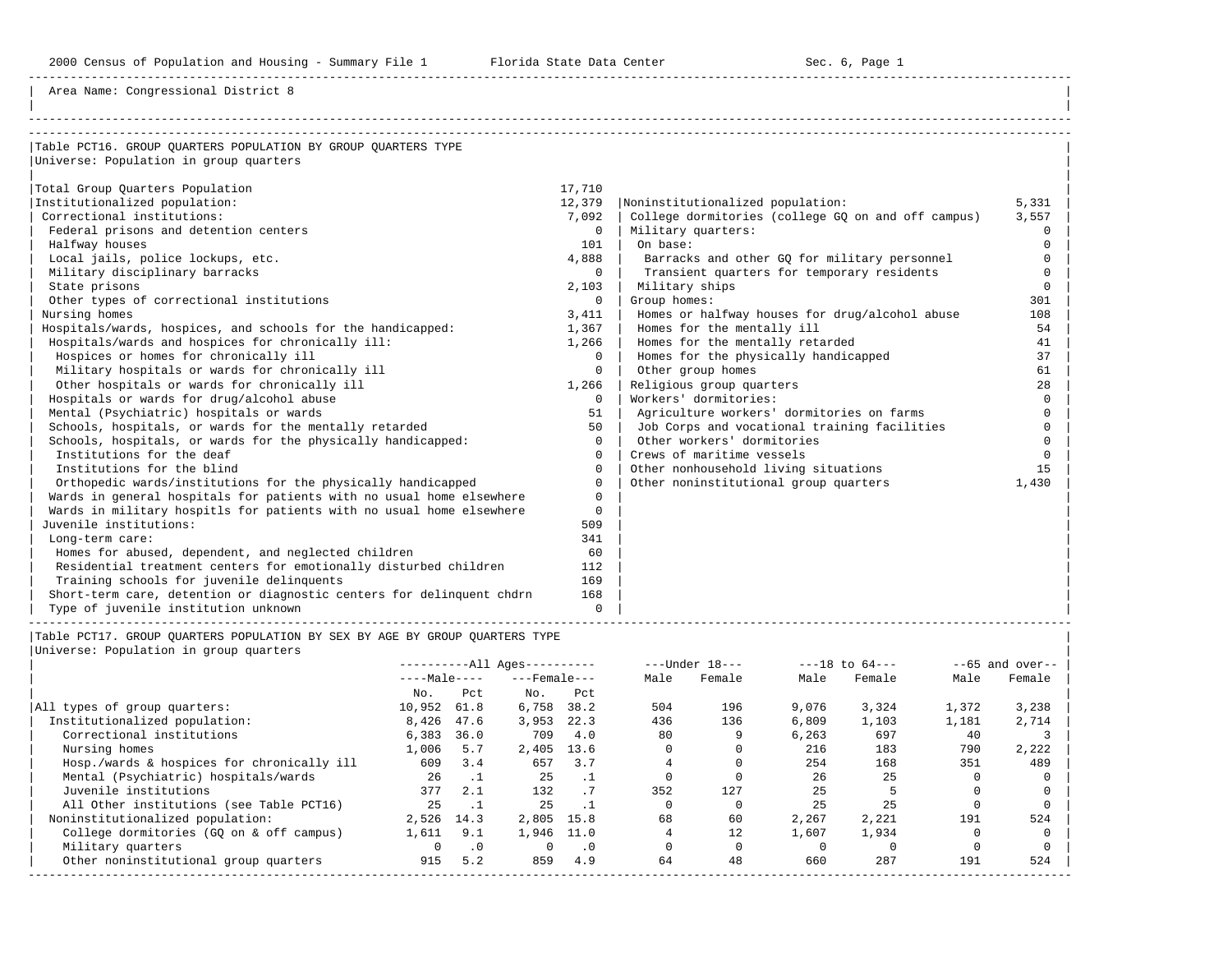Area Name: Congressional District 8

| Table PCT16. GROUP OUARTERS POPULATION BY GROUP OUARTERS TYPE         |                |                                                    |              |
|-----------------------------------------------------------------------|----------------|----------------------------------------------------|--------------|
| Universe: Population in group quarters                                |                |                                                    |              |
|                                                                       |                |                                                    |              |
| Total Group Ouarters Population                                       | 17,710         |                                                    |              |
| Institutionalized population:                                         | 12,379         | Noninstitutionalized population:                   | 5,331        |
| Correctional institutions:                                            | 7,092          | College dormitories (college GQ on and off campus) | 3,557        |
| Federal prisons and detention centers                                 | $\Omega$       | Military quarters:                                 | 0            |
| Halfway houses                                                        | 101            | On base:                                           | 0            |
| Local jails, police lockups, etc.                                     | 4,888          | Barracks and other GQ for military personnel       | <sup>n</sup> |
| Military disciplinary barracks                                        | $\overline{0}$ | Transient quarters for temporary residents         | $\Omega$     |
| State prisons                                                         | 2,103          | Military ships                                     | <sup>n</sup> |
| Other types of correctional institutions                              | $\Omega$       | Group homes:                                       | 301          |
| Nursing homes                                                         | 3,411          | Homes or halfway houses for drug/alcohol abuse     | 108          |
| Hospitals/wards, hospices, and schools for the handicapped:           | 1,367          | Homes for the mentally ill                         | 54           |
| Hospitals/wards and hospices for chronically ill:                     | 1,266          | Homes for the mentally retarded                    | 41           |
| Hospices or homes for chronically ill                                 | $\Omega$       | Homes for the physically handicapped               | 37           |
| Military hospitals or wards for chronically ill                       | $\Omega$       | Other group homes                                  | 61           |
| Other hospitals or wards for chronically ill                          | 1,266          | Religious group quarters                           | 28           |
| Hospitals or wards for drug/alcohol abuse                             | $\Omega$       | Workers' dormitories:                              | $\Omega$     |
| Mental (Psychiatric) hospitals or wards                               | 51             | Agriculture workers' dormitories on farms          | U            |
| Schools, hospitals, or wards for the mentally retarded                | 50             | Job Corps and vocational training facilities       |              |
| Schools, hospitals, or wards for the physically handicapped:          | $\Omega$       | Other workers' dormitories                         |              |
| Institutions for the deaf                                             | $\Omega$       | Crews of maritime vessels                          |              |
| Institutions for the blind                                            | $\Omega$       | Other nonhousehold living situations               | 1.5          |
| Orthopedic wards/institutions for the physically handicapped          | $\Omega$       | Other noninstitutional group quarters              | 1,430        |
| Wards in general hospitals for patients with no usual home elsewhere  | $\Omega$       |                                                    |              |
| Wards in military hospitls for patients with no usual home elsewhere  | $\Omega$       |                                                    |              |
| Juvenile institutions:                                                | 509            |                                                    |              |
| Long-term care:                                                       | 341            |                                                    |              |
| Homes for abused, dependent, and neglected children                   | 60             |                                                    |              |
| Residential treatment centers for emotionally disturbed children      | 112            |                                                    |              |
| Training schools for juvenile delinquents                             | 169            |                                                    |              |
| Short-term care, detention or diagnostic centers for delinguent chdrn | 168            |                                                    |              |
| Type of juvenile institution unknown                                  | $\Omega$       |                                                    |              |

|Table PCT17. GROUP QUARTERS POPULATION BY SEX BY AGE BY GROUP QUARTERS TYPE |

| Universe: Population in group quarters |  |
|----------------------------------------|--|
|                                        |  |

|                                            |              |           | $------All Aqes------$ |           |      | $---Under 18---$ |       | $---18$ to $64---$ |       | $--65$ and over-- |
|--------------------------------------------|--------------|-----------|------------------------|-----------|------|------------------|-------|--------------------|-------|-------------------|
|                                            | $---Male---$ |           | $---$ Female $---$     |           | Male | Female           | Male  | Female             | Male  | Female            |
|                                            | No.          | Pct       | No.                    | Pct       |      |                  |       |                    |       |                   |
| All types of group quarters:               | 10,952       | 61.8      | 6,758                  | 38.2      | 504  | 196              | 9,076 | 3,324              | 1,372 | 3,238             |
| Institutionalized population:              | 8,426        | 47.6      | 3,953                  | 22.3      | 436  | 136              | 6,809 | 1,103              | 1,181 | 2,714             |
| Correctional institutions                  | 6,383        | 36.0      | 709                    | 4.0       | 80   |                  | 6,263 | 697                | 40    |                   |
| Nursing homes                              | 1,006        | 5.7       | 2,405                  | 13.6      |      |                  | 216   | 183                | 790   | 2,222             |
| Hosp./wards & hospices for chronically ill | 609          | 3.4       | 657                    | 3.7       |      |                  | 254   | 168                | 351   | 489               |
| Mental (Psychiatric) hospitals/wards       | 26           | $\cdot$ 1 | 25                     |           |      |                  | 26    | 25                 |       |                   |
| Juvenile institutions                      | 377          | 2.1       | 132                    | .7        | 352  | 127              | 25    |                    |       |                   |
| All Other institutions (see Table PCT16)   | 25           |           | 25                     |           |      |                  | 25    | 25                 |       |                   |
| Noninstitutionalized population:           | 2,526        | 14.3      | 2,805 15.8             |           | 68   | 60               | 2,267 | 2,221              | 191   | 524               |
| College dormitories (GO on & off campus)   | 1,611        | 9.1       | 1,946 11.0             |           |      | 12               | 1,607 | 1,934              |       |                   |
| Military quarters                          |              | $\cdot$ 0 | 0                      | $\cdot$ 0 |      |                  |       |                    |       |                   |
| Other noninstitutional group quarters      | 915          | 5.2       | 859                    | 4.9       | 64   | 48               | 660   | 287                | 191   | 524               |
|                                            |              |           |                        |           |      |                  |       |                    |       |                   |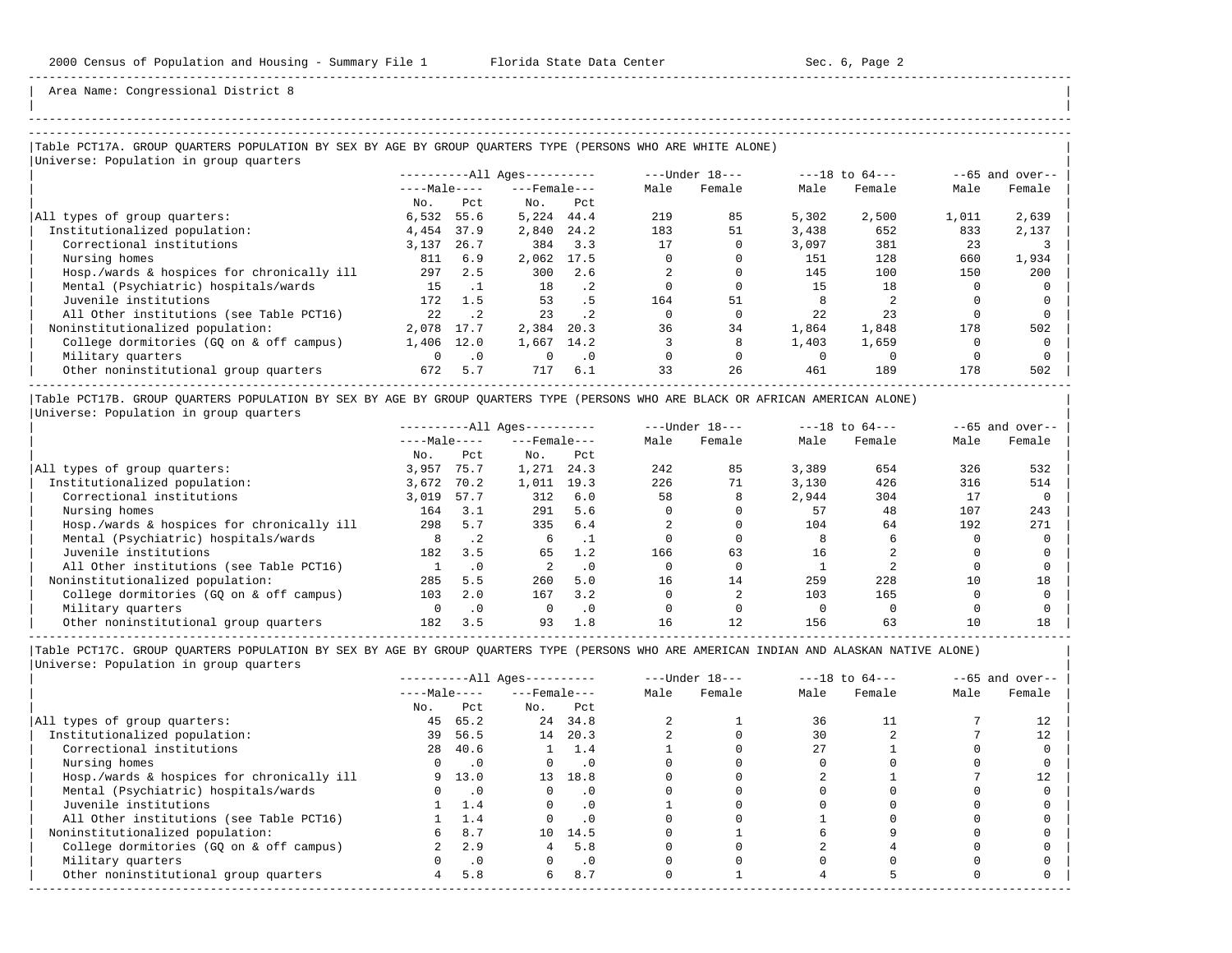-----------------------------------------------------------------------------------------------------------------------------------------------------

Area Name: Congressional District 8

## |Table PCT17A. GROUP QUARTERS POPULATION BY SEX BY AGE BY GROUP QUARTERS TYPE (PERSONS WHO ARE WHITE ALONE) |

|                                            |              |           | $------All Aqes------$ |           |      | $---Under 18---$ |       | $---18$ to $64---$ |       | $--65$ and over-- |
|--------------------------------------------|--------------|-----------|------------------------|-----------|------|------------------|-------|--------------------|-------|-------------------|
|                                            | $---Male---$ |           | $---$ Female $---$     |           | Male | Female           | Male  | Female             | Male  | Female            |
|                                            | No.          | Pct       | No.                    | Pct       |      |                  |       |                    |       |                   |
| All types of group quarters:               | 6,532        | 55.6      | 5,224                  | 44.4      | 219  | 85               | 5,302 | 2,500              | 1,011 | 2,639             |
| Institutionalized population:              | 4,454        | 37.9      | 2,840                  | 24.2      | 183  | 51               | 3,438 | 652                | 833   | 2,137             |
| Correctional institutions                  | 3,137        | 26.7      | 384                    | 3.3       | 17   |                  | 3,097 | 381                | 23    |                   |
| Nursing homes                              | 811          | 6.9       | 2,062                  | 17.5      |      |                  | 151   | 128                | 660   | 1,934             |
| Hosp./wards & hospices for chronically ill | 297          | 2.5       | 300                    | 2.6       |      |                  | 145   | 100                | 150   | 200               |
| Mental (Psychiatric) hospitals/wards       | 15           |           | 18                     | $\cdot$ 2 |      |                  | 15    | 18                 |       |                   |
| Juvenile institutions                      | 172          | 1.5       | 53                     | . 5       | 164  | 51               |       |                    |       |                   |
| All Other institutions (see Table PCT16)   | 2.2.         | $\cdot$ 2 | 23                     | $\cdot$ 2 |      |                  | 2.2.  | 23                 |       |                   |
| Noninstitutionalized population:           | 2,078        | 17.7      | 2,384                  | 20.3      | 36   | 34               | 1,864 | 1,848              | 178   | 502               |
| College dormitories (GO on & off campus)   | 1,406        | 12.0      | 1,667                  | 14.2      |      |                  | 1,403 | 1,659              |       |                   |
| Military quarters                          | $\Omega$     | $\cdot$ 0 | $\Omega$               | $\cdot$ 0 |      |                  |       |                    |       |                   |
| Other noninstitutional group quarters      | 672          | 5.7       | 717                    | 6.1       | 33   | 26               | 461   | 189                | 178   | 502               |

|Table PCT17B. GROUP QUARTERS POPULATION BY SEX BY AGE BY GROUP QUARTERS TYPE (PERSONS WHO ARE BLACK OR AFRICAN AMERICAN ALONE) | |Universe: Population in group quarters |

|                                            |              |           | $------All Aqes------$ |           |      | $---Under 18---$ |       | $---18$ to $64---$ |      | $--65$ and over-- |
|--------------------------------------------|--------------|-----------|------------------------|-----------|------|------------------|-------|--------------------|------|-------------------|
|                                            | $---Male---$ |           | $---$ Female $---$     |           | Male | Female           | Male  | Female             | Male | Female            |
|                                            | No.          | Pct       | No.                    | Pct       |      |                  |       |                    |      |                   |
| All types of group quarters:               | 3,957        | 75.7      | 1,271                  | 24.3      | 242  | 85               | 3,389 | 654                | 326  | 532               |
| Institutionalized population:              | 3,672        | 70.2      | 1,011                  | 19.3      | 226  | 71               | 3.130 | 426                | 316  | 514               |
| Correctional institutions                  | 3,019        | 57.7      | 312                    | 6.0       | 58   |                  | 2,944 | 304                | 17   |                   |
| Nursing homes                              | 164          | 3.1       | 291                    | 5.6       |      |                  | 57    | 48                 | 107  | 243               |
| Hosp./wards & hospices for chronically ill | 298          | 5.7       | 335                    | 6.4       |      |                  | 104   | 64                 | 192  | 271               |
| Mental (Psychiatric) hospitals/wards       | 8            | $\cdot$ 2 |                        |           |      |                  |       |                    |      |                   |
| Juvenile institutions                      | 182          | 3.5       | 65                     | 1.2       | 166  | 63               | 16    |                    |      |                   |
| All Other institutions (see Table PCT16)   |              | $\cdot$ 0 |                        | $\cdot$ 0 |      |                  |       |                    |      |                   |
| Noninstitutionalized population:           | 285          | 5.5       | 260                    | 5.0       | 16   | 14               | 259   | 228                | 10   | 18                |
| College dormitories (GQ on & off campus)   | 103          | 2.0       | 167                    | 3.2       |      |                  | 103   | 165                |      |                   |
| Military quarters                          | 0            | $\cdot$ 0 |                        | $\cdot$ 0 |      |                  |       |                    |      |                   |
| Other noninstitutional group quarters      | 182          | 3.5       | 93                     | 1.8       | 16   | 12               | 156   | 63                 | 10   | 18                |

-----------------------------------------------------------------------------------------------------------------------------------------------------

|                                            |              |            | $------All Aqes------$ |               |      | $---Under 18---$ |      | $---18$ to $64---$ |      | $--65$ and over-- |
|--------------------------------------------|--------------|------------|------------------------|---------------|------|------------------|------|--------------------|------|-------------------|
|                                            | $---Male---$ |            | $---$ Female $---$     |               | Male | Female           | Male | Female             | Male | Female            |
|                                            | No.          | Pct        | No.                    | Pct           |      |                  |      |                    |      |                   |
| All types of group quarters:               | 45           | 65.2       |                        | 24 34.8       |      |                  | 36   |                    |      |                   |
| Institutionalized population:              | 39           | 56.5       | 14                     | 20.3          |      |                  | 30   |                    |      |                   |
| Correctional institutions                  | 28           | 40.6       |                        | $1 \quad 1.4$ |      |                  | 27   |                    |      |                   |
| Nursing homes                              |              | $\cdot$ 0  |                        | $\cdot$ 0     |      |                  |      |                    |      |                   |
| Hosp./wards & hospices for chronically ill |              | 9 13.0     | 13                     | 18.8          |      |                  |      |                    |      |                   |
| Mental (Psychiatric) hospitals/wards       |              | $\cdot$ .0 | $\Omega$               | $\cdot$ 0     |      |                  |      |                    |      |                   |
| Juvenile institutions                      |              | 1.4        |                        | $\cdot$ 0     |      |                  |      |                    |      |                   |
| All Other institutions (see Table PCT16)   |              | 1.4        |                        |               |      |                  |      |                    |      |                   |
| Noninstitutionalized population:           | 6            | 8.7        |                        | 10 14.5       |      |                  |      |                    |      |                   |
| College dormitories (GQ on & off campus)   |              | 2.9        |                        | 5.8           |      |                  |      |                    |      |                   |
| Military quarters                          |              | $\cdot$ 0  |                        | $\cdot$ 0     |      |                  |      |                    |      |                   |
| Other noninstitutional group quarters      | 4            | 5.8        | б.                     | 8.7           |      |                  |      |                    |      |                   |
|                                            |              |            |                        |               |      |                  |      |                    |      |                   |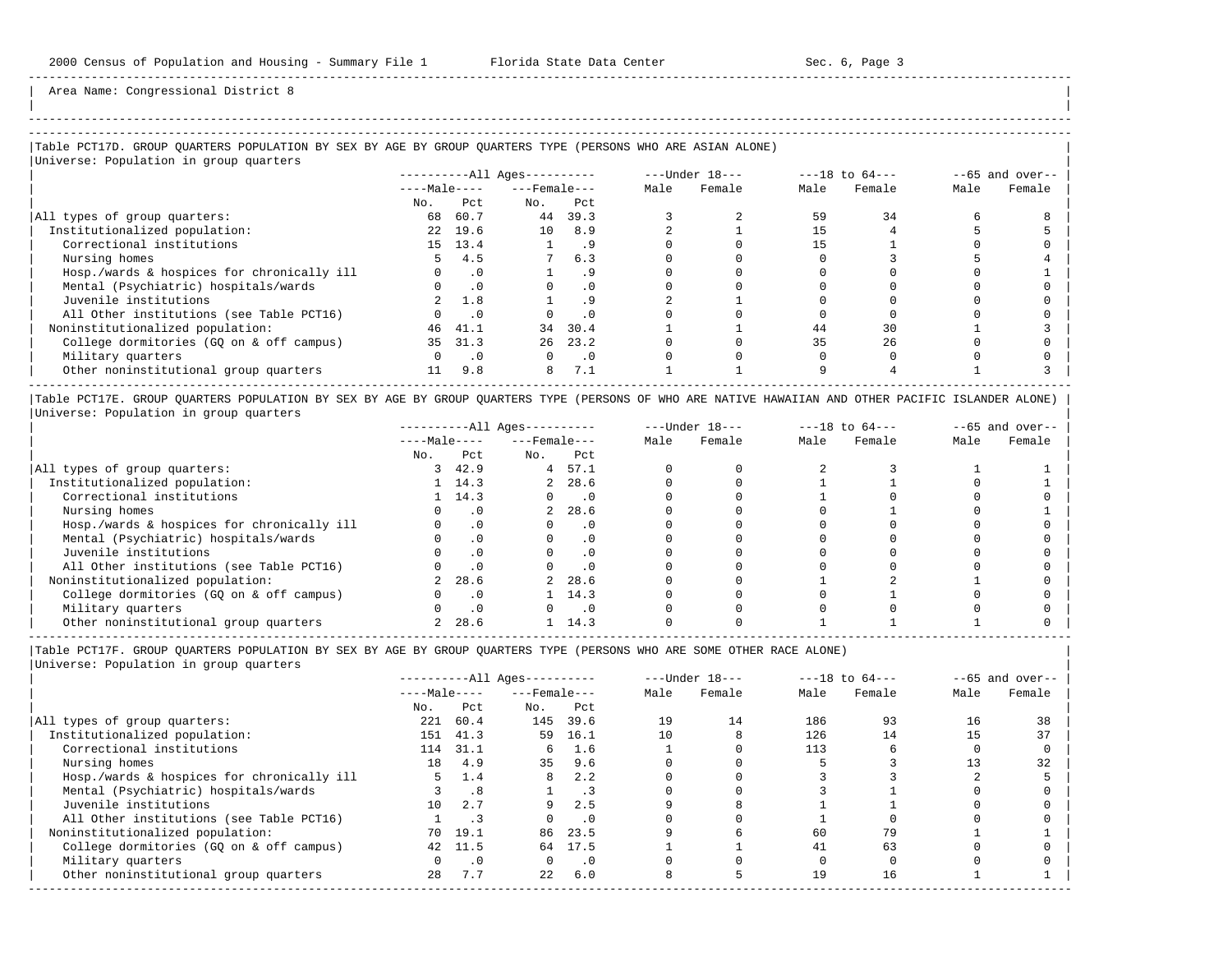-----------------------------------------------------------------------------------------------------------------------------------------------------

Area Name: Congressional District 8

# -----------------------------------------------------------------------------------------------------------------------------------------------------

## |Table PCT17D. GROUP QUARTERS POPULATION BY SEX BY AGE BY GROUP QUARTERS TYPE (PERSONS WHO ARE ASIAN ALONE) | |Universe: Population in group quarters |

| $10F$ and $10F$ and $10F$ and $10F$        |              |           | $------All \text{Aqes}---$ |           |      | ---Under 18--- |      | $---18$ to $64---$ |      | $--65$ and over-- |
|--------------------------------------------|--------------|-----------|----------------------------|-----------|------|----------------|------|--------------------|------|-------------------|
|                                            | $---Male---$ |           | $---$ Female $---$         |           | Male | Female         | Male | Female             | Male | Female            |
|                                            | No.          | Pct       | No.                        | Pct       |      |                |      |                    |      |                   |
| All types of group quarters:               | 68           | 60.7      | 44                         | 39.3      |      |                | 59   | 34                 |      |                   |
| Institutionalized population:              |              | 22 19.6   | 10 <sup>1</sup>            | 8.9       |      |                |      |                    |      |                   |
| Correctional institutions                  |              | 15 13.4   |                            | . 9       |      |                |      |                    |      |                   |
| Nursing homes                              | 5.           | 4.5       |                            | 6.3       |      |                |      |                    |      |                   |
| Hosp./wards & hospices for chronically ill |              | $\cdot$ 0 |                            | . 9       |      |                |      |                    |      |                   |
| Mental (Psychiatric) hospitals/wards       |              | .0        |                            | . 0       |      |                |      |                    |      |                   |
| Juvenile institutions                      |              | 1.8       |                            |           |      |                |      |                    |      |                   |
| All Other institutions (see Table PCT16)   |              | $\cdot$ 0 |                            | $\cdot$ 0 |      |                |      |                    |      |                   |
| Noninstitutionalized population:           | 46           | 41.1      | 34                         | 30.4      |      |                | 44   | 30                 |      |                   |
| College dormitories (GQ on & off campus)   | 35           | 31.3      | 26                         | 23.2      |      |                | 35   | 26                 |      |                   |
| Military quarters                          |              | $\cdot$ 0 |                            | $\cdot$ 0 |      |                |      |                    |      |                   |
| Other noninstitutional group quarters      | 11           | 9.8       | 8                          | 7.1       |      |                |      |                    |      |                   |
|                                            |              |           |                            |           |      |                |      |                    |      |                   |

|Table PCT17E. GROUP QUARTERS POPULATION BY SEX BY AGE BY GROUP QUARTERS TYPE (PERSONS OF WHO ARE NATIVE HAWAIIAN AND OTHER PACIFIC ISLANDER ALONE) | |Universe: Population in group quarters |

|                                            |              |           | $------All Ages------$ |           |      | $---Under 18---$ |      | $---18$ to $64---$ |      | $--65$ and over-- |
|--------------------------------------------|--------------|-----------|------------------------|-----------|------|------------------|------|--------------------|------|-------------------|
|                                            | $---Male---$ |           | $---$ Female $---$     |           | Male | Female           | Male | Female             | Male | Female            |
|                                            | No.          | Pct       | No.                    | Pct       |      |                  |      |                    |      |                   |
| All types of group quarters:               |              | 42.9      | 4                      | 57.1      |      |                  |      |                    |      |                   |
| Institutionalized population:              |              | 1, 14.3   | 2                      | 28.6      |      |                  |      |                    |      |                   |
| Correctional institutions                  |              | 14.3      |                        |           |      |                  |      |                    |      |                   |
| Nursing homes                              |              | $\cdot$ 0 | $\overline{a}$         | 28.6      |      |                  |      |                    |      |                   |
| Hosp./wards & hospices for chronically ill |              |           |                        | . 0       |      |                  |      |                    |      |                   |
| Mental (Psychiatric) hospitals/wards       |              |           |                        |           |      |                  |      |                    |      |                   |
| Juvenile institutions                      |              |           |                        | . 0       |      |                  |      |                    |      |                   |
| All Other institutions (see Table PCT16)   |              |           |                        | $\cdot$ 0 |      |                  |      |                    |      |                   |
| Noninstitutionalized population:           |              | 28.6      | $^{2}$                 | 28.6      |      |                  |      |                    |      |                   |
| College dormitories (GQ on & off campus)   |              |           |                        | 14.3      |      |                  |      |                    |      |                   |
| Military quarters                          |              |           |                        | $\cdot$ 0 |      |                  |      |                    |      |                   |
| Other noninstitutional group quarters      |              | 28.6      |                        | 14.3      |      |                  |      |                    |      |                   |

-----------------------------------------------------------------------------------------------------------------------------------------------------

|Table PCT17F. GROUP QUARTERS POPULATION BY SEX BY AGE BY GROUP QUARTERS TYPE (PERSONS WHO ARE SOME OTHER RACE ALONE) |

|                                            |              |           | $------All Ages------$ |           |      | $---Under 18---$ |      | $---18$ to $64---$ |      | $--65$ and over-- |
|--------------------------------------------|--------------|-----------|------------------------|-----------|------|------------------|------|--------------------|------|-------------------|
|                                            | $---Male---$ |           | $---$ Female $---$     |           | Male | Female           | Male | Female             | Male | Female            |
|                                            | No.          | Pct       | No.                    | Pct       |      |                  |      |                    |      |                   |
| All types of group quarters:               | 221          | 60.4      | 145                    | 39.6      | 19   | 14               | 186  | 93                 | 16   | 38                |
| Institutionalized population:              | 151          | 41.3      | 59                     | 16.1      | 10   |                  | 126  | 14                 |      | 37                |
| Correctional institutions                  | 114          | 31.1      | 6                      | 1.6       |      |                  | 113  |                    |      |                   |
| Nursing homes                              | 18           | 4.9       | 35                     | 9.6       |      |                  |      |                    |      | 32                |
| Hosp./wards & hospices for chronically ill |              | 1.4       | 8                      | 2.2       |      |                  |      |                    |      |                   |
| Mental (Psychiatric) hospitals/wards       |              | .8        |                        |           |      |                  |      |                    |      |                   |
| Juvenile institutions                      | 1 O          | 2.7       | 9                      | 2.5       |      |                  |      |                    |      |                   |
| All Other institutions (see Table PCT16)   |              |           |                        | .0        |      |                  |      |                    |      |                   |
| Noninstitutionalized population:           |              | 70 19.1   | 86                     | 23.5      |      |                  | 60   | 79                 |      |                   |
| College dormitories (GO on & off campus)   | 42           | 11.5      | 64                     | 17.5      |      |                  | 41   | 63                 |      |                   |
| Military quarters                          |              | $\cdot$ 0 | $\Omega$               | $\cdot$ 0 |      |                  |      |                    |      |                   |
| Other noninstitutional group quarters      | 2.8          | 7.7       | 22                     | 6.0       |      |                  | 19   | 16                 |      |                   |
|                                            |              |           |                        |           |      |                  |      |                    |      |                   |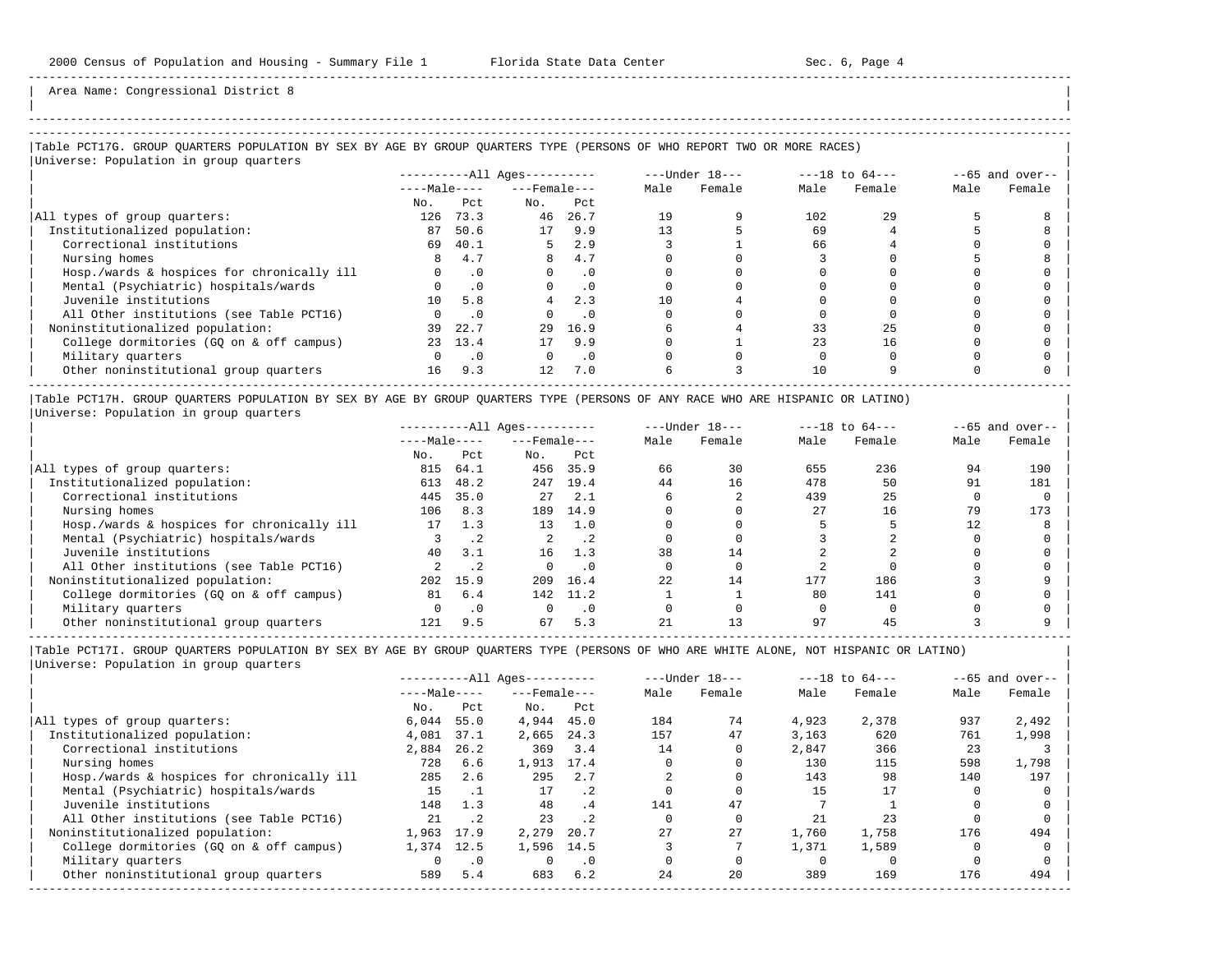| | -----------------------------------------------------------------------------------------------------------------------------------------------------

Area Name: Congressional District 8

## |Table PCT17G. GROUP QUARTERS POPULATION BY SEX BY AGE BY GROUP QUARTERS TYPE (PERSONS OF WHO REPORT TWO OR MORE RACES) |

|                                            |                 |           | $------All Aqes------$ |           |      | $---Under 18---$ |      | $---18$ to $64---$ |      | $--65$ and over-- |
|--------------------------------------------|-----------------|-----------|------------------------|-----------|------|------------------|------|--------------------|------|-------------------|
|                                            | $---Male---$    |           | $---$ Female $---$     |           | Male | Female           | Male | Female             | Male | Female            |
|                                            | No.             | Pct.      | No.                    | Pct       |      |                  |      |                    |      |                   |
| All types of group quarters:               | 126             | 73.3      | 46                     | 26.7      | 19   |                  | 102  | 29                 |      |                   |
| Institutionalized population:              | 87              | 50.6      | 17                     | 9.9       | 13   |                  | 69   |                    |      |                   |
| Correctional institutions                  | 69              | 40.1      | 5.                     | 2.9       |      |                  | 66   |                    |      |                   |
| Nursing homes                              |                 | 4.7       | 8                      | 4.7       |      |                  |      |                    |      |                   |
| Hosp./wards & hospices for chronically ill |                 | $\cdot$ 0 |                        | $\cdot$ 0 |      |                  |      |                    |      |                   |
| Mental (Psychiatric) hospitals/wards       |                 | .0        |                        | $\cdot$ 0 |      |                  |      |                    |      |                   |
| Juvenile institutions                      | 10 <sup>1</sup> | 5.8       |                        | 2.3       | 10   |                  |      |                    |      |                   |
| All Other institutions (see Table PCT16)   |                 | . 0       |                        | . 0       |      |                  |      |                    |      |                   |
| Noninstitutionalized population:           | 39              | 22.7      | 29                     | 16.9      |      |                  | 33   | 25                 |      |                   |
| College dormitories (GO on & off campus)   | 23              | 13.4      | 17                     | 9.9       |      |                  | 23   | 16                 |      |                   |
| Military quarters                          |                 | $\cdot$ 0 | $\Omega$               | $\cdot$ 0 |      |                  |      |                    |      |                   |
| Other noninstitutional group quarters      | 16              | 9.3       | $12 \overline{ }$      | 7.0       |      |                  | 10   |                    |      |                   |

|Table PCT17H. GROUP QUARTERS POPULATION BY SEX BY AGE BY GROUP QUARTERS TYPE (PERSONS OF ANY RACE WHO ARE HISPANIC OR LATINO) | |Universe: Population in group quarters |

|                                            |              |           | $------All Aqes------$ |           |      | $---Under 18---$ |      | $---18$ to $64---$ |      | $--65$ and over-- |
|--------------------------------------------|--------------|-----------|------------------------|-----------|------|------------------|------|--------------------|------|-------------------|
|                                            | $---Male---$ |           | $---$ Female $---$     |           | Male | Female           | Male | Female             | Male | Female            |
|                                            | No.          | Pct       | No.                    | Pct       |      |                  |      |                    |      |                   |
| All types of group quarters:               | 815          | 64.1      | 456                    | 35.9      | 66   | 30               | 655  | 236                | 94   | 190               |
| Institutionalized population:              | 613          | 48.2      | 247                    | 19.4      | 44   | 16               | 478  | 50                 | 91   | 181               |
| Correctional institutions                  | 445          | 35.0      | 27                     | 2.1       |      |                  | 439  | 25                 |      |                   |
| Nursing homes                              | 106          | 8.3       | 189                    | 14.9      |      |                  | 27   | 16                 | 79   | 173               |
| Hosp./wards & hospices for chronically ill | 17           | 1.3       | 13                     | 1.0       |      |                  |      |                    | 12   |                   |
| Mental (Psychiatric) hospitals/wards       |              |           |                        | . 2       |      |                  |      |                    |      |                   |
| Juvenile institutions                      | 40           | 3.1       | 16                     | 1.3       | 38   | 14               |      |                    |      |                   |
| All Other institutions (see Table PCT16)   |              |           |                        | $\cdot$ 0 |      |                  |      |                    |      |                   |
| Noninstitutionalized population:           | 202          | 15.9      | 209                    | 16.4      | 22   | 14               | 177  | 186                |      |                   |
| College dormitories (GO on & off campus)   | 81           | 6.4       | 142                    | 11.2      |      |                  | 80   | 141                |      |                   |
| Military quarters                          |              | $\cdot$ 0 |                        | $\cdot$ 0 |      |                  |      |                    |      |                   |
| Other noninstitutional group quarters      | 121          | 9.5       | 67                     | 5.3       |      |                  | 97   | 45                 |      |                   |

-----------------------------------------------------------------------------------------------------------------------------------------------------

| $---Male---$ | $---$ Female $---$ |           |      |        |       |        |      |        |
|--------------|--------------------|-----------|------|--------|-------|--------|------|--------|
|              |                    |           | Male | Female | Male  | Female | Male | Female |
| Pct          | No.                | Pct       |      |        |       |        |      |        |
| 55.0         | 4,944              | 45.0      | 184  | 74     | 4,923 | 2,378  | 937  | 2,492  |
| 37.1         | 2,665              | 24.3      | 157  | 47     | 3,163 | 620    | 761  | 1,998  |
| 26.2         | 369                | 3.4       | 14   |        | 2,847 | 366    | 23   |        |
| 6.6          | 1,913              | 17.4      |      |        | 130   | 115    | 598  | 1,798  |
| 2.6          | 295                | 2.7       |      |        | 143   | 98     | 140  | 197    |
|              | 17                 | $\cdot$ 2 |      |        | 15    |        |      |        |
| 1.3          | 48                 | .4        | 141  | 47     |       |        |      |        |
| $\cdot$ . 2  | 23                 | $\cdot$ 2 |      |        | 21    | 23     |      |        |
| 17.9         | 2,279              | 20.7      | 27   | 27     | 1,760 | 1,758  | 176  | 494    |
| 12.5         | 1,596              |           |      |        | 1,371 | 1,589  |      |        |
| .0           |                    | $\cdot$ 0 |      |        |       |        |      |        |
| 5.4          | 683                | 6.2       | 24   | 20     | 389   | 169    | 176  | 494    |
|              |                    |           | 14.5 |        |       |        |      |        |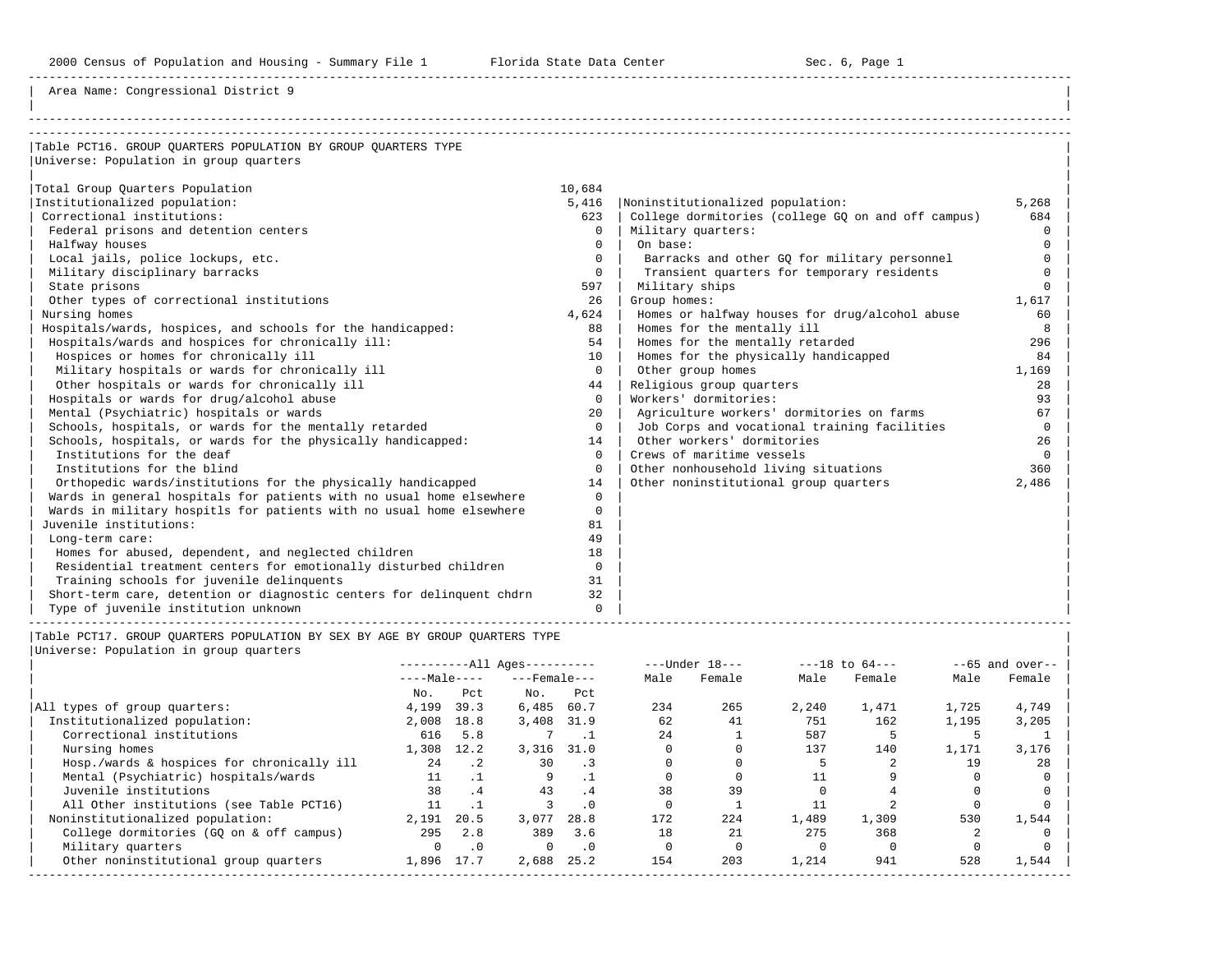2000 Census of Population and Housing - Summary File 1 Florida State Data Center Sec. 6, Page 1

-----------------------------------------------------------------------------------------------------------------------------------------------------

Area Name: Congressional District 9

| Table PCT16. GROUP OUARTERS POPULATION BY GROUP OUARTERS TYPE<br>Universe: Population in group quarters<br>Total Group Quarters Population<br>10,684<br>Institutionalized population:<br>5,416<br>5,268<br>Noninstitutionalized population:<br>Correctional institutions:<br>College dormitories (college GQ on and off campus)<br>623<br>684<br>Federal prisons and detention centers<br>Military quarters:<br>$\Omega$<br>$\Omega$<br>On base:<br>Halfway houses<br>$\Omega$<br>$\Omega$<br>Local jails, police lockups, etc.<br>Barracks and other GQ for military personnel<br>$\Omega$<br>$\Omega$<br>Military disciplinary barracks<br>Transient quarters for temporary residents<br>$\Omega$<br>$\Omega$ |
|-----------------------------------------------------------------------------------------------------------------------------------------------------------------------------------------------------------------------------------------------------------------------------------------------------------------------------------------------------------------------------------------------------------------------------------------------------------------------------------------------------------------------------------------------------------------------------------------------------------------------------------------------------------------------------------------------------------------|
|                                                                                                                                                                                                                                                                                                                                                                                                                                                                                                                                                                                                                                                                                                                 |
|                                                                                                                                                                                                                                                                                                                                                                                                                                                                                                                                                                                                                                                                                                                 |
|                                                                                                                                                                                                                                                                                                                                                                                                                                                                                                                                                                                                                                                                                                                 |
|                                                                                                                                                                                                                                                                                                                                                                                                                                                                                                                                                                                                                                                                                                                 |
|                                                                                                                                                                                                                                                                                                                                                                                                                                                                                                                                                                                                                                                                                                                 |
|                                                                                                                                                                                                                                                                                                                                                                                                                                                                                                                                                                                                                                                                                                                 |
|                                                                                                                                                                                                                                                                                                                                                                                                                                                                                                                                                                                                                                                                                                                 |
|                                                                                                                                                                                                                                                                                                                                                                                                                                                                                                                                                                                                                                                                                                                 |
|                                                                                                                                                                                                                                                                                                                                                                                                                                                                                                                                                                                                                                                                                                                 |
|                                                                                                                                                                                                                                                                                                                                                                                                                                                                                                                                                                                                                                                                                                                 |
|                                                                                                                                                                                                                                                                                                                                                                                                                                                                                                                                                                                                                                                                                                                 |
| State prisons<br>597<br>Military ships<br>$\cap$                                                                                                                                                                                                                                                                                                                                                                                                                                                                                                                                                                                                                                                                |
| Group homes:<br>Other types of correctional institutions<br>1,617<br>26                                                                                                                                                                                                                                                                                                                                                                                                                                                                                                                                                                                                                                         |
| Nursing homes<br>4,624<br>Homes or halfway houses for drug/alcohol abuse<br>60                                                                                                                                                                                                                                                                                                                                                                                                                                                                                                                                                                                                                                  |
| Homes for the mentally ill<br>Hospitals/wards, hospices, and schools for the handicapped:<br>88<br>8<br>54<br>296                                                                                                                                                                                                                                                                                                                                                                                                                                                                                                                                                                                               |
| Hospitals/wards and hospices for chronically ill:<br>Homes for the mentally retarded                                                                                                                                                                                                                                                                                                                                                                                                                                                                                                                                                                                                                            |
| Hospices or homes for chronically ill<br>Homes for the physically handicapped<br>10<br>84<br>Military hospitals or wards for chronically ill<br>$\Omega$<br>Other group homes                                                                                                                                                                                                                                                                                                                                                                                                                                                                                                                                   |
| 1,169<br>Other hospitals or wards for chronically ill<br>Religious group quarters<br>28                                                                                                                                                                                                                                                                                                                                                                                                                                                                                                                                                                                                                         |
| 44<br>Workers' dormitories:<br>Hospitals or wards for drug/alcohol abuse<br>$\Omega$<br>93                                                                                                                                                                                                                                                                                                                                                                                                                                                                                                                                                                                                                      |
| Mental (Psychiatric) hospitals or wards<br>Agriculture workers' dormitories on farms<br>67<br>$20^{\circ}$                                                                                                                                                                                                                                                                                                                                                                                                                                                                                                                                                                                                      |
| Schools, hospitals, or wards for the mentally retarded<br>Job Corps and vocational training facilities<br>$\Omega$<br>$\Omega$                                                                                                                                                                                                                                                                                                                                                                                                                                                                                                                                                                                  |
| Other workers' dormitories<br>Schools, hospitals, or wards for the physically handicapped:<br>14                                                                                                                                                                                                                                                                                                                                                                                                                                                                                                                                                                                                                |
| 26<br>Institutions for the deaf<br>Crews of maritime vessels<br>$\Omega$<br>$\Omega$                                                                                                                                                                                                                                                                                                                                                                                                                                                                                                                                                                                                                            |
| Institutions for the blind<br>Other nonhousehold living situations<br>360<br>$\Omega$                                                                                                                                                                                                                                                                                                                                                                                                                                                                                                                                                                                                                           |
| Orthopedic wards/institutions for the physically handicapped<br>Other noninstitutional group quarters<br>2,486<br>14                                                                                                                                                                                                                                                                                                                                                                                                                                                                                                                                                                                            |
| Wards in general hospitals for patients with no usual home elsewhere<br>$\Omega$                                                                                                                                                                                                                                                                                                                                                                                                                                                                                                                                                                                                                                |
| Wards in military hospitls for patients with no usual home elsewhere<br>$\Omega$                                                                                                                                                                                                                                                                                                                                                                                                                                                                                                                                                                                                                                |
| Juvenile institutions:<br>81                                                                                                                                                                                                                                                                                                                                                                                                                                                                                                                                                                                                                                                                                    |
| 49<br>Long-term care:                                                                                                                                                                                                                                                                                                                                                                                                                                                                                                                                                                                                                                                                                           |
| Homes for abused, dependent, and neglected children<br>18                                                                                                                                                                                                                                                                                                                                                                                                                                                                                                                                                                                                                                                       |
| Residential treatment centers for emotionally disturbed children<br>$\Omega$                                                                                                                                                                                                                                                                                                                                                                                                                                                                                                                                                                                                                                    |
| Training schools for juvenile delinquents<br>31                                                                                                                                                                                                                                                                                                                                                                                                                                                                                                                                                                                                                                                                 |
| Short-term care, detention or diagnostic centers for delinguent chdrn<br>32                                                                                                                                                                                                                                                                                                                                                                                                                                                                                                                                                                                                                                     |
| Type of juvenile institution unknown<br>$\Omega$                                                                                                                                                                                                                                                                                                                                                                                                                                                                                                                                                                                                                                                                |

|Table PCT17. GROUP QUARTERS POPULATION BY SEX BY AGE BY GROUP QUARTERS TYPE | |<br>|Universe: Population in group quarters

|                                            |              |           | $------All Ages------$ |           |      | $---Under 18---$ |       | $---18$ to $64---$ |       | $--65$ and over-- |
|--------------------------------------------|--------------|-----------|------------------------|-----------|------|------------------|-------|--------------------|-------|-------------------|
|                                            | $---Male---$ |           | $---$ Female $---$     |           | Male | Female           | Male  | Female             | Male  | Female            |
|                                            | No.          | Pct       | No.                    | Pct       |      |                  |       |                    |       |                   |
| All types of group quarters:               | 4,199        | 39.3      | 6,485                  | 60.7      | 234  | 265              | 2,240 | 1,471              | 1,725 | 4,749             |
| Institutionalized population:              | 2,008        | 18.8      | 3,408                  | 31.9      | 62   | 41               | 751   | 162                | 1,195 | 3,205             |
| Correctional institutions                  | 616          | 5.8       |                        |           | 24   |                  | 587   |                    |       |                   |
| Nursing homes                              | 1,308        | 12.2      | 3,316                  | 31.0      |      |                  | 137   | 140                | 1,171 | 3,176             |
| Hosp./wards & hospices for chronically ill | 2.4          | $\cdot$ 2 | 30                     | $\cdot$ 3 |      |                  |       |                    | 19    | 28                |
| Mental (Psychiatric) hospitals/wards       | 11           |           | 9                      |           |      |                  |       |                    |       |                   |
| Juvenile institutions                      | 38           | .4        | 43                     | .4        | 38   | 39               |       |                    |       |                   |
| All Other institutions (see Table PCT16)   | 11           |           |                        | $\cdot$ 0 |      |                  |       |                    |       |                   |
| Noninstitutionalized population:           | 2,191        | 20.5      | 3,077                  | 28.8      | 172  | 224              | 1,489 | 1,309              | 530   | 1,544             |
| College dormitories (GO on & off campus)   | 295          | 2.8       | 389                    | 3.6       | 18   | 21               | 275   | 368                |       |                   |
| Military quarters                          | $\Omega$     | $\cdot$ 0 | $\Omega$               | $\cdot$ 0 |      |                  |       |                    |       |                   |
| Other noninstitutional group quarters      | 1,896        | 17.7      | 2,688                  | 25.2      | 154  | 203              | 1,214 | 941                | 528   | 1,544             |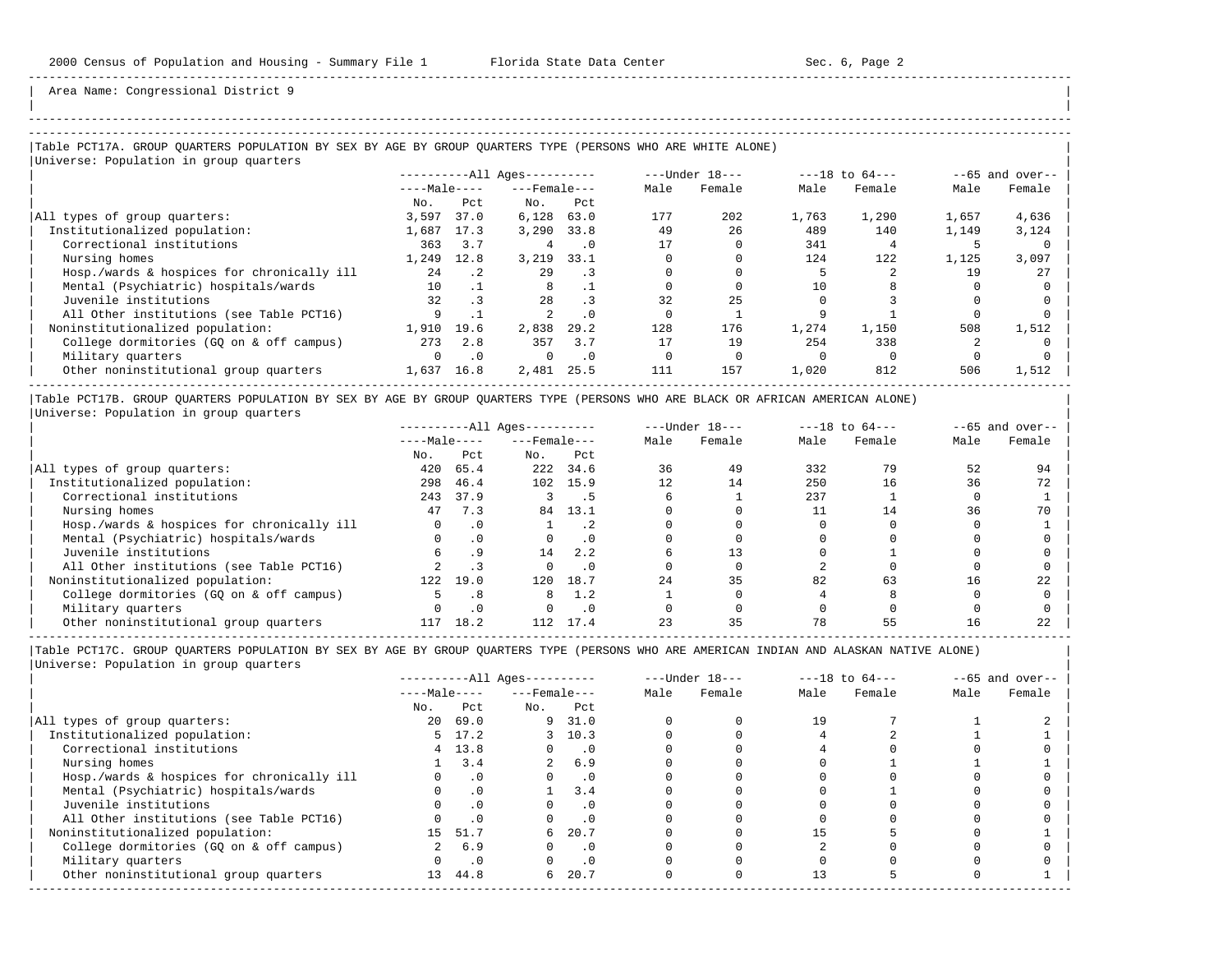| | -----------------------------------------------------------------------------------------------------------------------------------------------------

Area Name: Congressional District 9

## |Table PCT17A. GROUP QUARTERS POPULATION BY SEX BY AGE BY GROUP QUARTERS TYPE (PERSONS WHO ARE WHITE ALONE) | |Universe: Population in group quarters |

|                                            |              |           | $------All Ages------$ |           |      | ---Under 18--- |       | $---18$ to $64---$ |       | $--65$ and over-- |
|--------------------------------------------|--------------|-----------|------------------------|-----------|------|----------------|-------|--------------------|-------|-------------------|
|                                            | $---Male---$ |           | $---$ Female ---       |           | Male | Female         | Male  | Female             | Male  | Female            |
|                                            | No.          | Pct.      | No.                    | Pct       |      |                |       |                    |       |                   |
| All types of group quarters:               | 3,597        | 37.0      | 6,128                  | 63.0      | 177  | 202            | 1,763 | 1,290              | 1,657 | 4,636             |
| Institutionalized population:              | 1,687        | 17.3      | 3.290                  | 33.8      | 49   | 26             | 489   | 140                | 1,149 | 3,124             |
| Correctional institutions                  | 363          | 3.7       | 4                      | $\cdot$ 0 |      |                | 341   |                    |       |                   |
| Nursing homes                              | 1,249        | 12.8      | 3,219                  | 33.1      |      |                | 124   | 122                | 1,125 | 3,097             |
| Hosp./wards & hospices for chronically ill | 2.4          | .2        | 29                     | . 3       |      |                |       |                    | 19    | 27                |
| Mental (Psychiatric) hospitals/wards       | 10           |           |                        |           |      |                | 10    |                    |       |                   |
| Juvenile institutions                      | 32           | $\cdot$ 3 | 28                     | $\cdot$ 3 | 32   | 25             |       |                    |       |                   |
| All Other institutions (see Table PCT16)   | 9            |           |                        | $\cdot$ 0 |      |                |       |                    |       |                   |
| Noninstitutionalized population:           | 1,910        | 19.6      | 2,838                  | 29.2      | 128  | 176            | 1,274 | 1,150              | 508   | 1,512             |
| College dormitories (GO on & off campus)   | 273          | 2.8       | 357                    | 3.7       |      | 19             | 254   | 338                |       |                   |
| Military quarters                          |              | $\cdot$ 0 | 0                      | $\cdot$ 0 |      |                |       |                    |       |                   |
| Other noninstitutional group quarters      | 1,637        | 16.8      | 2,481                  | 25.5      | 111  | 157            | 1,020 | 812                | 506   | 1,512             |

|Table PCT17B. GROUP QUARTERS POPULATION BY SEX BY AGE BY GROUP QUARTERS TYPE (PERSONS WHO ARE BLACK OR AFRICAN AMERICAN ALONE) | |Universe: Population in group quarters |

|                                            | $------All Ages------$ |           |                    |           | $---Under 18---$ |        | $---18$ to $64---$ |        | $--65$ and over-- |        |
|--------------------------------------------|------------------------|-----------|--------------------|-----------|------------------|--------|--------------------|--------|-------------------|--------|
|                                            | $---Male---$           |           | $---$ Female $---$ |           | Male             | Female | Male               | Female | Male              | Female |
|                                            | No.                    | Pct       | No.                | Pct       |                  |        |                    |        |                   |        |
| All types of group quarters:               | 420                    | 65.4      | 222                | 34.6      | 36               | 49     | 332                | 79     | 52                | 94     |
| Institutionalized population:              | 298                    | 46.4      | 102                | 15.9      | 12.              | 14     | 250                | 16     | 36                | 72     |
| Correctional institutions                  | 243                    | 37.9      |                    |           |                  |        | 237                |        |                   |        |
| Nursing homes                              | 47                     | 7.3       | 84                 | 13.1      |                  |        |                    | 14     | 36                | 70     |
| Hosp./wards & hospices for chronically ill |                        |           |                    | . 2       |                  |        |                    |        |                   |        |
| Mental (Psychiatric) hospitals/wards       |                        | $\cdot$ 0 |                    |           |                  |        |                    |        |                   |        |
| Juvenile institutions                      |                        |           | 14                 | 2.2       |                  |        |                    |        |                   |        |
| All Other institutions (see Table PCT16)   |                        |           |                    | $\cdot$ 0 |                  |        |                    |        |                   |        |
| Noninstitutionalized population:           | 122                    | 19.0      | 120                | 18.7      | 24               | 35     | 82                 | 63     | 16                | 22     |
| College dormitories (GQ on & off campus)   |                        | .8        |                    | 1.2       |                  |        |                    |        |                   |        |
| Military quarters                          |                        |           |                    | $\cdot$ 0 |                  |        |                    |        |                   |        |
| Other noninstitutional group quarters      | 117                    | 18.2      |                    | 17.4      |                  | 35     | 78                 |        |                   |        |

-----------------------------------------------------------------------------------------------------------------------------------------------------

|                                            | $------All Aqes------$ |                |                    |                             | $---Under 18---$ |        | $---18$ to $64---$ |        | $--65$ and over-- |        |
|--------------------------------------------|------------------------|----------------|--------------------|-----------------------------|------------------|--------|--------------------|--------|-------------------|--------|
|                                            | $---Male---$           |                | $---$ Female $---$ |                             | Male             | Female | Male               | Female | Male              | Female |
|                                            | No.                    | Pct            | No.                | Pct                         |                  |        |                    |        |                   |        |
| All types of group quarters:               | 20                     | 69.0           |                    | 9 31.0                      |                  |        | 19                 |        |                   |        |
| Institutionalized population:              |                        | $5 \quad 17.2$ |                    | 3, 10.3                     |                  |        |                    |        |                   |        |
| Correctional institutions                  |                        | $4 \quad 13.8$ | $\Omega$           | $\overline{\phantom{0}}$ .0 |                  |        |                    |        |                   |        |
| Nursing homes                              |                        | 3.4            |                    | 6.9                         |                  |        |                    |        |                   |        |
| Hosp./wards & hospices for chronically ill |                        | $\cdot$ 0      |                    | $\cdot$ 0                   |                  |        |                    |        |                   |        |
| Mental (Psychiatric) hospitals/wards       |                        | $\cdot$ 0      |                    | 3.4                         |                  |        |                    |        |                   |        |
| Juvenile institutions                      |                        |                |                    | . 0                         |                  |        |                    |        |                   |        |
| All Other institutions (see Table PCT16)   |                        | $\cdot$ 0      |                    |                             |                  |        |                    |        |                   |        |
| Noninstitutionalized population:           | 15                     | 51.7           | 6                  | 20.7                        |                  |        |                    |        |                   |        |
| College dormitories (GQ on & off campus)   |                        | 6.9            |                    | $\cdot$ 0                   |                  |        |                    |        |                   |        |
| Military quarters                          |                        | $\cdot$ 0      |                    | $\cdot$ 0                   |                  |        |                    |        |                   |        |
| Other noninstitutional group quarters      | 13                     | 44.8           | 6                  | 20.7                        |                  |        | 13                 |        |                   |        |
|                                            |                        |                |                    |                             |                  |        |                    |        |                   |        |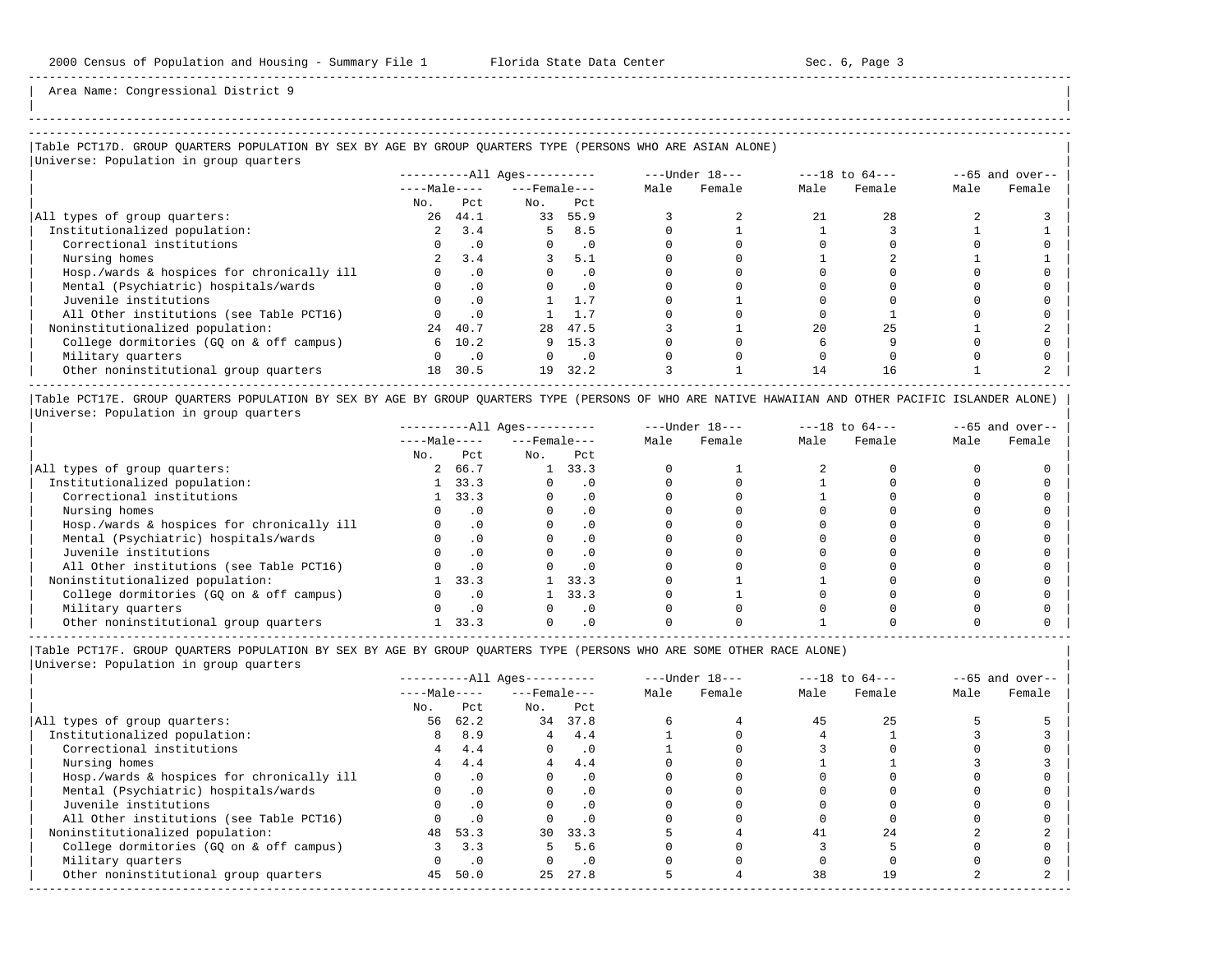Area Name: Congressional District 9

## ----------------------------------------------------------------------------------------------------------------------------------------------------- |Table PCT17D. GROUP QUARTERS POPULATION BY SEX BY AGE BY GROUP QUARTERS TYPE (PERSONS WHO ARE ASIAN ALONE) |

|Universe: Population in group quarters |

|                                            |              |           | $------All Aqes------$ |           |      | $---Under 18---$ | $---18$ to $64---$ |        | $--65$ and over-- |        |
|--------------------------------------------|--------------|-----------|------------------------|-----------|------|------------------|--------------------|--------|-------------------|--------|
|                                            | $---Male---$ |           | $---$ Female $---$     |           | Male | Female           | Male               | Female | Male              | Female |
|                                            | No.          | Pct       | No.                    | Pct       |      |                  |                    |        |                   |        |
| All types of group quarters:               | 26           | 44.1      | 33                     | 55.9      |      |                  | 21                 | 2.8    |                   |        |
| Institutionalized population:              |              | 3.4       | 5                      | 8.5       |      |                  |                    |        |                   |        |
| Correctional institutions                  |              | $\cdot$ 0 |                        | $\cdot$ 0 |      |                  |                    |        |                   |        |
| Nursing homes                              |              | 3.4       |                        | 5.1       |      |                  |                    |        |                   |        |
| Hosp./wards & hospices for chronically ill |              | $\cdot$ 0 |                        | . 0       |      |                  |                    |        |                   |        |
| Mental (Psychiatric) hospitals/wards       |              | $\cdot$ 0 |                        | $\cdot$ 0 |      |                  |                    |        |                   |        |
| Juvenile institutions                      |              |           |                        |           |      |                  |                    |        |                   |        |
| All Other institutions (see Table PCT16)   |              |           |                        |           |      |                  |                    |        |                   |        |
| Noninstitutionalized population:           | 2.4          | 40.7      | 28                     | 47.5      |      |                  | 2.0                | 25     |                   |        |
| College dormitories (GO on & off campus)   | 6            | 10.2      |                        | 9, 15.3   |      |                  |                    |        |                   |        |
| Military quarters                          |              | $\cdot$ 0 |                        | . 0       |      |                  |                    |        |                   |        |
| Other noninstitutional group quarters      | 18           | 30.5      | 19                     | 32.2      |      |                  | 14                 | 16     |                   |        |
|                                            |              |           |                        |           |      |                  |                    |        |                   |        |

|Table PCT17E. GROUP QUARTERS POPULATION BY SEX BY AGE BY GROUP QUARTERS TYPE (PERSONS OF WHO ARE NATIVE HAWAIIAN AND OTHER PACIFIC ISLANDER ALONE) | |Universe: Population in group quarters |

|                                            |              |      | $------All Aqes------$ |           |      | $---Under 18---$ |      | $---18$ to $64---$ |      | $--65$ and over-- |  |
|--------------------------------------------|--------------|------|------------------------|-----------|------|------------------|------|--------------------|------|-------------------|--|
|                                            | $---Male---$ |      | $---$ Female $---$     |           | Male | Female           | Male | Female             | Male | Female            |  |
|                                            | No.          | Pct  | No.                    | Pct       |      |                  |      |                    |      |                   |  |
| All types of group quarters:               |              | 66.7 |                        | 33.3      |      |                  |      |                    |      |                   |  |
| Institutionalized population:              |              | 33.3 |                        |           |      |                  |      |                    |      |                   |  |
| Correctional institutions                  |              | 33.3 |                        | . 0       |      |                  |      |                    |      |                   |  |
| Nursing homes                              |              |      |                        | $\cdot$ 0 |      |                  |      |                    |      |                   |  |
| Hosp./wards & hospices for chronically ill |              | . 0  |                        | . 0       |      |                  |      |                    |      |                   |  |
| Mental (Psychiatric) hospitals/wards       |              |      |                        | . 0       |      |                  |      |                    |      |                   |  |
| Juvenile institutions                      |              |      |                        | . 0       |      |                  |      |                    |      |                   |  |
| All Other institutions (see Table PCT16)   |              |      |                        | $\cdot$ 0 |      |                  |      |                    |      |                   |  |
| Noninstitutionalized population:           |              | 33.3 |                        | 33.3      |      |                  |      |                    |      |                   |  |
| College dormitories (GO on & off campus)   |              |      |                        | 33.3      |      |                  |      |                    |      |                   |  |
| Military quarters                          |              |      |                        | . 0       |      |                  |      |                    |      |                   |  |
| Other noninstitutional group quarters      |              | 33.3 |                        |           |      |                  |      |                    |      |                   |  |

----------------------------------------------------------------------------------------------------------------------------------------------------- |Table PCT17F. GROUP QUARTERS POPULATION BY SEX BY AGE BY GROUP QUARTERS TYPE (PERSONS WHO ARE SOME OTHER RACE ALONE) |

|                                            |              |           | $------All Aqes------$ |           |      | $---Under 18---$ | $---18$ to $64---$ |        | $--65$ and over-- |        |
|--------------------------------------------|--------------|-----------|------------------------|-----------|------|------------------|--------------------|--------|-------------------|--------|
|                                            | $---Male---$ |           | $---$ Female $---$     |           | Male | Female           | Male               | Female | Male              | Female |
|                                            | No.          | Pct       | No.                    | Pct       |      |                  |                    |        |                   |        |
| All types of group quarters:               | 56           | 62.2      | 34                     | 37.8      |      |                  | 45                 | 25     |                   |        |
| Institutionalized population:              | 8            | 8.9       | 4                      | 4.4       |      |                  |                    |        |                   |        |
| Correctional institutions                  | 4            | 4.4       | $\Omega$               | $\cdot$ 0 |      |                  |                    |        |                   |        |
| Nursing homes                              |              | 4.4       | 4                      | 4.4       |      |                  |                    |        |                   |        |
| Hosp./wards & hospices for chronically ill |              | .0        |                        | $\cdot$ 0 |      |                  |                    |        |                   |        |
| Mental (Psychiatric) hospitals/wards       |              | .0        | $\Omega$               | $\cdot$ 0 |      |                  |                    |        |                   |        |
| Juvenile institutions                      |              | .0        |                        | .0        |      |                  |                    |        |                   |        |
| All Other institutions (see Table PCT16)   |              | .0        |                        | $\cdot$ 0 |      |                  |                    |        |                   |        |
| Noninstitutionalized population:           |              | 48 53.3   | 30                     | 33.3      |      |                  | 41                 | 2.4    |                   |        |
| College dormitories (GO on & off campus)   |              | 3.3       |                        | 5.6       |      |                  |                    |        |                   |        |
| Military quarters                          |              | $\cdot$ 0 |                        | $\cdot$ 0 |      |                  |                    |        |                   |        |
| Other noninstitutional group quarters      | 45           | 50.0      | 2.5                    | 27.8      |      |                  | 38                 | 19     |                   |        |
|                                            |              |           |                        |           |      |                  |                    |        |                   |        |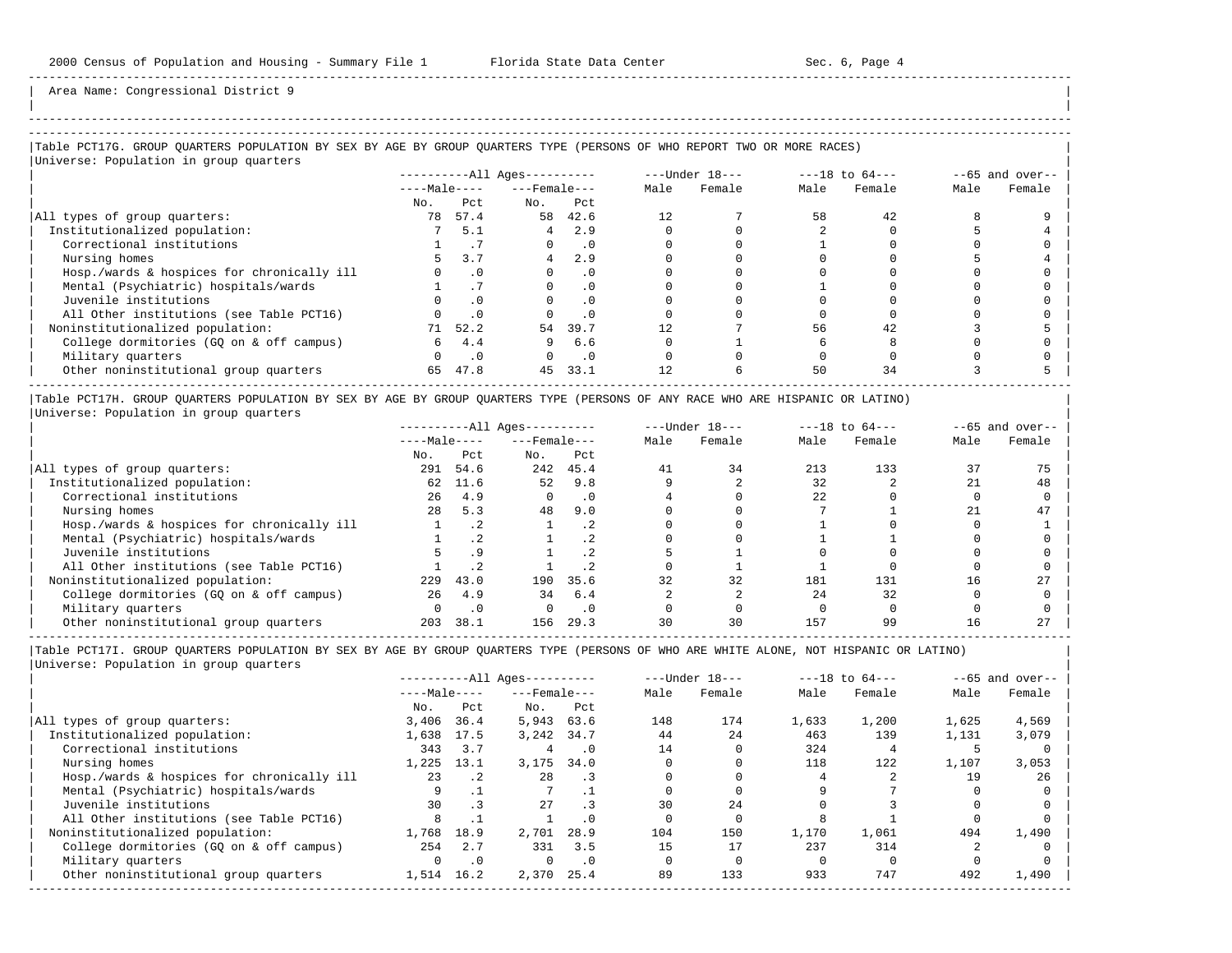| |

-----------------------------------------------------------------------------------------------------------------------------------------------------

Area Name: Congressional District 9

# -----------------------------------------------------------------------------------------------------------------------------------------------------

### |Table PCT17G. GROUP QUARTERS POPULATION BY SEX BY AGE BY GROUP QUARTERS TYPE (PERSONS OF WHO REPORT TWO OR MORE RACES) |

|                                            |              |           | $------All Ages------$ |           |      | $---Under 18---$ | $---18$ to $64---$ |        | $--65$ and over-- |        |
|--------------------------------------------|--------------|-----------|------------------------|-----------|------|------------------|--------------------|--------|-------------------|--------|
|                                            | $---Male---$ |           | $---$ Female $---$     |           | Male | Female           | Male               | Female | Male              | Female |
|                                            | No.          | Pct       | No.                    | Pct       |      |                  |                    |        |                   |        |
| All types of group quarters:               | 78           | 57.4      | 58                     | 42.6      |      |                  | 58                 | 42     |                   |        |
| Institutionalized population:              |              | 5.1       | 4                      | 2.9       |      |                  |                    |        |                   |        |
| Correctional institutions                  |              |           |                        | $\cdot$ 0 |      |                  |                    |        |                   |        |
| Nursing homes                              |              | 3.7       |                        | 2.9       |      |                  |                    |        |                   |        |
| Hosp./wards & hospices for chronically ill |              | $\cdot$ 0 |                        | $\cdot$ 0 |      |                  |                    |        |                   |        |
| Mental (Psychiatric) hospitals/wards       |              |           |                        | $\cdot$ 0 |      |                  |                    |        |                   |        |
| Juvenile institutions                      |              | $\cdot$ 0 |                        | . 0       |      |                  |                    |        |                   |        |
| All Other institutions (see Table PCT16)   |              | .0        |                        | . 0       |      |                  |                    |        |                   |        |
| Noninstitutionalized population:           | 71           | 52.2      | 54                     | 39.7      |      |                  | 56                 | 42     |                   |        |
| College dormitories (GQ on & off campus)   | 6            | 4.4       | 9                      | 6.6       |      |                  |                    |        |                   |        |
| Military quarters                          | $\Omega$     | $\cdot$ 0 | $\Omega$               | $\cdot$ 0 |      |                  |                    |        |                   |        |
| Other noninstitutional group quarters      | 65           | 47.8      | 45                     | 33.1      | 12   |                  | 50                 | 34     |                   |        |

|Table PCT17H. GROUP QUARTERS POPULATION BY SEX BY AGE BY GROUP QUARTERS TYPE (PERSONS OF ANY RACE WHO ARE HISPANIC OR LATINO) | |Universe: Population in group quarters |

|                                            |              |           | $------All Ages------$ |           | $---Under 18---$ |        | $---18$ to $64---$ |        | $--65$ and over-- |        |
|--------------------------------------------|--------------|-----------|------------------------|-----------|------------------|--------|--------------------|--------|-------------------|--------|
|                                            | $---Male---$ |           | $---$ Female $---$     |           | Male             | Female | Male               | Female | Male              | Female |
|                                            | No.          | Pct.      | No.                    | Pct       |                  |        |                    |        |                   |        |
| All types of group quarters:               | 291          | 54.6      | 242                    | 45.4      | 41               | 34     | 213                | 133    | 37                |        |
| Institutionalized population:              | 62           | 11.6      | 52                     | 9.8       |                  |        | 32                 |        |                   | 48     |
| Correctional institutions                  | 26           | 4.9       |                        | $\cdot$ 0 |                  |        | 22                 |        |                   |        |
| Nursing homes                              | 2.8          | 5.3       | 48                     | 9.0       |                  |        |                    |        |                   | 47     |
| Hosp./wards & hospices for chronically ill |              | $\cdot$ 2 |                        | $\cdot$ 2 |                  |        |                    |        |                   |        |
| Mental (Psychiatric) hospitals/wards       |              |           |                        | . 2       |                  |        |                    |        |                   |        |
| Juvenile institutions                      |              | . 9       |                        | . 2       |                  |        |                    |        |                   |        |
| All Other institutions (see Table PCT16)   |              |           |                        |           |                  |        |                    |        |                   |        |
| Noninstitutionalized population:           | 229          | 43.0      | 190                    | 35.6      | 32               | 32     | 181                | 131    | 16                | 27     |
| College dormitories (GQ on & off campus)   | 26           | 4.9       | 34                     | 6.4       |                  |        | 24                 | 32     |                   |        |
| Military quarters                          |              | $\cdot$ 0 |                        | $\cdot$ 0 |                  |        |                    |        |                   |        |
| Other noninstitutional group quarters      | 203          | 38.1      | 156                    | 29.3      | 30               | 30     | 157                | 99     | 16                |        |

-----------------------------------------------------------------------------------------------------------------------------------------------------

|                                            |              |           | $------All Aqes------$ |           |      | $---Under 18---$ |       | $---18$ to $64---$ |       | $--65$ and over-- |  |
|--------------------------------------------|--------------|-----------|------------------------|-----------|------|------------------|-------|--------------------|-------|-------------------|--|
|                                            | $---Male---$ |           | $---$ Female $---$     |           | Male | Female           | Male  | Female             | Male  | Female            |  |
|                                            | No.          | Pct       | No.                    | Pct       |      |                  |       |                    |       |                   |  |
| All types of group quarters:               | 3,406        | 36.4      | 5,943                  | 63.6      | 148  | 174              | 1,633 | 1,200              | 1,625 | 4,569             |  |
| Institutionalized population:              | 1,638        | 17.5      | 3,242                  | 34.7      | 44   | 24               | 463   | 139                | 1,131 | 3,079             |  |
| Correctional institutions                  | 343          | 3.7       | 4                      | . 0       | 14   |                  | 324   |                    |       |                   |  |
| Nursing homes                              | 1,225        | 13.1      | 3,175                  | 34.0      |      |                  | 118   | 122                | 1,107 | 3,053             |  |
| Hosp./wards & hospices for chronically ill | 23           | $\cdot$ 2 | 28                     | .3        |      |                  |       |                    | 19    | 26                |  |
| Mental (Psychiatric) hospitals/wards       |              |           |                        |           |      |                  |       |                    |       |                   |  |
| Juvenile institutions                      | 30           |           | 27                     |           | 30   | 2.4              |       |                    |       |                   |  |
| All Other institutions (see Table PCT16)   |              |           |                        | . 0       |      |                  |       |                    |       |                   |  |
| Noninstitutionalized population:           | 1,768        | 18.9      | 2,701                  | 28.9      | 104  | 150              | 1,170 | 1,061              | 494   | 1,490             |  |
| College dormitories (GO on & off campus)   | 254          | 2.7       | 331                    | 3.5       | 15   | 17               | 237   | 314                |       |                   |  |
| Military quarters                          |              | .0        | $\Omega$               | $\cdot$ 0 |      |                  |       |                    |       |                   |  |
| Other noninstitutional group quarters      | 1,514        | 16.2      | 2,370                  | 25.4      | 89   | 133              | 933   | 747                | 492   | 1,490             |  |
|                                            |              |           |                        |           |      |                  |       |                    |       |                   |  |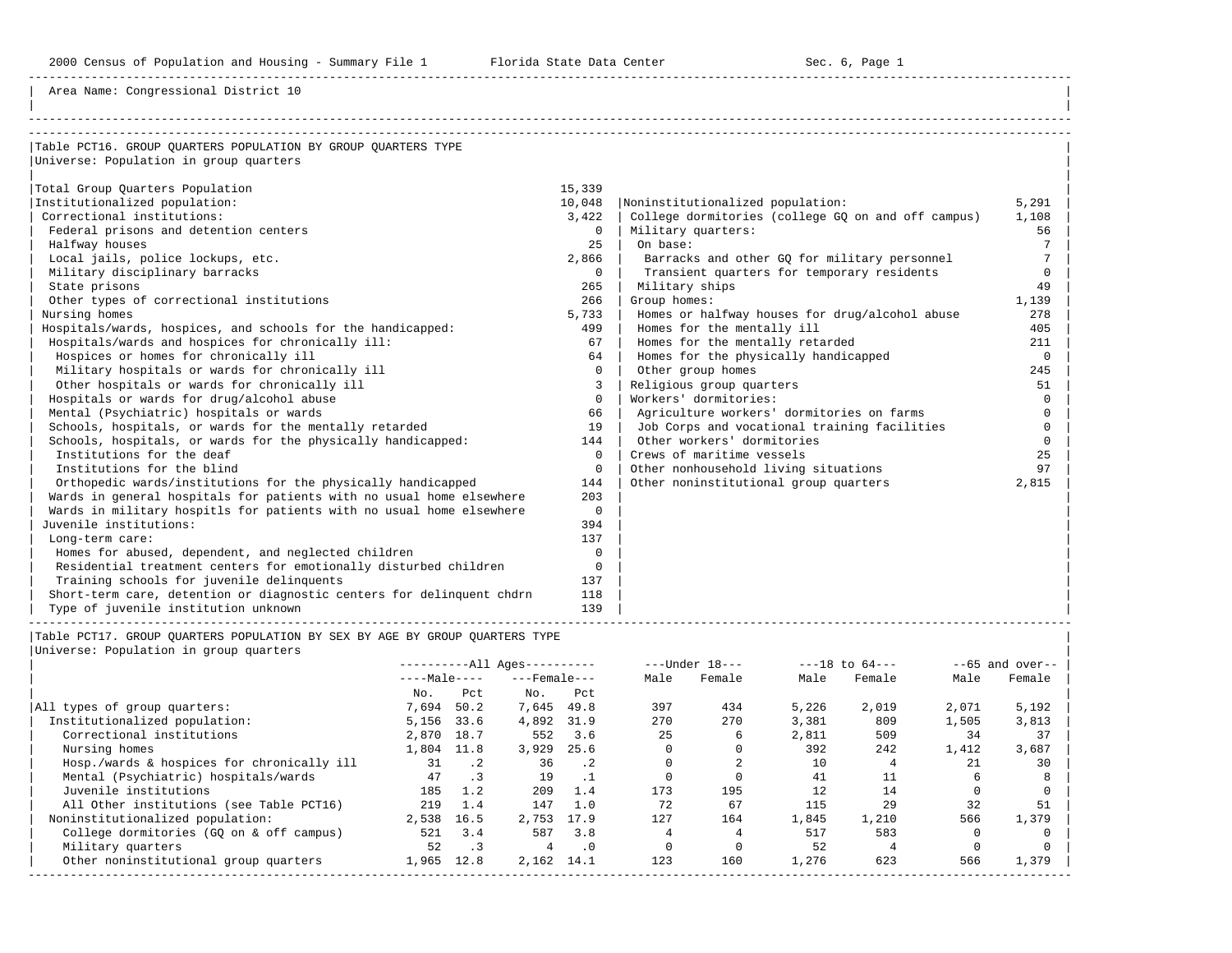Area Name: Congressional District 10

| Table PCT16. GROUP OUARTERS POPULATION BY GROUP OUARTERS TYPE         |          |                                                    |          |
|-----------------------------------------------------------------------|----------|----------------------------------------------------|----------|
| Universe: Population in group quarters                                |          |                                                    |          |
|                                                                       |          |                                                    |          |
| Total Group Ouarters Population                                       | 15,339   |                                                    |          |
| Institutionalized population:                                         | 10,048   | Noninstitutionalized population:                   | 5,291    |
| Correctional institutions:                                            | 3.422    | College dormitories (college GO on and off campus) | 1,108    |
| Federal prisons and detention centers                                 | $\Omega$ | Military quarters:                                 | 56       |
| Halfway houses                                                        | 2.5      | On base:                                           |          |
| Local jails, police lockups, etc.                                     | 2,866    | Barracks and other GO for military personnel       |          |
| Military disciplinary barracks                                        | $\Omega$ | Transient quarters for temporary residents         | $\Omega$ |
| State prisons                                                         | 265      | Military ships                                     | 49       |
| Other types of correctional institutions                              | 266      | Group homes:                                       | 1,139    |
| Nursing homes                                                         | 5,733    | Homes or halfway houses for drug/alcohol abuse     | 278      |
| Hospitals/wards, hospices, and schools for the handicapped:           | 499      | Homes for the mentally ill                         | 405      |
| Hospitals/wards and hospices for chronically ill:                     | 67       | Homes for the mentally retarded                    | 211      |
| Hospices or homes for chronically ill                                 | 64       | Homes for the physically handicapped               | $\Omega$ |
| Military hospitals or wards for chronically ill                       | $\Omega$ | Other group homes                                  | 245      |
| Other hospitals or wards for chronically ill                          | 3        | Religious group quarters                           | 51       |
| Hospitals or wards for drug/alcohol abuse                             | $\Omega$ | Workers' dormitories:                              | $\Omega$ |
| Mental (Psychiatric) hospitals or wards                               | 66       | Agriculture workers' dormitories on farms          |          |
| Schools, hospitals, or wards for the mentally retarded                | 19       | Job Corps and vocational training facilities       |          |
| Schools, hospitals, or wards for the physically handicapped:          | 144      | Other workers' dormitories                         | $\Omega$ |
| Institutions for the deaf                                             | $\Omega$ | Crews of maritime vessels                          | 25       |
| Institutions for the blind                                            | $\Omega$ | Other nonhousehold living situations               | 97       |
| Orthopedic wards/institutions for the physically handicapped          | 144      | Other noninstitutional group quarters              | 2,815    |
| Wards in general hospitals for patients with no usual home elsewhere  | 203      |                                                    |          |
| Wards in military hospitls for patients with no usual home elsewhere  | $\Omega$ |                                                    |          |
| Juvenile institutions:                                                | 394      |                                                    |          |
| Long-term care:                                                       | 137      |                                                    |          |
| Homes for abused, dependent, and neglected children                   | $\Omega$ |                                                    |          |
| Residential treatment centers for emotionally disturbed children      | $\Omega$ |                                                    |          |
| Training schools for juvenile delinquents                             | 137      |                                                    |          |
| Short-term care, detention or diagnostic centers for delinguent chdrn | 118      |                                                    |          |
| Type of juvenile institution unknown                                  | 139      |                                                    |          |

|Table PCT17. GROUP QUARTERS POPULATION BY SEX BY AGE BY GROUP QUARTERS TYPE |

| Universe: Population in group quarters |  |
|----------------------------------------|--|
|                                        |  |

|                                            |              |           | $------All Aqes------$ |             |      | $---Under 18---$ |       | $---18$ to $64---$ |       | $--65$ and over-- |
|--------------------------------------------|--------------|-----------|------------------------|-------------|------|------------------|-------|--------------------|-------|-------------------|
|                                            | $---Male---$ |           | $---$ Female $---$     |             | Male | Female           | Male  | Female             | Male  | Female            |
|                                            | No.          | Pct       | No.                    | Pct         |      |                  |       |                    |       |                   |
| All types of group quarters:               | 7,694        | 50.2      | 7,645                  | 49.8        | 397  | 434              | 5,226 | 2,019              | 2,071 | 5,192             |
| Institutionalized population:              | 5,156        | 33.6      | 4,892                  | 31.9        | 270  | 270              | 3,381 | 809                | 1,505 | 3,813             |
| Correctional institutions                  | 2,870        | 18.7      | 552                    | 3.6         | 25   | 6                | 2,811 | 509                | 34    | 37                |
| Nursing homes                              | 1,804        | 11.8      | 3,929                  | 25.6        |      |                  | 392   | 242                | 1,412 | 3,687             |
| Hosp./wards & hospices for chronically ill | 31           | $\cdot$ 2 | 36                     | $\cdot$ . 2 |      |                  | 10    |                    | 2.1   | 30                |
| Mental (Psychiatric) hospitals/wards       | 47           | $\cdot$ 3 | 19                     |             |      |                  | 41    |                    |       |                   |
| Juvenile institutions                      | 185          | 1.2       | 209                    | 1.4         | 173  | 195              | 12.   | 14                 |       |                   |
| All Other institutions (see Table PCT16)   | 219          | 1.4       | 147                    | 1.0         | 72   | 67               | 115   | 29                 | 32    | 51                |
| Noninstitutionalized population:           | 2,538        | 16.5      | 2,753                  | 17.9        | 127  | 164              | 1,845 | 1,210              | 566   | 1,379             |
| College dormitories (GO on & off campus)   | 521          | 3.4       | 587                    | 3.8         |      |                  | 517   | 583                |       |                   |
| Military quarters                          | 52           | $\cdot$ 3 | 4                      | $\cdot$ 0   |      |                  | 52    |                    |       |                   |
| Other noninstitutional group quarters      | 1,965        | 12.8      | 2,162                  | 14.1        | 123  | 160              | 1,276 | 623                | 566   | 1,379             |
|                                            |              |           |                        |             |      |                  |       |                    |       |                   |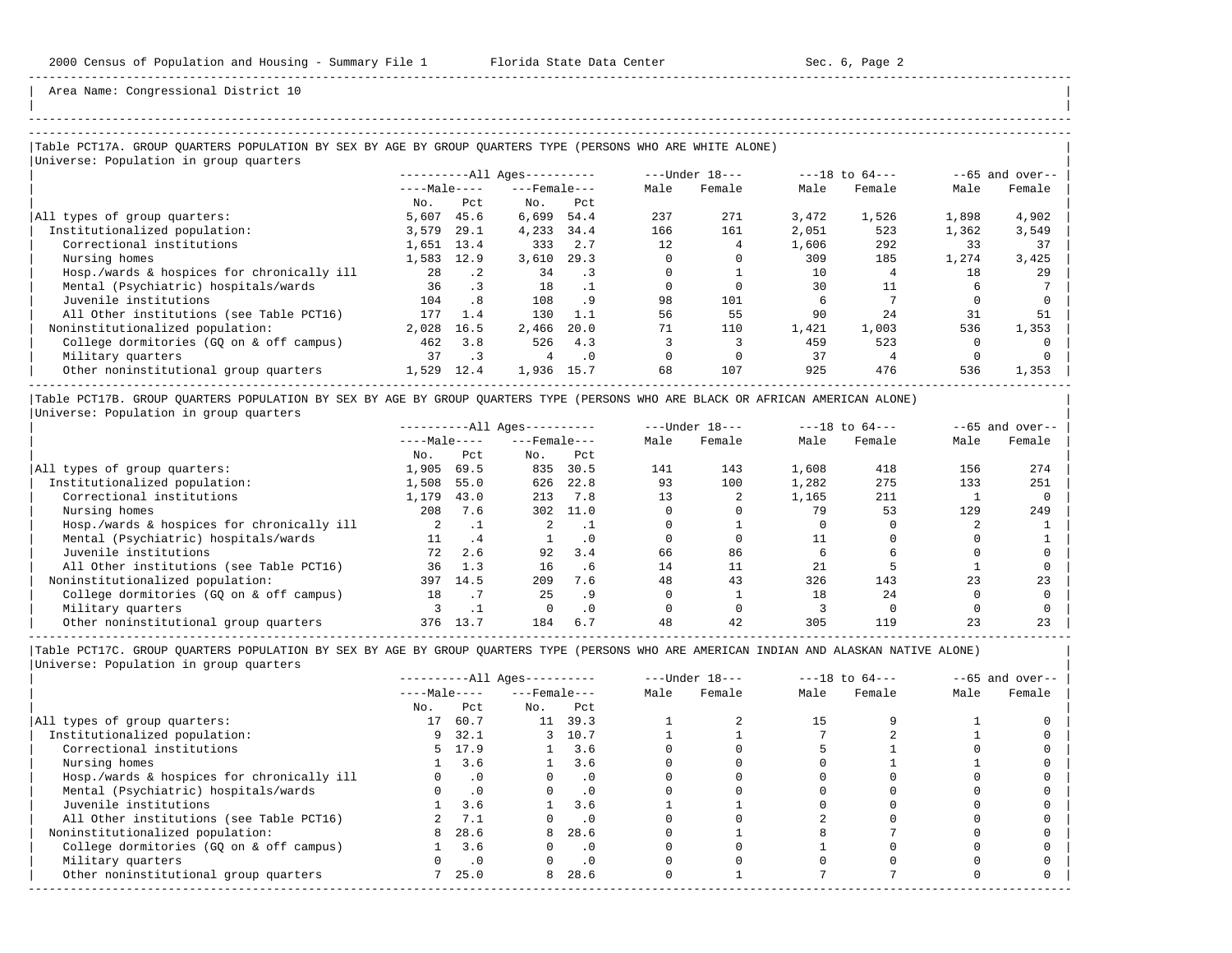| | -----------------------------------------------------------------------------------------------------------------------------------------------------

Area Name: Congressional District 10

### -----------------------------------------------------------------------------------------------------------------------------------------------------

### |Table PCT17A. GROUP QUARTERS POPULATION BY SEX BY AGE BY GROUP QUARTERS TYPE (PERSONS WHO ARE WHITE ALONE) | |<br>|Universe: Population in group quarters

| $---Male---$ |           |                      |                    | $---Under 18---$ |        | $---18$ to $64---$ |        | $--65$ and over-- |        |
|--------------|-----------|----------------------|--------------------|------------------|--------|--------------------|--------|-------------------|--------|
|              |           |                      | $---$ Female $---$ | Male             | Female | Male               | Female | Male              | Female |
| No.          | Pct       | No.                  | Pct                |                  |        |                    |        |                   |        |
| 5,607        | 45.6      | 6,699                | 54.4               | 237              | 271    | 3,472              | 1,526  | 1,898             | 4,902  |
| 3,579        | 29.1      | 4,233                | 34.4               | 166              | 161    | 2,051              | 523    | 1,362             | 3,549  |
|              |           | 333                  | 2.7                | 12               |        | 1,606              | 292    | 33                | 37     |
| 1,583        |           | 3,610                | 29.3               |                  |        | 309                | 185    | 1,274             | 3,425  |
| 28           | $\cdot$ 2 | 34                   | $\cdot$ 3          |                  |        | 10                 |        | 18                | 29     |
| 36           | $\cdot$ 3 | 18                   |                    |                  |        | 30                 |        |                   |        |
| 104          | .8        | 108                  | .9                 | 98               | 101    |                    |        |                   |        |
| 177          | 1.4       | 130                  | 1.1                | 56               | 55     | 90                 | 2.4    | 31                | 51     |
| 2,028        | 16.5      | 2,466                | 20.0               | 71               | 110    | 1,421              | 1,003  | 536               | 1,353  |
| 462          | 3.8       | 526                  | 4.3                |                  |        | 459                | 523    |                   |        |
| 37           | . 3       | 4                    | $\cdot$ 0          |                  |        | 37                 |        |                   |        |
| 1,529        | 12.4      | 1,936                | 15.7               | 68               | 107    | 925                | 476    | 536               | 1,353  |
|              |           | $1,651$ 13.4<br>12.9 |                    |                  |        |                    |        |                   |        |

|Table PCT17B. GROUP QUARTERS POPULATION BY SEX BY AGE BY GROUP QUARTERS TYPE (PERSONS WHO ARE BLACK OR AFRICAN AMERICAN ALONE) | |Universe: Population in group quarters |

|                                            |              | $------All Aqes------$ |                    |           |      | $---Under 18---$ | $---18$ to $64---$ |        | $--65$ and over-- |        |
|--------------------------------------------|--------------|------------------------|--------------------|-----------|------|------------------|--------------------|--------|-------------------|--------|
|                                            | $---Male---$ |                        | $---$ Female $---$ |           | Male | Female           | Male               | Female | Male              | Female |
|                                            | No.          | Pct                    | No.                | Pct       |      |                  |                    |        |                   |        |
| All types of group quarters:               | 1,905        | 69.5                   | 835                | 30.5      | 141  | 143              | 1,608              | 418    | 156               | 274    |
| Institutionalized population:              | 1,508        | 55.0                   | 626                | 22.8      | 93   | 100              | 1,282              | 275    | 133               | 251    |
| Correctional institutions                  | 1,179        | 43.0                   | 213                | 7.8       |      |                  | 1,165              | 211    |                   |        |
| Nursing homes                              | 208          | 7.6                    | 302                | 11.0      |      |                  | 79                 | 53     | 129               | 249    |
| Hosp./wards & hospices for chronically ill |              |                        | 2                  |           |      |                  |                    |        |                   |        |
| Mental (Psychiatric) hospitals/wards       | 11           | . 4                    |                    | . 0       |      |                  |                    |        |                   |        |
| Juvenile institutions                      | 72           | 2.6                    | 92                 | 3.4       | 66   | 86               |                    |        |                   |        |
| All Other institutions (see Table PCT16)   | 36           | 1.3                    | 16                 | . 6       | 14   | 11               | 2.1                |        |                   |        |
| Noninstitutionalized population:           | 397          | 14.5                   | 209                | 7.6       | 48   | 43               | 326                | 143    | 23                | 23     |
| College dormitories (GO on & off campus)   | 18           |                        | 25                 | .9        |      |                  | 18                 | 2.4    |                   |        |
| Military quarters                          |              |                        |                    | $\cdot$ 0 |      |                  |                    |        |                   |        |
| Other noninstitutional group quarters      | 376          | 13.7                   | 184                | 6.7       | 48   | 42               | 305                | 119    |                   | 23     |

-----------------------------------------------------------------------------------------------------------------------------------------------------

|                                            |              |           | $------All Aqes------$ |           |      | $---Under 18---$ |      | $---18$ to $64---$ |      | $--65$ and over-- |
|--------------------------------------------|--------------|-----------|------------------------|-----------|------|------------------|------|--------------------|------|-------------------|
|                                            | $---Male---$ |           | $---$ Female $---$     |           | Male | Female           | Male | Female             | Male | Female            |
|                                            | No.          | Pct       | No.                    | Pct       |      |                  |      |                    |      |                   |
| All types of group quarters:               | 17           | 60.7      | 11                     | 39.3      |      |                  |      |                    |      |                   |
| Institutionalized population:              | 9            | 32.1      |                        | 3 10.7    |      |                  |      |                    |      |                   |
| Correctional institutions                  |              | 5 17.9    |                        | 3.6       |      |                  |      |                    |      |                   |
| Nursing homes                              |              | 3.6       |                        | 3.6       |      |                  |      |                    |      |                   |
| Hosp./wards & hospices for chronically ill |              | $\cdot$ 0 |                        | $\cdot$ 0 |      |                  |      |                    |      |                   |
| Mental (Psychiatric) hospitals/wards       |              | $\cdot$ 0 |                        | $\cdot$ 0 |      |                  |      |                    |      |                   |
| Juvenile institutions                      |              | 3.6       |                        | 3.6       |      |                  |      |                    |      |                   |
| All Other institutions (see Table PCT16)   |              | 7.1       |                        |           |      |                  |      |                    |      |                   |
| Noninstitutionalized population:           | 8            | 28.6      | 8                      | 28.6      |      |                  |      |                    |      |                   |
| College dormitories (GQ on & off campus)   |              | 3.6       |                        | $\cdot$ 0 |      |                  |      |                    |      |                   |
| Military quarters                          |              | $\cdot$ 0 |                        | $\cdot$ 0 |      |                  |      |                    |      |                   |
| Other noninstitutional group quarters      |              | 25.0      | 8                      | 28.6      |      |                  |      |                    |      |                   |
|                                            |              |           |                        |           |      |                  |      |                    |      |                   |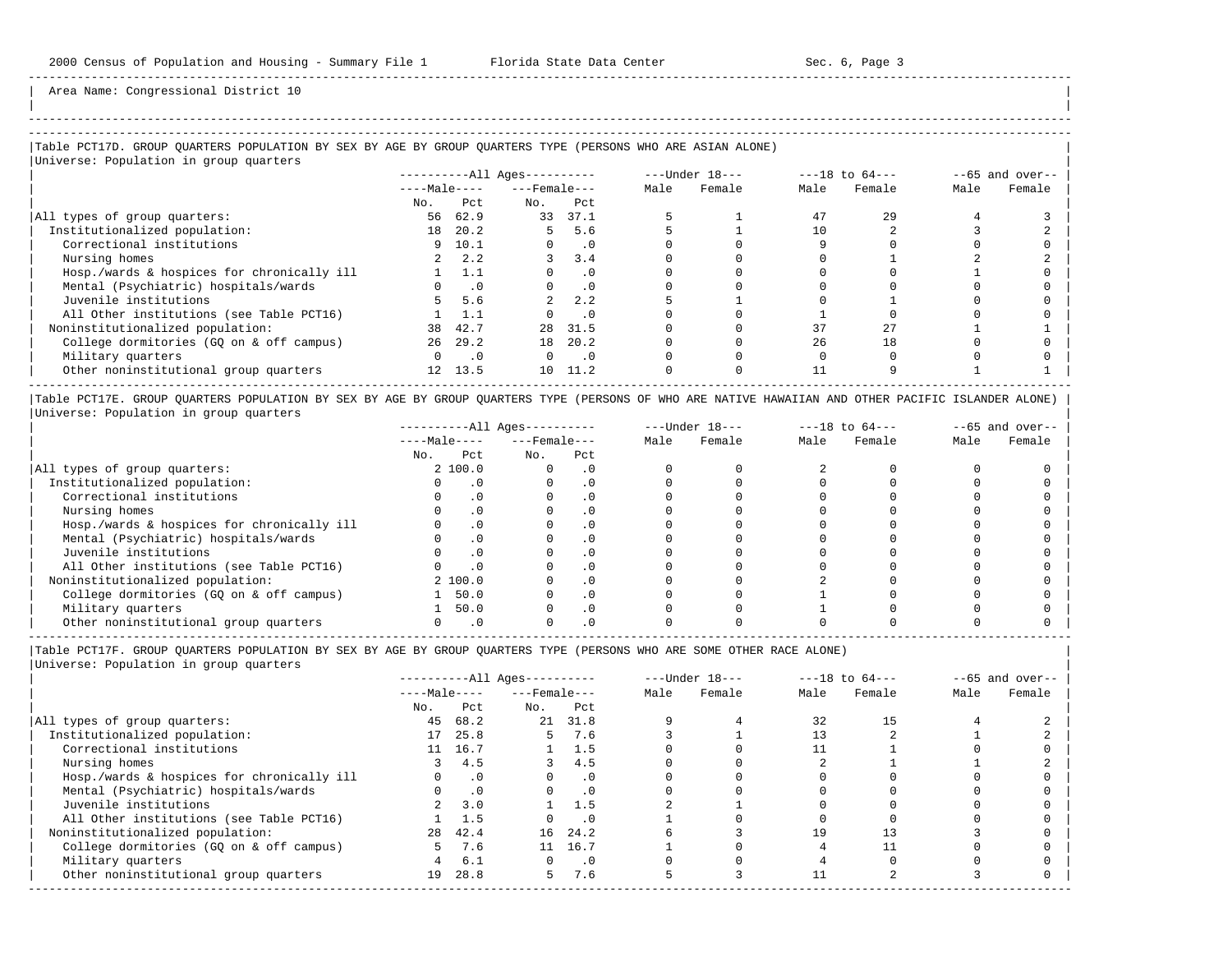| |

-----------------------------------------------------------------------------------------------------------------------------------------------------

Area Name: Congressional District 10

## |Table PCT17D. GROUP QUARTERS POPULATION BY SEX BY AGE BY GROUP QUARTERS TYPE (PERSONS WHO ARE ASIAN ALONE) |

|Universe: Population in group quarters |

-----------------------------------------------------------------------------------------------------------------------------------------------------

|                                            |              |                | $------All Ages------$ |           |      | $---Under 18---$ |      | $---18$ to $64---$ | $--65$ and over-- |        |
|--------------------------------------------|--------------|----------------|------------------------|-----------|------|------------------|------|--------------------|-------------------|--------|
|                                            | $---Male---$ |                | $---$ Female $---$     |           | Male | Female           | Male | Female             | Male              | Female |
|                                            | No.          | Pct            | No.                    | Pct       |      |                  |      |                    |                   |        |
| All types of group quarters:               | 56           | 62.9           | 33                     | 37.1      |      |                  | 47   | 2.9                |                   |        |
| Institutionalized population:              | 18           | 20.2           |                        | 5.6       |      |                  |      |                    |                   |        |
| Correctional institutions                  |              | 9 10.1         |                        | $\cdot$ 0 |      |                  |      |                    |                   |        |
| Nursing homes                              |              | 2.2            |                        | 3.4       |      |                  |      |                    |                   |        |
| Hosp./wards & hospices for chronically ill |              | 1.1            |                        | $\cdot$ 0 |      |                  |      |                    |                   |        |
| Mental (Psychiatric) hospitals/wards       |              | $\overline{0}$ |                        | $\cdot$ 0 |      |                  |      |                    |                   |        |
| Juvenile institutions                      | 5.           | 5.6            |                        | 2.2       |      |                  |      |                    |                   |        |
| All Other institutions (see Table PCT16)   |              | 1.1            |                        | $\cdot$ 0 |      |                  |      |                    |                   |        |
| Noninstitutionalized population:           | 38           | 42.7           | 28                     | 31.5      |      |                  | 37   |                    |                   |        |
| College dormitories (GQ on & off campus)   | 26           | 29.2           | 18                     | 20.2      |      |                  | 26   | 18                 |                   |        |
| Military quarters                          |              | $\cdot$ 0      |                        | $\cdot$ 0 |      |                  |      |                    |                   |        |
| Other noninstitutional group quarters      |              | 12 13.5        |                        | 10 11.2   |      |                  |      |                    |                   |        |

|Table PCT17E. GROUP QUARTERS POPULATION BY SEX BY AGE BY GROUP QUARTERS TYPE (PERSONS OF WHO ARE NATIVE HAWAIIAN AND OTHER PACIFIC ISLANDER ALONE) | |Universe: Population in group quarters |

|                                            |              |         | $------All Aqes------$ |           |      | $---Under 18---$ | $---18$ to $64---$ |        | $--65$ and over-- |        |
|--------------------------------------------|--------------|---------|------------------------|-----------|------|------------------|--------------------|--------|-------------------|--------|
|                                            | $---Male---$ |         | $---$ Female $---$     |           | Male | Female           | Male               | Female | Male              | Female |
|                                            | No.          | Pct     | No.                    | Pct       |      |                  |                    |        |                   |        |
| All types of group quarters:               |              | 2 100.0 |                        | . 0       |      |                  |                    |        |                   |        |
| Institutionalized population:              |              |         |                        |           |      |                  |                    |        |                   |        |
| Correctional institutions                  |              |         |                        | . 0       |      |                  |                    |        |                   |        |
| Nursing homes                              |              |         |                        | . 0       |      |                  |                    |        |                   |        |
| Hosp./wards & hospices for chronically ill |              |         |                        | . 0       |      |                  |                    |        |                   |        |
| Mental (Psychiatric) hospitals/wards       |              |         |                        | $\cdot$ 0 |      |                  |                    |        |                   |        |
| Juvenile institutions                      |              |         |                        | . 0       |      |                  |                    |        |                   |        |
| All Other institutions (see Table PCT16)   |              |         |                        | $\cdot$ 0 |      |                  |                    |        |                   |        |
| Noninstitutionalized population:           |              | 2 100.0 |                        | $\cdot$ 0 |      |                  |                    |        |                   |        |
| College dormitories (GO on & off campus)   |              | 50.0    |                        | . 0       |      |                  |                    |        |                   |        |
| Military quarters                          |              | 50.0    |                        | $\cdot$ 0 |      |                  |                    |        |                   |        |
| Other noninstitutional group quarters      |              |         |                        |           |      |                  |                    |        |                   |        |

-----------------------------------------------------------------------------------------------------------------------------------------------------

|Table PCT17F. GROUP QUARTERS POPULATION BY SEX BY AGE BY GROUP QUARTERS TYPE (PERSONS WHO ARE SOME OTHER RACE ALONE) |

|                                            |              |           | $------All Ages------$ |            |      | $---Under 18---$ |      | $---18$ to $64---$ |      | $--65$ and over-- |
|--------------------------------------------|--------------|-----------|------------------------|------------|------|------------------|------|--------------------|------|-------------------|
|                                            | $---Male---$ |           | $---$ Female $---$     |            | Male | Female           | Male | Female             | Male | Female            |
|                                            | No.          | Pct       | No.                    | Pct        |      |                  |      |                    |      |                   |
| All types of group quarters:               | 45           | 68.2      |                        | 21 31.8    |      |                  | 32   |                    |      |                   |
| Institutionalized population:              | 17           | 25.8      | 5.                     | 7.6        |      |                  |      |                    |      |                   |
| Correctional institutions                  |              | 11 16.7   |                        | 1.5        |      |                  |      |                    |      |                   |
| Nursing homes                              |              | 4.5       | 3                      | 4.5        |      |                  |      |                    |      |                   |
| Hosp./wards & hospices for chronically ill |              | $\cdot$ 0 |                        | $\cdot$ 0  |      |                  |      |                    |      |                   |
| Mental (Psychiatric) hospitals/wards       |              | $\cdot$ 0 |                        | $\cdot$ 0  |      |                  |      |                    |      |                   |
| Juvenile institutions                      |              | 3.0       |                        | 1.5        |      |                  |      |                    |      |                   |
| All Other institutions (see Table PCT16)   |              | 1.5       |                        | $\cdot$ 0  |      |                  |      |                    |      |                   |
| Noninstitutionalized population:           | 28           | 42.4      |                        | 16 24.2    |      |                  | 19   |                    |      |                   |
| College dormitories (GQ on & off campus)   |              | 7.6       | 11                     | 16.7       |      |                  |      |                    |      |                   |
| Military quarters                          | 4            | 6.1       | $\Omega$               | $\cdot$ .0 |      |                  |      |                    |      |                   |
| Other noninstitutional group quarters      | 19           | 28.8      | 5.                     | 7.6        |      |                  |      |                    |      |                   |
|                                            |              |           |                        |            |      |                  |      |                    |      |                   |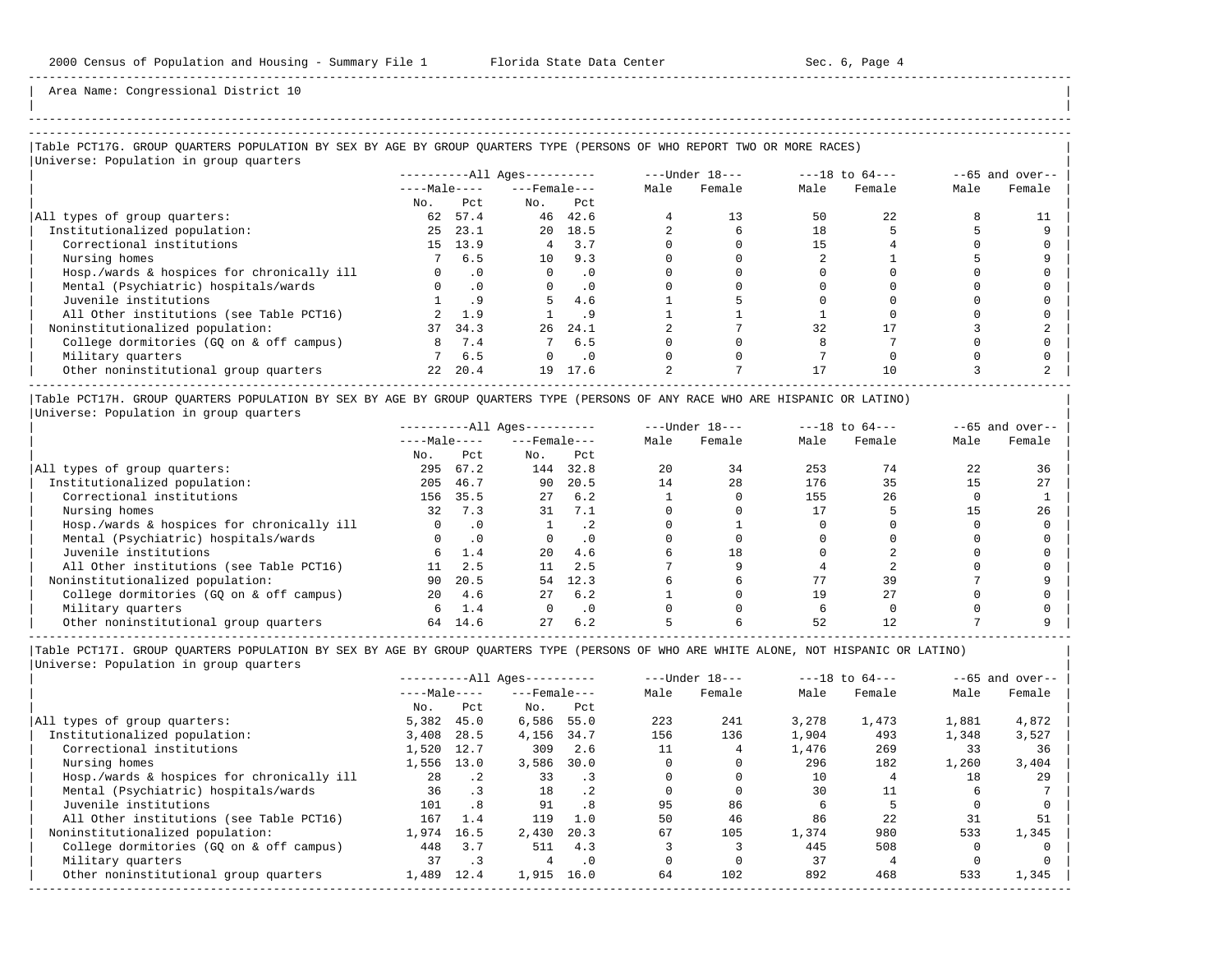| | -----------------------------------------------------------------------------------------------------------------------------------------------------

Area Name: Congressional District 10

### |Table PCT17G. GROUP QUARTERS POPULATION BY SEX BY AGE BY GROUP QUARTERS TYPE (PERSONS OF WHO REPORT TWO OR MORE RACES) | |Universe: Population in group quarters |

|                                            | $------All \text{Aqes}---$ |           |                    |           |      | $---Under 18---$ |      | $---18$ to $64---$ | $--65$ and over-- |        |  |
|--------------------------------------------|----------------------------|-----------|--------------------|-----------|------|------------------|------|--------------------|-------------------|--------|--|
|                                            | $---Male---$               |           | $---$ Female $---$ |           | Male | Female           | Male | Female             | Male              | Female |  |
|                                            | No.                        | Pct       | No.                | Pct       |      |                  |      |                    |                   |        |  |
| All types of group quarters:               | 62                         | 57.4      |                    | 46 42.6   |      | 13               | 50   | 22                 |                   |        |  |
| Institutionalized population:              | 25                         | 23.1      |                    | 20 18.5   |      |                  | 18   |                    |                   |        |  |
| Correctional institutions                  | 15                         | 13.9      |                    | 3.7       |      |                  |      |                    |                   |        |  |
| Nursing homes                              |                            | 6.5       | 10                 | 9.3       |      |                  |      |                    |                   |        |  |
| Hosp./wards & hospices for chronically ill | $\Omega$                   | $\cdot$ 0 | $\Omega$           | $\cdot$ 0 |      |                  |      |                    |                   |        |  |
| Mental (Psychiatric) hospitals/wards       | $\Omega$                   | $\cdot$ 0 | $\Omega$           | . 0       |      |                  |      |                    |                   |        |  |
| Juvenile institutions                      |                            |           |                    | 4.6       |      |                  |      |                    |                   |        |  |
| All Other institutions (see Table PCT16)   |                            | 1.9       |                    | . 9       |      |                  |      |                    |                   |        |  |
| Noninstitutionalized population:           | 37                         | 34.3      | 26                 | 24.1      |      |                  | 32   |                    |                   |        |  |
| College dormitories (GO on & off campus)   | 8                          | 7.4       |                    | 6.5       |      |                  |      |                    |                   |        |  |
| Military quarters                          |                            | 6.5       |                    | $\cdot$ 0 |      |                  |      |                    |                   |        |  |
| Other noninstitutional group quarters      | 22                         | 20.4      | 19                 | 17.6      |      |                  |      | 10                 |                   |        |  |
|                                            |                            |           |                    |           |      |                  |      |                    |                   |        |  |

|Table PCT17H. GROUP QUARTERS POPULATION BY SEX BY AGE BY GROUP QUARTERS TYPE (PERSONS OF ANY RACE WHO ARE HISPANIC OR LATINO) | |Universe: Population in group quarters |

|                                            |              |           | $------All Aqes------$ |           |      | $---Under 18---$ | $---18$ to $64---$ |        | $- -65$ and over-- |        |
|--------------------------------------------|--------------|-----------|------------------------|-----------|------|------------------|--------------------|--------|--------------------|--------|
|                                            | $---Male---$ |           | $---$ Female $---$     |           | Male | Female           | Male               | Female | Male               | Female |
|                                            | No.          | Pct       | No.                    | Pct       |      |                  |                    |        |                    |        |
| All types of group quarters:               | 295          | 67.2      | 144                    | 32.8      | 20   | 34               | 253                | 74     | 22                 | 36     |
| Institutionalized population:              | 205          | 46.7      | 90                     | 20.5      | 14   | 28               | 176                | 35     |                    | 27     |
| Correctional institutions                  | 156          | 35.5      | 27                     | 6.2       |      |                  | 155                | 26     |                    |        |
| Nursing homes                              | 32           | 7.3       | 31                     | 7.1       |      |                  |                    |        |                    | 26     |
| Hosp./wards & hospices for chronically ill |              | $\cdot$ 0 |                        | $\cdot$ 2 |      |                  |                    |        |                    |        |
| Mental (Psychiatric) hospitals/wards       |              | $\cdot$ 0 |                        | $\cdot$ 0 |      |                  |                    |        |                    |        |
| Juvenile institutions                      | 6            | 1.4       | 20                     | 4.6       |      | 18               |                    |        |                    |        |
| All Other institutions (see Table PCT16)   | 11           | 2.5       |                        | 2.5       |      |                  |                    |        |                    |        |
| Noninstitutionalized population:           | 90           | 20.5      | 54                     | 12.3      |      |                  | 77                 | 39     |                    |        |
| College dormitories (GO on & off campus)   | 20           | 4.6       | 27                     | 6.2       |      |                  | 19                 | 27     |                    |        |
| Military quarters                          | 6            | 1.4       |                        | $\cdot$ 0 |      |                  |                    |        |                    |        |
| Other noninstitutional group quarters      | 64           | 14.6      | 27                     | 6.2       |      |                  | 52                 |        |                    |        |

-----------------------------------------------------------------------------------------------------------------------------------------------------

|                                            |              |           | $------All Aqes------$ |           |      | $---Under 18---$ |       | $---18$ to $64---$ |       | $--65$ and over-- |
|--------------------------------------------|--------------|-----------|------------------------|-----------|------|------------------|-------|--------------------|-------|-------------------|
|                                            | $---Male---$ |           | $---$ Female $---$     |           | Male | Female           | Male  | Female             | Male  | Female            |
|                                            | No.          | Pct       | No.                    | Pct       |      |                  |       |                    |       |                   |
| All types of group quarters:               | 5,382        | 45.0      | 6,586                  | 55.0      | 223  | 241              | 3,278 | 1,473              | 1,881 | 4,872             |
| Institutionalized population:              | 3,408        | 28.5      | 4,156                  | 34.7      | 156  | 136              | 1,904 | 493                | 1,348 | 3,527             |
| Correctional institutions                  | 1,520        | 12.7      | 309                    | 2.6       |      |                  | 1,476 | 269                | 33    | 36                |
| Nursing homes                              | 1,556        | 13.0      | 3,586                  | 30.0      |      |                  | 296   | 182                | 1,260 | 3,404             |
| Hosp./wards & hospices for chronically ill | 28           | $\cdot$ 2 | 33                     | . 3       |      |                  | 10    |                    | 18    | 29                |
| Mental (Psychiatric) hospitals/wards       | 36           | $\cdot$ 3 | 18                     | $\cdot$ 2 |      |                  | 30    | 11                 |       |                   |
| Juvenile institutions                      | 101          | .8        | 91                     | . 8       | 95   | 86               |       |                    |       |                   |
| All Other institutions (see Table PCT16)   | 167          | 1.4       | 119                    | 1.0       | 50   | 46               | 86    | 22                 | 31    | 51                |
| Noninstitutionalized population:           | 1,974        | 16.5      | 2,430                  | 20.3      | 67   | 105              | 1,374 | 980                | 533   | 1,345             |
| College dormitories (GO on & off campus)   | 448          | 3.7       | 511                    | 4.3       |      |                  | 445   | 508                |       |                   |
| Military quarters                          | 37           | $\cdot$ 3 | 4                      | $\cdot$ 0 |      |                  | 37    |                    |       |                   |
| Other noninstitutional group quarters      | 1,489        | 12.4      | 1,915                  | 16.0      | 64   | 102              | 892   | 468                | 533   | 1,345             |
|                                            |              |           |                        |           |      |                  |       |                    |       |                   |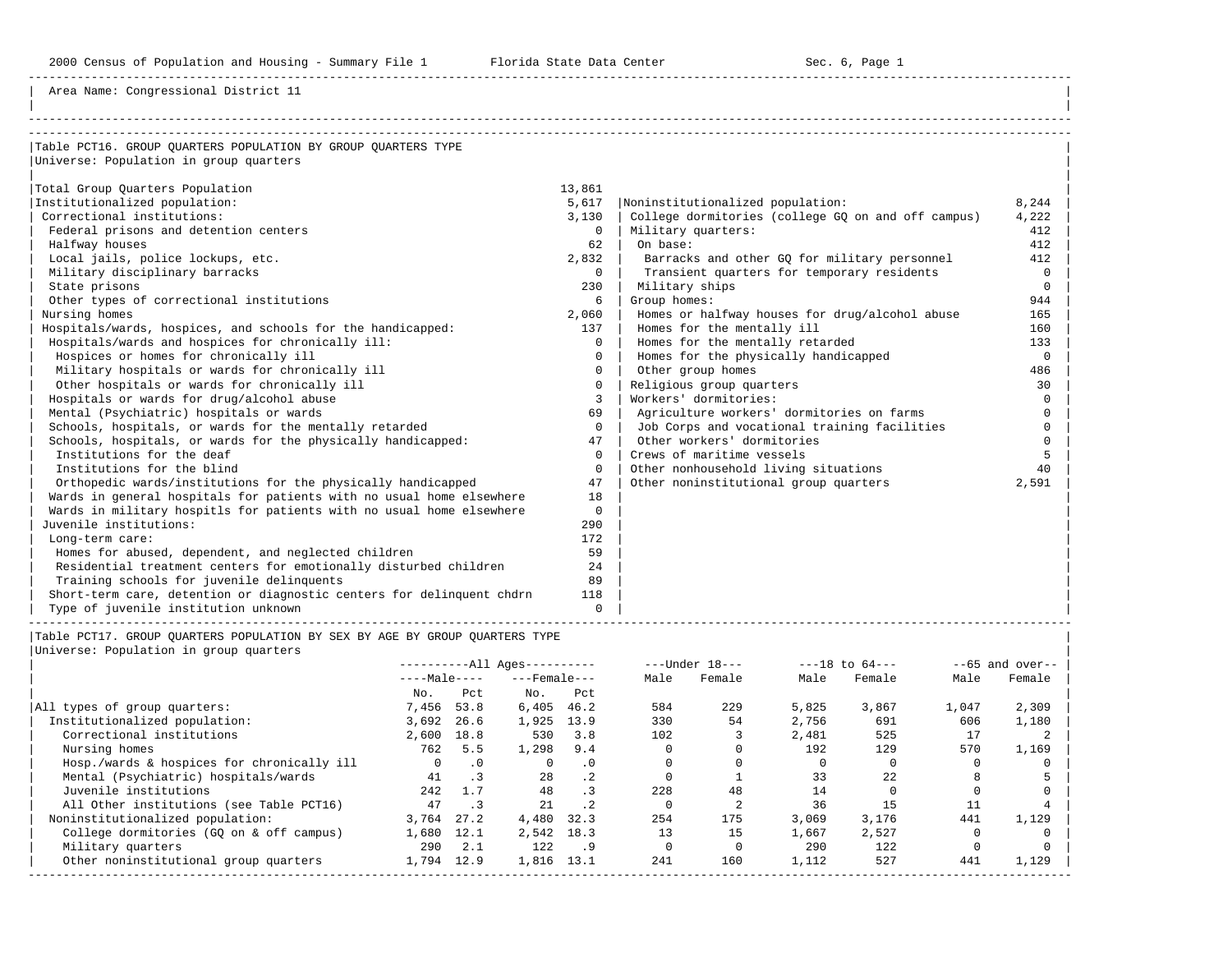Area Name: Congressional District 11

| Table PCT16. GROUP OUARTERS POPULATION BY GROUP OUARTERS TYPE         |               |                                                    |          |
|-----------------------------------------------------------------------|---------------|----------------------------------------------------|----------|
| Universe: Population in group quarters                                |               |                                                    |          |
|                                                                       |               |                                                    |          |
| Total Group Quarters Population                                       | 13,861        |                                                    |          |
| Institutionalized population:                                         | 5,617         | Noninstitutionalized population:                   | 8,244    |
| Correctional institutions:                                            | 3,130         | College dormitories (college GQ on and off campus) | 4,222    |
| Federal prisons and detention centers                                 | $\Omega$      | Military quarters:                                 | 412      |
| Halfway houses                                                        | 62            | On base:                                           | 412      |
| Local jails, police lockups, etc.                                     | 2,832         | Barracks and other GQ for military personnel       | 412      |
| Military disciplinary barracks                                        | $\Omega$      | Transient quarters for temporary residents         | $\Omega$ |
| State prisons                                                         | 230           | Military ships                                     | $\Omega$ |
| Other types of correctional institutions                              | 6             | Group homes:                                       | 944      |
| Nursing homes                                                         | 2,060         | Homes or halfway houses for drug/alcohol abuse     | 165      |
| Hospitals/wards, hospices, and schools for the handicapped:           | 137           | Homes for the mentally ill                         | 160      |
| Hospitals/wards and hospices for chronically ill:                     | $\Omega$      | Homes for the mentally retarded                    | 133      |
| Hospices or homes for chronically ill                                 | $\Omega$      | Homes for the physically handicapped               | $\Omega$ |
| Military hospitals or wards for chronically ill                       | $\Omega$      | Other group homes                                  | 486      |
| Other hospitals or wards for chronically ill                          | $\Omega$      | Religious group quarters                           | 30       |
| Hospitals or wards for drug/alcohol abuse                             | $\mathcal{L}$ | Workers' dormitories:                              | $\Omega$ |
| Mental (Psychiatric) hospitals or wards                               | 69            | Agriculture workers' dormitories on farms          | $\cap$   |
| Schools, hospitals, or wards for the mentally retarded                | $\Omega$      | Job Corps and vocational training facilities       | $\Omega$ |
| Schools, hospitals, or wards for the physically handicapped:          | 47            | Other workers' dormitories                         |          |
| Institutions for the deaf                                             | $\Omega$      | Crews of maritime vessels                          |          |
| Institutions for the blind                                            | $\Omega$      | Other nonhousehold living situations               | 40       |
| Orthopedic wards/institutions for the physically handicapped          | 47            | Other noninstitutional group quarters              | 2,591    |
| Wards in general hospitals for patients with no usual home elsewhere  | 18            |                                                    |          |
| Wards in military hospitls for patients with no usual home elsewhere  | $\Omega$      |                                                    |          |
| Juvenile institutions:                                                | 290           |                                                    |          |
| Long-term care:                                                       | 172           |                                                    |          |
| Homes for abused, dependent, and neglected children                   | 59            |                                                    |          |
| Residential treatment centers for emotionally disturbed children      | 24            |                                                    |          |
| Training schools for juvenile delinquents                             | 89            |                                                    |          |
| Short-term care, detention or diagnostic centers for delinguent chdrn | 118           |                                                    |          |
| Type of juvenile institution unknown                                  | $\Omega$      |                                                    |          |

|Table PCT17. GROUP QUARTERS POPULATION BY SEX BY AGE BY GROUP QUARTERS TYPE |

| Universe: Population in group quarters |  |
|----------------------------------------|--|
|                                        |  |

|                                            | $------All Aqes------$ |           |                    | $---Under 18---$ |      | $---18$ to $64---$ |       | $--65$ and over-- |       |        |
|--------------------------------------------|------------------------|-----------|--------------------|------------------|------|--------------------|-------|-------------------|-------|--------|
|                                            | $---Male---$           |           | $---$ Female $---$ |                  | Male | Female             | Male  | Female            | Male  | Female |
|                                            | No.                    | Pct       | No.                | Pct              |      |                    |       |                   |       |        |
| All types of group quarters:               | 7,456                  | 53.8      | 6,405              | 46.2             | 584  | 229                | 5,825 | 3,867             | 1,047 | 2,309  |
| Institutionalized population:              | 3,692                  | 26.6      | 1,925              | 13.9             | 330  | 54                 | 2,756 | 691               | 606   | 1,180  |
| Correctional institutions                  | 2,600                  | 18.8      | 530                | 3.8              | 102  |                    | 2,481 | 525               | 17    |        |
| Nursing homes                              | 762                    | 5.5       | 1,298              | 9.4              |      |                    | 192   | 129               | 570   | 1,169  |
| Hosp./wards & hospices for chronically ill | $\Omega$               | $\cdot$ 0 | $\Omega$           | $\cdot$ 0        |      |                    |       |                   |       |        |
| Mental (Psychiatric) hospitals/wards       | 41                     | $\cdot$ 3 | 28                 | $\cdot$ 2        |      |                    | 33    | 22                |       |        |
| Juvenile institutions                      | 2.42                   | 1.7       | 48                 | $\cdot$ 3        | 228  | 48                 | 14    |                   |       |        |
| All Other institutions (see Table PCT16)   | 47                     | .3        | 21                 | $\cdot$ 2        |      |                    | 36    | 15                |       |        |
| Noninstitutionalized population:           | 3,764                  | 27.2      | 4,480              | 32.3             | 254  | 175                | 3,069 | 3,176             | 441   | 1,129  |
| College dormitories (GO on & off campus)   | 1,680                  | 12.1      | 2,542 18.3         |                  | 13   | 15                 | 1,667 | 2,527             |       |        |
| Military quarters                          | 290                    | 2.1       | 122                | .9               |      |                    | 290   | 122               |       |        |
| Other noninstitutional group quarters      | 1,794                  | 12.9      | 1,816              | 13.1             | 241  | 160                | 1,112 | 527               | 441   | 1,129  |

-----------------------------------------------------------------------------------------------------------------------------------------------------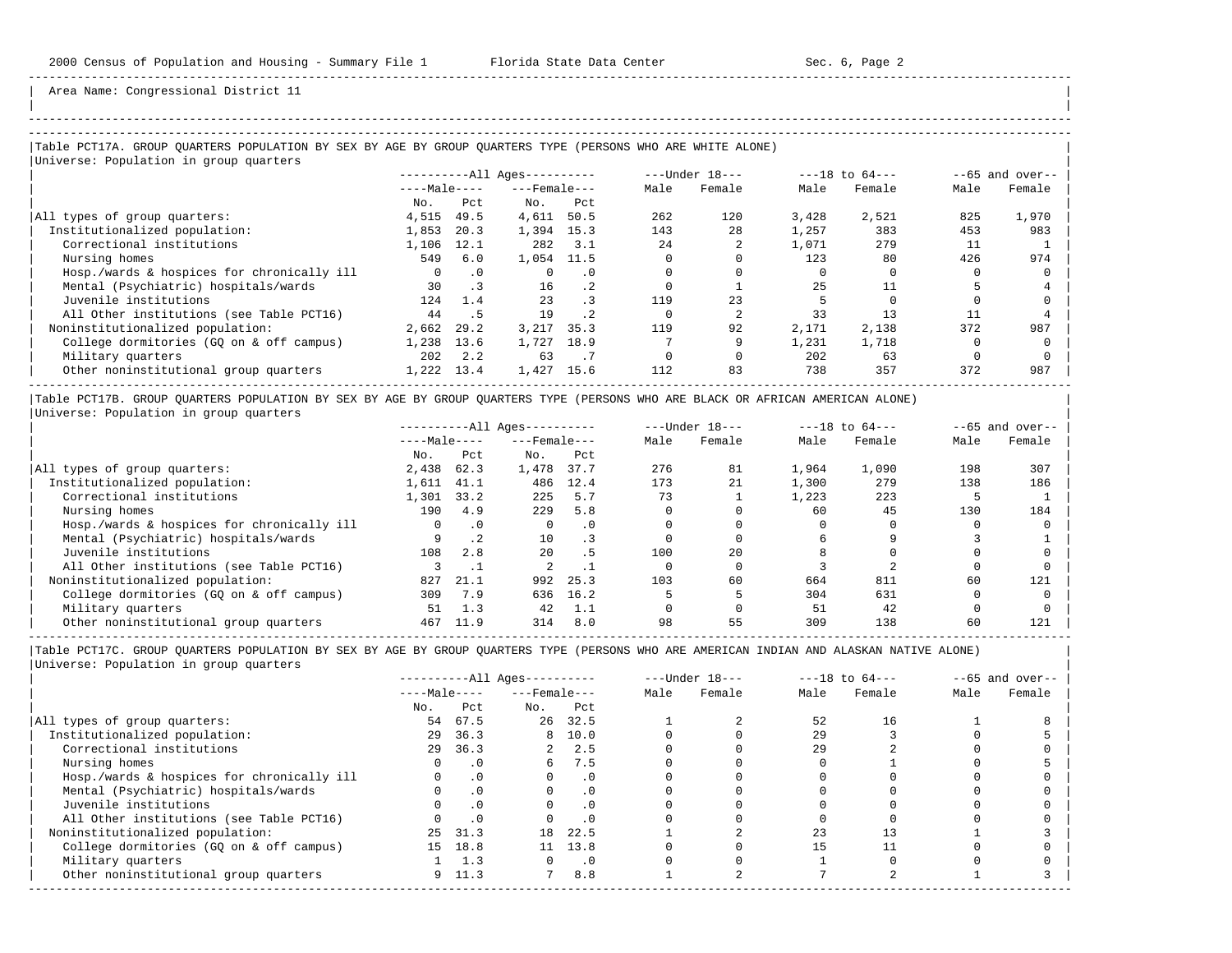| | -----------------------------------------------------------------------------------------------------------------------------------------------------

Area Name: Congressional District 11

## |Table PCT17A. GROUP QUARTERS POPULATION BY SEX BY AGE BY GROUP QUARTERS TYPE (PERSONS WHO ARE WHITE ALONE) |

| Universe: Population in group quarters     |              |           |                        |           |      |                  |       |                    |                   |        |
|--------------------------------------------|--------------|-----------|------------------------|-----------|------|------------------|-------|--------------------|-------------------|--------|
|                                            |              |           | $------All Ages------$ |           |      | $---Under 18---$ |       | $---18$ to $64---$ | $--65$ and over-- |        |
|                                            | $---Male---$ |           | $---$ Female $---$     |           | Male | Female           | Male  | Female             | Male              | Female |
|                                            | No.          | Pct       | No.                    | Pct       |      |                  |       |                    |                   |        |
| All types of group quarters:               | 4,515        | 49.5      | 4,611                  | 50.5      | 262  | 120              | 3,428 | 2,521              | 825               | 1,970  |
| Institutionalized population:              | 1,853        | 20.3      | 1,394                  | 15.3      | 143  | 28               | 1,257 | 383                | 453               | 983    |
| Correctional institutions                  | 1,106        | 12.1      | 282                    | 3.1       | 24   |                  | 1,071 | 279                | 11                |        |
| Nursing homes                              | 549          | 6.0       | 1,054                  | 11.5      |      |                  | 123   | 80                 | 426               | 974    |
| Hosp./wards & hospices for chronically ill |              | $\cdot$ 0 |                        | . 0       |      |                  |       |                    |                   |        |
| Mental (Psychiatric) hospitals/wards       | 30           | $\cdot$ 3 | 16                     | $\cdot$ 2 |      |                  | 25    | 11                 |                   |        |
| Juvenile institutions                      | 124          | 1.4       | 23                     | $\cdot$ 3 | 119  | 23               |       |                    |                   |        |
| All Other institutions (see Table PCT16)   | 44           | . 5       | 19                     | $\cdot$ 2 |      |                  | 33    | 13                 |                   |        |
| Noninstitutionalized population:           | 2,662        | 29.2      | 3,217                  | 35.3      | 119  | 92               | 2,171 | 2,138              | 372               | 987    |
| College dormitories (GO on & off campus)   | 1,238        | 13.6      | 1,727                  | 18.9      |      |                  | 1,231 | 1,718              |                   |        |
| Military quarters                          | 202          | 2.2       | 63                     | .7        |      |                  | 202   | 63                 |                   |        |
| Other noninstitutional group quarters      | 1,222        | 13.4      | 1,427                  | 15.6      | 112  | 83               | 738   | 357                | 372               | 987    |
|                                            |              |           |                        |           |      |                  |       |                    |                   |        |

|Table PCT17B. GROUP QUARTERS POPULATION BY SEX BY AGE BY GROUP QUARTERS TYPE (PERSONS WHO ARE BLACK OR AFRICAN AMERICAN ALONE) | |Universe: Population in group quarters |

|                                            | $------All Aqes------$ |           |                    |           |      | $---Under 18---$ | $---18$ to $64---$ |        | $--65$ and over-- |        |
|--------------------------------------------|------------------------|-----------|--------------------|-----------|------|------------------|--------------------|--------|-------------------|--------|
|                                            | $---Male---$           |           | $---$ Female $---$ |           | Male | Female           | Male               | Female | Male              | Female |
|                                            | No.                    | Pct       | No.                | Pct       |      |                  |                    |        |                   |        |
| All types of group quarters:               | 2,438                  | 62.3      | 1,478              | 37.7      | 276  | 81               | 1,964              | 1,090  | 198               | 307    |
| Institutionalized population:              | 1,611                  | 41.1      | 486                | 12.4      | 173  | 21               | 1,300              | 279    | 138               | 186    |
| Correctional institutions                  | 1,301                  | 33.2      | 225                | 5.7       | 73   |                  | 1,223              | 223    |                   |        |
| Nursing homes                              | 190                    | 4.9       | 229                | 5.8       |      |                  | 60                 | 45     | 130               | 184    |
| Hosp./wards & hospices for chronically ill | 0                      | $\cdot$ 0 |                    | $\cdot$ 0 |      |                  |                    |        |                   |        |
| Mental (Psychiatric) hospitals/wards       |                        |           | 10                 | $\cdot$ 3 |      |                  |                    |        |                   |        |
| Juvenile institutions                      | 108                    | 2.8       | 20                 | . 5       | 100  | 20               |                    |        |                   |        |
| All Other institutions (see Table PCT16)   |                        |           |                    |           |      |                  |                    |        |                   |        |
| Noninstitutionalized population:           | 827                    | 21.1      | 992                | 25.3      | 103  | 60               | 664                | 811    | 60                | 121    |
| College dormitories (GO on & off campus)   | 309                    | 7.9       | 636                | 16.2      |      |                  | 304                | 631    |                   |        |
| Military quarters                          | 51                     | 1.3       | 42                 | 1.1       |      |                  | 51                 | 42     |                   |        |
| Other noninstitutional group quarters      | 467                    | 11.9      | 314                | 8.0       | 98   | 55               | 309                | 138    | 60                | 121    |

-----------------------------------------------------------------------------------------------------------------------------------------------------

|                                            |              | $------All Aqes------$ |                    |           |      | $---Under 18---$ | $---18$ to $64---$ |        | $- -65$ and over-- |        |
|--------------------------------------------|--------------|------------------------|--------------------|-----------|------|------------------|--------------------|--------|--------------------|--------|
|                                            | $---Male---$ |                        | $---$ Female $---$ |           | Male | Female           | Male               | Female | Male               | Female |
|                                            | No.          | Pct                    | No.                | Pct       |      |                  |                    |        |                    |        |
| All types of group quarters:               | 54           | 67.5                   |                    | 26 32.5   |      |                  | 52                 | 16     |                    |        |
| Institutionalized population:              | 29           | 36.3                   |                    | 8 10.0    |      |                  | 29                 |        |                    |        |
| Correctional institutions                  | 29           | 36.3                   |                    | 2, 2.5    |      |                  | 29                 |        |                    |        |
| Nursing homes                              |              | . 0                    | 6                  | 7.5       |      |                  |                    |        |                    |        |
| Hosp./wards & hospices for chronically ill |              |                        |                    | . 0       |      |                  |                    |        |                    |        |
| Mental (Psychiatric) hospitals/wards       |              | $\cdot$ 0              |                    | $\cdot$ 0 |      |                  |                    |        |                    |        |
| Juvenile institutions                      |              |                        |                    | $\cdot$ 0 |      |                  |                    |        |                    |        |
| All Other institutions (see Table PCT16)   |              |                        |                    | . 0       |      |                  |                    |        |                    |        |
| Noninstitutionalized population:           | 25           | 31.3                   | 18                 | 22.5      |      |                  | 23                 |        |                    |        |
| College dormitories (GQ on & off campus)   | 15           | 18.8                   | 11                 | 13.8      |      |                  |                    |        |                    |        |
| Military quarters                          |              | 1.3                    |                    | . 0       |      |                  |                    |        |                    |        |
| Other noninstitutional group quarters      | 9.           | 11.3                   |                    | 8.8       |      |                  |                    |        |                    |        |
|                                            |              |                        |                    |           |      |                  |                    |        |                    |        |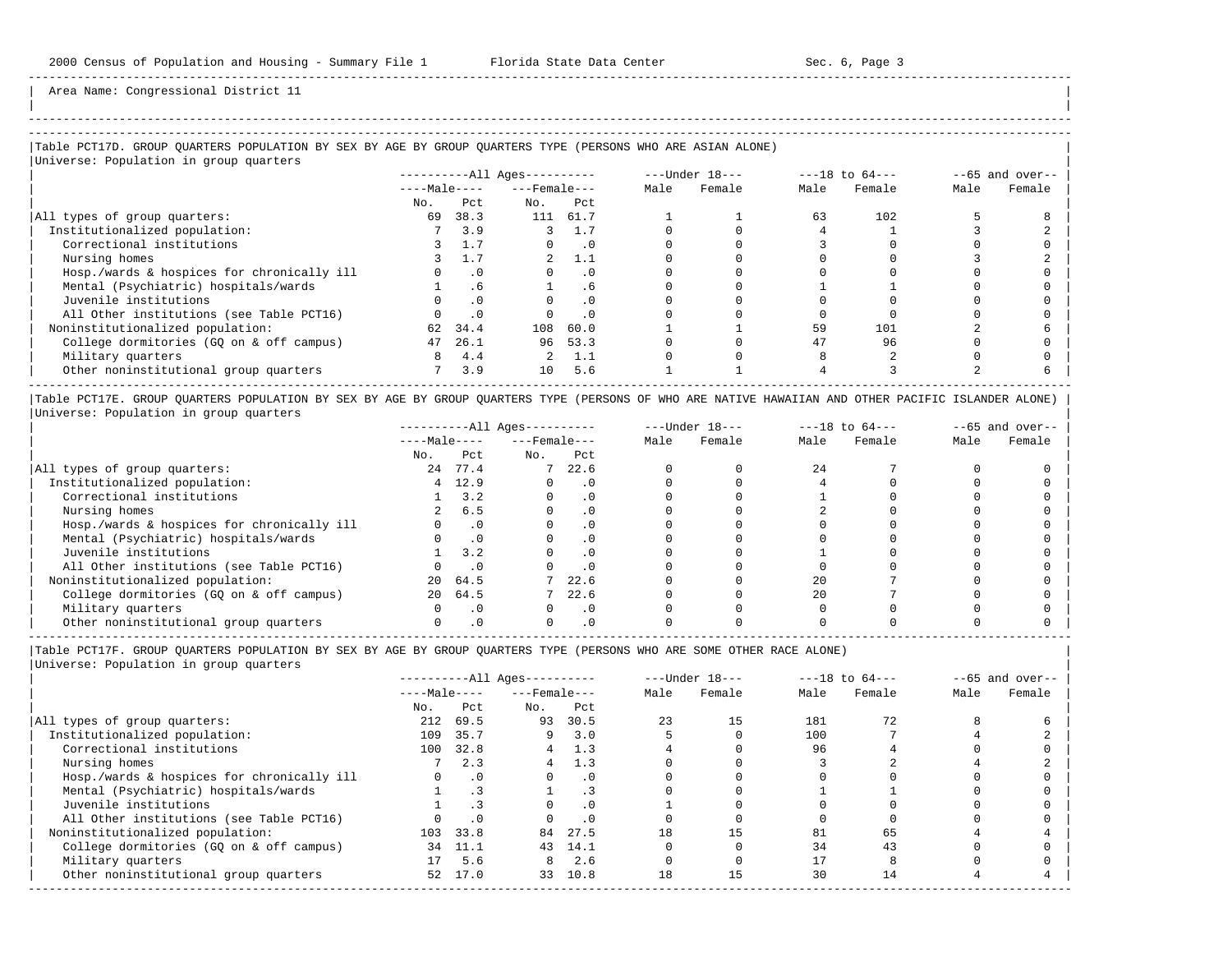| |

-----------------------------------------------------------------------------------------------------------------------------------------------------

Area Name: Congressional District 11

# |Table PCT17D. GROUP QUARTERS POPULATION BY SEX BY AGE BY GROUP QUARTERS TYPE (PERSONS WHO ARE ASIAN ALONE) |

|Universe: Population in group quarters |

|                                            | $------All Ages------$ |      |                    |           |      | $---Under 18---$ |      | $---18$ to $64---$ | $--65$ and over-- |        |
|--------------------------------------------|------------------------|------|--------------------|-----------|------|------------------|------|--------------------|-------------------|--------|
|                                            | $---Male---$           |      | $---$ Female $---$ |           | Male | Female           | Male | Female             | Male              | Female |
|                                            | No.                    | Pct. | No.                | Pct.      |      |                  |      |                    |                   |        |
| All types of group quarters:               | 69                     | 38.3 | 111                | 61.7      |      |                  | 63   | 102                |                   |        |
| Institutionalized population:              |                        | 3.9  |                    | 1.7       |      |                  |      |                    |                   |        |
| Correctional institutions                  |                        | 1.7  |                    | $\cdot$ 0 |      |                  |      |                    |                   |        |
| Nursing homes                              |                        |      |                    | 1.1       |      |                  |      |                    |                   |        |
| Hosp./wards & hospices for chronically ill |                        |      |                    | . 0       |      |                  |      |                    |                   |        |
| Mental (Psychiatric) hospitals/wards       |                        | .6   |                    | . 6       |      |                  |      |                    |                   |        |
| Juvenile institutions                      |                        |      |                    | . 0       |      |                  |      |                    |                   |        |
| All Other institutions (see Table PCT16)   |                        |      |                    | . 0       |      |                  |      |                    |                   |        |
| Noninstitutionalized population:           | 62                     | 34.4 | 108                | 60.0      |      |                  | 59   | 101                |                   |        |
| College dormitories (GQ on & off campus)   | 47                     | 26.1 | 96                 | 53.3      |      |                  | 47   | 96                 |                   |        |
| Military quarters                          | 8                      | 4.4  |                    | 1.1       |      |                  |      |                    |                   |        |
| Other noninstitutional group quarters      |                        | 3.9  | 10                 | 5.6       |      |                  |      |                    |                   |        |

|Table PCT17E. GROUP QUARTERS POPULATION BY SEX BY AGE BY GROUP QUARTERS TYPE (PERSONS OF WHO ARE NATIVE HAWAIIAN AND OTHER PACIFIC ISLANDER ALONE) | |Universe: Population in group quarters |

|                                            | $------All Ages------$ |           |                    |           | $---Under 18---$ | $---18$ to $64---$ |      | $--65$ and over-- |      |        |
|--------------------------------------------|------------------------|-----------|--------------------|-----------|------------------|--------------------|------|-------------------|------|--------|
|                                            | $---Male---$           |           | $---$ Female $---$ |           | Male             | Female             | Male | Female            | Male | Female |
|                                            | No.                    | Pct       | No.                | Pct       |                  |                    |      |                   |      |        |
| All types of group quarters:               | 24                     | 77.4      |                    | 22.6      |                  |                    | 24   |                   |      |        |
| Institutionalized population:              | 4                      | 12.9      |                    | $\cdot$ 0 |                  |                    |      |                   |      |        |
| Correctional institutions                  |                        | 3.2       |                    |           |                  |                    |      |                   |      |        |
| Nursing homes                              |                        | 6.5       |                    |           |                  |                    |      |                   |      |        |
| Hosp./wards & hospices for chronically ill |                        |           |                    |           |                  |                    |      |                   |      |        |
| Mental (Psychiatric) hospitals/wards       |                        |           |                    |           |                  |                    |      |                   |      |        |
| Juvenile institutions                      |                        | 3.2       |                    | . 0       |                  |                    |      |                   |      |        |
| All Other institutions (see Table PCT16)   |                        |           |                    | $\cdot$ 0 |                  |                    |      |                   |      |        |
| Noninstitutionalized population:           | 20                     | 64.5      |                    | 22.6      |                  |                    | 20   |                   |      |        |
| College dormitories (GQ on & off campus)   | 20                     | 64.5      |                    | 22.6      |                  |                    | 2.0  |                   |      |        |
| Military quarters                          |                        | $\cdot$ 0 |                    | $\cdot$ 0 |                  |                    |      |                   |      |        |
| Other noninstitutional group quarters      |                        |           |                    |           |                  |                    |      |                   |      |        |

----------------------------------------------------------------------------------------------------------------------------------------------------- |Table PCT17F. GROUP QUARTERS POPULATION BY SEX BY AGE BY GROUP QUARTERS TYPE (PERSONS WHO ARE SOME OTHER RACE ALONE) |

|                                            |              | $------All Ages------$ |                    |           |      | $---Under 18---$ |      | $---18$ to $64---$ | $--65$ and over-- |        |
|--------------------------------------------|--------------|------------------------|--------------------|-----------|------|------------------|------|--------------------|-------------------|--------|
|                                            | $---Male---$ |                        | $---$ Female $---$ |           | Male | Female           | Male | Female             | Male              | Female |
|                                            | No.          | Pct                    | No.                | Pct       |      |                  |      |                    |                   |        |
| All types of group quarters:               | 212          | 69.5                   | 93                 | 30.5      | 23   | 15               | 181  | 72                 |                   |        |
| Institutionalized population:              | 109          | 35.7                   | 9                  | 3.0       |      |                  | 100  |                    |                   |        |
| Correctional institutions                  | 100          | 32.8                   | 4                  | 1.3       |      |                  | 96   |                    |                   |        |
| Nursing homes                              |              | 2.3                    | 4                  | 1.3       |      |                  |      |                    |                   |        |
| Hosp./wards & hospices for chronically ill |              | $\cdot$ 0              |                    | $\cdot$ 0 |      |                  |      |                    |                   |        |
| Mental (Psychiatric) hospitals/wards       |              |                        |                    |           |      |                  |      |                    |                   |        |
| Juvenile institutions                      |              |                        |                    | .0        |      |                  |      |                    |                   |        |
| All Other institutions (see Table PCT16)   |              | .0                     |                    | .0        |      |                  |      |                    |                   |        |
| Noninstitutionalized population:           |              | 103 33.8               | 84                 | 27.5      | 18   |                  | 81   | 65                 |                   |        |
| College dormitories (GO on & off campus)   | 34           | 11.1                   | 43                 | 14.1      |      |                  | 34   | 43                 |                   |        |
| Military quarters                          |              | 5.6                    | 8                  | 2.6       |      |                  |      |                    |                   |        |
| Other noninstitutional group quarters      | 52           | 17.0                   | 33                 | 10.8      | 18   |                  | 30   | 14                 |                   |        |
|                                            |              |                        |                    |           |      |                  |      |                    |                   |        |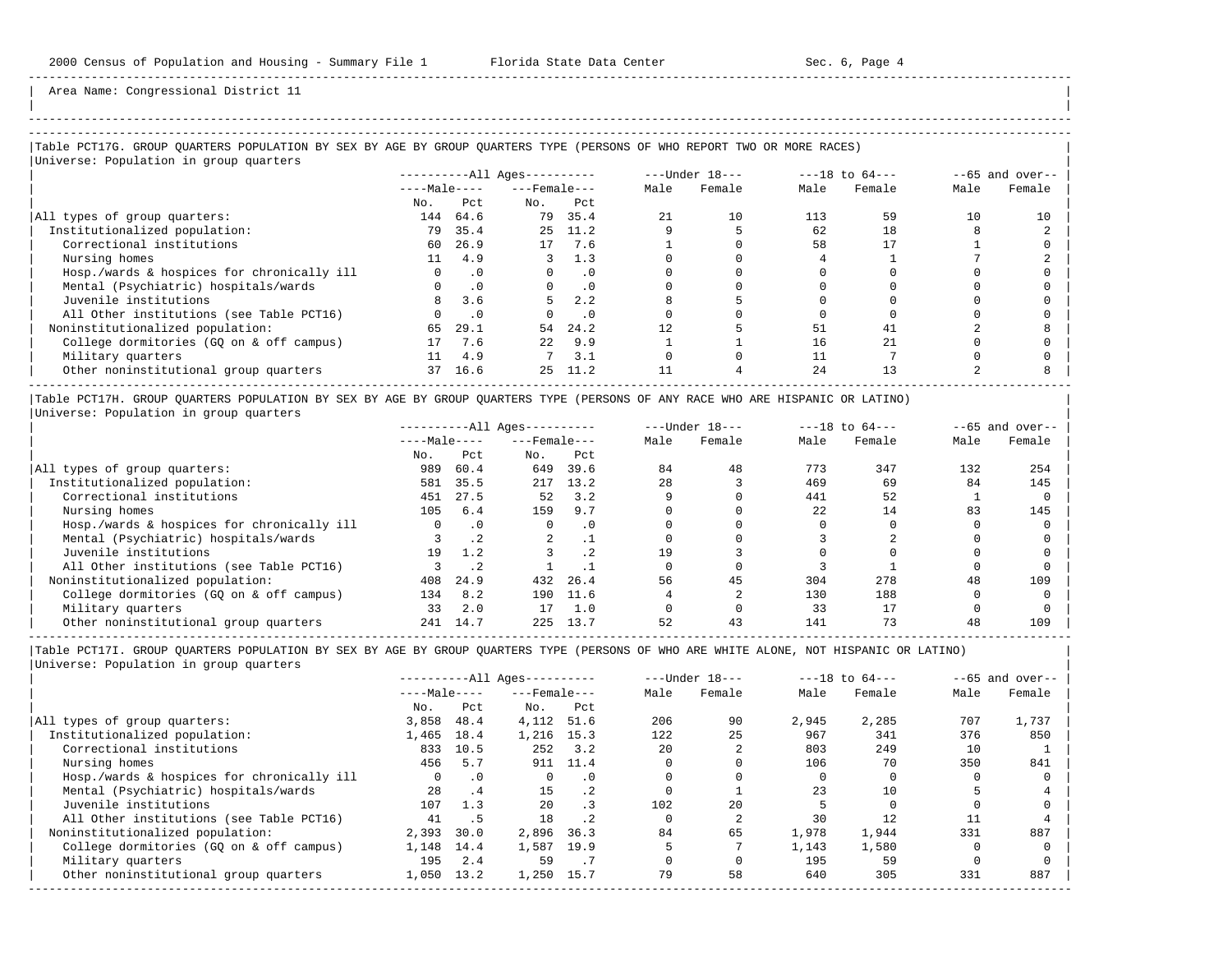| | -----------------------------------------------------------------------------------------------------------------------------------------------------

Area Name: Congressional District 11

# |Table PCT17G. GROUP QUARTERS POPULATION BY SEX BY AGE BY GROUP QUARTERS TYPE (PERSONS OF WHO REPORT TWO OR MORE RACES) |

|Universe: Population in group quarters |

|                                            |              |           | ----------All Ages---------- |           |      | $---Under 18---$ | $---18$ to $64---$ |        | $--65$ and over-- |        |
|--------------------------------------------|--------------|-----------|------------------------------|-----------|------|------------------|--------------------|--------|-------------------|--------|
|                                            | $---Male---$ |           | $---$ Female $---$           |           | Male | Female           | Male               | Female | Male              | Female |
|                                            | No.          | Pct.      | No.                          | Pct       |      |                  |                    |        |                   |        |
| All types of group quarters:               | 144          | 64.6      | 79                           | 35.4      | 21   | 10               | 113                | 59     | 10                | 10     |
| Institutionalized population:              | 79           | 35.4      |                              | 25 11.2   |      |                  | 62                 | 18     |                   |        |
| Correctional institutions                  | 60           | 26.9      | 17                           | 7.6       |      |                  | 58                 |        |                   |        |
| Nursing homes                              | 11           | 4.9       |                              | 1.3       |      |                  |                    |        |                   |        |
| Hosp./wards & hospices for chronically ill | $\Omega$     | $\cdot$ 0 | $\Omega$                     | $\cdot$ 0 |      |                  |                    |        |                   |        |
| Mental (Psychiatric) hospitals/wards       | $\Omega$     | $\cdot$ 0 | $\Omega$                     | $\cdot$ 0 |      |                  |                    |        |                   |        |
| Juvenile institutions                      | 8            | 3.6       |                              | 2.2       |      |                  |                    |        |                   |        |
| All Other institutions (see Table PCT16)   |              | $\cdot$ 0 |                              | $\cdot$ 0 |      |                  |                    |        |                   |        |
| Noninstitutionalized population:           | 65           | 29.1      | 54                           | 24.2      |      |                  | 51                 | 41     |                   |        |
| College dormitories (GO on & off campus)   | 17           | 7.6       | 2.2 <sub>1</sub>             | 9.9       |      |                  | 16                 | 2.1    |                   |        |
| Military quarters                          | 11           | 4.9       |                              | 3.1       |      |                  |                    |        |                   |        |
| Other noninstitutional group quarters      | 37           | 16.6      | 25                           | 11.2      |      |                  | 24                 | 13     |                   |        |

|Table PCT17H. GROUP QUARTERS POPULATION BY SEX BY AGE BY GROUP QUARTERS TYPE (PERSONS OF ANY RACE WHO ARE HISPANIC OR LATINO) | |Universe: Population in group quarters |

|                                            | $------All Aqes------$ |           |                    |           |      | $---Under 18---$ | $---18$ to $64---$ |        | $--65$ and over-- |        |
|--------------------------------------------|------------------------|-----------|--------------------|-----------|------|------------------|--------------------|--------|-------------------|--------|
|                                            | $---Male---$           |           | $---$ Female $---$ |           | Male | Female           | Male               | Female | Male              | Female |
|                                            | No.                    | Pct       | No.                | Pct       |      |                  |                    |        |                   |        |
| All types of group quarters:               | 989                    | 60.4      | 649                | 39.6      | 84   | 48               | 773                | 347    | 132               | 254    |
| Institutionalized population:              | 581                    | 35.5      | 217                | 13.2      | 28   |                  | 469                | 69     | 84                | 145    |
| Correctional institutions                  | 451                    | 27.5      | 52                 | 3.2       |      |                  | 441                | 52     |                   |        |
| Nursing homes                              | 105                    | 6.4       | 159                | 9.7       |      |                  | 2.2.               | 14     | 83                | 145    |
| Hosp./wards & hospices for chronically ill | 0                      | $\cdot$ 0 |                    | $\cdot$ 0 |      |                  |                    |        |                   |        |
| Mental (Psychiatric) hospitals/wards       |                        | .2        | 2                  |           |      |                  |                    |        |                   |        |
| Juvenile institutions                      | 19                     | 1.2       |                    | $\cdot$ 2 | 19   |                  |                    |        |                   |        |
| All Other institutions (see Table PCT16)   |                        |           |                    |           |      |                  |                    |        |                   |        |
| Noninstitutionalized population:           | 408                    | 24.9      | 432                | 26.4      | 56   | 45               | 304                | 278    | 48                | 109    |
| College dormitories (GO on & off campus)   | 134                    | 8.2       | 190                | 11.6      |      |                  | 130                | 188    |                   |        |
| Military quarters                          | 33                     | 2.0       | 17                 | 1.0       |      |                  | 33                 |        |                   |        |
| Other noninstitutional group quarters      | 241                    | 14.7      | 225                | 13.7      | 52   | 43               | 141                | 73     | 48                | 109    |

-----------------------------------------------------------------------------------------------------------------------------------------------------

|                                            | $------All Aqes------$ |           |                    |           | $---Under 18---$ |        | $---18$ to $64---$ | $--65$ and over-- |      |        |
|--------------------------------------------|------------------------|-----------|--------------------|-----------|------------------|--------|--------------------|-------------------|------|--------|
|                                            | $---Male---$           |           | $---$ Female $---$ |           | Male             | Female | Male               | Female            | Male | Female |
|                                            | No.                    | Pct       | No.                | Pct       |                  |        |                    |                   |      |        |
| All types of group quarters:               | 3,858                  | 48.4      | 4,112              | 51.6      | 206              | 90     | 2,945              | 2,285             | 707  | 1,737  |
| Institutionalized population:              | 1,465                  | 18.4      | 1,216              | 15.3      | 122              | 25     | 967                | 341               | 376  | 850    |
| Correctional institutions                  | 833                    | 10.5      | 252                | 3.2       | 20               |        | 803                | 249               | 10   |        |
| Nursing homes                              | 456                    | 5.7       | 911                | 11.4      |                  |        | 106                | 70                | 350  | 841    |
| Hosp./wards & hospices for chronically ill | $\Omega$               | $\cdot$ 0 |                    | $\cdot$ 0 |                  |        |                    |                   |      |        |
| Mental (Psychiatric) hospitals/wards       | 28                     | $\cdot$ 4 | 15                 | $\cdot$ 2 |                  |        | 23                 | 10                |      |        |
| Juvenile institutions                      | 107                    | 1.3       | 2.0                | $\cdot$ 3 | 102              | 2.0    |                    |                   |      |        |
| All Other institutions (see Table PCT16)   | 41                     | .5        | 18                 | $\cdot$ 2 |                  |        | 30                 | 12.               |      |        |
| Noninstitutionalized population:           | 2,393                  | 30.0      | 2,896              | 36.3      | 84               | 65     | 1,978              | 1,944             | 331  | 887    |
| College dormitories (GO on & off campus)   | 1,148                  | 14.4      | 1,587              | 19.9      |                  |        | 1,143              | 1,580             |      |        |
| Military quarters                          | 195                    | 2.4       | 59                 |           |                  |        | 195                | 59                |      |        |
| Other noninstitutional group quarters      | 1,050                  | 13.2      | 1,250              | 15.7      | 79               | 58     | 640                | 305               | 331  | 887    |
|                                            |                        |           |                    |           |                  |        |                    |                   |      |        |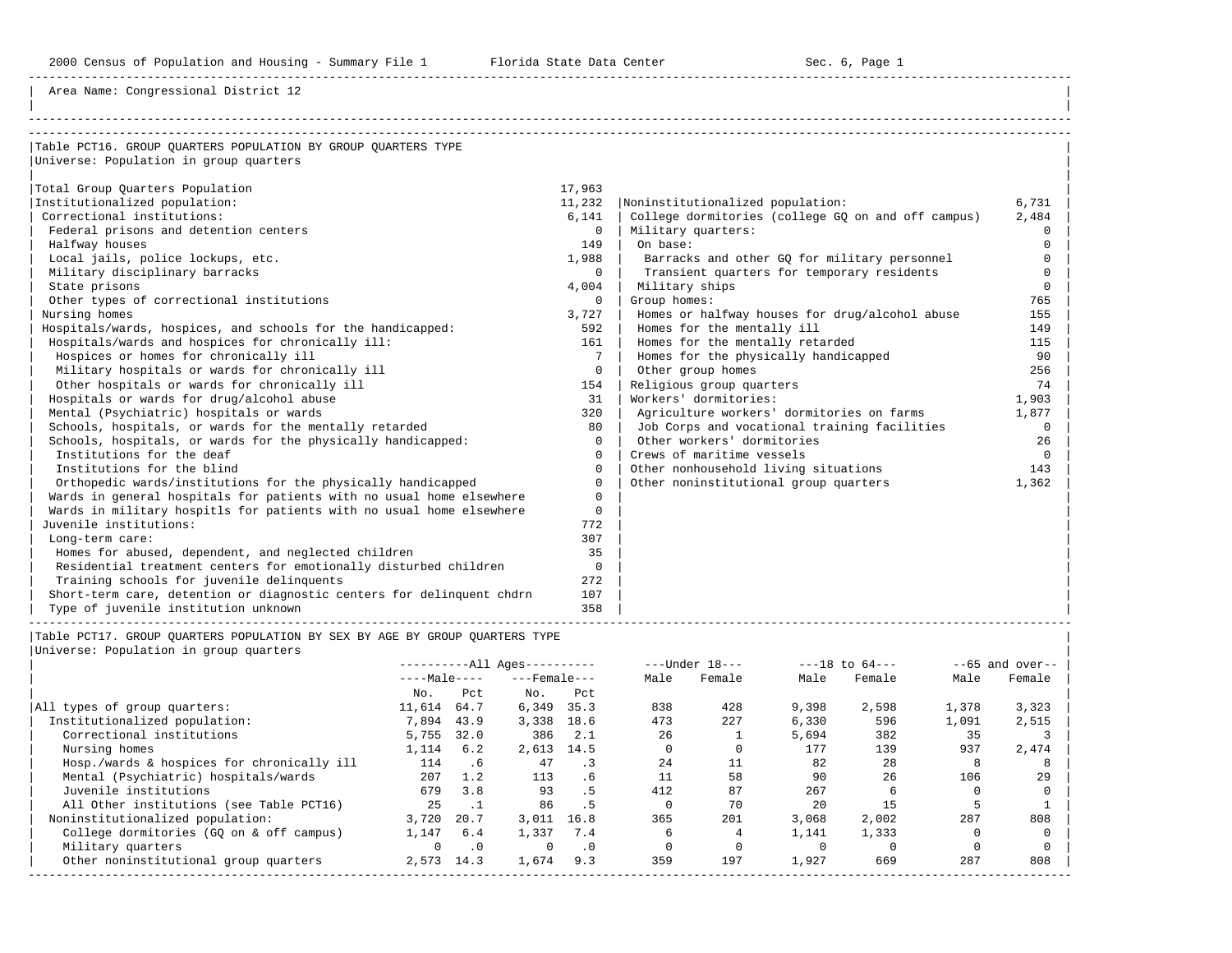Area Name: Congressional District 12

| Table PCT16. GROUP OUARTERS POPULATION BY GROUP OUARTERS TYPE         |            |                                                    |             |
|-----------------------------------------------------------------------|------------|----------------------------------------------------|-------------|
| Universe: Population in group quarters                                |            |                                                    |             |
|                                                                       |            |                                                    |             |
| Total Group Quarters Population                                       | 17,963     |                                                    |             |
| Institutionalized population:                                         | 11,232     | Noninstitutionalized population:                   | 6,731       |
| Correctional institutions:                                            | 6,141      | College dormitories (college GQ on and off campus) | 2,484       |
| Federal prisons and detention centers                                 | $\Omega$   | Military quarters:                                 | $\Omega$    |
| Halfway houses                                                        | 149        | On base:                                           | $\Omega$    |
| Local jails, police lockups, etc.                                     | 1,988      | Barracks and other GQ for military personnel       | $\Omega$    |
| Military disciplinary barracks                                        | $\Omega$   | Transient quarters for temporary residents         | $\Omega$    |
| State prisons                                                         | 4,004      | Military ships                                     | $\Omega$    |
| Other types of correctional institutions                              | $\Omega$   | Group homes:                                       | 765         |
| Nursing homes                                                         | 3,727      | Homes or halfway houses for drug/alcohol abuse     | 155         |
| Hospitals/wards, hospices, and schools for the handicapped:           | 592        | Homes for the mentally ill                         | 149         |
| Hospitals/wards and hospices for chronically ill:                     | 161        | Homes for the mentally retarded                    | 115         |
| Hospices or homes for chronically ill                                 | 7          | Homes for the physically handicapped               | 90          |
| Military hospitals or wards for chronically ill                       | $\Omega$   | Other group homes                                  | 256         |
| Other hospitals or wards for chronically ill                          | 154        | Religious group quarters                           | 74          |
| Hospitals or wards for drug/alcohol abuse                             | 31         | Workers' dormitories:                              | 1,903       |
| Mental (Psychiatric) hospitals or wards                               | 320        | Agriculture workers' dormitories on farms          | 1,877       |
| Schools, hospitals, or wards for the mentally retarded                | 80         | Job Corps and vocational training facilities       | $\mathbf 0$ |
| Schools, hospitals, or wards for the physically handicapped:          | $\Omega$   | Other workers' dormitories                         | 26          |
| Institutions for the deaf                                             | $\Omega$   | Crews of maritime vessels                          | $\Omega$    |
| Institutions for the blind                                            | $\Omega$   | Other nonhousehold living situations               | 143         |
| Orthopedic wards/institutions for the physically handicapped          | $\Omega$   | Other noninstitutional group quarters              | 1,362       |
| Wards in general hospitals for patients with no usual home elsewhere  | $\Omega$   |                                                    |             |
| Wards in military hospitls for patients with no usual home elsewhere  | $\Omega$   |                                                    |             |
| Juvenile institutions:                                                | 772        |                                                    |             |
| Long-term care:                                                       | 307        |                                                    |             |
| Homes for abused, dependent, and neglected children                   | 35         |                                                    |             |
| Residential treatment centers for emotionally disturbed children      | $^{\circ}$ |                                                    |             |
| Training schools for juvenile delinquents                             | 272        |                                                    |             |
| Short-term care, detention or diagnostic centers for delinguent chdrn | 107        |                                                    |             |
| Type of juvenile institution unknown                                  | 358        |                                                    |             |

----------------------------------------------------------------------------------------------------------------------------------------------------- |Table PCT17. GROUP QUARTERS POPULATION BY SEX BY AGE BY GROUP QUARTERS TYPE | |Universe: Population

|  | Universe: Population in group quarters |  |  |  |
|--|----------------------------------------|--|--|--|
|--|----------------------------------------|--|--|--|

|                                            |              |           | $------All Aqes------$ |           |      | $---Under 18---$ |       | $---18$ to $64---$ |       | $--65$ and over-- |
|--------------------------------------------|--------------|-----------|------------------------|-----------|------|------------------|-------|--------------------|-------|-------------------|
|                                            | $---Male---$ |           | $---$ Female $---$     |           | Male | Female           | Male  | Female             | Male  | Female            |
|                                            | No.          | Pct       | No.                    | Pct       |      |                  |       |                    |       |                   |
| All types of group quarters:               | 11,614       | 64.7      | 6,349                  | 35.3      | 838  | 428              | 9,398 | 2,598              | 1,378 | 3,323             |
| Institutionalized population:              | 7,894        | 43.9      | 3,338                  | 18.6      | 473  | 227              | 6,330 | 596                | 1,091 | 2,515             |
| Correctional institutions                  | 5,755        | 32.0      | 386                    | 2.1       | 26   |                  | 5,694 | 382                | 35    |                   |
| Nursing homes                              | 1,114        | 6.2       | 2,613                  | 14.5      |      |                  | 177   | 139                | 937   | 2,474             |
| Hosp./wards & hospices for chronically ill | 114          | . 6       | 47                     |           | 24   | 11               | 82    | 28                 |       |                   |
| Mental (Psychiatric) hospitals/wards       | 207          | 1.2       | 113                    | . 6       | 11   | 58               | 90    | 26                 | 106   | 29                |
| Juvenile institutions                      | 679          | 3.8       | 93                     | .5        | 412  | 87               | 267   |                    |       |                   |
| All Other institutions (see Table PCT16)   | 25           |           | 86                     | . 5       |      | 70               | 20    | 15                 |       |                   |
| Noninstitutionalized population:           | 3,720        | 20.7      | 3,011                  | 16.8      | 365  | 201              | 3,068 | 2,002              | 287   | 808               |
| College dormitories (GO on & off campus)   | 1,147        | 6.4       | 1,337                  | 7.4       |      |                  | 1,141 | 1,333              |       |                   |
| Military quarters                          | 0            | $\cdot$ 0 | $\Omega$               | $\cdot$ 0 |      |                  |       |                    |       |                   |
| Other noninstitutional group quarters      | 2,573        | 14.3      | 1,674                  | 9.3       | 359  | 197              | 1,927 | 669                | 287   | 808               |
|                                            |              |           |                        |           |      |                  |       |                    |       |                   |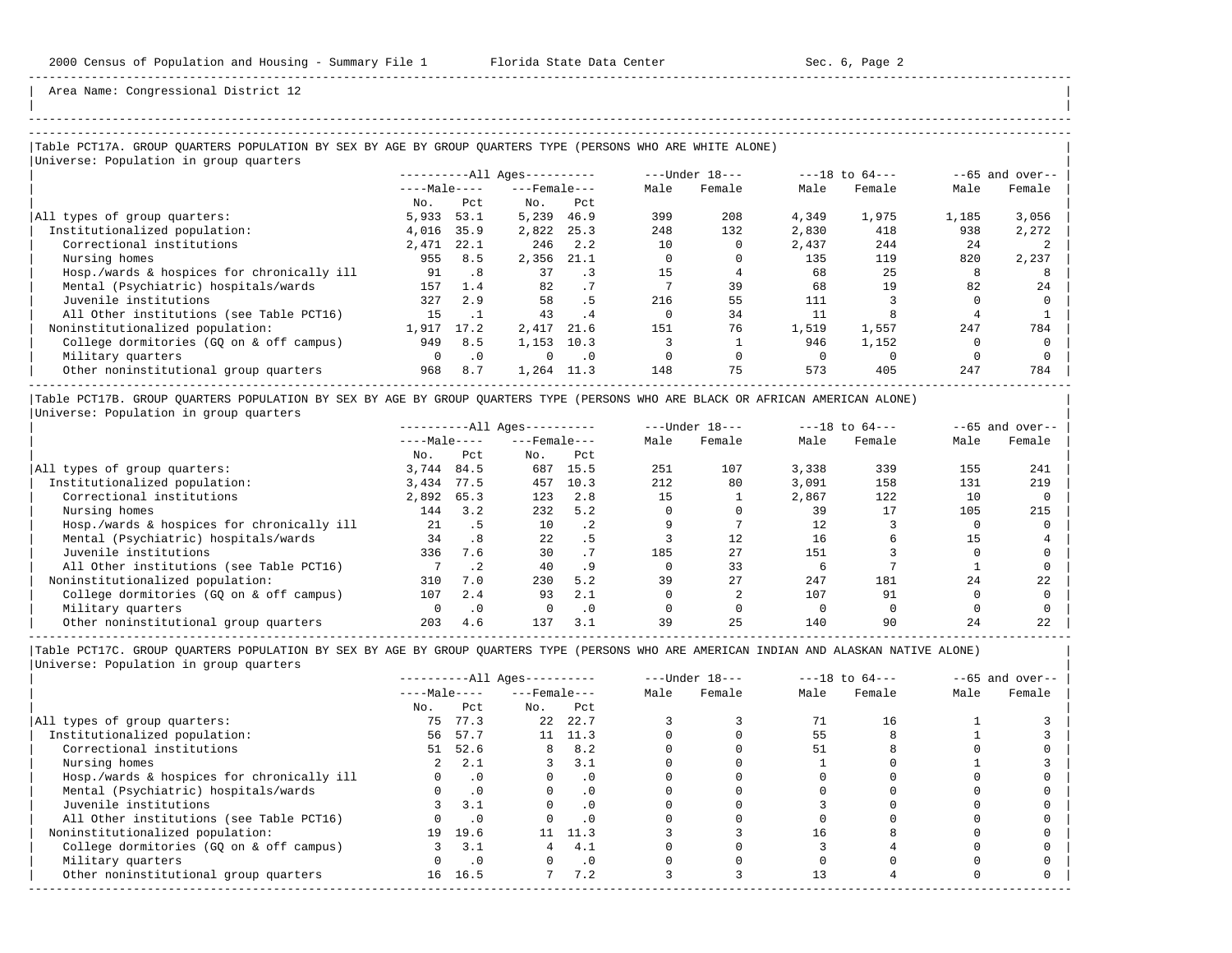| | -----------------------------------------------------------------------------------------------------------------------------------------------------

Area Name: Congressional District 12

## |Table PCT17A. GROUP QUARTERS POPULATION BY SEX BY AGE BY GROUP QUARTERS TYPE (PERSONS WHO ARE WHITE ALONE) |

| Universe: Population in group quarters     |                        |           |                    |           |                    |        |                   |        |       |        |
|--------------------------------------------|------------------------|-----------|--------------------|-----------|--------------------|--------|-------------------|--------|-------|--------|
|                                            | $------All Aqes------$ |           | $---Under 18---$   |           | $---18$ to $64---$ |        | $--65$ and over-- |        |       |        |
|                                            | $---Male---$           |           | $---$ Female $---$ |           | Male               | Female | Male              | Female | Male  | Female |
|                                            | No.                    | Pct       | No.                | Pct       |                    |        |                   |        |       |        |
| All types of group quarters:               | 5,933                  | 53.1      | 5,239              | 46.9      | 399                | 208    | 4,349             | 1,975  | 1,185 | 3,056  |
| Institutionalized population:              | 4,016                  | 35.9      | 2,822              | 25.3      | 248                | 132    | 2,830             | 418    | 938   | 2,272  |
| Correctional institutions                  | 2,471                  | 22.1      | 246                | 2.2       | 10                 |        | 2,437             | 244    | 24    |        |
| Nursing homes                              | 955                    | 8.5       | 2,356              | 21.1      |                    |        | 135               | 119    | 820   | 2,237  |
| Hosp./wards & hospices for chronically ill | 91                     | .8        | 37                 | $\cdot$ 3 | 15                 |        | 68                | 25     | 8     |        |
| Mental (Psychiatric) hospitals/wards       | 157                    | 1.4       | 82                 | .7        |                    | 39     | 68                | 19     | 82    | 24     |
| Juvenile institutions                      | 327                    | 2.9       | 58                 | .5        | 216                | 55     | 111               |        |       |        |
| All Other institutions (see Table PCT16)   | 15                     |           | 43                 | . 4       |                    | 34     |                   |        |       |        |
| Noninstitutionalized population:           | 1,917                  | 17.2      | 2,417              | 21.6      | 151                | 76     | 1,519             | 1,557  | 247   | 784    |
| College dormitories (GO on & off campus)   | 949                    | 8.5       | 1,153              | 10.3      |                    |        | 946               | 1,152  |       |        |
| Military quarters                          | $\Omega$               | $\cdot$ 0 | $\Omega$           | $\cdot$ 0 |                    |        |                   |        |       |        |
| Other noninstitutional group quarters      | 968                    | 8.7       | 1,264              | 11.3      | 148                | 75     | 573               | 405    | 247   | 784    |
|                                            |                        |           |                    |           |                    |        |                   |        |       |        |

|Table PCT17B. GROUP QUARTERS POPULATION BY SEX BY AGE BY GROUP QUARTERS TYPE (PERSONS WHO ARE BLACK OR AFRICAN AMERICAN ALONE) | |Universe: Population in group quarters |

|                                            |              |           | $------All Aqes------$ |           |      | $---Under 18---$ |       | $---18$ to $64---$ |      | $--65$ and over-- |
|--------------------------------------------|--------------|-----------|------------------------|-----------|------|------------------|-------|--------------------|------|-------------------|
|                                            | $---Male---$ |           | $---$ Female $---$     |           | Male | Female           | Male  | Female             | Male | Female            |
|                                            | No.          | Pct       | No.                    | Pct       |      |                  |       |                    |      |                   |
| All types of group quarters:               | 3,744        | 84.5      | 687                    | 15.5      | 251  | 107              | 3,338 | 339                | 155  | 241               |
| Institutionalized population:              | 3,434        | 77.5      | 457                    | 10.3      | 212  | 80               | 3,091 | 158                | 131  | 219               |
| Correctional institutions                  | 2,892        | 65.3      | 123                    | 2.8       | 15   |                  | 2,867 | 122                | 10   |                   |
| Nursing homes                              | 144          | 3.2       | 232                    | 5.2       |      |                  | 39    |                    | 105  | 215               |
| Hosp./wards & hospices for chronically ill | 21           |           | 10                     | $\cdot$ 2 |      |                  | 12    |                    |      |                   |
| Mental (Psychiatric) hospitals/wards       | 34           | .8        | 22                     | .5        |      | 12               | 16    |                    | 15   |                   |
| Juvenile institutions                      | 336          | 7.6       | 30                     |           | 185  | 27               | 151   |                    |      |                   |
| All Other institutions (see Table PCT16)   |              |           | 40                     | .9        |      | 33               |       |                    |      |                   |
| Noninstitutionalized population:           | 310          | 7.0       | 230                    | 5.2       | 39   | 27               | 247   | 181                | 24   | 22                |
| College dormitories (GO on & off campus)   | 107          | 2.4       | 93                     | 2.1       |      |                  | 107   | 91                 |      |                   |
| Military quarters                          |              | $\cdot$ 0 |                        | $\cdot$ 0 |      |                  |       |                    |      |                   |
| Other noninstitutional group quarters      | 203          | 4.6       | 137                    | 3.1       | 39   | 25               | 140   | 90                 | 24   | 22                |

-----------------------------------------------------------------------------------------------------------------------------------------------------

|                                            |              |            | $------All Aqes------$ |           |      | $---Under 18---$ |      | $---18$ to $64---$ |      | $--65$ and over-- |
|--------------------------------------------|--------------|------------|------------------------|-----------|------|------------------|------|--------------------|------|-------------------|
|                                            | $---Male---$ |            | $---$ Female $---$     |           | Male | Female           | Male | Female             | Male | Female            |
|                                            | No.          | Pct        | No.                    | Pct       |      |                  |      |                    |      |                   |
| All types of group quarters:               | 75           | 77.3       | 2.2                    | 22.7      |      |                  |      | 16                 |      |                   |
| Institutionalized population:              | 56           | 57.7       |                        | 11 11.3   |      |                  | 55   |                    |      |                   |
| Correctional institutions                  | 51           | 52.6       | 8                      | 8.2       |      |                  | 51   |                    |      |                   |
| Nursing homes                              |              | 2.1        |                        | 3.1       |      |                  |      |                    |      |                   |
| Hosp./wards & hospices for chronically ill |              | $\cdot$ 0  |                        | $\cdot$ 0 |      |                  |      |                    |      |                   |
| Mental (Psychiatric) hospitals/wards       |              | $\cdot$ 0  |                        | . 0       |      |                  |      |                    |      |                   |
| Juvenile institutions                      |              | 3.1        |                        | $\cdot$ 0 |      |                  |      |                    |      |                   |
| All Other institutions (see Table PCT16)   |              | $\cdot$ 0  |                        |           |      |                  |      |                    |      |                   |
| Noninstitutionalized population:           | 19           | 19.6       | 11 -                   | 11.3      |      |                  | 16   |                    |      |                   |
| College dormitories (GQ on & off campus)   |              | 3.1        |                        | 4.1       |      |                  |      |                    |      |                   |
| Military quarters                          |              | $\cdot$ .0 |                        | $\cdot$ 0 |      |                  |      |                    |      |                   |
| Other noninstitutional group quarters      |              | 16 16.5    |                        | 7.2       |      |                  | 13   |                    |      |                   |
|                                            |              |            |                        |           |      |                  |      |                    |      |                   |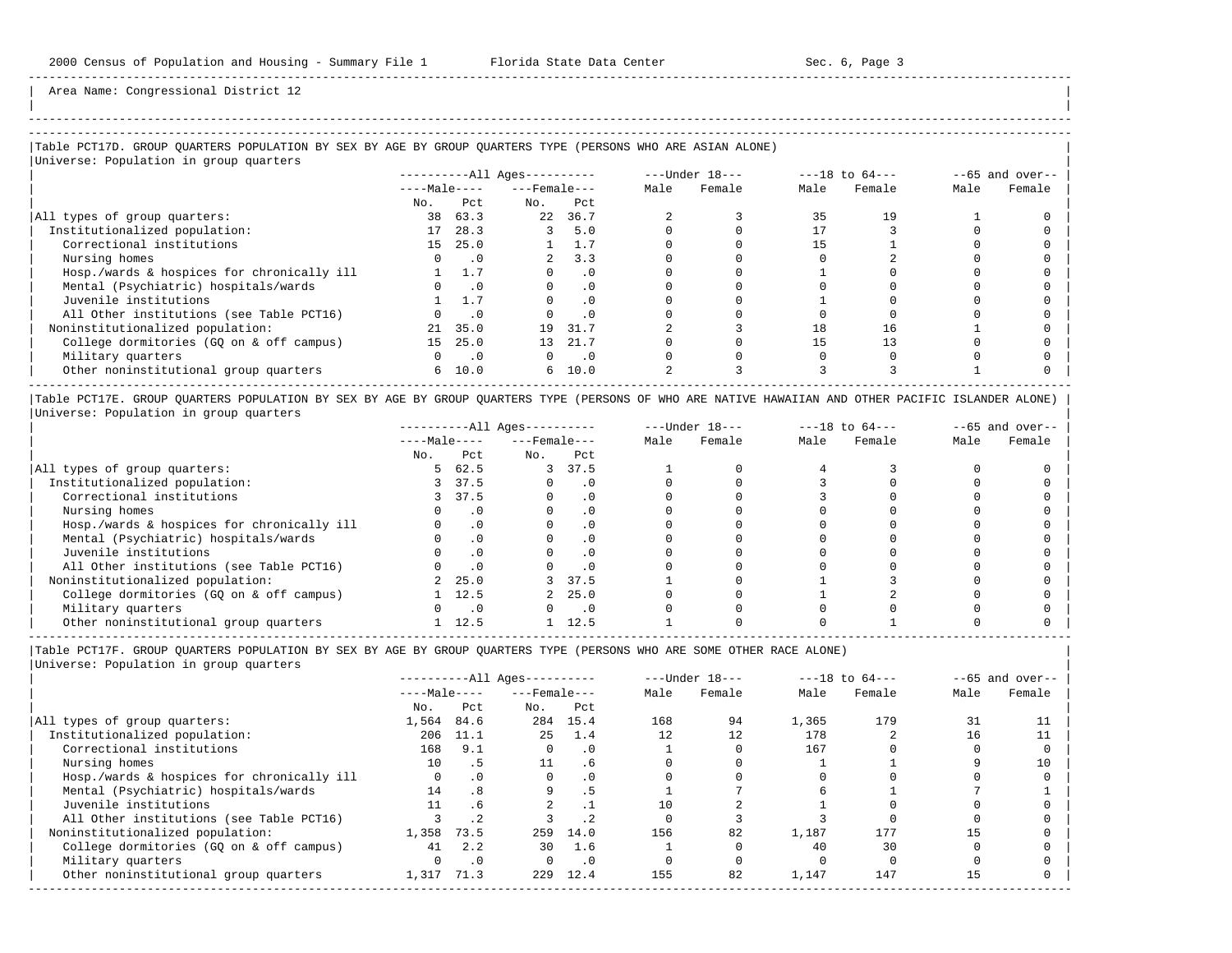| | -----------------------------------------------------------------------------------------------------------------------------------------------------

Area Name: Congressional District 12

## |Table PCT17D. GROUP QUARTERS POPULATION BY SEX BY AGE BY GROUP QUARTERS TYPE (PERSONS WHO ARE ASIAN ALONE) |

# |Universe: Population in group quarters |

|                                            | $------All Aqes------$ |            |                    | $---Under 18---$            |      | $---18$ to $64---$ |      | $--65$ and over-- |      |        |
|--------------------------------------------|------------------------|------------|--------------------|-----------------------------|------|--------------------|------|-------------------|------|--------|
|                                            | $---Male---$           |            | $---$ Female $---$ |                             | Male | Female             | Male | Female            | Male | Female |
|                                            | No.                    | Pct        | No.                | Pct                         |      |                    |      |                   |      |        |
| All types of group quarters:               | 38                     | 63.3       | 22                 | 36.7                        |      |                    | 35   | 19                |      |        |
| Institutionalized population:              | 17                     | 28.3       |                    | 5.0                         |      |                    |      |                   |      |        |
| Correctional institutions                  | 15                     | 25.0       |                    |                             |      |                    |      |                   |      |        |
| Nursing homes                              |                        | $\cdot$ .0 |                    | 3.3                         |      |                    |      |                   |      |        |
| Hosp./wards & hospices for chronically ill |                        | 1.7        |                    | . 0                         |      |                    |      |                   |      |        |
| Mental (Psychiatric) hospitals/wards       |                        | $\cdot$ 0  |                    | $\cdot$ 0                   |      |                    |      |                   |      |        |
| Juvenile institutions                      |                        | 1.7        |                    | $\cdot$ 0                   |      |                    |      |                   |      |        |
| All Other institutions (see Table PCT16)   |                        | $\cdot$ 0  |                    | $\cdot$ 0                   |      |                    |      |                   |      |        |
| Noninstitutionalized population:           | 21                     | 35.0       | 19                 | 31.7                        |      |                    | 18   | 16                |      |        |
| College dormitories (GO on & off campus)   | 15                     | 25.0       | 13                 | 21.7                        |      |                    |      |                   |      |        |
| Military quarters                          |                        | $\cdot$ 0  | 0                  | $\overline{\phantom{0}}$ .0 |      |                    |      |                   |      |        |
| Other noninstitutional group quarters      | 6                      | 10.0       |                    | 6, 10.0                     |      |                    |      |                   |      |        |
|                                            |                        |            |                    |                             |      |                    |      |                   |      |        |

|Table PCT17E. GROUP QUARTERS POPULATION BY SEX BY AGE BY GROUP QUARTERS TYPE (PERSONS OF WHO ARE NATIVE HAWAIIAN AND OTHER PACIFIC ISLANDER ALONE) | |Universe: Population in group quarters |

|                                            | $------All Aqes------$ |           | $---Under 18---$   |           | $---18$ to $64---$ |        | $- -65$ and over-- |        |      |        |
|--------------------------------------------|------------------------|-----------|--------------------|-----------|--------------------|--------|--------------------|--------|------|--------|
|                                            | $---Male---$           |           | $---$ Female $---$ |           | Male               | Female | Male               | Female | Male | Female |
|                                            | No.                    | Pct       | No.                | Pct       |                    |        |                    |        |      |        |
| All types of group quarters:               | 5.                     | 62.5      | 3                  | 37.5      |                    |        |                    |        |      |        |
| Institutionalized population:              |                        | 37.5      |                    |           |                    |        |                    |        |      |        |
| Correctional institutions                  |                        | 37.5      |                    | . 0       |                    |        |                    |        |      |        |
| Nursing homes                              |                        |           |                    | $\cdot$ 0 |                    |        |                    |        |      |        |
| Hosp./wards & hospices for chronically ill |                        | $\cdot$ 0 |                    | . 0       |                    |        |                    |        |      |        |
| Mental (Psychiatric) hospitals/wards       |                        |           |                    | $\cdot$ 0 |                    |        |                    |        |      |        |
| Juvenile institutions                      |                        |           |                    | . 0       |                    |        |                    |        |      |        |
| All Other institutions (see Table PCT16)   |                        |           |                    | $\cdot$ 0 |                    |        |                    |        |      |        |
| Noninstitutionalized population:           |                        | 25.0      |                    | 37.5      |                    |        |                    |        |      |        |
| College dormitories (GO on & off campus)   |                        | 12.5      |                    | 25.0      |                    |        |                    |        |      |        |
| Military quarters                          |                        | $\cdot$ 0 |                    | $\cdot$ 0 |                    |        |                    |        |      |        |
| Other noninstitutional group quarters      |                        | 12.5      |                    | 12.5      |                    |        |                    |        |      |        |

----------------------------------------------------------------------------------------------------------------------------------------------------- |Table PCT17F. GROUP QUARTERS POPULATION BY SEX BY AGE BY GROUP QUARTERS TYPE (PERSONS WHO ARE SOME OTHER RACE ALONE) |

|                                            | $------All Ages------$ |           | $---Under 18---$   |           | $---18$ to $64---$ |        | $--65$ and over-- |        |      |        |
|--------------------------------------------|------------------------|-----------|--------------------|-----------|--------------------|--------|-------------------|--------|------|--------|
|                                            | $---Male---$           |           | $---$ Female $---$ |           | Male               | Female | Male              | Female | Male | Female |
|                                            | No.                    | Pct       | No.                | Pct       |                    |        |                   |        |      |        |
| All types of group quarters:               | 1,564                  | 84.6      | 284                | 15.4      | 168                | 94     | 1,365             | 179    | 31   |        |
| Institutionalized population:              | 206                    | 11.1      | 2.5                | 1.4       | 12                 | 12     | 178               |        | 16   |        |
| Correctional institutions                  | 168                    | 9.1       | $\Omega$           | $\cdot$ 0 |                    |        | 167               |        |      |        |
| Nursing homes                              | $10^{-}$               | . 5       | 11                 | . 6       |                    |        |                   |        |      | 10     |
| Hosp./wards & hospices for chronically ill | $\Omega$               | .0        |                    | $\cdot$ 0 |                    |        |                   |        |      |        |
| Mental (Psychiatric) hospitals/wards       | 14                     | .8        | 9                  | . 5       |                    |        |                   |        |      |        |
| Juvenile institutions                      | 11                     | . 6       |                    |           | 10                 |        |                   |        |      |        |
| All Other institutions (see Table PCT16)   |                        | $\cdot$ 2 |                    |           |                    |        |                   |        |      |        |
| Noninstitutionalized population:           | 1,358                  | 73.5      | 259                | 14.0      | 156                | 82     | 1,187             | 177    | 15   |        |
| College dormitories (GO on & off campus)   | 41                     | 2.2       | 30                 | 1.6       |                    |        | 40                | 30     |      |        |
| Military quarters                          |                        | $\cdot$ 0 | $\Omega$           | $\cdot$ 0 |                    |        |                   |        |      |        |
| Other noninstitutional group quarters      | 1,317                  | 71.3      | 229                | 12.4      | 155                | 82     | 1,147             | 147    | 15   |        |
|                                            |                        |           |                    |           |                    |        |                   |        |      |        |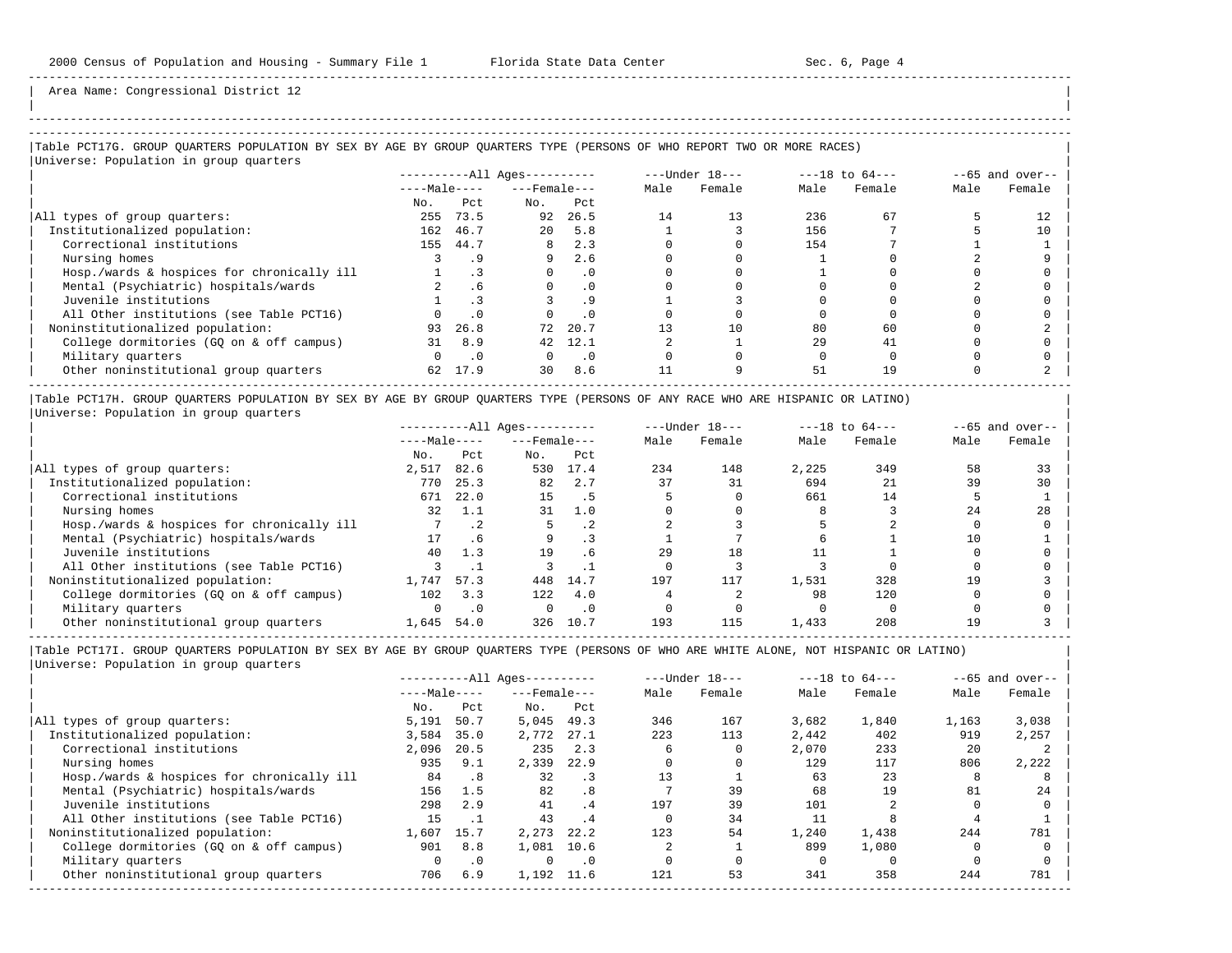| | -----------------------------------------------------------------------------------------------------------------------------------------------------

Area Name: Congressional District 12

### |Table PCT17G. GROUP QUARTERS POPULATION BY SEX BY AGE BY GROUP QUARTERS TYPE (PERSONS OF WHO REPORT TWO OR MORE RACES) |

|Universe: Population in group quarters | | ----------All Ages---------- ---Under 18--- ---18 to 64--- --65 and over-- | | ----Male---- ---Female--- Male Female Male Female Male Female | No. Pct No. Pct<br>255 73.5 92 26.5 |All types of group quarters: 255 73.5 92 26.5 14 13 236 67 5 12 | | Institutionalized population: 162 46.7 20 5.8 1 3 156 7 5 10 | | Correctional institutions 155 44.7 8 2.3 0 0 154 7 1 1 | | Nursing homes 3 .9 9 2.6 0 0 1 0 2 9 | | Hosp./wards & hospices for chronically ill 1 .3 0 .0 0 0 1 0 0 0 | | Mental (Psychiatric) hospitals/wards 2 .6 0 .0 0 0 0 0 2 0 | | Juvenile institutions 1 .3 3 .9 1 3 0 0 0 0 | | All Other institutions (see Table PCT16) 0 .0 0 .0 0 0 0 0 0 0 | | Noninstitutionalized population: 93 26.8 72 20.7 13 10 80 60 0 2 | | College dormitories (GQ on & off campus) 31 8.9 42 12.1 2 1 29 41 0 0 | | Military quarters 0 .0 0 .0 0 0 0 0 0 0 |  $\vert$  Other noninstitutional group quarters  $\vert$  62 17.9  $\vert$  30 8.6  $\vert$  11  $\vert$  9  $\vert$  51  $\vert$  19  $\vert$  0  $\vert$  2  $\vert$ -----------------------------------------------------------------------------------------------------------------------------------------------------

|Table PCT17H. GROUP QUARTERS POPULATION BY SEX BY AGE BY GROUP QUARTERS TYPE (PERSONS OF ANY RACE WHO ARE HISPANIC OR LATINO) | |Universe: Population in group quarters |

|                                            | $------All Aqes------$ |           | $---Under 18---$   |           | $---18$ to $64---$ |        | $--65$ and over-- |        |      |        |
|--------------------------------------------|------------------------|-----------|--------------------|-----------|--------------------|--------|-------------------|--------|------|--------|
|                                            | $---Male---$           |           | $---$ Female $---$ |           | Male               | Female | Male              | Female | Male | Female |
|                                            | No.                    | Pct       | No.                | Pct       |                    |        |                   |        |      |        |
| All types of group quarters:               | 2,517                  | 82.6      | 530                | 17.4      | 234                | 148    | 2,225             | 349    | 58   | 33     |
| Institutionalized population:              | 770                    | 25.3      | 82                 | 2.7       | 37                 | 31     | 694               | 21     | 39   | 30     |
| Correctional institutions                  | 671                    | 22.0      | 15                 |           |                    |        | 661               | 14     |      |        |
| Nursing homes                              | 32                     | 1.1       | 31                 | 1.0       |                    |        |                   |        | 2.4  | 28     |
| Hosp./wards & hospices for chronically ill |                        | $\cdot$ 2 |                    | $\cdot$ 2 |                    |        |                   |        |      |        |
| Mental (Psychiatric) hospitals/wards       | 17                     | . 6       | 9                  |           |                    |        |                   |        | 10   |        |
| Juvenile institutions                      | 40                     | 1.3       | 19                 | . 6       | 29                 | 18     |                   |        |      |        |
| All Other institutions (see Table PCT16)   |                        |           |                    |           |                    |        |                   |        |      |        |
| Noninstitutionalized population:           | 1,747                  | 57.3      | 448                | 14.7      | 197                | 117    | 1,531             | 328    | 19   |        |
| College dormitories (GQ on & off campus)   | 102                    | 3.3       | 122                | 4.0       |                    |        | 98                | 120    |      |        |
| Military quarters                          |                        | $\cdot$ 0 |                    | . 0       |                    |        |                   |        |      |        |
| Other noninstitutional group quarters      | 1,645                  | 54.0      | 326                | 10.7      | 193                | 115    | 1,433             | 208    | 1 Q  |        |

-----------------------------------------------------------------------------------------------------------------------------------------------------

|                                            |              |           | $------All Aqes------$ |           |      | $---Under 18---$ |       | $---18$ to $64---$ |       | $--65$ and over-- |
|--------------------------------------------|--------------|-----------|------------------------|-----------|------|------------------|-------|--------------------|-------|-------------------|
|                                            | $---Male---$ |           | $---$ Female $---$     |           | Male | Female           | Male  | Female             | Male  | Female            |
|                                            | No.          | Pct       | No.                    | Pct       |      |                  |       |                    |       |                   |
| All types of group quarters:               | 5,191        | 50.7      | 5,045                  | 49.3      | 346  | 167              | 3,682 | 1,840              | 1,163 | 3,038             |
| Institutionalized population:              | 3,584        | 35.0      | 2,772                  | 27.1      | 223  | 113              | 2,442 | 402                | 919   | 2,257             |
| Correctional institutions                  | 2,096        | 20.5      | 235                    | 2.3       | 6    |                  | 2,070 | 233                | 20    |                   |
| Nursing homes                              | 935          | 9.1       | 2,339                  | 22.9      |      |                  | 129   | 117                | 806   | 2,222             |
| Hosp./wards & hospices for chronically ill | 84           | $\cdot$ 8 | 32                     | $\cdot$ 3 |      |                  | 63    | 23                 |       |                   |
| Mental (Psychiatric) hospitals/wards       | 156          | 1.5       | 82                     | .8        |      | 39               | 68    | 19                 | 81    | 24                |
| Juvenile institutions                      | 298          | 2.9       | 41                     | .4        | 197  | 39               | 101   |                    |       |                   |
| All Other institutions (see Table PCT16)   | 15           |           | 43                     | $\cdot$ 4 |      | 34               |       |                    |       |                   |
| Noninstitutionalized population:           | 1,607        | 15.7      | 2,273                  | 22.2      | 123  | 54               | 1,240 | 1,438              | 244   | 781               |
| College dormitories (GO on & off campus)   | 901          | 8.8       | 1,081                  | 10.6      |      |                  | 899   | 1,080              |       |                   |
| Military quarters                          | 0            | $\cdot$ 0 | $\Omega$               | $\cdot$ 0 |      |                  |       |                    |       |                   |
| Other noninstitutional group quarters      | 706          | 6.9       | 1,192                  | 11.6      | 121  | 53               | 341   | 358                | 244   | 781               |
|                                            |              |           |                        |           |      |                  |       |                    |       |                   |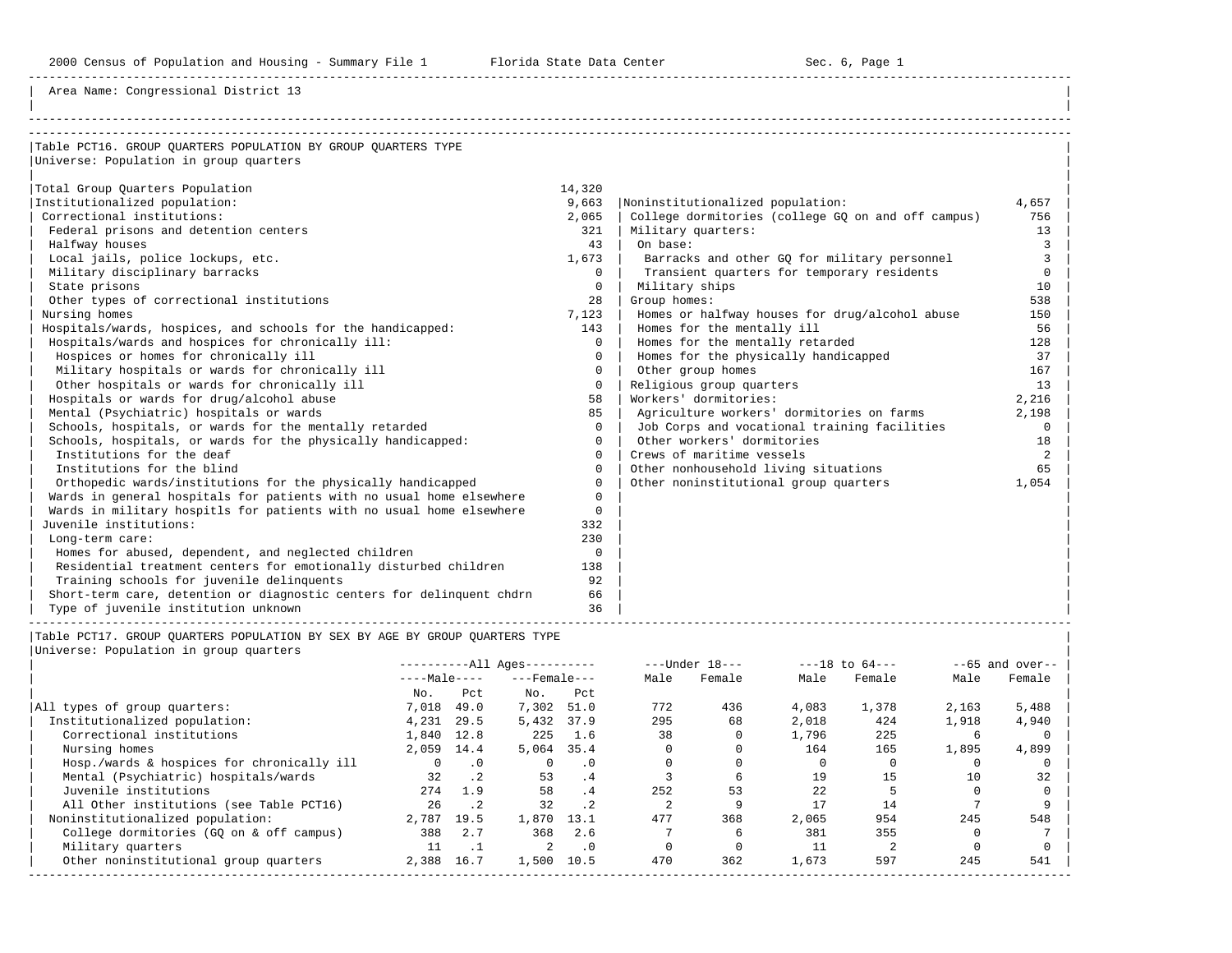Area Name: Congressional District 13

| Table PCT16. GROUP OUARTERS POPULATION BY GROUP OUARTERS TYPE         |             |                                                    |          |
|-----------------------------------------------------------------------|-------------|----------------------------------------------------|----------|
| Universe: Population in group quarters                                |             |                                                    |          |
|                                                                       |             |                                                    |          |
| Total Group Quarters Population                                       | 14,320      |                                                    |          |
| Institutionalized population:                                         | 9,663       | Noninstitutionalized population:                   | 4,657    |
| Correctional institutions:                                            | 2,065       | College dormitories (college GQ on and off campus) | 756      |
| Federal prisons and detention centers                                 | 321         | Military quarters:                                 | 13       |
| Halfway houses                                                        | 43          | On base:                                           | 3        |
| Local jails, police lockups, etc.                                     | 1,673       | Barracks and other GO for military personnel       | 3        |
| Military disciplinary barracks                                        | $\Omega$    | Transient quarters for temporary residents         | $\Omega$ |
| State prisons                                                         | $\mathbf 0$ | Military ships                                     | 10       |
| Other types of correctional institutions                              | 28          | Group homes:                                       | 538      |
| Nursing homes                                                         | 7,123       | Homes or halfway houses for drug/alcohol abuse     | 150      |
| Hospitals/wards, hospices, and schools for the handicapped:           | 143         | Homes for the mentally ill                         | 56       |
| Hospitals/wards and hospices for chronically ill:                     | $\Omega$    | Homes for the mentally retarded                    | 128      |
| Hospices or homes for chronically ill                                 | $\cap$      | Homes for the physically handicapped               | 37       |
| Military hospitals or wards for chronically ill                       | $\Omega$    | Other group homes                                  | 167      |
| Other hospitals or wards for chronically ill                          | $\Omega$    | Religious group quarters                           | 13       |
| Hospitals or wards for drug/alcohol abuse                             | 58          | Workers' dormitories:                              | 2,216    |
| Mental (Psychiatric) hospitals or wards                               | 85          | Agriculture workers' dormitories on farms          | 2,198    |
| Schools, hospitals, or wards for the mentally retarded                | $\Omega$    | Job Corps and vocational training facilities       | $\Omega$ |
| Schools, hospitals, or wards for the physically handicapped:          | $\Omega$    | Other workers' dormitories                         | 18       |
| Institutions for the deaf                                             | $\Omega$    | Crews of maritime vessels                          | 2        |
| Institutions for the blind                                            | $\Omega$    | Other nonhousehold living situations               | 65       |
| Orthopedic wards/institutions for the physically handicapped          | $\Omega$    | Other noninstitutional group quarters              | 1,054    |
| Wards in general hospitals for patients with no usual home elsewhere  | $\Omega$    |                                                    |          |
| Wards in military hospitls for patients with no usual home elsewhere  | $\Omega$    |                                                    |          |
| Juvenile institutions:                                                | 332         |                                                    |          |
| Long-term care:                                                       | 230         |                                                    |          |
| Homes for abused, dependent, and neglected children                   | $\mathbf 0$ |                                                    |          |
| Residential treatment centers for emotionally disturbed children      | 138         |                                                    |          |
| Training schools for juvenile delinquents                             | 92          |                                                    |          |
| Short-term care, detention or diagnostic centers for delinguent chdrn | 66          |                                                    |          |
| Type of juvenile institution unknown                                  | 36          |                                                    |          |

|Table PCT17. GROUP QUARTERS POPULATION BY SEX BY AGE BY GROUP QUARTERS TYPE | |Universe: Population

| Universe: Population in group quarters |  |  |
|----------------------------------------|--|--|
|----------------------------------------|--|--|

|                                            |              | $------All Aqes------$ |                    | $---Under 18---$ |      | $---18$ to $64---$ |       | $--65$ and over-- |       |        |
|--------------------------------------------|--------------|------------------------|--------------------|------------------|------|--------------------|-------|-------------------|-------|--------|
|                                            | $---Male---$ |                        | $---$ Female $---$ |                  | Male | Female             | Male  | Female            | Male  | Female |
|                                            | No.          | Pct                    | No.                | Pct              |      |                    |       |                   |       |        |
| All types of group quarters:               | 7,018        | 49.0                   | 7,302              | 51.0             | 772  | 436                | 4,083 | 1,378             | 2,163 | 5,488  |
| Institutionalized population:              | 4,231        | 29.5                   | 5,432              | 37.9             | 295  | 68                 | 2,018 | 424               | 1,918 | 4,940  |
| Correctional institutions                  | 1,840 12.8   |                        | 225                | 1.6              | 38   |                    | 1,796 | 225               | b     |        |
| Nursing homes                              | 2,059        | 14.4                   | 5,064              | 35.4             |      |                    | 164   | 165               | 1,895 | 4,899  |
| Hosp./wards & hospices for chronically ill | $\Omega$     | $\cdot$ 0              | $\Omega$           | $\cdot$ 0        |      |                    |       |                   |       |        |
| Mental (Psychiatric) hospitals/wards       | 32           | $\cdot$ 2              | 53                 | .4               |      |                    | 19    | 15                | 10    | 32     |
| Juvenile institutions                      | 274          | 1.9                    | 58                 | .4               | 252  | 53                 | 2.2.  |                   |       |        |
| All Other institutions (see Table PCT16)   | 26           | $\cdot$ . 2            | 32                 | $\cdot$ 2        |      |                    | 17    | 14                |       |        |
| Noninstitutionalized population:           | 2,787        | 19.5                   | 1,870              | 13.1             | 477  | 368                | 2,065 | 954               | 245   | 548    |
| College dormitories (GO on & off campus)   | 388          | 2.7                    | 368                | 2.6              |      |                    | 381   | 355               |       |        |
| Military quarters                          | 11           | $\cdot$ 1              |                    | $\cdot$ 0        |      |                    | 11    |                   |       |        |
| Other noninstitutional group quarters      | 2,388        | 16.7                   | 1,500              | 10.5             | 470  | 362                | 1,673 | 597               | 245   | 541    |
|                                            |              |                        |                    |                  |      |                    |       |                   |       |        |

-----------------------------------------------------------------------------------------------------------------------------------------------------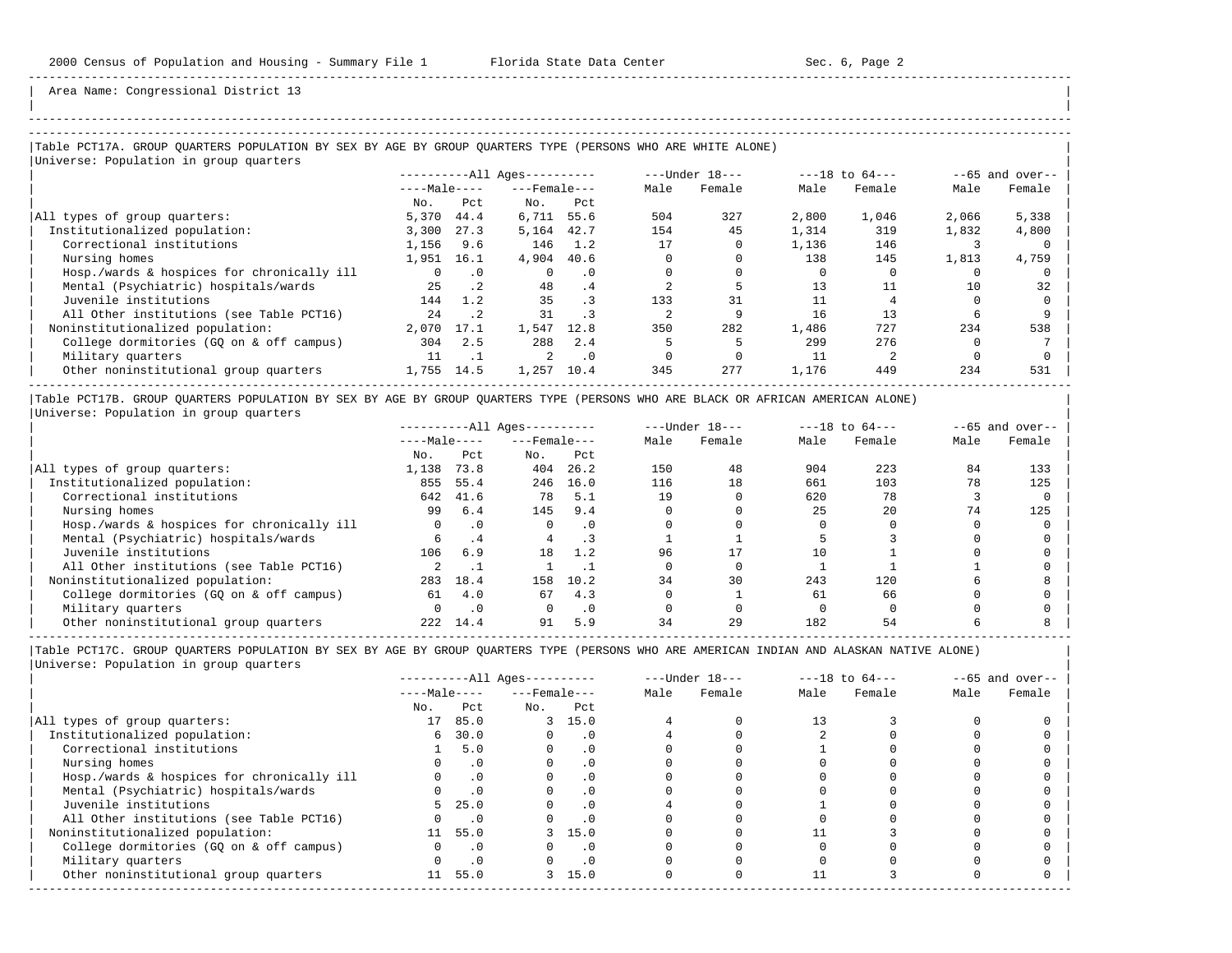| | -----------------------------------------------------------------------------------------------------------------------------------------------------

Area Name: Congressional District 13

### |Table PCT17A. GROUP QUARTERS POPULATION BY SEX BY AGE BY GROUP QUARTERS TYPE (PERSONS WHO ARE WHITE ALONE) | |Universe: Population in group quarters |

|                                            | $------All Aqes------$ |                 |                  | ---Under 18--- |      | $---18$ to $64---$ |       | $--65$ and over-- |       |        |
|--------------------------------------------|------------------------|-----------------|------------------|----------------|------|--------------------|-------|-------------------|-------|--------|
|                                            | $---Male---$           |                 | $---$ Female --- |                | Male | Female             | Male  | Female            | Male  | Female |
|                                            | No.                    | Pct.            | No.              | Pct            |      |                    |       |                   |       |        |
| All types of group quarters:               | 5,370                  | 44.4            | 6,711            | 55.6           | 504  | 327                | 2,800 | 1,046             | 2,066 | 5,338  |
| Institutionalized population:              | 3,300                  | 27.3            | 5,164            | 42.7           | 154  | 45                 | 1,314 | 319               | 1,832 | 4,800  |
| Correctional institutions                  | 1,156                  | 9.6             | 146              | 1.2            | 17   |                    | 1,136 | 146               |       |        |
| Nursing homes                              | 1,951                  | 16.1            | 4,904            | 40.6           |      |                    | 138   | 145               | 1,813 | 4,759  |
| Hosp./wards & hospices for chronically ill |                        | $\cdot$ 0       | $\Omega$         | $\cdot$ 0      |      |                    |       |                   |       |        |
| Mental (Psychiatric) hospitals/wards       | 25                     | .2 <sub>2</sub> | 48               | .4             |      |                    | 13    |                   | 10    | 32     |
| Juvenile institutions                      | 144                    | 1.2             | 35               | . 3            | 133  | 31                 |       |                   |       |        |
| All Other institutions (see Table PCT16)   | 24                     | $\cdot$ 2       | 31               |                |      |                    | 16    | 13                |       |        |
| Noninstitutionalized population:           | 2,070                  | 17.1            | 1,547            | 12.8           | 350  | 282                | 1,486 | 727               | 234   | 538    |
| College dormitories (GO on & off campus)   | 304                    | 2.5             | 288              | 2.4            |      |                    | 299   | 276               |       |        |
| Military quarters                          |                        |                 |                  | $\cdot$ 0      |      |                    | 11    |                   |       |        |
| Other noninstitutional group quarters      | 1,755                  | 14.5            | 1,257            | 10.4           | 345  | 277                | 1,176 | 449               | 234   | 531    |
|                                            |                        |                 |                  |                |      |                    |       |                   |       |        |

|Table PCT17B. GROUP QUARTERS POPULATION BY SEX BY AGE BY GROUP QUARTERS TYPE (PERSONS WHO ARE BLACK OR AFRICAN AMERICAN ALONE) | |Universe: Population in group quarters |

|                                            |              | $------All Aqes------$ |                    |           |      | $---Under 18---$ | $---18$ to $64---$ |        | $--65$ and over-- |        |
|--------------------------------------------|--------------|------------------------|--------------------|-----------|------|------------------|--------------------|--------|-------------------|--------|
|                                            | $---Male---$ |                        | $---$ Female $---$ |           | Male | Female           | Male               | Female | Male              | Female |
|                                            | No.          | Pct                    | No.                | Pct       |      |                  |                    |        |                   |        |
| All types of group quarters:               | 1,138        | 73.8                   | 404                | 26.2      | 150  | 48               | 904                | 223    | 84                | 133    |
| Institutionalized population:              | 855          | 55.4                   | 246                | 16.0      | 116  | 18               | 661                | 103    | 78                | 125    |
| Correctional institutions                  | 642          | 41.6                   | 78                 | 5.1       | 19   |                  | 620                | 78     |                   |        |
| Nursing homes                              | 99           | 6.4                    | 145                | 9.4       |      |                  | 25                 | 2.0    | 74                | 125    |
| Hosp./wards & hospices for chronically ill |              | $\cdot$ 0              | 0                  | . 0       |      |                  |                    |        |                   |        |
| Mental (Psychiatric) hospitals/wards       |              | . 4                    |                    |           |      |                  |                    |        |                   |        |
| Juvenile institutions                      | 106          | 6.9                    | 18                 | 1.2       | 96   |                  | 10                 |        |                   |        |
| All Other institutions (see Table PCT16)   |              |                        |                    |           |      |                  |                    |        |                   |        |
| Noninstitutionalized population:           | 283          | 18.4                   | 158                | 10.2      | 34   | 30               | 243                | 120    |                   |        |
| College dormitories (GO on & off campus)   | 61           | 4.0                    | 67                 | 4.3       |      |                  | 61                 | 66     |                   |        |
| Military quarters                          |              | $\cdot$ 0              |                    | $\cdot$ 0 |      |                  |                    |        |                   |        |
| Other noninstitutional group quarters      | 222          | 14.4                   | 91                 | 5.9       | 34   | 29               | 182                | 54     |                   |        |

-----------------------------------------------------------------------------------------------------------------------------------------------------

|                                            | $------All Aqes------$ |           |                    | $---Under 18---$ | $---18$ to $64---$ |        | $--65$ and over-- |        |      |        |
|--------------------------------------------|------------------------|-----------|--------------------|------------------|--------------------|--------|-------------------|--------|------|--------|
|                                            | $---Male---$           |           | $---$ Female $---$ |                  | Male               | Female | Male              | Female | Male | Female |
|                                            | No.                    | Pct       | No.                | Pct              |                    |        |                   |        |      |        |
| All types of group quarters:               | 17                     | 85.0      |                    | 3, 15, 0         |                    |        | 13                |        |      |        |
| Institutionalized population:              | 6                      | 30.0      |                    | . 0              |                    |        |                   |        |      |        |
| Correctional institutions                  |                        | 5.0       |                    | . 0              |                    |        |                   |        |      |        |
| Nursing homes                              |                        |           |                    | . 0              |                    |        |                   |        |      |        |
| Hosp./wards & hospices for chronically ill |                        | $\cdot$ 0 |                    |                  |                    |        |                   |        |      |        |
| Mental (Psychiatric) hospitals/wards       |                        | .0        |                    | . 0              |                    |        |                   |        |      |        |
| Juvenile institutions                      | 5.                     | 25.0      |                    | $\cdot$ 0        |                    |        |                   |        |      |        |
| All Other institutions (see Table PCT16)   |                        | $\cdot$ 0 |                    |                  |                    |        |                   |        |      |        |
| Noninstitutionalized population:           | 11                     | 55.0      |                    | 3, 15.0          |                    |        |                   |        |      |        |
| College dormitories (GQ on & off campus)   |                        | $\cdot$ 0 |                    | $\cdot$ 0        |                    |        |                   |        |      |        |
| Military quarters                          |                        | $\cdot$ 0 |                    | $\cdot$ 0        |                    |        |                   |        |      |        |
| Other noninstitutional group quarters      | 11                     | 55.0      |                    | 3, 15.0          |                    |        |                   |        |      |        |
|                                            |                        |           |                    |                  |                    |        |                   |        |      |        |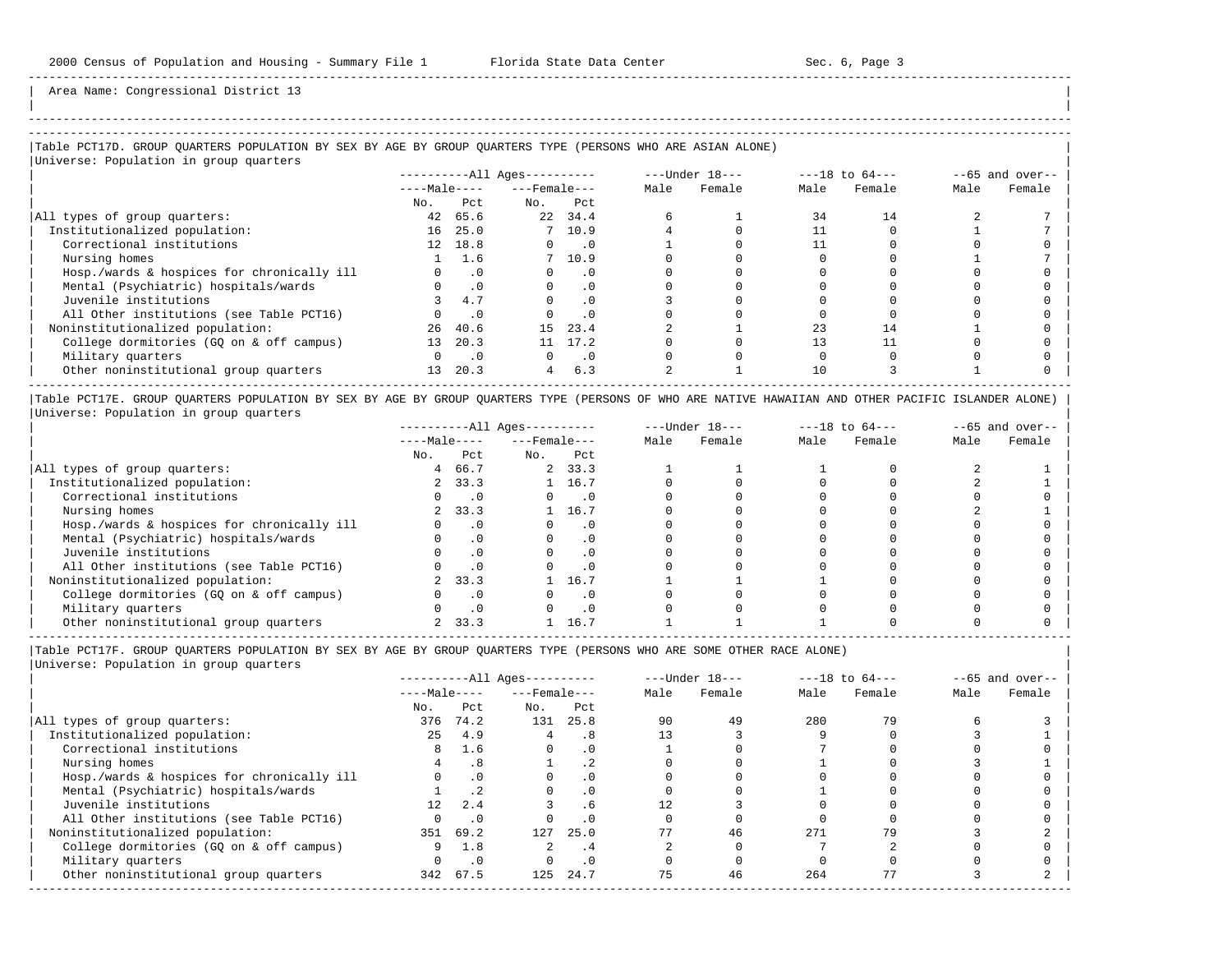-----------------------------------------------------------------------------------------------------------------------------------------------------

Area Name: Congressional District 13

# |Table PCT17D. GROUP QUARTERS POPULATION BY SEX BY AGE BY GROUP QUARTERS TYPE (PERSONS WHO ARE ASIAN ALONE) |

|Universe: Population in group quarters |

| $10F$ and $10F$ and $10F$ and $10F$        |              |            | $------All \text{Aqes}---$ |           |      | ---Under 18--- |      | $---18$ to $64---$ |      | $--65$ and over-- |
|--------------------------------------------|--------------|------------|----------------------------|-----------|------|----------------|------|--------------------|------|-------------------|
|                                            | $---Male---$ |            | $---$ Female $---$         |           | Male | Female         | Male | Female             | Male | Female            |
|                                            | No.          | Pct        | No.                        | Pct       |      |                |      |                    |      |                   |
| All types of group quarters:               | 42           | 65.6       |                            | 22 34.4   |      |                | 34   | 14                 |      |                   |
| Institutionalized population:              | 16           | 25.0       |                            | 7, 10.9   |      |                |      |                    |      |                   |
| Correctional institutions                  |              | 12 18.8    | $\Omega$                   | $\cdot$ 0 |      |                |      |                    |      |                   |
| Nursing homes                              |              | 1.6        |                            | 7, 10.9   |      |                |      |                    |      |                   |
| Hosp./wards & hospices for chronically ill |              | $\cdot$ 0  | $\Omega$                   | . 0       |      |                |      |                    |      |                   |
| Mental (Psychiatric) hospitals/wards       |              | $.0 \cdot$ |                            | $\cdot$ 0 |      |                |      |                    |      |                   |
| Juvenile institutions                      |              | 4.7        |                            | $\cdot$ 0 |      |                |      |                    |      |                   |
| All Other institutions (see Table PCT16)   |              | $\cdot$ 0  |                            | $\cdot$ 0 |      |                |      |                    |      |                   |
| Noninstitutionalized population:           | 26           | 40.6       | 15                         | 23.4      |      |                |      | 14                 |      |                   |
| College dormitories (GQ on & off campus)   | 13           | 20.3       |                            | 11 17.2   |      |                |      |                    |      |                   |
| Military quarters                          |              | $\cdot$ 0  |                            | $\cdot$ 0 |      |                |      |                    |      |                   |
| Other noninstitutional group quarters      | 13           | 20.3       | $\overline{4}$             | 6.3       |      |                | 10   |                    |      |                   |
|                                            |              |            |                            |           |      |                |      |                    |      |                   |

|Table PCT17E. GROUP QUARTERS POPULATION BY SEX BY AGE BY GROUP QUARTERS TYPE (PERSONS OF WHO ARE NATIVE HAWAIIAN AND OTHER PACIFIC ISLANDER ALONE) | |Universe: Population in group quarters |

|                                            | $------All Ages------$ |      |                    | $---Under 18---$ |      | $---18$ to $64---$ |      | $- -65$ and over-- |      |        |
|--------------------------------------------|------------------------|------|--------------------|------------------|------|--------------------|------|--------------------|------|--------|
|                                            | $---Male---$           |      | $---$ Female $---$ |                  | Male | Female             | Male | Female             | Male | Female |
|                                            | No.                    | Pct  | No.                | Pct              |      |                    |      |                    |      |        |
| All types of group quarters:               | 4                      | 66.7 |                    | 2, 33.3          |      |                    |      |                    |      |        |
| Institutionalized population:              | $\mathbf{2}$           | 33.3 |                    | 16.7             |      |                    |      |                    |      |        |
| Correctional institutions                  |                        |      |                    |                  |      |                    |      |                    |      |        |
| Nursing homes                              | $2^{\circ}$            | 33.3 |                    | 16.7             |      |                    |      |                    |      |        |
| Hosp./wards & hospices for chronically ill |                        |      |                    | . 0              |      |                    |      |                    |      |        |
| Mental (Psychiatric) hospitals/wards       |                        |      |                    |                  |      |                    |      |                    |      |        |
| Juvenile institutions                      |                        |      |                    | . 0              |      |                    |      |                    |      |        |
| All Other institutions (see Table PCT16)   |                        |      |                    |                  |      |                    |      |                    |      |        |
| Noninstitutionalized population:           |                        | 33.3 |                    | 16.7             |      |                    |      |                    |      |        |
| College dormitories (GO on & off campus)   |                        |      |                    | $\cdot$ 0        |      |                    |      |                    |      |        |
| Military quarters                          |                        |      |                    | $\cdot$ 0        |      |                    |      |                    |      |        |
| Other noninstitutional group quarters      |                        | 33.3 |                    | 16.7             |      |                    |      |                    |      |        |

-----------------------------------------------------------------------------------------------------------------------------------------------------

|Table PCT17F. GROUP QUARTERS POPULATION BY SEX BY AGE BY GROUP QUARTERS TYPE (PERSONS WHO ARE SOME OTHER RACE ALONE) |

|                                            |              | $------All Aqes------$ |                    |           | $---Under 18---$ | $---18$ to $64---$ |      | $--65$ and over-- |      |        |
|--------------------------------------------|--------------|------------------------|--------------------|-----------|------------------|--------------------|------|-------------------|------|--------|
|                                            | $---Male---$ |                        | $---$ Female $---$ |           | Male             | Female             | Male | Female            | Male | Female |
|                                            | No.          | Pct                    | No.                | Pct       |                  |                    |      |                   |      |        |
| All types of group quarters:               | 376          | 74.2                   | 131                | 25.8      | 90               | 49                 | 280  | 79                |      |        |
| Institutionalized population:              | 25           | 4.9                    |                    | . 8       |                  |                    |      |                   |      |        |
| Correctional institutions                  | 8            | 1.6                    | $\Omega$           | $\cdot$ 0 |                  |                    |      |                   |      |        |
| Nursing homes                              |              | .8                     |                    |           |                  |                    |      |                   |      |        |
| Hosp./wards & hospices for chronically ill |              | .0                     |                    | $\cdot$ 0 |                  |                    |      |                   |      |        |
| Mental (Psychiatric) hospitals/wards       |              | .2                     |                    | $\cdot$ 0 |                  |                    |      |                   |      |        |
| Juvenile institutions                      | 12           | 2.4                    |                    | .6        |                  |                    |      |                   |      |        |
| All Other institutions (see Table PCT16)   |              | .0                     |                    | $\cdot$ 0 |                  |                    |      |                   |      |        |
| Noninstitutionalized population:           |              | 351 69.2               | 127                | 25.0      |                  | 46                 | 271  |                   |      |        |
| College dormitories (GO on & off campus)   | 9            | 1.8                    |                    | . 4       |                  |                    |      |                   |      |        |
| Military quarters                          |              | $\cdot$ 0              |                    | $\cdot$ 0 |                  |                    |      |                   |      |        |
| Other noninstitutional group quarters      |              | 342 67.5               | 125                | 24.7      | 75               | 46                 | 264  |                   |      |        |
|                                            |              |                        |                    |           |                  |                    |      |                   |      |        |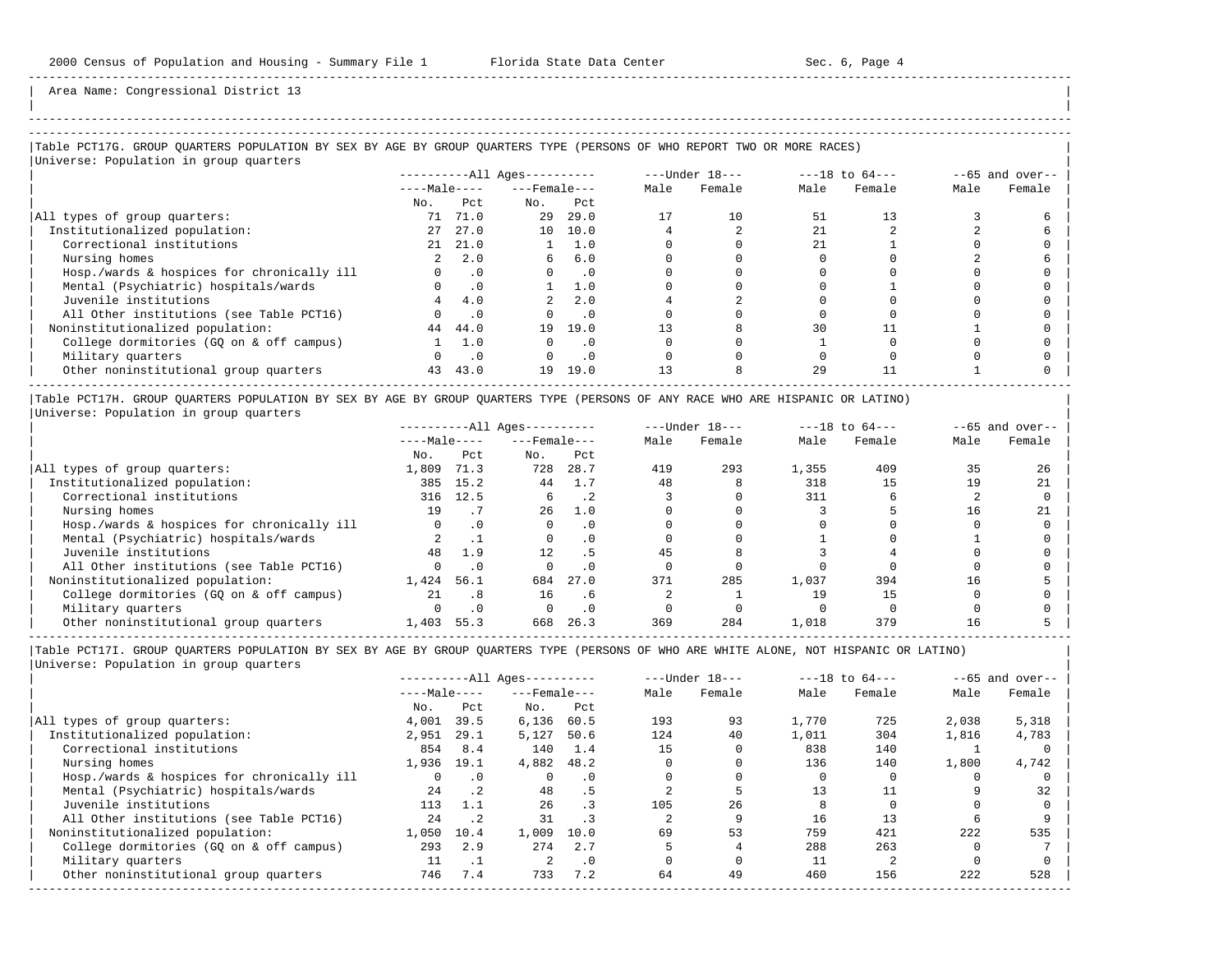| | -----------------------------------------------------------------------------------------------------------------------------------------------------

Area Name: Congressional District 13

# |Table PCT17G. GROUP QUARTERS POPULATION BY SEX BY AGE BY GROUP QUARTERS TYPE (PERSONS OF WHO REPORT TWO OR MORE RACES) |

|Universe: Population in group quarters |

|                                            | $------All Aqes------$ |           |                    |           | $---Under 18---$ | $---18$ to $64---$ |      | $--65$ and over-- |      |        |
|--------------------------------------------|------------------------|-----------|--------------------|-----------|------------------|--------------------|------|-------------------|------|--------|
|                                            | $---Male---$           |           | $---$ Female $---$ |           | Male             | Female             | Male | Female            | Male | Female |
|                                            | No.                    | Pct       | No.                | Pct       |                  |                    |      |                   |      |        |
| All types of group quarters:               | 71                     | 71.0      | 29                 | 29.0      |                  | 10                 | 51   |                   |      |        |
| Institutionalized population:              | 27                     | 27.0      |                    | 10 10.0   |                  |                    | 21   |                   |      |        |
| Correctional institutions                  | 21                     | 21.0      |                    | 1.0       |                  |                    | 2.1  |                   |      |        |
| Nursing homes                              | 2                      | 2.0       | 6                  | 6.0       |                  |                    |      |                   |      |        |
| Hosp./wards & hospices for chronically ill |                        | .0        |                    | $\cdot$ 0 |                  |                    |      |                   |      |        |
| Mental (Psychiatric) hospitals/wards       |                        |           |                    | 1.0       |                  |                    |      |                   |      |        |
| Juvenile institutions                      |                        | 4.0       |                    | 2.0       |                  |                    |      |                   |      |        |
| All Other institutions (see Table PCT16)   |                        | $\cdot$ 0 |                    | $\cdot$ 0 |                  |                    |      |                   |      |        |
| Noninstitutionalized population:           | 44                     | 44.0      | 19                 | 19.0      |                  |                    | 30   |                   |      |        |
| College dormitories (GO on & off campus)   |                        | 1.0       |                    | . 0       |                  |                    |      |                   |      |        |
| Military quarters                          |                        | $\cdot$ 0 |                    | $\cdot$ 0 |                  |                    |      |                   |      |        |
| Other noninstitutional group quarters      | 43                     | 43.0      | 19                 | 19.0      |                  |                    | 29   |                   |      |        |
|                                            |                        |           |                    |           |                  |                    |      |                   |      |        |

|Table PCT17H. GROUP QUARTERS POPULATION BY SEX BY AGE BY GROUP QUARTERS TYPE (PERSONS OF ANY RACE WHO ARE HISPANIC OR LATINO) | |Universe: Population in group quarters |

|                                            |              | $------All Aqes------$ |                    |           |      | $---Under 18---$ | $---18$ to $64---$ |        | $--65$ and over-- |        |
|--------------------------------------------|--------------|------------------------|--------------------|-----------|------|------------------|--------------------|--------|-------------------|--------|
|                                            | $---Male---$ |                        | $---$ Female $---$ |           | Male | Female           | Male               | Female | Male              | Female |
|                                            | No.          | Pct                    | No.                | Pct       |      |                  |                    |        |                   |        |
| All types of group quarters:               | 1,809        | 71.3                   | 728                | 28.7      | 419  | 293              | 1,355              | 409    | 35                | 26     |
| Institutionalized population:              | 385          | 15.2                   | 44                 | 1.7       | 48   |                  | 318                | 15     | 19                | 21     |
| Correctional institutions                  | 316          | 12.5                   |                    | . 2       |      |                  | 311                |        |                   |        |
| Nursing homes                              | 19           |                        | 26                 | 1.0       |      |                  |                    |        | 16                | 21     |
| Hosp./wards & hospices for chronically ill |              |                        |                    | . 0       |      |                  |                    |        |                   |        |
| Mental (Psychiatric) hospitals/wards       |              |                        |                    |           |      |                  |                    |        |                   |        |
| Juvenile institutions                      | 48           | 1.9                    | 12 <sub>1</sub>    |           |      |                  |                    |        |                   |        |
| All Other institutions (see Table PCT16)   |              |                        |                    |           |      |                  |                    |        |                   |        |
| Noninstitutionalized population:           | 1,424        | 56.1                   | 684                | 27.0      | 371  | 285              | 1,037              | 394    | 16                |        |
| College dormitories (GO on & off campus)   | 21           | .8                     | 16                 | . 6       |      |                  | 19                 | 15     |                   |        |
| Military quarters                          |              | $\cdot$ 0              |                    | $\cdot$ 0 |      |                  |                    |        |                   |        |
| Other noninstitutional group quarters      | 1,403        | 55.3                   | 668                | 26.3      | 369  | 284              | 1,018              | 379    | 16                |        |

-----------------------------------------------------------------------------------------------------------------------------------------------------

|                                            | $------All Aqes------$ |             |                    | $---Under 18---$ | $---18$ to $64---$ |        | $--65$ and over-- |        |       |        |
|--------------------------------------------|------------------------|-------------|--------------------|------------------|--------------------|--------|-------------------|--------|-------|--------|
|                                            | $---Male---$           |             | $---$ Female $---$ |                  | Male               | Female | Male              | Female | Male  | Female |
|                                            | No.                    | Pct         | No.                | Pct              |                    |        |                   |        |       |        |
| All types of group quarters:               | 4,001                  | 39.5        | 6,136              | 60.5             | 193                | 93     | 1,770             | 725    | 2,038 | 5,318  |
| Institutionalized population:              | 2,951                  | 29.1        | 5,127              | 50.6             | 124                | 40     | 1,011             | 304    | 1,816 | 4,783  |
| Correctional institutions                  | 854                    | 8.4         | 140                | 1.4              | 15                 |        | 838               | 140    |       |        |
| Nursing homes                              | 1,936                  | 19.1        | 4,882              | 48.2             |                    |        | 136               | 140    | 1,800 | 4,742  |
| Hosp./wards & hospices for chronically ill | <sup>n</sup>           | $\cdot$ 0   |                    | $\cdot$ 0        |                    |        |                   |        |       |        |
| Mental (Psychiatric) hospitals/wards       | 24                     | $\cdot$ 2   | 48                 | . 5              |                    |        | 13                |        |       | 32     |
| Juvenile institutions                      | 113                    | 1.1         | 26                 | $\cdot$ 3        | 105                | 2.6    |                   |        |       |        |
| All Other institutions (see Table PCT16)   | 2.4                    | $\cdot$ . 2 | 31                 |                  |                    |        | 16                |        |       |        |
| Noninstitutionalized population:           | 1,050                  | 10.4        | 1,009              | 10.0             | 69                 | 53     | 759               | 421    | 222   | 535    |
| College dormitories (GO on & off campus)   | 293                    | 2.9         | 274                | 2.7              |                    |        | 288               | 263    |       |        |
| Military quarters                          |                        |             |                    | $\cdot$ 0        |                    |        | 11                |        |       |        |
| Other noninstitutional group quarters      | 746                    | 7.4         | 733                | 7.2              | 64                 | 49     | 460               | 156    | 222   | 528    |
|                                            |                        |             |                    |                  |                    |        |                   |        |       |        |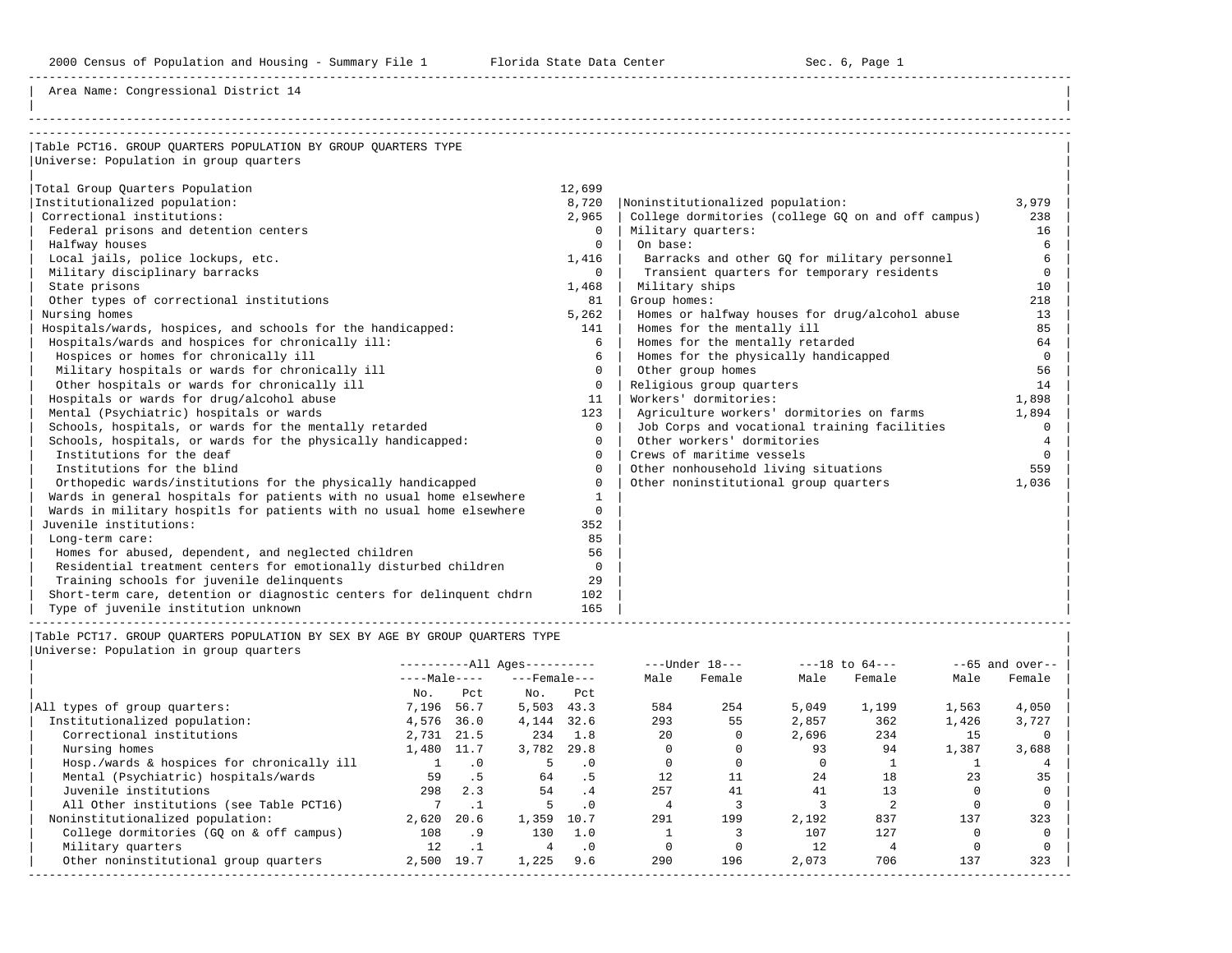Area Name: Congressional District 14

| Table PCT16. GROUP OUARTERS POPULATION BY GROUP OUARTERS TYPE         |              |                                                    |          |
|-----------------------------------------------------------------------|--------------|----------------------------------------------------|----------|
| Universe: Population in group quarters                                |              |                                                    |          |
|                                                                       |              |                                                    |          |
| Total Group Quarters Population                                       | 12,699       |                                                    |          |
| Institutionalized population:                                         | 8,720        | Noninstitutionalized population:                   | 3,979    |
| Correctional institutions:                                            | 2,965        | College dormitories (college GQ on and off campus) | 238      |
| Federal prisons and detention centers                                 | $\Omega$     | Military quarters:                                 | 16       |
| Halfway houses                                                        | $\Omega$     | On base:                                           | 6        |
| Local jails, police lockups, etc.                                     | 1,416        | Barracks and other GO for military personnel       | 6        |
| Military disciplinary barracks                                        | $\Omega$     | Transient quarters for temporary residents         | $\Omega$ |
| State prisons                                                         | 1,468        | Military ships                                     | 10       |
| Other types of correctional institutions                              | 81           | Group homes:                                       | 218      |
| Nursing homes                                                         | 5,262        | Homes or halfway houses for drug/alcohol abuse     | 13       |
| Hospitals/wards, hospices, and schools for the handicapped:           | 141          | Homes for the mentally ill                         | 85       |
| Hospitals/wards and hospices for chronically ill:                     | 6            | Homes for the mentally retarded                    | 64       |
| Hospices or homes for chronically ill                                 | б.           | Homes for the physically handicapped               | $\Omega$ |
| Military hospitals or wards for chronically ill                       | $\Omega$     | Other group homes                                  | 56       |
| Other hospitals or wards for chronically ill                          | $\Omega$     | Religious group quarters                           | 14       |
| Hospitals or wards for drug/alcohol abuse                             | 11           | Workers' dormitories:                              | 1,898    |
| Mental (Psychiatric) hospitals or wards                               | 123          | Agriculture workers' dormitories on farms          | 1,894    |
| Schools, hospitals, or wards for the mentally retarded                | $\Omega$     | Job Corps and vocational training facilities       | $\Omega$ |
| Schools, hospitals, or wards for the physically handicapped:          | $\Omega$     | Other workers' dormitories                         |          |
| Institutions for the deaf                                             | $\Omega$     | Crews of maritime vessels                          |          |
| Institutions for the blind                                            | $\Omega$     | Other nonhousehold living situations               | 559      |
| Orthopedic wards/institutions for the physically handicapped          | $\Omega$     | Other noninstitutional group quarters              | 1,036    |
| Wards in general hospitals for patients with no usual home elsewhere  | $\mathbf{1}$ |                                                    |          |
| Wards in military hospitls for patients with no usual home elsewhere  | $\Omega$     |                                                    |          |
| Juvenile institutions:                                                | 352          |                                                    |          |
| Long-term care:                                                       | 85           |                                                    |          |
| Homes for abused, dependent, and neglected children                   | 56           |                                                    |          |
| Residential treatment centers for emotionally disturbed children      | $\Omega$     |                                                    |          |
| Training schools for juvenile delinquents                             | 29           |                                                    |          |
| Short-term care, detention or diagnostic centers for delinguent chdrn | 102          |                                                    |          |
| Type of juvenile institution unknown                                  | 165          |                                                    |          |

|Table PCT17. GROUP QUARTERS POPULATION BY SEX BY AGE BY GROUP QUARTERS TYPE |

| Universe: Population in group quarters |  |
|----------------------------------------|--|
|                                        |  |

|                                            |              |           | $------All Aqes------$ |           |      | $---Under 18---$ |       | $---18$ to $64---$ |       | $--65$ and over-- |
|--------------------------------------------|--------------|-----------|------------------------|-----------|------|------------------|-------|--------------------|-------|-------------------|
|                                            | $---Male---$ |           | $---$ Female $---$     |           | Male | Female           | Male  | Female             | Male  | Female            |
|                                            | No.          | Pct       | No.                    | Pct       |      |                  |       |                    |       |                   |
| All types of group quarters:               | 7,196        | 56.7      | 5,503                  | 43.3      | 584  | 254              | 5,049 | 1,199              | 1,563 | 4,050             |
| Institutionalized population:              | 4,576        | 36.0      | 4,144                  | 32.6      | 293  | 55               | 2,857 | 362                | 1,426 | 3,727             |
| Correctional institutions                  | 2,731 21.5   |           | 234                    | 1.8       | 20   |                  | 2,696 | 234                | 15    |                   |
| Nursing homes                              | 1,480        | 11.7      | 3,782                  | 29.8      |      |                  | 93    | 94                 | 1,387 | 3,688             |
| Hosp./wards & hospices for chronically ill |              | $\cdot$ 0 |                        | $\cdot$ 0 |      |                  |       |                    |       |                   |
| Mental (Psychiatric) hospitals/wards       | 59           | . 5       | 64                     | . 5       | 12   |                  | 24    | 18                 | 23    | 35                |
| Juvenile institutions                      | 298          | 2.3       | 54                     | .4        | 257  | 41               | 41    |                    |       |                   |
| All Other institutions (see Table PCT16)   |              |           |                        | $\cdot$ 0 |      |                  |       |                    |       |                   |
| Noninstitutionalized population:           | 2,620        | 20.6      | 1,359                  | 10.7      | 291  | 199              | 2,192 | 837                | 137   | 323               |
| College dormitories (GO on & off campus)   | 108          | . 9       | 130                    | 1.0       |      |                  | 107   | 127                |       |                   |
| Military quarters                          | 12           | $\cdot$ 1 |                        | $\cdot$ 0 |      |                  | 12    |                    |       |                   |
| Other noninstitutional group quarters      | 2,500        | 19.7      | 1,225                  | 9.6       | 290  | 196              | 2,073 | 706                | 137   | 323               |
|                                            |              |           |                        |           |      |                  |       |                    |       |                   |

-----------------------------------------------------------------------------------------------------------------------------------------------------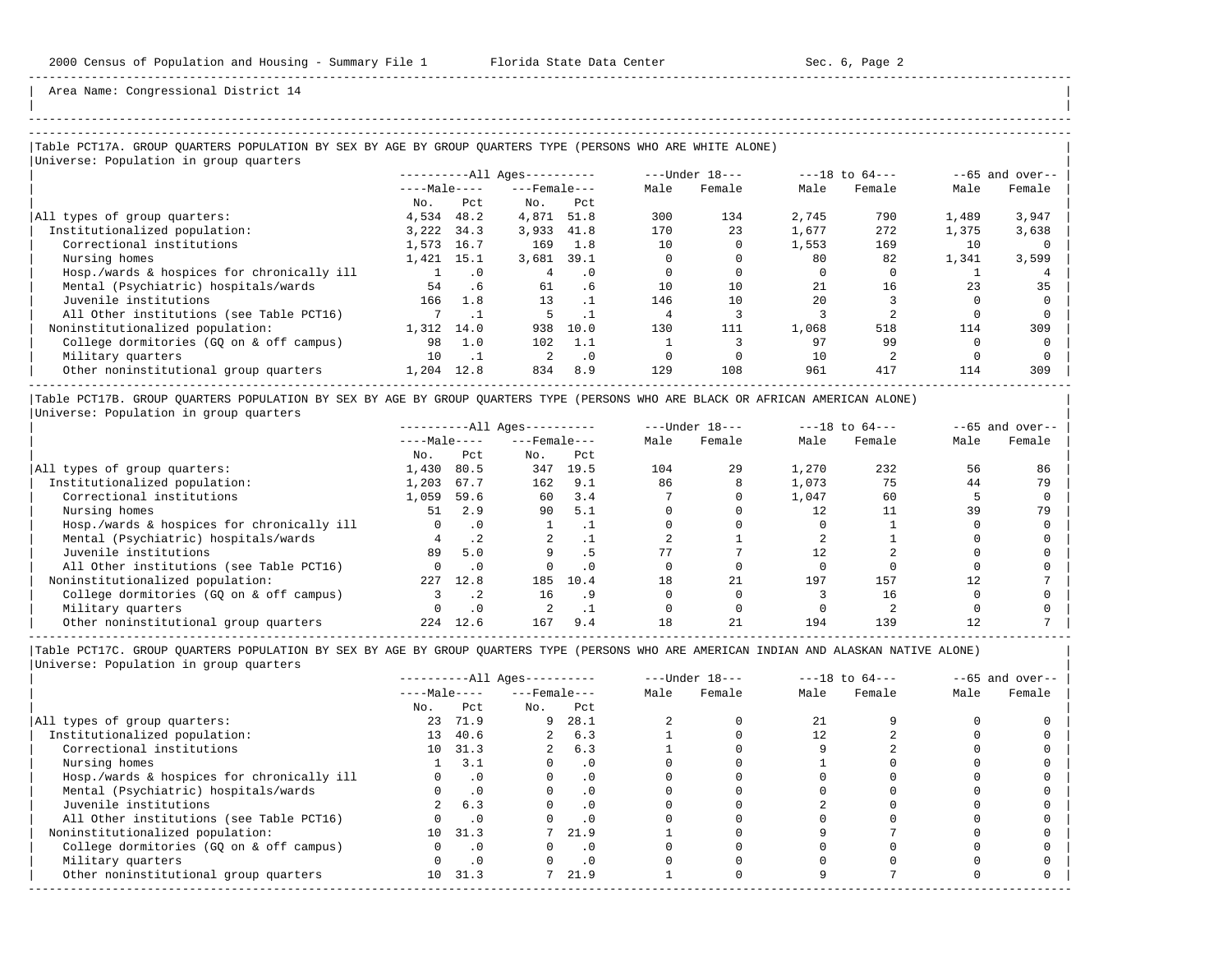| | -----------------------------------------------------------------------------------------------------------------------------------------------------

Area Name: Congressional District 14

### ----------------------------------------------------------------------------------------------------------------------------------------------------- |Table PCT17A. GROUP QUARTERS POPULATION BY SEX BY AGE BY GROUP QUARTERS TYPE (PERSONS WHO ARE WHITE ALONE) |

|Universe: Population in group quarters |

|                                            | $------All Aqes------$ |           |                    |           |      | $---Under 18---$ | $---18$ to $64---$ |        | $--65$ and over-- |        |
|--------------------------------------------|------------------------|-----------|--------------------|-----------|------|------------------|--------------------|--------|-------------------|--------|
|                                            | $---Male---$           |           | $---$ Female $---$ |           | Male | Female           | Male               | Female | Male              | Female |
|                                            | No.                    | Pct.      | No.                | Pct       |      |                  |                    |        |                   |        |
| All types of group quarters:               | 4,534                  | 48.2      | 4,871              | 51.8      | 300  | 134              | 2,745              | 790    | 1,489             | 3,947  |
| Institutionalized population:              | 3,222                  | 34.3      | 3,933              | 41.8      | 170  | 23               | 1,677              | 272    | 1,375             | 3,638  |
| Correctional institutions                  | 1,573                  | 16.7      | 169                | 1.8       | 10   |                  | 1,553              | 169    | 10                |        |
| Nursing homes                              | 1,421                  | 15.1      | 3,681              | 39.1      |      |                  | 80                 | 82     | 1,341             | 3,599  |
| Hosp./wards & hospices for chronically ill |                        | $\cdot$ 0 |                    | . 0       |      |                  |                    |        |                   |        |
| Mental (Psychiatric) hospitals/wards       | 54                     | .6        | 61                 | . 6       | 10   | 10               | 21                 | 16     | 23                | 35     |
| Juvenile institutions                      | 166                    | 1.8       | 13                 |           | 146  | 10               | 2.0                |        |                   |        |
| All Other institutions (see Table PCT16)   |                        |           |                    |           |      |                  |                    |        |                   |        |
| Noninstitutionalized population:           | 1,312                  | 14.0      | 938                | 10.0      | 130  | 111              | 1,068              | 518    | 114               | 309    |
| College dormitories (GO on & off campus)   | 98                     | 1.0       | 102                | 1.1       |      |                  | 97                 | 99     |                   |        |
| Military quarters                          | 10                     |           |                    | $\cdot$ 0 |      |                  | 10                 |        |                   |        |
| Other noninstitutional group quarters      | 1,204                  | 12.8      | 834                | 8.9       | 129  | 108              | 961                | 417    | 114               | 309    |
|                                            |                        |           |                    |           |      |                  |                    |        |                   |        |

|Table PCT17B. GROUP QUARTERS POPULATION BY SEX BY AGE BY GROUP QUARTERS TYPE (PERSONS WHO ARE BLACK OR AFRICAN AMERICAN ALONE) | |Universe: Population in group quarters |

|                                            |              |           | $------All Ages------$ |           |      | $---Under 18---$ | $---18$ to $64---$ |        | $--65$ and over-- |        |
|--------------------------------------------|--------------|-----------|------------------------|-----------|------|------------------|--------------------|--------|-------------------|--------|
|                                            | $---Male---$ |           | $---$ Female $---$     |           | Male | Female           | Male               | Female | Male              | Female |
|                                            | No.          | Pct       | No.                    | Pct       |      |                  |                    |        |                   |        |
| All types of group quarters:               | 1,430        | 80.5      | 347                    | 19.5      | 104  | 29               | 1,270              | 232    | 56                | 86     |
| Institutionalized population:              | 1,203        | 67.7      | 162                    | 9.1       | 86   | 8                | 1,073              | 75     | 44                | 79     |
| Correctional institutions                  | 1,059        | 59.6      | 60                     | 3.4       |      |                  | 1,047              | 60     |                   |        |
| Nursing homes                              | 51           | 2.9       | 90                     | 5.1       |      |                  |                    |        | 39                | 79     |
| Hosp./wards & hospices for chronically ill |              | $\cdot$ 0 |                        |           |      |                  |                    |        |                   |        |
| Mental (Psychiatric) hospitals/wards       |              |           |                        |           |      |                  |                    |        |                   |        |
| Juvenile institutions                      | 89           | 5.0       |                        |           |      |                  |                    |        |                   |        |
| All Other institutions (see Table PCT16)   |              | . 0       |                        | $\cdot$ 0 |      |                  |                    |        |                   |        |
| Noninstitutionalized population:           | 227          | 12.8      | 185                    | 10.4      | 18   | 21               | 197                | 157    |                   |        |
| College dormitories (GQ on & off campus)   |              |           | 16                     | . 9       |      |                  |                    | 16     |                   |        |
| Military quarters                          |              | $\cdot$ 0 |                        |           |      |                  |                    |        |                   |        |
| Other noninstitutional group quarters      | 224          | 12.6      | 167                    | 9.4       |      | 21               | 194                | 139    |                   |        |

-----------------------------------------------------------------------------------------------------------------------------------------------------

|                                            |                 |           | $------All Ages------$ |           |      | $---Under 18---$ |      | $---18$ to $64---$ |      | $- -65$ and over-- |
|--------------------------------------------|-----------------|-----------|------------------------|-----------|------|------------------|------|--------------------|------|--------------------|
|                                            | $---Male---$    |           | $---$ Female $---$     |           | Male | Female           | Male | Female             | Male | Female             |
|                                            | No.             | Pct       | No.                    | Pct       |      |                  |      |                    |      |                    |
| All types of group quarters:               | 23              | 71.9      |                        | 9 28.1    |      |                  | 2.1  |                    |      |                    |
| Institutionalized population:              | 13              | 40.6      |                        | 6.3       |      |                  |      |                    |      |                    |
| Correctional institutions                  |                 | 10 31.3   |                        | 6.3       |      |                  |      |                    |      |                    |
| Nursing homes                              |                 | 3.1       |                        | . 0       |      |                  |      |                    |      |                    |
| Hosp./wards & hospices for chronically ill |                 |           |                        | . 0       |      |                  |      |                    |      |                    |
| Mental (Psychiatric) hospitals/wards       |                 | $\cdot$ 0 |                        | $\cdot$ 0 |      |                  |      |                    |      |                    |
| Juvenile institutions                      |                 | 6.3       |                        | $\cdot$ 0 |      |                  |      |                    |      |                    |
| All Other institutions (see Table PCT16)   |                 |           |                        | . 0       |      |                  |      |                    |      |                    |
| Noninstitutionalized population:           | 10 <sup>1</sup> | 31.3      |                        | 21.9      |      |                  |      |                    |      |                    |
| College dormitories (GQ on & off campus)   |                 | $\cdot$ 0 |                        | . 0       |      |                  |      |                    |      |                    |
| Military quarters                          |                 |           |                        | . 0       |      |                  |      |                    |      |                    |
| Other noninstitutional group quarters      | 10 <sup>1</sup> | 31.3      |                        | 21.9      |      |                  |      |                    |      |                    |
|                                            |                 |           |                        |           |      |                  |      |                    |      |                    |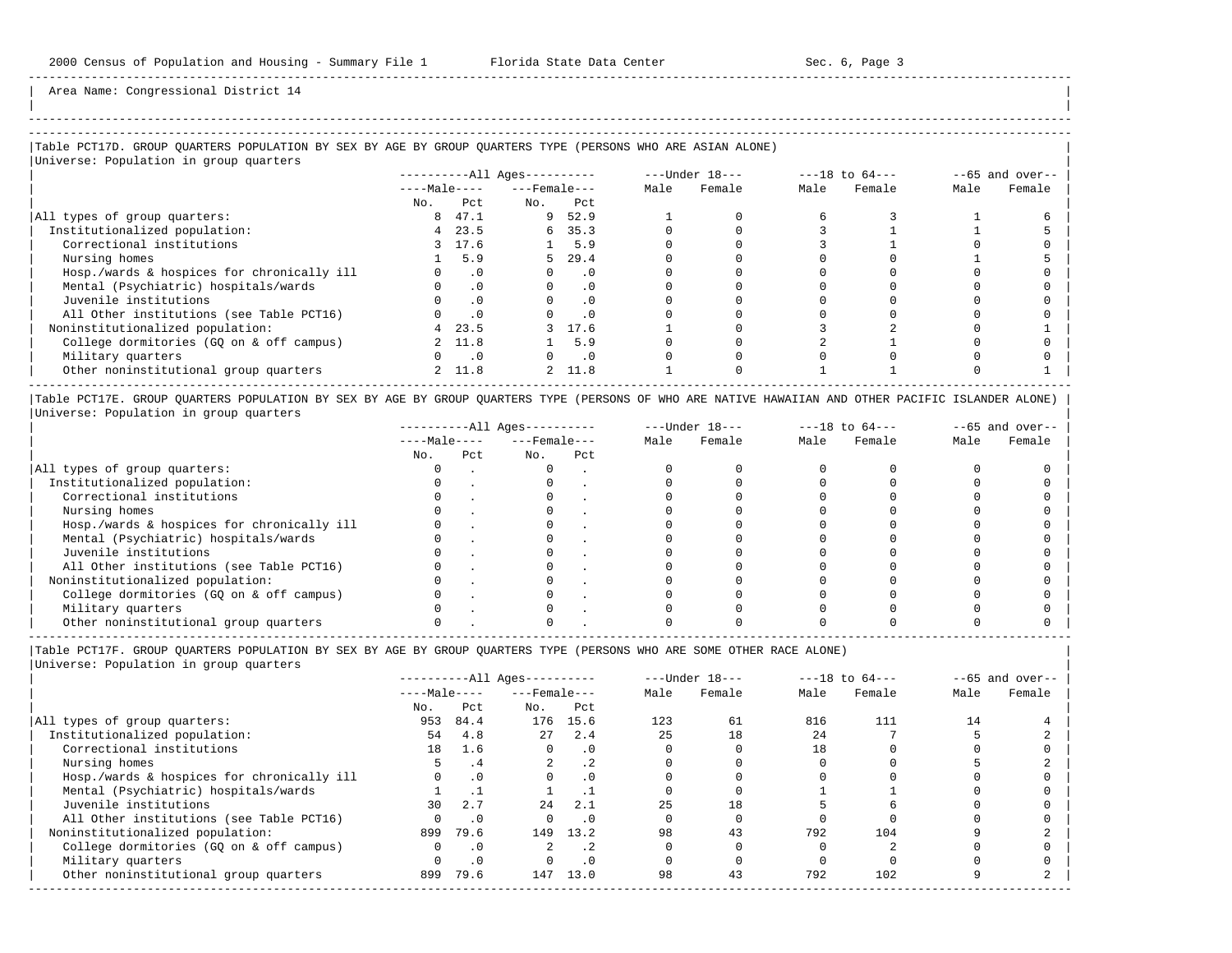-----------------------------------------------------------------------------------------------------------------------------------------------------

Area Name: Congressional District 14

## |Table PCT17D. GROUP QUARTERS POPULATION BY SEX BY AGE BY GROUP QUARTERS TYPE (PERSONS WHO ARE ASIAN ALONE) |

|Universe: Population in group quarters |

|                                            |              |           | $------All Aqes------$ |           |      | $---Under 18---$ |      | $---18$ to $64---$ |      | $--65$ and over-- |
|--------------------------------------------|--------------|-----------|------------------------|-----------|------|------------------|------|--------------------|------|-------------------|
|                                            | $---Male---$ |           | $---$ Female $---$     |           | Male | Female           | Male | Female             | Male | Female            |
|                                            | No.          | Pct       | No.                    | Pct       |      |                  |      |                    |      |                   |
| All types of group quarters:               | 8            | 47.1      | 9                      | 52.9      |      |                  |      |                    |      |                   |
| Institutionalized population:              | 4            | 23.5      | 6                      | 35.3      |      |                  |      |                    |      |                   |
| Correctional institutions                  |              | 3 17.6    |                        | 5.9       |      |                  |      |                    |      |                   |
| Nursing homes                              |              | 5.9       | 5.                     | 29.4      |      |                  |      |                    |      |                   |
| Hosp./wards & hospices for chronically ill |              | $\cdot$ 0 |                        | . 0       |      |                  |      |                    |      |                   |
| Mental (Psychiatric) hospitals/wards       |              | $\cdot$ 0 |                        | $\cdot$ 0 |      |                  |      |                    |      |                   |
| Juvenile institutions                      |              | $\cdot$ 0 |                        | $\cdot$ 0 |      |                  |      |                    |      |                   |
| All Other institutions (see Table PCT16)   |              |           |                        |           |      |                  |      |                    |      |                   |
| Noninstitutionalized population:           | 4            | 23.5      |                        | 17.6      |      |                  |      |                    |      |                   |
| College dormitories (GQ on & off campus)   |              | 2 11.8    |                        | 5.9       |      |                  |      |                    |      |                   |
| Military quarters                          |              | $\cdot$ 0 |                        | . 0       |      |                  |      |                    |      |                   |
| Other noninstitutional group quarters      |              | 2 11.8    | $\overline{2}$         | 11.8      |      |                  |      |                    |      |                   |

|Table PCT17E. GROUP QUARTERS POPULATION BY SEX BY AGE BY GROUP QUARTERS TYPE (PERSONS OF WHO ARE NATIVE HAWAIIAN AND OTHER PACIFIC ISLANDER ALONE) | |Universe: Population in group quarters |

|                                            |              |     | $------All Aqes------$ |     |      | $---Under 18---$ |      | $---18$ to $64---$ |      | $--65$ and over-- |
|--------------------------------------------|--------------|-----|------------------------|-----|------|------------------|------|--------------------|------|-------------------|
|                                            | $---Male---$ |     | $---$ Female $---$     |     | Male | Female           | Male | Female             | Male | Female            |
|                                            | No.          | Pct | No.                    | Pct |      |                  |      |                    |      |                   |
| All types of group quarters:               |              |     |                        |     |      |                  |      |                    |      |                   |
| Institutionalized population:              |              |     |                        |     |      |                  |      |                    |      |                   |
| Correctional institutions                  |              |     |                        |     |      |                  |      |                    |      |                   |
| Nursing homes                              |              |     |                        |     |      |                  |      |                    |      |                   |
| Hosp./wards & hospices for chronically ill |              |     |                        |     |      |                  |      |                    |      |                   |
| Mental (Psychiatric) hospitals/wards       |              |     |                        |     |      |                  |      |                    |      |                   |
| Juvenile institutions                      |              |     |                        |     |      |                  |      |                    |      |                   |
| All Other institutions (see Table PCT16)   |              |     |                        |     |      |                  |      |                    |      |                   |
| Noninstitutionalized population:           |              |     |                        |     |      |                  |      |                    |      |                   |
| College dormitories (GO on & off campus)   |              |     |                        |     |      |                  |      |                    |      |                   |
| Military quarters                          |              |     |                        |     |      |                  |      |                    |      |                   |
| Other noninstitutional group quarters      |              |     |                        |     |      |                  |      |                    |      |                   |

----------------------------------------------------------------------------------------------------------------------------------------------------- |Table PCT17F. GROUP QUARTERS POPULATION BY SEX BY AGE BY GROUP QUARTERS TYPE (PERSONS WHO ARE SOME OTHER RACE ALONE) |

| Male<br>Female |        | $---18$ to $64---$ | $---Under 18---$ |      |           | $------All Ages------$ |           |              |                                            |
|----------------|--------|--------------------|------------------|------|-----------|------------------------|-----------|--------------|--------------------------------------------|
|                | Female | Male               | Female           | Male |           | $---$ Female $---$     |           | $---Male---$ |                                            |
|                |        |                    |                  |      | Pct       | No.                    | Pct       | No.          |                                            |
| 14             | 111    | 816                | 61               | 123  | 15.6      | 176                    | 84.4      | 953          | All types of group quarters:               |
|                |        | 24                 | 18               | 25   | 2.4       | 27                     | 4.8       | 54           | Institutionalized population:              |
|                |        | 18                 |                  |      | $\cdot$ 0 | $\Omega$               | 1.6       | 18           | Correctional institutions                  |
|                |        |                    |                  |      | .2        |                        | . 4       |              | Nursing homes                              |
|                |        |                    |                  |      | . 0       |                        | $\cdot$ 0 |              | Hosp./wards & hospices for chronically ill |
|                |        |                    |                  |      |           |                        |           |              | Mental (Psychiatric) hospitals/wards       |
|                |        |                    | 18               | 2.5  | 2.1       | 2.4                    | 2.7       | 30           | Juvenile institutions                      |
|                |        |                    |                  |      | . 0       |                        | $\cdot$ 0 |              | All Other institutions (see Table PCT16)   |
|                | 104    | 792                | 43               | 98   | 13.2      | 149                    | 79.6      | 899          | Noninstitutionalized population:           |
|                |        |                    |                  |      |           |                        | $\cdot$ 0 |              | College dormitories (GO on & off campus)   |
|                |        |                    |                  |      | . 0       |                        | $\cdot$ 0 |              | Military quarters                          |
|                | 102    | 792                | 43               | 98   | 13.0      | 147                    | 79.6      | 899          | Other noninstitutional group quarters      |
|                |        |                    |                  |      |           |                        |           |              |                                            |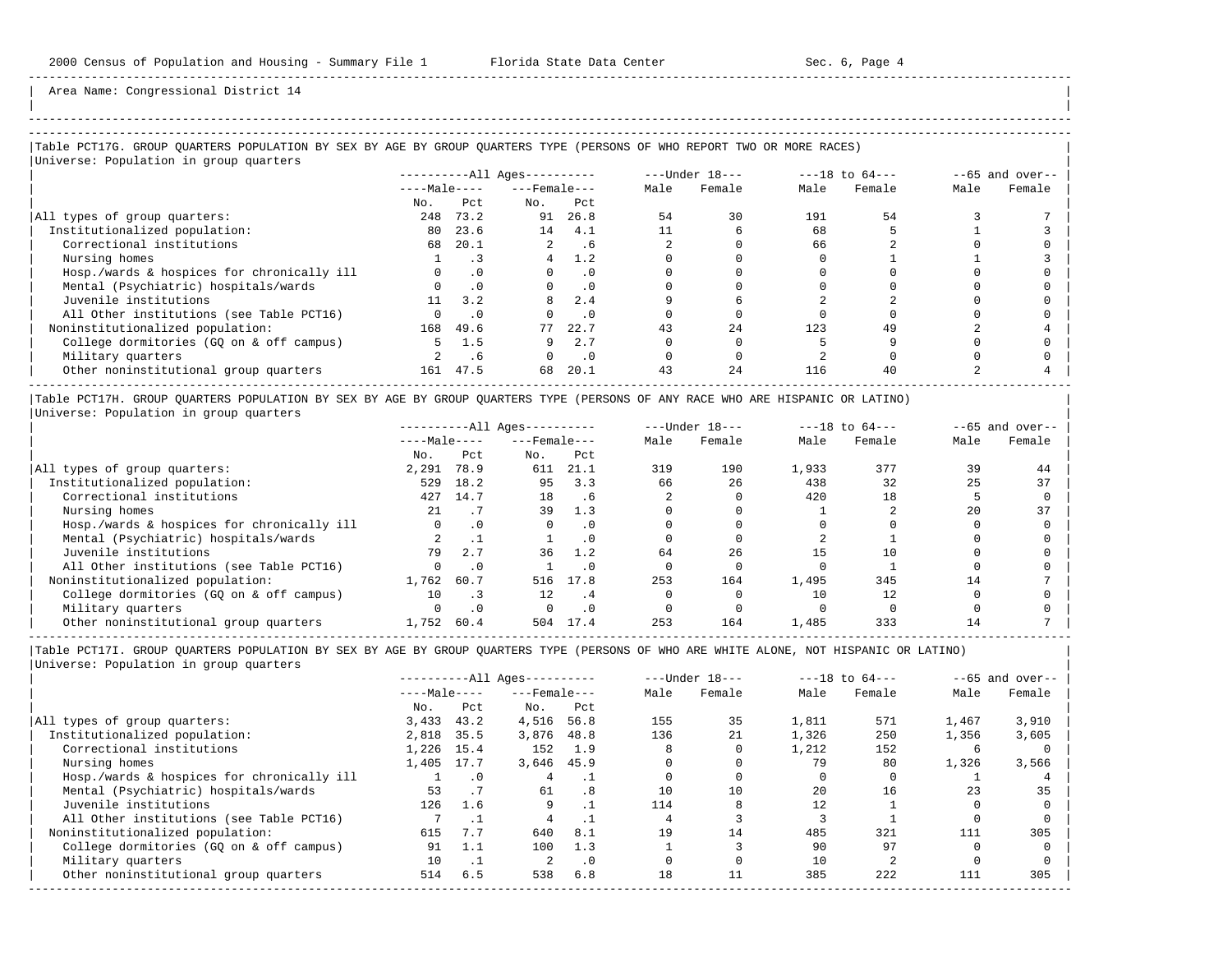| | -----------------------------------------------------------------------------------------------------------------------------------------------------

Area Name: Congressional District 14

|Table PCT17G. GROUP QUARTERS POPULATION BY SEX BY AGE BY GROUP QUARTERS TYPE (PERSONS OF WHO REPORT TWO OR MORE RACES) | |<br>|Universe: Population in group quarters

| $10F$ and $10F$ and $10F$ and $10F$        |              |           | $------All \text{Aqes}---$ |           |      | ---Under 18--- |      | $---18$ to $64---$ |      | $--65$ and over-- |
|--------------------------------------------|--------------|-----------|----------------------------|-----------|------|----------------|------|--------------------|------|-------------------|
|                                            | $---Male---$ |           | $---$ Female $---$         |           | Male | Female         | Male | Female             | Male | Female            |
|                                            | No.          | Pct.      | No.                        | Pct       |      |                |      |                    |      |                   |
| All types of group quarters:               | 248          | 73.2      | 91                         | 26.8      | 54   | 30             | 191  | 54                 |      |                   |
| Institutionalized population:              | 80           | 23.6      | 14                         | 4.1       |      | 6              | 68   |                    |      |                   |
| Correctional institutions                  | 68           | 20.1      | $\overline{a}$             | . 6       |      |                | 66   |                    |      |                   |
| Nursing homes                              |              |           | 4                          | 1.2       |      |                |      |                    |      |                   |
| Hosp./wards & hospices for chronically ill | $\Omega$     | $\cdot$ 0 | $\Omega$                   | $\cdot$ 0 |      |                |      |                    |      |                   |
| Mental (Psychiatric) hospitals/wards       |              |           |                            | $\cdot$ 0 |      |                |      |                    |      |                   |
| Juvenile institutions                      | 11           | 3.2       |                            | 2.4       |      |                |      |                    |      |                   |
| All Other institutions (see Table PCT16)   |              | $\cdot$ 0 |                            | $\cdot$ 0 |      |                |      |                    |      |                   |
| Noninstitutionalized population:           | 168          | 49.6      | 77                         | 22.7      | 43   | 2.4            | 123  | 49                 |      |                   |
| College dormitories (GQ on & off campus)   | 5.           | 1.5       |                            | 2.7       |      |                |      |                    |      |                   |
| Military quarters                          |              | .6        |                            | $\cdot$ 0 |      |                |      |                    |      |                   |
| Other noninstitutional group quarters      | 161          | 47.5      | 68                         | 20.1      | 43   | 24             | 116  | 40                 |      |                   |
|                                            |              |           |                            |           |      |                |      |                    |      |                   |

|Table PCT17H. GROUP QUARTERS POPULATION BY SEX BY AGE BY GROUP QUARTERS TYPE (PERSONS OF ANY RACE WHO ARE HISPANIC OR LATINO) | |Universe: Population in group quarters |

|                                            |              |      | $------All Aqes------$ |           |      | $---Under 18---$ |       | $---18$ to $64---$ |      | $--65$ and over-- |
|--------------------------------------------|--------------|------|------------------------|-----------|------|------------------|-------|--------------------|------|-------------------|
|                                            | $---Male---$ |      | $---$ Female $---$     |           | Male | Female           | Male  | Female             | Male | Female            |
|                                            | No.          | Pct  | No.                    | Pct       |      |                  |       |                    |      |                   |
| All types of group quarters:               | 2,291        | 78.9 | 611                    | 21.1      | 319  | 190              | 1,933 | 377                | 39   | 44                |
| Institutionalized population:              | 529          | 18.2 | 95                     | 3.3       | 66   | 26               | 438   | 32                 | 25   | 37                |
| Correctional institutions                  | 427          | 14.7 | 18                     | . 6       |      |                  | 420   | 18                 |      |                   |
| Nursing homes                              | 21           |      | 39                     | 1.3       |      |                  |       |                    | 20   | 37                |
| Hosp./wards & hospices for chronically ill |              | . 0  |                        |           |      |                  |       |                    |      |                   |
| Mental (Psychiatric) hospitals/wards       |              |      |                        | . 0       |      |                  |       |                    |      |                   |
| Juvenile institutions                      | 79           | 2.7  | 36                     | 1.2       | 64   | 26               |       | 10                 |      |                   |
| All Other institutions (see Table PCT16)   |              | . 0  |                        |           |      |                  |       |                    |      |                   |
| Noninstitutionalized population:           | 1,762        | 60.7 | 516                    | 17.8      | 253  | 164              | 1,495 | 345                | 14   |                   |
| College dormitories (GO on & off campus)   | 10           |      | 12                     | . 4       |      |                  |       | 12                 |      |                   |
| Military quarters                          |              |      |                        | $\cdot$ 0 |      |                  |       |                    |      |                   |
| Other noninstitutional group quarters      | 1,752        | 60.4 | 504                    | 17.4      | 253  | 164              | 1,485 | 333                |      |                   |

-----------------------------------------------------------------------------------------------------------------------------------------------------

|                                            | $------All Aqes------$ |           |                    |           |      | $---Under 18---$ | $---18$ to $64---$ |        | $--65$ and over-- |        |
|--------------------------------------------|------------------------|-----------|--------------------|-----------|------|------------------|--------------------|--------|-------------------|--------|
|                                            | $---Male---$           |           | $---$ Female $---$ |           | Male | Female           | Male               | Female | Male              | Female |
|                                            | No.                    | Pct       | No.                | Pct       |      |                  |                    |        |                   |        |
| All types of group quarters:               | 3,433                  | 43.2      | 4,516              | 56.8      | 155  | 35               | 1,811              | 571    | 1,467             | 3,910  |
| Institutionalized population:              | 2,818                  | 35.5      | 3,876              | 48.8      | 136  | 21               | 1,326              | 250    | 1,356             | 3,605  |
| Correctional institutions                  | 1,226 15.4             |           | 152                | 1.9       |      |                  | 1,212              | 152    | h                 |        |
| Nursing homes                              | 1,405                  | 17.7      | 3,646              | 45.9      |      |                  | 79                 | 80     | 1,326             | 3,566  |
| Hosp./wards & hospices for chronically ill |                        | $\cdot$ 0 | 4                  |           |      |                  |                    |        |                   |        |
| Mental (Psychiatric) hospitals/wards       | 53                     | .7        | 61                 | .8        | 10   | 10               | 20                 | 16     | 23                | 35     |
| Juvenile institutions                      | 126                    | 1.6       | 9                  |           | 114  |                  |                    |        |                   |        |
| All Other institutions (see Table PCT16)   |                        |           |                    |           |      |                  |                    |        |                   |        |
| Noninstitutionalized population:           | 615                    | 7.7       | 640                | 8.1       | 19   | 14               | 485                | 321    | 111               | 305    |
| College dormitories (GO on & off campus)   | 91                     | 1.1       | 100                | 1.3       |      |                  | 90                 | 97     |                   |        |
| Military quarters                          | 10                     | $\cdot$ 1 |                    | $\cdot$ 0 |      |                  | 10                 |        |                   |        |
| Other noninstitutional group quarters      | 514                    | 6.5       | 538                | 6.8       | 18   |                  | 385                | 222    | 111               | 305    |
|                                            |                        |           |                    |           |      |                  |                    |        |                   |        |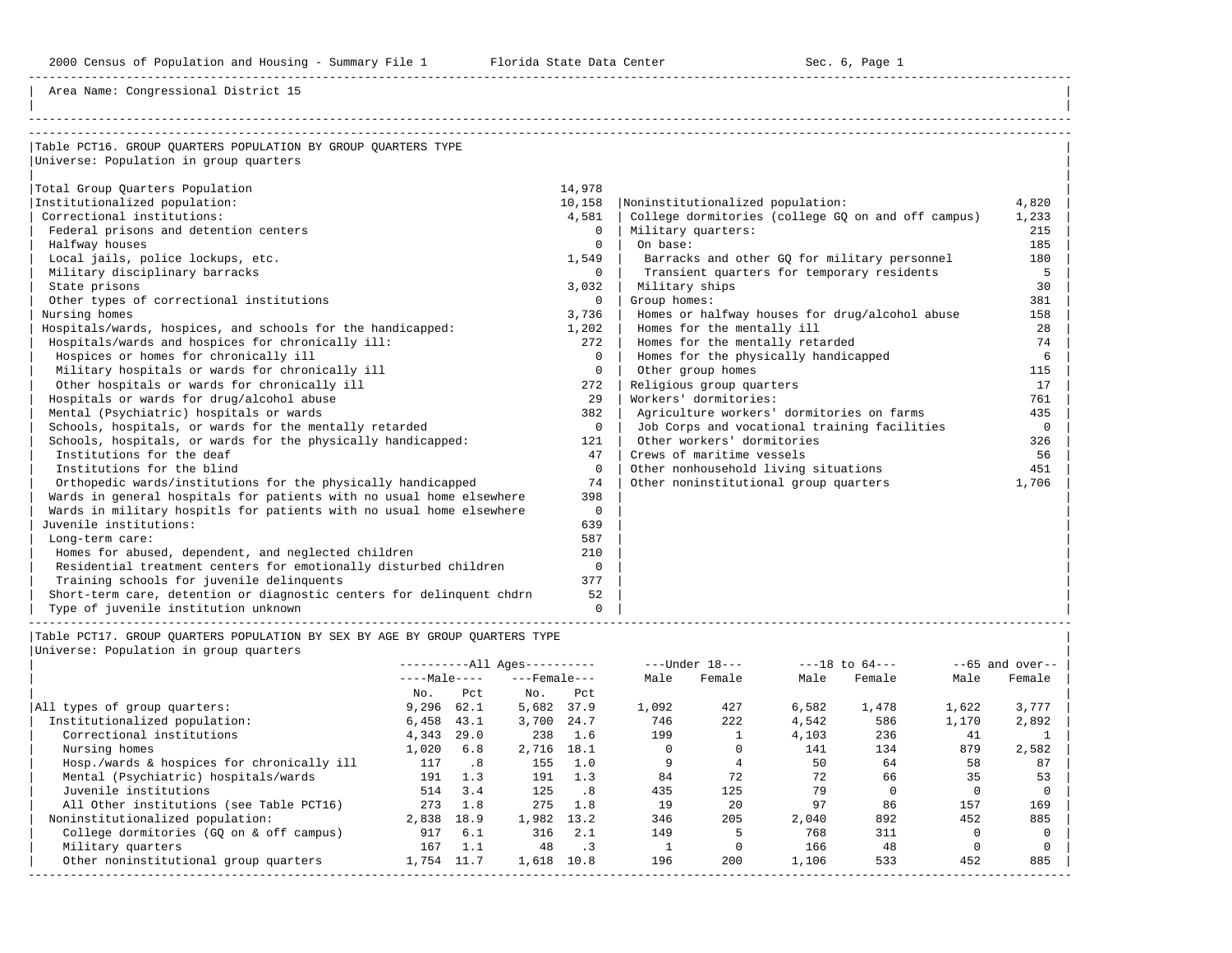Area Name: Congressional District 15

| Table PCT16. GROUP OUARTERS POPULATION BY GROUP OUARTERS TYPE         |          |                                                    |          |
|-----------------------------------------------------------------------|----------|----------------------------------------------------|----------|
| Universe: Population in group quarters                                |          |                                                    |          |
|                                                                       |          |                                                    |          |
| Total Group Ouarters Population                                       | 14,978   |                                                    |          |
| Institutionalized population:                                         | 10,158   | Noninstitutionalized population:                   | 4,820    |
| Correctional institutions:                                            | 4,581    | College dormitories (college GO on and off campus) | 1,233    |
| Federal prisons and detention centers                                 | $\Omega$ | Military quarters:                                 | 215      |
| Halfway houses                                                        | $\Omega$ | On base:                                           | 185      |
| Local jails, police lockups, etc.                                     | 1,549    | Barracks and other GO for military personnel       | 180      |
| Military disciplinary barracks                                        | $\Omega$ | Transient quarters for temporary residents         | 5        |
| State prisons                                                         | 3,032    | Military ships                                     | 30       |
| Other types of correctional institutions                              | $\Omega$ | Group homes:                                       | 381      |
| Nursing homes                                                         | 3,736    | Homes or halfway houses for drug/alcohol abuse     | 158      |
| Hospitals/wards, hospices, and schools for the handicapped:           | 1,202    | Homes for the mentally ill                         | 28       |
| Hospitals/wards and hospices for chronically ill:                     | 272      | Homes for the mentally retarded                    | 74       |
| Hospices or homes for chronically ill                                 | $\Omega$ | Homes for the physically handicapped               | 6        |
| Military hospitals or wards for chronically ill                       | $\Omega$ | Other group homes                                  | 115      |
| Other hospitals or wards for chronically ill                          | 272      | Religious group quarters                           | 17       |
| Hospitals or wards for drug/alcohol abuse                             | 2.9      | Workers' dormitories:                              | 761      |
| Mental (Psychiatric) hospitals or wards                               | 382      | Agriculture workers' dormitories on farms          | 435      |
| Schools, hospitals, or wards for the mentally retarded                | $\Omega$ | Job Corps and vocational training facilities       | $\Omega$ |
| Schools, hospitals, or wards for the physically handicapped:          | 121      | Other workers' dormitories                         | 326      |
| Institutions for the deaf                                             | 47       | Crews of maritime vessels                          | 56       |
| Institutions for the blind                                            | $\Omega$ | Other nonhousehold living situations               | 451      |
| Orthopedic wards/institutions for the physically handicapped          | 74       | Other noninstitutional group quarters              | 1,706    |
| Wards in general hospitals for patients with no usual home elsewhere  | 398      |                                                    |          |
| Wards in military hospitls for patients with no usual home elsewhere  | $\Omega$ |                                                    |          |
| Juvenile institutions:                                                | 639      |                                                    |          |
| Long-term care:                                                       | 587      |                                                    |          |
| Homes for abused, dependent, and neglected children                   | 210      |                                                    |          |
| Residential treatment centers for emotionally disturbed children      | $\Omega$ |                                                    |          |
| Training schools for juvenile delinquents                             | 377      |                                                    |          |
| Short-term care, detention or diagnostic centers for delinquent chdrn | 52       |                                                    |          |
| Type of juvenile institution unknown                                  | $\Omega$ |                                                    |          |

|Table PCT17. GROUP QUARTERS POPULATION BY SEX BY AGE BY GROUP QUARTERS TYPE |

| Universe: Population in group quarters |  |
|----------------------------------------|--|
|                                        |  |

|                                            | $------All Aqes------$ |      |                    | $---Under 18---$             |       | $---18$ to $64---$ |       | $--65$ and over-- |       |        |
|--------------------------------------------|------------------------|------|--------------------|------------------------------|-------|--------------------|-------|-------------------|-------|--------|
|                                            | $---Male---$           |      | $---$ Female $---$ |                              | Male  | Female             | Male  | Female            | Male  | Female |
|                                            | No.                    | Pct  | No.                | Pct                          |       |                    |       |                   |       |        |
| All types of group quarters:               | 9.296                  | 62.1 | 5,682              | 37.9                         | 1,092 | 427                | 6,582 | 1,478             | 1,622 | 3,777  |
| Institutionalized population:              | 6,458                  | 43.1 | 3,700              | 24.7                         | 746   | 222                | 4,542 | 586               | 1,170 | 2,892  |
| Correctional institutions                  | 4,343                  | 29.0 | 238                | 1.6                          | 199   |                    | 4,103 | 236               | 41    |        |
| Nursing homes                              | 1,020                  | 6.8  | 2,716              | 18.1                         |       |                    | 141   | 134               | 879   | 2,582  |
| Hosp./wards & hospices for chronically ill | 117                    | .8   | 155                | 1.0                          |       |                    | 50    | 64                | 58    | 87     |
| Mental (Psychiatric) hospitals/wards       | 191                    | 1.3  | 191                | 1.3                          | 84    | 72                 | 72    | 66                | 35    | 53     |
| Juvenile institutions                      | 514                    | 3.4  | 125                | . 8                          | 435   | 125                | 79    |                   |       |        |
| All Other institutions (see Table PCT16)   | 273                    | 1.8  | 275                | 1.8                          | 19    | 20                 | 97    | 86                | 157   | 169    |
| Noninstitutionalized population:           | 2,838                  | 18.9 | 1,982              | 13.2                         | 346   | 205                | 2,040 | 892               | 452   | 885    |
| College dormitories (GO on & off campus)   | 917                    | 6.1  | 316                | 2.1                          | 149   |                    | 768   | 311               |       |        |
| Military quarters                          | 167                    | 1.1  | 48                 | $\overline{\phantom{a}}$ . 3 |       |                    | 166   | 48                |       |        |
| Other noninstitutional group quarters      | 1,754                  | 11.7 | 1,618              | 10.8                         | 196   | 200                | 1,106 | 533               | 452   | 885    |
|                                            |                        |      |                    |                              |       |                    |       |                   |       |        |

-----------------------------------------------------------------------------------------------------------------------------------------------------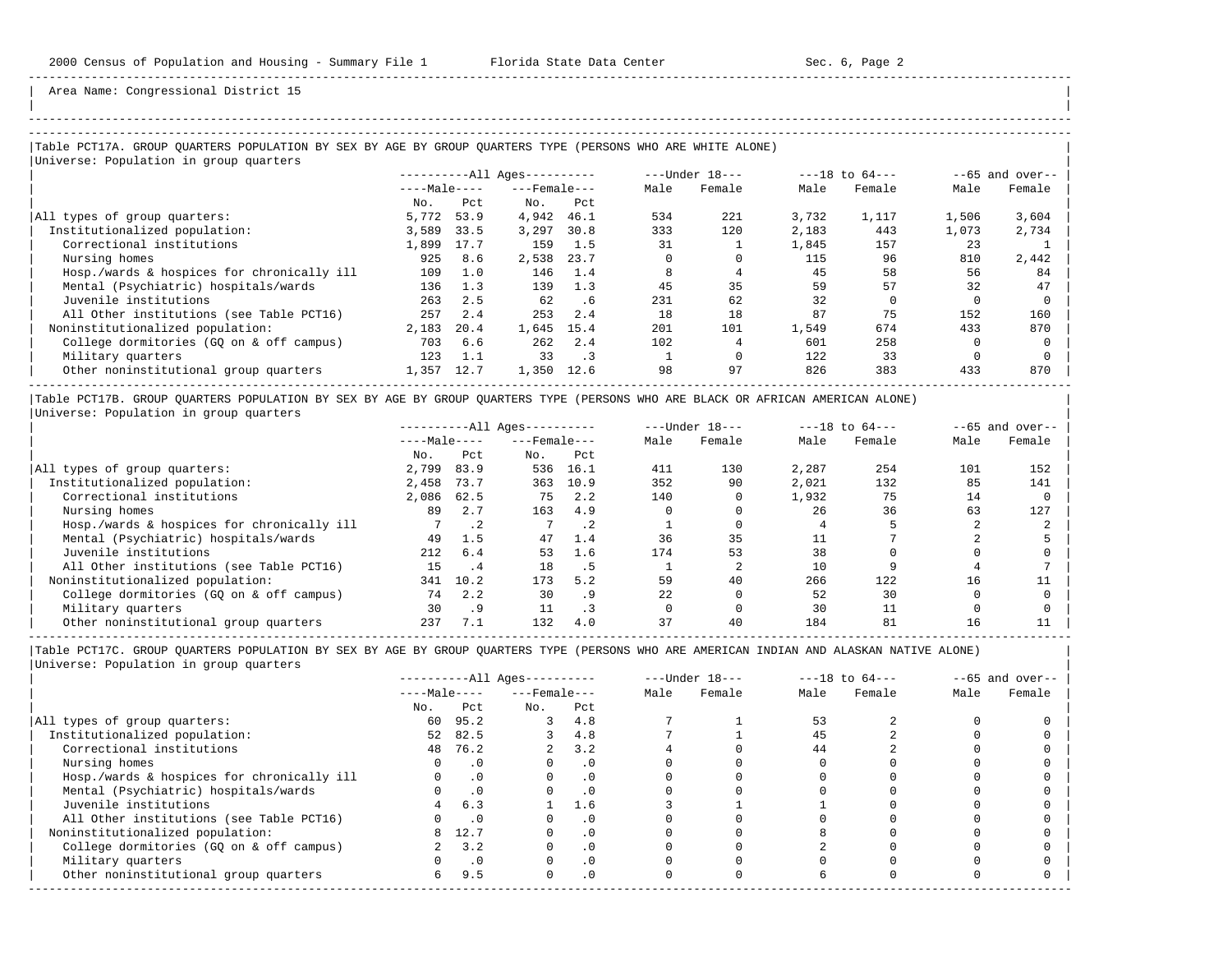| | -----------------------------------------------------------------------------------------------------------------------------------------------------

Area Name: Congressional District 15

### -----------------------------------------------------------------------------------------------------------------------------------------------------

### |Table PCT17A. GROUP QUARTERS POPULATION BY SEX BY AGE BY GROUP QUARTERS TYPE (PERSONS WHO ARE WHITE ALONE) |

|Universe: Population in group quarters |

|                                            |              |      | $------All Aqes------$ |           |      | $---Under 18---$ | $---18$ to $64---$ |        | $--65$ and over-- |        |
|--------------------------------------------|--------------|------|------------------------|-----------|------|------------------|--------------------|--------|-------------------|--------|
|                                            | $---Male---$ |      | $---$ Female $---$     |           | Male | Female           | Male               | Female | Male              | Female |
|                                            | No.          | Pct  | No.                    | Pct       |      |                  |                    |        |                   |        |
| All types of group quarters:               | 5,772        | 53.9 | 4,942                  | 46.1      | 534  | 221              | 3,732              | 1,117  | 1,506             | 3,604  |
| Institutionalized population:              | 3,589        | 33.5 | 3,297                  | 30.8      | 333  | 120              | 2,183              | 443    | 1,073             | 2,734  |
| Correctional institutions                  | 1,899        | 17.7 | 159                    | 1.5       | 31   |                  | 1,845              | 157    | 23                |        |
| Nursing homes                              | 925          | 8.6  | 2,538                  | 23.7      |      |                  | 115                | 96     | 810               | 2,442  |
| Hosp./wards & hospices for chronically ill | 109          | 1.0  | 146                    | 1.4       |      |                  | 45                 | 58     | 56                | 84     |
| Mental (Psychiatric) hospitals/wards       | 136          | 1.3  | 139                    | 1.3       | 45   | 35               | 59                 | 57     | 32                | 47     |
| Juvenile institutions                      | 263          | 2.5  | 62                     | .6        | 231  | 62               | 32                 |        |                   |        |
| All Other institutions (see Table PCT16)   | 257          | 2.4  | 253                    | 2.4       | 18   | 18               | 87                 | 75     | 152               | 160    |
| Noninstitutionalized population:           | 2,183        | 20.4 | 1,645                  | 15.4      | 201  | 101              | 1,549              | 674    | 433               | 870    |
| College dormitories (GO on & off campus)   | 703          | 6.6  | 262                    | 2.4       | 102  |                  | 601                | 258    |                   |        |
| Military quarters                          | 123          | 1.1  | 33                     | $\cdot$ 3 |      |                  | 122                | 33     |                   |        |
| Other noninstitutional group quarters      | 1,357        | 12.7 | 1,350                  | 12.6      | 98   | 97               | 826                | 383    | 433               | 870    |
|                                            |              |      |                        |           |      |                  |                    |        |                   |        |

|Table PCT17B. GROUP QUARTERS POPULATION BY SEX BY AGE BY GROUP QUARTERS TYPE (PERSONS WHO ARE BLACK OR AFRICAN AMERICAN ALONE) | |Universe: Population in group quarters |

|                                            |              |           | $------All Aqes------$ |           |      | $---Under 18---$ | $---18$ to $64---$ |        | $--65$ and over-- |        |
|--------------------------------------------|--------------|-----------|------------------------|-----------|------|------------------|--------------------|--------|-------------------|--------|
|                                            | $---Male---$ |           | $---$ Female $---$     |           | Male | Female           | Male               | Female | Male              | Female |
|                                            | No.          | Pct       | No.                    | Pct       |      |                  |                    |        |                   |        |
| All types of group quarters:               | 2,799        | 83.9      | 536                    | 16.1      | 411  | 130              | 2,287              | 254    | 101               | 152    |
| Institutionalized population:              | 2,458        | 73.7      | 363                    | 10.9      | 352  | 90               | 2,021              | 132    | 85                | 141    |
| Correctional institutions                  | 2,086        | 62.5      | 75                     | 2.2       | 140  |                  | 1,932              | 75     | 14                |        |
| Nursing homes                              | 89           | 2.7       | 163                    | 4.9       |      |                  | 26                 | 36     | 63                | 127    |
| Hosp./wards & hospices for chronically ill |              | $\cdot$ 2 |                        | $\cdot$ 2 |      |                  |                    |        |                   |        |
| Mental (Psychiatric) hospitals/wards       | 49           | 1.5       | 47                     | 1.4       | 36   | 35               |                    |        |                   |        |
| Juvenile institutions                      | 212          | 6.4       | 53                     | 1.6       | 174  | 53               | 38                 |        |                   |        |
| All Other institutions (see Table PCT16)   | 15           | . 4       | 18                     | . 5       |      |                  |                    |        |                   |        |
| Noninstitutionalized population:           | 341          | 10.2      | 173                    | 5.2       | 59   | 40               | 266                | 122    | 16                |        |
| College dormitories (GO on & off campus)   | 74           | 2.2       | 30                     | . 9       | 22   |                  | 52                 | 30     |                   |        |
| Military quarters                          | 30           | . 9       |                        | $\cdot$ 3 |      |                  | 30                 |        |                   |        |
| Other noninstitutional group quarters      | 237          | 7.1       | 132                    | 4.0       | 37   | 40               | 184                | 81     | 16                |        |

-----------------------------------------------------------------------------------------------------------------------------------------------------

|                                            |              |           | $------All Aqes------$ |           |      | $---Under 18---$ |      | $---18$ to $64---$ |      | $--65$ and over-- |
|--------------------------------------------|--------------|-----------|------------------------|-----------|------|------------------|------|--------------------|------|-------------------|
|                                            | $---Male---$ |           | $---$ Female $---$     |           | Male | Female           | Male | Female             | Male | Female            |
|                                            | No.          | Pct       | No.                    | Pct       |      |                  |      |                    |      |                   |
| All types of group quarters:               | 60           | 95.2      | 3                      | 4.8       |      |                  | 53   |                    |      |                   |
| Institutionalized population:              | 52           | 82.5      |                        | 4.8       |      |                  | 45   |                    |      |                   |
| Correctional institutions                  |              | 48 76.2   |                        | 3.2       |      |                  | 44   |                    |      |                   |
| Nursing homes                              |              | . 0       |                        | $\cdot$ 0 |      |                  |      |                    |      |                   |
| Hosp./wards & hospices for chronically ill |              | $\cdot$ 0 |                        | . 0       |      |                  |      |                    |      |                   |
| Mental (Psychiatric) hospitals/wards       |              | $\cdot$ 0 |                        | $\cdot$ 0 |      |                  |      |                    |      |                   |
| Juvenile institutions                      |              | 6.3       |                        | 1.6       |      |                  |      |                    |      |                   |
| All Other institutions (see Table PCT16)   |              | $\cdot$ 0 |                        | . 0       |      |                  |      |                    |      |                   |
| Noninstitutionalized population:           | 8            | 12.7      |                        | $\cdot$ 0 |      |                  |      |                    |      |                   |
| College dormitories (GQ on & off campus)   |              | 3.2       |                        | $\cdot$ 0 |      |                  |      |                    |      |                   |
| Military quarters                          |              | $\cdot$ 0 |                        | $\cdot$ 0 |      |                  |      |                    |      |                   |
| Other noninstitutional group quarters      | 6            | 9.5       | $\Omega$               | $\cdot$ 0 |      |                  |      |                    |      |                   |
|                                            |              |           |                        |           |      |                  |      |                    |      |                   |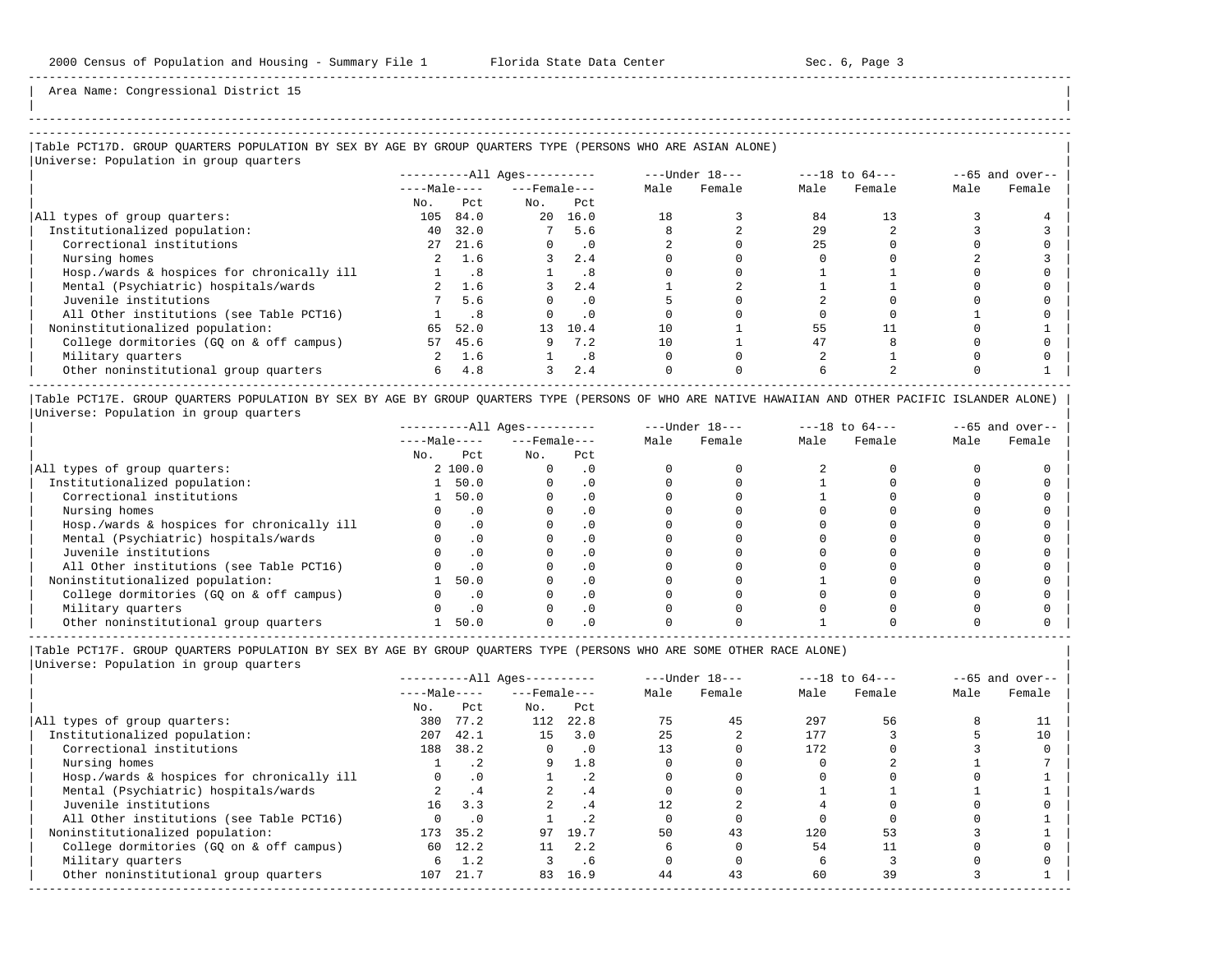-----------------------------------------------------------------------------------------------------------------------------------------------------

Area Name: Congressional District 15

# |Table PCT17D. GROUP QUARTERS POPULATION BY SEX BY AGE BY GROUP QUARTERS TYPE (PERSONS WHO ARE ASIAN ALONE) |

|Universe: Population in group quarters |

|                                            |              |      | ----------All Ages---------- |           | $---Under 18---$ |        | $---18$ to $64---$ |        | $--65$ and over-- |        |
|--------------------------------------------|--------------|------|------------------------------|-----------|------------------|--------|--------------------|--------|-------------------|--------|
|                                            | $---Male---$ |      | $---$ Female $---$           |           | Male             | Female | Male               | Female | Male              | Female |
|                                            | No.          | Pct  | No.                          | Pct       |                  |        |                    |        |                   |        |
| All types of group quarters:               | 105          | 84.0 | 20                           | 16.0      | 18               |        | 84                 |        |                   |        |
| Institutionalized population:              | 40           | 32.0 |                              | 7 5.6     |                  |        | 29                 |        |                   |        |
| Correctional institutions                  | 27           | 21.6 |                              | $\cdot$ 0 |                  |        | 25                 |        |                   |        |
| Nursing homes                              | 2            | 1.6  |                              | 2.4       |                  |        |                    |        |                   |        |
| Hosp./wards & hospices for chronically ill |              | .8   |                              | .8        |                  |        |                    |        |                   |        |
| Mental (Psychiatric) hospitals/wards       |              | 1.6  |                              | 2.4       |                  |        |                    |        |                   |        |
| Juvenile institutions                      |              | 5.6  |                              | . 0       |                  |        |                    |        |                   |        |
| All Other institutions (see Table PCT16)   |              | .8   |                              | $\cdot$ 0 |                  |        |                    |        |                   |        |
| Noninstitutionalized population:           | 65           | 52.0 | 13 <sup>°</sup>              | 10.4      | 10               |        | 55                 |        |                   |        |
| College dormitories (GO on & off campus)   | 57           | 45.6 |                              | 7.2       | 10               |        | 47                 |        |                   |        |
| Military quarters                          |              | 1.6  |                              | .8        |                  |        |                    |        |                   |        |
| Other noninstitutional group quarters      | 6            | 4.8  | 3                            | 2.4       |                  |        |                    |        |                   |        |

|Table PCT17E. GROUP QUARTERS POPULATION BY SEX BY AGE BY GROUP QUARTERS TYPE (PERSONS OF WHO ARE NATIVE HAWAIIAN AND OTHER PACIFIC ISLANDER ALONE) | |Universe: Population in group quarters |

|                                            |              |           | $------All Ages------$ |     |      | $---Under 18---$ | $---18$ to $64---$ |        | $--65$ and over-- |        |
|--------------------------------------------|--------------|-----------|------------------------|-----|------|------------------|--------------------|--------|-------------------|--------|
|                                            | $---Male---$ |           | $---$ Female $---$     |     | Male | Female           | Male               | Female | Male              | Female |
|                                            | No.          | Pct       | No.                    | Pct |      |                  |                    |        |                   |        |
| All types of group quarters:               |              | 2, 100.0  |                        |     |      |                  |                    |        |                   |        |
| Institutionalized population:              |              | 50.0      |                        |     |      |                  |                    |        |                   |        |
| Correctional institutions                  |              | 50.0      |                        |     |      |                  |                    |        |                   |        |
| Nursing homes                              |              | . 0       |                        |     |      |                  |                    |        |                   |        |
| Hosp./wards & hospices for chronically ill |              | $\cdot$ 0 |                        |     |      |                  |                    |        |                   |        |
| Mental (Psychiatric) hospitals/wards       |              | $\Omega$  |                        |     |      |                  |                    |        |                   |        |
| Juvenile institutions                      |              | . 0       |                        |     |      |                  |                    |        |                   |        |
| All Other institutions (see Table PCT16)   |              | $\cdot$ 0 |                        |     |      |                  |                    |        |                   |        |
| Noninstitutionalized population:           |              | 50.0      |                        |     |      |                  |                    |        |                   |        |
| College dormitories (GQ on & off campus)   |              | $\cdot$ 0 |                        |     |      |                  |                    |        |                   |        |
| Military quarters                          |              | $\cdot$ 0 |                        |     |      |                  |                    |        |                   |        |
| Other noninstitutional group quarters      |              | 50.0      |                        |     |      |                  |                    |        |                   |        |

-----------------------------------------------------------------------------------------------------------------------------------------------------

|Table PCT17F. GROUP QUARTERS POPULATION BY SEX BY AGE BY GROUP QUARTERS TYPE (PERSONS WHO ARE SOME OTHER RACE ALONE) |

|                                            |              |           | ----------All Ages---------- |           |      | $---Under 18---$ |      | $---18$ to $64---$ |      | $--65$ and over-- |
|--------------------------------------------|--------------|-----------|------------------------------|-----------|------|------------------|------|--------------------|------|-------------------|
|                                            | $---Male---$ |           | $---$ Female $---$           |           | Male | Female           | Male | Female             | Male | Female            |
|                                            | No.          | Pct       | No.                          | Pct       |      |                  |      |                    |      |                   |
| All types of group quarters:               | 380          | 77.2      | 112                          | 22.8      | 75   | 45               | 297  | 56                 |      |                   |
| Institutionalized population:              | 207          | 42.1      | 15                           | 3.0       | 25   |                  | 177  |                    |      | 10                |
| Correctional institutions                  | 188          | 38.2      | 0                            | $\cdot$ 0 | 13   |                  | 172  |                    |      |                   |
| Nursing homes                              |              | $\cdot$ 2 | 9                            | 1.8       |      |                  |      |                    |      |                   |
| Hosp./wards & hospices for chronically ill |              | $\cdot$ 0 |                              |           |      |                  |      |                    |      |                   |
| Mental (Psychiatric) hospitals/wards       |              | .4        |                              | . 4       |      |                  |      |                    |      |                   |
| Juvenile institutions                      | 16           | 3.3       | $2^{\circ}$                  | .4        |      |                  |      |                    |      |                   |
| All Other institutions (see Table PCT16)   |              | .0        |                              |           |      |                  |      |                    |      |                   |
| Noninstitutionalized population:           |              | 173 35.2  |                              | 97 19.7   | 50   | 43               | 120  | 53                 |      |                   |
| College dormitories (GQ on & off campus)   | 60           | 12.2      | 11                           | 2.2       |      |                  | 54   |                    |      |                   |
| Military quarters                          | 6            | 1.2       |                              | . 6       |      |                  |      |                    |      |                   |
| Other noninstitutional group quarters      | 107          | 21.7      | 83                           | 16.9      | 44   | 43               | 60   | 39                 |      |                   |
|                                            |              |           |                              |           |      |                  |      |                    |      |                   |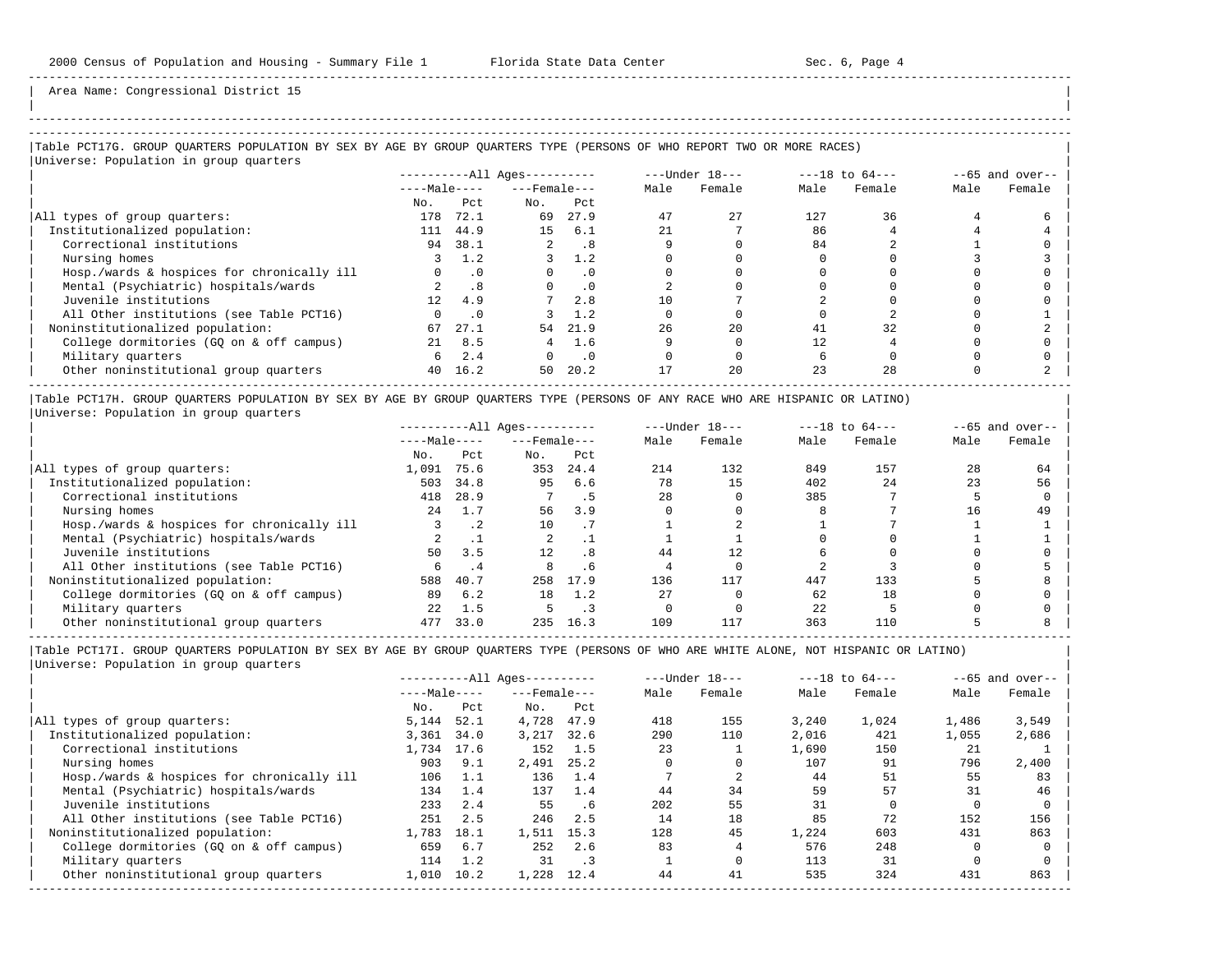| | -----------------------------------------------------------------------------------------------------------------------------------------------------

Area Name: Congressional District 15

# |Table PCT17G. GROUP QUARTERS POPULATION BY SEX BY AGE BY GROUP QUARTERS TYPE (PERSONS OF WHO REPORT TWO OR MORE RACES) |

|Universe: Population in group quarters |

|                                            |              |           | ----------All Ages---------- |           | $---Under 18---$ |        | $---18$ to $64---$ |        | $--65$ and over-- |        |
|--------------------------------------------|--------------|-----------|------------------------------|-----------|------------------|--------|--------------------|--------|-------------------|--------|
|                                            | $---Male---$ |           | $---$ Female $---$           |           | Male             | Female | Male               | Female | Male              | Female |
|                                            | No.          | Pct.      | No.                          | Pct       |                  |        |                    |        |                   |        |
| All types of group quarters:               | 178          | 72.1      | 69                           | 27.9      | 47               | 2.7    | 127                | 36     |                   |        |
| Institutionalized population:              | 111          | 44.9      | 15                           | 6.1       |                  |        | 86                 |        |                   |        |
| Correctional institutions                  | 94           | 38.1      |                              | .8        |                  |        | 84                 |        |                   |        |
| Nursing homes                              |              | 1.2       |                              | 1.2       |                  |        |                    |        |                   |        |
| Hosp./wards & hospices for chronically ill |              | $\cdot$ 0 |                              | $\cdot$ 0 |                  |        |                    |        |                   |        |
| Mental (Psychiatric) hospitals/wards       |              | .8        |                              | $\cdot$ 0 |                  |        |                    |        |                   |        |
| Juvenile institutions                      | 12.          | 4.9       |                              | 2.8       |                  |        |                    |        |                   |        |
| All Other institutions (see Table PCT16)   |              | $\cdot$ 0 |                              | 1.2       |                  |        |                    |        |                   |        |
| Noninstitutionalized population:           | 67           | 27.1      | 54                           | 21.9      | 26               | 2.0    | 41                 | 32     |                   |        |
| College dormitories (GO on & off campus)   | 21           | 8.5       | 4                            | 1.6       |                  |        |                    |        |                   |        |
| Military quarters                          | 6            | 2.4       |                              | $\cdot$ 0 |                  |        |                    |        |                   |        |
| Other noninstitutional group quarters      | 40           | 16.2      | 50                           | 20.2      |                  | 20     | 23                 | 2.8    |                   |        |

|Table PCT17H. GROUP QUARTERS POPULATION BY SEX BY AGE BY GROUP QUARTERS TYPE (PERSONS OF ANY RACE WHO ARE HISPANIC OR LATINO) | |Universe: Population in group quarters |

|                                            |              |           | $------All Aqes------$ |      |      | $---Under 18---$ | $---18$ to $64---$ |        | $--65$ and over-- |        |
|--------------------------------------------|--------------|-----------|------------------------|------|------|------------------|--------------------|--------|-------------------|--------|
|                                            | $---Male---$ |           | $---$ Female $---$     |      | Male | Female           | Male               | Female | Male              | Female |
|                                            | No.          | Pct       | No.                    | Pct  |      |                  |                    |        |                   |        |
| All types of group quarters:               | 1,091        | 75.6      | 353                    | 24.4 | 214  | 132              | 849                | 157    | 28                | 64     |
| Institutionalized population:              | 503          | 34.8      | 95                     | 6.6  | 78   | 15               | 402                | 24     | 23                | 56     |
| Correctional institutions                  | 418          | 28.9      |                        |      | 28   |                  | 385                |        |                   |        |
| Nursing homes                              | 2.4          | 1.7       | 56                     | 3.9  |      |                  |                    |        | 16                | 49     |
| Hosp./wards & hospices for chronically ill |              | $\cdot$ 2 | 10                     |      |      |                  |                    |        |                   |        |
| Mental (Psychiatric) hospitals/wards       |              |           |                        |      |      |                  |                    |        |                   |        |
| Juvenile institutions                      | 50           | 3.5       | 12 <sup>°</sup>        | .8   | 44   | 12.              |                    |        |                   |        |
| All Other institutions (see Table PCT16)   |              |           |                        | . 6  |      |                  |                    |        |                   |        |
| Noninstitutionalized population:           | 588          | 40.7      | 258                    | 17.9 | 136  | 117              | 447                | 133    |                   |        |
| College dormitories (GQ on & off campus)   | 89           | 6.2       | 18                     | 1.2  | 27   |                  | 62                 | 18     |                   |        |
| Military quarters                          | 22           | 1.5       |                        |      |      |                  | 22                 |        |                   |        |
| Other noninstitutional group quarters      | 477          | 33.0      | 235                    | 16.3 | 109  | 117              | 363                | 110    |                   |        |

-----------------------------------------------------------------------------------------------------------------------------------------------------

|                                            |              |      | $------All Aqes------$ |           |      | $---Under 18---$ |       | $---18$ to $64---$ |       | $--65$ and over-- |
|--------------------------------------------|--------------|------|------------------------|-----------|------|------------------|-------|--------------------|-------|-------------------|
|                                            | $---Male---$ |      | $---$ Female ---       |           | Male | Female           | Male  | Female             | Male  | Female            |
|                                            | No.          | Pct  | No.                    | Pct       |      |                  |       |                    |       |                   |
| All types of group quarters:               | 5,144        | 52.1 | 4,728                  | 47.9      | 418  | 155              | 3.240 | 1,024              | 1,486 | 3,549             |
| Institutionalized population:              | 3,361        | 34.0 | 3,217                  | 32.6      | 290  | 110              | 2,016 | 421                | 1,055 | 2,686             |
| Correctional institutions                  | 1,734        | 17.6 | 152                    | 1.5       | 23   |                  | 1,690 | 150                | 21    |                   |
| Nursing homes                              | 903          | 9.1  | 2,491                  | 25.2      |      |                  | 107   | 91                 | 796   | 2,400             |
| Hosp./wards & hospices for chronically ill | 106          | 1.1  | 136                    | 1.4       |      |                  | 44    | 51                 | 55    | 83                |
| Mental (Psychiatric) hospitals/wards       | 134          | 1.4  | 137                    | 1.4       | 44   | 34               | 59    | 57                 | 31    | 46                |
| Juvenile institutions                      | 233          | 2.4  | 55                     | . 6       | 2.02 | 55               | 31    |                    |       |                   |
| All Other institutions (see Table PCT16)   | 251          | 2.5  | 246                    | 2.5       | 14   | 18               | 85    | 72                 | 152   | 156               |
| Noninstitutionalized population:           | 1,783        | 18.1 | 1,511                  | 15.3      | 128  | 45               | 1,224 | 603                | 431   | 863               |
| College dormitories (GO on & off campus)   | 659          | 6.7  | 252                    | 2.6       | 83   |                  | 576   | 248                |       |                   |
| Military quarters                          | 114          | 1.2  | 31                     | $\cdot$ 3 |      |                  | 113   | 31                 |       |                   |
| Other noninstitutional group quarters      | 1,010        | 10.2 | 1,228                  | 12.4      | 44   | 41               | 535   | 324                | 431   | 863               |
|                                            |              |      |                        |           |      |                  |       |                    |       |                   |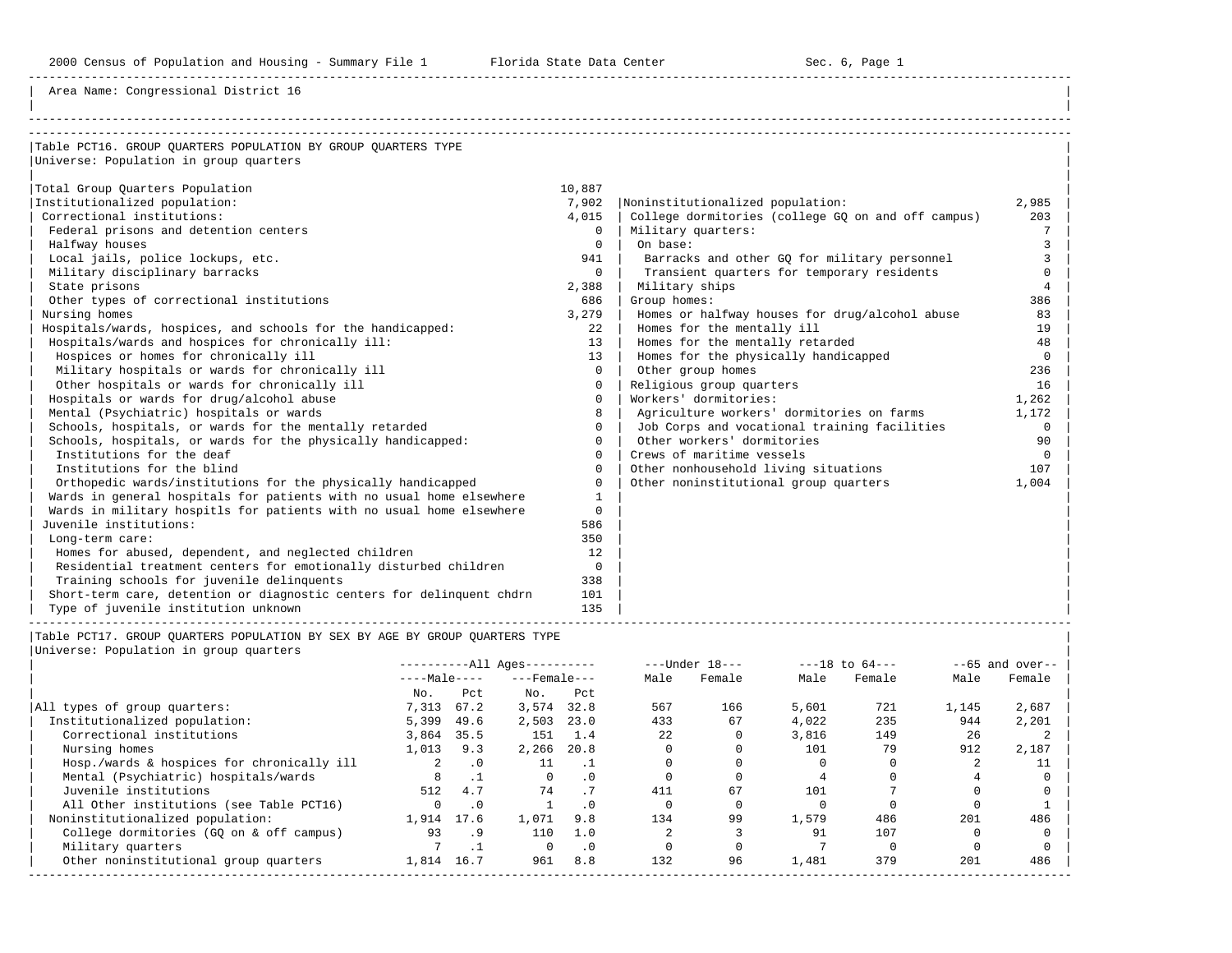Area Name: Congressional District 16

| Table PCT16. GROUP OUARTERS POPULATION BY GROUP OUARTERS TYPE         |                |                                                    |             |
|-----------------------------------------------------------------------|----------------|----------------------------------------------------|-------------|
| Universe: Population in group quarters                                |                |                                                    |             |
|                                                                       |                |                                                    |             |
| Total Group Quarters Population                                       | 10,887         |                                                    |             |
| Institutionalized population:                                         | 7,902          | Noninstitutionalized population:                   | 2,985       |
| Correctional institutions:                                            | 4,015          | College dormitories (college GQ on and off campus) | 203         |
| Federal prisons and detention centers                                 | $\Omega$       | Military quarters:                                 | 7           |
| Halfway houses                                                        | $\Omega$       | On base:                                           | 3           |
| Local jails, police lockups, etc.                                     | 941            | Barracks and other GQ for military personnel       | 3           |
| Military disciplinary barracks                                        | $\Omega$       | Transient quarters for temporary residents         | $\Omega$    |
| State prisons                                                         | 2,388          | Military ships                                     | 4           |
| Other types of correctional institutions                              | 686            | Group homes:                                       | 386         |
| Nursing homes                                                         | 3,279          | Homes or halfway houses for drug/alcohol abuse     | 83          |
| Hospitals/wards, hospices, and schools for the handicapped:           | 22             | Homes for the mentally ill                         | 19          |
| Hospitals/wards and hospices for chronically ill:                     | 13             | Homes for the mentally retarded                    | 48          |
| Hospices or homes for chronically ill                                 | 13             | Homes for the physically handicapped               | $\Omega$    |
| Military hospitals or wards for chronically ill                       | $\Omega$       | Other group homes                                  | 236         |
| Other hospitals or wards for chronically ill                          | $\Omega$       | Religious group quarters                           | 16          |
| Hospitals or wards for drug/alcohol abuse                             | $\Omega$       | Workers' dormitories:                              | 1,262       |
| Mental (Psychiatric) hospitals or wards                               | 8              | Agriculture workers' dormitories on farms          | 1,172       |
| Schools, hospitals, or wards for the mentally retarded                | $\Omega$       | Job Corps and vocational training facilities       | $\mathbf 0$ |
| Schools, hospitals, or wards for the physically handicapped:          |                | Other workers' dormitories                         | 90          |
| Institutions for the deaf                                             | $\Omega$       | Crews of maritime vessels                          | $\Omega$    |
| Institutions for the blind                                            | $\Omega$       | Other nonhousehold living situations               | 107         |
| Orthopedic wards/institutions for the physically handicapped          | $\Omega$       | Other noninstitutional group quarters              | 1,004       |
| Wards in general hospitals for patients with no usual home elsewhere  | 1              |                                                    |             |
| Wards in military hospitls for patients with no usual home elsewhere  | $\Omega$       |                                                    |             |
| Juvenile institutions:                                                | 586            |                                                    |             |
| Long-term care:                                                       | 350            |                                                    |             |
| Homes for abused, dependent, and neglected children                   | 12             |                                                    |             |
| Residential treatment centers for emotionally disturbed children      | $\overline{0}$ |                                                    |             |
| Training schools for juvenile delinquents                             | 338            |                                                    |             |
| Short-term care, detention or diagnostic centers for delinguent chdrn | 101            |                                                    |             |
| Type of juvenile institution unknown                                  | 135            |                                                    |             |

|Table PCT17. GROUP QUARTERS POPULATION BY SEX BY AGE BY GROUP QUARTERS TYPE |

| Universe: Population in group quarters     |                      |           |                        |           |      |                  |       |                    |       |                   |
|--------------------------------------------|----------------------|-----------|------------------------|-----------|------|------------------|-------|--------------------|-------|-------------------|
|                                            |                      |           | $------All Ages------$ |           |      | $---Under 18---$ |       | $---18$ to $64---$ |       | $--65$ and over-- |
|                                            | $---Male---$         |           | $---$ Female $---$     |           | Male | Female           | Male  | Female             | Male  | Female            |
|                                            | No.                  | Pct       | No.                    | Pct       |      |                  |       |                    |       |                   |
| All types of group quarters:               | 7,313                | 67.2      | 3,574                  | 32.8      | 567  | 166              | 5,601 | 721                | 1,145 | 2,687             |
| Institutionalized population:              | 5,399                | 49.6      | 2,503                  | 23.0      | 433  | 67               | 4,022 | 235                | 944   | 2,201             |
| Correctional institutions                  | 3,864                | 35.5      | 151                    | 1.4       | 22   |                  | 3,816 | 149                | 26    |                   |
| Nursing homes                              | 1,013                | 9.3       | 2,266                  | 20.8      |      |                  | 101   | 79                 | 912   | 2,187             |
| Hosp./wards & hospices for chronically ill | $\mathbf{2}^{\circ}$ | $\cdot$ 0 | 11                     |           |      |                  |       |                    |       |                   |
| Mental (Psychiatric) hospitals/wards       | 8                    |           | $\Omega$               | $\cdot$ 0 |      |                  |       |                    |       |                   |
| Juvenile institutions                      | 512                  | 4.7       | 74                     |           | 411  | 67               | 101   |                    |       |                   |
| All Other institutions (see Table PCT16)   | $\Omega$             | $\cdot$ 0 |                        | $\cdot$ 0 |      |                  |       |                    |       |                   |
| Noninstitutionalized population:           | 1,914                | 17.6      | 1,071                  | 9.8       | 134  | 99               | 1,579 | 486                | 201   | 486               |
| College dormitories (GO on & off campus)   | 93                   | . 9       | 110                    | 1.0       |      |                  | 91    | 107                |       |                   |
| Military quarters                          |                      |           | $\Omega$               | $\cdot$ 0 |      |                  |       |                    |       |                   |
| Other noninstitutional group quarters      | 1,814                | 16.7      | 961                    | 8.8       | 132  | 96               | 1,481 | 379                | 201   | 486               |

-----------------------------------------------------------------------------------------------------------------------------------------------------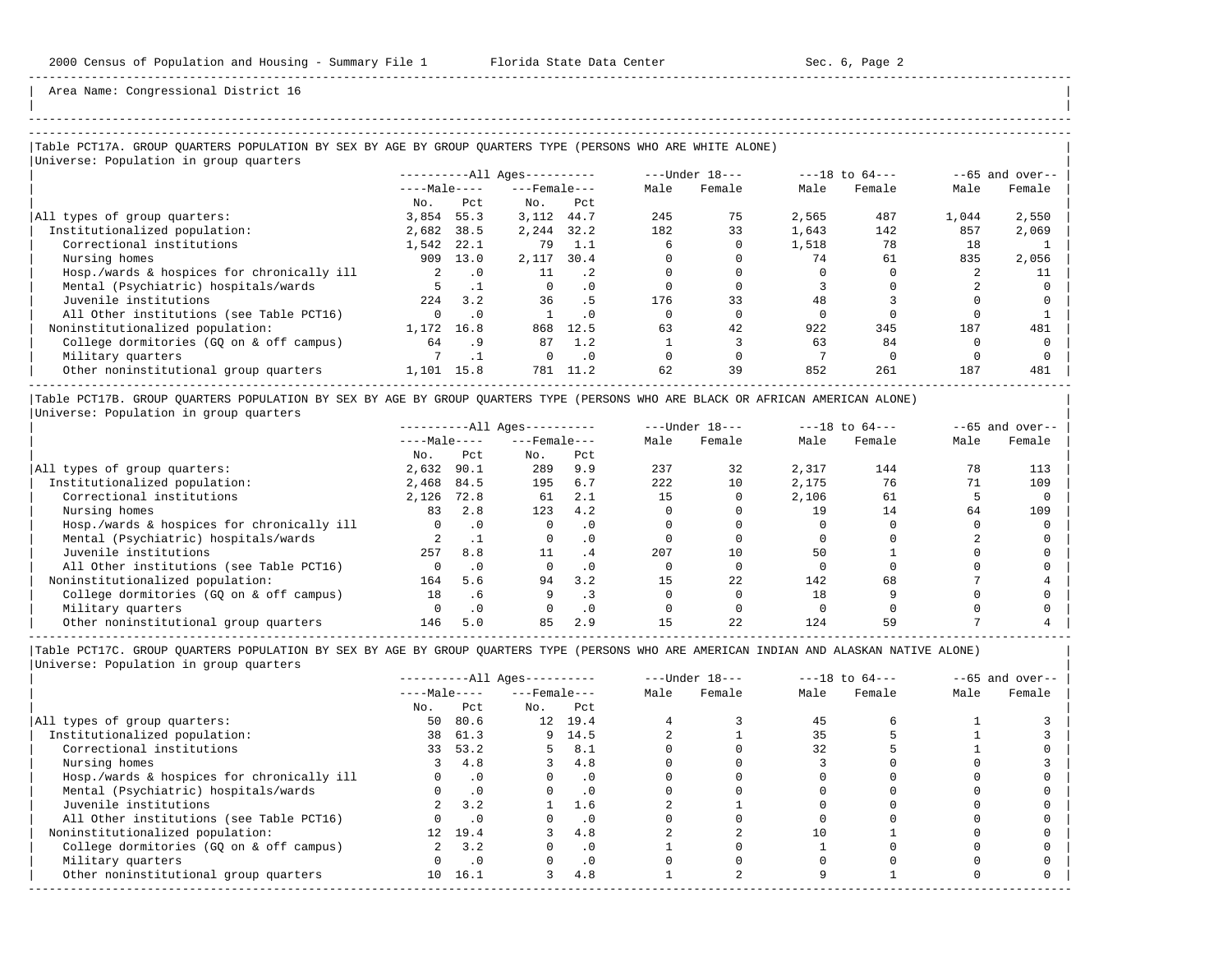| | -----------------------------------------------------------------------------------------------------------------------------------------------------

Area Name: Congressional District 16

### |Table PCT17A. GROUP QUARTERS POPULATION BY SEX BY AGE BY GROUP QUARTERS TYPE (PERSONS WHO ARE WHITE ALONE) | |Universe: Population in group quarters |

|                                            | $------All Aqes------$ |           |                    |           | $---Under 18---$ |        | $---18$ to $64---$ |        | $--65$ and over-- |        |
|--------------------------------------------|------------------------|-----------|--------------------|-----------|------------------|--------|--------------------|--------|-------------------|--------|
|                                            | $---Male---$           |           | $---$ Female $---$ |           | Male             | Female | Male               | Female | Male              | Female |
|                                            | No.                    | Pct.      | No.                | Pct       |                  |        |                    |        |                   |        |
| All types of group quarters:               | 3,854                  | 55.3      | 3,112              | 44.7      | 245              | 75     | 2,565              | 487    | 1,044             | 2,550  |
| Institutionalized population:              | 2,682                  | 38.5      | 2,244              | 32.2      | 182              | 33     | 1,643              | 142    | 857               | 2,069  |
| Correctional institutions                  | 1,542                  | 22.1      | 79                 | 1.1       | 6                |        | 1,518              | 78     | 18                |        |
| Nursing homes                              | 909                    | 13.0      | 2,117              | 30.4      |                  |        | 74                 | 61     | 835               | 2,056  |
| Hosp./wards & hospices for chronically ill | 2                      | $\cdot$ 0 | 11                 | .2        |                  |        |                    |        |                   |        |
| Mental (Psychiatric) hospitals/wards       |                        |           | $\Omega$           | $\cdot$ 0 |                  |        |                    |        |                   |        |
| Juvenile institutions                      | 224                    | 3.2       | 36                 | . 5       | 176              | 33     | 48                 |        |                   |        |
| All Other institutions (see Table PCT16)   |                        | $\cdot$ 0 |                    |           |                  |        |                    |        |                   |        |
| Noninstitutionalized population:           | 1,172                  | 16.8      | 868                | 12.5      | 63               | 42     | 922                | 345    | 187               | 481    |
| College dormitories (GO on & off campus)   | 64                     | . 9       | 87                 | 1.2       |                  |        | 63                 | 84     |                   |        |
| Military quarters                          |                        |           |                    | $\cdot$ 0 |                  |        |                    |        |                   |        |
| Other noninstitutional group quarters      | 1,101                  | 15.8      | 781                | 11.2      | 62               | 39     | 852                | 261    | 187               | 481    |
|                                            |                        |           |                    |           |                  |        |                    |        |                   |        |

|Table PCT17B. GROUP QUARTERS POPULATION BY SEX BY AGE BY GROUP QUARTERS TYPE (PERSONS WHO ARE BLACK OR AFRICAN AMERICAN ALONE) | |Universe: Population in group quarters |

|                                            |              |           | $------All Aqes------$ |           |        | $---Under 18---$ |       | $---18$ to $64---$ | $- -65$ and over-- |        |
|--------------------------------------------|--------------|-----------|------------------------|-----------|--------|------------------|-------|--------------------|--------------------|--------|
|                                            | $---Male---$ |           | $---$ Female $---$     |           | Male   | Female           | Male  | Female             | Male               | Female |
|                                            | No.          | Pct       | No.                    | Pct       |        |                  |       |                    |                    |        |
| All types of group quarters:               | 2,632        | 90.1      | 289                    | 9.9       | 237    | 32               | 2,317 | 144                | 78                 | 113    |
| Institutionalized population:              | 2,468        | 84.5      | 195                    | 6.7       | 2.2.2. | 10               | 2,175 | 76                 | 71                 | 109    |
| Correctional institutions                  | 2,126        | 72.8      | 61                     | 2.1       | 15     |                  | 2,106 | 61                 |                    |        |
| Nursing homes                              | 83           | 2.8       | 123                    | 4.2       |        |                  | 19    | 14                 | 64                 | 109    |
| Hosp./wards & hospices for chronically ill |              | $\cdot$ 0 |                        | . 0       |        |                  |       |                    |                    |        |
| Mental (Psychiatric) hospitals/wards       |              |           |                        | $\cdot$ 0 |        |                  |       |                    |                    |        |
| Juvenile institutions                      | 257          | 8.8       |                        | . 4       | 207    | 10               | 50    |                    |                    |        |
| All Other institutions (see Table PCT16)   |              | $\cdot$ 0 |                        | $\cdot$ 0 |        |                  |       |                    |                    |        |
| Noninstitutionalized population:           | 164          | 5.6       | 94                     | 3.2       | 15     | 22               | 142   | 68                 |                    |        |
| College dormitories (GO on & off campus)   | 18           | . 6       | 9                      |           |        |                  | 18    |                    |                    |        |
| Military quarters                          |              | .0        |                        | . 0       |        |                  |       |                    |                    |        |
| Other noninstitutional group quarters      | 146          | 5.0       | 85                     | 2.9       |        | 22               | 124   | 59                 |                    |        |

-----------------------------------------------------------------------------------------------------------------------------------------------------

|                                            |              |           | $------All Aqes------$ |            |      | $---Under 18---$ |      | $---18$ to $64---$ |      | $--65$ and over-- |
|--------------------------------------------|--------------|-----------|------------------------|------------|------|------------------|------|--------------------|------|-------------------|
|                                            | $---Male---$ |           | $---$ Female $---$     |            | Male | Female           | Male | Female             | Male | Female            |
|                                            | No.          | Pct       | No.                    | Pct        |      |                  |      |                    |      |                   |
| All types of group quarters:               | 50           | 80.6      |                        | 12 19.4    |      |                  | 45   |                    |      |                   |
| Institutionalized population:              | 38           | 61.3      |                        | 9, 14.5    |      |                  | 35   |                    |      |                   |
| Correctional institutions                  |              | 33 53.2   |                        | $5 \t 8.1$ |      |                  | 32   |                    |      |                   |
| Nursing homes                              |              | 4.8       |                        | 4.8        |      |                  |      |                    |      |                   |
| Hosp./wards & hospices for chronically ill |              | $\cdot$ 0 |                        | $\cdot$ 0  |      |                  |      |                    |      |                   |
| Mental (Psychiatric) hospitals/wards       |              | $\cdot$ 0 |                        | $\cdot$ 0  |      |                  |      |                    |      |                   |
| Juvenile institutions                      |              | 3.2       |                        | 1.6        |      |                  |      |                    |      |                   |
| All Other institutions (see Table PCT16)   |              | $\cdot$ 0 |                        | $\cdot$ 0  |      |                  |      |                    |      |                   |
| Noninstitutionalized population:           |              | 12 19.4   |                        | 4.8        |      |                  | 10   |                    |      |                   |
| College dormitories (GQ on & off campus)   |              | 3.2       |                        | $\cdot$ 0  |      |                  |      |                    |      |                   |
| Military quarters                          |              | $\cdot$ 0 |                        | $\cdot$ 0  |      |                  |      |                    |      |                   |
| Other noninstitutional group quarters      | $10-1$       | 16.1      | ς                      | 4.8        |      |                  |      |                    |      |                   |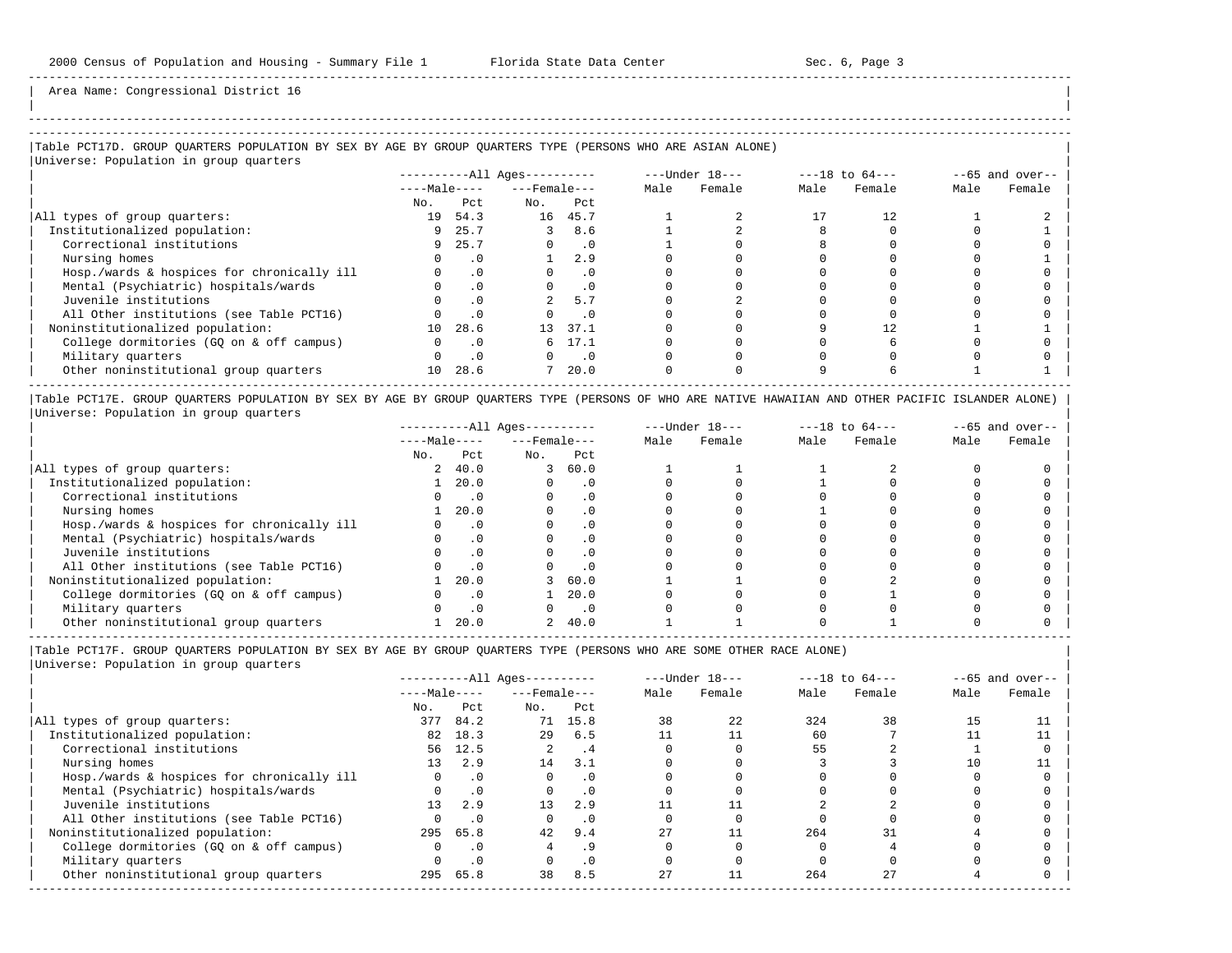| | ----------------------------------------------------------------------------------------------------------------------------------------------------- -----------------------------------------------------------------------------------------------------------------------------------------------------

-----------------------------------------------------------------------------------------------------------------------------------------------------

Area Name: Congressional District 16

## |Table PCT17D. GROUP QUARTERS POPULATION BY SEX BY AGE BY GROUP QUARTERS TYPE (PERSONS WHO ARE ASIAN ALONE) |

|Universe: Population in group quarters |

|                                            | $------All Ages------$ |           |                    |           |      | $---Under 18---$ |      | $---18$ to $64---$ | $--65$ and over-- |        |
|--------------------------------------------|------------------------|-----------|--------------------|-----------|------|------------------|------|--------------------|-------------------|--------|
|                                            | $---Male---$           |           | $---$ Female $---$ |           | Male | Female           | Male | Female             | Male              | Female |
|                                            | No.                    | Pct.      | No.                | Pct.      |      |                  |      |                    |                   |        |
| All types of group quarters:               | 19                     | 54.3      | 16                 | 45.7      |      |                  |      |                    |                   |        |
| Institutionalized population:              | 9                      | 25.7      |                    | 8.6       |      |                  |      |                    |                   |        |
| Correctional institutions                  |                        | 9 25.7    |                    | $\cdot$ 0 |      |                  |      |                    |                   |        |
| Nursing homes                              |                        | . 0       |                    | 2.9       |      |                  |      |                    |                   |        |
| Hosp./wards & hospices for chronically ill |                        | $\cdot$ 0 |                    |           |      |                  |      |                    |                   |        |
| Mental (Psychiatric) hospitals/wards       |                        | $\cdot$ 0 |                    | $\cdot$ 0 |      |                  |      |                    |                   |        |
| Juvenile institutions                      |                        | $\cdot$ 0 |                    | 5.7       |      |                  |      |                    |                   |        |
| All Other institutions (see Table PCT16)   |                        | $\cdot$ 0 |                    | . 0       |      |                  |      |                    |                   |        |
| Noninstitutionalized population:           | 10                     | 28.6      | 13 <sup>°</sup>    | 37.1      |      |                  |      |                    |                   |        |
| College dormitories (GO on & off campus)   |                        | $\cdot$ 0 | 6                  | 17.1      |      |                  |      |                    |                   |        |
| Military quarters                          |                        | $\cdot$ 0 |                    | $\cdot$ 0 |      |                  |      |                    |                   |        |
| Other noninstitutional group quarters      | 10 <sup>1</sup>        | 28.6      | $\overline{ }$     | 20.0      |      |                  |      |                    |                   |        |

|Table PCT17E. GROUP QUARTERS POPULATION BY SEX BY AGE BY GROUP QUARTERS TYPE (PERSONS OF WHO ARE NATIVE HAWAIIAN AND OTHER PACIFIC ISLANDER ALONE) | |Universe: Population in group quarters |

|                                            |              |           | $------All Aqes------$ |           |      | $---Under 18---$ |      | $---18$ to $64---$ |      | $- -65$ and over-- |
|--------------------------------------------|--------------|-----------|------------------------|-----------|------|------------------|------|--------------------|------|--------------------|
|                                            | $---Male---$ |           | $---$ Female $---$     |           | Male | Female           | Male | Female             | Male | Female             |
|                                            | No.          | Pct       | No.                    | Pct       |      |                  |      |                    |      |                    |
| All types of group quarters:               | 2            | 40.0      | 3                      | 60.0      |      |                  |      |                    |      |                    |
| Institutionalized population:              |              | 20.0      |                        | . 0       |      |                  |      |                    |      |                    |
| Correctional institutions                  |              |           |                        | . 0       |      |                  |      |                    |      |                    |
| Nursing homes                              |              | 20.0      |                        | $\cdot$ 0 |      |                  |      |                    |      |                    |
| Hosp./wards & hospices for chronically ill |              | $\cdot$ 0 |                        | . 0       |      |                  |      |                    |      |                    |
| Mental (Psychiatric) hospitals/wards       |              |           |                        | $\cdot$ 0 |      |                  |      |                    |      |                    |
| Juvenile institutions                      |              |           |                        | $\cdot$ 0 |      |                  |      |                    |      |                    |
| All Other institutions (see Table PCT16)   |              |           |                        | $\cdot$ 0 |      |                  |      |                    |      |                    |
| Noninstitutionalized population:           |              | 20.0      |                        | 60.0      |      |                  |      |                    |      |                    |
| College dormitories (GO on & off campus)   |              |           |                        | 20.0      |      |                  |      |                    |      |                    |
| Military quarters                          |              | $\cdot$ 0 |                        | $\cdot$ 0 |      |                  |      |                    |      |                    |
| Other noninstitutional group quarters      |              | 20.0      |                        | 40.0      |      |                  |      |                    |      |                    |

|Table PCT17F. GROUP QUARTERS POPULATION BY SEX BY AGE BY GROUP QUARTERS TYPE (PERSONS WHO ARE SOME OTHER RACE ALONE) |

|                                            | $------All Ages------$ |           | $---Under 18---$   |            |      | $---18$ to $64---$ | $--65$ and over-- |        |      |        |
|--------------------------------------------|------------------------|-----------|--------------------|------------|------|--------------------|-------------------|--------|------|--------|
|                                            | $---Male---$           |           | $---$ Female $---$ |            | Male | Female             | Male              | Female | Male | Female |
|                                            | No.                    | Pct       | No.                | Pct        |      |                    |                   |        |      |        |
| All types of group quarters:               | 377                    | 84.2      |                    | 71 15.8    | 38   | 2.2                | 324               | 38     | 15   |        |
| Institutionalized population:              | 82                     | 18.3      | 29                 | 6.5        |      |                    | 60                |        |      |        |
| Correctional institutions                  | 56                     | 12.5      | 2.                 | $\cdot$ .4 |      |                    | 55                |        |      |        |
| Nursing homes                              | 13 <sup>1</sup>        | 2.9       | 14                 | 3.1        |      |                    |                   |        | 10   |        |
| Hosp./wards & hospices for chronically ill |                        | $\cdot$ 0 | $\Omega$           | $\cdot$ 0  |      |                    |                   |        |      |        |
| Mental (Psychiatric) hospitals/wards       |                        | $\cdot$ 0 | $\Omega$           | $\cdot$ 0  |      |                    |                   |        |      |        |
| Juvenile institutions                      | 13                     | 2.9       | 13                 | 2.9        |      |                    |                   |        |      |        |
| All Other institutions (see Table PCT16)   |                        | $\cdot$ 0 |                    | $\cdot$ 0  |      |                    |                   |        |      |        |
| Noninstitutionalized population:           |                        | 295 65.8  | 42.                | 9.4        | 27   |                    | 264               | 31     |      |        |
| College dormitories (GQ on & off campus)   |                        | $\cdot$ 0 |                    | . 9        |      |                    |                   |        |      |        |
| Military quarters                          |                        | $\cdot$ 0 |                    | $\cdot$ 0  |      |                    |                   |        |      |        |
| Other noninstitutional group quarters      | 295                    | 65.8      | 38                 | 8.5        | 27   |                    | 264               | 27     |      |        |
|                                            |                        |           |                    |            |      |                    |                   |        |      |        |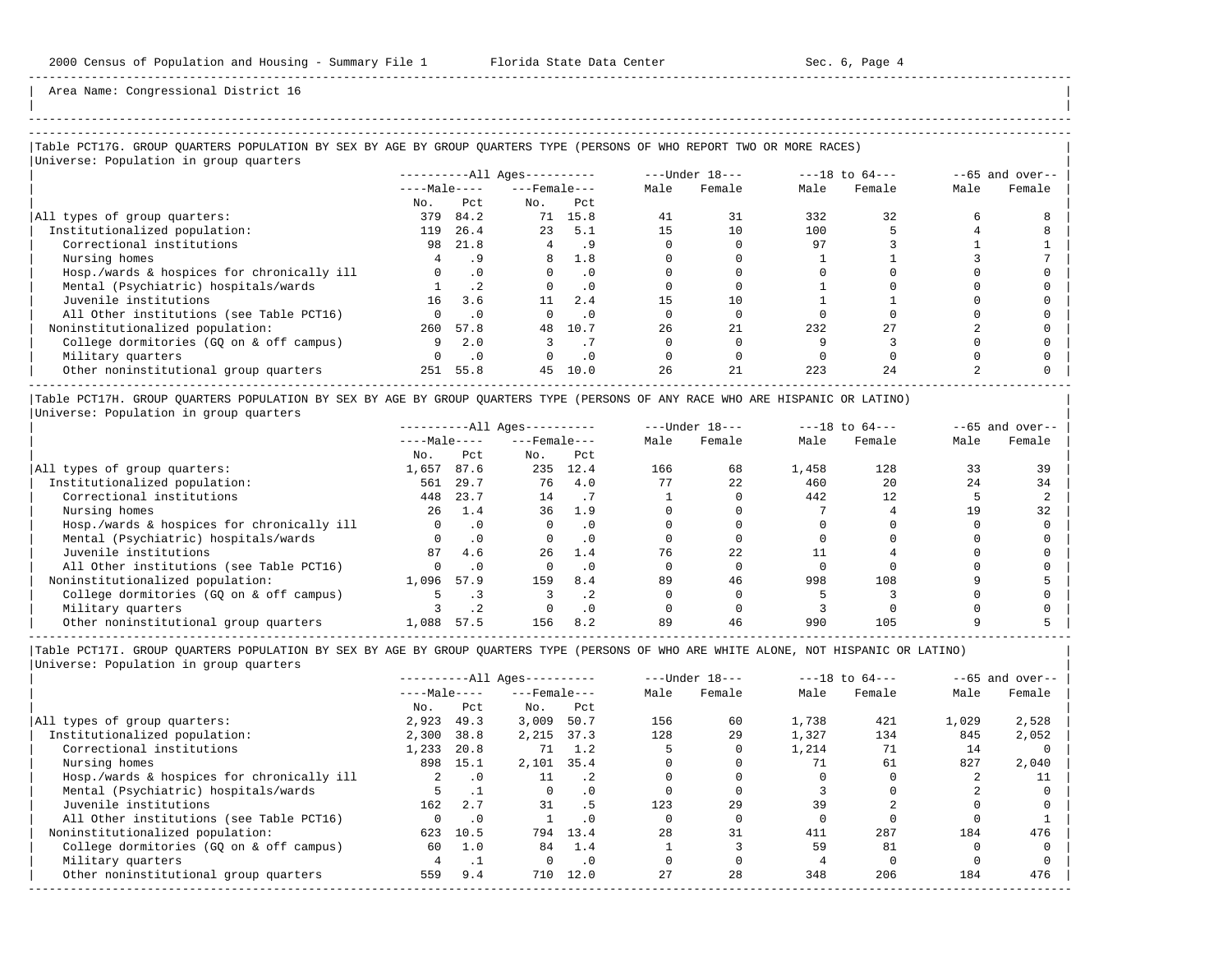| | -----------------------------------------------------------------------------------------------------------------------------------------------------

Area Name: Congressional District 16

### |Table PCT17G. GROUP QUARTERS POPULATION BY SEX BY AGE BY GROUP QUARTERS TYPE (PERSONS OF WHO REPORT TWO OR MORE RACES) |

|                                            |              |                 | $------All Ages------$ |           | $---Under 18---$ |        | $---18$ to $64---$ |        | $--65$ and over-- |        |
|--------------------------------------------|--------------|-----------------|------------------------|-----------|------------------|--------|--------------------|--------|-------------------|--------|
|                                            | $---Male---$ |                 | $---$ Female $---$     |           | Male             | Female | Male               | Female | Male              | Female |
|                                            | No.          | Pct             | No.                    | Pct       |                  |        |                    |        |                   |        |
| All types of group quarters:               | 379          | 84.2            | 71                     | 15.8      | 41               | 31     | 332                | 32     |                   |        |
| Institutionalized population:              | 119          | 26.4            | 23                     | 5.1       | 1.5              | 10     | 100                |        |                   |        |
| Correctional institutions                  | 98           | 21.8            | 4                      | .9        |                  |        | 97                 |        |                   |        |
| Nursing homes                              |              | . 9             | 8                      | 1.8       |                  |        |                    |        |                   |        |
| Hosp./wards & hospices for chronically ill | $\Omega$     | $\cdot$ 0       | $\Omega$               | $\cdot$ 0 |                  |        |                    |        |                   |        |
| Mental (Psychiatric) hospitals/wards       |              | .2 <sub>2</sub> | $\Omega$               | $\cdot$ 0 |                  |        |                    |        |                   |        |
| Juvenile institutions                      | 16           | 3.6             | 11                     | 2.4       |                  | 10     |                    |        |                   |        |
| All Other institutions (see Table PCT16)   |              | $\cdot$ 0       |                        | $\cdot$ 0 |                  |        |                    |        |                   |        |
| Noninstitutionalized population:           | 260          | 57.8            | 48                     | 10.7      | 26               | 21     | 232                |        |                   |        |
| College dormitories (GQ on & off campus)   | 9            | 2.0             |                        |           |                  |        |                    |        |                   |        |
| Military quarters                          | <sup>n</sup> | .0              |                        | $\cdot$ 0 |                  |        |                    |        |                   |        |
| Other noninstitutional group quarters      | 251          | 55.8            | 45                     | 10.0      | 26               | 21     | 223                | 2.4    |                   |        |

|Table PCT17H. GROUP QUARTERS POPULATION BY SEX BY AGE BY GROUP QUARTERS TYPE (PERSONS OF ANY RACE WHO ARE HISPANIC OR LATINO) | |Universe: Population in group quarters |

|                                            |              |           | $------All Aqes------$ |      |      | $---Under 18---$ |       | $---18$ to $64---$ | $--65$ and over-- |        |
|--------------------------------------------|--------------|-----------|------------------------|------|------|------------------|-------|--------------------|-------------------|--------|
|                                            | $---Male---$ |           | $---$ Female $---$     |      | Male | Female           | Male  | Female             | Male              | Female |
|                                            | No.          | Pct       | No.                    | Pct  |      |                  |       |                    |                   |        |
| All types of group quarters:               | 1,657        | 87.6      | 235                    | 12.4 | 166  | 68               | 1,458 | 128                | 33                | 39     |
| Institutionalized population:              | 561          | 29.7      | 76                     | 4.0  | 77   | 22               | 460   | 20                 | 24                | 34     |
| Correctional institutions                  | 448          | 23.7      | 14                     |      |      |                  | 442   | 12                 |                   |        |
| Nursing homes                              | 26           | 1.4       | 36                     | 1.9  |      |                  |       |                    | 1 Q               | 32     |
| Hosp./wards & hospices for chronically ill |              | $\cdot$ 0 |                        |      |      |                  |       |                    |                   |        |
| Mental (Psychiatric) hospitals/wards       |              | $\cdot$ 0 |                        |      |      |                  |       |                    |                   |        |
| Juvenile institutions                      | 87           | 4.6       | 26                     | 1.4  | 76   | 2.2              |       |                    |                   |        |
| All Other institutions (see Table PCT16)   |              | $\cdot$ 0 |                        |      |      |                  |       |                    |                   |        |
| Noninstitutionalized population:           | 1,096        | 57.9      | 159                    | 8.4  | 89   | 46               | 998   | 108                |                   |        |
| College dormitories (GQ on & off campus)   |              |           |                        |      |      |                  |       |                    |                   |        |
| Military quarters                          |              |           |                        | . 0  |      |                  |       |                    |                   |        |
| Other noninstitutional group quarters      | 1,088        | 57.5      | 156                    | 8.2  | 89   | 46               | 990   | 105                |                   |        |

-----------------------------------------------------------------------------------------------------------------------------------------------------

|                                            |              |           | $------All Aqes------$ |             |      | $---Under 18---$ |       | $---18$ to $64---$ |       | $--65$ and over-- |
|--------------------------------------------|--------------|-----------|------------------------|-------------|------|------------------|-------|--------------------|-------|-------------------|
|                                            | $---Male---$ |           | $---$ Female $---$     |             | Male | Female           | Male  | Female             | Male  | Female            |
|                                            | No.          | Pct       | No.                    | Pct         |      |                  |       |                    |       |                   |
| All types of group quarters:               | 2,923        | 49.3      | 3,009                  | 50.7        | 156  | 60               | 1,738 | 421                | 1,029 | 2,528             |
| Institutionalized population:              | 2,300        | 38.8      | 2,215                  | 37.3        | 128  | 29               | 1,327 | 134                | 845   | 2,052             |
| Correctional institutions                  | 1,233        | 20.8      | 71                     | 1.2         |      |                  | 1,214 | 71                 | 14    |                   |
| Nursing homes                              | 898          | 15.1      | 2,101                  | 35.4        |      |                  | 71    | 61                 | 827   | 2,040             |
| Hosp./wards & hospices for chronically ill | 2.           | $\cdot$ 0 | 11                     | $\cdot$ . 2 |      |                  |       |                    |       |                   |
| Mental (Psychiatric) hospitals/wards       |              |           | $\Omega$               | . 0         |      |                  |       |                    |       |                   |
| Juvenile institutions                      | 162          | 2.7       | 31                     | . 5         | 123  | 29               | 39    |                    |       |                   |
| All Other institutions (see Table PCT16)   |              | $\cdot$ 0 |                        | . 0         |      |                  |       |                    |       |                   |
| Noninstitutionalized population:           | 623          | 10.5      | 794                    | 13.4        | 28   | 31               | 411   | 287                | 184   | 476               |
| College dormitories (GO on & off campus)   | 60           | 1.0       | 84                     | 1.4         |      |                  | 59    | 81                 |       |                   |
| Military quarters                          |              |           |                        | $\cdot$ 0   |      |                  |       |                    |       |                   |
| Other noninstitutional group quarters      | 559          | 9.4       | 710                    | 12.0        | 27   | 28               | 348   | 206                | 184   | 476               |
|                                            |              |           |                        |             |      |                  |       |                    |       |                   |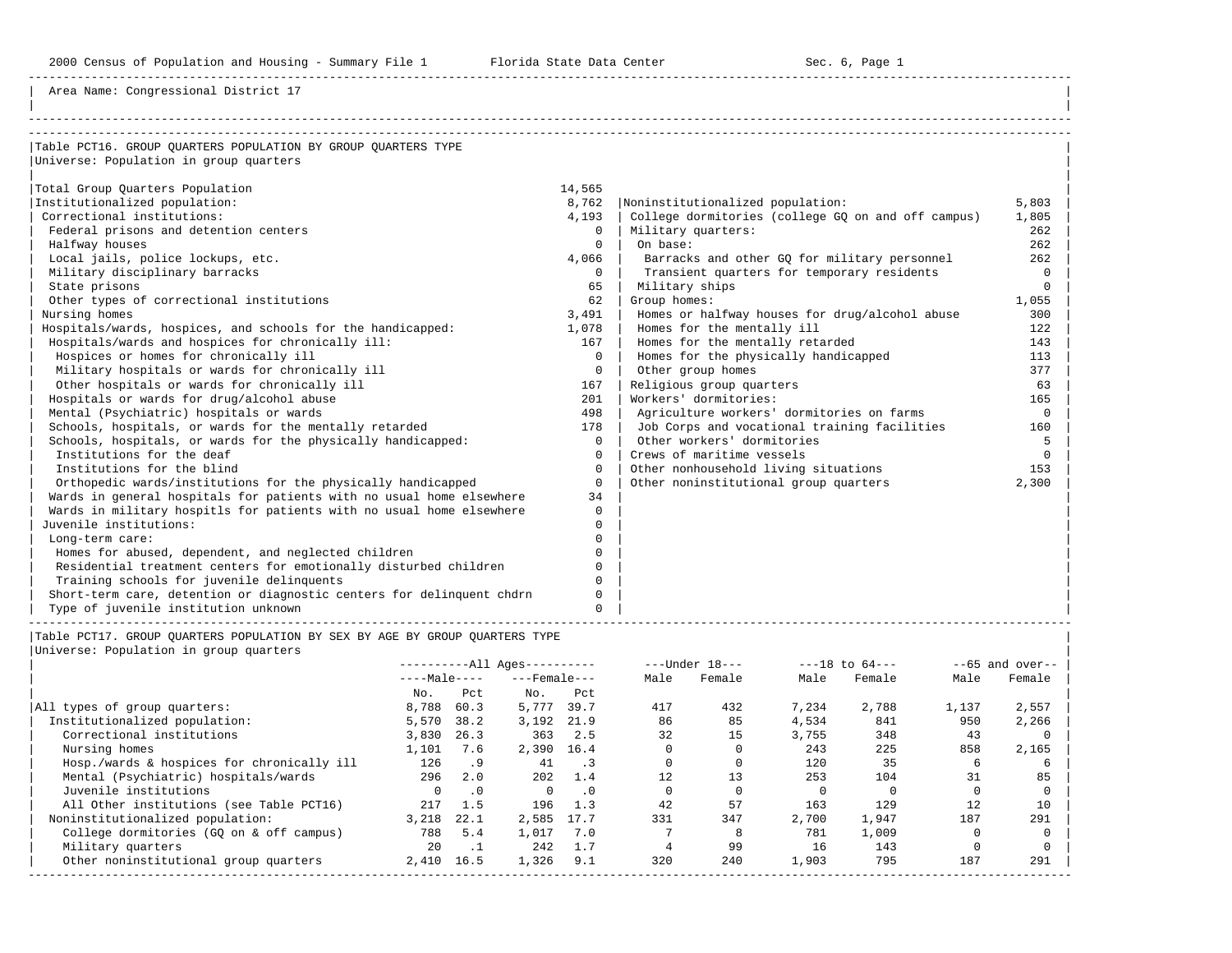Area Name: Congressional District 17

| Table PCT16. GROUP OUARTERS POPULATION BY GROUP OUARTERS TYPE         |              |                                                    |          |
|-----------------------------------------------------------------------|--------------|----------------------------------------------------|----------|
| Universe: Population in group quarters                                |              |                                                    |          |
|                                                                       |              |                                                    |          |
| Total Group Quarters Population                                       | 14,565       |                                                    |          |
| Institutionalized population:                                         | 8,762        | Noninstitutionalized population:                   | 5,803    |
| Correctional institutions:                                            | 4,193        | College dormitories (college GQ on and off campus) | 1,805    |
| Federal prisons and detention centers                                 | $\mathbf{0}$ | Military quarters:                                 | 262      |
| Halfway houses                                                        | $\Omega$     | On base:                                           | 262      |
| Local jails, police lockups, etc.                                     | 4,066        | Barracks and other GQ for military personnel       | 262      |
| Military disciplinary barracks                                        | $\Omega$     | Transient quarters for temporary residents         | $\Omega$ |
| State prisons                                                         | 65           | Military ships                                     | $\Omega$ |
| Other types of correctional institutions                              | 62           | Group homes:                                       | 1,055    |
| Nursing homes                                                         | 3,491        | Homes or halfway houses for drug/alcohol abuse     | 300      |
| Hospitals/wards, hospices, and schools for the handicapped:           | 1,078        | Homes for the mentally ill                         | 122      |
| Hospitals/wards and hospices for chronically ill:                     | 167          | Homes for the mentally retarded                    | 143      |
| Hospices or homes for chronically ill                                 | $\Omega$     | Homes for the physically handicapped               | 113      |
| Military hospitals or wards for chronically ill                       | $\Omega$     | Other group homes                                  | 377      |
| Other hospitals or wards for chronically ill                          | 167          | Religious group quarters                           | 63       |
| Hospitals or wards for drug/alcohol abuse                             | 201          | Workers' dormitories:                              | 165      |
| Mental (Psychiatric) hospitals or wards                               | 498          | Agriculture workers' dormitories on farms          | $\Omega$ |
| Schools, hospitals, or wards for the mentally retarded                | 178          | Job Corps and vocational training facilities       | 160      |
| Schools, hospitals, or wards for the physically handicapped:          | $\Omega$     | Other workers' dormitories                         | 5        |
| Institutions for the deaf                                             | $\Omega$     | Crews of maritime vessels                          | $\Omega$ |
| Institutions for the blind                                            | $\Omega$     | Other nonhousehold living situations               | 153      |
| Orthopedic wards/institutions for the physically handicapped          | $\mathbf{0}$ | Other noninstitutional group quarters              | 2,300    |
| Wards in general hospitals for patients with no usual home elsewhere  | 34           |                                                    |          |
| Wards in military hospitls for patients with no usual home elsewhere  | $\Omega$     |                                                    |          |
| Juvenile institutions:                                                | $\Omega$     |                                                    |          |
| Long-term care:                                                       | $\Omega$     |                                                    |          |
| Homes for abused, dependent, and neglected children                   | $\Omega$     |                                                    |          |
| Residential treatment centers for emotionally disturbed children      | 0            |                                                    |          |
| Training schools for juvenile delinquents                             | 0            |                                                    |          |
| Short-term care, detention or diagnostic centers for delinguent chdrn | O            |                                                    |          |
| Type of juvenile institution unknown                                  | $\Omega$     |                                                    |          |

|Table PCT17. GROUP QUARTERS POPULATION BY SEX BY AGE BY GROUP QUARTERS TYPE | |Universe: Population in group quarters |

|                                            |              |           | $------All Aqes------$ |                              |      | $---Under 18---$ |       | $---18$ to $64---$ |       | $--65$ and over-- |
|--------------------------------------------|--------------|-----------|------------------------|------------------------------|------|------------------|-------|--------------------|-------|-------------------|
|                                            | $---Male---$ |           | $---$ Female $---$     |                              | Male | Female           | Male  | Female             | Male  | Female            |
|                                            | No.          | Pct       | No.                    | Pct                          |      |                  |       |                    |       |                   |
| All types of group quarters:               | 8,788        | 60.3      | 5,777                  | 39.7                         | 417  | 432              | 7,234 | 2,788              | 1,137 | 2,557             |
| Institutionalized population:              | 5,570        | 38.2      | 3,192                  | 21.9                         | 86   | 85               | 4,534 | 841                | 950   | 2,266             |
| Correctional institutions                  | 3,830        | 26.3      | 363                    | 2.5                          | 32   | 15               | 3,755 | 348                | 43    |                   |
| Nursing homes                              | 1,101        | 7.6       | 2,390                  | 16.4                         |      |                  | 243   | 225                | 858   | 2,165             |
| Hosp./wards & hospices for chronically ill | 126          | .9        | 41                     | $\overline{\phantom{a}}$ . 3 |      |                  | 120   | 35                 | 6     |                   |
| Mental (Psychiatric) hospitals/wards       | 296          | 2.0       | 202                    | 1.4                          | 12   | 13               | 253   | 104                | 31    | 85                |
| Juvenile institutions                      |              | $\cdot$ 0 |                        | $\cdot$ 0                    |      |                  |       |                    |       |                   |
| All Other institutions (see Table PCT16)   | 217          | 1.5       | 196                    | 1.3                          | 42   | 57               | 163   | 129                | 12    | 10                |
| Noninstitutionalized population:           | 3,218        | 22.1      | 2,585                  | 17.7                         | 331  | 347              | 2,700 | 1,947              | 187   | 291               |
| College dormitories (GO on & off campus)   | 788          | 5.4       | 1,017                  | 7.0                          |      |                  | 781   | 1,009              |       |                   |
| Military quarters                          | 20           | $\cdot$ 1 | 242                    | 1.7                          |      | 99               | 16    | 143                |       |                   |
| Other noninstitutional group quarters      | 2,410        | 16.5      | 1,326                  | 9.1                          | 320  | 240              | 1,903 | 795                | 187   | 291               |

-----------------------------------------------------------------------------------------------------------------------------------------------------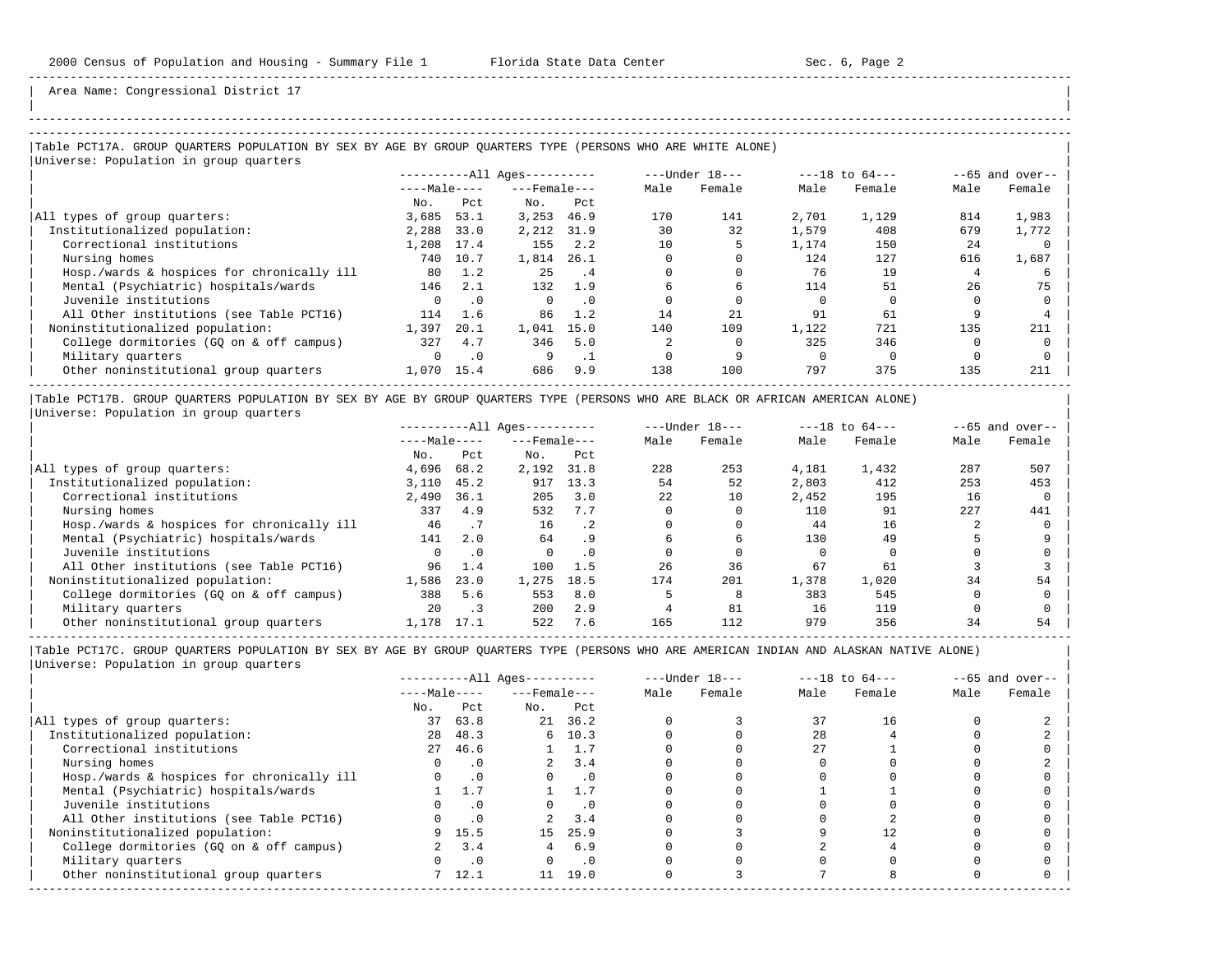| | -----------------------------------------------------------------------------------------------------------------------------------------------------

Area Name: Congressional District 17

## |Table PCT17A. GROUP QUARTERS POPULATION BY SEX BY AGE BY GROUP QUARTERS TYPE (PERSONS WHO ARE WHITE ALONE) |

| Universe: Population in group quarters     |              |           |                        |           |      |                  |       |                    |      |                   |
|--------------------------------------------|--------------|-----------|------------------------|-----------|------|------------------|-------|--------------------|------|-------------------|
|                                            |              |           | $------All Ages------$ |           |      | $---Under 18---$ |       | $---18$ to $64---$ |      | $--65$ and over-- |
|                                            | $---Male---$ |           | $---$ Female $---$     |           | Male | Female           | Male  | Female             | Male | Female            |
|                                            | No.          | Pct       | No.                    | Pct       |      |                  |       |                    |      |                   |
| All types of group quarters:               | 3,685        | 53.1      | 3,253                  | 46.9      | 170  | 141              | 2,701 | 1,129              | 814  | 1,983             |
| Institutionalized population:              | 2,288        | 33.0      | 2,212                  | 31.9      | 30   | 32               | 1,579 | 408                | 679  | 1,772             |
| Correctional institutions                  | 1,208        | 17.4      | 155                    | 2.2       | 10   |                  | 1,174 | 150                | 2.4  |                   |
| Nursing homes                              | 740          | 10.7      | 1,814                  | 26.1      |      |                  | 124   | 127                | 616  | 1,687             |
| Hosp./wards & hospices for chronically ill | 80           | 1.2       | 25                     | . 4       |      |                  | 76    | 19                 |      |                   |
| Mental (Psychiatric) hospitals/wards       | 146          | 2.1       | 132                    | 1.9       | 6    | h                | 114   | 51                 | 26   | 75                |
| Juvenile institutions                      |              | . 0       | $\Omega$               | $\cdot$ 0 |      |                  |       |                    |      |                   |
| All Other institutions (see Table PCT16)   | 114          | 1.6       | 86                     | 1.2       | 14   | 21               | 91    | 61                 |      |                   |
| Noninstitutionalized population:           | 1,397        | 20.1      | 1,041                  | 15.0      | 140  | 109              | 1,122 | 721                | 135  | 211               |
| College dormitories (GO on & off campus)   | 327          | 4.7       | 346                    | 5.0       |      |                  | 325   | 346                |      |                   |
| Military quarters                          | $\Omega$     | $\cdot$ 0 | 9                      | - 1       |      |                  |       |                    |      |                   |
| Other noninstitutional group quarters      | 1,070        | 15.4      | 686                    | 9.9       | 138  | 100              | 797   | 375                | 135  | 211               |

|Table PCT17B. GROUP QUARTERS POPULATION BY SEX BY AGE BY GROUP QUARTERS TYPE (PERSONS WHO ARE BLACK OR AFRICAN AMERICAN ALONE) | |Universe: Population in group quarters |

|                                            |              |           | $------All Aqes------$ |           |      | $---Under 18---$ |       | $---18$ to $64---$ |      | $--65$ and over-- |
|--------------------------------------------|--------------|-----------|------------------------|-----------|------|------------------|-------|--------------------|------|-------------------|
|                                            | $---Male---$ |           | $---$ Female $---$     |           | Male | Female           | Male  | Female             | Male | Female            |
|                                            | No.          | Pct       | No.                    | Pct       |      |                  |       |                    |      |                   |
| All types of group quarters:               | 4,696        | 68.2      | 2,192                  | 31.8      | 228  | 253              | 4,181 | 1,432              | 287  | 507               |
| Institutionalized population:              | 3,110        | 45.2      | 917                    | 13.3      | 54   | 52               | 2,803 | 412                | 253  | 453               |
| Correctional institutions                  | 2,490        | 36.1      | 205                    | 3.0       | 22   | 10               | 2,452 | 195                | 16   |                   |
| Nursing homes                              | 337          | 4.9       | 532                    | 7.7       |      |                  | 110   | 91                 | 227  | 441               |
| Hosp./wards & hospices for chronically ill | 46           |           | 16                     | $\cdot$ 2 |      |                  | 44    | 16                 |      |                   |
| Mental (Psychiatric) hospitals/wards       | 141          | 2.0       | 64                     | . 9       | h    | h                | 130   | 49                 |      |                   |
| Juvenile institutions                      |              | $\cdot$ 0 |                        | $\cdot$ 0 |      |                  |       |                    |      |                   |
| All Other institutions (see Table PCT16)   | 96           | 1.4       | 100                    | 1.5       | 2.6  | 36               | 67    | 61                 |      |                   |
| Noninstitutionalized population:           | 1,586        | 23.0      | 1,275                  | 18.5      | 174  | 201              | 1,378 | 1,020              | 34   | 54                |
| College dormitories (GO on & off campus)   | 388          | 5.6       | 553                    | 8.0       |      |                  | 383   | 545                |      |                   |
| Military quarters                          | 20           | $\cdot$ 3 | 200                    | 2.9       |      | 81               | 16    | 119                |      |                   |
| Other noninstitutional group quarters      | 1,178        | 17.1      | 522                    | 7.6       | 165  | 112              | 979   | 356                | 34   | 54                |

-----------------------------------------------------------------------------------------------------------------------------------------------------

|                                            |              |           | $------All Ages------$ |               |      | $---Under 18---$ |      | $---18$ to $64---$ |      | $--65$ and over-- |
|--------------------------------------------|--------------|-----------|------------------------|---------------|------|------------------|------|--------------------|------|-------------------|
|                                            | $---Male---$ |           | $---$ Female $---$     |               | Male | Female           | Male | Female             | Male | Female            |
|                                            | No.          | Pct       | No.                    | Pct           |      |                  |      |                    |      |                   |
| All types of group quarters:               | 37           | 63.8      |                        | 21 36.2       |      |                  | 37   | 16                 |      |                   |
| Institutionalized population:              | 28           | 48.3      |                        | 6, 10.3       |      |                  | 28   |                    |      |                   |
| Correctional institutions                  |              | 27 46.6   |                        | $1 \quad 1.7$ |      |                  | 2.7  |                    |      |                   |
| Nursing homes                              |              | $\cdot$ 0 | $\overline{a}$         | 3.4           |      |                  |      |                    |      |                   |
| Hosp./wards & hospices for chronically ill |              | $\cdot$ 0 |                        | $\cdot$ 0     |      |                  |      |                    |      |                   |
| Mental (Psychiatric) hospitals/wards       |              | 1.7       |                        | 1.7           |      |                  |      |                    |      |                   |
| Juvenile institutions                      |              | $\cdot$ 0 |                        | . 0           |      |                  |      |                    |      |                   |
| All Other institutions (see Table PCT16)   |              | $\cdot$ 0 |                        | 3.4           |      |                  |      |                    |      |                   |
| Noninstitutionalized population:           | 9            | 15.5      | 15                     | 25.9          |      |                  |      |                    |      |                   |
| College dormitories (GQ on & off campus)   |              | 3.4       |                        | 6.9           |      |                  |      |                    |      |                   |
| Military quarters                          |              | $\cdot$ 0 |                        | $\cdot$ 0     |      |                  |      |                    |      |                   |
| Other noninstitutional group quarters      |              | 12.1      | 11                     | 19.0          |      |                  |      |                    |      |                   |
|                                            |              |           |                        |               |      |                  |      |                    |      |                   |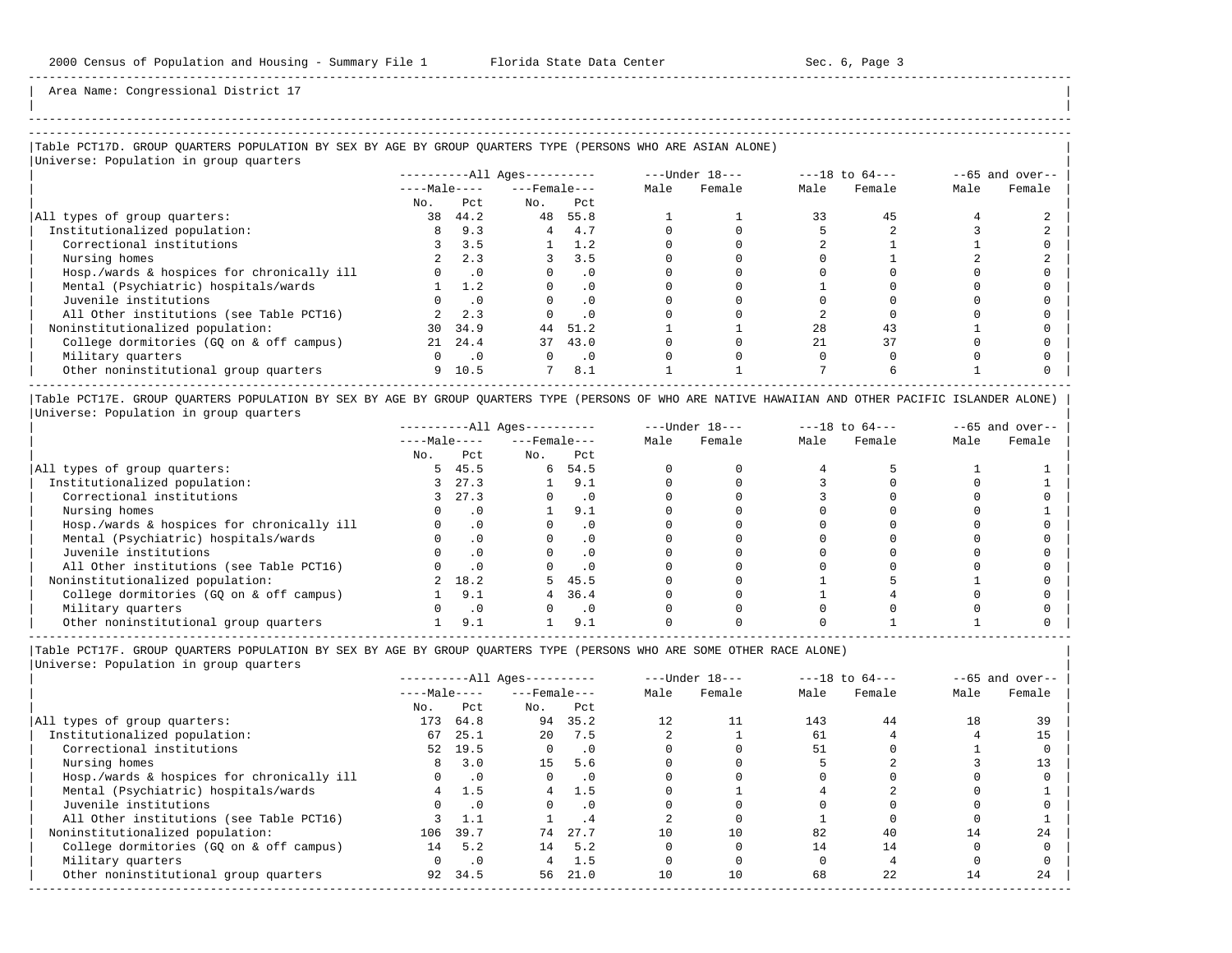| |

-----------------------------------------------------------------------------------------------------------------------------------------------------

Area Name: Congressional District 17

## |Table PCT17D. GROUP QUARTERS POPULATION BY SEX BY AGE BY GROUP QUARTERS TYPE (PERSONS WHO ARE ASIAN ALONE) |

|                                            |              |                          | ----------All Ages---------- |                |      | $---Under 18---$ |      | $---18$ to $64---$ |      | $--65$ and over-- |
|--------------------------------------------|--------------|--------------------------|------------------------------|----------------|------|------------------|------|--------------------|------|-------------------|
|                                            | $---Male---$ |                          | $---$ Female $---$           |                | Male | Female           | Male | Female             | Male | Female            |
|                                            | No.          | Pct                      | No.                          | Pct            |      |                  |      |                    |      |                   |
| All types of group quarters:               | 38           | 44.2                     | 48                           | 55.8           |      |                  | 33   | 45                 |      |                   |
| Institutionalized population:              | 8            | 9.3                      | 4                            | 4.7            |      |                  |      |                    |      |                   |
| Correctional institutions                  |              | 3.5                      |                              | 1.2            |      |                  |      |                    |      |                   |
| Nursing homes                              |              | 2.3                      |                              | 3.5            |      |                  |      |                    |      |                   |
| Hosp./wards & hospices for chronically ill |              | $\overline{\phantom{0}}$ | $\Omega$                     | $\cdot$ 0      |      |                  |      |                    |      |                   |
| Mental (Psychiatric) hospitals/wards       |              | 1.2                      | $\Omega$                     | $\cdot$ 0      |      |                  |      |                    |      |                   |
| Juvenile institutions                      |              | $\cdot$ 0                | $\Omega$                     | $\cdot$ 0      |      |                  |      |                    |      |                   |
| All Other institutions (see Table PCT16)   |              | 2.3                      |                              | .0             |      |                  |      |                    |      |                   |
| Noninstitutionalized population:           | 30           | 34.9                     | 44                           | 51.2           |      |                  | 28   | 43                 |      |                   |
| College dormitories (GO on & off campus)   |              | 21 24.4                  | 37                           | 43.0           |      |                  | 21   | 37                 |      |                   |
| Military quarters                          | $\Omega$     | $\cdot$ 0                | $\Omega$                     | $\overline{0}$ |      |                  |      |                    |      |                   |
| Other noninstitutional group quarters      |              | 9 10.5                   | $7\overline{ }$              | 8.1            |      |                  |      |                    |      |                   |

|Table PCT17E. GROUP QUARTERS POPULATION BY SEX BY AGE BY GROUP QUARTERS TYPE (PERSONS OF WHO ARE NATIVE HAWAIIAN AND OTHER PACIFIC ISLANDER ALONE) | |Universe: Population in group quarters |

|                                            |              |           | $------All Aqes------$ |           |      | $---Under 18---$ |      | $---18$ to $64---$ |      | $--65$ and over-- |
|--------------------------------------------|--------------|-----------|------------------------|-----------|------|------------------|------|--------------------|------|-------------------|
|                                            | $---Male---$ |           | $---$ Female $---$     |           | Male | Female           | Male | Female             | Male | Female            |
|                                            | No.          | Pct       | No.                    | Pct       |      |                  |      |                    |      |                   |
| All types of group quarters:               | 5.           | 45.5      | 6                      | 54.5      |      |                  |      |                    |      |                   |
| Institutionalized population:              |              | 27.3      |                        | 9.1       |      |                  |      |                    |      |                   |
| Correctional institutions                  |              | 27.3      |                        | . 0       |      |                  |      |                    |      |                   |
| Nursing homes                              |              |           |                        | 9.1       |      |                  |      |                    |      |                   |
| Hosp./wards & hospices for chronically ill |              |           |                        | $\cdot$ 0 |      |                  |      |                    |      |                   |
| Mental (Psychiatric) hospitals/wards       |              |           |                        | $\cdot$ 0 |      |                  |      |                    |      |                   |
| Juvenile institutions                      |              |           |                        | . 0       |      |                  |      |                    |      |                   |
| All Other institutions (see Table PCT16)   |              |           |                        | $\cdot$ 0 |      |                  |      |                    |      |                   |
| Noninstitutionalized population:           |              | 18.2      |                        | 5, 45.5   |      |                  |      |                    |      |                   |
| College dormitories (GO on & off campus)   |              | 9.1       |                        | 36.4      |      |                  |      |                    |      |                   |
| Military quarters                          |              | $\cdot$ 0 |                        | $\cdot$ 0 |      |                  |      |                    |      |                   |
| Other noninstitutional group quarters      |              | 9.1       |                        | 9.1       |      |                  |      |                    |      |                   |

----------------------------------------------------------------------------------------------------------------------------------------------------- |Table PCT17F. GROUP QUARTERS POPULATION BY SEX BY AGE BY GROUP QUARTERS TYPE (PERSONS WHO ARE SOME OTHER RACE ALONE) |

|                                            |              |           | $------All Ages------$ |           |      | $---Under 18---$ |      | $---18$ to $64---$ |      | $--65$ and over-- |
|--------------------------------------------|--------------|-----------|------------------------|-----------|------|------------------|------|--------------------|------|-------------------|
|                                            | $---Male---$ |           | $---$ Female $---$     |           | Male | Female           | Male | Female             | Male | Female            |
|                                            | No.          | Pct       | No.                    | Pct       |      |                  |      |                    |      |                   |
| All types of group quarters:               | 173          | 64.8      | 94                     | 35.2      | 12   |                  | 143  | 44                 | 18   | 39                |
| Institutionalized population:              | 67           | 25.1      | $20^{\circ}$           | 7.5       |      |                  | 61   |                    |      | 15                |
| Correctional institutions                  |              | 52 19.5   | $\Omega$               | $\cdot$ 0 |      |                  | 51   |                    |      |                   |
| Nursing homes                              | 8            | 3.0       | 15                     | 5.6       |      |                  |      |                    |      |                   |
| Hosp./wards & hospices for chronically ill |              | $\cdot$ 0 | $\Omega$               | $\cdot$ 0 |      |                  |      |                    |      |                   |
| Mental (Psychiatric) hospitals/wards       | 4            | 1.5       | $4\overline{ }$        | 1.5       |      |                  |      |                    |      |                   |
| Juvenile institutions                      |              | .0        | $\Omega$               | .0        |      |                  |      |                    |      |                   |
| All Other institutions (see Table PCT16)   |              |           |                        | . 4       |      |                  |      |                    |      |                   |
| Noninstitutionalized population:           | 106          | 39.7      | 74                     | 27.7      | 10   | 10               | 82   | 40                 | 14   | 24                |
| College dormitories (GO on & off campus)   | 14           | 5.2       | 14                     | 5.2       |      |                  |      | 14                 |      |                   |
| Military quarters                          |              | $\cdot$ 0 | 4                      | 1.5       |      |                  |      |                    |      |                   |
| Other noninstitutional group quarters      | 92           | 34.5      | 56                     | 21.0      | 10   | 10               | 68   | 22                 | 14   | 24                |
|                                            |              |           |                        |           |      |                  |      |                    |      |                   |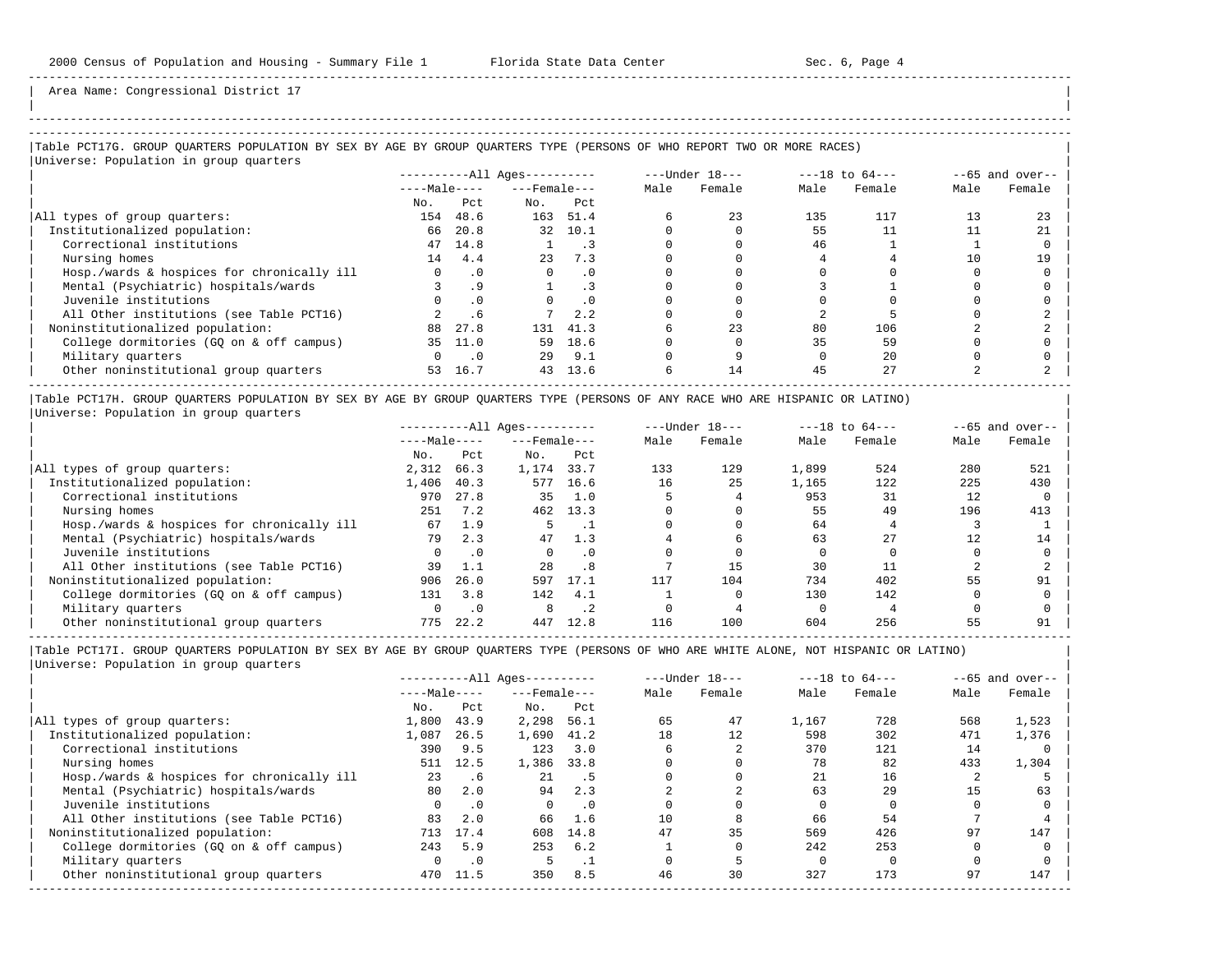| |

Area Name: Congressional District 17

# -----------------------------------------------------------------------------------------------------------------------------------------------------

### |Table PCT17G. GROUP QUARTERS POPULATION BY SEX BY AGE BY GROUP QUARTERS TYPE (PERSONS OF WHO REPORT TWO OR MORE RACES) |

|                                            |              |                             | $------All Aqes------$ |           |      | $---Under 18---$ |      | $---18$ to $64---$ |      | $--65$ and over-- |
|--------------------------------------------|--------------|-----------------------------|------------------------|-----------|------|------------------|------|--------------------|------|-------------------|
|                                            | $---Male---$ |                             | $---$ Female $---$     |           | Male | Female           | Male | Female             | Male | Female            |
|                                            | No.          | Pct.                        | No.                    | Pct       |      |                  |      |                    |      |                   |
| All types of group quarters:               | 154          | 48.6                        | 163                    | 51.4      |      | 23               | 135  | 117                | 13   | 23                |
| Institutionalized population:              | 66           | 20.8                        | 32                     | 10.1      |      |                  | 55   |                    |      | 21                |
| Correctional institutions                  | 47           | 14.8                        |                        |           |      |                  | 46   |                    |      |                   |
| Nursing homes                              | 14           | 4.4                         | 23                     | 7.3       |      |                  |      |                    | 10   | 19                |
| Hosp./wards & hospices for chronically ill | $\Omega$     | $\cdot$ 0                   | $\Omega$               | $\cdot$ 0 |      |                  |      |                    |      |                   |
| Mental (Psychiatric) hospitals/wards       |              | .9                          |                        | . 3       |      |                  |      |                    |      |                   |
| Juvenile institutions                      |              | $\cdot$ 0                   |                        | $\cdot$ 0 |      |                  |      |                    |      |                   |
| All Other institutions (see Table PCT16)   |              | . 6                         |                        | 2.2       |      |                  |      |                    |      |                   |
| Noninstitutionalized population:           | 88           | 27.8                        | 131                    | 41.3      |      | 23               | 80   | 106                |      |                   |
| College dormitories (GQ on & off campus)   | 35           | 11.0                        | 59                     | 18.6      |      |                  | 35   | 59                 |      |                   |
| Military quarters                          | $\Omega$     | $\overline{\phantom{0}}$ .0 | 29                     | 9.1       |      |                  |      | 2.0                |      |                   |
| Other noninstitutional group quarters      | 53           | 16.7                        | 43                     | 13.6      |      | 14               | 45   | 27                 |      |                   |

|Table PCT17H. GROUP QUARTERS POPULATION BY SEX BY AGE BY GROUP QUARTERS TYPE (PERSONS OF ANY RACE WHO ARE HISPANIC OR LATINO) | |Universe: Population in group quarters |

|                                            |              |           | $------All Aqes------$ |           |      | $---Under 18---$ |       | $---18$ to $64---$ |      | $--65$ and over-- |
|--------------------------------------------|--------------|-----------|------------------------|-----------|------|------------------|-------|--------------------|------|-------------------|
|                                            | $---Male---$ |           | $---$ Female $---$     |           | Male | Female           | Male  | Female             | Male | Female            |
|                                            | No.          | Pct       | No.                    | Pct       |      |                  |       |                    |      |                   |
| All types of group quarters:               | 2,312        | 66.3      | 1,174                  | 33.7      | 133  | 129              | 1,899 | 524                | 280  | 521               |
| Institutionalized population:              | 1,406        | 40.3      | 577                    | 16.6      | 16   | 25               | 1,165 | 122                | 225  | 430               |
| Correctional institutions                  | 970          | 27.8      | 35                     | 1.0       |      |                  | 953   | 31                 | 12   |                   |
| Nursing homes                              | 251          | 7.2       | 462                    | 13.3      |      |                  | 55    | 49                 | 196  | 413               |
| Hosp./wards & hospices for chronically ill | 67           | 1.9       |                        |           |      |                  | 64    |                    |      |                   |
| Mental (Psychiatric) hospitals/wards       | 79           | 2.3       | 47                     | 1.3       |      |                  | 63    | 27                 | 12   | 14                |
| Juvenile institutions                      | 0            | $\cdot$ 0 |                        | . 0       |      |                  |       |                    |      |                   |
| All Other institutions (see Table PCT16)   | 39           | 1.1       | 2.8                    | .8        |      | 15               | 30    |                    |      |                   |
| Noninstitutionalized population:           | 906          | 26.0      | 597                    | 17.1      | 117  | 104              | 734   | 402                | 55   | 91                |
| College dormitories (GO on & off campus)   | 131          | 3.8       | 142                    | 4.1       |      |                  | 130   | 142                |      |                   |
| Military quarters                          |              | $\cdot$ 0 |                        | $\cdot$ 2 |      |                  |       |                    |      |                   |
| Other noninstitutional group quarters      | 775          | 22.2      | 447                    | 12.8      | 116  | 100              | 604   | 256                | 55   | 91                |

-----------------------------------------------------------------------------------------------------------------------------------------------------

|                                            |              |           | $------All Aqes------$ |                |      | $---Under 18---$ |       | $---18$ to $64---$ |      | $--65$ and over-- |
|--------------------------------------------|--------------|-----------|------------------------|----------------|------|------------------|-------|--------------------|------|-------------------|
|                                            | $---Male---$ |           | $---$ Female ---       |                | Male | Female           | Male  | Female             | Male | Female            |
|                                            | No.          | Pct       | No.                    | Pct            |      |                  |       |                    |      |                   |
| All types of group quarters:               | 1,800        | 43.9      | 2,298                  | 56.1           | 65   | 47               | 1,167 | 728                | 568  | 1,523             |
| Institutionalized population:              | 1,087        | 26.5      | 1,690                  | 41.2           | 18   | 12               | 598   | 302                | 471  | 1,376             |
| Correctional institutions                  | 390          | 9.5       | 123                    | 3.0            |      |                  | 370   | 121                | 14   |                   |
| Nursing homes                              | 511          | 12.5      | 1,386                  | 33.8           |      |                  | 78    | 82                 | 433  | 1,304             |
| Hosp./wards & hospices for chronically ill | 23           | .6        | 21                     | $\overline{5}$ |      |                  | 21    | 16                 |      |                   |
| Mental (Psychiatric) hospitals/wards       | 80           | 2.0       | 94                     | 2.3            |      |                  | 63    | 29                 | 15   | 63                |
| Juvenile institutions                      |              | $\cdot$ 0 | $\Omega$               | $\cdot$ 0      |      |                  |       |                    |      |                   |
| All Other institutions (see Table PCT16)   | 83           | 2.0       | 66                     | 1.6            | 10   |                  | 66    | 54                 |      |                   |
| Noninstitutionalized population:           | 713          | 17.4      | 608                    | 14.8           | 47   | 35               | 569   | 426                | 97   | 147               |
| College dormitories (GO on & off campus)   | 243          | 5.9       | 253                    | 6.2            |      |                  | 242   | 253                |      |                   |
| Military quarters                          |              | $\cdot$ 0 |                        | . .            |      |                  |       |                    |      |                   |
| Other noninstitutional group quarters      | 470          | 11.5      | 350                    | 8.5            | 46   | 30               | 327   | 173                | 97   | 147               |
|                                            |              |           |                        |                |      |                  |       |                    |      |                   |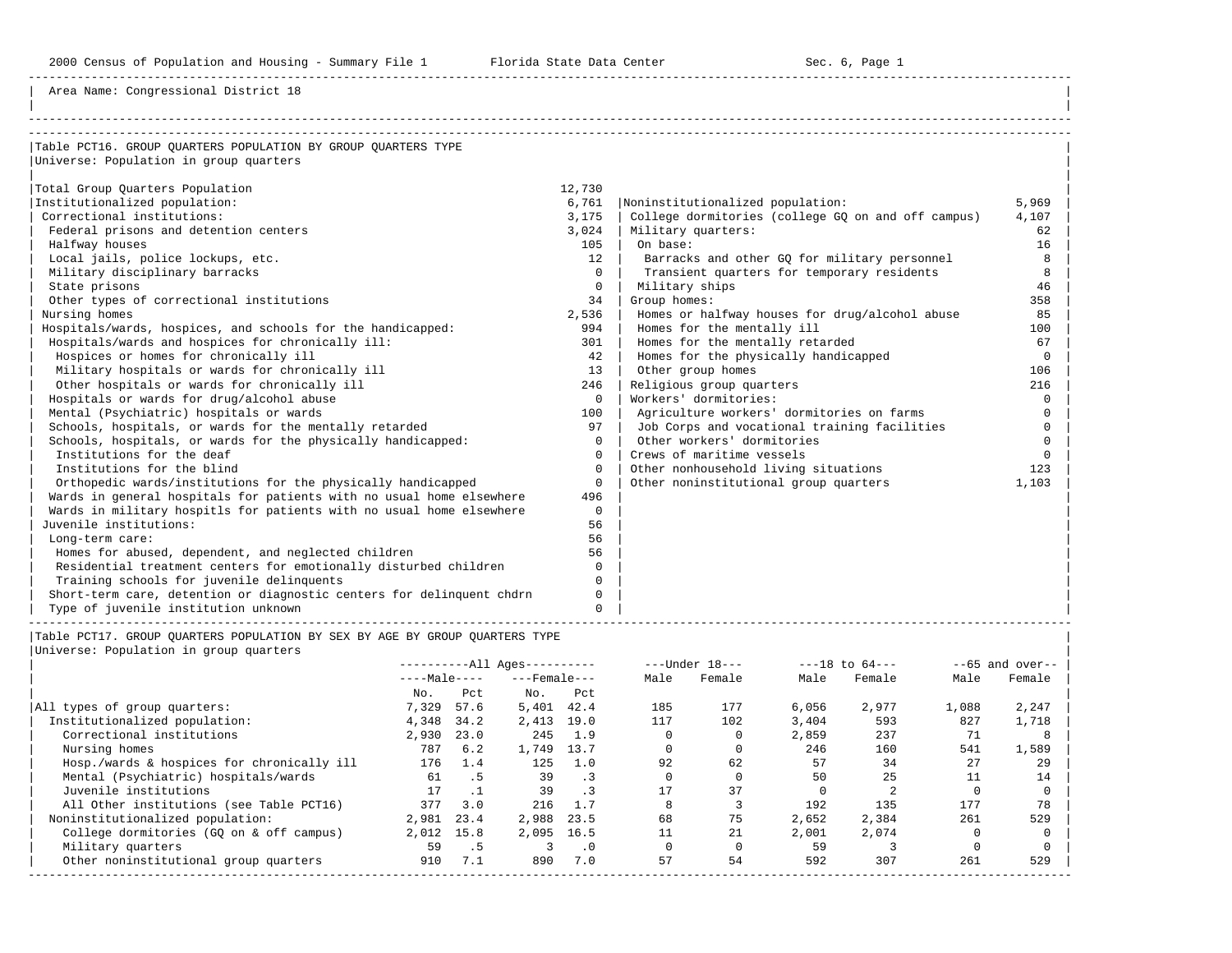Area Name: Congressional District 18

| Table PCT16. GROUP OUARTERS POPULATION BY GROUP OUARTERS TYPE         |              |                                                    |          |
|-----------------------------------------------------------------------|--------------|----------------------------------------------------|----------|
| Universe: Population in group quarters                                |              |                                                    |          |
|                                                                       |              |                                                    |          |
| Total Group Quarters Population                                       | 12,730       |                                                    |          |
| Institutionalized population:                                         | 6,761        | Noninstitutionalized population:                   | 5,969    |
| Correctional institutions:                                            | 3,175        | College dormitories (college GQ on and off campus) | 4,107    |
| Federal prisons and detention centers                                 | 3,024        | Military quarters:                                 | 62       |
| Halfway houses                                                        | 105          | On base:                                           | 16       |
| Local jails, police lockups, etc.                                     | 12           | Barracks and other GQ for military personnel       | 8        |
| Military disciplinary barracks                                        | $\Omega$     | Transient quarters for temporary residents         | 8        |
| State prisons                                                         | $\mathbf{0}$ | Military ships                                     | 46       |
| Other types of correctional institutions                              | 34           | Group homes:                                       | 358      |
| Nursing homes                                                         | 2,536        | Homes or halfway houses for drug/alcohol abuse     | 85       |
| Hospitals/wards, hospices, and schools for the handicapped:           | 994          | Homes for the mentally ill                         | 100      |
| Hospitals/wards and hospices for chronically ill:                     | 301          | Homes for the mentally retarded                    | 67       |
| Hospices or homes for chronically ill                                 | 42.          | Homes for the physically handicapped               | $\Omega$ |
| Military hospitals or wards for chronically ill                       | 13           | Other group homes                                  | 106      |
| Other hospitals or wards for chronically ill                          | 246          | Religious group quarters                           | 216      |
| Hospitals or wards for drug/alcohol abuse                             | $\Omega$     | Workers' dormitories:                              | $\Omega$ |
| Mental (Psychiatric) hospitals or wards                               | 100          | Agriculture workers' dormitories on farms          | $\Omega$ |
| Schools, hospitals, or wards for the mentally retarded                | 97           | Job Corps and vocational training facilities       | $\Omega$ |
| Schools, hospitals, or wards for the physically handicapped:          | $\Omega$     | Other workers' dormitories                         |          |
| Institutions for the deaf                                             | $\Omega$     | Crews of maritime vessels                          |          |
| Institutions for the blind                                            | $\Omega$     | Other nonhousehold living situations               | 123      |
| Orthopedic wards/institutions for the physically handicapped          | $\Omega$     | Other noninstitutional group quarters              | 1,103    |
| Wards in general hospitals for patients with no usual home elsewhere  | 496          |                                                    |          |
| Wards in military hospitls for patients with no usual home elsewhere  | $\Omega$     |                                                    |          |
| Juvenile institutions:                                                | 56           |                                                    |          |
| Long-term care:                                                       | 56           |                                                    |          |
| Homes for abused, dependent, and neglected children                   | 56           |                                                    |          |
| Residential treatment centers for emotionally disturbed children      | $\Omega$     |                                                    |          |
| Training schools for juvenile delinquents                             | $\Omega$     |                                                    |          |
| Short-term care, detention or diagnostic centers for delinguent chdrn | $\Omega$     |                                                    |          |
| Type of juvenile institution unknown                                  | $\Omega$     |                                                    |          |

|Table PCT17. GROUP QUARTERS POPULATION BY SEX BY AGE BY GROUP QUARTERS TYPE | |Universe: Population in group quarters |

|  |  | juliverse. Population in group quarters |  |
|--|--|-----------------------------------------|--|
|  |  |                                         |  |
|  |  |                                         |  |

|                                            |              |      | $------All Aqes------$ |           |      | $---Under 18---$ |       | $---18$ to $64---$ |       | $--65$ and over-- |
|--------------------------------------------|--------------|------|------------------------|-----------|------|------------------|-------|--------------------|-------|-------------------|
|                                            | $---Male---$ |      | $---$ Female $---$     |           | Male | Female           | Male  | Female             | Male  | Female            |
|                                            | No.          | Pct. | No.                    | Pct       |      |                  |       |                    |       |                   |
| All types of group quarters:               | 7,329        | 57.6 | 5,401                  | 42.4      | 185  | 177              | 6,056 | 2,977              | 1,088 | 2,247             |
| Institutionalized population:              | 4,348        | 34.2 | 2,413                  | 19.0      | 117  | 102              | 3,404 | 593                | 827   | 1,718             |
| Correctional institutions                  | 2,930        | 23.0 | 245                    | 1.9       |      |                  | 2,859 | 237                | 71    |                   |
| Nursing homes                              | 787          | 6.2  | 1,749                  | 13.7      |      |                  | 246   | 160                | 541   | 1,589             |
| Hosp./wards & hospices for chronically ill | 176          | 1.4  | 125                    | 1.0       | 92   | 62               | 57    | 34                 | 27    | 29                |
| Mental (Psychiatric) hospitals/wards       | 61           | .5   | 39                     | $\cdot$ 3 |      |                  | 50    | 25                 | 11    | 14                |
| Juvenile institutions                      | 17           |      | 39                     |           | 17   | 37               |       |                    |       |                   |
| All Other institutions (see Table PCT16)   | 377          | 3.0  | 216                    | 1.7       |      |                  | 192   | 135                | 177   | 78                |
| Noninstitutionalized population:           | 2,981        | 23.4 | 2,988                  | 23.5      | 68   | 75               | 2,652 | 2,384              | 261   | 529               |
| College dormitories (GO on & off campus)   | 2,012        | 15.8 | 2,095 16.5             |           | 11   | 21               | 2,001 | 2,074              |       |                   |
| Military quarters                          | 59           | .5   |                        | $\cdot$ 0 |      |                  | 59    |                    |       |                   |
| Other noninstitutional group quarters      | 910          | 7.1  | 890                    | 7.0       | 57   | 54               | 592   | 307                | 261   | 529               |

-----------------------------------------------------------------------------------------------------------------------------------------------------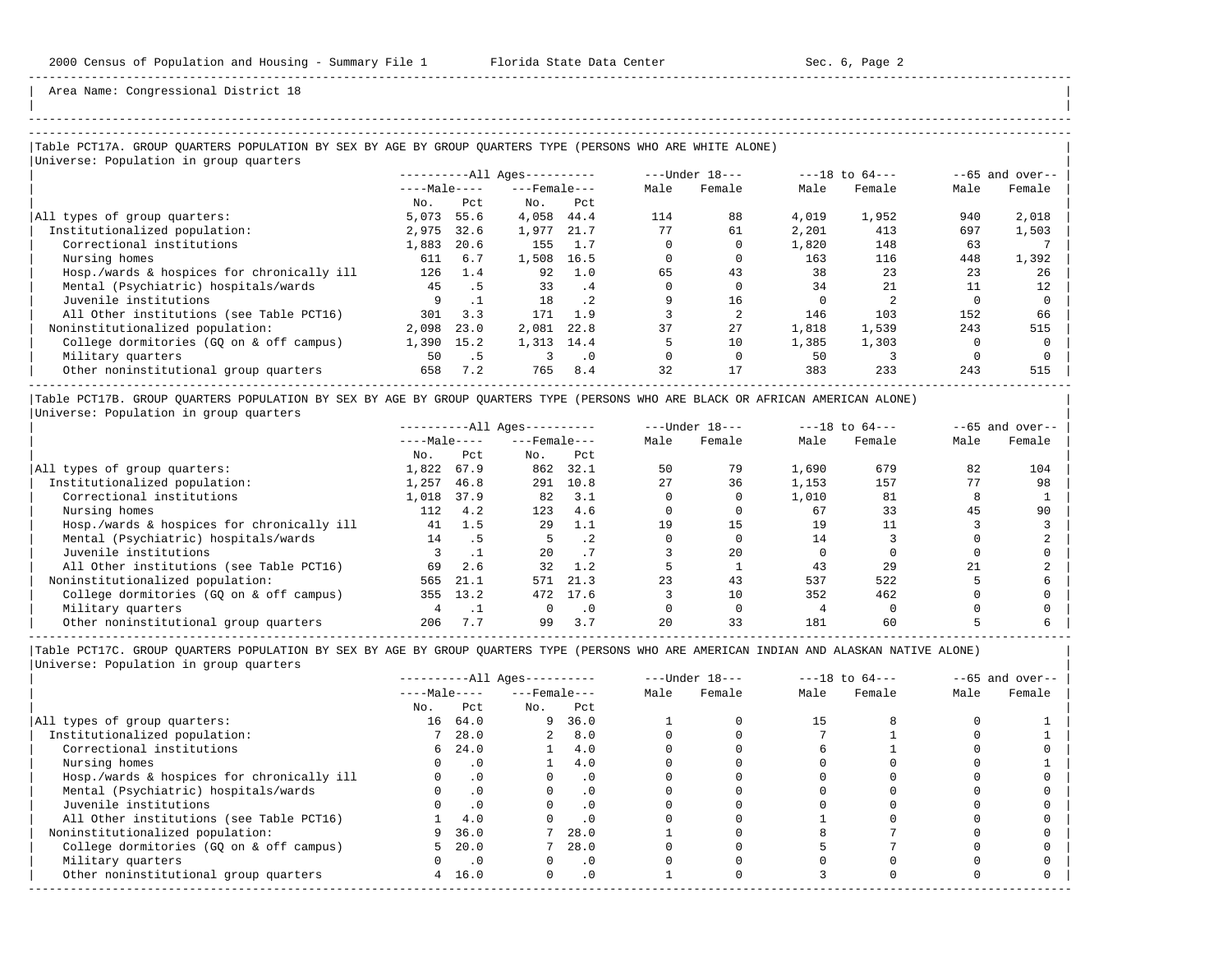| | -----------------------------------------------------------------------------------------------------------------------------------------------------

Area Name: Congressional District 18

### |Table PCT17A. GROUP QUARTERS POPULATION BY SEX BY AGE BY GROUP QUARTERS TYPE (PERSONS WHO ARE WHITE ALONE) | |<br>|Universe: Population in group quarters

| No.<br>5,073 | $---Male---$<br>Pct                                                      | $---$ Female $---$<br>No. |             | Male               | Female | Male  |        |      |        |
|--------------|--------------------------------------------------------------------------|---------------------------|-------------|--------------------|--------|-------|--------|------|--------|
|              |                                                                          |                           |             |                    |        |       | Female | Male | Female |
|              |                                                                          |                           | Pct         |                    |        |       |        |      |        |
|              | 55.6                                                                     | 4,058                     | 44.4        | 114                | 88     | 4,019 | 1,952  | 940  | 2,018  |
|              | 32.6                                                                     | 1,977                     | 21.7        | 77                 | 61     | 2,201 | 413    | 697  | 1,503  |
|              | 20.6                                                                     | 155                       | 1.7         |                    |        | 1,820 | 148    | 63   |        |
|              | 6.7                                                                      | 1,508                     |             |                    |        | 163   | 116    | 448  | 1,392  |
|              | 1.4                                                                      | 92                        | 1.0         | 65                 | 43     | 38    | 23     | 23   | 26     |
|              | .5                                                                       | 33                        | .4          |                    |        | 34    | 2.1    |      | 12     |
| 9            |                                                                          | 18                        | $\cdot$ . 2 |                    | 16     |       |        |      |        |
|              | 3.3                                                                      | 171                       | 1.9         |                    |        | 146   | 103    | 152  | 66     |
|              | 23.0                                                                     | 2,081                     | 22.8        | 37                 | 2.7    | 1,818 | 1,539  | 243  | 515    |
|              | 15.2                                                                     |                           |             |                    | 10     | 1,385 | 1,303  |      |        |
|              | .5                                                                       |                           | $\cdot$ 0   |                    |        | 50    |        |      |        |
|              | 7.2                                                                      | 765                       | 8.4         | 32                 | 17     | 383   | 233    | 243  | 515    |
|              | 2,975<br>1,883<br>611<br>126<br>45<br>301<br>2,098<br>1,390<br>50<br>658 |                           |             | 16.5<br>1,313 14.4 |        |       |        |      |        |

|Table PCT17B. GROUP QUARTERS POPULATION BY SEX BY AGE BY GROUP QUARTERS TYPE (PERSONS WHO ARE BLACK OR AFRICAN AMERICAN ALONE) | |Universe: Population in group quarters |

|                                            |              |      | $------All Aqes------$ |           |      | $---Under 18---$ | $---18$ to $64---$ |        |      | $--65$ and over-- |
|--------------------------------------------|--------------|------|------------------------|-----------|------|------------------|--------------------|--------|------|-------------------|
|                                            | $---Male---$ |      | $---$ Female $---$     |           | Male | Female           | Male               | Female | Male | Female            |
|                                            | No.          | Pct  | No.                    | Pct       |      |                  |                    |        |      |                   |
| All types of group quarters:               | 1,822        | 67.9 | 862                    | 32.1      | 50   | 79               | 1,690              | 679    | 82   | 104               |
| Institutionalized population:              | 1,257        | 46.8 | 291                    | 10.8      | 27   | 36               | 1,153              | 157    | 77   | 98                |
| Correctional institutions                  | 1,018        | 37.9 | 82                     | 3.1       |      |                  | 1,010              | 81     |      |                   |
| Nursing homes                              | 112          | 4.2  | 123                    | 4.6       |      |                  | 67                 | 33     | 45   | 90                |
| Hosp./wards & hospices for chronically ill | 41           | 1.5  | 29                     | 1.1       | 19   | 15               | 19                 |        |      |                   |
| Mental (Psychiatric) hospitals/wards       | 14           | . 5  |                        | . 2       |      |                  | 14                 |        |      |                   |
| Juvenile institutions                      |              |      | 20                     |           |      | 20               |                    |        |      |                   |
| All Other institutions (see Table PCT16)   | 69           | 2.6  | 32                     | 1.2       |      |                  | 43                 | 29     | 21   |                   |
| Noninstitutionalized population:           | 565          | 21.1 | 571                    | 21.3      | 23   | 43               | 537                | 522    |      |                   |
| College dormitories (GO on & off campus)   | 355          | 13.2 | 472                    | 17.6      |      | 10               | 352                | 462    |      |                   |
| Military quarters                          |              |      |                        | $\cdot$ 0 |      |                  |                    |        |      |                   |
| Other noninstitutional group quarters      | 206          | 7.7  | 99                     | 3.7       | 20   | 33               | 181                | 60     |      |                   |

|                                            | $------All Aqes------$ |                             |                    |           |      | $---Under 18---$ | $---18$ to $64---$ |        | $--65$ and over-- |        |
|--------------------------------------------|------------------------|-----------------------------|--------------------|-----------|------|------------------|--------------------|--------|-------------------|--------|
|                                            | $---Male---$           |                             | $---$ Female $---$ |           | Male | Female           | Male               | Female | Male              | Female |
|                                            | No.                    | Pct                         | No.                | Pct       |      |                  |                    |        |                   |        |
| All types of group quarters:               | 16                     | 64.0                        |                    | 9, 36.0   |      |                  |                    |        |                   |        |
| Institutionalized population:              |                        | 7, 28.0                     | $\overline{2}$     | 8.0       |      |                  |                    |        |                   |        |
| Correctional institutions                  |                        | 6, 24.0                     |                    | 4.0       |      |                  |                    |        |                   |        |
| Nursing homes                              |                        | $\cdot$ 0                   |                    | 4.0       |      |                  |                    |        |                   |        |
| Hosp./wards & hospices for chronically ill |                        | $\cdot$ 0                   |                    | $\cdot$ 0 |      |                  |                    |        |                   |        |
| Mental (Psychiatric) hospitals/wards       |                        | $\cdot$ 0                   |                    | . 0       |      |                  |                    |        |                   |        |
| Juvenile institutions                      |                        |                             |                    | $\cdot$ 0 |      |                  |                    |        |                   |        |
| All Other institutions (see Table PCT16)   |                        | 4.0                         |                    |           |      |                  |                    |        |                   |        |
| Noninstitutionalized population:           | 9                      | 36.0                        |                    | 28.0      |      |                  |                    |        |                   |        |
| College dormitories (GQ on & off campus)   | 5.                     | 20.0                        |                    | 28.0      |      |                  |                    |        |                   |        |
| Military quarters                          |                        | $\overline{\phantom{0}}$ .0 |                    | $\cdot$ 0 |      |                  |                    |        |                   |        |
| Other noninstitutional group quarters      |                        | 4, 16, 0                    | $\Omega$           | $\cdot$ 0 |      |                  |                    |        |                   |        |
|                                            |                        |                             |                    |           |      |                  |                    |        |                   |        |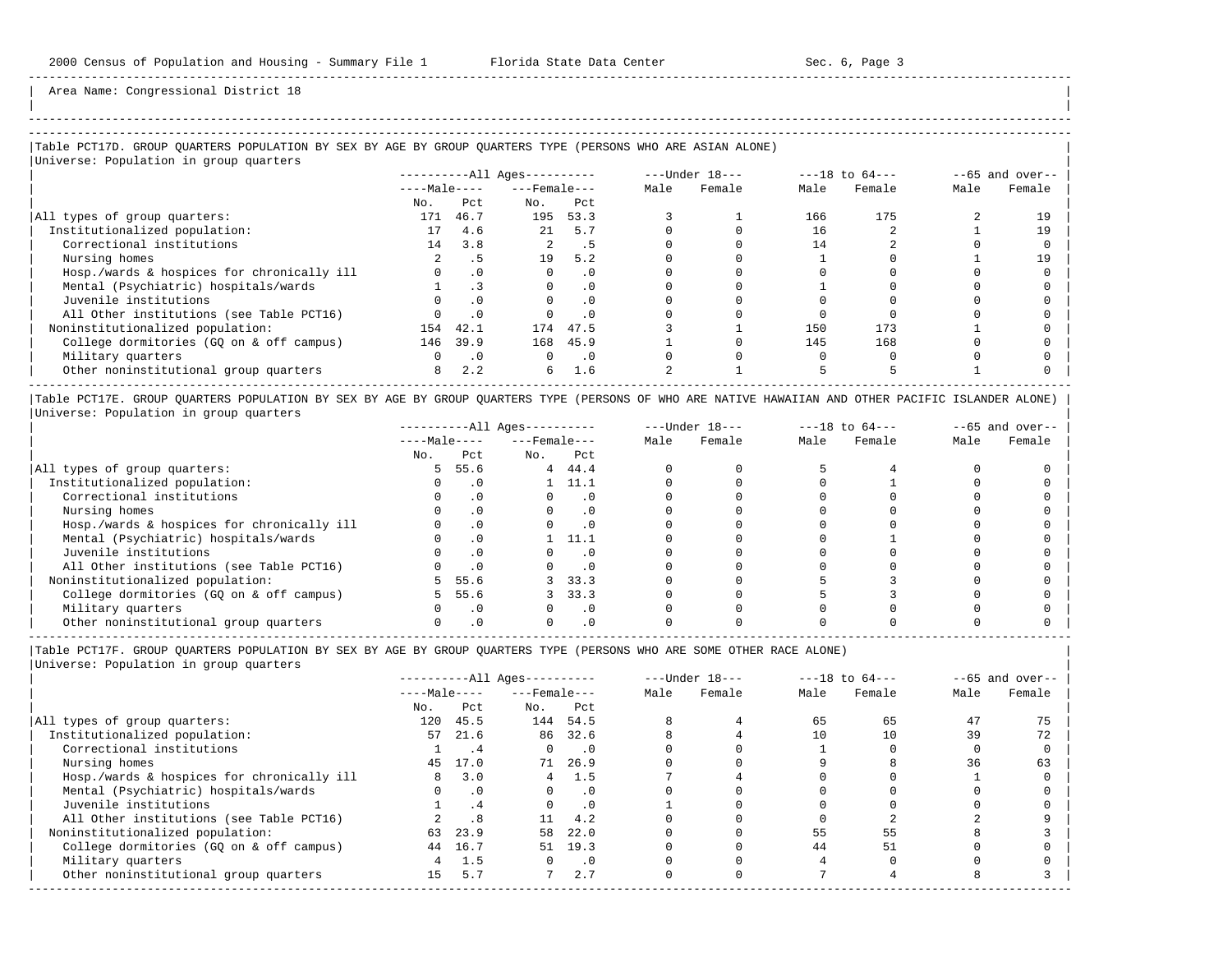-----------------------------------------------------------------------------------------------------------------------------------------------------

Area Name: Congressional District 18

### ----------------------------------------------------------------------------------------------------------------------------------------------------- |Table PCT17D. GROUP QUARTERS POPULATION BY SEX BY AGE BY GROUP QUARTERS TYPE (PERSONS WHO ARE ASIAN ALONE) |

|Universe: Population in group quarters |

|                                            |              |           | ----------All Ages---------- |           | $---Under 18---$ |        | $---18$ to $64---$ |        | $--65$ and over-- |        |
|--------------------------------------------|--------------|-----------|------------------------------|-----------|------------------|--------|--------------------|--------|-------------------|--------|
|                                            | $---Male---$ |           | $---$ Female $---$           |           | Male             | Female | Male               | Female | Male              | Female |
|                                            | No.          | Pct.      | No.                          | Pct       |                  |        |                    |        |                   |        |
| All types of group quarters:               | 171          | 46.7      | 195                          | 53.3      |                  |        | 166                | 175    |                   |        |
| Institutionalized population:              | 17           | 4.6       | 21                           | 5.7       |                  |        | 16                 |        |                   | 19     |
| Correctional institutions                  | 14           | 3.8       |                              | . 5       |                  |        | 14                 |        |                   |        |
| Nursing homes                              |              | . 5       | 19                           | 5.2       |                  |        |                    |        |                   | 19     |
| Hosp./wards & hospices for chronically ill |              | $\cdot$ 0 |                              | $\cdot$ 0 |                  |        |                    |        |                   |        |
| Mental (Psychiatric) hospitals/wards       |              |           | $\Omega$                     | $\cdot$ 0 |                  |        |                    |        |                   |        |
| Juvenile institutions                      |              | . 0       |                              | $\cdot$ 0 |                  |        |                    |        |                   |        |
| All Other institutions (see Table PCT16)   |              | $\cdot$ 0 |                              | $\cdot$ 0 |                  |        |                    |        |                   |        |
| Noninstitutionalized population:           | 154          | 42.1      | 174                          | 47.5      |                  |        | 150                | 173    |                   |        |
| College dormitories (GO on & off campus)   | 146          | 39.9      |                              | 168 45.9  |                  |        | 145                | 168    |                   |        |
| Military quarters                          |              | $\cdot$ 0 | $\Omega$                     | $\cdot$ 0 |                  |        |                    |        |                   |        |
| Other noninstitutional group quarters      | 8            | 2.2       | 6                            | 1.6       |                  |        |                    |        |                   |        |

|Table PCT17E. GROUP QUARTERS POPULATION BY SEX BY AGE BY GROUP QUARTERS TYPE (PERSONS OF WHO ARE NATIVE HAWAIIAN AND OTHER PACIFIC ISLANDER ALONE) | |Universe: Population in group quarters |

|                                            |              |           | $------All Ages------$ |           |      | $---Under 18---$ | $---18$ to $64---$ |        | $- -65$ and over-- |        |
|--------------------------------------------|--------------|-----------|------------------------|-----------|------|------------------|--------------------|--------|--------------------|--------|
|                                            | $---Male---$ |           | $---$ Female $---$     |           | Male | Female           | Male               | Female | Male               | Female |
|                                            | No.          | Pct       | No.                    | Pct       |      |                  |                    |        |                    |        |
| All types of group quarters:               | 5            | 55.6      | 4                      | 44.4      |      |                  |                    |        |                    |        |
| Institutionalized population:              |              | . 0       |                        | 11.1      |      |                  |                    |        |                    |        |
| Correctional institutions                  |              | . 0       |                        |           |      |                  |                    |        |                    |        |
| Nursing homes                              |              | $\cdot$ 0 |                        | $\cdot$ 0 |      |                  |                    |        |                    |        |
| Hosp./wards & hospices for chronically ill |              | $\cdot$ 0 |                        |           |      |                  |                    |        |                    |        |
| Mental (Psychiatric) hospitals/wards       |              | $\cdot$ 0 |                        | 11.1      |      |                  |                    |        |                    |        |
| Juvenile institutions                      |              | . 0       |                        |           |      |                  |                    |        |                    |        |
| All Other institutions (see Table PCT16)   |              | $\cdot$ 0 |                        |           |      |                  |                    |        |                    |        |
| Noninstitutionalized population:           | 5            | 55.6      |                        | 33.3      |      |                  |                    |        |                    |        |
| College dormitories (GQ on & off campus)   | 5.           | 55.6      |                        | 33.3      |      |                  |                    |        |                    |        |
| Military quarters                          |              | $\cdot$ 0 |                        | . 0       |      |                  |                    |        |                    |        |
| Other noninstitutional group quarters      |              |           |                        |           |      |                  |                    |        |                    |        |

----------------------------------------------------------------------------------------------------------------------------------------------------- |Table PCT17F. GROUP QUARTERS POPULATION BY SEX BY AGE BY GROUP QUARTERS TYPE (PERSONS WHO ARE SOME OTHER RACE ALONE) |

|                                            | $------All Ages------$ |           |                    |           |      | $---Under 18---$ |      | $---18$ to $64---$ | $--65$ and over-- |        |
|--------------------------------------------|------------------------|-----------|--------------------|-----------|------|------------------|------|--------------------|-------------------|--------|
|                                            | $---Male---$           |           | $---$ Female $---$ |           | Male | Female           | Male | Female             | Male              | Female |
|                                            | No.                    | Pct       | No.                | Pct       |      |                  |      |                    |                   |        |
| All types of group quarters:               | 120                    | 45.5      | 144                | 54.5      |      |                  | 65   | 65                 | 47                | 75     |
| Institutionalized population:              | 57                     | 21.6      |                    | 86 32.6   |      |                  | 10   | 10                 | 39                | 72     |
| Correctional institutions                  |                        | . 4       | $\Omega$           | $\cdot$ 0 |      |                  |      |                    |                   |        |
| Nursing homes                              | 45                     | 17.0      | 71                 | 26.9      |      |                  |      |                    | 36                | 63     |
| Hosp./wards & hospices for chronically ill | 8                      | 3.0       | 4                  | 1.5       |      |                  |      |                    |                   |        |
| Mental (Psychiatric) hospitals/wards       |                        | $\cdot$ 0 | $\Omega$           | $\cdot$ 0 |      |                  |      |                    |                   |        |
| Juvenile institutions                      |                        | .4        | $\Omega$           | $\cdot$ 0 |      |                  |      |                    |                   |        |
| All Other institutions (see Table PCT16)   |                        | .8        | 11                 | 4.2       |      |                  |      |                    |                   |        |
| Noninstitutionalized population:           | 63                     | 23.9      | 58                 | 22.0      |      |                  | 55   | 55                 |                   |        |
| College dormitories (GO on & off campus)   | 44                     | 16.7      | 51                 | 19.3      |      |                  | 44   | 51                 |                   |        |
| Military quarters                          | 4                      | 1.5       | $\Omega$           | $\cdot$ 0 |      |                  |      |                    |                   |        |
| Other noninstitutional group quarters      | 15                     | 5.7       |                    | 2.7       |      |                  |      |                    |                   |        |
|                                            |                        |           |                    |           |      |                  |      |                    |                   |        |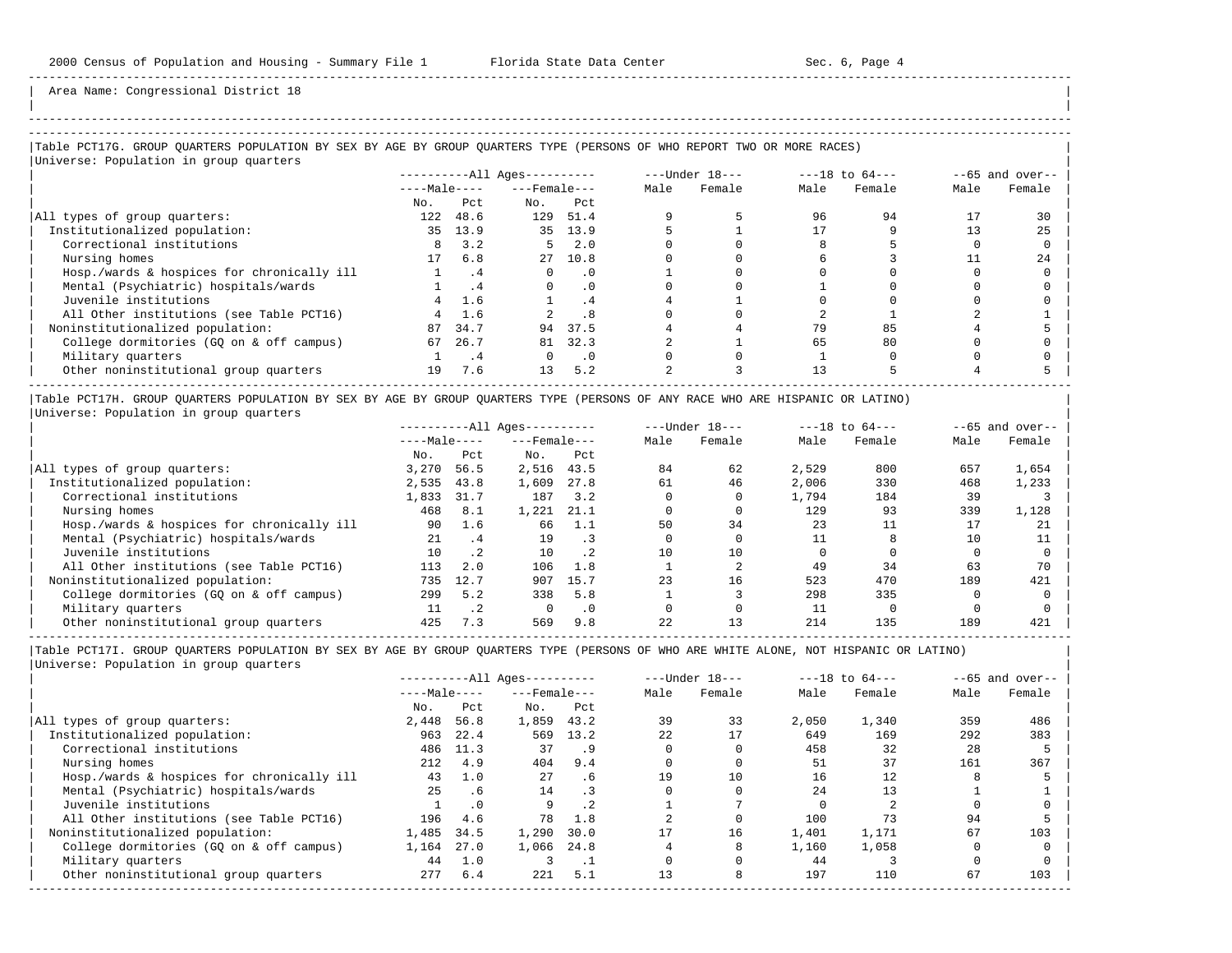| | -----------------------------------------------------------------------------------------------------------------------------------------------------

Area Name: Congressional District 18

## |Table PCT17G. GROUP QUARTERS POPULATION BY SEX BY AGE BY GROUP QUARTERS TYPE (PERSONS OF WHO REPORT TWO OR MORE RACES) |

| Universe: Population in group quarters     |                        |      |                    |                  |      |        |      |                    |      |                   |
|--------------------------------------------|------------------------|------|--------------------|------------------|------|--------|------|--------------------|------|-------------------|
|                                            | $------All Ages------$ |      |                    | $---Under 18---$ |      |        |      | $---18$ to $64---$ |      | $--65$ and over-- |
|                                            | $---Male---$           |      | $---$ Female $---$ |                  | Male | Female | Male | Female             | Male | Female            |
|                                            | No.                    | Pct  | No.                | Pct              |      |        |      |                    |      |                   |
| All types of group quarters:               | 122                    | 48.6 | 129                | 51.4             |      |        | 96   | 94                 |      | 30                |
| Institutionalized population:              | 35                     | 13.9 | 35                 | 13.9             |      |        |      |                    |      | 25                |
| Correctional institutions                  |                        | 3.2  | 5.                 | 2.0              |      |        |      |                    |      |                   |
| Nursing homes                              |                        | 6.8  | 27                 | 10.8             |      |        |      |                    |      | 2.4               |
| Hosp./wards & hospices for chronically ill |                        | . 4  |                    | . 0              |      |        |      |                    |      |                   |
| Mental (Psychiatric) hospitals/wards       |                        | . 4  | $\Omega$           | . 0              |      |        |      |                    |      |                   |
| Juvenile institutions                      | 4                      | 1.6  |                    | . 4              |      |        |      |                    |      |                   |
| All Other institutions (see Table PCT16)   |                        | 1.6  |                    | . 8              |      |        |      |                    |      |                   |
| Noninstitutionalized population:           | 87                     | 34.7 | 94                 | 37.5             |      |        | 79   | 85                 |      |                   |
| College dormitories (GQ on & off campus)   | 67                     | 26.7 | 81                 | 32.3             |      |        | 65   | 80                 |      |                   |
| Military quarters                          |                        | . 4  |                    | $\cdot$ 0        |      |        |      |                    |      |                   |
| Other noninstitutional group quarters      | 19                     | 7.6  | 13                 | 5.2              |      |        | 13   |                    |      |                   |

|Table PCT17H. GROUP QUARTERS POPULATION BY SEX BY AGE BY GROUP QUARTERS TYPE (PERSONS OF ANY RACE WHO ARE HISPANIC OR LATINO) | |Universe: Population in group quarters |

|                                            |              |           | $------All Aqes------$ |           |      | $---Under 18---$ | $---18$ to $64---$ |        |      | $--65$ and over-- |
|--------------------------------------------|--------------|-----------|------------------------|-----------|------|------------------|--------------------|--------|------|-------------------|
|                                            | $---Male---$ |           | $---$ Female $---$     |           | Male | Female           | Male               | Female | Male | Female            |
|                                            | No.          | Pct       | No.                    | Pct       |      |                  |                    |        |      |                   |
| All types of group quarters:               | 3,270        | 56.5      | 2,516                  | 43.5      | 84   | 62               | 2,529              | 800    | 657  | 1,654             |
| Institutionalized population:              | 2,535        | 43.8      | 1,609                  | 27.8      | 61   | 46               | 2,006              | 330    | 468  | 1,233             |
| Correctional institutions                  | 1,833        | 31.7      | 187                    | 3.2       |      |                  | 1,794              | 184    | 39   |                   |
| Nursing homes                              | 468          | 8.1       | 1,221                  | 21.1      |      |                  | 129                | 93     | 339  | 1,128             |
| Hosp./wards & hospices for chronically ill | 90           | 1.6       | 66                     | 1.1       | 50   | 34               | 23                 |        | 17   | 21                |
| Mental (Psychiatric) hospitals/wards       | 21           | .4        | 19                     |           |      |                  |                    |        | 10   |                   |
| Juvenile institutions                      | 10           | $\cdot$ 2 | 10                     | $\cdot$ 2 | 10   | 10               |                    |        |      |                   |
| All Other institutions (see Table PCT16)   | 113          | 2.0       | 106                    | 1.8       |      |                  | 49                 | 34     | 63   | 70                |
| Noninstitutionalized population:           | 735          | 12.7      | 907                    | 15.7      | 23   | 16               | 523                | 470    | 189  | 421               |
| College dormitories (GO on & off campus)   | 299          | 5.2       | 338                    | 5.8       |      |                  | 298                | 335    |      |                   |
| Military quarters                          | 11           | $\cdot$ 2 |                        | $\cdot$ 0 |      |                  | 11                 |        |      |                   |
| Other noninstitutional group quarters      | 425          | 7.3       | 569                    | 9.8       | 2.2. | 13               | 214                | 135    | 189  | 421               |

-----------------------------------------------------------------------------------------------------------------------------------------------------

|                                            | $------All Aqes------$ |           |                  |      |      | $---Under 18---$ | $---18$ to $64---$ |        |      | $--65$ and over-- |
|--------------------------------------------|------------------------|-----------|------------------|------|------|------------------|--------------------|--------|------|-------------------|
|                                            | $---Male---$           |           | $---$ Female --- |      | Male | Female           | Male               | Female | Male | Female            |
|                                            | No.                    | Pct       | No.              | Pct  |      |                  |                    |        |      |                   |
| All types of group quarters:               | 2,448                  | 56.8      | 1,859            | 43.2 | 39   | 33               | 2,050              | 1,340  | 359  | 486               |
| Institutionalized population:              | 963                    | 22.4      | 569              | 13.2 | 22   | 17               | 649                | 169    | 292  | 383               |
| Correctional institutions                  | 486                    | 11.3      | 37               | . 9  |      |                  | 458                | 32     | 28   |                   |
| Nursing homes                              | 212                    | 4.9       | 404              | 9.4  |      |                  | 51                 | 37     | 161  | 367               |
| Hosp./wards & hospices for chronically ill | 43                     | 1.0       | 27               | . 6  | 19   | 10               | 16                 | 12     |      |                   |
| Mental (Psychiatric) hospitals/wards       | 25                     | .6        | 14               |      |      |                  | 24                 | 13     |      |                   |
| Juvenile institutions                      |                        | $\cdot$ 0 | 9                |      |      |                  |                    |        |      |                   |
| All Other institutions (see Table PCT16)   | 196                    | 4.6       | 78               | 1.8  |      |                  | 100                |        | 94   |                   |
| Noninstitutionalized population:           | 1,485                  | 34.5      | 1,290            | 30.0 |      | 16               | 1,401              | 1,171  | 67   | 103               |
| College dormitories (GO on & off campus)   | 1,164                  | 27.0      | 1,066            | 24.8 |      |                  | 1,160              | 1,058  |      |                   |
| Military quarters                          | 44                     | 1.0       |                  |      |      |                  | 44                 |        |      |                   |
| Other noninstitutional group quarters      | 277                    | 6.4       | 221              | 5.1  | 13   |                  | 197                | 110    | 67   | 103               |
|                                            |                        |           |                  |      |      |                  |                    |        |      |                   |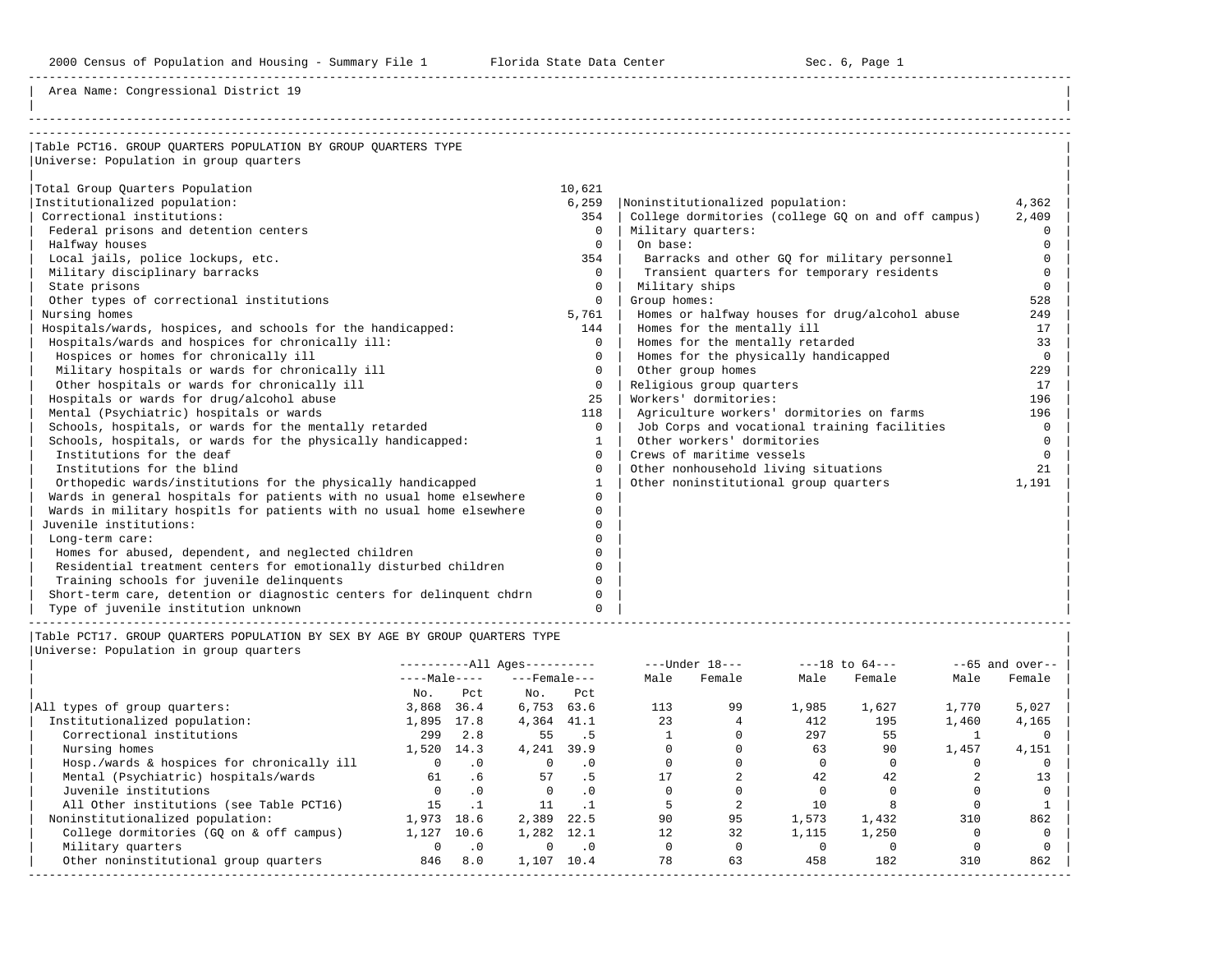2000 Census of Population and Housing - Summary File 1 Florida State Data Center Sec. 6, Page 1

-----------------------------------------------------------------------------------------------------------------------------------------------------

Area Name: Congressional District 19

| Table PCT16. GROUP OUARTERS POPULATION BY GROUP OUARTERS TYPE         |              |                                                    |          |
|-----------------------------------------------------------------------|--------------|----------------------------------------------------|----------|
| Universe: Population in group quarters                                |              |                                                    |          |
|                                                                       |              |                                                    |          |
| Total Group Quarters Population                                       | 10,621       |                                                    |          |
| Institutionalized population:                                         | 6,259        | Noninstitutionalized population:                   | 4,362    |
| Correctional institutions:                                            | 354          | College dormitories (college GO on and off campus) | 2,409    |
| Federal prisons and detention centers                                 | $\Omega$     | Military quarters:                                 | $\Omega$ |
| Halfway houses                                                        | $\Omega$     | On base:                                           | $\Omega$ |
| Local jails, police lockups, etc.                                     | 354          | Barracks and other GQ for military personnel       | $\Omega$ |
| Military disciplinary barracks                                        | $\Omega$     | Transient quarters for temporary residents         | $\Omega$ |
| State prisons                                                         | $\mathbf{0}$ | Military ships                                     | $\Omega$ |
| Other types of correctional institutions                              | $\Omega$     | Group homes:                                       | 528      |
| Nursing homes                                                         | 5,761        | Homes or halfway houses for drug/alcohol abuse     | 249      |
| Hospitals/wards, hospices, and schools for the handicapped:           | 144          | Homes for the mentally ill                         | 17       |
| Hospitals/wards and hospices for chronically ill:                     | $\Omega$     | Homes for the mentally retarded                    | 33       |
| Hospices or homes for chronically ill                                 | $\Omega$     | Homes for the physically handicapped               | $\Omega$ |
| Military hospitals or wards for chronically ill                       | $\Omega$     | Other group homes                                  | 229      |
| Other hospitals or wards for chronically ill                          | $\Omega$     | Religious group quarters                           | 17       |
| Hospitals or wards for drug/alcohol abuse                             | 2.5          | Workers' dormitories:                              | 196      |
| Mental (Psychiatric) hospitals or wards                               | 118          | Agriculture workers' dormitories on farms          | 196      |
| Schools, hospitals, or wards for the mentally retarded                | $\Omega$     | Job Corps and vocational training facilities       | $\Omega$ |
| Schools, hospitals, or wards for the physically handicapped:          |              | Other workers' dormitories                         | $\Omega$ |
| Institutions for the deaf                                             | $\cap$       | Crews of maritime vessels                          | $\Omega$ |
| Institutions for the blind                                            | $\Omega$     | Other nonhousehold living situations               | 21       |
| Orthopedic wards/institutions for the physically handicapped          |              | Other noninstitutional group quarters              | 1,191    |
| Wards in general hospitals for patients with no usual home elsewhere  | $\Omega$     |                                                    |          |
| Wards in military hospitls for patients with no usual home elsewhere  | $\Omega$     |                                                    |          |
| Juvenile institutions:                                                | $\Omega$     |                                                    |          |
| Long-term care:                                                       |              |                                                    |          |
| Homes for abused, dependent, and neglected children                   | $\Omega$     |                                                    |          |
| Residential treatment centers for emotionally disturbed children      | $\Omega$     |                                                    |          |
| Training schools for juvenile delinquents                             |              |                                                    |          |
| Short-term care, detention or diagnostic centers for delinquent chdrn | $\Omega$     |                                                    |          |
| Type of juvenile institution unknown                                  | $\Omega$     |                                                    |          |

|Table PCT17. GROUP QUARTERS POPULATION BY SEX BY AGE BY GROUP QUARTERS TYPE | |Universe: Population in group quarters |

|                                            | ----------All Ages---------- |           | $---Under 18---$   |           | $---18$ to $64---$ |        | $--65$ and over-- |        |       |        |
|--------------------------------------------|------------------------------|-----------|--------------------|-----------|--------------------|--------|-------------------|--------|-------|--------|
|                                            | $---Male---$                 |           | $---$ Female $---$ |           | Male               | Female | Male              | Female | Male  | Female |
|                                            | No.                          | Pct.      | No.                | Pct       |                    |        |                   |        |       |        |
| All types of group quarters:               | 3,868                        | 36.4      | 6,753              | 63.6      | 113                | 99     | 1,985             | 1,627  | 1,770 | 5,027  |
| Institutionalized population:              | 1,895                        | 17.8      | 4,364 41.1         |           | 23                 |        | 412               | 195    | 1,460 | 4,165  |
| Correctional institutions                  | 299                          | 2.8       | 55                 | .5        |                    |        | 297               | 55     |       |        |
| Nursing homes                              | 1,520                        | 14.3      | 4,241              | 39.9      |                    |        | 63                | 90     | 1,457 | 4,151  |
| Hosp./wards & hospices for chronically ill | 0                            | $\cdot$ 0 |                    | $\cdot$ 0 |                    |        |                   |        |       |        |
| Mental (Psychiatric) hospitals/wards       | 61                           | .6        | 57                 | . 5       |                    |        | 42                | 42     |       | 13     |
| Juvenile institutions                      | $\Omega$                     | $\cdot$ 0 | $\Omega$           | $\cdot$ 0 |                    |        |                   |        |       |        |
| All Other institutions (see Table PCT16)   | 15                           |           | 11                 |           |                    |        | 10                |        |       |        |
| Noninstitutionalized population:           | 1,973                        | 18.6      | 2,389              | 22.5      | 90                 | 95     | 1,573             | 1,432  | 310   | 862    |
| College dormitories (GQ on & off campus)   | 1,127                        | 10.6      | 1,282              | 12.1      | 12.                | 32     | 1,115             | 1,250  |       |        |
| Military quarters                          | 0                            | $\cdot$ 0 | 0                  | $\cdot$ 0 |                    |        |                   |        |       |        |
| Other noninstitutional group quarters      | 846                          | 8.0       | 1,107              | 10.4      | 78                 | 63     | 458               | 182    | 310   | 862    |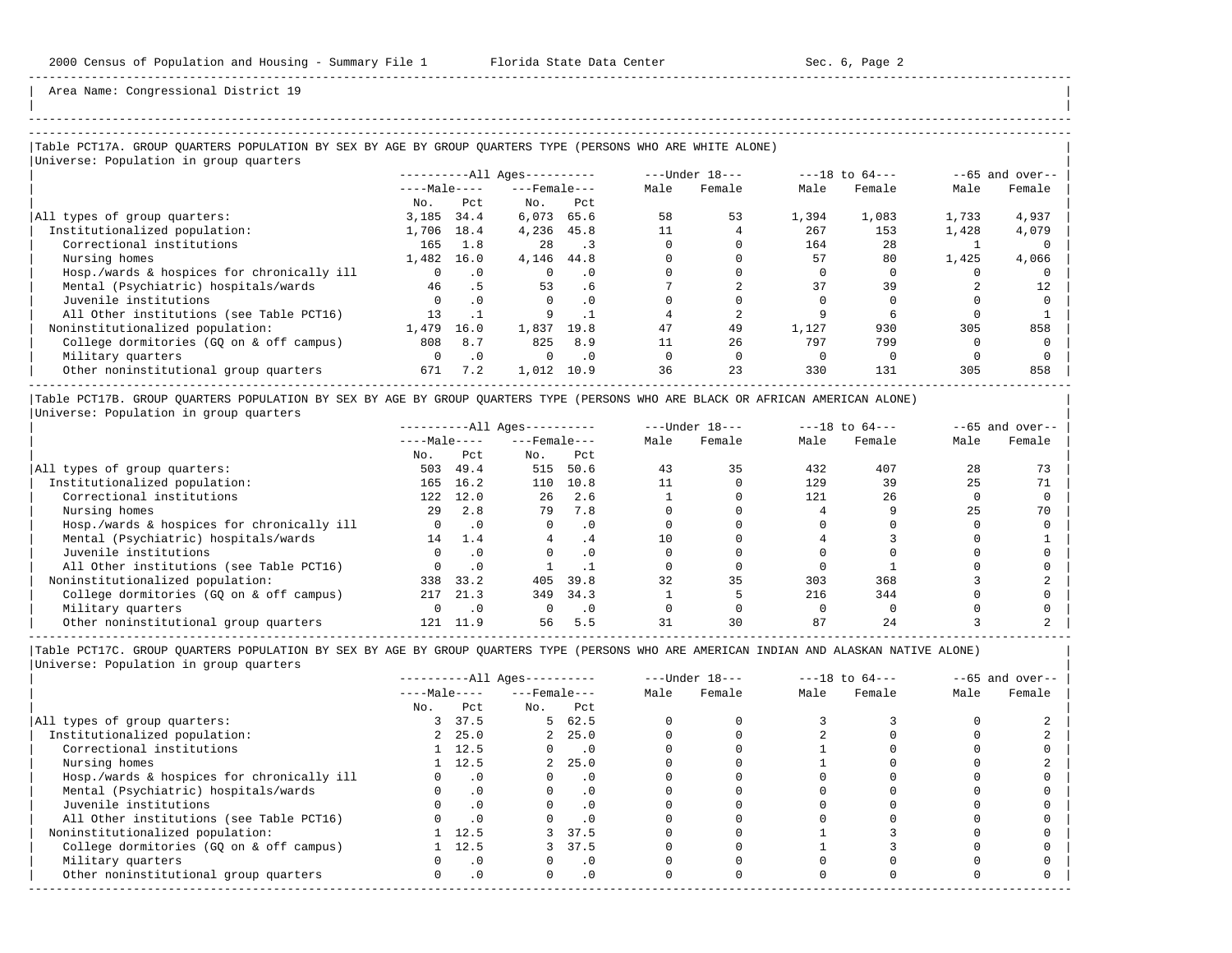| | -----------------------------------------------------------------------------------------------------------------------------------------------------

Area Name: Congressional District 19

## |Table PCT17A. GROUP QUARTERS POPULATION BY SEX BY AGE BY GROUP QUARTERS TYPE (PERSONS WHO ARE WHITE ALONE) | |Universe: Population in group quarters |

|                                            | $------All Aqes------$ |           |                  |           |      | ---Under 18--- | $---18$ to $64---$ |        | $--65$ and over-- |        |
|--------------------------------------------|------------------------|-----------|------------------|-----------|------|----------------|--------------------|--------|-------------------|--------|
|                                            | $---Male---$           |           | $---$ Female --- |           | Male | Female         | Male               | Female | Male              | Female |
|                                            | No.                    | Pct.      | No.              | Pct       |      |                |                    |        |                   |        |
| All types of group quarters:               | 3,185                  | 34.4      | 6,073            | 65.6      | 58   | 53             | 1,394              | 1,083  | 1,733             | 4,937  |
| Institutionalized population:              | 1,706                  | 18.4      | 4,236            | 45.8      |      |                | 267                | 153    | 1,428             | 4,079  |
| Correctional institutions                  | 165                    | 1.8       | 2.8              |           |      |                | 164                | 2.8    |                   |        |
| Nursing homes                              | 1,482                  | 16.0      | 4,146 44.8       |           |      |                | 57                 | 80     | 1,425             | 4,066  |
| Hosp./wards & hospices for chronically ill |                        | $\cdot$ 0 |                  | . 0       |      |                |                    |        |                   |        |
| Mental (Psychiatric) hospitals/wards       | 46                     | .5        | 53               | . 6       |      |                | 37                 | 39     |                   | 12     |
| Juvenile institutions                      |                        | $\cdot$ 0 |                  | . 0       |      |                |                    |        |                   |        |
| All Other institutions (see Table PCT16)   | 13                     |           |                  |           |      |                |                    |        |                   |        |
| Noninstitutionalized population:           | 1,479                  | 16.0      | 1,837            | 19.8      | 47   | 49             | 1,127              | 930    | 305               | 858    |
| College dormitories (GQ on & off campus)   | 808                    | 8.7       | 825              | 8.9       |      | 26             | 797                | 799    |                   |        |
| Military quarters                          |                        | $\cdot$ 0 | $\Omega$         | $\cdot$ 0 |      |                |                    |        |                   |        |
| Other noninstitutional group quarters      | 671                    | 7.2       | 1,012            | 10.9      | 36   | 23             | 330                | 131    | 305               | 858    |
|                                            |                        |           |                  |           |      |                |                    |        |                   |        |

|Table PCT17B. GROUP QUARTERS POPULATION BY SEX BY AGE BY GROUP QUARTERS TYPE (PERSONS WHO ARE BLACK OR AFRICAN AMERICAN ALONE) | |Universe: Population in group quarters |

|                                            | $------All Ages------$ |      | $---Under 18---$   |           | $---18$ to $64---$ |        | $--65$ and over-- |        |      |        |
|--------------------------------------------|------------------------|------|--------------------|-----------|--------------------|--------|-------------------|--------|------|--------|
|                                            | $---Male---$           |      | $---$ Female $---$ |           | Male               | Female | Male              | Female | Male | Female |
|                                            | No.                    | Pct  | No.                | Pct       |                    |        |                   |        |      |        |
| All types of group quarters:               | 503                    | 49.4 | 515                | 50.6      | 43                 | 35     | 432               | 407    | 28   |        |
| Institutionalized population:              | 165                    | 16.2 | 110                | 10.8      |                    |        | 129               | 39     | 25   | 71     |
| Correctional institutions                  | 122                    | 12.0 | 26                 | 2.6       |                    |        | 121               | 26     |      |        |
| Nursing homes                              | 2.9                    | 2.8  | 79                 | 7.8       |                    |        |                   |        | 25   | 70     |
| Hosp./wards & hospices for chronically ill |                        |      |                    | . 0       |                    |        |                   |        |      |        |
| Mental (Psychiatric) hospitals/wards       | 14                     | 1.4  | 4                  | $\cdot$ 4 | 1 O                |        |                   |        |      |        |
| Juvenile institutions                      |                        |      |                    | . 0       |                    |        |                   |        |      |        |
| All Other institutions (see Table PCT16)   |                        |      |                    |           |                    |        |                   |        |      |        |
| Noninstitutionalized population:           | 338                    | 33.2 | 405                | 39.8      | 32                 | 35     | 303               | 368    |      |        |
| College dormitories (GO on & off campus)   | 217                    | 21.3 | 349                | 34.3      |                    |        | 216               | 344    |      |        |
| Military quarters                          |                        |      |                    | $\cdot$ 0 |                    |        |                   |        |      |        |
| Other noninstitutional group quarters      | 121                    |      | 56                 | 5.5       |                    | 30     | 87                |        |      |        |

-----------------------------------------------------------------------------------------------------------------------------------------------------

|                                            |              |                | $------All Aqes------$ |                             |      | $---Under 18---$ |      | $---18$ to $64---$ |      | $--65$ and over-- |
|--------------------------------------------|--------------|----------------|------------------------|-----------------------------|------|------------------|------|--------------------|------|-------------------|
|                                            | $---Male---$ |                | $---$ Female $---$     |                             | Male | Female           | Male | Female             | Male | Female            |
|                                            | No.          | Pct            | No.                    | Pct                         |      |                  |      |                    |      |                   |
| All types of group quarters:               | 3            | 37.5           |                        | 5 62.5                      |      |                  |      |                    |      |                   |
| Institutionalized population:              |              | 2, 25.0        |                        | 2, 25.0                     |      |                  |      |                    |      |                   |
| Correctional institutions                  |              | $1 \quad 12.5$ | $\Omega$               | $\overline{\phantom{0}}$ .0 |      |                  |      |                    |      |                   |
| Nursing homes                              |              | $1 \quad 12.5$ | $\overline{2}$         | 25.0                        |      |                  |      |                    |      |                   |
| Hosp./wards & hospices for chronically ill |              | $\cdot$ 0      |                        | $\cdot$ 0                   |      |                  |      |                    |      |                   |
| Mental (Psychiatric) hospitals/wards       |              | $\cdot$ 0      |                        | $\cdot$ 0                   |      |                  |      |                    |      |                   |
| Juvenile institutions                      |              |                |                        | $\cdot$ 0                   |      |                  |      |                    |      |                   |
| All Other institutions (see Table PCT16)   |              | $\cdot$ 0      |                        |                             |      |                  |      |                    |      |                   |
| Noninstitutionalized population:           |              | 1 12.5         |                        | 3 37.5                      |      |                  |      |                    |      |                   |
| College dormitories (GQ on & off campus)   |              | 12.5           |                        | 37.5                        |      |                  |      |                    |      |                   |
| Military quarters                          |              | $\cdot$ 0      |                        | $\cdot$ 0                   |      |                  |      |                    |      |                   |
| Other noninstitutional group quarters      | $\Omega$     | $\cdot$ 0      | $\Omega$               | $\cdot$ 0                   |      |                  |      |                    |      |                   |
|                                            |              |                |                        |                             |      |                  |      |                    |      |                   |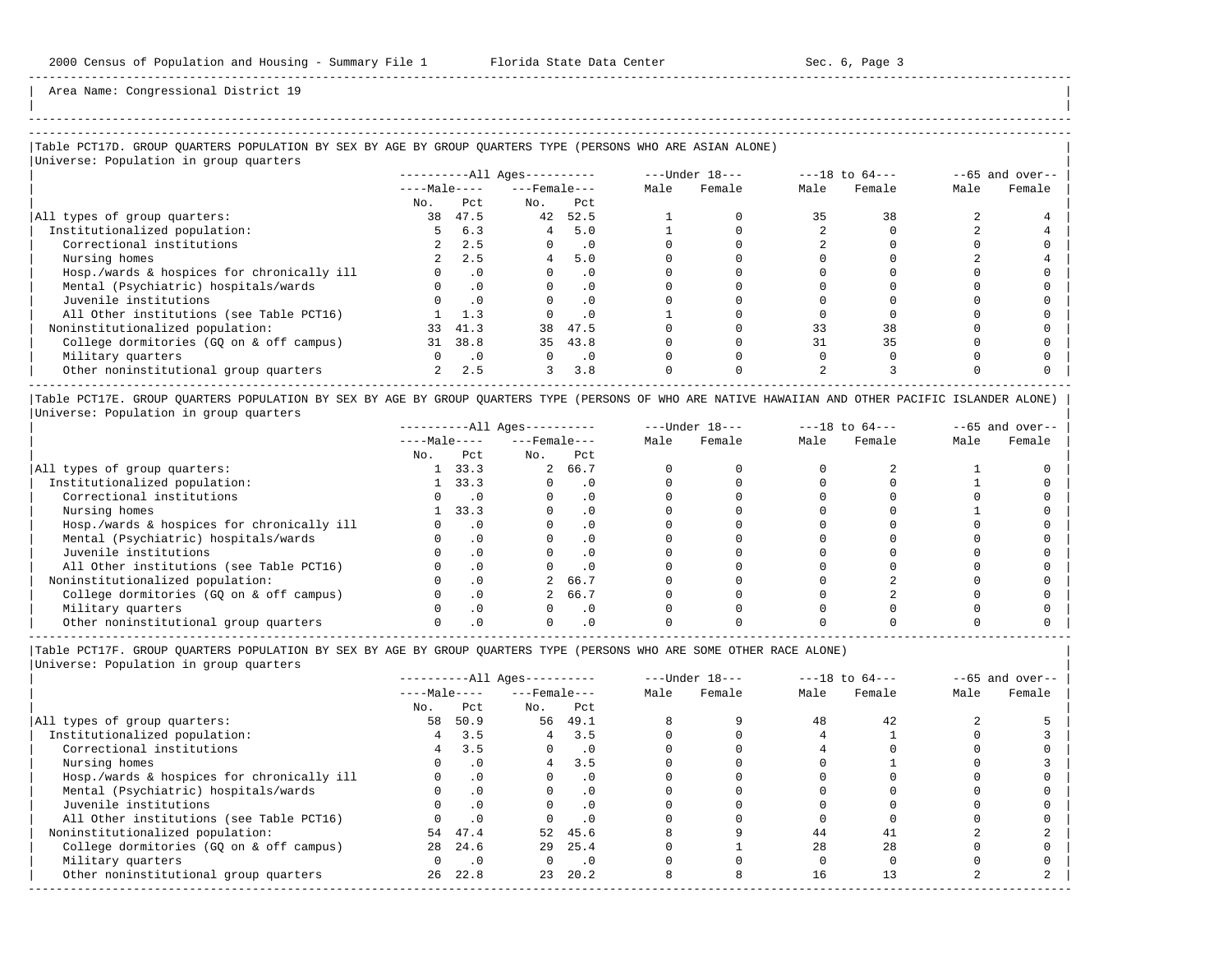| | ----------------------------------------------------------------------------------------------------------------------------------------------------- -----------------------------------------------------------------------------------------------------------------------------------------------------

-----------------------------------------------------------------------------------------------------------------------------------------------------

-----------------------------------------------------------------------------------------------------------------------------------------------------

Area Name: Congressional District 19

# |Table PCT17D. GROUP QUARTERS POPULATION BY SEX BY AGE BY GROUP QUARTERS TYPE (PERSONS WHO ARE ASIAN ALONE) |

|Universe: Population in group quarters |

|                                            |                |           | $------All Aqes------$ |           |      | $---Under 18---$ |      | $---18$ to $64---$ |      | $--65$ and over-- |
|--------------------------------------------|----------------|-----------|------------------------|-----------|------|------------------|------|--------------------|------|-------------------|
|                                            | $---Male---$   |           | $---$ Female $---$     |           | Male | Female           | Male | Female             | Male | Female            |
|                                            | No.            | Pct       | No.                    | Pct       |      |                  |      |                    |      |                   |
| All types of group quarters:               | 38             | 47.5      | 42                     | 52.5      |      |                  |      | 38                 |      |                   |
| Institutionalized population:              |                | 6.3       | 4                      | 5.0       |      |                  |      |                    |      |                   |
| Correctional institutions                  |                | 2.5       | 0                      | . 0       |      |                  |      |                    |      |                   |
| Nursing homes                              |                | 2.5       | 4                      | 5.0       |      |                  |      |                    |      |                   |
| Hosp./wards & hospices for chronically ill |                | $\cdot$ 0 |                        | . 0       |      |                  |      |                    |      |                   |
| Mental (Psychiatric) hospitals/wards       |                |           |                        | $\cdot$ 0 |      |                  |      |                    |      |                   |
| Juvenile institutions                      |                |           |                        | $\cdot$ 0 |      |                  |      |                    |      |                   |
| All Other institutions (see Table PCT16)   |                | 1.3       |                        | . 0       |      |                  |      |                    |      |                   |
| Noninstitutionalized population:           | 33             | 41.3      | 38                     | 47.5      |      |                  | 33   | 38                 |      |                   |
| College dormitories (GO on & off campus)   | 31             | 38.8      | 35                     | 43.8      |      |                  |      | 35                 |      |                   |
| Military quarters                          |                | $\cdot$ 0 |                        | $\cdot$ 0 |      |                  |      |                    |      |                   |
| Other noninstitutional group quarters      | $\overline{a}$ | 2.5       | 3                      | 3.8       |      |                  |      |                    |      |                   |
|                                            |                |           |                        |           |      |                  |      |                    |      |                   |

|Table PCT17E. GROUP QUARTERS POPULATION BY SEX BY AGE BY GROUP QUARTERS TYPE (PERSONS OF WHO ARE NATIVE HAWAIIAN AND OTHER PACIFIC ISLANDER ALONE) | |Universe: Population in group quarters |

|                                            | ----------All Ages--------- |      |                    |           | $---Under 18---$ |        | $---18$ to $64---$ | $--65$ and over-- |      |        |
|--------------------------------------------|-----------------------------|------|--------------------|-----------|------------------|--------|--------------------|-------------------|------|--------|
|                                            | $---Male---$                |      | $---$ Female $---$ |           | Male             | Female | Male               | Female            | Male | Female |
|                                            | No.                         | Pct  | No.                | Pct       |                  |        |                    |                   |      |        |
| All types of group quarters:               |                             | 33.3 |                    | 2 66.7    |                  |        |                    |                   |      |        |
| Institutionalized population:              |                             | 33.3 |                    | . 0       |                  |        |                    |                   |      |        |
| Correctional institutions                  |                             |      |                    |           |                  |        |                    |                   |      |        |
| Nursing homes                              |                             | 33.3 |                    |           |                  |        |                    |                   |      |        |
| Hosp./wards & hospices for chronically ill |                             |      |                    |           |                  |        |                    |                   |      |        |
| Mental (Psychiatric) hospitals/wards       |                             |      |                    |           |                  |        |                    |                   |      |        |
| Juvenile institutions                      |                             |      |                    | . 0       |                  |        |                    |                   |      |        |
| All Other institutions (see Table PCT16)   |                             |      |                    |           |                  |        |                    |                   |      |        |
| Noninstitutionalized population:           |                             |      |                    | 2 66.7    |                  |        |                    |                   |      |        |
| College dormitories (GO on & off campus)   |                             |      |                    | 66.7      |                  |        |                    |                   |      |        |
| Military quarters                          |                             |      |                    | $\cdot$ 0 |                  |        |                    |                   |      |        |
| Other noninstitutional group quarters      |                             |      |                    |           |                  |        |                    |                   |      |        |

|Table PCT17F. GROUP QUARTERS POPULATION BY SEX BY AGE BY GROUP QUARTERS TYPE (PERSONS WHO ARE SOME OTHER RACE ALONE) |

|                                            | $------All Aqes------$ |           |                    | $---Under 18---$ | $---18$ to $64---$ |        | $--65$ and over-- |        |      |        |
|--------------------------------------------|------------------------|-----------|--------------------|------------------|--------------------|--------|-------------------|--------|------|--------|
|                                            | $---Male---$           |           | $---$ Female $---$ |                  | Male               | Female | Male              | Female | Male | Female |
|                                            | No.                    | Pct       | No.                | Pct              |                    |        |                   |        |      |        |
| All types of group quarters:               | 58                     | 50.9      | 56                 | 49.1             |                    |        | 48                | 42     |      |        |
| Institutionalized population:              | 4                      | 3.5       | 4                  | 3.5              |                    |        |                   |        |      |        |
| Correctional institutions                  |                        | 3.5       |                    | $\cdot$ 0        |                    |        |                   |        |      |        |
| Nursing homes                              |                        | $\cdot$ 0 | $\overline{4}$     | 3.5              |                    |        |                   |        |      |        |
| Hosp./wards & hospices for chronically ill |                        | $\cdot$ 0 |                    | . 0              |                    |        |                   |        |      |        |
| Mental (Psychiatric) hospitals/wards       |                        | $\cdot$ 0 |                    | . 0              |                    |        |                   |        |      |        |
| Juvenile institutions                      |                        | $\cdot$ 0 |                    |                  |                    |        |                   |        |      |        |
| All Other institutions (see Table PCT16)   |                        | $\cdot$ 0 |                    |                  |                    |        |                   |        |      |        |
| Noninstitutionalized population:           |                        | 54 47.4   | 52                 | 45.6             |                    |        | 44                |        |      |        |
| College dormitories (GQ on & off campus)   | 28                     | 24.6      | 29                 | 25.4             |                    |        | 28                | 28     |      |        |
| Military quarters                          |                        | $\cdot$ 0 |                    | $\cdot$ .0       |                    |        |                   |        |      |        |
| Other noninstitutional group quarters      | 26                     | 22.8      | 23                 | 20.2             |                    |        | 16                |        |      |        |
|                                            |                        |           |                    |                  |                    |        |                   |        |      |        |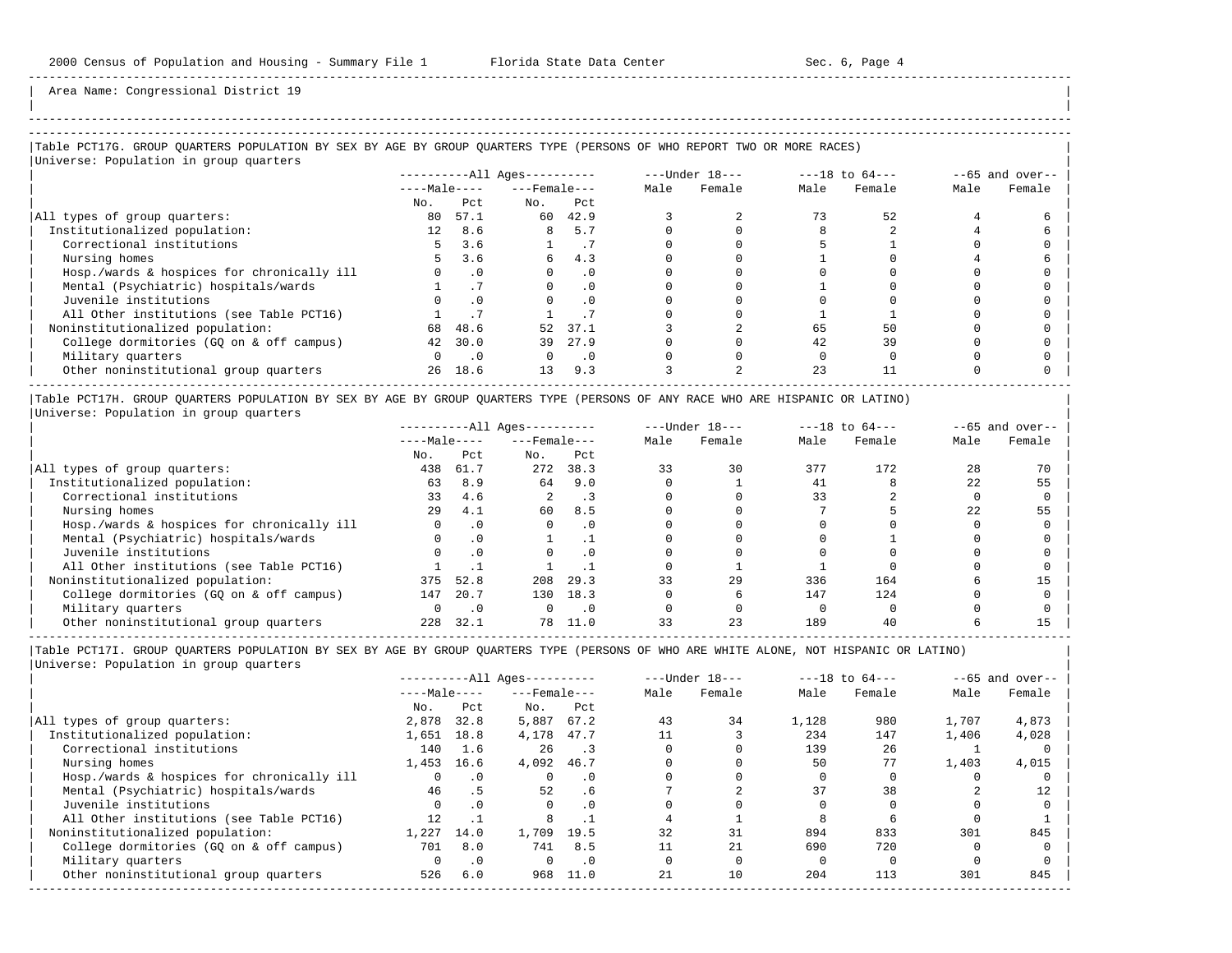| | -----------------------------------------------------------------------------------------------------------------------------------------------------

Area Name: Congressional District 19

## |Table PCT17G. GROUP QUARTERS POPULATION BY SEX BY AGE BY GROUP QUARTERS TYPE (PERSONS OF WHO REPORT TWO OR MORE RACES) |

|Universe: Population in group quarters |

|                                            | $------All Ages------$ |           |                    |                 | $---Under 18---$ |        | $---18$ to $64---$ | $--65$ and over-- |      |        |
|--------------------------------------------|------------------------|-----------|--------------------|-----------------|------------------|--------|--------------------|-------------------|------|--------|
|                                            | $---Male---$           |           | $---$ Female $---$ |                 | Male             | Female | Male               | Female            | Male | Female |
|                                            | No.                    | Pct.      | No.                | Pct             |                  |        |                    |                   |      |        |
| All types of group quarters:               | 80                     | 57.1      | 60                 | 42.9            |                  |        |                    | 52                |      |        |
| Institutionalized population:              | 12 <sup>°</sup>        | 8.6       | 8                  | 5.7             |                  |        |                    |                   |      |        |
| Correctional institutions                  | 5.                     | 3.6       |                    | $\cdot$ $\cdot$ |                  |        |                    |                   |      |        |
| Nursing homes                              |                        | 3.6       | б.                 | 4.3             |                  |        |                    |                   |      |        |
| Hosp./wards & hospices for chronically ill |                        | . 0       |                    |                 |                  |        |                    |                   |      |        |
| Mental (Psychiatric) hospitals/wards       |                        |           |                    | $\cdot$ 0       |                  |        |                    |                   |      |        |
| Juvenile institutions                      |                        | $\cdot$ 0 |                    |                 |                  |        |                    |                   |      |        |
| All Other institutions (see Table PCT16)   |                        |           |                    |                 |                  |        |                    |                   |      |        |
| Noninstitutionalized population:           | 68                     | 48.6      | 52                 | 37.1            |                  |        | 65                 | 50                |      |        |
| College dormitories (GO on & off campus)   | 42                     | 30.0      | 39                 | 27.9            |                  |        | 42                 | 39                |      |        |
| Military quarters                          |                        | $\cdot$ 0 |                    | $\cdot$ 0       |                  |        |                    |                   |      |        |
| Other noninstitutional group quarters      | 26                     | 18.6      | 13                 | 9.3             |                  |        | 23                 |                   |      |        |

|Table PCT17H. GROUP QUARTERS POPULATION BY SEX BY AGE BY GROUP QUARTERS TYPE (PERSONS OF ANY RACE WHO ARE HISPANIC OR LATINO) | |Universe: Population in group quarters |

|                                            | $------All Ages------$ |      |                    |      | $---Under 18---$ |        | $---18$ to $64---$ |        | $- -65$ and over-- |        |
|--------------------------------------------|------------------------|------|--------------------|------|------------------|--------|--------------------|--------|--------------------|--------|
|                                            | $---Male---$           |      | $---$ Female $---$ |      | Male             | Female | Male               | Female | Male               | Female |
|                                            | No.                    | Pct  | No.                | Pct  |                  |        |                    |        |                    |        |
| All types of group quarters:               | 438                    | 61.7 | 272                | 38.3 | 33               | 30     | 377                | 172    | 28                 |        |
| Institutionalized population:              | 63                     | 8.9  | 64                 | 9.0  |                  |        | 41                 |        | 22                 | 55     |
| Correctional institutions                  | 33                     | 4.6  |                    | . 3  |                  |        | 33                 |        |                    |        |
| Nursing homes                              | 29                     | 4.1  | 60                 | 8.5  |                  |        |                    |        | 22                 | 55     |
| Hosp./wards & hospices for chronically ill |                        | . 0  |                    | . 0  |                  |        |                    |        |                    |        |
| Mental (Psychiatric) hospitals/wards       |                        |      |                    |      |                  |        |                    |        |                    |        |
| Juvenile institutions                      |                        |      |                    | . 0  |                  |        |                    |        |                    |        |
| All Other institutions (see Table PCT16)   |                        |      |                    |      |                  |        |                    |        |                    |        |
| Noninstitutionalized population:           | 375                    | 52.8 | 208                | 29.3 | 33               | 29     | 336                | 164    |                    |        |
| College dormitories (GO on & off campus)   | 147                    | 20.7 | 130                | 18.3 |                  |        | 147                | 124    |                    |        |
| Military quarters                          |                        | .0   |                    | . 0  |                  |        |                    |        |                    |        |
| Other noninstitutional group quarters      | 228                    | 32.1 |                    | 11.0 |                  | 23     | 189                | 40     |                    |        |

-----------------------------------------------------------------------------------------------------------------------------------------------------

|                                            | $------All Aqes------$ |           | $---Under 18---$   |           | $---18$ to $64---$ |        | $--65$ and over-- |        |       |        |
|--------------------------------------------|------------------------|-----------|--------------------|-----------|--------------------|--------|-------------------|--------|-------|--------|
|                                            | $---Male---$           |           | $---$ Female $---$ |           | Male               | Female | Male              | Female | Male  | Female |
|                                            | No.                    | Pct       | No.                | Pct       |                    |        |                   |        |       |        |
| All types of group quarters:               | 2,878                  | 32.8      | 5,887              | 67.2      | 43                 | 34     | 1,128             | 980    | 1,707 | 4,873  |
| Institutionalized population:              | 1,651                  | 18.8      | 4,178              | 47.7      |                    |        | 234               | 147    | 1,406 | 4,028  |
| Correctional institutions                  | 140                    | 1.6       | 26                 |           |                    |        | 139               | 26     |       |        |
| Nursing homes                              | 1,453                  | 16.6      | 4,092              | 46.7      |                    |        | 50                | 77     | 1,403 | 4,015  |
| Hosp./wards & hospices for chronically ill |                        | $\cdot$ 0 |                    | $\cdot$ 0 |                    |        |                   |        |       |        |
| Mental (Psychiatric) hospitals/wards       | 46                     | . 5       | 52                 | .6        |                    |        | 37                | 38     |       | 12     |
| Juvenile institutions                      |                        | $\cdot$ 0 |                    | $\cdot$ 0 |                    |        |                   |        |       |        |
| All Other institutions (see Table PCT16)   | 12.                    |           |                    |           |                    |        |                   |        |       |        |
| Noninstitutionalized population:           | 1,227                  | 14.0      | 1,709              | 19.5      | 32                 | 31     | 894               | 833    | 301   | 845    |
| College dormitories (GO on & off campus)   | 701                    | 8.0       | 741                | 8.5       |                    | 21     | 690               | 720    |       |        |
| Military quarters                          |                        | $\cdot$ 0 |                    | $\cdot$ 0 |                    |        |                   |        |       |        |
| Other noninstitutional group quarters      | 526                    | 6.0       | 968                | 11.0      | 21                 | 10     | 204               | 113    | 301   | 845    |
|                                            |                        |           |                    |           |                    |        |                   |        |       |        |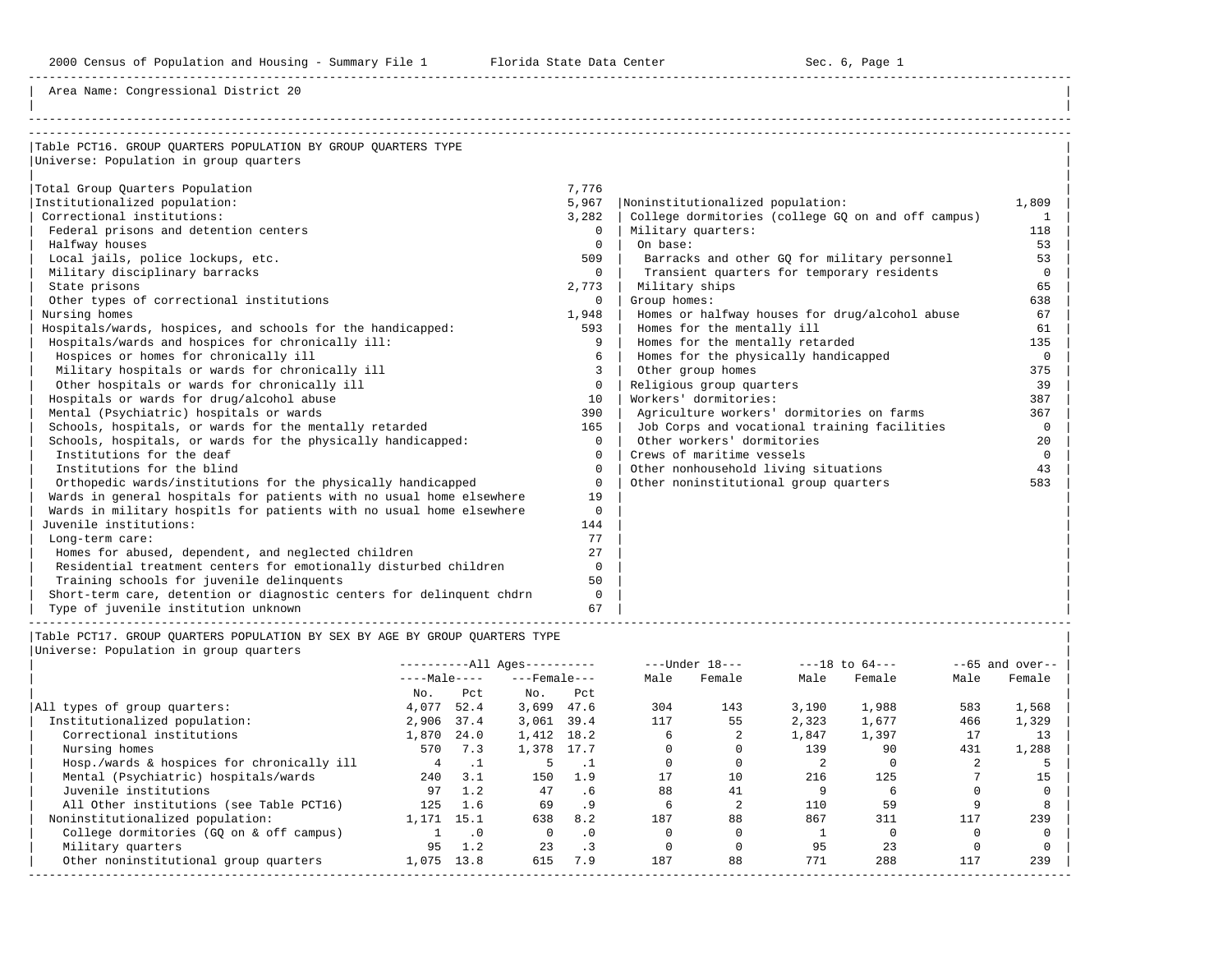Area Name: Congressional District 20

| Table PCT16. GROUP OUARTERS POPULATION BY GROUP OUARTERS TYPE         |          |                                                    |          |
|-----------------------------------------------------------------------|----------|----------------------------------------------------|----------|
| Universe: Population in group quarters                                |          |                                                    |          |
|                                                                       |          |                                                    |          |
| Total Group Quarters Population                                       | 7.776    |                                                    |          |
| Institutionalized population:                                         | 5,967    | Noninstitutionalized population:                   | 1,809    |
| Correctional institutions:                                            | 3,282    | College dormitories (college GQ on and off campus) | 1        |
| Federal prisons and detention centers                                 | $\Omega$ | Military quarters:                                 | 118      |
| Halfway houses                                                        | $\Omega$ | On base:                                           | 53       |
| Local jails, police lockups, etc.                                     | 509      | Barracks and other GO for military personnel       | 53       |
| Military disciplinary barracks                                        | $\Omega$ | Transient quarters for temporary residents         | $\Omega$ |
| State prisons                                                         | 2,773    | Military ships                                     | 65       |
| Other types of correctional institutions                              | $\Omega$ | Group homes:                                       | 638      |
| Nursing homes                                                         | 1,948    | Homes or halfway houses for drug/alcohol abuse     | 67       |
| Hospitals/wards, hospices, and schools for the handicapped:           | 593      | Homes for the mentally ill                         | 61       |
| Hospitals/wards and hospices for chronically ill:                     | 9        | Homes for the mentally retarded                    | 135      |
| Hospices or homes for chronically ill                                 | 6        | Homes for the physically handicapped               | $\Omega$ |
| Military hospitals or wards for chronically ill                       | 3        | Other group homes                                  | 375      |
| Other hospitals or wards for chronically ill                          | $\Omega$ | Religious group quarters                           | 39       |
| Hospitals or wards for drug/alcohol abuse                             | 10       | Workers' dormitories:                              | 387      |
| Mental (Psychiatric) hospitals or wards                               | 390      | Agriculture workers' dormitories on farms          | 367      |
| Schools, hospitals, or wards for the mentally retarded                | 165      | Job Corps and vocational training facilities       | $\Omega$ |
| Schools, hospitals, or wards for the physically handicapped:          | $\Omega$ | Other workers' dormitories                         | 20       |
| Institutions for the deaf                                             | $\Omega$ | Crews of maritime vessels                          | $\Omega$ |
| Institutions for the blind                                            | $\Omega$ | Other nonhousehold living situations               | 43       |
| Orthopedic wards/institutions for the physically handicapped          | $\Omega$ | Other noninstitutional group quarters              | 583      |
| Wards in general hospitals for patients with no usual home elsewhere  | 19       |                                                    |          |
| Wards in military hospitls for patients with no usual home elsewhere  | $\Omega$ |                                                    |          |
| Juvenile institutions:                                                | 144      |                                                    |          |
| Long-term care:                                                       | 77       |                                                    |          |
| Homes for abused, dependent, and neglected children                   | 27       |                                                    |          |
| Residential treatment centers for emotionally disturbed children      | 0        |                                                    |          |
| Training schools for juvenile delinquents                             | 50       |                                                    |          |
| Short-term care, detention or diagnostic centers for delinguent chdrn | $\Omega$ |                                                    |          |
| Type of juvenile institution unknown                                  | 67       |                                                    |          |

|Table PCT17. GROUP QUARTERS POPULATION BY SEX BY AGE BY GROUP QUARTERS TYPE | |<br>|Universe: Population

| Universe: Population in group quarters |  |  |  |  |
|----------------------------------------|--|--|--|--|
|----------------------------------------|--|--|--|--|

|                                            |              |      | $------All Aqes------$ |           |      | $---Under 18---$ |       | $---18$ to $64---$ |      | $--65$ and over-- |
|--------------------------------------------|--------------|------|------------------------|-----------|------|------------------|-------|--------------------|------|-------------------|
|                                            | $---Male---$ |      | $---$ Female $---$     |           | Male | Female           | Male  | Female             | Male | Female            |
|                                            | No.          | Pct  | No.                    | Pct       |      |                  |       |                    |      |                   |
| All types of group quarters:               | 4,077        | 52.4 | 3,699                  | 47.6      | 304  | 143              | 3,190 | 1,988              | 583  | 1,568             |
| Institutionalized population:              | 2,906        | 37.4 | 3,061                  | 39.4      | 117  | 55               | 2,323 | 1,677              | 466  | 1,329             |
| Correctional institutions                  | 1,870        | 24.0 | 1,412 18.2             |           |      |                  | 1,847 | 1,397              | 17   | 13                |
| Nursing homes                              | 570          | 7.3  | 1,378 17.7             |           |      |                  | 139   | 90                 | 431  | 1,288             |
| Hosp./wards & hospices for chronically ill | 4            |      |                        |           |      |                  |       |                    |      |                   |
| Mental (Psychiatric) hospitals/wards       | 240          | 3.1  | 150                    | 1.9       | 17   | 10               | 216   | 125                |      | 15                |
| Juvenile institutions                      | 97           | 1.2  | 47                     | $.6 \,$   | 88   | 41               |       |                    |      |                   |
| All Other institutions (see Table PCT16)   | 125          | 1.6  | 69                     | .9        |      |                  | 110   | 59                 |      |                   |
| Noninstitutionalized population:           | 1,171        | 15.1 | 638                    | 8.2       | 187  | 88               | 867   | 311                | 117  | 239               |
| College dormitories (GO on & off campus)   |              | . 0  | $\Omega$               | $\cdot$ 0 |      |                  |       |                    |      |                   |
| Military quarters                          | 95           | 1.2  | 23                     | $\cdot$ 3 |      |                  | 95    | 23                 |      |                   |
| Other noninstitutional group quarters      | 1,075        | 13.8 | 615                    | 7.9       | 187  | 88               | 771   | 288                | 117  | 239               |
|                                            |              |      |                        |           |      |                  |       |                    |      |                   |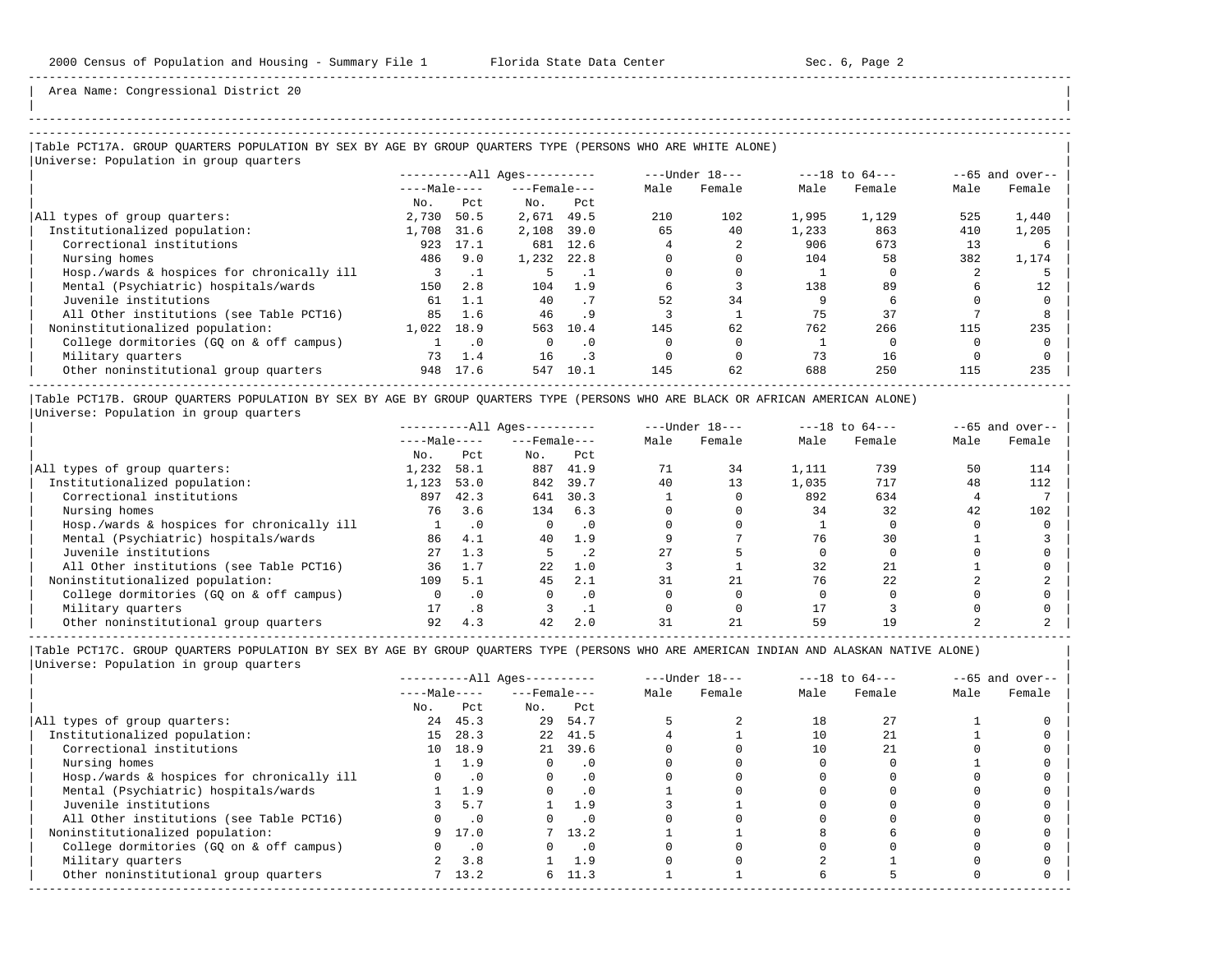| | -----------------------------------------------------------------------------------------------------------------------------------------------------

Area Name: Congressional District 20

### |Table PCT17A. GROUP QUARTERS POPULATION BY SEX BY AGE BY GROUP QUARTERS TYPE (PERSONS WHO ARE WHITE ALONE) | |<br>|Universe: Population in group quarters

|                                            |              |           | $------All \text{Aqes}---$ |           | ---Under 18--- |        | $---18$ to $64---$ |        | $--65$ and over-- |        |
|--------------------------------------------|--------------|-----------|----------------------------|-----------|----------------|--------|--------------------|--------|-------------------|--------|
|                                            | $---Male---$ |           | $---$ Female $---$         |           | Male           | Female | Male               | Female | Male              | Female |
|                                            | No.          | Pct.      | No.                        | Pct       |                |        |                    |        |                   |        |
| All types of group quarters:               | 2,730        | 50.5      | 2,671                      | 49.5      | 210            | 102    | 1,995              | 1,129  | 525               | 1,440  |
| Institutionalized population:              | 1,708        | 31.6      | 2,108                      | 39.0      | 65             | 40     | 1,233              | 863    | 410               | 1,205  |
| Correctional institutions                  | 923          | 17.1      |                            | 681 12.6  |                |        | 906                | 673    | 13                |        |
| Nursing homes                              | 486          | 9.0       | 1,232                      | 22.8      |                |        | 104                | 58     | 382               | 1,174  |
| Hosp./wards & hospices for chronically ill |              |           |                            |           |                |        |                    |        |                   |        |
| Mental (Psychiatric) hospitals/wards       | 150          | 2.8       | 104                        | 1.9       |                |        | 138                | 89     |                   | 12.    |
| Juvenile institutions                      | 61           | 1.1       | 40                         | .7        | 52             | 34     |                    |        |                   |        |
| All Other institutions (see Table PCT16)   | 85           | 1.6       | 46                         | .9        |                |        | 75                 | 37     |                   |        |
| Noninstitutionalized population:           | 1,022        | 18.9      | 563                        | 10.4      | 145            | 62     | 762                | 266    | 115               | 235    |
| College dormitories (GO on & off campus)   |              | $\cdot$ 0 | $\Omega$                   | $\cdot$ 0 |                |        |                    |        |                   |        |
| Military quarters                          | 73           | 1.4       | 16                         | $\cdot$ 3 |                |        | 73                 | 16     |                   |        |
| Other noninstitutional group quarters      | 948          | 17.6      | 547                        | 10.1      | 145            | 62     | 688                | 250    | 115               | 235    |
|                                            |              |           |                            |           |                |        |                    |        |                   |        |

|Table PCT17B. GROUP QUARTERS POPULATION BY SEX BY AGE BY GROUP QUARTERS TYPE (PERSONS WHO ARE BLACK OR AFRICAN AMERICAN ALONE) | |Universe: Population in group quarters |

|                                            |              | $------All Ages------$ |                    |           |      | $---Under 18---$ | $---18$ to $64---$ |        | $--65$ and over-- |        |
|--------------------------------------------|--------------|------------------------|--------------------|-----------|------|------------------|--------------------|--------|-------------------|--------|
|                                            | $---Male---$ |                        | $---$ Female $---$ |           | Male | Female           | Male               | Female | Male              | Female |
|                                            | No.          | Pct                    | No.                | Pct       |      |                  |                    |        |                   |        |
| All types of group quarters:               | 1,232        | 58.1                   | 887                | 41.9      |      | 34               | 1,111              | 739    | 50                | 114    |
| Institutionalized population:              | 1,123        | 53.0                   | 842                | 39.7      | 40   | 13               | 1,035              | 717    | 48                | 112    |
| Correctional institutions                  | 897          | 42.3                   | 641                | 30.3      |      |                  | 892                | 634    |                   |        |
| Nursing homes                              | 76           | 3.6                    | 134                | 6.3       |      |                  | 34                 | 32     | 42                | 102    |
| Hosp./wards & hospices for chronically ill |              | . 0                    |                    | . 0       |      |                  |                    |        |                   |        |
| Mental (Psychiatric) hospitals/wards       | 86           | 4.1                    | 40                 | 1.9       |      |                  | 76                 | 30     |                   |        |
| Juvenile institutions                      | 27           | 1.3                    |                    | .2        |      |                  |                    |        |                   |        |
| All Other institutions (see Table PCT16)   | 36           | 1.7                    | 22.                | 1.0       |      |                  | 32                 |        |                   |        |
| Noninstitutionalized population:           | 109          | 5.1                    | 45                 | 2.1       |      | 21               | 76                 | 22     |                   |        |
| College dormitories (GO on & off campus)   |              | $\cdot$ 0              |                    | $\cdot$ 0 |      |                  |                    |        |                   |        |
| Military quarters                          |              | .8                     |                    |           |      |                  |                    |        |                   |        |
| Other noninstitutional group quarters      | 92           | 4.3                    | 42                 | 2.0       |      | 21               | 59                 |        |                   |        |

|                                            |              |           | $------All Aqes------$ |           |      | $---Under 18---$ |      | $---18$ to $64---$ |      | $- -65$ and over-- |
|--------------------------------------------|--------------|-----------|------------------------|-----------|------|------------------|------|--------------------|------|--------------------|
|                                            | $---Male---$ |           | $---$ Female $---$     |           | Male | Female           | Male | Female             | Male | Female             |
|                                            | No.          | Pct       | No.                    | Pct       |      |                  |      |                    |      |                    |
| All types of group quarters:               | 24           | 45.3      |                        | 29 54.7   |      |                  | 18   | 27                 |      |                    |
| Institutionalized population:              | 15           | 28.3      | 2.2                    | 41.5      |      |                  |      |                    |      |                    |
| Correctional institutions                  |              | 10 18.9   |                        | 21 39.6   |      |                  | 10   |                    |      |                    |
| Nursing homes                              |              | 1.9       |                        | . 0       |      |                  |      |                    |      |                    |
| Hosp./wards & hospices for chronically ill |              |           |                        | . 0       |      |                  |      |                    |      |                    |
| Mental (Psychiatric) hospitals/wards       |              | 1.9       |                        | $\cdot$ 0 |      |                  |      |                    |      |                    |
| Juvenile institutions                      |              | 5.7       |                        | 1.9       |      |                  |      |                    |      |                    |
| All Other institutions (see Table PCT16)   |              |           |                        | . 0       |      |                  |      |                    |      |                    |
| Noninstitutionalized population:           |              | 17.0      |                        | 7, 13.2   |      |                  |      |                    |      |                    |
| College dormitories (GQ on & off campus)   |              | $\cdot$ 0 |                        | . 0       |      |                  |      |                    |      |                    |
| Military quarters                          |              | 3.8       |                        | 1.9       |      |                  |      |                    |      |                    |
| Other noninstitutional group quarters      |              | 7, 13.2   | ნ.                     | 11.3      |      |                  |      |                    |      |                    |
|                                            |              |           |                        |           |      |                  |      |                    |      |                    |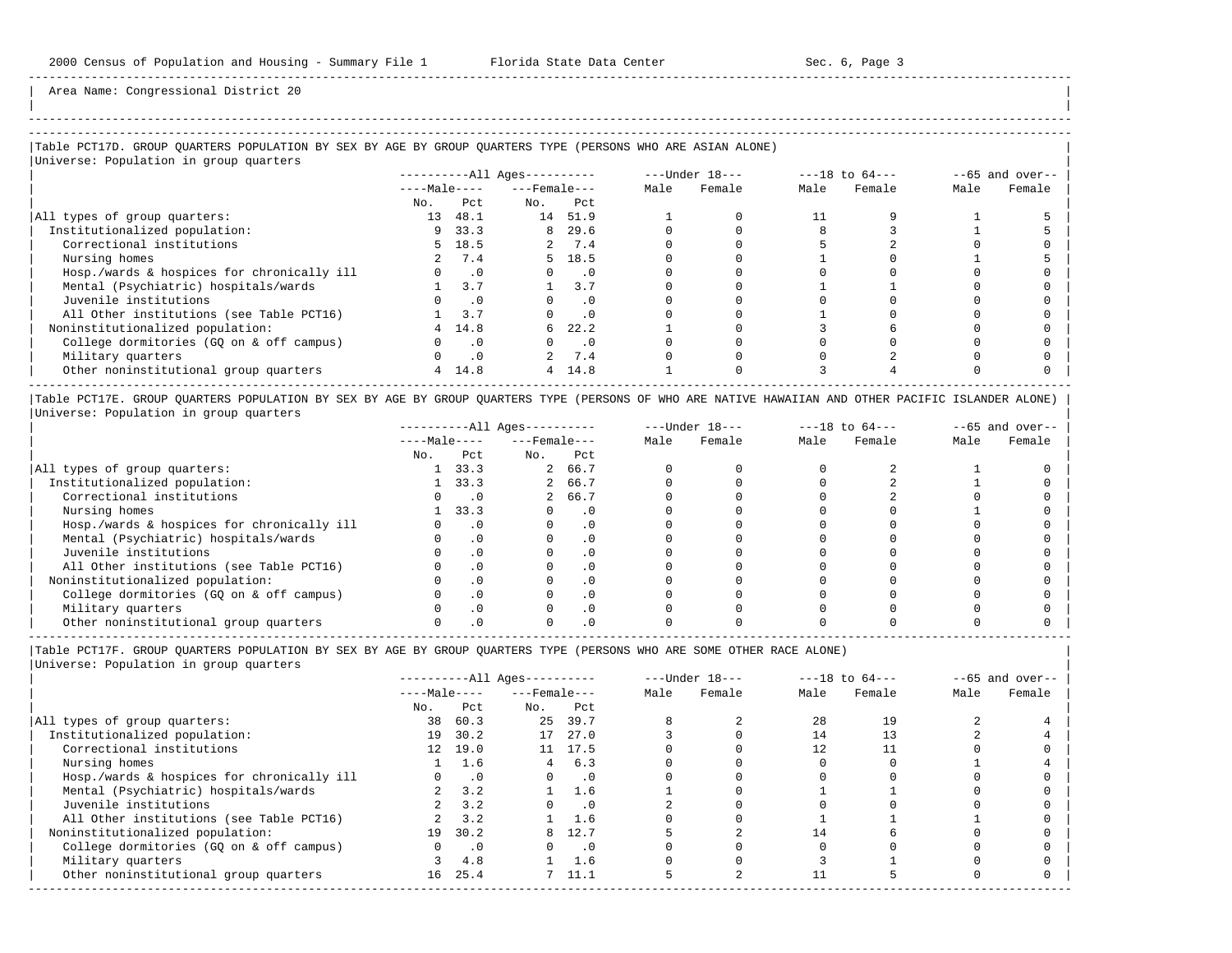-----------------------------------------------------------------------------------------------------------------------------------------------------

Area Name: Congressional District 20

# |Table PCT17D. GROUP QUARTERS POPULATION BY SEX BY AGE BY GROUP QUARTERS TYPE (PERSONS WHO ARE ASIAN ALONE) |

|Universe: Population in group quarters |

|                                            |              |           | $------All Aqes------$ |           | $---Under 18---$ |        | $---18$ to $64---$ |        | $--65$ and over-- |        |
|--------------------------------------------|--------------|-----------|------------------------|-----------|------------------|--------|--------------------|--------|-------------------|--------|
|                                            | $---Male---$ |           | $---$ Female $---$     |           | Male             | Female | Male               | Female | Male              | Female |
|                                            | No.          | Pct       | No.                    | Pct       |                  |        |                    |        |                   |        |
| All types of group quarters:               | 13           | 48.1      |                        | 14 51.9   |                  |        |                    |        |                   |        |
| Institutionalized population:              | 9.           | 33.3      |                        | 8 29.6    |                  |        |                    |        |                   |        |
| Correctional institutions                  | 5.           | 18.5      |                        | 2 7.4     |                  |        |                    |        |                   |        |
| Nursing homes                              |              | 7.4       |                        | 5, 18.5   |                  |        |                    |        |                   |        |
| Hosp./wards & hospices for chronically ill |              | $\cdot$ 0 |                        | $\cdot$ 0 |                  |        |                    |        |                   |        |
| Mental (Psychiatric) hospitals/wards       |              | 3.7       |                        | 3.7       |                  |        |                    |        |                   |        |
| Juvenile institutions                      |              | . 0       |                        |           |                  |        |                    |        |                   |        |
| All Other institutions (see Table PCT16)   |              |           |                        |           |                  |        |                    |        |                   |        |
| Noninstitutionalized population:           |              | 14.8      | 6                      | 22.2      |                  |        |                    |        |                   |        |
| College dormitories (GO on & off campus)   |              | . 0       |                        | $\cdot$ 0 |                  |        |                    |        |                   |        |
| Military quarters                          |              | $\cdot$ 0 |                        | 7.4       |                  |        |                    |        |                   |        |
| Other noninstitutional group quarters      | 4            | 14.8      |                        | 4, 14.8   |                  |        |                    |        |                   |        |
|                                            |              |           |                        |           |                  |        |                    |        |                   |        |

|Table PCT17E. GROUP QUARTERS POPULATION BY SEX BY AGE BY GROUP QUARTERS TYPE (PERSONS OF WHO ARE NATIVE HAWAIIAN AND OTHER PACIFIC ISLANDER ALONE) | |Universe: Population in group quarters |

|                                            |              | $------All Aqes------$ |                    |           |      | $---Under 18---$ | $---18$ to $64---$ |        | $--65$ and over-- |        |
|--------------------------------------------|--------------|------------------------|--------------------|-----------|------|------------------|--------------------|--------|-------------------|--------|
|                                            | $---Male---$ |                        | $---$ Female $---$ |           | Male | Female           | Male               | Female | Male              | Female |
|                                            | No.          | Pct                    | No.                | Pct       |      |                  |                    |        |                   |        |
| All types of group quarters:               |              | 33.3                   |                    | 2 66.7    |      |                  |                    |        |                   |        |
| Institutionalized population:              |              | 33.3                   |                    | 2 66.7    |      |                  |                    |        |                   |        |
| Correctional institutions                  |              |                        |                    | 2 66.7    |      |                  |                    |        |                   |        |
| Nursing homes                              |              | 33.3                   |                    | $\cdot$ 0 |      |                  |                    |        |                   |        |
| Hosp./wards & hospices for chronically ill |              | $\cdot$ 0              |                    | . 0       |      |                  |                    |        |                   |        |
| Mental (Psychiatric) hospitals/wards       |              |                        |                    | . 0       |      |                  |                    |        |                   |        |
| Juvenile institutions                      |              |                        |                    | . 0       |      |                  |                    |        |                   |        |
| All Other institutions (see Table PCT16)   |              |                        |                    | $\cdot$ 0 |      |                  |                    |        |                   |        |
| Noninstitutionalized population:           |              |                        |                    | . 0       |      |                  |                    |        |                   |        |
| College dormitories (GO on & off campus)   |              | .0                     |                    | $\cdot$ 0 |      |                  |                    |        |                   |        |
| Military quarters                          |              |                        |                    | $\cdot$ 0 |      |                  |                    |        |                   |        |
| Other noninstitutional group quarters      |              |                        |                    |           |      |                  |                    |        |                   |        |

-----------------------------------------------------------------------------------------------------------------------------------------------------

|Table PCT17F. GROUP QUARTERS POPULATION BY SEX BY AGE BY GROUP QUARTERS TYPE (PERSONS WHO ARE SOME OTHER RACE ALONE) |

| Universe: Population in group quarters |  |
|----------------------------------------|--|
|                                        |  |
|                                        |  |

|                                            |              |           | $------All Aqes------$ |           |      | $---Under 18---$ |      | $---18$ to $64---$ |      | $--65$ and over-- |
|--------------------------------------------|--------------|-----------|------------------------|-----------|------|------------------|------|--------------------|------|-------------------|
|                                            | $---Male---$ |           | $---$ Female $---$     |           | Male | Female           | Male | Female             | Male | Female            |
|                                            | No.          | Pct       | No.                    | Pct       |      |                  |      |                    |      |                   |
| All types of group quarters:               | 38           | 60.3      |                        | 25 39.7   |      |                  | 28   | 19                 |      |                   |
| Institutionalized population:              | 19           | 30.2      | 17                     | 27.0      |      |                  | 14   |                    |      |                   |
| Correctional institutions                  | 12           | 19.0      | 11                     | 17.5      |      |                  |      |                    |      |                   |
| Nursing homes                              |              | 1.6       | 4                      | 6.3       |      |                  |      |                    |      |                   |
| Hosp./wards & hospices for chronically ill |              | $\cdot$ 0 |                        | $\cdot$ 0 |      |                  |      |                    |      |                   |
| Mental (Psychiatric) hospitals/wards       |              | 3.2       |                        | 1.6       |      |                  |      |                    |      |                   |
| Juvenile institutions                      |              | 3.2       |                        | $\cdot$ 0 |      |                  |      |                    |      |                   |
| All Other institutions (see Table PCT16)   |              | 3.2       |                        | 1.6       |      |                  |      |                    |      |                   |
| Noninstitutionalized population:           | 19           | 30.2      | 8                      | 12.7      |      |                  | 14   |                    |      |                   |
| College dormitories (GO on & off campus)   | 0            | $\cdot$ 0 | $\Omega$               | $\cdot$ 0 |      |                  |      |                    |      |                   |
| Military quarters                          |              | 4.8       |                        | 1.6       |      |                  |      |                    |      |                   |
| Other noninstitutional group quarters      | 16           | 25.4      |                        | 11.1      |      |                  |      |                    |      |                   |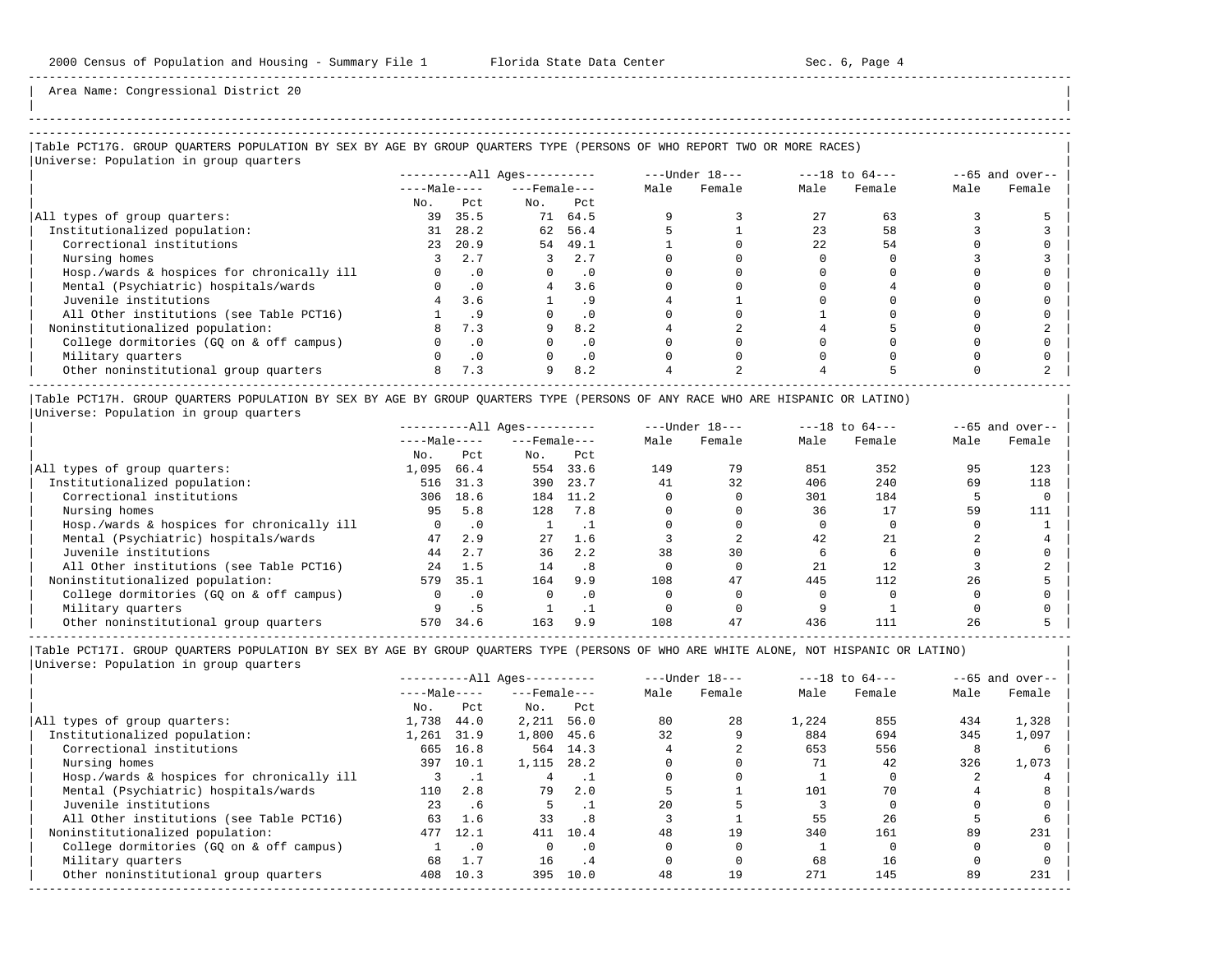| | -----------------------------------------------------------------------------------------------------------------------------------------------------

Area Name: Congressional District 20

|Table PCT17G. GROUP QUARTERS POPULATION BY SEX BY AGE BY GROUP QUARTERS TYPE (PERSONS OF WHO REPORT TWO OR MORE RACES) | |Universe: Population in group quarters |

|                                            |              |           | ----------All Ages---------- |           | $---Under 18---$ |        | $---18$ to $64---$ |        | $--65$ and over-- |        |
|--------------------------------------------|--------------|-----------|------------------------------|-----------|------------------|--------|--------------------|--------|-------------------|--------|
|                                            | $---Male---$ |           | $---$ Female $---$           |           | Male             | Female | Male               | Female | Male              | Female |
|                                            | No.          | Pct.      | No.                          | Pct       |                  |        |                    |        |                   |        |
| All types of group quarters:               | 39           | 35.5      |                              | 71 64.5   |                  |        | 27                 | 63     |                   |        |
| Institutionalized population:              | 31           | 28.2      |                              | 62 56.4   |                  |        | 23                 | 58     |                   |        |
| Correctional institutions                  | 23           | 20.9      | 54                           | 49.1      |                  |        | 2.2.               | 54     |                   |        |
| Nursing homes                              |              | 2.7       |                              | 2.7       |                  |        |                    |        |                   |        |
| Hosp./wards & hospices for chronically ill |              | $\cdot$ 0 |                              | $\cdot$ 0 |                  |        |                    |        |                   |        |
| Mental (Psychiatric) hospitals/wards       |              | .0        | $\overline{4}$               | 3.6       |                  |        |                    |        |                   |        |
| Juvenile institutions                      |              | 3.6       |                              |           |                  |        |                    |        |                   |        |
| All Other institutions (see Table PCT16)   |              |           |                              | . 0       |                  |        |                    |        |                   |        |
| Noninstitutionalized population:           |              | 7.3       | 9                            | 8.2       |                  |        |                    |        |                   |        |
| College dormitories (GQ on & off campus)   |              | $\cdot$ 0 |                              | $\cdot$ 0 |                  |        |                    |        |                   |        |
| Military quarters                          |              |           |                              | $\cdot$ 0 |                  |        |                    |        |                   |        |
| Other noninstitutional group quarters      | 8            | 7.3       | 9                            | 8.2       |                  |        |                    |        |                   |        |
|                                            |              |           |                              |           |                  |        |                    |        |                   |        |

|Table PCT17H. GROUP QUARTERS POPULATION BY SEX BY AGE BY GROUP QUARTERS TYPE (PERSONS OF ANY RACE WHO ARE HISPANIC OR LATINO) | |Universe: Population in group quarters |

|                                            |              |           | $------All Aqes------$ |           |      | $---Under 18---$ |      | $---18$ to $64---$ |      | $--65$ and over-- |
|--------------------------------------------|--------------|-----------|------------------------|-----------|------|------------------|------|--------------------|------|-------------------|
|                                            | $---Male---$ |           | $---$ Female $---$     |           | Male | Female           | Male | Female             | Male | Female            |
|                                            | No.          | Pct       | No.                    | Pct       |      |                  |      |                    |      |                   |
| All types of group quarters:               | 1,095        | 66.4      | 554                    | 33.6      | 149  | 79               | 851  | 352                | 95   | 123               |
| Institutionalized population:              | 516          | 31.3      | 390                    | 23.7      | 41   | 32               | 406  | 240                | 69   | 118               |
| Correctional institutions                  | 306          | 18.6      | 184                    | 11.2      |      |                  | 301  | 184                |      |                   |
| Nursing homes                              | 95           | 5.8       | 128                    | 7.8       |      |                  | 36   |                    | 59   | 111               |
| Hosp./wards & hospices for chronically ill |              | $\cdot$ 0 |                        |           |      |                  |      |                    |      |                   |
| Mental (Psychiatric) hospitals/wards       | 47           | 2.9       | 27                     | 1.6       |      |                  | 42   |                    |      |                   |
| Juvenile institutions                      | 44           | 2.7       | 36                     | 2.2       | 38   | 30               |      |                    |      |                   |
| All Other institutions (see Table PCT16)   | 24           | 1.5       | 14                     | .8        |      |                  | 21   | 12                 |      |                   |
| Noninstitutionalized population:           | 579          | 35.1      | 164                    | 9.9       | 108  | 47               | 445  | 112                | 26   |                   |
| College dormitories (GO on & off campus)   | 0            | $\cdot$ 0 |                        | $\cdot$ 0 |      |                  |      |                    |      |                   |
| Military quarters                          |              |           |                        |           |      |                  |      |                    |      |                   |
| Other noninstitutional group quarters      | 570          | 34.6      | 163                    | 9.9       | 108  | 47               | 436  | 111                | 26   |                   |

-----------------------------------------------------------------------------------------------------------------------------------------------------

|                                            |              |           | $------All Aqes------$ |           |      | $---Under 18---$ |       | $---18$ to $64---$ |      | $--65$ and over-- |
|--------------------------------------------|--------------|-----------|------------------------|-----------|------|------------------|-------|--------------------|------|-------------------|
|                                            | $---Male---$ |           | $---$ Female $---$     |           | Male | Female           | Male  | Female             | Male | Female            |
|                                            | No.          | Pct       | No.                    | Pct       |      |                  |       |                    |      |                   |
| All types of group quarters:               | 1,738        | 44.0      | 2,211                  | 56.0      | 80   | 28               | 1,224 | 855                | 434  | 1,328             |
| Institutionalized population:              | 1,261        | 31.9      | 1,800                  | 45.6      | 32   |                  | 884   | 694                | 345  | 1,097             |
| Correctional institutions                  | 665          | 16.8      |                        | 564 14.3  |      |                  | 653   | 556                |      |                   |
| Nursing homes                              | 397          | 10.1      | 1,115                  | 28.2      |      |                  |       | 42                 | 326  | 1,073             |
| Hosp./wards & hospices for chronically ill |              | . .       |                        |           |      |                  |       |                    |      |                   |
| Mental (Psychiatric) hospitals/wards       | 110          | 2.8       | 79                     | 2.0       |      |                  | 101   | 70                 |      |                   |
| Juvenile institutions                      | 23           | . 6       |                        |           | 2.0  |                  |       |                    |      |                   |
| All Other institutions (see Table PCT16)   | 63           | 1.6       | 33                     | .8        |      |                  | 55    | 26                 |      |                   |
| Noninstitutionalized population:           | 477          | 12.1      | 411                    | 10.4      | 48   | 19               | 340   | 161                | 89   | 231               |
| College dormitories (GO on & off campus)   |              | $\cdot$ 0 | $\Omega$               | $\cdot$ 0 |      |                  |       |                    |      |                   |
| Military quarters                          | 68           | 1.7       | 16                     | .4        |      |                  | 68    | 16                 |      |                   |
| Other noninstitutional group quarters      | 408          | 10.3      | 395                    | 10.0      | 48   | 19               | 271   | 145                | 89   | 231               |
|                                            |              |           |                        |           |      |                  |       |                    |      |                   |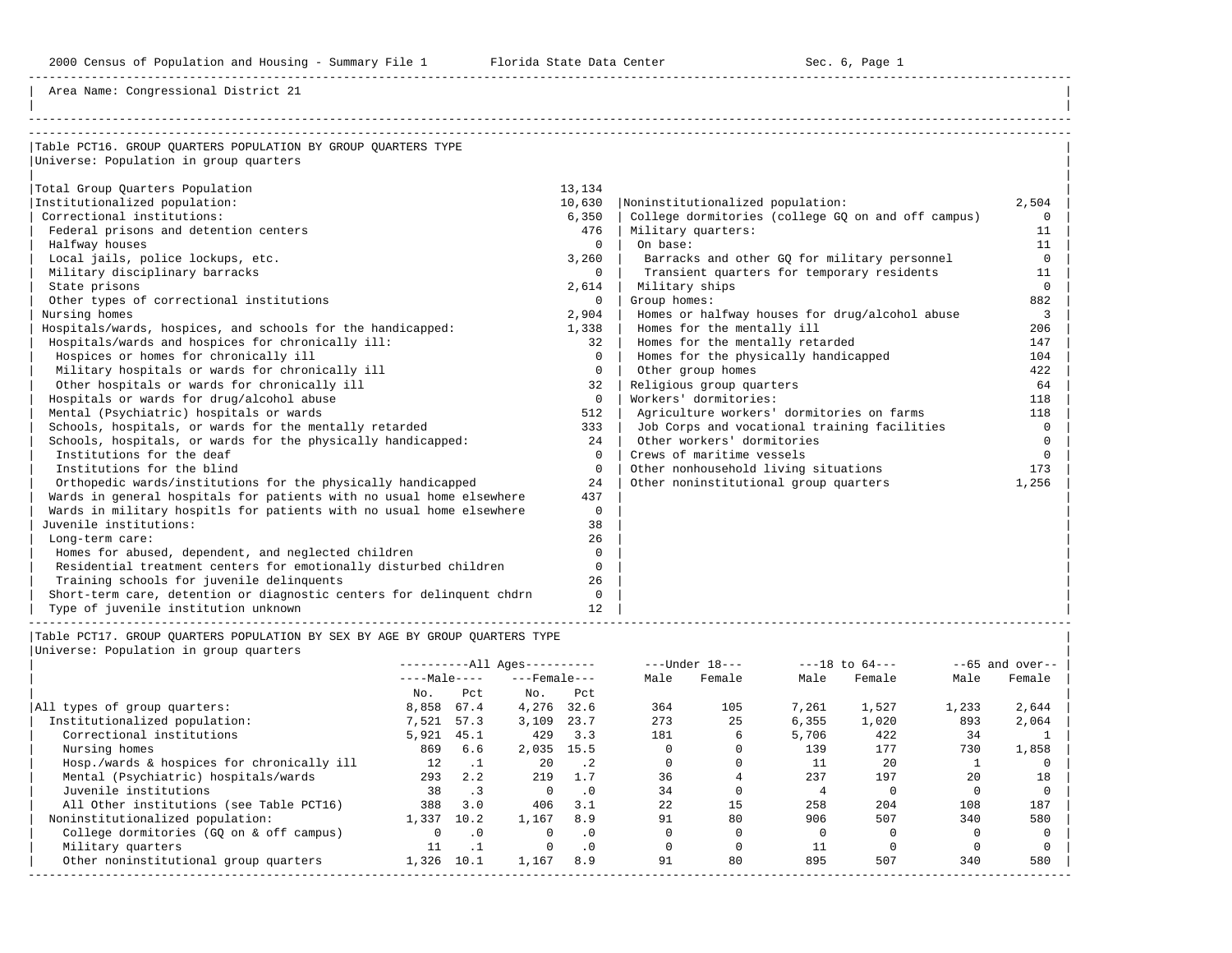Area Name: Congressional District 21

| Table PCT16. GROUP OUARTERS POPULATION BY GROUP OUARTERS TYPE         |          |                                                    |          |
|-----------------------------------------------------------------------|----------|----------------------------------------------------|----------|
| Universe: Population in group quarters                                |          |                                                    |          |
|                                                                       |          |                                                    |          |
| Total Group Ouarters Population                                       | 13,134   |                                                    |          |
| Institutionalized population:                                         | 10,630   | Noninstitutionalized population:                   | 2,504    |
| Correctional institutions:                                            | 6,350    | College dormitories (college GO on and off campus) | $\Omega$ |
| Federal prisons and detention centers                                 | 476      | Military quarters:                                 | 11       |
| Halfway houses                                                        | $\Omega$ | On base:                                           | 11       |
| Local jails, police lockups, etc.                                     | 3,260    | Barracks and other GO for military personnel       | $\Omega$ |
| Military disciplinary barracks                                        | $\Omega$ | Transient quarters for temporary residents         | 11       |
| State prisons                                                         | 2,614    | Military ships                                     | $\Omega$ |
| Other types of correctional institutions                              | $\Omega$ | Group homes:                                       | 882      |
| Nursing homes                                                         | 2,904    | Homes or halfway houses for drug/alcohol abuse     | 3        |
| Hospitals/wards, hospices, and schools for the handicapped:           | 1,338    | Homes for the mentally ill                         | 206      |
| Hospitals/wards and hospices for chronically ill:                     | 32       | Homes for the mentally retarded                    | 147      |
| Hospices or homes for chronically ill                                 | $\Omega$ | Homes for the physically handicapped               | 104      |
| Military hospitals or wards for chronically ill                       | $\Omega$ | Other group homes                                  | 422      |
| Other hospitals or wards for chronically ill                          | 32       | Religious group quarters                           | 64       |
| Hospitals or wards for drug/alcohol abuse                             | $\cap$   | Workers' dormitories:                              | 118      |
| Mental (Psychiatric) hospitals or wards                               | 512      | Agriculture workers' dormitories on farms          | 118      |
| Schools, hospitals, or wards for the mentally retarded                | 333      | Job Corps and vocational training facilities       | $\Omega$ |
| Schools, hospitals, or wards for the physically handicapped:          | 24       | Other workers' dormitories                         | $\Omega$ |
| Institutions for the deaf                                             | $\Omega$ | Crews of maritime vessels                          | $\cap$   |
| Institutions for the blind                                            | $\Omega$ | Other nonhousehold living situations               | 173      |
| Orthopedic wards/institutions for the physically handicapped          | 24       | Other noninstitutional group quarters              | 1,256    |
| Wards in general hospitals for patients with no usual home elsewhere  | 437      |                                                    |          |
| Wards in military hospitls for patients with no usual home elsewhere  | $\Omega$ |                                                    |          |
| Juvenile institutions:                                                | 38       |                                                    |          |
| Long-term care:                                                       | 26       |                                                    |          |
| Homes for abused, dependent, and neglected children                   | $\Omega$ |                                                    |          |
| Residential treatment centers for emotionally disturbed children      | $\Omega$ |                                                    |          |
| Training schools for juvenile delinquents                             | 26       |                                                    |          |
| Short-term care, detention or diagnostic centers for delinguent chdrn | $\Omega$ |                                                    |          |
| Type of juvenile institution unknown                                  | 12       |                                                    |          |

|Table PCT17. GROUP QUARTERS POPULATION BY SEX BY AGE BY GROUP QUARTERS TYPE | |Universe: Population

| Universe: Population in group quarters |  |
|----------------------------------------|--|
|----------------------------------------|--|

|                                            |              | $------All Aqes------$ |                    |             |      | $---Under 18---$ |       | $---18$ to $64---$ |       | $--65$ and over-- |
|--------------------------------------------|--------------|------------------------|--------------------|-------------|------|------------------|-------|--------------------|-------|-------------------|
|                                            | $---Male---$ |                        | $---$ Female $---$ |             | Male | Female           | Male  | Female             | Male  | Female            |
|                                            | No.          | Pct                    | No.                | Pct         |      |                  |       |                    |       |                   |
| All types of group quarters:               | 8,858        | 67.4                   | 4,276              | 32.6        | 364  | 105              | 7,261 | 1,527              | 1,233 | 2,644             |
| Institutionalized population:              | 7,521        | 57.3                   | 3,109              | 23.7        | 273  | 25               | 6,355 | 1,020              | 893   | 2,064             |
| Correctional institutions                  | 5,921        | 45.1                   | 429                | 3.3         | 181  | 6                | 5,706 | 422                | 34    |                   |
| Nursing homes                              | 869          | 6.6                    | 2,035              | 15.5        |      |                  | 139   | 177                | 730   | 1,858             |
| Hosp./wards & hospices for chronically ill | 12           |                        | 20                 | $\cdot$ . 2 |      |                  | 11    | 20                 |       |                   |
| Mental (Psychiatric) hospitals/wards       | 293          | 2.2                    | 219                | 1.7         | 36   |                  | 237   | 197                | 20    | 18                |
| Juvenile institutions                      | 38           | $\cdot$ 3              | $\Omega$           | $\cdot$ 0   | 34   |                  |       |                    |       |                   |
| All Other institutions (see Table PCT16)   | 388          | 3.0                    | 406                | 3.1         | 22   | 15               | 258   | 204                | 108   | 187               |
| Noninstitutionalized population:           | 1,337        | 10.2                   | 1,167              | 8.9         | 91   | 80               | 906   | 507                | 340   | 580               |
| College dormitories (GQ on & off campus)   |              | $\cdot$ 0              | $\Omega$           | $\cdot$ 0   |      |                  |       |                    |       |                   |
| Military quarters                          | 11           |                        |                    | $\cdot$ 0   |      |                  | 11    |                    |       |                   |
| Other noninstitutional group quarters      | 1,326        | 10.1                   | 1,167              | 8.9         | 91   | 80               | 895   | 507                | 340   | 580               |
|                                            |              |                        |                    |             |      |                  |       |                    |       |                   |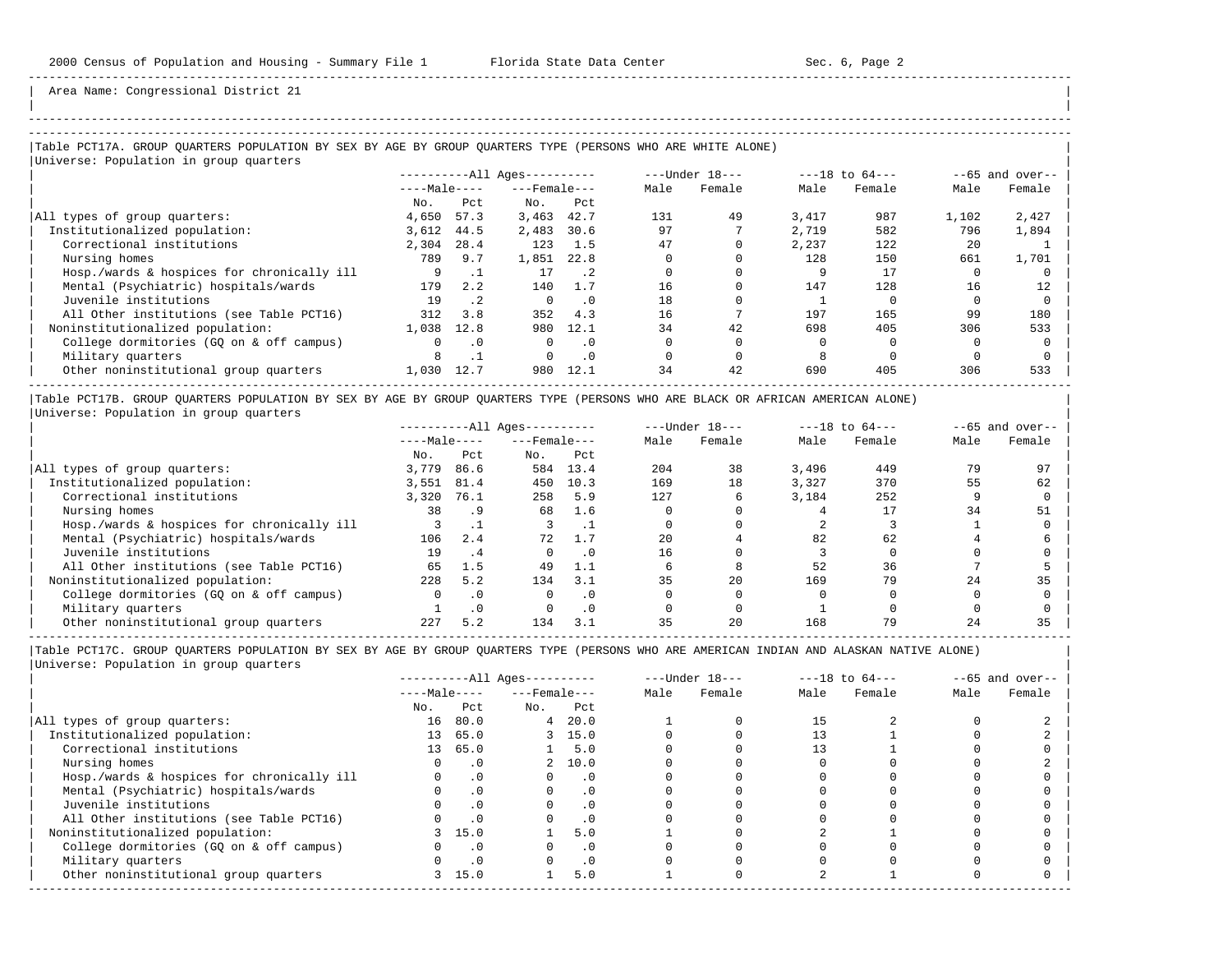| | -----------------------------------------------------------------------------------------------------------------------------------------------------

Area Name: Congressional District 21

## |Table PCT17A. GROUP QUARTERS POPULATION BY SEX BY AGE BY GROUP QUARTERS TYPE (PERSONS WHO ARE WHITE ALONE) |

|              |           |                    |           | $---Under 18---$       |        | $---18$ to $64---$ |        | $--65$ and over-- |        |
|--------------|-----------|--------------------|-----------|------------------------|--------|--------------------|--------|-------------------|--------|
| $---Male---$ |           | $---$ Female $---$ |           | Male                   | Female | Male               | Female | Male              | Female |
| No.          | Pct       | No.                | Pct       |                        |        |                    |        |                   |        |
| 4,650        | 57.3      | 3,463              | 42.7      | 131                    | 49     | 3,417              | 987    | 1,102             | 2,427  |
| 3,612        | 44.5      | 2,483              | 30.6      | 97                     |        | 2,719              | 582    | 796               | 1,894  |
| 2,304        | 28.4      | 123                | 1.5       | 47                     |        | 2,237              | 122    | 2.0               |        |
| 789          | 9.7       | 1,851              | 22.8      |                        |        | 128                | 150    | 661               | 1,701  |
|              |           | 17                 | . 2       |                        |        |                    | 17     |                   |        |
| 179          | 2.2       | 140                | 1.7       | 16                     |        | 147                | 128    | 16                | 12     |
| 19           | $\cdot$ 2 |                    | $\cdot$ 0 | 18                     |        |                    |        |                   |        |
| 312          | 3.8       | 352                | 4.3       | 16                     |        | 197                | 165    | 99                | 180    |
| 1,038        | 12.8      | 980                | 12.1      | 34                     | 42     | 698                | 405    | 306               | 533    |
|              | . 0       | $\Omega$           | $\cdot$ 0 |                        |        |                    |        |                   |        |
|              |           | $\Omega$           | $\cdot$ 0 |                        |        |                    |        |                   |        |
| 1,030        | 12.7      | 980                | 12.1      | 34                     | 42     | 690                | 405    | 306               | 533    |
|              |           |                    |           | $------All Ages------$ |        |                    |        |                   |        |

|Table PCT17B. GROUP QUARTERS POPULATION BY SEX BY AGE BY GROUP QUARTERS TYPE (PERSONS WHO ARE BLACK OR AFRICAN AMERICAN ALONE) | |Universe: Population in group quarters |

|                                            |              | $------All Aqes------$ |                    |           | $---Under 18---$ |        | $---18$ to $64---$ |        | $- -65$ and over-- |        |
|--------------------------------------------|--------------|------------------------|--------------------|-----------|------------------|--------|--------------------|--------|--------------------|--------|
|                                            | $---Male---$ |                        | $---$ Female $---$ |           | Male             | Female | Male               | Female | Male               | Female |
|                                            | No.          | Pct                    | No.                | Pct       |                  |        |                    |        |                    |        |
| All types of group quarters:               | 3,779        | 86.6                   | 584                | 13.4      | 204              | 38     | 3,496              | 449    | 79                 |        |
| Institutionalized population:              | 3,551        | 81.4                   | 450                | 10.3      | 169              | 18     | 3,327              | 370    | 55                 | 62     |
| Correctional institutions                  | 3,320        | 76.1                   | 258                | 5.9       | 127              |        | 3,184              | 252    |                    |        |
| Nursing homes                              | 38           | .9                     | 68                 | 1.6       |                  |        |                    |        | 34                 | 51     |
| Hosp./wards & hospices for chronically ill |              |                        |                    |           |                  |        |                    |        |                    |        |
| Mental (Psychiatric) hospitals/wards       | 106          | 2.4                    | 72                 | 1.7       | 2.0              |        | 82                 | 62     |                    |        |
| Juvenile institutions                      | 19           | . 4                    |                    | . 0       | 16               |        |                    |        |                    |        |
| All Other institutions (see Table PCT16)   | 65           | 1.5                    | 49                 | 1.1       |                  |        | 52                 | 36     |                    |        |
| Noninstitutionalized population:           | 228          | 5.2                    | 134                | 3.1       | 35               | 20     | 169                | 79     | 24                 | 35     |
| College dormitories (GO on & off campus)   |              | $\cdot$ 0              |                    | $\cdot$ 0 |                  |        |                    |        |                    |        |
| Military quarters                          |              | $\cdot$ 0              |                    | $\cdot$ 0 |                  |        |                    |        |                    |        |
| Other noninstitutional group quarters      | 227          | 5.2                    | 134                | 3.1       | 35               | 20     | 168                |        |                    | 35     |

-----------------------------------------------------------------------------------------------------------------------------------------------------

|                                            | $------All Aqes------$ |           |                    |           | $---Under 18---$ |        | $---18$ to $64---$ |        | $--65$ and over-- |        |
|--------------------------------------------|------------------------|-----------|--------------------|-----------|------------------|--------|--------------------|--------|-------------------|--------|
|                                            | $---Male---$           |           | $---$ Female $---$ |           | Male             | Female | Male               | Female | Male              | Female |
|                                            | No.                    | Pct       | No.                | Pct       |                  |        |                    |        |                   |        |
| All types of group quarters:               | 16                     | 80.0      | 4                  | 20.0      |                  |        | 15                 |        |                   |        |
| Institutionalized population:              | 13                     | 65.0      |                    | 3, 15.0   |                  |        |                    |        |                   |        |
| Correctional institutions                  | 13                     | 65.0      |                    | 1 5.0     |                  |        |                    |        |                   |        |
| Nursing homes                              |                        | . 0       |                    | 2, 10.0   |                  |        |                    |        |                   |        |
| Hosp./wards & hospices for chronically ill |                        | $\cdot$ 0 |                    | $\cdot$ 0 |                  |        |                    |        |                   |        |
| Mental (Psychiatric) hospitals/wards       |                        | $\cdot$ 0 |                    | . 0       |                  |        |                    |        |                   |        |
| Juvenile institutions                      |                        |           |                    | $\cdot$ 0 |                  |        |                    |        |                   |        |
| All Other institutions (see Table PCT16)   |                        | $\cdot$ 0 |                    |           |                  |        |                    |        |                   |        |
| Noninstitutionalized population:           |                        | 15.0      |                    | 5.0       |                  |        |                    |        |                   |        |
| College dormitories (GQ on & off campus)   |                        | $\cdot$ 0 |                    | . 0       |                  |        |                    |        |                   |        |
| Military quarters                          |                        | $\cdot$ 0 |                    | $\cdot$ 0 |                  |        |                    |        |                   |        |
| Other noninstitutional group quarters      |                        | 3, 15.0   |                    | 5.0       |                  |        |                    |        |                   |        |
|                                            |                        |           |                    |           |                  |        |                    |        |                   |        |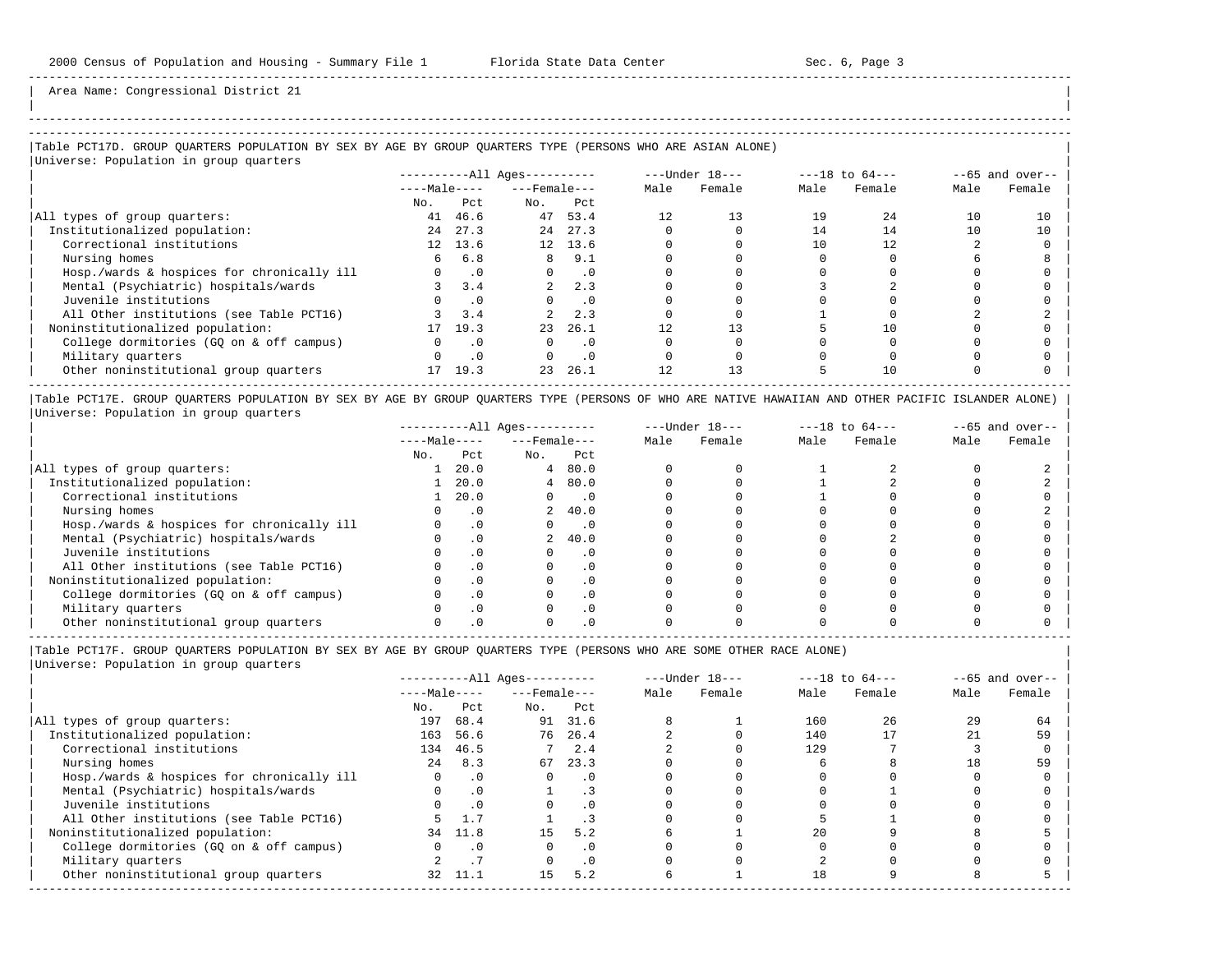-----------------------------------------------------------------------------------------------------------------------------------------------------

Area Name: Congressional District 21

## |Table PCT17D. GROUP QUARTERS POPULATION BY SEX BY AGE BY GROUP QUARTERS TYPE (PERSONS WHO ARE ASIAN ALONE) | |Universe: Population in group quarters |

| $10F$ and $10F$ and $10F$ and $10F$        |          | $------All Ages------$ |                |                    | ---Under 18--- |        | $---18$ to $64---$ | $--65$ and over-- |      |        |
|--------------------------------------------|----------|------------------------|----------------|--------------------|----------------|--------|--------------------|-------------------|------|--------|
|                                            |          | $---Male---$           |                | $---$ Female $---$ |                | Female | Male               | Female            | Male | Female |
|                                            | No.      | Pct.                   | No.            | Pct                |                |        |                    |                   |      |        |
| All types of group quarters:               | 41       | 46.6                   | 47             | 53.4               |                | 13     | 19                 | 24                | 10   | 10     |
| Institutionalized population:              | 2.4      | 27.3                   | 24             | 27.3               |                |        | 14                 | 14                | 10   | 10     |
| Correctional institutions                  |          | 12 13.6                |                | 12 13.6            |                |        |                    | 12.               |      |        |
| Nursing homes                              | 6        | 6.8                    | 8              | 9.1                |                |        |                    |                   |      |        |
| Hosp./wards & hospices for chronically ill | $\Omega$ | $\cdot$ 0              | $\Omega$       | $\cdot$ 0          |                |        |                    |                   |      |        |
| Mental (Psychiatric) hospitals/wards       |          | 3.4                    | $\overline{a}$ | 2.3                |                |        |                    |                   |      |        |
| Juvenile institutions                      |          | $\cdot$ 0              |                | $\cdot$ 0          |                |        |                    |                   |      |        |
| All Other institutions (see Table PCT16)   |          | 3.4                    |                | 2.3                |                |        |                    |                   |      |        |
| Noninstitutionalized population:           | 17       | 19.3                   | 23             | 26.1               |                | 13     |                    | 10                |      |        |
| College dormitories (GQ on & off campus)   |          | $\cdot$ 0              |                | $\cdot$ 0          |                |        |                    |                   |      |        |
| Military quarters                          |          | $\cdot$ 0              |                | $\cdot$ 0          |                |        |                    |                   |      |        |
| Other noninstitutional group quarters      | 17       | 19.3                   | 23             | 26.1               |                | 13     |                    | 10                |      |        |
|                                            |          |                        |                |                    |                |        |                    |                   |      |        |

|Table PCT17E. GROUP QUARTERS POPULATION BY SEX BY AGE BY GROUP QUARTERS TYPE (PERSONS OF WHO ARE NATIVE HAWAIIAN AND OTHER PACIFIC ISLANDER ALONE) | |Universe: Population in group quarters |

|                                            |              | $------All Aqes------$ |                    |                             |      | $---Under 18---$ |      | $---18$ to $64---$ |      | $--65$ and over-- |
|--------------------------------------------|--------------|------------------------|--------------------|-----------------------------|------|------------------|------|--------------------|------|-------------------|
|                                            | $---Male---$ |                        | $---$ Female $---$ |                             | Male | Female           | Male | Female             | Male | Female            |
|                                            | No.          | Pct                    | No.                | Pct                         |      |                  |      |                    |      |                   |
| All types of group quarters:               |              | 20.0                   |                    | 480.0                       |      |                  |      |                    |      |                   |
| Institutionalized population:              |              | 20.0                   |                    | 480.0                       |      |                  |      |                    |      |                   |
| Correctional institutions                  |              | 20.0                   |                    | $\overline{\phantom{0}}$ .0 |      |                  |      |                    |      |                   |
| Nursing homes                              |              | . 0                    |                    | 2, 40.0                     |      |                  |      |                    |      |                   |
| Hosp./wards & hospices for chronically ill |              |                        |                    | . 0                         |      |                  |      |                    |      |                   |
| Mental (Psychiatric) hospitals/wards       |              |                        | $\overline{a}$     | 40.0                        |      |                  |      |                    |      |                   |
| Juvenile institutions                      |              |                        |                    | . 0                         |      |                  |      |                    |      |                   |
| All Other institutions (see Table PCT16)   |              |                        |                    |                             |      |                  |      |                    |      |                   |
| Noninstitutionalized population:           |              |                        |                    | . 0                         |      |                  |      |                    |      |                   |
| College dormitories (GO on & off campus)   |              |                        |                    |                             |      |                  |      |                    |      |                   |
| Military quarters                          |              |                        |                    | . 0                         |      |                  |      |                    |      |                   |
| Other noninstitutional group quarters      |              |                        |                    |                             |      |                  |      |                    |      |                   |

-----------------------------------------------------------------------------------------------------------------------------------------------------

|Table PCT17F. GROUP QUARTERS POPULATION BY SEX BY AGE BY GROUP QUARTERS TYPE (PERSONS WHO ARE SOME OTHER RACE ALONE) |

|                                            |              | ----------All Ages---------- |                    |           | $---Under 18---$ |        | $---18$ to $64---$ |        | $--65$ and over-- |        |
|--------------------------------------------|--------------|------------------------------|--------------------|-----------|------------------|--------|--------------------|--------|-------------------|--------|
|                                            | $---Male---$ |                              | $---$ Female $---$ |           | Male             | Female | Male               | Female | Male              | Female |
|                                            | No.          | Pct                          | No.                | Pct       |                  |        |                    |        |                   |        |
| All types of group quarters:               | 197          | 68.4                         |                    | 91 31.6   |                  |        | 160                | 26     | 29                | 64     |
| Institutionalized population:              | 163          | 56.6                         | 76                 | 26.4      |                  |        | 140                |        |                   | 59     |
| Correctional institutions                  | 134          | 46.5                         |                    | 2.4       |                  |        | 129                |        |                   |        |
| Nursing homes                              | 2.4          | 8.3                          | 67                 | 23.3      |                  |        |                    |        | 18                | 59     |
| Hosp./wards & hospices for chronically ill |              | $\cdot$ 0                    | $\Omega$           | $\cdot$ 0 |                  |        |                    |        |                   |        |
| Mental (Psychiatric) hospitals/wards       |              | $\cdot$ 0                    |                    |           |                  |        |                    |        |                   |        |
| Juvenile institutions                      |              | $\cdot$ 0                    | $\Omega$           | $\cdot$ 0 |                  |        |                    |        |                   |        |
| All Other institutions (see Table PCT16)   |              |                              |                    |           |                  |        |                    |        |                   |        |
| Noninstitutionalized population:           |              | 34 11.8                      | 15                 | 5.2       |                  |        | 20                 |        |                   |        |
| College dormitories (GQ on & off campus)   |              | . 0                          |                    | $\cdot$ 0 |                  |        |                    |        |                   |        |
| Military quarters                          |              |                              |                    | $\cdot$ 0 |                  |        |                    |        |                   |        |
| Other noninstitutional group quarters      | 32           | 11.1                         | 15                 | 5.2       |                  |        | 18                 |        |                   |        |
|                                            |              |                              |                    |           |                  |        |                    |        |                   |        |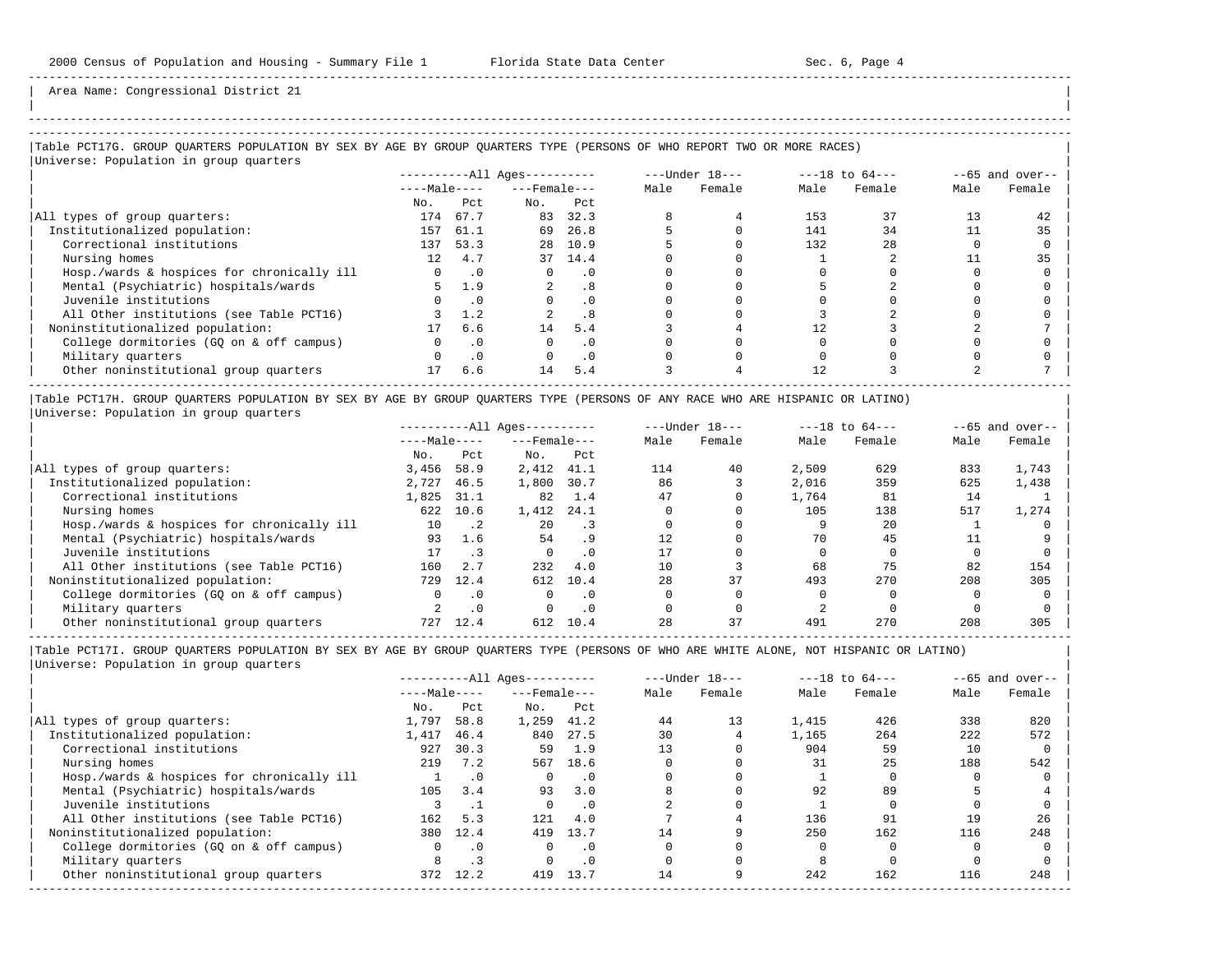| |

Area Name: Congressional District 21

# -----------------------------------------------------------------------------------------------------------------------------------------------------

## |Table PCT17G. GROUP QUARTERS POPULATION BY SEX BY AGE BY GROUP QUARTERS TYPE (PERSONS OF WHO REPORT TWO OR MORE RACES) |

| Universe: Population in group quarters     |                 |           |                        |           |                  |        |                    |        |                   |        |
|--------------------------------------------|-----------------|-----------|------------------------|-----------|------------------|--------|--------------------|--------|-------------------|--------|
|                                            |                 |           | $------All Ages------$ |           | $---Under 18---$ |        | $---18$ to $64---$ |        | $--65$ and over-- |        |
|                                            | $---Male---$    |           | $---$ Female $---$     |           | Male             | Female | Male               | Female | Male              | Female |
|                                            | No.             | Pct       | No.                    | Pct       |                  |        |                    |        |                   |        |
| All types of group quarters:               | 174             | 67.7      | 83                     | 32.3      |                  |        | 153                | 37     | 13                | 42     |
| Institutionalized population:              | 157             | 61.1      | 69                     | 26.8      |                  |        | 141                | 34     |                   | 35     |
| Correctional institutions                  | 137             | 53.3      | 2.8                    | 10.9      |                  |        | 132                | 2.8    |                   |        |
| Nursing homes                              | 12 <sup>°</sup> | 4.7       |                        | 37 14.4   |                  |        |                    |        |                   | 35     |
| Hosp./wards & hospices for chronically ill |                 | $\cdot$ 0 |                        | . 0       |                  |        |                    |        |                   |        |
| Mental (Psychiatric) hospitals/wards       |                 | 1.9       |                        | .8        |                  |        |                    |        |                   |        |
| Juvenile institutions                      |                 | $\cdot$ 0 |                        | $\cdot$ 0 |                  |        |                    |        |                   |        |
| All Other institutions (see Table PCT16)   |                 | 1.2       |                        | .8        |                  |        |                    |        |                   |        |
| Noninstitutionalized population:           |                 | 6.6       | 14                     | 5.4       |                  |        | 12                 |        |                   |        |
| College dormitories (GQ on & off campus)   |                 | . 0       |                        | . 0       |                  |        |                    |        |                   |        |
| Military quarters                          |                 | $\cdot$ 0 |                        | $\cdot$ 0 |                  |        |                    |        |                   |        |
| Other noninstitutional group quarters      |                 | 6.6       | 14                     | 5.4       |                  |        | 12                 |        |                   |        |

|Table PCT17H. GROUP QUARTERS POPULATION BY SEX BY AGE BY GROUP QUARTERS TYPE (PERSONS OF ANY RACE WHO ARE HISPANIC OR LATINO) | |Universe: Population in group quarters |

|                                            | $------All Aqes------$ |             |                    |           | $---Under 18---$ | $---18$ to $64---$ |       | $--65$ and over-- |      |        |
|--------------------------------------------|------------------------|-------------|--------------------|-----------|------------------|--------------------|-------|-------------------|------|--------|
|                                            | $---Male---$           |             | $---$ Female $---$ |           | Male             | Female             | Male  | Female            | Male | Female |
|                                            | No.                    | Pct         | No.                | Pct       |                  |                    |       |                   |      |        |
| All types of group quarters:               | 3,456                  | 58.9        | 2,412              | 41.1      | 114              | 40                 | 2,509 | 629               | 833  | 1,743  |
| Institutionalized population:              | 2,727                  | 46.5        | 1,800              | 30.7      | 86               |                    | 2,016 | 359               | 625  | 1,438  |
| Correctional institutions                  | 1,825                  | 31.1        | 82                 | 1.4       | 47               |                    | 1,764 | 81                | 14   |        |
| Nursing homes                              | 622                    | 10.6        | 1,412              | 24.1      |                  |                    | 105   | 138               | 517  | 1,274  |
| Hosp./wards & hospices for chronically ill | 10                     | $\cdot$ . 2 | 20                 | . 3       |                  |                    |       | 20                |      |        |
| Mental (Psychiatric) hospitals/wards       | 93                     | 1.6         | 54                 | .9        | 12.              |                    | 70    | 45                |      |        |
| Juvenile institutions                      | 17                     |             |                    | . 0       |                  |                    |       |                   |      |        |
| All Other institutions (see Table PCT16)   | 160                    | 2.7         | 232                | 4.0       | 10               |                    | 68    | 75                | 82   | 154    |
| Noninstitutionalized population:           | 729                    | 12.4        | 612                | 10.4      | 28               | 37                 | 493   | 270               | 208  | 305    |
| College dormitories (GQ on & off campus)   | $\Omega$               | $\cdot$ 0   | <sup>n</sup>       | . 0       |                  |                    |       |                   |      |        |
| Military quarters                          |                        | $\cdot$ 0   |                    | $\cdot$ 0 |                  |                    |       |                   |      |        |
| Other noninstitutional group quarters      | 727                    | 12.4        | 612                | 10.4      | 28               | 37                 | 491   | 270               | 208  | 305    |

-----------------------------------------------------------------------------------------------------------------------------------------------------

|                                            |              | $------All Aqes------$ |                    |           |      | $---Under 18---$ | $---18$ to $64---$ |        | $--65$ and over-- |        |
|--------------------------------------------|--------------|------------------------|--------------------|-----------|------|------------------|--------------------|--------|-------------------|--------|
|                                            | $---Male---$ |                        | $---$ Female $---$ |           | Male | Female           | Male               | Female | Male              | Female |
|                                            | No.          | Pct                    | No.                | Pct       |      |                  |                    |        |                   |        |
| All types of group quarters:               | 1,797        | 58.8                   | 1,259              | 41.2      | 44   | 13               | 1,415              | 426    | 338               | 820    |
| Institutionalized population:              | 1,417        | 46.4                   | 840                | 27.5      | 30   |                  | 1,165              | 264    | 222               | 572    |
| Correctional institutions                  | 927          | 30.3                   | 59                 | 1.9       | 13   |                  | 904                | 59     | 10                |        |
| Nursing homes                              | 219          | 7.2                    | 567                | 18.6      |      |                  | 31                 | 25     | 188               | 542    |
| Hosp./wards & hospices for chronically ill |              | $\cdot$ 0              |                    | $\cdot$ 0 |      |                  |                    |        |                   |        |
| Mental (Psychiatric) hospitals/wards       | 105          | 3.4                    | 93                 | 3.0       |      |                  | 92                 | 89     |                   |        |
| Juvenile institutions                      |              |                        |                    | . 0       |      |                  |                    |        |                   |        |
| All Other institutions (see Table PCT16)   | 162          | 5.3                    | 121                | 4.0       |      |                  | 136                | 91     | 19                | 26     |
| Noninstitutionalized population:           | 380          | 12.4                   | 419                | 13.7      | 14   |                  | 250                | 162    | 116               | 248    |
| College dormitories (GO on & off campus)   |              | $\cdot$ 0              |                    | $\cdot$ 0 |      |                  |                    |        |                   |        |
| Military quarters                          | 8            |                        |                    | $\cdot$ 0 |      |                  |                    |        |                   |        |
| Other noninstitutional group quarters      | 372          | 12.2                   | 419                | 13.7      | 14   |                  | 242                | 162    | 116               | 248    |
|                                            |              |                        |                    |           |      |                  |                    |        |                   |        |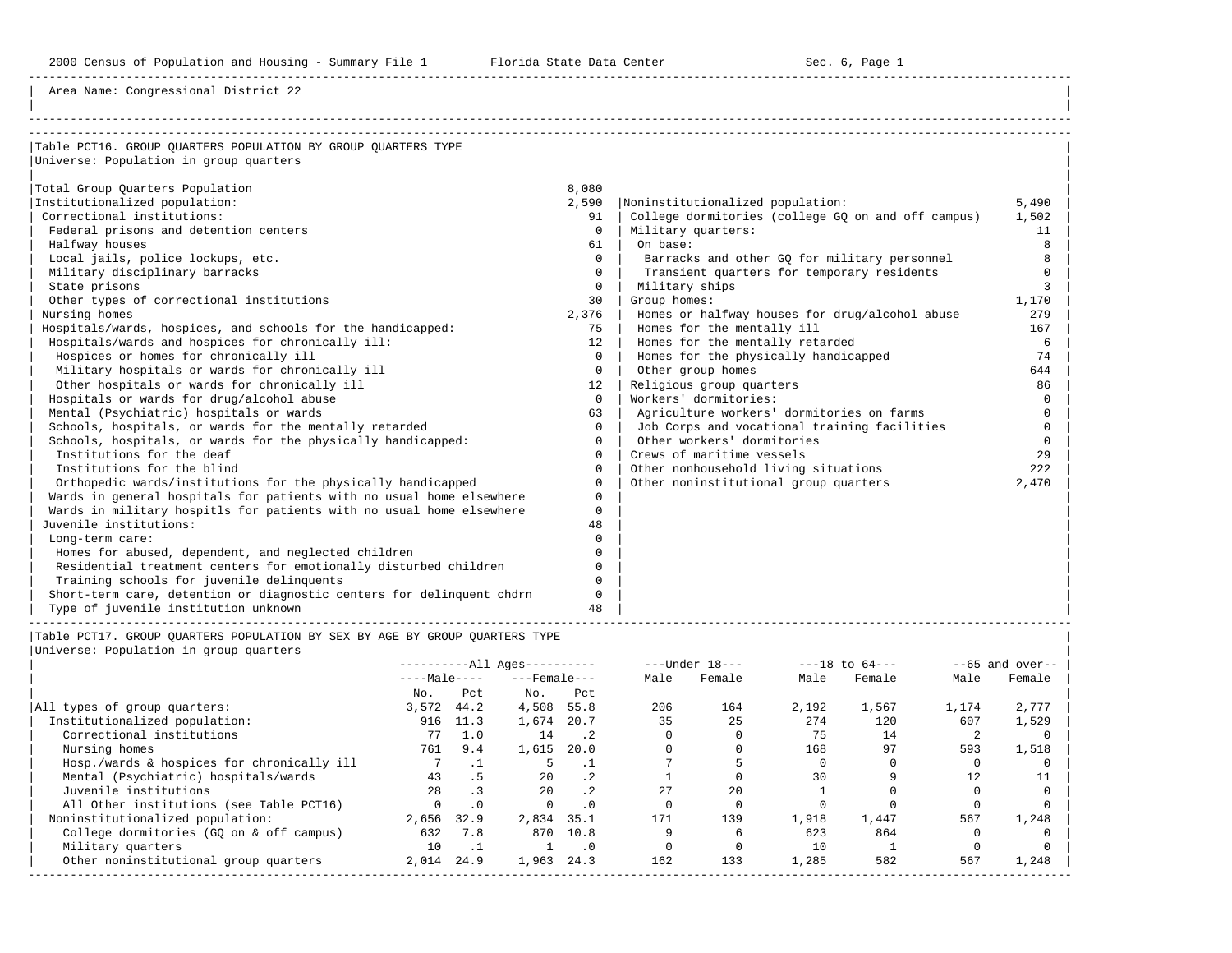2000 Census of Population and Housing - Summary File 1 Florida State Data Center Sec. 6, Page 1

-----------------------------------------------------------------------------------------------------------------------------------------------------

Area Name: Congressional District 22

| Table PCT16. GROUP OUARTERS POPULATION BY GROUP OUARTERS TYPE         |          |                                                    |          |
|-----------------------------------------------------------------------|----------|----------------------------------------------------|----------|
| Universe: Population in group quarters                                |          |                                                    |          |
|                                                                       |          |                                                    |          |
| Total Group Quarters Population                                       | 8,080    |                                                    |          |
| Institutionalized population:                                         | 2,590    | Noninstitutionalized population:                   | 5,490    |
| Correctional institutions:                                            | 91       | College dormitories (college GO on and off campus) | 1,502    |
| Federal prisons and detention centers                                 | $\Omega$ | Military quarters:                                 | 11       |
| Halfway houses                                                        | 61       | On base:                                           | 8        |
| Local jails, police lockups, etc.                                     | $\Omega$ | Barracks and other GQ for military personnel       | 8        |
| Military disciplinary barracks                                        | $\Omega$ | Transient quarters for temporary residents         | $\Omega$ |
| State prisons                                                         | $\Omega$ | Military ships                                     |          |
| Other types of correctional institutions                              | 30       | Group homes:                                       | 1,170    |
| Nursing homes                                                         | 2,376    | Homes or halfway houses for drug/alcohol abuse     | 279      |
| Hospitals/wards, hospices, and schools for the handicapped:           | 75       | Homes for the mentally ill                         | 167      |
| Hospitals/wards and hospices for chronically ill:                     | 12       | Homes for the mentally retarded                    | 6        |
| Hospices or homes for chronically ill                                 | $\Omega$ | Homes for the physically handicapped               | 74       |
| Military hospitals or wards for chronically ill                       | $\Omega$ | Other group homes                                  | 644      |
| Other hospitals or wards for chronically ill                          | 12       | Religious group quarters                           | 86       |
| Hospitals or wards for drug/alcohol abuse                             | $\Omega$ | Workers' dormitories:                              | $\Omega$ |
| Mental (Psychiatric) hospitals or wards                               | 63       | Agriculture workers' dormitories on farms          | $\Omega$ |
| Schools, hospitals, or wards for the mentally retarded                | $\Omega$ | Job Corps and vocational training facilities       | $\Omega$ |
| Schools, hospitals, or wards for the physically handicapped:          | $\Omega$ | Other workers' dormitories                         | $\Omega$ |
| Institutions for the deaf                                             | $\cap$   | Crews of maritime vessels                          | 29       |
| Institutions for the blind                                            | $\Omega$ | Other nonhousehold living situations               | 222      |
| Orthopedic wards/institutions for the physically handicapped          | $\Omega$ | Other noninstitutional group quarters              | 2,470    |
| Wards in general hospitals for patients with no usual home elsewhere  | $\Omega$ |                                                    |          |
| Wards in military hospitls for patients with no usual home elsewhere  | $\Omega$ |                                                    |          |
| Juvenile institutions:                                                | 48       |                                                    |          |
| Long-term care:                                                       | $\Omega$ |                                                    |          |
| Homes for abused, dependent, and neglected children                   | $\Omega$ |                                                    |          |
| Residential treatment centers for emotionally disturbed children      | $\Omega$ |                                                    |          |
| Training schools for juvenile delinquents                             | $\Omega$ |                                                    |          |
| Short-term care, detention or diagnostic centers for delinquent chdrn | $\Omega$ |                                                    |          |
| Type of juvenile institution unknown                                  | 48       |                                                    |          |

|Table PCT17. GROUP QUARTERS POPULATION BY SEX BY AGE BY GROUP QUARTERS TYPE | |Universe: Population in group quarters |

|       |           |              |                 |                                                    |        |                  |        |                    | $--65$ and over-- |
|-------|-----------|--------------|-----------------|----------------------------------------------------|--------|------------------|--------|--------------------|-------------------|
|       |           |              |                 | Male                                               | Female | Male             | Female | Male               | Female            |
| No.   | Pct       | No.          | Pct             |                                                    |        |                  |        |                    |                   |
| 3,572 | 44.2      | 4,508        | 55.8            | 206                                                | 164    | 2,192            | 1,567  | 1,174              | 2,777             |
| 916   | 11.3      | 1,674        | 20.7            | 35                                                 | 25     | 274              | 120    | 607                | 1,529             |
| 77    | 1.0       | 14           | $\cdot$ . 2     |                                                    |        | 75               | 14     |                    |                   |
| 761   | 9.4       | 1,615        | 20.0            |                                                    |        | 168              | 97     | 593                | 1,518             |
|       |           |              |                 |                                                    |        |                  |        |                    |                   |
| 43    | .5        | 2.0          | $\cdot$ 2       |                                                    |        | 30               |        | 12                 |                   |
| 2.8   |           | 2.0          | .2 <sub>2</sub> | 2.7                                                | 2.0    |                  |        |                    |                   |
|       | $\cdot$ 0 |              | . 0             |                                                    |        |                  |        |                    |                   |
| 2,656 | 32.9      | 2,834        | 35.1            | 171                                                | 139    | 1,918            | 1,447  | 567                | 1,248             |
| 632   | 7.8       | 870          | 10.8            |                                                    |        | 623              | 864    |                    |                   |
| 10    |           |              | . 0             |                                                    |        | 10               |        |                    |                   |
| 2,014 | 24.9      | 1,963        | 24.3            | 162                                                | 133    | 1,285            | 582    | 567                | 1,248             |
|       |           | $---Male---$ |                 | ----------All Ages----------<br>$---$ Female $---$ |        | $---Under 18---$ |        | $---18$ to $64---$ |                   |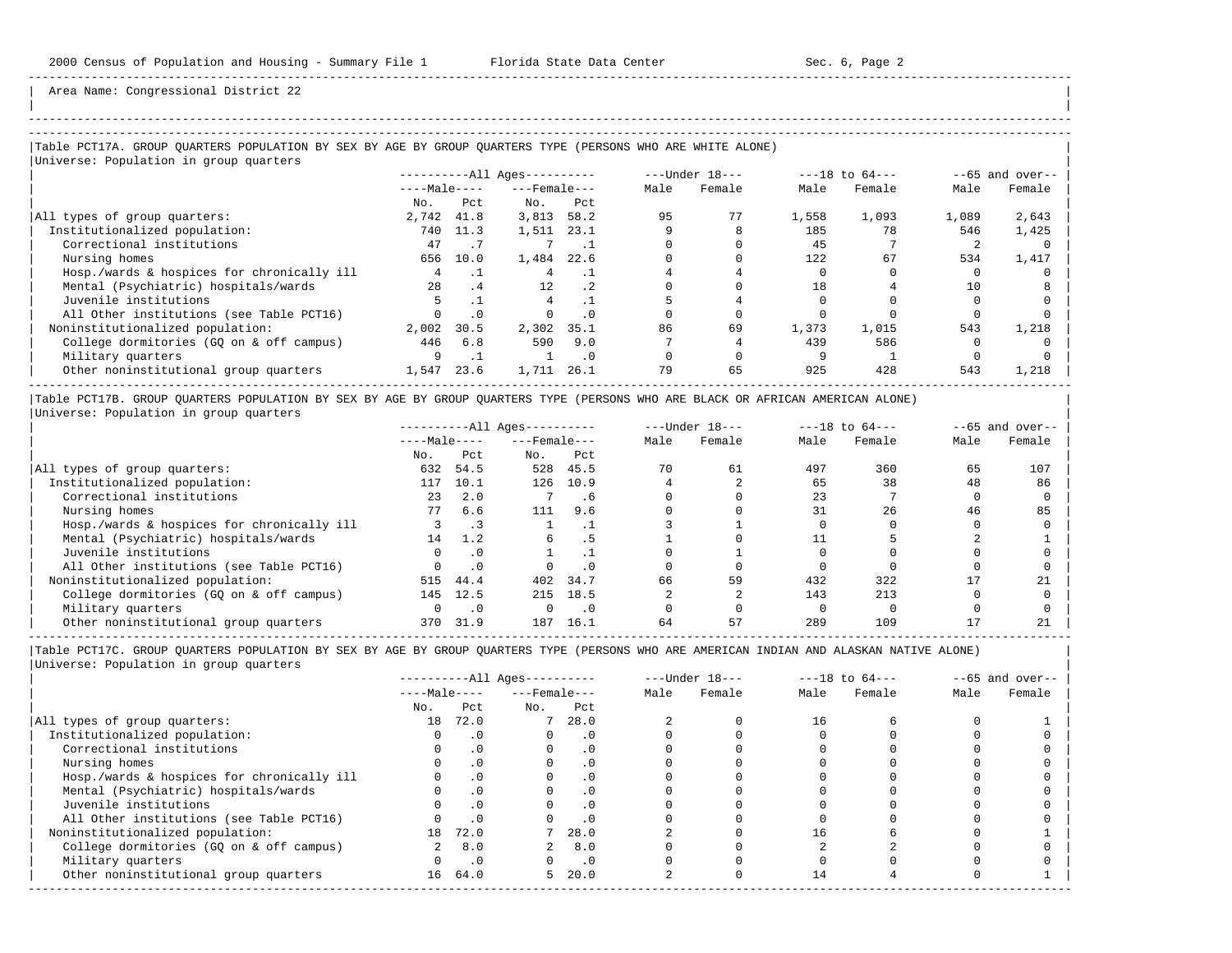| | -----------------------------------------------------------------------------------------------------------------------------------------------------

Area Name: Congressional District 22

# |Table PCT17A. GROUP QUARTERS POPULATION BY SEX BY AGE BY GROUP QUARTERS TYPE (PERSONS WHO ARE WHITE ALONE) |

|Universe: Population in group quarters |

|                                            |              |           | $------All \text{Aqes}---$ |           |      | $---Under 18---$ |       | $---18$ to $64---$ |       | $--65$ and over-- |
|--------------------------------------------|--------------|-----------|----------------------------|-----------|------|------------------|-------|--------------------|-------|-------------------|
|                                            | $---Male---$ |           | $---$ Female $---$         |           | Male | Female           | Male  | Female             | Male  | Female            |
|                                            | No.          | Pct.      | No.                        | Pct       |      |                  |       |                    |       |                   |
| All types of group quarters:               | 2,742        | 41.8      | 3,813                      | 58.2      | 95   | 77               | 1,558 | 1,093              | 1,089 | 2,643             |
| Institutionalized population:              |              | 740 11.3  | 1,511                      | 23.1      |      |                  | 185   | 78                 | 546   | 1,425             |
| Correctional institutions                  | 47           |           |                            |           |      |                  | 45    |                    |       |                   |
| Nursing homes                              | 656          | 10.0      | 1,484                      | 22.6      |      |                  | 122   | 67                 | 534   | 1,417             |
| Hosp./wards & hospices for chronically ill |              |           |                            |           |      |                  |       |                    |       |                   |
| Mental (Psychiatric) hospitals/wards       | 2.8          | .4        | $12 \overline{ }$          | . 2       |      |                  | 18    |                    | 10    |                   |
| Juvenile institutions                      |              |           |                            |           |      |                  |       |                    |       |                   |
| All Other institutions (see Table PCT16)   |              | $\cdot$ 0 |                            | $\cdot$ 0 |      |                  |       |                    |       |                   |
| Noninstitutionalized population:           | 2,002        | 30.5      | 2,302                      | 35.1      | 86   | 69               | 1,373 | 1,015              | 543   | 1,218             |
| College dormitories (GQ on & off campus)   | 446          | 6.8       | 590                        | 9.0       |      |                  | 439   | 586                |       |                   |
| Military quarters                          |              |           |                            | $\cdot$ 0 |      |                  |       |                    |       |                   |
| Other noninstitutional group quarters      | 1,547        | 23.6      | 1,711                      | 26.1      | 79   | 65               | 925   | 428                | 543   | 1,218             |

|Table PCT17B. GROUP QUARTERS POPULATION BY SEX BY AGE BY GROUP QUARTERS TYPE (PERSONS WHO ARE BLACK OR AFRICAN AMERICAN ALONE) | |Universe: Population in group quarters |

|                                            | $------All Aqes------$ |           |                    | $---Under 18---$ | $---18$ to $64---$ |        | $--65$ and over-- |        |      |        |
|--------------------------------------------|------------------------|-----------|--------------------|------------------|--------------------|--------|-------------------|--------|------|--------|
|                                            | $---Male---$           |           | $---$ Female $---$ |                  | Male               | Female | Male              | Female | Male | Female |
|                                            | No.                    | Pct       | No.                | Pct              |                    |        |                   |        |      |        |
| All types of group quarters:               | 632                    | 54.5      | 528                | 45.5             | 70                 | 61     | 497               | 360    | 65   | 107    |
| Institutionalized population:              | 117                    | 10.1      | 126                | 10.9             |                    |        | 65                | 38     | 48   | 86     |
| Correctional institutions                  | 23                     | 2.0       |                    | . 6              |                    |        | 23                |        |      |        |
| Nursing homes                              | 77                     | 6.6       | 111                | 9.6              |                    |        | 31                | 26     | 46   | 85     |
| Hosp./wards & hospices for chronically ill |                        | . 3       |                    |                  |                    |        |                   |        |      |        |
| Mental (Psychiatric) hospitals/wards       | 14                     | 1.2       |                    |                  |                    |        |                   |        |      |        |
| Juvenile institutions                      |                        | $\cdot$ 0 |                    |                  |                    |        |                   |        |      |        |
| All Other institutions (see Table PCT16)   |                        |           |                    | $\cdot$ 0        |                    |        |                   |        |      |        |
| Noninstitutionalized population:           | 515                    | 44.4      | 402                | 34.7             | 66                 | 59     | 432               | 322    |      | 21     |
| College dormitories (GO on & off campus)   | 145                    | 12.5      | 215                | 18.5             |                    |        | 143               | 213    |      |        |
| Military quarters                          |                        | $\cdot$ 0 |                    | $\cdot$ 0        |                    |        |                   |        |      |        |
| Other noninstitutional group quarters      | 370                    | 31.9      | 187                | 16.1             | 64                 | 57     | 289               | 109    |      |        |

-----------------------------------------------------------------------------------------------------------------------------------------------------

|                                            |              |           | $------All Ages------$ |            |      | $---Under 18---$ |      | $---18$ to $64---$ |      | $--65$ and over-- |
|--------------------------------------------|--------------|-----------|------------------------|------------|------|------------------|------|--------------------|------|-------------------|
|                                            | $---Male---$ |           | $---$ Female $---$     |            | Male | Female           | Male | Female             | Male | Female            |
|                                            | No.          | Pct       | No.                    | Pct        |      |                  |      |                    |      |                   |
| All types of group quarters:               | 18           | 72.0      |                        | 28.0       |      |                  | 16   |                    |      |                   |
| Institutionalized population:              |              |           |                        | . 0        |      |                  |      |                    |      |                   |
| Correctional institutions                  |              | $\cdot$ 0 |                        | $\cdot$ 0  |      |                  |      |                    |      |                   |
| Nursing homes                              |              |           |                        | . 0        |      |                  |      |                    |      |                   |
| Hosp./wards & hospices for chronically ill |              |           |                        | . 0        |      |                  |      |                    |      |                   |
| Mental (Psychiatric) hospitals/wards       |              | $\cdot$ 0 |                        | $\Omega$ . |      |                  |      |                    |      |                   |
| Juvenile institutions                      |              |           |                        | $\cdot$ 0  |      |                  |      |                    |      |                   |
| All Other institutions (see Table PCT16)   |              |           |                        |            |      |                  |      |                    |      |                   |
| Noninstitutionalized population:           | 18           | 72.0      |                        | 28.0       |      |                  | 16   |                    |      |                   |
| College dormitories (GQ on & off campus)   |              | 8.0       |                        | 8.0        |      |                  |      |                    |      |                   |
| Military quarters                          |              | $\cdot$ 0 |                        | $\cdot$ 0  |      |                  |      |                    |      |                   |
| Other noninstitutional group quarters      | 16           | 64.0      | 5.                     | 20.0       |      |                  | 14   |                    |      |                   |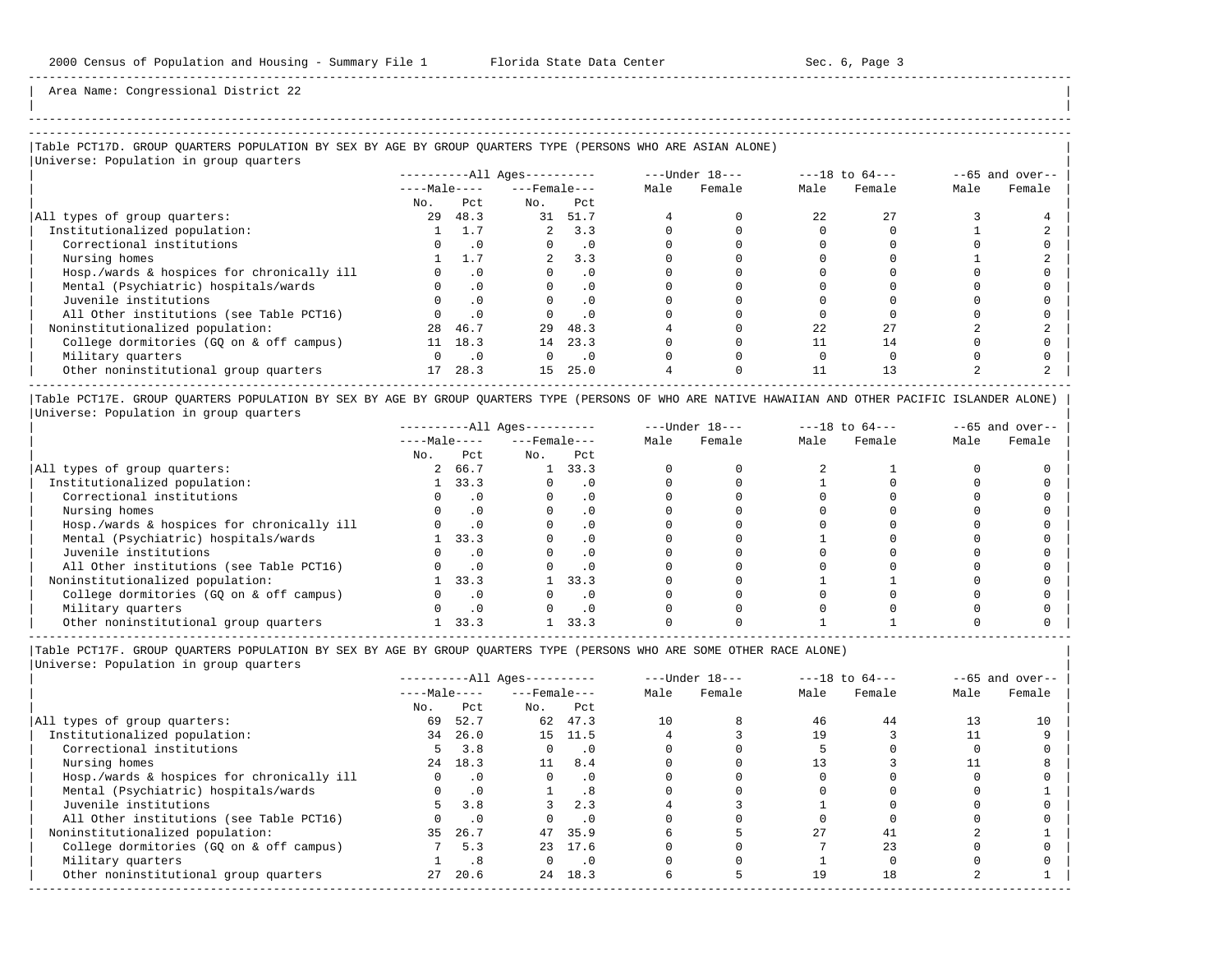| |

-----------------------------------------------------------------------------------------------------------------------------------------------------

Area Name: Congressional District 22

# |Table PCT17D. GROUP QUARTERS POPULATION BY SEX BY AGE BY GROUP QUARTERS TYPE (PERSONS WHO ARE ASIAN ALONE) |

|Universe: Population in group quarters |

|                                            |              |           | $------All Ages------$ |           |      | $---Under 18---$ |      | $---18$ to $64---$ |      | $--65$ and over-- |
|--------------------------------------------|--------------|-----------|------------------------|-----------|------|------------------|------|--------------------|------|-------------------|
|                                            | $---Male---$ |           | $---$ Female $---$     |           | Male | Female           | Male | Female             | Male | Female            |
|                                            | No.          | Pct.      | No.                    | Pct.      |      |                  |      |                    |      |                   |
| All types of group quarters:               | 29           | 48.3      | 31                     | 51.7      |      |                  | 2.2. | 27                 |      |                   |
| Institutionalized population:              |              |           |                        | 3.3       |      |                  |      |                    |      |                   |
| Correctional institutions                  |              | $\cdot$ 0 |                        | $\cdot$ 0 |      |                  |      |                    |      |                   |
| Nursing homes                              |              |           |                        | 3.3       |      |                  |      |                    |      |                   |
| Hosp./wards & hospices for chronically ill |              | . 0       |                        |           |      |                  |      |                    |      |                   |
| Mental (Psychiatric) hospitals/wards       |              | $\cdot$ 0 |                        | $\cdot$ 0 |      |                  |      |                    |      |                   |
| Juvenile institutions                      |              | $\cdot$ 0 |                        |           |      |                  |      |                    |      |                   |
| All Other institutions (see Table PCT16)   |              | $\cdot$ 0 |                        |           |      |                  |      |                    |      |                   |
| Noninstitutionalized population:           | 28           | 46.7      | 29                     | 48.3      |      |                  | 22   |                    |      |                   |
| College dormitories (GO on & off campus)   |              | 18.3      | 14                     | 23.3      |      |                  |      | 14                 |      |                   |
| Military quarters                          |              | $\cdot$ 0 |                        | $\cdot$ 0 |      |                  |      |                    |      |                   |
| Other noninstitutional group quarters      | 17           | 28.3      | 1.5                    | 25.0      |      |                  |      |                    |      |                   |

|Table PCT17E. GROUP QUARTERS POPULATION BY SEX BY AGE BY GROUP QUARTERS TYPE (PERSONS OF WHO ARE NATIVE HAWAIIAN AND OTHER PACIFIC ISLANDER ALONE) | |Universe: Population in group quarters |

|                                            |              |      | $------All Aqes------$ |           |      | $---Under 18---$ |      | $---18$ to $64---$ |      | $--65$ and over-- |
|--------------------------------------------|--------------|------|------------------------|-----------|------|------------------|------|--------------------|------|-------------------|
|                                            | $---Male---$ |      | $---$ Female $---$     |           | Male | Female           | Male | Female             | Male | Female            |
|                                            | No.          | Pct  | No.                    | Pct       |      |                  |      |                    |      |                   |
| All types of group quarters:               |              | 66.7 |                        | 33.3      |      |                  |      |                    |      |                   |
| Institutionalized population:              |              | 33.3 |                        | . 0       |      |                  |      |                    |      |                   |
| Correctional institutions                  |              |      |                        |           |      |                  |      |                    |      |                   |
| Nursing homes                              |              |      |                        | . 0       |      |                  |      |                    |      |                   |
| Hosp./wards & hospices for chronically ill |              |      |                        |           |      |                  |      |                    |      |                   |
| Mental (Psychiatric) hospitals/wards       |              | 33.3 |                        |           |      |                  |      |                    |      |                   |
| Juvenile institutions                      |              |      |                        |           |      |                  |      |                    |      |                   |
| All Other institutions (see Table PCT16)   |              |      |                        |           |      |                  |      |                    |      |                   |
| Noninstitutionalized population:           |              | 33.3 |                        | 33.3      |      |                  |      |                    |      |                   |
| College dormitories (GO on & off campus)   |              |      |                        | $\cdot$ 0 |      |                  |      |                    |      |                   |
| Military quarters                          |              |      |                        | . 0       |      |                  |      |                    |      |                   |
| Other noninstitutional group quarters      |              | 33.3 |                        | 33.3      |      |                  |      |                    |      |                   |

-----------------------------------------------------------------------------------------------------------------------------------------------------

|Table PCT17F. GROUP QUARTERS POPULATION BY SEX BY AGE BY GROUP QUARTERS TYPE (PERSONS WHO ARE SOME OTHER RACE ALONE) |

|                                            |              |           | $------All Aqes------$ |           |      | $---Under 18---$ |      | $---18$ to $64---$ |      | $--65$ and over-- |
|--------------------------------------------|--------------|-----------|------------------------|-----------|------|------------------|------|--------------------|------|-------------------|
|                                            | $---Male---$ |           | $---$ Female $---$     |           | Male | Female           | Male | Female             | Male | Female            |
|                                            | No.          | Pct       | No.                    | Pct       |      |                  |      |                    |      |                   |
| All types of group quarters:               | 69           | 52.7      | 62                     | 47.3      | 10   |                  | 46   | 44                 |      | 10                |
| Institutionalized population:              | 34           | 26.0      |                        | 15 11.5   |      |                  | 19   |                    |      |                   |
| Correctional institutions                  |              | 3.8       | $\Omega$               | $\cdot$ 0 |      |                  |      |                    |      |                   |
| Nursing homes                              | 24           | 18.3      | 11                     | 8.4       |      |                  | 13   |                    |      |                   |
| Hosp./wards & hospices for chronically ill |              | $\cdot$ 0 | $\Omega$               | $\cdot$ 0 |      |                  |      |                    |      |                   |
| Mental (Psychiatric) hospitals/wards       |              | $\cdot$ 0 |                        | . 8       |      |                  |      |                    |      |                   |
| Juvenile institutions                      |              | 3.8       |                        | 2.3       |      |                  |      |                    |      |                   |
| All Other institutions (see Table PCT16)   |              | $\cdot$ 0 |                        | $\cdot$ 0 |      |                  |      |                    |      |                   |
| Noninstitutionalized population:           | 35           | 26.7      |                        | 47 35.9   |      |                  | 27   | 41                 |      |                   |
| College dormitories (GQ on & off campus)   |              | 5.3       | 23                     | 17.6      |      |                  |      | 23                 |      |                   |
| Military quarters                          |              | .8        |                        | $\cdot$ 0 |      |                  |      |                    |      |                   |
| Other noninstitutional group quarters      | 27           | 20.6      | 24                     | 18.3      |      |                  | 19   | 18                 |      |                   |
|                                            |              |           |                        |           |      |                  |      |                    |      |                   |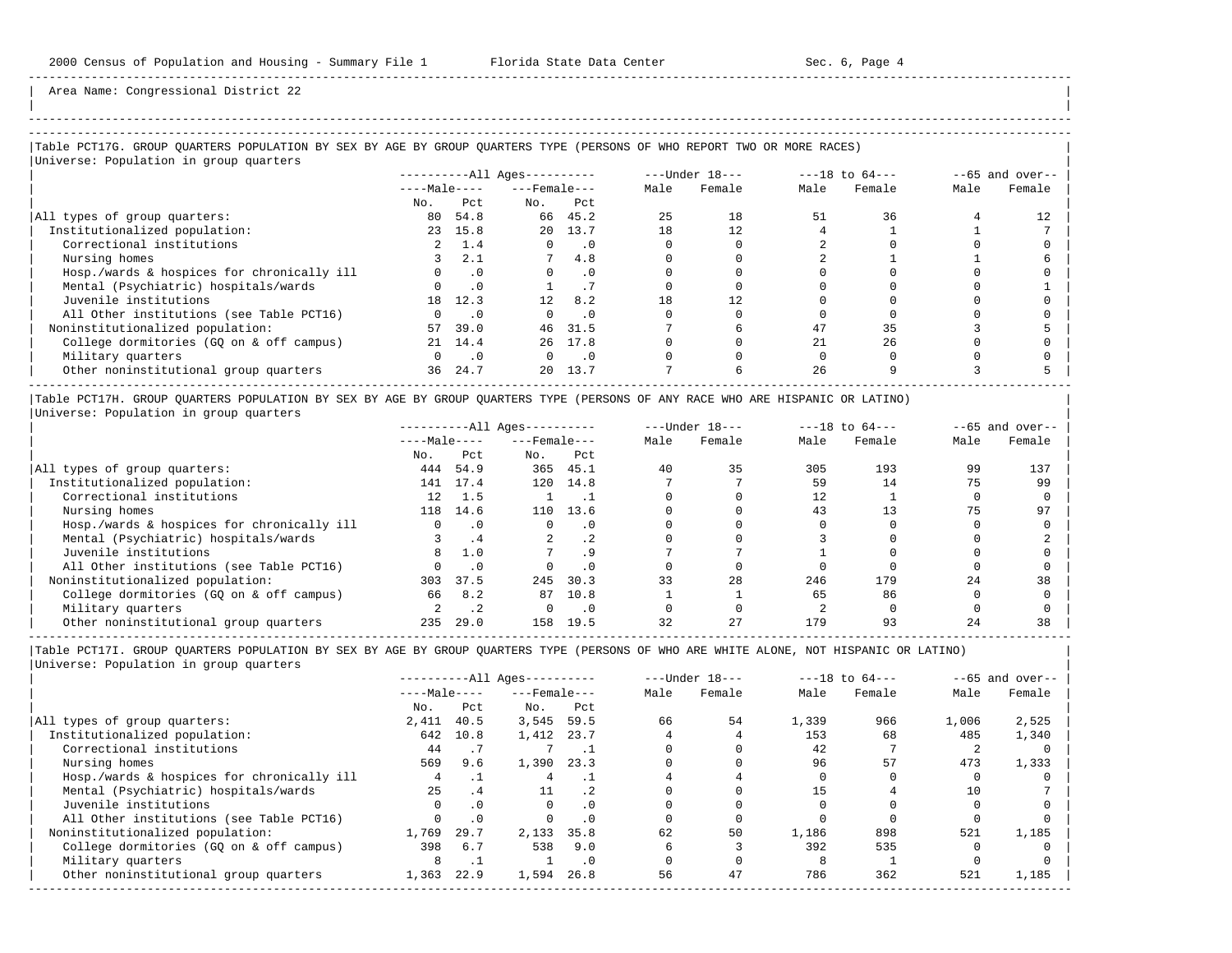| | -----------------------------------------------------------------------------------------------------------------------------------------------------

Area Name: Congressional District 22

### |Table PCT17G. GROUP QUARTERS POPULATION BY SEX BY AGE BY GROUP QUARTERS TYPE (PERSONS OF WHO REPORT TWO OR MORE RACES) | |Universe: Population in group quarters |

| $1000$ $1000$ $1000$ $1000$ $1000$ $1000$ $1000$ |              |           | $------All \text{Aqes}---$ |           |      | ---Under 18--- |      | $---18$ to $64---$ |      | $--65$ and over-- |
|--------------------------------------------------|--------------|-----------|----------------------------|-----------|------|----------------|------|--------------------|------|-------------------|
|                                                  | $---Male---$ |           | $---$ Female $---$         |           | Male | Female         | Male | Female             | Male | Female            |
|                                                  | No.          | Pct.      | No.                        | Pct       |      |                |      |                    |      |                   |
| All types of group quarters:                     | 80           | 54.8      |                            | 66 45.2   | 25   | 18             | 51   | 36                 |      |                   |
| Institutionalized population:                    |              | 23 15.8   |                            | 20 13.7   | 18   | 12.            |      |                    |      |                   |
| Correctional institutions                        |              | 1.4       |                            | $\cdot$ 0 |      |                |      |                    |      |                   |
| Nursing homes                                    |              | 2.1       |                            | 4.8       |      |                |      |                    |      |                   |
| Hosp./wards & hospices for chronically ill       |              | $\cdot$ 0 | $\Omega$                   | $\cdot$ 0 |      |                |      |                    |      |                   |
| Mental (Psychiatric) hospitals/wards             |              | $\cdot$ 0 |                            |           |      |                |      |                    |      |                   |
| Juvenile institutions                            | 18           | 12.3      | 12                         | 8.2       | 18   | 12             |      |                    |      |                   |
| All Other institutions (see Table PCT16)         |              | $\cdot$ 0 |                            | $\cdot$ 0 |      |                |      |                    |      |                   |
| Noninstitutionalized population:                 | 57           | 39.0      | 46                         | 31.5      |      |                | 47   | 35                 |      |                   |
| College dormitories (GQ on & off campus)         | 21           | 14.4      |                            | 26 17.8   |      |                |      | 26                 |      |                   |
| Military quarters                                |              | $\cdot$ 0 |                            | . 0       |      |                |      |                    |      |                   |
| Other noninstitutional group quarters            | 36           | 24.7      | 20 <sub>o</sub>            | 13.7      |      |                | 26   |                    |      |                   |
|                                                  |              |           |                            |           |      |                |      |                    |      |                   |

|Table PCT17H. GROUP QUARTERS POPULATION BY SEX BY AGE BY GROUP QUARTERS TYPE (PERSONS OF ANY RACE WHO ARE HISPANIC OR LATINO) | |Universe: Population in group quarters |

|                                            | $------All Aqes------$ |      |                    | $---Under 18---$ | $---18$ to $64---$ |        | $--65$ and over-- |        |      |        |
|--------------------------------------------|------------------------|------|--------------------|------------------|--------------------|--------|-------------------|--------|------|--------|
|                                            | $---Male---$           |      | $---$ Female $---$ |                  | Male               | Female | Male              | Female | Male | Female |
|                                            | No.                    | Pct  | No.                | Pct              |                    |        |                   |        |      |        |
| All types of group quarters:               | 444                    | 54.9 |                    | 365 45.1         | 40                 | 35     | 305               | 193    | 99   | 137    |
| Institutionalized population:              | 141                    | 17.4 | 120                | 14.8             |                    |        | 59                | 14     | 75   | 99     |
| Correctional institutions                  | 12 <sup>°</sup>        | 1.5  |                    |                  |                    |        | 12                |        |      |        |
| Nursing homes                              | 118                    | 14.6 | 110                | 13.6             |                    |        | 43                |        |      | 97     |
| Hosp./wards & hospices for chronically ill |                        |      |                    | $\cdot$ 0        |                    |        |                   |        |      |        |
| Mental (Psychiatric) hospitals/wards       |                        | . 4  |                    | .2 <sub>2</sub>  |                    |        |                   |        |      |        |
| Juvenile institutions                      | 8                      | 1.0  |                    |                  |                    |        |                   |        |      |        |
| All Other institutions (see Table PCT16)   |                        |      |                    | $\cdot$ 0        |                    |        |                   |        |      |        |
| Noninstitutionalized population:           | 303                    | 37.5 | 245                | 30.3             | 33                 | 28     | 246               | 179    | 24   | 38     |
| College dormitories (GQ on & off campus)   | 66                     | 8.2  | 87                 | 10.8             |                    |        | 65                | 86     |      |        |
| Military quarters                          |                        |      |                    | $\cdot$ 0        |                    |        |                   |        |      |        |
| Other noninstitutional group quarters      | 235                    | 29.0 | 158                | 19.5             | 32                 | 27     | 179               | 93     |      | 38     |

-----------------------------------------------------------------------------------------------------------------------------------------------------

|                                            |              |           | $------All Aqes------$ |           |      | $---Under 18---$ |       | $---18$ to $64---$ |       | $--65$ and over-- |
|--------------------------------------------|--------------|-----------|------------------------|-----------|------|------------------|-------|--------------------|-------|-------------------|
|                                            | $---Male---$ |           | $---$ Female $---$     |           | Male | Female           | Male  | Female             | Male  | Female            |
|                                            | No.          | Pct       | No.                    | Pct       |      |                  |       |                    |       |                   |
| All types of group quarters:               | 2,411        | 40.5      | 3,545                  | 59.5      | 66   | 54               | 1,339 | 966                | 1,006 | 2,525             |
| Institutionalized population:              | 642          | 10.8      | 1,412                  | 23.7      |      |                  | 153   | 68                 | 485   | 1,340             |
| Correctional institutions                  | 44           |           |                        |           |      |                  | 42    |                    |       |                   |
| Nursing homes                              | 569          | 9.6       | 1,390                  | 23.3      |      |                  | 96    | 57                 | 473   | 1,333             |
| Hosp./wards & hospices for chronically ill |              |           | 4                      |           |      |                  |       |                    |       |                   |
| Mental (Psychiatric) hospitals/wards       | 25           | . 4       | 11                     | $\cdot$ 2 |      |                  | 15    |                    | 10    |                   |
| Juvenile institutions                      |              | $\cdot$ 0 |                        | $\cdot$ 0 |      |                  |       |                    |       |                   |
| All Other institutions (see Table PCT16)   |              | $\cdot$ 0 |                        | $\cdot$ 0 |      |                  |       |                    |       |                   |
| Noninstitutionalized population:           | 1,769        | 29.7      | 2,133                  | 35.8      | 62   | 50               | 1,186 | 898                | 521   | 1,185             |
| College dormitories (GO on & off campus)   | 398          | 6.7       | 538                    | 9.0       |      |                  | 392   | 535                |       |                   |
| Military quarters                          | 8            |           |                        | . 0       |      |                  |       |                    |       |                   |
| Other noninstitutional group quarters      | 1,363        | 22.9      | 1,594                  | 26.8      | 56   | 47               | 786   | 362                | 521   | 1,185             |
|                                            |              |           |                        |           |      |                  |       |                    |       |                   |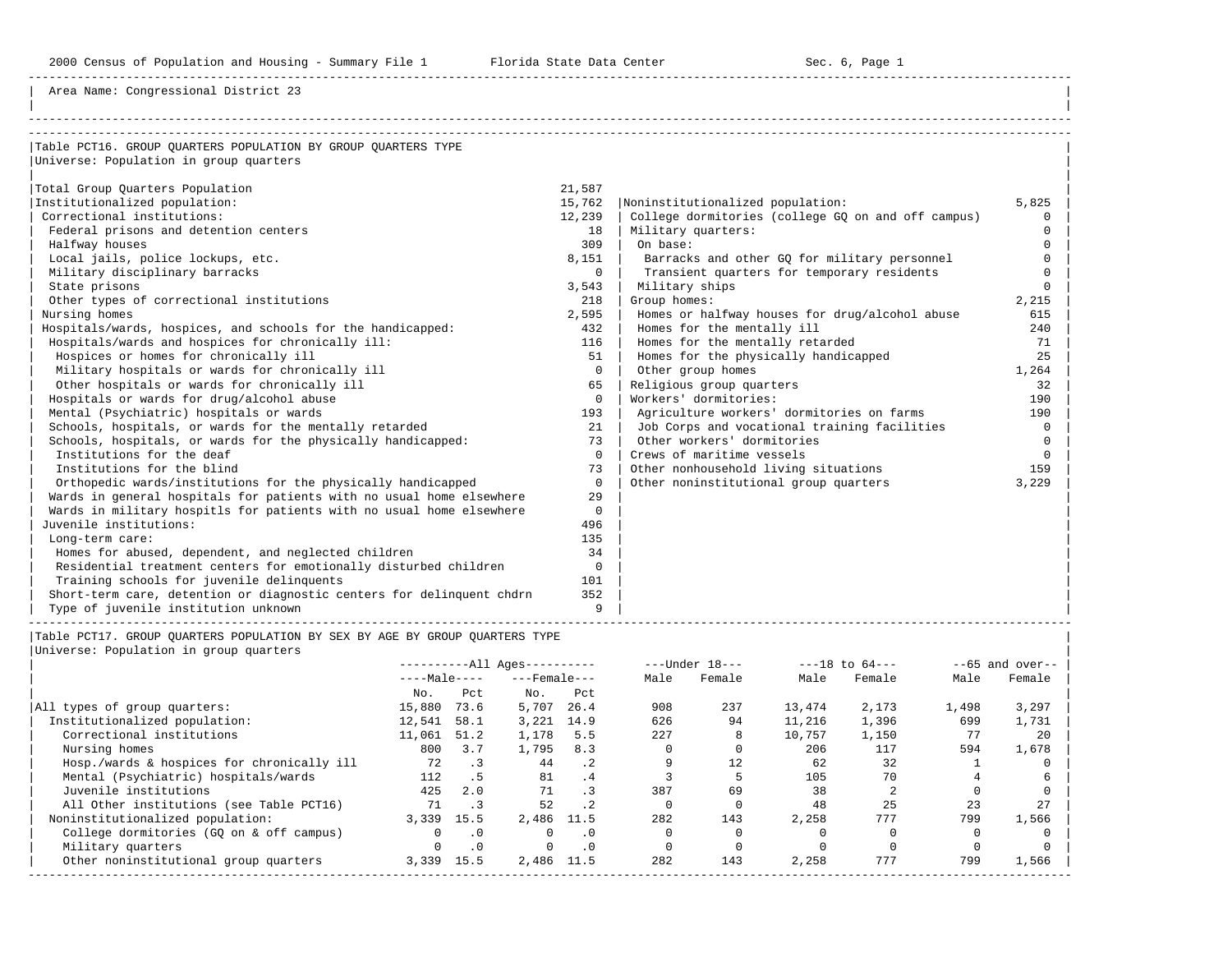Area Name: Congressional District 23

| Table PCT16. GROUP OUARTERS POPULATION BY GROUP OUARTERS TYPE         |             |                                                    |          |
|-----------------------------------------------------------------------|-------------|----------------------------------------------------|----------|
| Universe: Population in group quarters                                |             |                                                    |          |
|                                                                       |             |                                                    |          |
| Total Group Quarters Population                                       | 21,587      |                                                    |          |
| Institutionalized population:                                         | 15,762      | Noninstitutionalized population:                   | 5,825    |
| Correctional institutions:                                            | 12,239      | College dormitories (college GQ on and off campus) | $\Omega$ |
| Federal prisons and detention centers                                 | 18          | Military quarters:                                 | $\Omega$ |
| Halfway houses                                                        | 309         | On base:                                           | $\cap$   |
| Local jails, police lockups, etc.                                     | 8,151       | Barracks and other GO for military personnel       |          |
| Military disciplinary barracks                                        | 0           | Transient quarters for temporary residents         | $\Omega$ |
| State prisons                                                         | 3,543       | Military ships                                     | $\cap$   |
| Other types of correctional institutions                              | 218         | Group homes:                                       | 2,215    |
| Nursing homes                                                         | 2,595       | Homes or halfway houses for drug/alcohol abuse     | 615      |
| Hospitals/wards, hospices, and schools for the handicapped:           | 432         | Homes for the mentally ill                         | 240      |
| Hospitals/wards and hospices for chronically ill:                     | 116         | Homes for the mentally retarded                    | 71       |
| Hospices or homes for chronically ill                                 | 51          | Homes for the physically handicapped               | 25       |
| Military hospitals or wards for chronically ill                       | $\Omega$    | Other group homes                                  | 1,264    |
| Other hospitals or wards for chronically ill                          | 65          | Religious group quarters                           | 32       |
| Hospitals or wards for drug/alcohol abuse                             | $\Omega$    | Workers' dormitories:                              | 190      |
| Mental (Psychiatric) hospitals or wards                               | 193         | Agriculture workers' dormitories on farms          | 190      |
| Schools, hospitals, or wards for the mentally retarded                | 21          | Job Corps and vocational training facilities       | $\Omega$ |
| Schools, hospitals, or wards for the physically handicapped:          | 73          | Other workers' dormitories                         | $\Omega$ |
| Institutions for the deaf                                             | $\Omega$    | Crews of maritime vessels                          | $\cap$   |
| Institutions for the blind                                            | 73          | Other nonhousehold living situations               | 159      |
| Orthopedic wards/institutions for the physically handicapped          | $\Omega$    | Other noninstitutional group quarters              | 3,229    |
| Wards in general hospitals for patients with no usual home elsewhere  | 29          |                                                    |          |
| Wards in military hospitls for patients with no usual home elsewhere  | $\Omega$    |                                                    |          |
| Juvenile institutions:                                                | 496         |                                                    |          |
| Long-term care:                                                       | 135         |                                                    |          |
| Homes for abused, dependent, and neglected children                   | 34          |                                                    |          |
| Residential treatment centers for emotionally disturbed children      | $\mathbf 0$ |                                                    |          |
| Training schools for juvenile delinquents                             | 101         |                                                    |          |
| Short-term care, detention or diagnostic centers for delinguent chdrn | 352         |                                                    |          |
| Type of juvenile institution unknown                                  | 9           |                                                    |          |

|Table PCT17. GROUP QUARTERS POPULATION BY SEX BY AGE BY GROUP QUARTERS TYPE |

|Universe: Population in group quarters |

|                                            |              |           | $------All Aqes------$ |           |      | $---Under 18---$ |        | $---18$ to $64---$ |       | $--65$ and over-- |
|--------------------------------------------|--------------|-----------|------------------------|-----------|------|------------------|--------|--------------------|-------|-------------------|
|                                            | $---Male---$ |           | $---$ Female $---$     |           | Male | Female           | Male   | Female             | Male  | Female            |
|                                            | No.          | Pct       | No.                    | Pct       |      |                  |        |                    |       |                   |
| All types of group quarters:               | 15,880       | 73.6      | 5,707                  | 26.4      | 908  | 237              | 13,474 | 2,173              | 1,498 | 3,297             |
| Institutionalized population:              | 12,541       | 58.1      | 3,221                  | 14.9      | 626  | 94               | 11,216 | 1,396              | 699   | 1,731             |
| Correctional institutions                  | 11,061       | 51.2      | 1,178                  | 5.5       | 227  | 8                | 10,757 | 1,150              | 77    | 20                |
| Nursing homes                              | 800          | 3.7       | 1,795                  | 8.3       |      |                  | 206    | 117                | 594   | 1,678             |
| Hosp./wards & hospices for chronically ill | 72           | $\cdot$ 3 | 44                     | $\cdot$ 2 |      | 12.              | 62     | 32                 |       |                   |
| Mental (Psychiatric) hospitals/wards       | 112          | . 5       | 81                     | .4        |      |                  | 105    | 70                 |       |                   |
| Juvenile institutions                      | 425          | 2.0       | 71                     | . 3       | 387  | 69               | 38     |                    |       |                   |
| All Other institutions (see Table PCT16)   | 71           | .3        | 52                     | $\cdot$ 2 |      |                  | 48     | 25                 | 23    | 27                |
| Noninstitutionalized population:           | 3,339        | 15.5      | 2,486 11.5             |           | 282  | 143              | 2,258  | 777                | 799   | 1,566             |
| College dormitories (GO on & off campus)   | 0            | $\cdot$ 0 | $\Omega$               | $\cdot$ 0 |      |                  |        |                    |       |                   |
| Military quarters                          | 0            | $\cdot$ 0 | $\Omega$               | $\cdot$ 0 |      |                  |        |                    |       |                   |
| Other noninstitutional group quarters      | 3,339        | 15.5      | 2,486                  | 11.5      | 282  | 143              | 2,258  | 777                | 799   | 1,566             |
|                                            |              |           |                        |           |      |                  |        |                    |       |                   |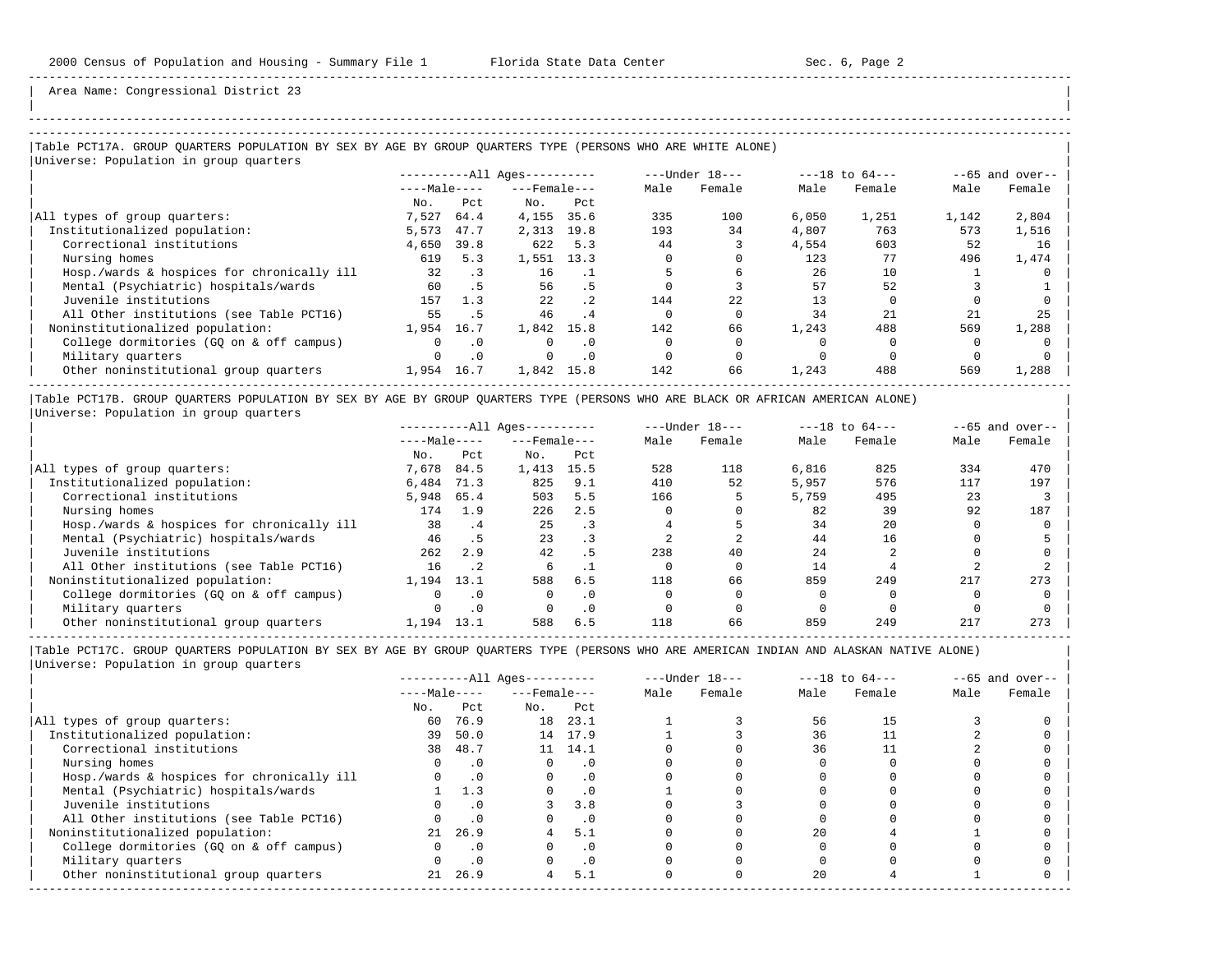| | -----------------------------------------------------------------------------------------------------------------------------------------------------

Area Name: Congressional District 23

## ----------------------------------------------------------------------------------------------------------------------------------------------------- |Table PCT17A. GROUP QUARTERS POPULATION BY SEX BY AGE BY GROUP QUARTERS TYPE (PERSONS WHO ARE WHITE ALONE) |

|Universe: Population in group quarters |

|                                            | ----------All Ages---------- |           |                    |           |      |        | $---Under 18---$ |        | $---18$ to $64---$ |        | $--65$ and over-- |  |
|--------------------------------------------|------------------------------|-----------|--------------------|-----------|------|--------|------------------|--------|--------------------|--------|-------------------|--|
|                                            | $---Male---$                 |           | $---$ Female $---$ |           | Male | Female | Male             | Female | Male               | Female |                   |  |
|                                            | No.                          | Pct       | No.                | Pct       |      |        |                  |        |                    |        |                   |  |
| All types of group quarters:               | 7,527                        | 64.4      | 4,155              | 35.6      | 335  | 100    | 6.050            | 1,251  | 1,142              | 2,804  |                   |  |
| Institutionalized population:              | 5,573                        | 47.7      | 2,313              | 19.8      | 193  | 34     | 4,807            | 763    | 573                | 1,516  |                   |  |
| Correctional institutions                  | 4,650                        | 39.8      | 622                | 5.3       | 44   |        | 4,554            | 603    | 52                 | 16     |                   |  |
| Nursing homes                              | 619                          | 5.3       | 1,551              | 13.3      |      |        | 123              | 77     | 496                | 1,474  |                   |  |
| Hosp./wards & hospices for chronically ill | 32                           | $\cdot$ 3 | 16                 |           |      |        | 26               | 10     |                    |        |                   |  |
| Mental (Psychiatric) hospitals/wards       | 60                           | .5        | 56                 | .5        |      |        | 57               | 52     |                    |        |                   |  |
| Juvenile institutions                      | 157                          | 1.3       | 2.2.               | .2        | 144  | 2.2.   | 13               |        |                    |        |                   |  |
| All Other institutions (see Table PCT16)   | 55                           | . 5       | 46                 | .4        |      |        | 34               | 21     | 21                 | 25     |                   |  |
| Noninstitutionalized population:           | 1,954                        | 16.7      | 1,842              | 15.8      | 142  | 66     | 1,243            | 488    | 569                | 1,288  |                   |  |
| College dormitories (GO on & off campus)   |                              | $\cdot$ 0 |                    | $\cdot$ 0 |      |        |                  |        |                    |        |                   |  |
| Military quarters                          |                              | $\cdot$ 0 |                    | $\cdot$ 0 |      |        |                  |        |                    |        |                   |  |
| Other noninstitutional group quarters      | 1,954                        | 16.7      | 1,842              | 15.8      | 142  | 66     | 1,243            | 488    | 569                | 1,288  |                   |  |

|Table PCT17B. GROUP QUARTERS POPULATION BY SEX BY AGE BY GROUP QUARTERS TYPE (PERSONS WHO ARE BLACK OR AFRICAN AMERICAN ALONE) | |Universe: Population in group quarters |

|                                            |              |                 | $------All Aqes------$ |           |              | $---Under 18---$ |       | $---18$ to $64---$ |      | $--65$ and over-- |
|--------------------------------------------|--------------|-----------------|------------------------|-----------|--------------|------------------|-------|--------------------|------|-------------------|
|                                            | $---Male---$ |                 | $---$ Female $---$     |           | Male         | Female           | Male  | Female             | Male | Female            |
|                                            | No.          | Pct             | No.                    | Pct       |              |                  |       |                    |      |                   |
| All types of group quarters:               | 7,678        | 84.5            | 1,413                  | 15.5      | 528          | 118              | 6,816 | 825                | 334  | 470               |
| Institutionalized population:              | 6,484        | 71.3            | 825                    | 9.1       | 410          | 52               | 5,957 | 576                | 117  | 197               |
| Correctional institutions                  | 5,948        | 65.4            | 503                    | 5.5       | 166          |                  | 5,759 | 495                | 23   |                   |
| Nursing homes                              | 174          | 1.9             | 226                    | 2.5       | <sup>n</sup> |                  | 82    | 39                 | 92   | 187               |
| Hosp./wards & hospices for chronically ill | 38           | . 4             | 25                     |           |              |                  | 34    | 20                 |      |                   |
| Mental (Psychiatric) hospitals/wards       | 46           | .5 <sub>1</sub> | 23                     |           |              |                  | 44    | 16                 |      |                   |
| Juvenile institutions                      | 262          | 2.9             | 42                     |           | 238          | 40               | 24    |                    |      |                   |
| All Other institutions (see Table PCT16)   | 16           | .2              | Б.                     |           |              |                  | 14    |                    |      |                   |
| Noninstitutionalized population:           | 1,194        | 13.1            | 588                    | 6.5       | 118          | 66               | 859   | 249                | 217  | 273               |
| College dormitories (GO on & off campus)   |              |                 |                        | $\cdot$ 0 |              |                  |       |                    |      |                   |
| Military quarters                          |              | $\cdot$ 0       |                        | $\cdot$ 0 |              |                  |       |                    |      |                   |
| Other noninstitutional group quarters      | 1,194        | 13.1            | 588                    | 6.5       | 118          | 66               | 859   | 249                | 217  | 273               |

-----------------------------------------------------------------------------------------------------------------------------------------------------

|                                            |              |           | $------All Aqes------$ |           |      | $---Under 18---$ |      | $---18$ to $64---$ |      | $--65$ and over-- |
|--------------------------------------------|--------------|-----------|------------------------|-----------|------|------------------|------|--------------------|------|-------------------|
|                                            | $---Male---$ |           | $---$ Female $---$     |           | Male | Female           | Male | Female             | Male | Female            |
|                                            | No.          | Pct       | No.                    | Pct       |      |                  |      |                    |      |                   |
| All types of group quarters:               | 60           | 76.9      | 18                     | 23.1      |      |                  | 56   | 15                 |      |                   |
| Institutionalized population:              | 39           | 50.0      |                        | 14 17.9   |      |                  | 36   |                    |      |                   |
| Correctional institutions                  | 38           | 48.7      |                        | 11 14.1   |      |                  | 36   |                    |      |                   |
| Nursing homes                              |              | . 0       |                        | . 0       |      |                  |      |                    |      |                   |
| Hosp./wards & hospices for chronically ill |              | $\cdot$ 0 |                        | . 0       |      |                  |      |                    |      |                   |
| Mental (Psychiatric) hospitals/wards       |              | 1.3       |                        | $\cdot$ 0 |      |                  |      |                    |      |                   |
| Juvenile institutions                      |              |           |                        | 3.8       |      |                  |      |                    |      |                   |
| All Other institutions (see Table PCT16)   |              | $\cdot$ 0 |                        | $\cdot$ 0 |      |                  |      |                    |      |                   |
| Noninstitutionalized population:           | 21           | 26.9      |                        | 5.1       |      |                  | 20   |                    |      |                   |
| College dormitories (GQ on & off campus)   |              | $\cdot$ 0 |                        | . 0       |      |                  |      |                    |      |                   |
| Military quarters                          |              | $\cdot$ 0 |                        | $\cdot$ 0 |      |                  |      |                    |      |                   |
| Other noninstitutional group quarters      | 21           | 26.9      | 4                      | 5.1       |      |                  | 20   |                    |      |                   |
|                                            |              |           |                        |           |      |                  |      |                    |      |                   |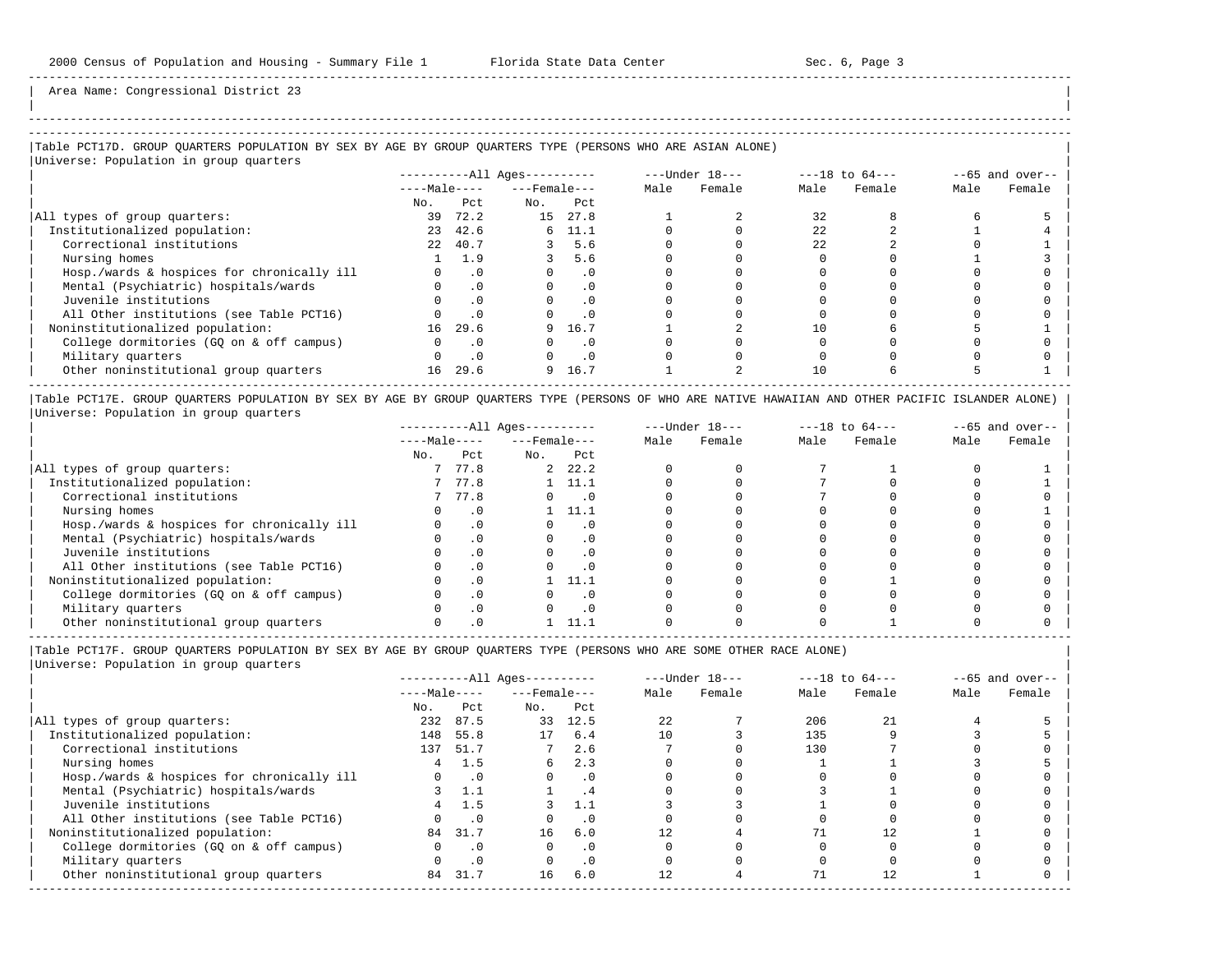| |

-----------------------------------------------------------------------------------------------------------------------------------------------------

Area Name: Congressional District 23

# |Table PCT17D. GROUP QUARTERS POPULATION BY SEX BY AGE BY GROUP QUARTERS TYPE (PERSONS WHO ARE ASIAN ALONE) |

|Universe: Population in group quarters |

|                                            | ----------All Ages---------- |           |                    |           |      |        |      | $---Under 18---$ |      | $---18$ to $64---$ |  | $--65$ and over-- |  |
|--------------------------------------------|------------------------------|-----------|--------------------|-----------|------|--------|------|------------------|------|--------------------|--|-------------------|--|
|                                            | $---Male---$                 |           | $---$ Female $---$ |           | Male | Female | Male | Female           | Male | Female             |  |                   |  |
|                                            | No.                          | Pct       | No.                | Pct       |      |        |      |                  |      |                    |  |                   |  |
| All types of group quarters:               | 39                           | 72.2      | 15                 | 27.8      |      |        | 32   |                  |      |                    |  |                   |  |
| Institutionalized population:              | 23                           | 42.6      |                    | 6, 11.1   |      |        | 22   |                  |      |                    |  |                   |  |
| Correctional institutions                  | 2.2                          | 40.7      |                    | 5.6       |      |        | 22   |                  |      |                    |  |                   |  |
| Nursing homes                              |                              | 1.9       |                    | 5.6       |      |        |      |                  |      |                    |  |                   |  |
| Hosp./wards & hospices for chronically ill |                              | $\cdot$ 0 |                    | $\cdot$ 0 |      |        |      |                  |      |                    |  |                   |  |
| Mental (Psychiatric) hospitals/wards       |                              | .0        |                    | $\cdot$ 0 |      |        |      |                  |      |                    |  |                   |  |
| Juvenile institutions                      |                              |           |                    | $\Omega$  |      |        |      |                  |      |                    |  |                   |  |
| All Other institutions (see Table PCT16)   |                              |           |                    | $\cdot$ 0 |      |        |      |                  |      |                    |  |                   |  |
| Noninstitutionalized population:           | 16                           | 29.6      |                    | 9 16.7    |      |        | 10   |                  |      |                    |  |                   |  |
| College dormitories (GQ on & off campus)   |                              | $\cdot$ 0 |                    | $\cdot$ 0 |      |        |      |                  |      |                    |  |                   |  |
| Military quarters                          |                              | $\cdot$ 0 |                    | $\cdot$ 0 |      |        |      |                  |      |                    |  |                   |  |
| Other noninstitutional group quarters      | 16                           | 29.6      | 9                  | 16.7      |      |        | 10   |                  |      |                    |  |                   |  |

|Table PCT17E. GROUP QUARTERS POPULATION BY SEX BY AGE BY GROUP QUARTERS TYPE (PERSONS OF WHO ARE NATIVE HAWAIIAN AND OTHER PACIFIC ISLANDER ALONE) | |Universe: Population in group quarters |

|                                            |              |           | $------All Ages------$ |          |      | $---Under 18---$ |      | $---18$ to $64---$ |      | $--65$ and over-- |
|--------------------------------------------|--------------|-----------|------------------------|----------|------|------------------|------|--------------------|------|-------------------|
|                                            | $---Male---$ |           | $---$ Female $---$     |          | Male | Female           | Male | Female             | Male | Female            |
|                                            | No.          | Pct       | No.                    | Pct      |      |                  |      |                    |      |                   |
| All types of group quarters:               |              | 77.8      |                        | 2, 22, 2 |      |                  |      |                    |      |                   |
| Institutionalized population:              |              | 77.8      |                        | 11.1     |      |                  |      |                    |      |                   |
| Correctional institutions                  |              | 77.8      |                        |          |      |                  |      |                    |      |                   |
| Nursing homes                              |              | $\cdot$ 0 |                        | 11.1     |      |                  |      |                    |      |                   |
| Hosp./wards & hospices for chronically ill |              | $\cdot$ 0 |                        |          |      |                  |      |                    |      |                   |
| Mental (Psychiatric) hospitals/wards       |              | . 0       |                        |          |      |                  |      |                    |      |                   |
| Juvenile institutions                      |              | . 0       |                        |          |      |                  |      |                    |      |                   |
| All Other institutions (see Table PCT16)   |              | $\Omega$  |                        |          |      |                  |      |                    |      |                   |
| Noninstitutionalized population:           |              | $\cdot$ 0 |                        | 11.1     |      |                  |      |                    |      |                   |
| College dormitories (GQ on & off campus)   |              | $\cdot$ 0 |                        |          |      |                  |      |                    |      |                   |
| Military quarters                          |              | . 0       |                        |          |      |                  |      |                    |      |                   |
| Other noninstitutional group quarters      |              |           |                        |          |      |                  |      |                    |      |                   |

----------------------------------------------------------------------------------------------------------------------------------------------------- |Table PCT17F. GROUP QUARTERS POPULATION BY SEX BY AGE BY GROUP QUARTERS TYPE (PERSONS WHO ARE SOME OTHER RACE ALONE) |

|                                            |              |           | $------All Aqes------$ |           |      | $---Under 18---$ |      | $---18$ to $64---$ |      | $--65$ and over-- |
|--------------------------------------------|--------------|-----------|------------------------|-----------|------|------------------|------|--------------------|------|-------------------|
|                                            | $---Male---$ |           | $---$ Female $---$     |           | Male | Female           | Male | Female             | Male | Female            |
|                                            | No.          | Pct       | No.                    | Pct       |      |                  |      |                    |      |                   |
| All types of group quarters:               | 232          | 87.5      | 33                     | 12.5      | 22   |                  | 206  | 21                 |      |                   |
| Institutionalized population:              | 148          | 55.8      | 17                     | 6.4       | 10   |                  | 135  |                    |      |                   |
| Correctional institutions                  |              | 137 51.7  |                        | 2.6       |      |                  | 130  |                    |      |                   |
| Nursing homes                              | 4            | 1.5       | 6                      | 2.3       |      |                  |      |                    |      |                   |
| Hosp./wards & hospices for chronically ill |              | $\cdot$ 0 | $\Omega$               | $\cdot$ 0 |      |                  |      |                    |      |                   |
| Mental (Psychiatric) hospitals/wards       |              |           |                        | . 4       |      |                  |      |                    |      |                   |
| Juvenile institutions                      |              | 1.5       |                        | 1.1       |      |                  |      |                    |      |                   |
| All Other institutions (see Table PCT16)   |              | $\cdot$ 0 |                        | $\cdot$ 0 |      |                  |      |                    |      |                   |
| Noninstitutionalized population:           |              | 84 31.7   | 16                     | 6.0       |      |                  |      |                    |      |                   |
| College dormitories (GO on & off campus)   |              | $\cdot$ 0 | O                      | $\cdot$ 0 |      |                  |      |                    |      |                   |
| Military quarters                          |              | $\cdot$ 0 |                        | $\cdot$ 0 |      |                  |      |                    |      |                   |
| Other noninstitutional group quarters      | 84           | 31.7      | 16                     | 6.0       | 12.  |                  | 71   |                    |      |                   |
|                                            |              |           |                        |           |      |                  |      |                    |      |                   |